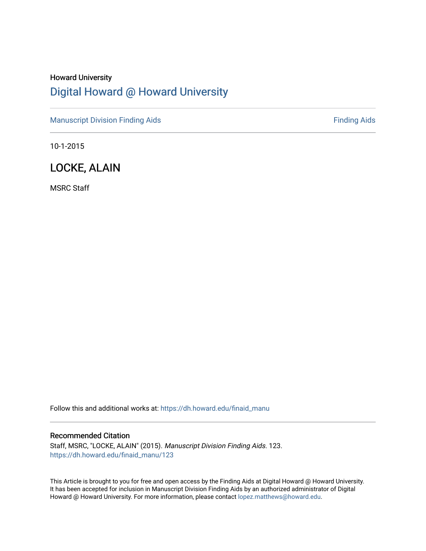# Howard University [Digital Howard @ Howard University](https://dh.howard.edu/)

[Manuscript Division Finding Aids](https://dh.howard.edu/finaid_manu) **Finding Aids** Finding Aids

10-1-2015

# LOCKE, ALAIN

MSRC Staff

Follow this and additional works at: [https://dh.howard.edu/finaid\\_manu](https://dh.howard.edu/finaid_manu?utm_source=dh.howard.edu%2Ffinaid_manu%2F123&utm_medium=PDF&utm_campaign=PDFCoverPages) 

#### Recommended Citation

Staff, MSRC, "LOCKE, ALAIN" (2015). Manuscript Division Finding Aids. 123. [https://dh.howard.edu/finaid\\_manu/123](https://dh.howard.edu/finaid_manu/123?utm_source=dh.howard.edu%2Ffinaid_manu%2F123&utm_medium=PDF&utm_campaign=PDFCoverPages) 

This Article is brought to you for free and open access by the Finding Aids at Digital Howard @ Howard University. It has been accepted for inclusion in Manuscript Division Finding Aids by an authorized administrator of Digital Howard @ Howard University. For more information, please contact [lopez.matthews@howard.edu](mailto:lopez.matthews@howard.edu).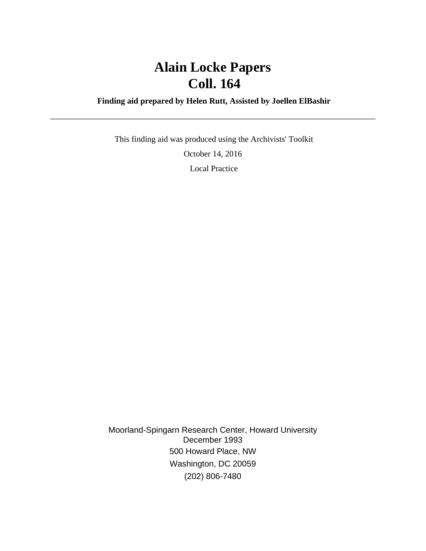# **Alain Locke Papers Coll. 164**

### **Finding aid prepared by Helen Rutt, Assisted by Joellen ElBashir**

 This finding aid was produced using the Archivists' Toolkit October 14, 2016 Local Practice

Moorland-Spingarn Research Center, Howard University December 1993 500 Howard Place, NW Washington, DC 20059 (202) 806-7480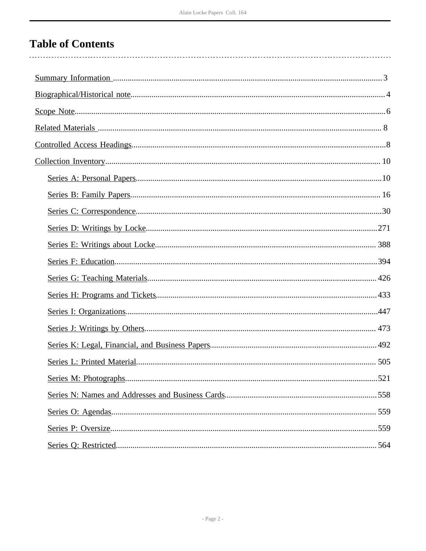# **Table of Contents**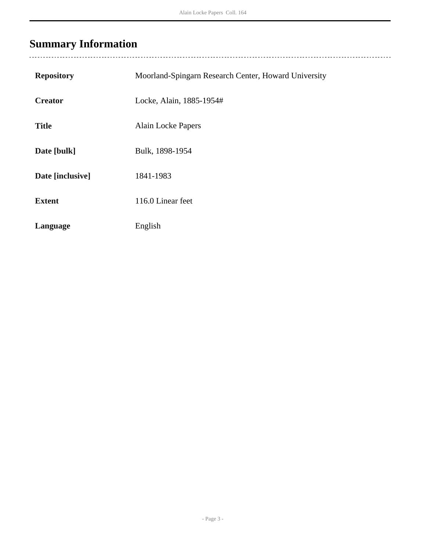# <span id="page-3-0"></span>**Summary Information**

| <b>Repository</b> | Moorland-Spingarn Research Center, Howard University |
|-------------------|------------------------------------------------------|
| <b>Creator</b>    | Locke, Alain, 1885-1954#                             |
| <b>Title</b>      | <b>Alain Locke Papers</b>                            |
| Date [bulk]       | Bulk, 1898-1954                                      |
| Date [inclusive]  | 1841-1983                                            |
| <b>Extent</b>     | 116.0 Linear feet                                    |
| Language          | English                                              |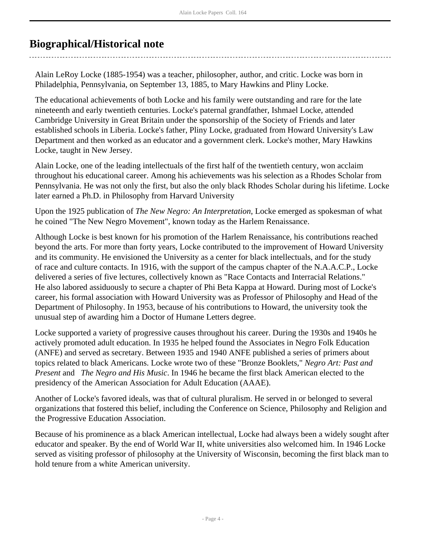# <span id="page-4-0"></span>**Biographical/Historical note**

Alain LeRoy Locke (1885-1954) was a teacher, philosopher, author, and critic. Locke was born in Philadelphia, Pennsylvania, on September 13, 1885, to Mary Hawkins and Pliny Locke.

The educational achievements of both Locke and his family were outstanding and rare for the late nineteenth and early twentieth centuries. Locke's paternal grandfather, Ishmael Locke, attended Cambridge University in Great Britain under the sponsorship of the Society of Friends and later established schools in Liberia. Locke's father, Pliny Locke, graduated from Howard University's Law Department and then worked as an educator and a government clerk. Locke's mother, Mary Hawkins Locke, taught in New Jersey.

Alain Locke, one of the leading intellectuals of the first half of the twentieth century, won acclaim throughout his educational career. Among his achievements was his selection as a Rhodes Scholar from Pennsylvania. He was not only the first, but also the only black Rhodes Scholar during his lifetime. Locke later earned a Ph.D. in Philosophy from Harvard University

Upon the 1925 publication of *The New Negro: An Interpretation*, Locke emerged as spokesman of what he coined "The New Negro Movement", known today as the Harlem Renaissance.

Although Locke is best known for his promotion of the Harlem Renaissance, his contributions reached beyond the arts. For more than forty years, Locke contributed to the improvement of Howard University and its community. He envisioned the University as a center for black intellectuals, and for the study of race and culture contacts. In 1916, with the support of the campus chapter of the N.A.A.C.P., Locke delivered a series of five lectures, collectively known as "Race Contacts and Interracial Relations." He also labored assiduously to secure a chapter of Phi Beta Kappa at Howard. During most of Locke's career, his formal association with Howard University was as Professor of Philosophy and Head of the Department of Philosophy. In 1953, because of his contributions to Howard, the university took the unusual step of awarding him a Doctor of Humane Letters degree.

Locke supported a variety of progressive causes throughout his career. During the 1930s and 1940s he actively promoted adult education. In 1935 he helped found the Associates in Negro Folk Education (ANFE) and served as secretary. Between 1935 and 1940 ANFE published a series of primers about topics related to black Americans. Locke wrote two of these "Bronze Booklets," *Negro Art: Past and Present* and *The Negro and His Music*. In 1946 he became the first black American elected to the presidency of the American Association for Adult Education (AAAE).

Another of Locke's favored ideals, was that of cultural pluralism. He served in or belonged to several organizations that fostered this belief, including the Conference on Science, Philosophy and Religion and the Progressive Education Association.

Because of his prominence as a black American intellectual, Locke had always been a widely sought after educator and speaker. By the end of World War II, white universities also welcomed him. In 1946 Locke served as visiting professor of philosophy at the University of Wisconsin, becoming the first black man to hold tenure from a white American university.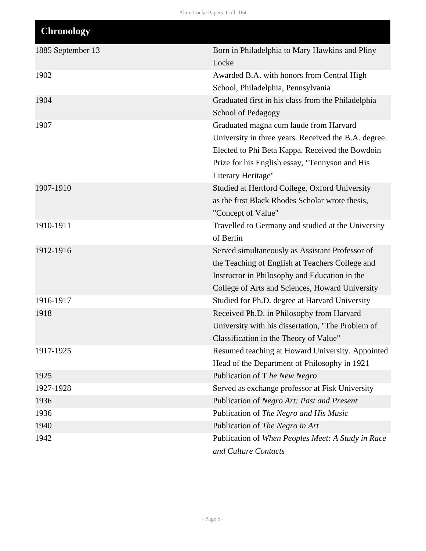| <b>Chronology</b> |                                                                 |
|-------------------|-----------------------------------------------------------------|
| 1885 September 13 | Born in Philadelphia to Mary Hawkins and Pliny<br>Locke         |
| 1902              | Awarded B.A. with honors from Central High                      |
|                   | School, Philadelphia, Pennsylvania                              |
| 1904              | Graduated first in his class from the Philadelphia              |
|                   | <b>School of Pedagogy</b>                                       |
| 1907              | Graduated magna cum laude from Harvard                          |
|                   | University in three years. Received the B.A. degree.            |
|                   | Elected to Phi Beta Kappa. Received the Bowdoin                 |
|                   | Prize for his English essay, "Tennyson and His                  |
|                   | Literary Heritage"                                              |
| 1907-1910         | Studied at Hertford College, Oxford University                  |
|                   | as the first Black Rhodes Scholar wrote thesis,                 |
| 1910-1911         | "Concept of Value"                                              |
|                   | Travelled to Germany and studied at the University<br>of Berlin |
| 1912-1916         | Served simultaneously as Assistant Professor of                 |
|                   | the Teaching of English at Teachers College and                 |
|                   | Instructor in Philosophy and Education in the                   |
|                   | College of Arts and Sciences, Howard University                 |
| 1916-1917         | Studied for Ph.D. degree at Harvard University                  |
| 1918              | Received Ph.D. in Philosophy from Harvard                       |
|                   | University with his dissertation, "The Problem of               |
|                   | Classification in the Theory of Value"                          |
| 1917-1925         | Resumed teaching at Howard University. Appointed                |
|                   | Head of the Department of Philosophy in 1921                    |
| 1925              | Publication of T he New Negro                                   |
| 1927-1928         | Served as exchange professor at Fisk University                 |
| 1936              | Publication of Negro Art: Past and Present                      |
| 1936              | Publication of The Negro and His Music                          |
| 1940              | Publication of The Negro in Art                                 |
| 1942              | Publication of When Peoples Meet: A Study in Race               |
|                   | and Culture Contacts                                            |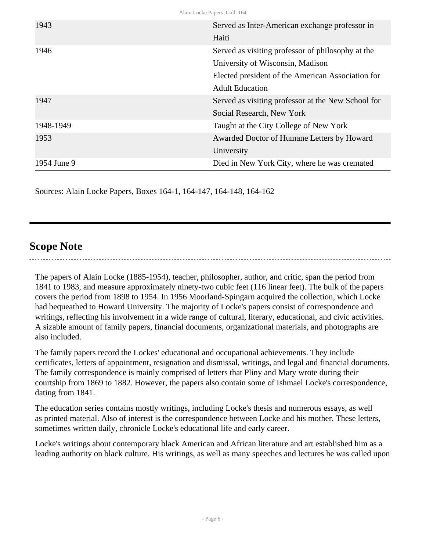| Alain Locke Papers Coll. 164 |                                                    |  |
|------------------------------|----------------------------------------------------|--|
| 1943                         | Served as Inter-American exchange professor in     |  |
|                              | Haiti                                              |  |
| 1946                         | Served as visiting professor of philosophy at the  |  |
|                              | University of Wisconsin, Madison                   |  |
|                              | Elected president of the American Association for  |  |
|                              | <b>Adult Education</b>                             |  |
| 1947                         | Served as visiting professor at the New School for |  |
|                              | Social Research, New York                          |  |
| 1948-1949                    | Taught at the City College of New York             |  |
| 1953                         | Awarded Doctor of Humane Letters by Howard         |  |
|                              | University                                         |  |
| 1954 June 9                  | Died in New York City, where he was cremated       |  |

Sources: Alain Locke Papers, Boxes 164-1, 164-147, 164-148, 164-162

# <span id="page-6-0"></span>**Scope Note**

The papers of Alain Locke (1885-1954), teacher, philosopher, author, and critic, span the period from 1841 to 1983, and measure approximately ninety-two cubic feet (116 linear feet). The bulk of the papers covers the period from 1898 to 1954. In 1956 Moorland-Spingarn acquired the collection, which Locke had bequeathed to Howard University. The majority of Locke's papers consist of correspondence and writings, reflecting his involvement in a wide range of cultural, literary, educational, and civic activities. A sizable amount of family papers, financial documents, organizational materials, and photographs are also included.

The family papers record the Lockes' educational and occupational achievements. They include certificates, letters of appointment, resignation and dismissal, writings, and legal and financial documents. The family correspondence is mainly comprised of letters that Pliny and Mary wrote during their courtship from 1869 to 1882. However, the papers also contain some of Ishmael Locke's correspondence, dating from 1841.

The education series contains mostly writings, including Locke's thesis and numerous essays, as well as printed material. Also of interest is the correspondence between Locke and his mother. These letters, sometimes written daily, chronicle Locke's educational life and early career.

Locke's writings about contemporary black American and African literature and art established him as a leading authority on black culture. His writings, as well as many speeches and lectures he was called upon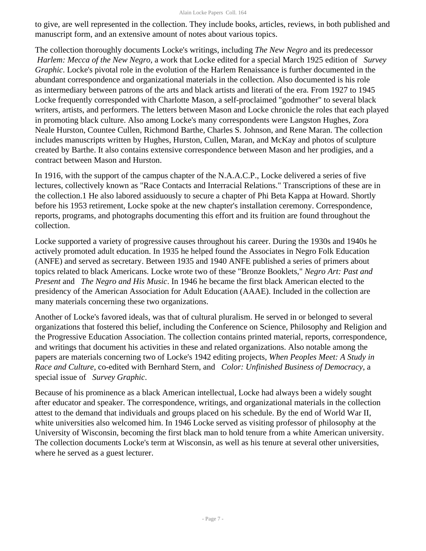#### Alain Locke Papers Coll. 164

to give, are well represented in the collection. They include books, articles, reviews, in both published and manuscript form, and an extensive amount of notes about various topics.

The collection thoroughly documents Locke's writings, including *The New Negro* and its predecessor  *Harlem: Mecca of the New Negro*, a work that Locke edited for a special March 1925 edition of *Survey Graphic*. Locke's pivotal role in the evolution of the Harlem Renaissance is further documented in the abundant correspondence and organizational materials in the collection. Also documented is his role as intermediary between patrons of the arts and black artists and literati of the era. From 1927 to 1945 Locke frequently corresponded with Charlotte Mason, a self-proclaimed "godmother" to several black writers, artists, and performers. The letters between Mason and Locke chronicle the roles that each played in promoting black culture. Also among Locke's many correspondents were Langston Hughes, Zora Neale Hurston, Countee Cullen, Richmond Barthe, Charles S. Johnson, and Rene Maran. The collection includes manuscripts written by Hughes, Hurston, Cullen, Maran, and McKay and photos of sculpture created by Barthe. It also contains extensive correspondence between Mason and her prodigies, and a contract between Mason and Hurston.

In 1916, with the support of the campus chapter of the N.A.A.C.P., Locke delivered a series of five lectures, collectively known as "Race Contacts and Interracial Relations." Transcriptions of these are in the collection.1 He also labored assiduously to secure a chapter of Phi Beta Kappa at Howard. Shortly before his 1953 retirement, Locke spoke at the new chapter's installation ceremony. Correspondence, reports, programs, and photographs documenting this effort and its fruition are found throughout the collection.

Locke supported a variety of progressive causes throughout his career. During the 1930s and 1940s he actively promoted adult education. In 1935 he helped found the Associates in Negro Folk Education (ANFE) and served as secretary. Between 1935 and 1940 ANFE published a series of primers about topics related to black Americans. Locke wrote two of these "Bronze Booklets," *Negro Art: Past and Present* and *The Negro and His Music*. In 1946 he became the first black American elected to the presidency of the American Association for Adult Education (AAAE). Included in the collection are many materials concerning these two organizations.

Another of Locke's favored ideals, was that of cultural pluralism. He served in or belonged to several organizations that fostered this belief, including the Conference on Science, Philosophy and Religion and the Progressive Education Association. The collection contains printed material, reports, correspondence, and writings that document his activities in these and related organizations. Also notable among the papers are materials concerning two of Locke's 1942 editing projects, *When Peoples Meet: A Study in Race and Culture*, co-edited with Bernhard Stern, and *Color: Unfinished Business of Democracy*, a special issue of *Survey Graphic*.

Because of his prominence as a black American intellectual, Locke had always been a widely sought after educator and speaker. The correspondence, writings, and organizational materials in the collection attest to the demand that individuals and groups placed on his schedule. By the end of World War II, white universities also welcomed him. In 1946 Locke served as visiting professor of philosophy at the University of Wisconsin, becoming the first black man to hold tenure from a white American university. The collection documents Locke's term at Wisconsin, as well as his tenure at several other universities, where he served as a guest lecturer.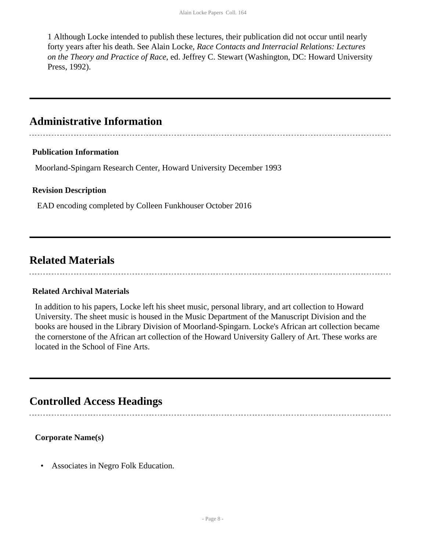1 Although Locke intended to publish these lectures, their publication did not occur until nearly forty years after his death. See Alain Locke, *Race Contacts and Interracial Relations: Lectures on the Theory and Practice of Race*, ed. Jeffrey C. Stewart (Washington, DC: Howard University Press, 1992).

## **Administrative Information**

#### **Publication Information**

Moorland-Spingarn Research Center, Howard University December 1993

#### **Revision Description**

EAD encoding completed by Colleen Funkhouser October 2016

## <span id="page-8-0"></span>**Related Materials**

### **Related Archival Materials**

In addition to his papers, Locke left his sheet music, personal library, and art collection to Howard University. The sheet music is housed in the Music Department of the Manuscript Division and the books are housed in the Library Division of Moorland-Spingarn. Locke's African art collection became the cornerstone of the African art collection of the Howard University Gallery of Art. These works are located in the School of Fine Arts.

## <span id="page-8-1"></span>**Controlled Access Headings**

#### **Corporate Name(s)**

• Associates in Negro Folk Education.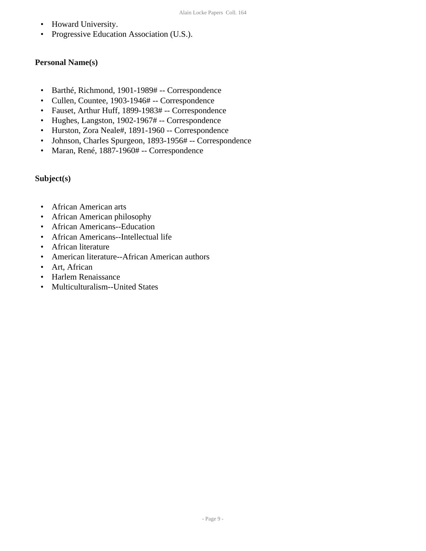- Howard University.
- Progressive Education Association (U.S.).

### **Personal Name(s)**

- Barthé, Richmond, 1901-1989# -- Correspondence
- Cullen, Countee, 1903-1946# -- Correspondence
- Fauset, Arthur Huff, 1899-1983# -- Correspondence
- Hughes, Langston, 1902-1967# -- Correspondence
- Hurston, Zora Neale#, 1891-1960 -- Correspondence
- Johnson, Charles Spurgeon, 1893-1956# -- Correspondence
- Maran, René, 1887-1960# -- Correspondence

### **Subject(s)**

- African American arts
- African American philosophy
- African Americans--Education
- African Americans--Intellectual life
- African literature
- American literature--African American authors
- Art, African
- Harlem Renaissance
- Multiculturalism--United States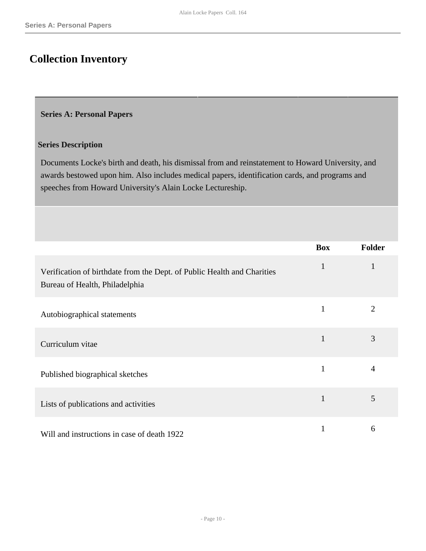# <span id="page-10-0"></span>**Collection Inventory**

#### <span id="page-10-1"></span>**Series A: Personal Papers**

#### **Series Description**

Documents Locke's birth and death, his dismissal from and reinstatement to Howard University, and awards bestowed upon him. Also includes medical papers, identification cards, and programs and speeches from Howard University's Alain Locke Lectureship.

|                                                                                                           | <b>Box</b>   | <b>Folder</b>  |
|-----------------------------------------------------------------------------------------------------------|--------------|----------------|
| Verification of birthdate from the Dept. of Public Health and Charities<br>Bureau of Health, Philadelphia | $\mathbf{1}$ | $\mathbf{1}$   |
| Autobiographical statements                                                                               | $\mathbf{1}$ | $\overline{2}$ |
| Curriculum vitae                                                                                          | $\mathbf{1}$ | 3              |
| Published biographical sketches                                                                           | $\mathbf{1}$ | $\overline{4}$ |
| Lists of publications and activities                                                                      | $\mathbf{1}$ | 5              |
| Will and instructions in case of death 1922                                                               |              | 6              |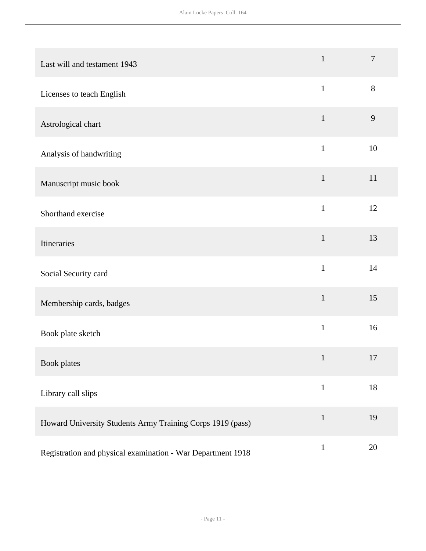| Last will and testament 1943                                | $\mathbf{1}$ | $\overline{7}$ |
|-------------------------------------------------------------|--------------|----------------|
| Licenses to teach English                                   | $\mathbf{1}$ | 8              |
| Astrological chart                                          | $\mathbf{1}$ | 9              |
| Analysis of handwriting                                     | $\mathbf{1}$ | 10             |
| Manuscript music book                                       | $\mathbf{1}$ | 11             |
| Shorthand exercise                                          | $\mathbf{1}$ | 12             |
| Itineraries                                                 | $\mathbf{1}$ | 13             |
| Social Security card                                        | $\mathbf{1}$ | 14             |
| Membership cards, badges                                    | $\mathbf{1}$ | 15             |
| Book plate sketch                                           | $\mathbf{1}$ | 16             |
| <b>Book</b> plates                                          | $\mathbf{1}$ | 17             |
| Library call slips                                          | $\mathbf{1}$ | 18             |
| Howard University Students Army Training Corps 1919 (pass)  | $\mathbf{1}$ | 19             |
| Registration and physical examination - War Department 1918 | $\mathbf{1}$ | 20             |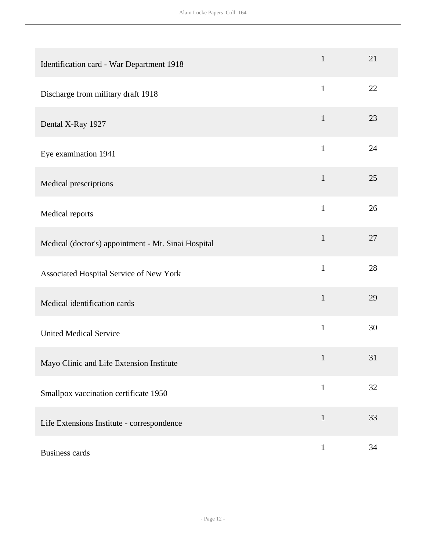| Identification card - War Department 1918           | $\mathbf{1}$ | 21 |
|-----------------------------------------------------|--------------|----|
| Discharge from military draft 1918                  | $\mathbf{1}$ | 22 |
| Dental X-Ray 1927                                   | $\mathbf{1}$ | 23 |
| Eye examination 1941                                | $\mathbf{1}$ | 24 |
| Medical prescriptions                               | $\mathbf{1}$ | 25 |
| Medical reports                                     | $\mathbf{1}$ | 26 |
| Medical (doctor's) appointment - Mt. Sinai Hospital | $\mathbf{1}$ | 27 |
| Associated Hospital Service of New York             | $\mathbf{1}$ | 28 |
| Medical identification cards                        | $\mathbf{1}$ | 29 |
| <b>United Medical Service</b>                       | $\mathbf{1}$ | 30 |
| Mayo Clinic and Life Extension Institute            | $\mathbf{1}$ | 31 |
| Smallpox vaccination certificate 1950               | $\mathbf{1}$ | 32 |
| Life Extensions Institute - correspondence          | $\mathbf{1}$ | 33 |
| <b>Business cards</b>                               | $\mathbf{1}$ | 34 |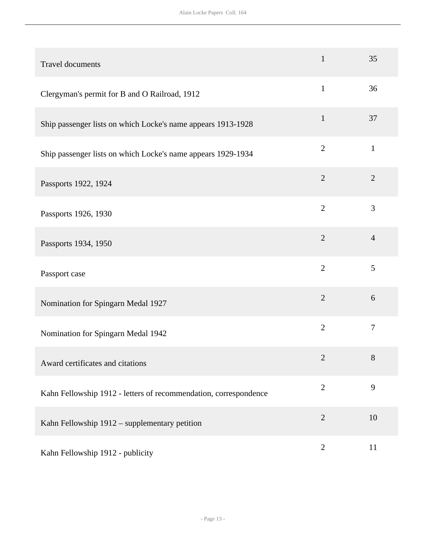| Travel documents                                                 | $\mathbf{1}$   | 35             |
|------------------------------------------------------------------|----------------|----------------|
| Clergyman's permit for B and O Railroad, 1912                    | $\mathbf{1}$   | 36             |
| Ship passenger lists on which Locke's name appears 1913-1928     | $\mathbf{1}$   | 37             |
| Ship passenger lists on which Locke's name appears 1929-1934     | $\overline{2}$ | $\mathbf{1}$   |
| Passports 1922, 1924                                             | $\overline{2}$ | $\overline{2}$ |
| Passports 1926, 1930                                             | $\overline{2}$ | 3              |
| Passports 1934, 1950                                             | $\overline{2}$ | $\overline{4}$ |
| Passport case                                                    | $\overline{2}$ | 5              |
| Nomination for Spingarn Medal 1927                               | $\overline{2}$ | 6              |
| Nomination for Spingarn Medal 1942                               | $\overline{2}$ | $\overline{7}$ |
| Award certificates and citations                                 | $\mathbf{2}$   | 8              |
| Kahn Fellowship 1912 - letters of recommendation, correspondence | $\overline{2}$ | 9              |
| Kahn Fellowship 1912 - supplementary petition                    | $\sqrt{2}$     | 10             |
| Kahn Fellowship 1912 - publicity                                 | $\mathbf{2}$   | 11             |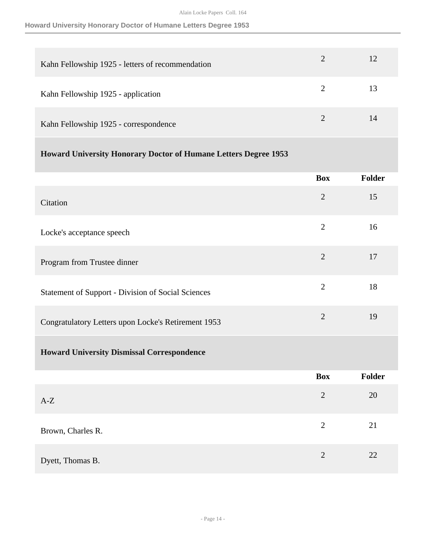### **Howard University Honorary Doctor of Humane Letters Degree 1953**

| Kahn Fellowship 1925 - letters of recommendation |                             |    |
|--------------------------------------------------|-----------------------------|----|
| Kahn Fellowship 1925 - application               | $\mathcal{D}_{\mathcal{L}}$ | 13 |
| Kahn Fellowship 1925 - correspondence            |                             | 14 |

### **Howard University Honorary Doctor of Humane Letters Degree 1953**

|                                                           | <b>Box</b>     | Folder |
|-----------------------------------------------------------|----------------|--------|
| Citation                                                  | $\overline{2}$ | 15     |
| Locke's acceptance speech                                 | $\overline{2}$ | 16     |
| Program from Trustee dinner                               | $\overline{2}$ | 17     |
| <b>Statement of Support - Division of Social Sciences</b> | $\overline{2}$ | 18     |
| Congratulatory Letters upon Locke's Retirement 1953       | $\overline{2}$ | 19     |
| <b>Howard University Dismissal Correspondence</b>         |                |        |
|                                                           | <b>Box</b>     | Folder |
| $A-Z$                                                     | $\overline{2}$ | 20     |
| Brown, Charles R.                                         | $\overline{2}$ | 21     |
| Dyett, Thomas B.                                          | $\overline{2}$ | 22     |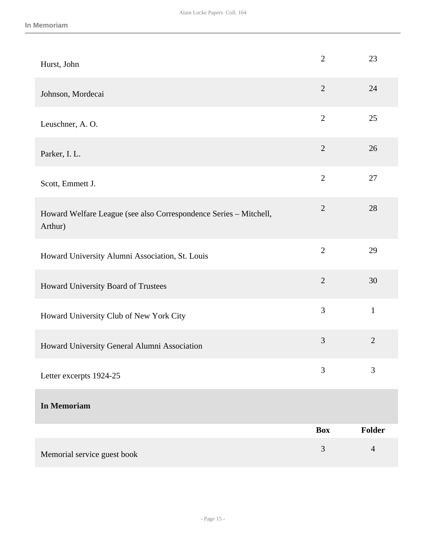| Hurst, John                                                                  | $\overline{2}$ | 23             |
|------------------------------------------------------------------------------|----------------|----------------|
| Johnson, Mordecai                                                            | $\overline{2}$ | 24             |
| Leuschner, A.O.                                                              | $\overline{2}$ | 25             |
| Parker, I. L.                                                                | $\overline{2}$ | 26             |
| Scott, Emmett J.                                                             | $\overline{2}$ | 27             |
| Howard Welfare League (see also Correspondence Series - Mitchell,<br>Arthur) | $\overline{2}$ | 28             |
| Howard University Alumni Association, St. Louis                              | $\overline{2}$ | 29             |
| Howard University Board of Trustees                                          | $\overline{2}$ | 30             |
| Howard University Club of New York City                                      | 3              | $\mathbf{1}$   |
| Howard University General Alumni Association                                 | 3              | $\overline{2}$ |
| Letter excerpts 1924-25                                                      | 3              | 3              |
| <b>In Memoriam</b>                                                           |                |                |
|                                                                              | <b>Box</b>     | Folder         |
| Memorial service guest book                                                  | $\mathfrak{Z}$ | $\overline{4}$ |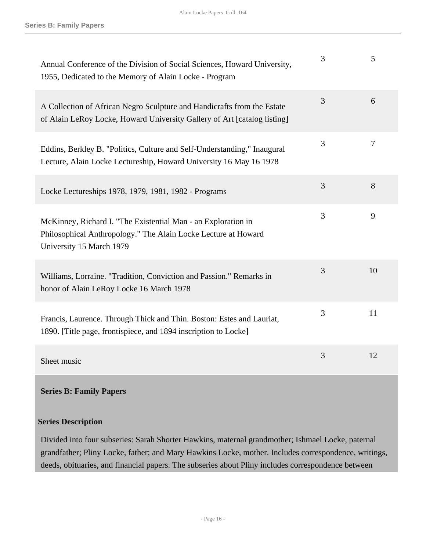| Annual Conference of the Division of Social Sciences, Howard University,<br>1955, Dedicated to the Memory of Alain Locke - Program                          | 3 | 5  |
|-------------------------------------------------------------------------------------------------------------------------------------------------------------|---|----|
| A Collection of African Negro Sculpture and Handicrafts from the Estate<br>of Alain LeRoy Locke, Howard University Gallery of Art [catalog listing]         | 3 | 6  |
| Eddins, Berkley B. "Politics, Culture and Self-Understanding," Inaugural<br>Lecture, Alain Locke Lectureship, Howard University 16 May 16 1978              | 3 | 7  |
| Locke Lectureships 1978, 1979, 1981, 1982 - Programs                                                                                                        | 3 | 8  |
| McKinney, Richard I. "The Existential Man - an Exploration in<br>Philosophical Anthropology." The Alain Locke Lecture at Howard<br>University 15 March 1979 | 3 | 9  |
| Williams, Lorraine. "Tradition, Conviction and Passion." Remarks in<br>honor of Alain LeRoy Locke 16 March 1978                                             | 3 | 10 |
| Francis, Laurence. Through Thick and Thin. Boston: Estes and Lauriat,<br>1890. [Title page, frontispiece, and 1894 inscription to Locke]                    | 3 | 11 |
| Sheet music                                                                                                                                                 | 3 | 12 |

<span id="page-16-0"></span>**Series B: Family Papers** 

#### **Series Description**

Divided into four subseries: Sarah Shorter Hawkins, maternal grandmother; Ishmael Locke, paternal grandfather; Pliny Locke, father; and Mary Hawkins Locke, mother. Includes correspondence, writings, deeds, obituaries, and financial papers. The subseries about Pliny includes correspondence between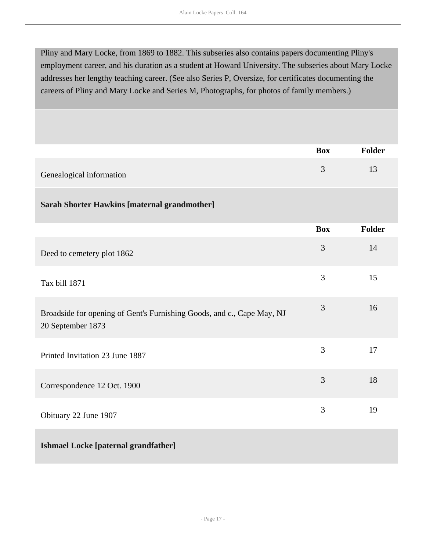Pliny and Mary Locke, from 1869 to 1882. This subseries also contains papers documenting Pliny's employment career, and his duration as a student at Howard University. The subseries about Mary Locke addresses her lengthy teaching career. (See also Series P, Oversize, for certificates documenting the careers of Pliny and Mary Locke and Series M, Photographs, for photos of family members.)

|                                                                                             | <b>Box</b> | <b>Folder</b> |
|---------------------------------------------------------------------------------------------|------------|---------------|
| Genealogical information                                                                    | 3          | 13            |
| <b>Sarah Shorter Hawkins [maternal grandmother]</b>                                         |            |               |
|                                                                                             | <b>Box</b> | <b>Folder</b> |
| Deed to cemetery plot 1862                                                                  | 3          | 14            |
| Tax bill 1871                                                                               | 3          | 15            |
| Broadside for opening of Gent's Furnishing Goods, and c., Cape May, NJ<br>20 September 1873 | 3          | 16            |
| Printed Invitation 23 June 1887                                                             | 3          | 17            |
| Correspondence 12 Oct. 1900                                                                 | 3          | 18            |
| Obituary 22 June 1907                                                                       | 3          | 19            |
| <b>Ishmael Locke [paternal grandfather]</b>                                                 |            |               |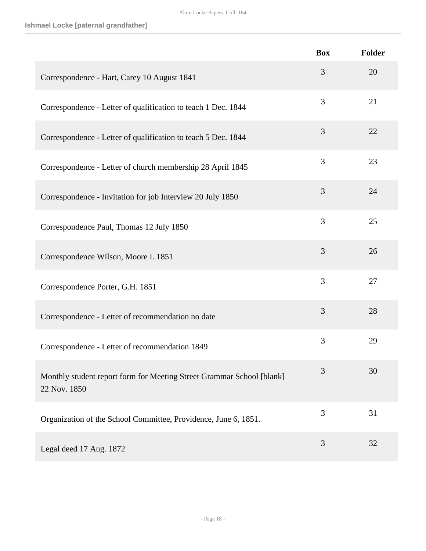|                                                                                       | <b>Box</b> | Folder |
|---------------------------------------------------------------------------------------|------------|--------|
| Correspondence - Hart, Carey 10 August 1841                                           | 3          | 20     |
| Correspondence - Letter of qualification to teach 1 Dec. 1844                         | 3          | 21     |
| Correspondence - Letter of qualification to teach 5 Dec. 1844                         | 3          | 22     |
| Correspondence - Letter of church membership 28 April 1845                            | 3          | 23     |
| Correspondence - Invitation for job Interview 20 July 1850                            | 3          | 24     |
| Correspondence Paul, Thomas 12 July 1850                                              | 3          | 25     |
| Correspondence Wilson, Moore I. 1851                                                  | 3          | 26     |
| Correspondence Porter, G.H. 1851                                                      | 3          | 27     |
| Correspondence - Letter of recommendation no date                                     | 3          | 28     |
| Correspondence - Letter of recommendation 1849                                        | 3          | 29     |
| Monthly student report form for Meeting Street Grammar School [blank]<br>22 Nov. 1850 | 3          | 30     |
| Organization of the School Committee, Providence, June 6, 1851.                       | 3          | 31     |
| Legal deed 17 Aug. 1872                                                               | 3          | 32     |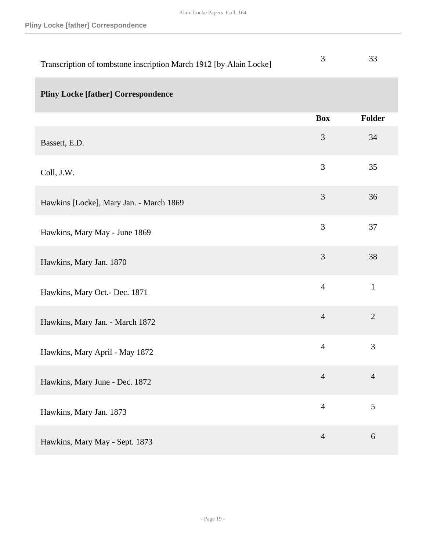| Transcription of tombstone inscription March 1912 [by Alain Locke] | 3              | 33             |
|--------------------------------------------------------------------|----------------|----------------|
| <b>Pliny Locke [father] Correspondence</b>                         |                |                |
|                                                                    | <b>Box</b>     | Folder         |
| Bassett, E.D.                                                      | 3              | 34             |
| Coll, J.W.                                                         | 3              | 35             |
| Hawkins [Locke], Mary Jan. - March 1869                            | 3              | 36             |
| Hawkins, Mary May - June 1869                                      | 3              | 37             |
| Hawkins, Mary Jan. 1870                                            | 3              | 38             |
| Hawkins, Mary Oct.- Dec. 1871                                      | $\overline{4}$ | $\mathbf{1}$   |
| Hawkins, Mary Jan. - March 1872                                    | $\overline{4}$ | $\overline{2}$ |
| Hawkins, Mary April - May 1872                                     | $\overline{4}$ | 3              |
| Hawkins, Mary June - Dec. 1872                                     | $\overline{4}$ | $\overline{4}$ |
| Hawkins, Mary Jan. 1873                                            | $\overline{4}$ | $\mathfrak{S}$ |
| Hawkins, Mary May - Sept. 1873                                     | $\overline{4}$ | 6              |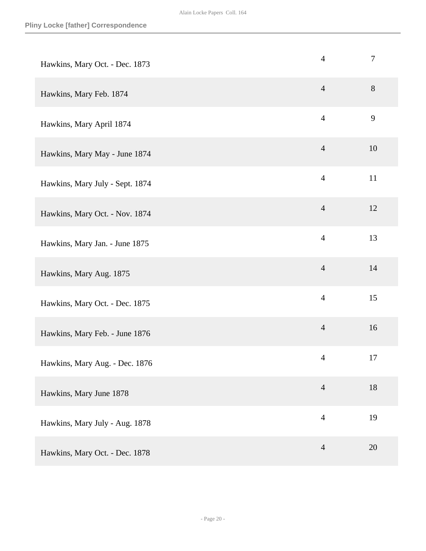| Hawkins, Mary Oct. - Dec. 1873  | $\overline{4}$ | $\boldsymbol{7}$ |
|---------------------------------|----------------|------------------|
| Hawkins, Mary Feb. 1874         | $\overline{4}$ | 8                |
| Hawkins, Mary April 1874        | $\overline{4}$ | 9                |
| Hawkins, Mary May - June 1874   | $\overline{4}$ | 10               |
| Hawkins, Mary July - Sept. 1874 | $\overline{4}$ | 11               |
| Hawkins, Mary Oct. - Nov. 1874  | $\overline{4}$ | 12               |
| Hawkins, Mary Jan. - June 1875  | $\overline{4}$ | 13               |
| Hawkins, Mary Aug. 1875         | $\overline{4}$ | 14               |
| Hawkins, Mary Oct. - Dec. 1875  | $\overline{4}$ | 15               |
| Hawkins, Mary Feb. - June 1876  | $\overline{4}$ | 16               |
| Hawkins, Mary Aug. - Dec. 1876  | $\overline{4}$ | 17               |
| Hawkins, Mary June 1878         | $\overline{4}$ | 18               |
| Hawkins, Mary July - Aug. 1878  | $\overline{4}$ | 19               |
| Hawkins, Mary Oct. - Dec. 1878  | $\overline{4}$ | 20               |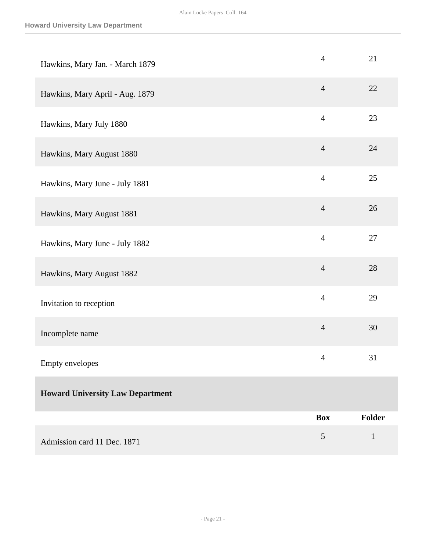| Hawkins, Mary Jan. - March 1879         | $\overline{4}$ | 21           |
|-----------------------------------------|----------------|--------------|
| Hawkins, Mary April - Aug. 1879         | $\overline{4}$ | 22           |
| Hawkins, Mary July 1880                 | $\overline{4}$ | 23           |
| Hawkins, Mary August 1880               | $\overline{4}$ | 24           |
| Hawkins, Mary June - July 1881          | $\overline{4}$ | 25           |
| Hawkins, Mary August 1881               | $\overline{4}$ | 26           |
| Hawkins, Mary June - July 1882          | $\overline{4}$ | 27           |
| Hawkins, Mary August 1882               | $\overline{4}$ | 28           |
| Invitation to reception                 | $\overline{4}$ | 29           |
| Incomplete name                         | $\overline{4}$ | 30           |
| Empty envelopes                         | $\overline{4}$ | 31           |
| <b>Howard University Law Department</b> |                |              |
|                                         | <b>Box</b>     | Folder       |
| Admission card 11 Dec. 1871             | 5              | $\mathbf{1}$ |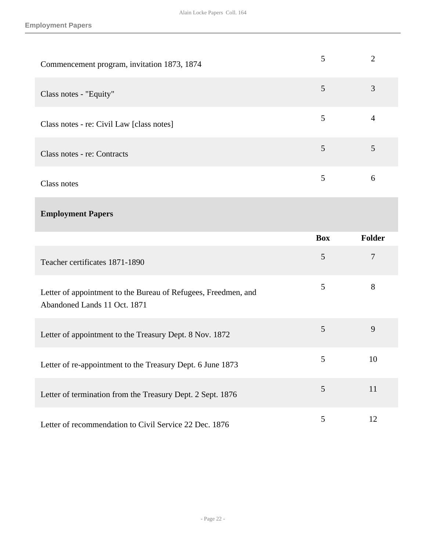| Commencement program, invitation 1873, 1874 |   |   |
|---------------------------------------------|---|---|
| Class notes - "Equity"                      | 5 | 3 |
| Class notes - re: Civil Law [class notes]   | 5 |   |
| Class notes - re: Contracts                 | 5 |   |
| Class notes                                 |   | 6 |

### **Employment Papers**

|                                                                                                | <b>Box</b> | <b>Folder</b> |
|------------------------------------------------------------------------------------------------|------------|---------------|
| Teacher certificates 1871-1890                                                                 | 5          | 7             |
| Letter of appointment to the Bureau of Refugees, Freedmen, and<br>Abandoned Lands 11 Oct. 1871 | 5          | 8             |
| Letter of appointment to the Treasury Dept. 8 Nov. 1872                                        | 5          | 9             |
| Letter of re-appointment to the Treasury Dept. 6 June 1873                                     | 5          | 10            |
| Letter of termination from the Treasury Dept. 2 Sept. 1876                                     | 5          | 11            |
| Letter of recommendation to Civil Service 22 Dec. 1876                                         | 5          | 12            |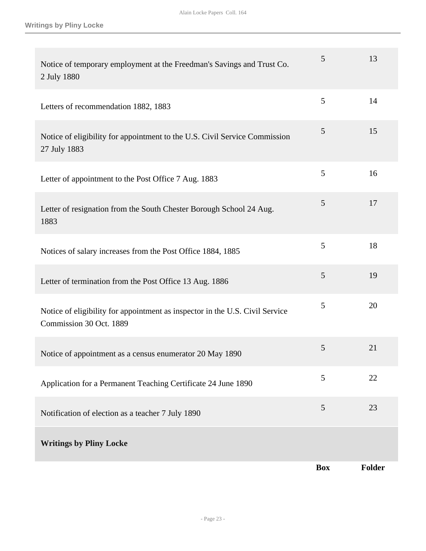| Notice of temporary employment at the Freedman's Savings and Trust Co.<br>2 July 1880                   | 5          | 13            |
|---------------------------------------------------------------------------------------------------------|------------|---------------|
| Letters of recommendation 1882, 1883                                                                    | 5          | 14            |
| Notice of eligibility for appointment to the U.S. Civil Service Commission<br>27 July 1883              | 5          | 15            |
| Letter of appointment to the Post Office 7 Aug. 1883                                                    | 5          | 16            |
| Letter of resignation from the South Chester Borough School 24 Aug.<br>1883                             | 5          | 17            |
| Notices of salary increases from the Post Office 1884, 1885                                             | 5          | 18            |
| Letter of termination from the Post Office 13 Aug. 1886                                                 | 5          | 19            |
| Notice of eligibility for appointment as inspector in the U.S. Civil Service<br>Commission 30 Oct. 1889 | 5          | 20            |
| Notice of appointment as a census enumerator 20 May 1890                                                | 5          | 21            |
| Application for a Permanent Teaching Certificate 24 June 1890                                           | 5          | 22            |
| Notification of election as a teacher 7 July 1890                                                       | 5          | 23            |
| <b>Writings by Pliny Locke</b>                                                                          |            |               |
|                                                                                                         | <b>Box</b> | <b>Folder</b> |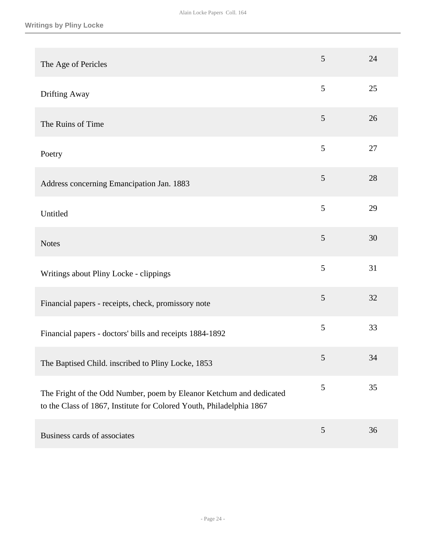| The Age of Pericles                                                                                                                         | 5              | 24 |
|---------------------------------------------------------------------------------------------------------------------------------------------|----------------|----|
| Drifting Away                                                                                                                               | 5              | 25 |
| The Ruins of Time                                                                                                                           | 5              | 26 |
| Poetry                                                                                                                                      | 5              | 27 |
| Address concerning Emancipation Jan. 1883                                                                                                   | 5              | 28 |
| Untitled                                                                                                                                    | 5              | 29 |
| <b>Notes</b>                                                                                                                                | 5              | 30 |
| Writings about Pliny Locke - clippings                                                                                                      | 5              | 31 |
| Financial papers - receipts, check, promissory note                                                                                         | 5              | 32 |
| Financial papers - doctors' bills and receipts 1884-1892                                                                                    | 5              | 33 |
| The Baptised Child. inscribed to Pliny Locke, 1853                                                                                          | 5              | 34 |
| The Fright of the Odd Number, poem by Eleanor Ketchum and dedicated<br>to the Class of 1867, Institute for Colored Youth, Philadelphia 1867 | 5              | 35 |
| Business cards of associates                                                                                                                | $\mathfrak{S}$ | 36 |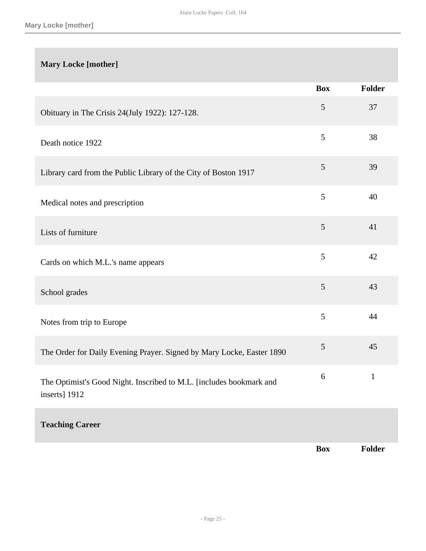### **Mary Locke [mother]**

|                                                                                      | <b>Box</b>     | Folder       |
|--------------------------------------------------------------------------------------|----------------|--------------|
| Obituary in The Crisis 24(July 1922): 127-128.                                       | $\mathfrak{S}$ | 37           |
| Death notice 1922                                                                    | 5              | 38           |
| Library card from the Public Library of the City of Boston 1917                      | 5              | 39           |
| Medical notes and prescription                                                       | 5              | 40           |
| Lists of furniture                                                                   | 5              | 41           |
| Cards on which M.L.'s name appears                                                   | 5              | 42           |
| School grades                                                                        | 5              | 43           |
| Notes from trip to Europe                                                            | 5              | 44           |
| The Order for Daily Evening Prayer. Signed by Mary Locke, Easter 1890                | 5              | 45           |
| The Optimist's Good Night. Inscribed to M.L. [includes bookmark and<br>inserts] 1912 | 6              | $\mathbf{1}$ |
| <b>Teaching Career</b>                                                               |                |              |
|                                                                                      | <b>Box</b>     | Folder       |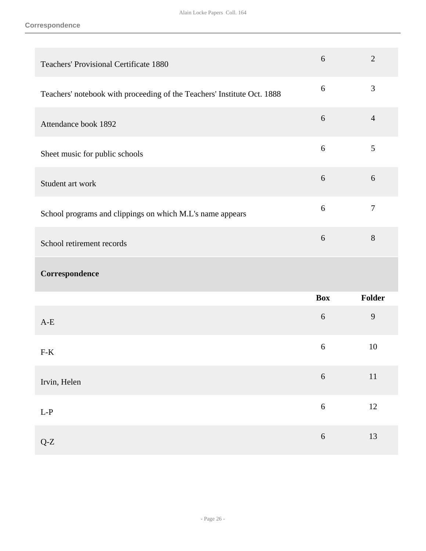#### **Correspondence**

| <b>Teachers' Provisional Certificate 1880</b>                           | 6                | $\overline{2}$ |
|-------------------------------------------------------------------------|------------------|----------------|
| Teachers' notebook with proceeding of the Teachers' Institute Oct. 1888 | $\boldsymbol{6}$ | 3              |
| Attendance book 1892                                                    | $\boldsymbol{6}$ | $\overline{4}$ |
| Sheet music for public schools                                          | 6                | 5              |
| Student art work                                                        | 6                | 6              |
| School programs and clippings on which M.L's name appears               | 6                | $\tau$         |
| School retirement records                                               | $6\,$            | 8              |
| Correspondence                                                          |                  |                |
|                                                                         | <b>Box</b>       | Folder         |
| $A-E$                                                                   | $6\,$            | 9              |
| $F-K$                                                                   | 6                | 10             |
| Irvin, Helen                                                            | $\sqrt{6}$       | $11\,$         |
| $\mathbf{L}\text{-}\mathbf{P}$                                          | $\sqrt{6}$       | $12\,$         |
| $Q-Z$                                                                   | $\sqrt{6}$       | 13             |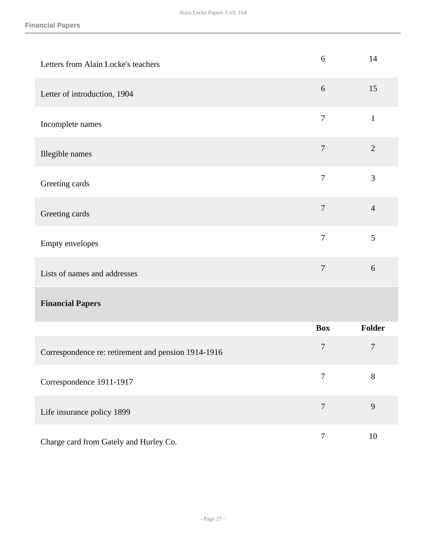| Letters from Alain Locke's teachers                 | 6              | 14             |
|-----------------------------------------------------|----------------|----------------|
| Letter of introduction, 1904                        | 6              | 15             |
| Incomplete names                                    | $\tau$         | $\mathbf{1}$   |
| Illegible names                                     | $\overline{7}$ | $\overline{2}$ |
| Greeting cards                                      | $\tau$         | 3              |
| Greeting cards                                      | $\overline{7}$ | $\overline{4}$ |
| Empty envelopes                                     | $\overline{7}$ | 5              |
| Lists of names and addresses                        | $\overline{7}$ | 6              |
| <b>Financial Papers</b>                             |                |                |
|                                                     | <b>Box</b>     | Folder         |
| Correspondence re: retirement and pension 1914-1916 | $\overline{7}$ | $\overline{7}$ |
| Correspondence 1911-1917                            | $\overline{7}$ | 8              |
| Life insurance policy 1899                          | $\overline{7}$ | 9              |
| Charge card from Gately and Hurley Co.              | $\overline{7}$ | 10             |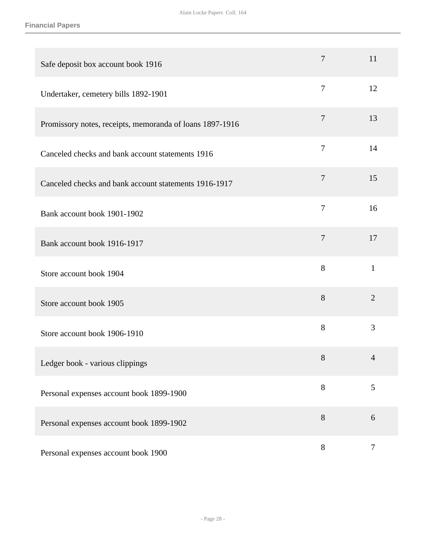| Safe deposit box account book 1916                       | $\overline{7}$ | 11             |
|----------------------------------------------------------|----------------|----------------|
| Undertaker, cemetery bills 1892-1901                     | $\overline{7}$ | 12             |
| Promissory notes, receipts, memoranda of loans 1897-1916 | $\tau$         | 13             |
| Canceled checks and bank account statements 1916         | $\tau$         | 14             |
| Canceled checks and bank account statements 1916-1917    | $\overline{7}$ | 15             |
| Bank account book 1901-1902                              | $\overline{7}$ | 16             |
| Bank account book 1916-1917                              | $\tau$         | 17             |
| Store account book 1904                                  | 8              | $\mathbf{1}$   |
| Store account book 1905                                  | 8              | $\overline{2}$ |
| Store account book 1906-1910                             | 8              | 3              |
| Ledger book - various clippings                          | $8\,$          | $\Delta$       |
| Personal expenses account book 1899-1900                 | $8\,$          | 5              |
| Personal expenses account book 1899-1902                 | $8\,$          | $6\,$          |
| Personal expenses account book 1900                      | $8\,$          | $\tau$         |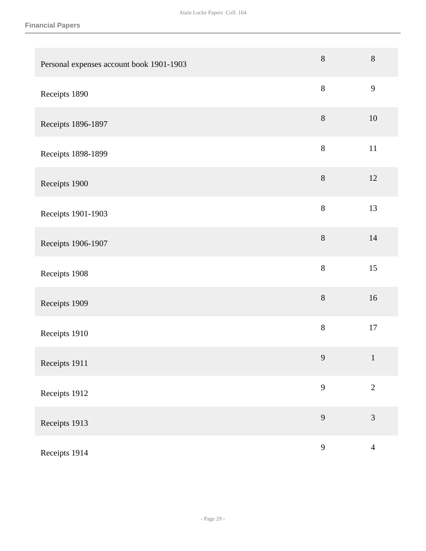| Personal expenses account book 1901-1903 | $8\,$   | $8\,$          |
|------------------------------------------|---------|----------------|
| Receipts 1890                            | $8\,$   | 9              |
| Receipts 1896-1897                       | $8\,$   | $10\,$         |
| Receipts 1898-1899                       | $8\,$   | $11\,$         |
| Receipts 1900                            | $8\,$   | $12\,$         |
| Receipts 1901-1903                       | $\,8\,$ | 13             |
| Receipts 1906-1907                       | $8\,$   | 14             |
| Receipts 1908                            | $8\,$   | 15             |
| Receipts 1909                            | $8\,$   | 16             |
| Receipts 1910                            | $8\,$   | $17\,$         |
| Receipts 1911                            | 9       | $\mathbf{1}$   |
| Receipts 1912                            | 9       | $\overline{2}$ |
| Receipts 1913                            | 9       | $\mathfrak{Z}$ |
| Receipts 1914                            | 9       | $\overline{4}$ |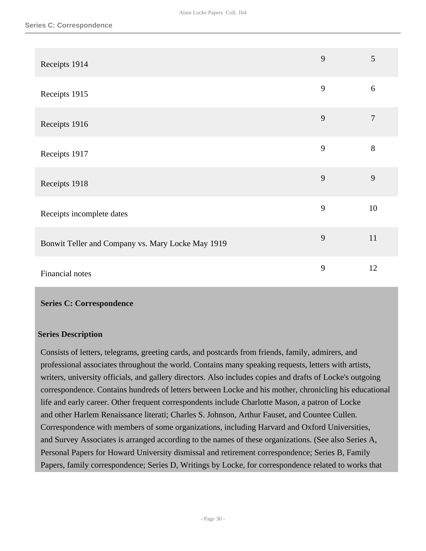| Receipts 1914                                     | 9 | $\mathfrak{S}$ |
|---------------------------------------------------|---|----------------|
| Receipts 1915                                     | 9 | 6              |
| Receipts 1916                                     | 9 | $\overline{7}$ |
| Receipts 1917                                     | 9 | $8\,$          |
| Receipts 1918                                     | 9 | 9              |
| Receipts incomplete dates                         | 9 | 10             |
| Bonwit Teller and Company vs. Mary Locke May 1919 | 9 | 11             |
| Financial notes                                   | 9 | 12             |

#### <span id="page-30-0"></span>**Series C: Correspondence**

#### **Series Description**

Consists of letters, telegrams, greeting cards, and postcards from friends, family, admirers, and professional associates throughout the world. Contains many speaking requests, letters with artists, writers, university officials, and gallery directors. Also includes copies and drafts of Locke's outgoing correspondence. Contains hundreds of letters between Locke and his mother, chronicling his educational life and early career. Other frequent correspondents include Charlotte Mason, a patron of Locke and other Harlem Renaissance literati; Charles S. Johnson, Arthur Fauset, and Countee Cullen. Correspondence with members of some organizations, including Harvard and Oxford Universities, and Survey Associates is arranged according to the names of these organizations. (See also Series A, Personal Papers for Howard University dismissal and retirement correspondence; Series B, Family Papers, family correspondence; Series D, Writings by Locke, for correspondence related to works that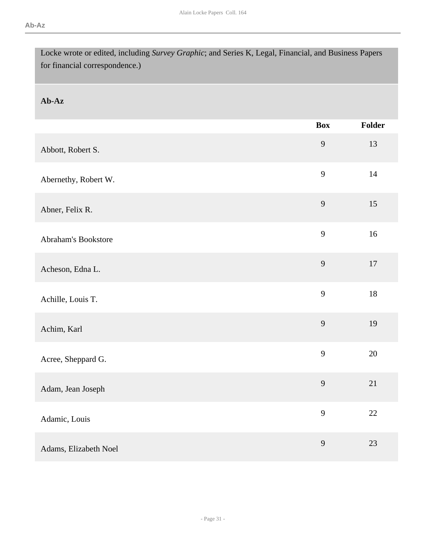| Locke wrote or edited, including Survey Graphic; and Series K, Legal, Financial, and Business Papers<br>for financial correspondence.) |                |        |
|----------------------------------------------------------------------------------------------------------------------------------------|----------------|--------|
| Ab-Az                                                                                                                                  |                |        |
|                                                                                                                                        | <b>Box</b>     | Folder |
| Abbott, Robert S.                                                                                                                      | 9              | 13     |
| Abernethy, Robert W.                                                                                                                   | 9              | 14     |
| Abner, Felix R.                                                                                                                        | $\overline{9}$ | 15     |
| <b>Abraham's Bookstore</b>                                                                                                             | 9              | 16     |
| Acheson, Edna L.                                                                                                                       | 9              | 17     |
| Achille, Louis T.                                                                                                                      | 9              | 18     |
| Achim, Karl                                                                                                                            | 9              | 19     |
| Acree, Sheppard G.                                                                                                                     | $\mathbf{9}$   | 20     |
| Adam, Jean Joseph                                                                                                                      | 9              | 21     |
| Adamic, Louis                                                                                                                          | 9              | $22\,$ |
| Adams, Elizabeth Noel                                                                                                                  | 9              | 23     |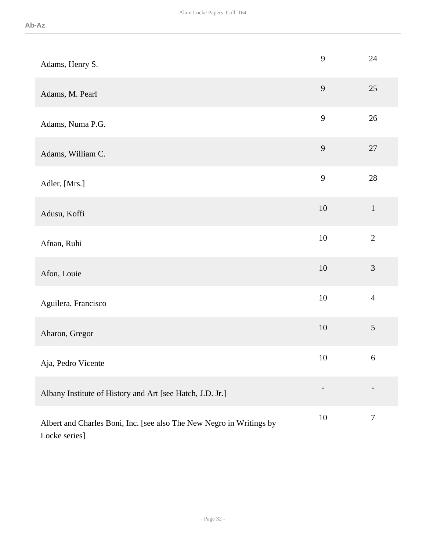| Adams, Henry S.                                                                       | 9      | 24             |
|---------------------------------------------------------------------------------------|--------|----------------|
| Adams, M. Pearl                                                                       | 9      | 25             |
| Adams, Numa P.G.                                                                      | 9      | 26             |
| Adams, William C.                                                                     | 9      | $27\,$         |
| Adler, [Mrs.]                                                                         | 9      | 28             |
| Adusu, Koffi                                                                          | $10\,$ | $\mathbf 1$    |
| Afnan, Ruhi                                                                           | $10\,$ | $\overline{2}$ |
| Afon, Louie                                                                           | $10\,$ | 3              |
| Aguilera, Francisco                                                                   | $10\,$ | $\overline{4}$ |
| Aharon, Gregor                                                                        | 10     | 5              |
| Aja, Pedro Vicente                                                                    | 10     | $\sqrt{6}$     |
| Albany Institute of History and Art [see Hatch, J.D. Jr.]                             |        |                |
| Albert and Charles Boni, Inc. [see also The New Negro in Writings by<br>Locke series] | $10\,$ | $\overline{7}$ |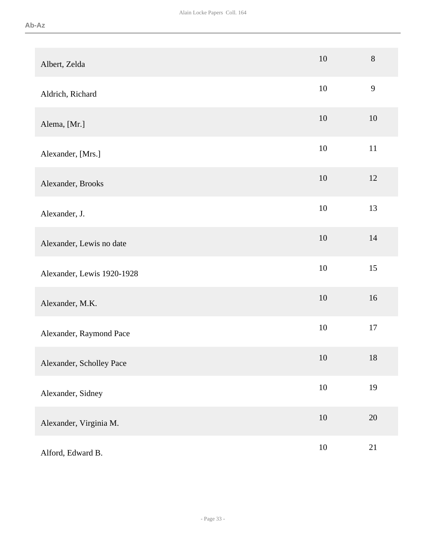| Albert, Zelda              | 10     | 8      |
|----------------------------|--------|--------|
| Aldrich, Richard           | 10     | 9      |
| Alema, [Mr.]               | 10     | 10     |
| Alexander, [Mrs.]          | 10     | 11     |
| Alexander, Brooks          | 10     | 12     |
| Alexander, J.              | 10     | 13     |
| Alexander, Lewis no date   | 10     | 14     |
| Alexander, Lewis 1920-1928 | 10     | 15     |
| Alexander, M.K.            | 10     | 16     |
| Alexander, Raymond Pace    | 10     | 17     |
| Alexander, Scholley Pace   | 10     | 18     |
| Alexander, Sidney          | $10\,$ | 19     |
| Alexander, Virginia M.     | $10\,$ | $20\,$ |
| Alford, Edward B.          | $10\,$ | 21     |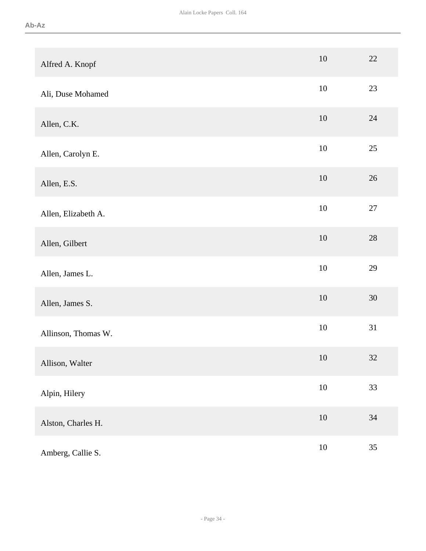| Alfred A. Knopf     | $10\,$ | 22     |
|---------------------|--------|--------|
| Ali, Duse Mohamed   | $10\,$ | 23     |
| Allen, C.K.         | 10     | 24     |
| Allen, Carolyn E.   | $10\,$ | 25     |
| Allen, E.S.         | 10     | $26\,$ |
| Allen, Elizabeth A. | $10\,$ | $27\,$ |
| Allen, Gilbert      | $10\,$ | $28\,$ |
| Allen, James L.     | $10\,$ | 29     |
| Allen, James S.     | $10\,$ | $30\,$ |
| Allinson, Thomas W. | $10\,$ | 31     |
| Allison, Walter     | 10     | 32     |
| Alpin, Hilery       | $10\,$ | 33     |
| Alston, Charles H.  | $10\,$ | 34     |
| Amberg, Callie S.   | $10\,$ | 35     |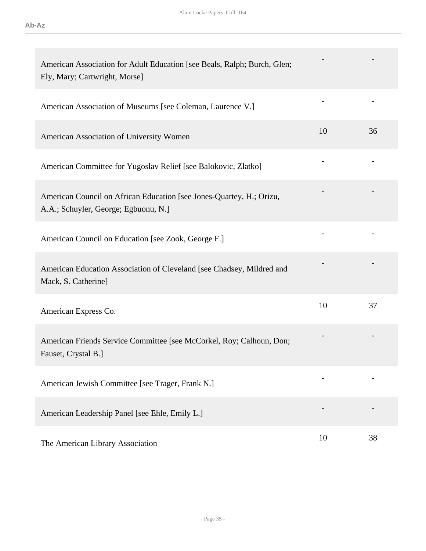| American Association for Adult Education [see Beals, Ralph; Burch, Glen;<br>Ely, Mary; Cartwright, Morse]    |    |    |
|--------------------------------------------------------------------------------------------------------------|----|----|
| American Association of Museums [see Coleman, Laurence V.]                                                   |    |    |
| American Association of University Women                                                                     | 10 | 36 |
| American Committee for Yugoslav Relief [see Balokovic, Zlatko]                                               |    |    |
| American Council on African Education [see Jones-Quartey, H.; Orizu,<br>A.A.; Schuyler, George; Egbuonu, N.] |    |    |
| American Council on Education [see Zook, George F.]                                                          |    |    |
| American Education Association of Cleveland [see Chadsey, Mildred and<br>Mack, S. Catherine]                 |    |    |
| American Express Co.                                                                                         | 10 | 37 |
| American Friends Service Committee [see McCorkel, Roy; Calhoun, Don;<br>Fauset, Crystal B.]                  |    |    |
| American Jewish Committee [see Trager, Frank N.]                                                             |    |    |
| American Leadership Panel [see Ehle, Emily L.]                                                               |    |    |
| The American Library Association                                                                             | 10 | 38 |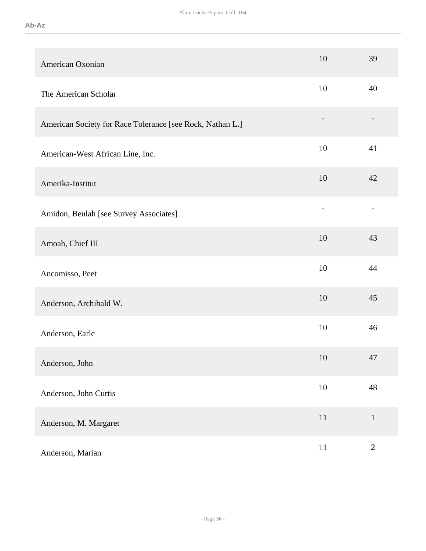| American Oxonian                                          | 10     | 39                       |
|-----------------------------------------------------------|--------|--------------------------|
| The American Scholar                                      | 10     | 40                       |
| American Society for Race Tolerance [see Rock, Nathan L.] |        |                          |
| American-West African Line, Inc.                          | 10     | 41                       |
| Amerika-Institut                                          | 10     | 42                       |
| Amidon, Beulah [see Survey Associates]                    |        | $\overline{\phantom{0}}$ |
| Amoah, Chief III                                          | 10     | 43                       |
| Ancomisso, Peet                                           | 10     | 44                       |
| Anderson, Archibald W.                                    | 10     | 45                       |
| Anderson, Earle                                           | 10     | 46                       |
| Anderson, John                                            | 10     | 47                       |
| Anderson, John Curtis                                     | 10     | 48                       |
| Anderson, M. Margaret                                     | $11\,$ | $\mathbf{1}$             |
| Anderson, Marian                                          | $11\,$ | $\sqrt{2}$               |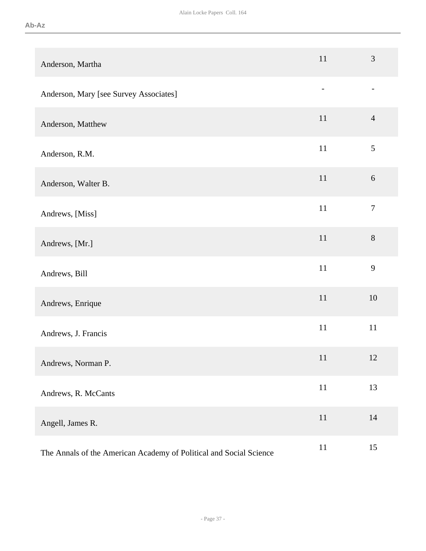| Anderson, Martha                                                   | 11                       | $\mathfrak{Z}$           |
|--------------------------------------------------------------------|--------------------------|--------------------------|
| Anderson, Mary [see Survey Associates]                             | $\overline{\phantom{a}}$ | $\overline{\phantom{a}}$ |
| Anderson, Matthew                                                  | 11                       | $\overline{4}$           |
| Anderson, R.M.                                                     | 11                       | 5                        |
| Anderson, Walter B.                                                | 11                       | $6\,$                    |
| Andrews, [Miss]                                                    | 11                       | $\boldsymbol{7}$         |
| Andrews, [Mr.]                                                     | 11                       | $8\,$                    |
| Andrews, Bill                                                      | 11                       | 9                        |
| Andrews, Enrique                                                   | 11                       | 10                       |
| Andrews, J. Francis                                                | $11\,$                   | $11\,$                   |
| Andrews, Norman P.                                                 | 11                       | 12                       |
| Andrews, R. McCants                                                | $11\,$                   | 13                       |
| Angell, James R.                                                   | $11\,$                   | 14                       |
| The Annals of the American Academy of Political and Social Science | 11                       | 15                       |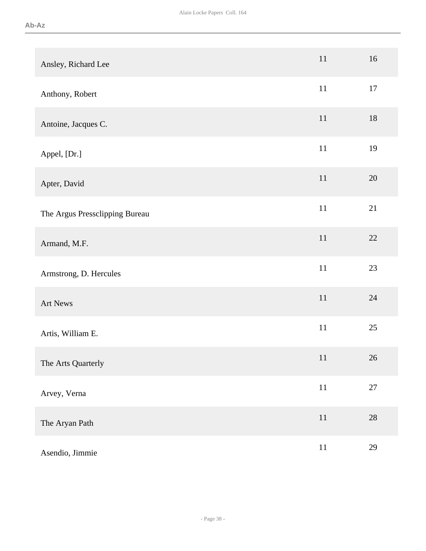| Ansley, Richard Lee            | $11\,$ | 16     |
|--------------------------------|--------|--------|
| Anthony, Robert                | $11\,$ | 17     |
| Antoine, Jacques C.            | $11\,$ | $18\,$ |
| Appel, [Dr.]                   | $11\,$ | 19     |
| Apter, David                   | $11\,$ | 20     |
| The Argus Pressclipping Bureau | $11\,$ | 21     |
| Armand, M.F.                   | $11\,$ | 22     |
| Armstrong, D. Hercules         | $11\,$ | 23     |
| Art News                       | $11\,$ | $24\,$ |
| Artis, William E.              | $11\,$ | $25\,$ |
| The Arts Quarterly             | 11     | $26\,$ |
| Arvey, Verna                   | $11\,$ | $27\,$ |
| The Aryan Path                 | $11\,$ | $28\,$ |
| Asendio, Jimmie                | $11\,$ | 29     |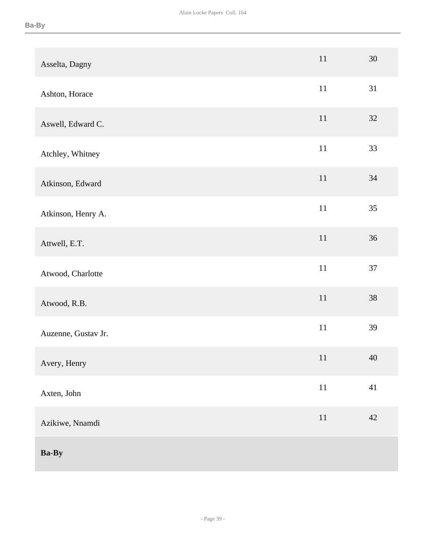| Asselta, Dagny      | $11\,$ | 30     |
|---------------------|--------|--------|
| Ashton, Horace      | $11\,$ | 31     |
| Aswell, Edward C.   | $11\,$ | 32     |
| Atchley, Whitney    | $11\,$ | 33     |
| Atkinson, Edward    | $11\,$ | 34     |
| Atkinson, Henry A.  | $11\,$ | 35     |
| Attwell, E.T.       | $11\,$ | 36     |
| Atwood, Charlotte   | $11\,$ | $37\,$ |
| Atwood, R.B.        | 11     | 38     |
| Auzenne, Gustav Jr. | $11\,$ | 39     |
| Avery, Henry        | 11     | 40     |
| Axten, John         | $11\,$ | 41     |
| Azikiwe, Nnamdi     | $11\,$ | $42\,$ |
| <b>Ba-By</b>        |        |        |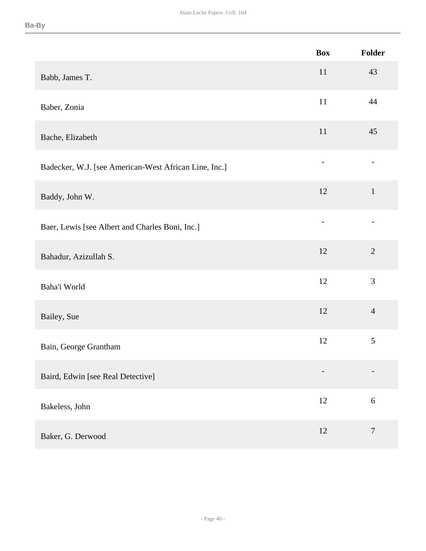|                                                       | <b>Box</b>                   | Folder         |
|-------------------------------------------------------|------------------------------|----------------|
| Babb, James T.                                        | 11                           | 43             |
| Baber, Zonia                                          | $11\,$                       | 44             |
| Bache, Elizabeth                                      | $11\,$                       | 45             |
| Badecker, W.J. [see American-West African Line, Inc.] |                              |                |
| Baddy, John W.                                        | 12                           | $\mathbf{1}$   |
| Baer, Lewis [see Albert and Charles Boni, Inc.]       | $\qquad \qquad -$            |                |
| Bahadur, Azizullah S.                                 | 12                           | $\mathbf{2}$   |
| Baha'i World                                          | 12                           | 3              |
| Bailey, Sue                                           | 12                           | $\overline{4}$ |
| Bain, George Grantham                                 | 12                           | $\sqrt{5}$     |
| Baird, Edwin [see Real Detective]                     | $\qquad \qquad \blacksquare$ |                |
| Bakeless, John                                        | 12                           | $\sqrt{6}$     |
| Baker, G. Derwood                                     | 12                           | $\overline{7}$ |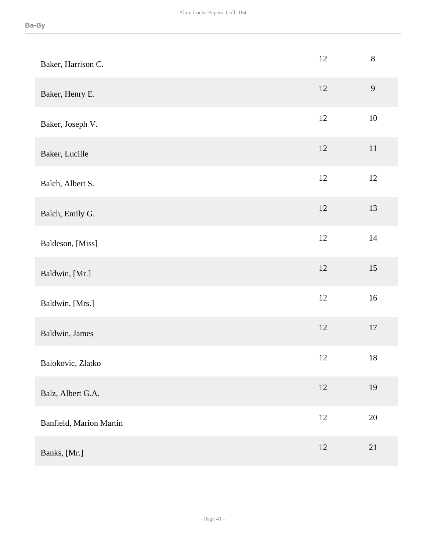| Baker, Harrison C.      | 12     | $8\,$  |
|-------------------------|--------|--------|
| Baker, Henry E.         | $12\,$ | 9      |
| Baker, Joseph V.        | $12\,$ | $10\,$ |
| Baker, Lucille          | 12     | $11\,$ |
| Balch, Albert S.        | 12     | 12     |
| Balch, Emily G.         | 12     | 13     |
| Baldeson, [Miss]        | $12\,$ | 14     |
| Baldwin, [Mr.]          | $12\,$ | 15     |
| Baldwin, [Mrs.]         | $12\,$ | 16     |
| Baldwin, James          | 12     | $17\,$ |
| Balokovic, Zlatko       | 12     | $18\,$ |
| Balz, Albert G.A.       | 12     | 19     |
| Banfield, Marion Martin | $12\,$ | $20\,$ |
| Banks, [Mr.]            | 12     | 21     |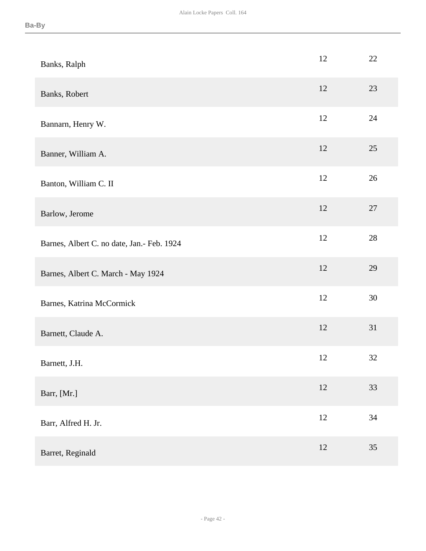| Banks, Ralph                                | 12 | 22     |
|---------------------------------------------|----|--------|
| Banks, Robert                               | 12 | 23     |
| Bannarn, Henry W.                           | 12 | 24     |
| Banner, William A.                          | 12 | 25     |
| Banton, William C. II                       | 12 | 26     |
| Barlow, Jerome                              | 12 | 27     |
| Barnes, Albert C. no date, Jan. - Feb. 1924 | 12 | $28\,$ |
| Barnes, Albert C. March - May 1924          | 12 | 29     |
| Barnes, Katrina McCormick                   | 12 | 30     |
| Barnett, Claude A.                          | 12 | 31     |
| Barnett, J.H.                               | 12 | 32     |
| Barr, [Mr.]                                 | 12 | 33     |
| Barr, Alfred H. Jr.                         | 12 | 34     |
| Barret, Reginald                            | 12 | 35     |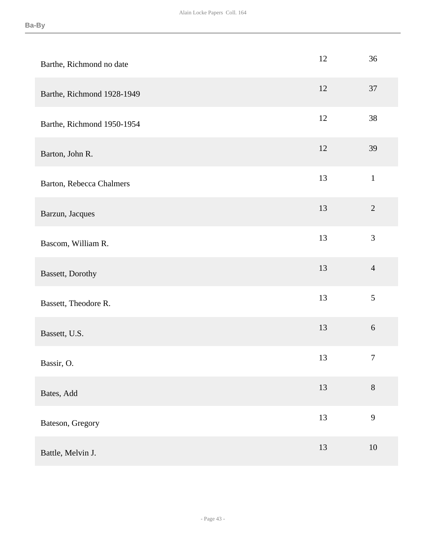| Barthe, Richmond no date   | 12 | 36               |
|----------------------------|----|------------------|
| Barthe, Richmond 1928-1949 | 12 | 37               |
| Barthe, Richmond 1950-1954 | 12 | 38               |
| Barton, John R.            | 12 | 39               |
| Barton, Rebecca Chalmers   | 13 | $\,1\,$          |
| Barzun, Jacques            | 13 | $\overline{2}$   |
| Bascom, William R.         | 13 | 3                |
| Bassett, Dorothy           | 13 | $\overline{4}$   |
| Bassett, Theodore R.       | 13 | 5                |
| Bassett, U.S.              | 13 | $\sqrt{6}$       |
| Bassir, O.                 | 13 | $\boldsymbol{7}$ |
| Bates, Add                 | 13 | $8\,$            |
| Bateson, Gregory           | 13 | 9                |
| Battle, Melvin J.          | 13 | 10               |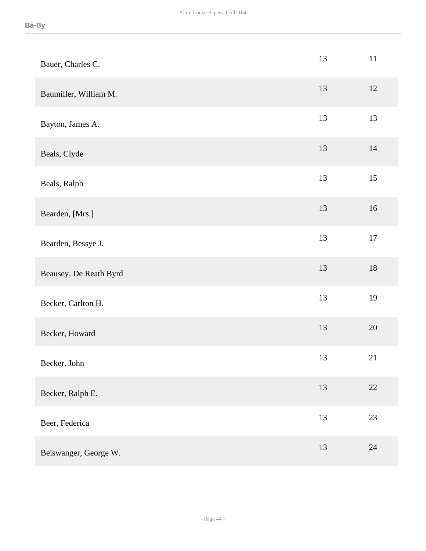| Bauer, Charles C.      | 13 | $11\,$ |
|------------------------|----|--------|
| Baumiller, William M.  | 13 | 12     |
| Bayton, James A.       | 13 | 13     |
| Beals, Clyde           | 13 | 14     |
| Beals, Ralph           | 13 | 15     |
| Bearden, [Mrs.]        | 13 | 16     |
| Bearden, Bessye J.     | 13 | $17\,$ |
| Beausey, De Reath Byrd | 13 | $18\,$ |
| Becker, Carlton H.     | 13 | 19     |
| Becker, Howard         | 13 | $20\,$ |
| Becker, John           | 13 | 21     |
| Becker, Ralph E.       | 13 | 22     |
| Beer, Federica         | 13 | 23     |
| Beiswanger, George W.  | 13 | 24     |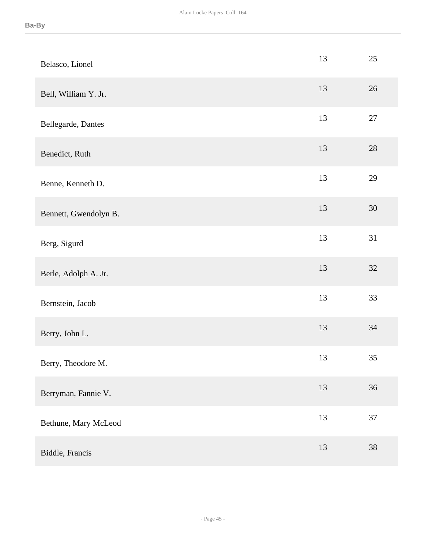| Belasco, Lionel       | 13 | 25     |
|-----------------------|----|--------|
| Bell, William Y. Jr.  | 13 | $26\,$ |
| Bellegarde, Dantes    | 13 | 27     |
| Benedict, Ruth        | 13 | $28\,$ |
| Benne, Kenneth D.     | 13 | 29     |
| Bennett, Gwendolyn B. | 13 | $30\,$ |
| Berg, Sigurd          | 13 | 31     |
| Berle, Adolph A. Jr.  | 13 | 32     |
| Bernstein, Jacob      | 13 | 33     |
| Berry, John L.        | 13 | $34\,$ |
| Berry, Theodore M.    | 13 | 35     |
| Berryman, Fannie V.   | 13 | 36     |
| Bethune, Mary McLeod  | 13 | $37\,$ |
| Biddle, Francis       | 13 | 38     |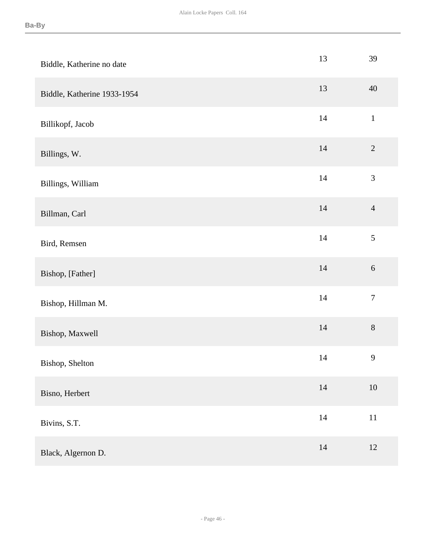| Biddle, Katherine no date   | 13     | 39               |
|-----------------------------|--------|------------------|
| Biddle, Katherine 1933-1954 | 13     | 40               |
| Billikopf, Jacob            | 14     | $\mathbf{1}$     |
| Billings, W.                | 14     | $\sqrt{2}$       |
| Billings, William           | $14\,$ | $\mathfrak{Z}$   |
| Billman, Carl               | 14     | $\overline{4}$   |
| Bird, Remsen                | $14\,$ | $\sqrt{5}$       |
| Bishop, [Father]            | $14\,$ | $\sqrt{6}$       |
| Bishop, Hillman M.          | 14     | $\boldsymbol{7}$ |
| Bishop, Maxwell             | $14\,$ | $8\,$            |
| Bishop, Shelton             | 14     | 9                |
| Bisno, Herbert              | 14     | $10\,$           |
| Bivins, S.T.                | $14\,$ | $11\,$           |
| Black, Algernon D.          | $14\,$ | 12               |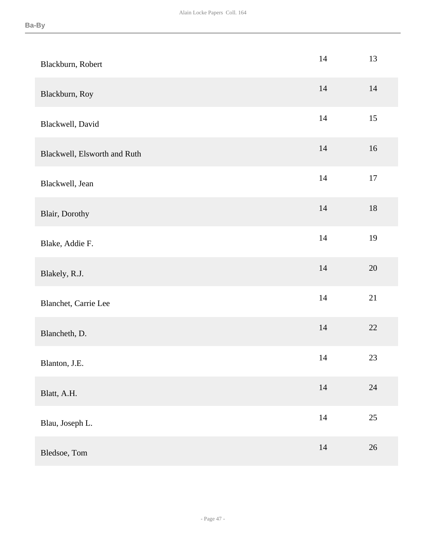| Blackburn, Robert            | 14     | 13     |
|------------------------------|--------|--------|
| Blackburn, Roy               | 14     | 14     |
| Blackwell, David             | 14     | 15     |
| Blackwell, Elsworth and Ruth | $14$   | 16     |
| Blackwell, Jean              | 14     | $17\,$ |
| Blair, Dorothy               | 14     | $18\,$ |
| Blake, Addie F.              | 14     | 19     |
| Blakely, R.J.                | 14     | $20\,$ |
| Blanchet, Carrie Lee         | 14     | 21     |
| Blancheth, D.                | $14\,$ | 22     |
| Blanton, J.E.                | 14     | 23     |
| Blatt, A.H.                  | $14\,$ | 24     |
| Blau, Joseph L.              | $14\,$ | $25\,$ |
| Bledsoe, Tom                 | $14\,$ | $26\,$ |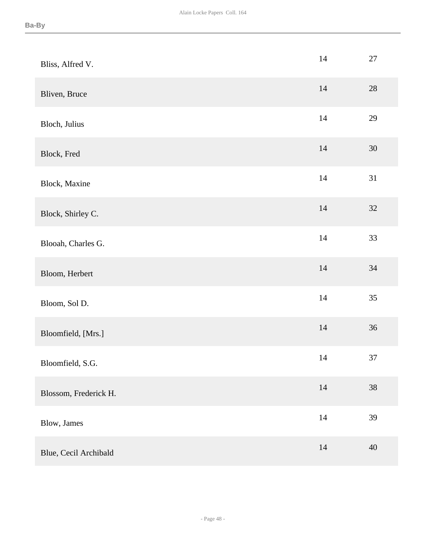| Bliss, Alfred V.      | $14$   | $27\,$ |
|-----------------------|--------|--------|
| Bliven, Bruce         | $14$   | $28\,$ |
| Bloch, Julius         | 14     | 29     |
| Block, Fred           | $14$   | $30\,$ |
| Block, Maxine         | 14     | 31     |
| Block, Shirley C.     | $14$   | 32     |
| Blooah, Charles G.    | 14     | 33     |
| Bloom, Herbert        | $14$   | 34     |
| Bloom, Sol D.         | 14     | 35     |
| Bloomfield, [Mrs.]    | $14\,$ | 36     |
| Bloomfield, S.G.      | 14     | 37     |
| Blossom, Frederick H. | $14\,$ | $38\,$ |
| Blow, James           | $14\,$ | 39     |
| Blue, Cecil Archibald | $14$   | 40     |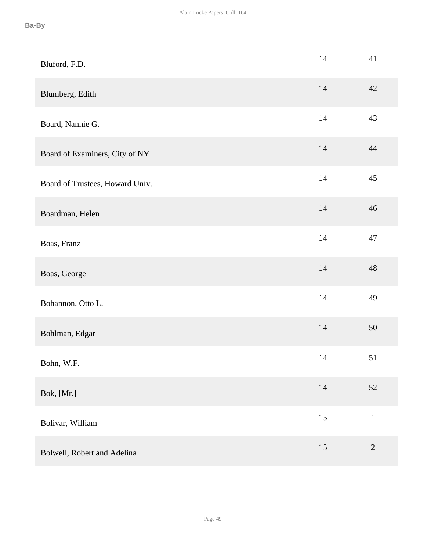| Bluford, F.D.                   | 14 | 41          |
|---------------------------------|----|-------------|
| Blumberg, Edith                 | 14 | 42          |
| Board, Nannie G.                | 14 | 43          |
| Board of Examiners, City of NY  | 14 | 44          |
| Board of Trustees, Howard Univ. | 14 | 45          |
| Boardman, Helen                 | 14 | 46          |
| Boas, Franz                     | 14 | 47          |
| Boas, George                    | 14 | 48          |
| Bohannon, Otto L.               | 14 | 49          |
| Bohlman, Edgar                  | 14 | 50          |
| Bohn, W.F.                      | 14 | 51          |
| Bok, [Mr.]                      | 14 | 52          |
| Bolivar, William                | 15 | $\mathbf 1$ |
| Bolwell, Robert and Adelina     | 15 | $\sqrt{2}$  |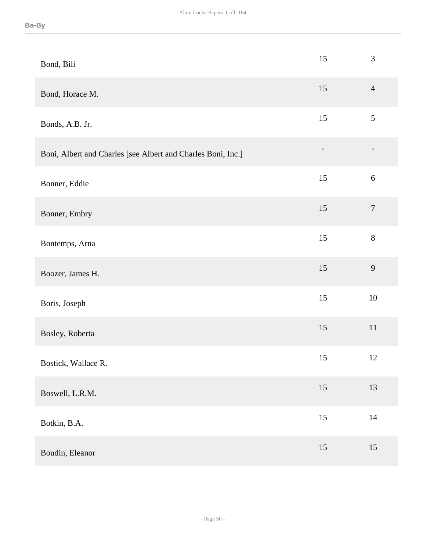| Bond, Bili                                                   | 15     | $\mathfrak{Z}$   |
|--------------------------------------------------------------|--------|------------------|
| Bond, Horace M.                                              | 15     | $\overline{4}$   |
| Bonds, A.B. Jr.                                              | 15     | $\sqrt{5}$       |
| Boni, Albert and Charles [see Albert and Charles Boni, Inc.] |        |                  |
| Bonner, Eddie                                                | 15     | $\sqrt{6}$       |
| Bonner, Embry                                                | 15     | $\boldsymbol{7}$ |
| Bontemps, Arna                                               | 15     | $8\,$            |
| Boozer, James H.                                             | 15     | 9                |
| Boris, Joseph                                                | 15     | $10\,$           |
| Bosley, Roberta                                              | 15     | $11\,$           |
| Bostick, Wallace R.                                          | 15     | 12               |
| Boswell, L.R.M.                                              | 15     | 13               |
| Botkin, B.A.                                                 | $15\,$ | $14\,$           |
| Boudin, Eleanor                                              | 15     | 15               |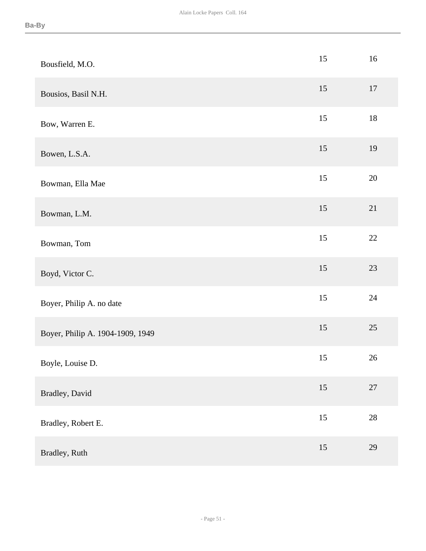| Bousfield, M.O.                  | 15     | 16     |
|----------------------------------|--------|--------|
| Bousios, Basil N.H.              | 15     | $17\,$ |
| Bow, Warren E.                   | 15     | $18\,$ |
| Bowen, L.S.A.                    | 15     | 19     |
| Bowman, Ella Mae                 | 15     | $20\,$ |
| Bowman, L.M.                     | 15     | 21     |
| Bowman, Tom                      | 15     | $22\,$ |
| Boyd, Victor C.                  | 15     | $23\,$ |
| Boyer, Philip A. no date         | 15     | 24     |
| Boyer, Philip A. 1904-1909, 1949 | 15     | $25\,$ |
| Boyle, Louise D.                 | 15     | 26     |
| Bradley, David                   | $15\,$ | $27\,$ |
| Bradley, Robert E.               | $15\,$ | $28\,$ |
| Bradley, Ruth                    | 15     | 29     |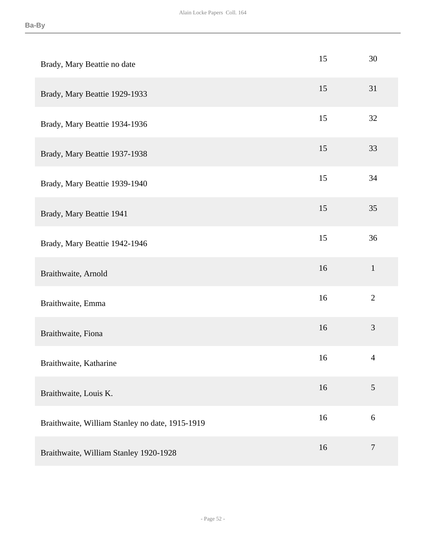| Brady, Mary Beattie no date                     | 15 | 30             |
|-------------------------------------------------|----|----------------|
| Brady, Mary Beattie 1929-1933                   | 15 | 31             |
| Brady, Mary Beattie 1934-1936                   | 15 | 32             |
| Brady, Mary Beattie 1937-1938                   | 15 | 33             |
| Brady, Mary Beattie 1939-1940                   | 15 | 34             |
| Brady, Mary Beattie 1941                        | 15 | 35             |
| Brady, Mary Beattie 1942-1946                   | 15 | 36             |
| Braithwaite, Arnold                             | 16 | $\mathbf{1}$   |
| Braithwaite, Emma                               | 16 | $\overline{2}$ |
| Braithwaite, Fiona                              | 16 | 3              |
| Braithwaite, Katharine                          | 16 | $\overline{4}$ |
| Braithwaite, Louis K.                           | 16 | 5              |
| Braithwaite, William Stanley no date, 1915-1919 | 16 | 6              |
| Braithwaite, William Stanley 1920-1928          | 16 | $\tau$         |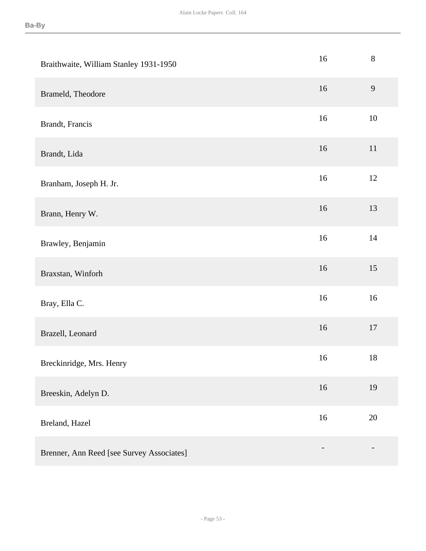| Braithwaite, William Stanley 1931-1950    | 16 | $8\,$  |
|-------------------------------------------|----|--------|
| Brameld, Theodore                         | 16 | 9      |
| Brandt, Francis                           | 16 | 10     |
| Brandt, Lida                              | 16 | 11     |
| Branham, Joseph H. Jr.                    | 16 | 12     |
| Brann, Henry W.                           | 16 | 13     |
| Brawley, Benjamin                         | 16 | 14     |
| Braxstan, Winforh                         | 16 | 15     |
| Bray, Ella C.                             | 16 | 16     |
| Brazell, Leonard                          | 16 | 17     |
| Breckinridge, Mrs. Henry                  | 16 | $18\,$ |
| Breeskin, Adelyn D.                       | 16 | 19     |
| Breland, Hazel                            | 16 | 20     |
| Brenner, Ann Reed [see Survey Associates] |    |        |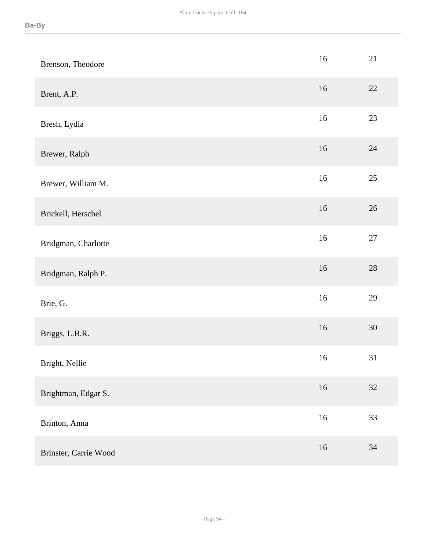| Brenson, Theodore     | $16\,$ | 21     |
|-----------------------|--------|--------|
| Brent, A.P.           | 16     | $22\,$ |
| Bresh, Lydia          | $16\,$ | 23     |
| Brewer, Ralph         | $16\,$ | 24     |
| Brewer, William M.    | $16\,$ | 25     |
| Brickell, Herschel    | 16     | $26\,$ |
| Bridgman, Charlotte   | $16\,$ | $27\,$ |
| Bridgman, Ralph P.    | $16\,$ | $28\,$ |
| Brie, G.              | $16\,$ | 29     |
| Briggs, L.B.R.        | $16\,$ | 30     |
| Bright, Nellie        | $16\,$ | 31     |
| Brightman, Edgar S.   | 16     | 32     |
| Brinton, Anna         | $16\,$ | 33     |
| Brinster, Carrie Wood | $16\,$ | $34\,$ |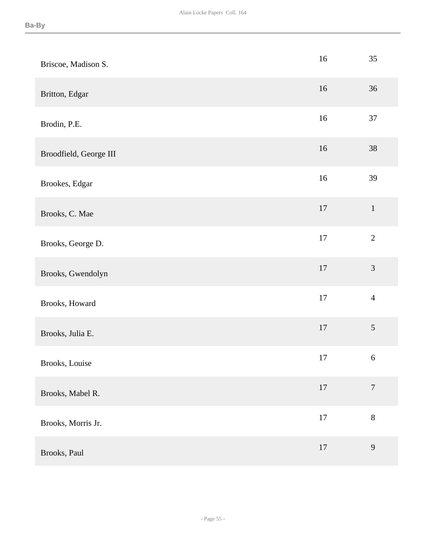| Briscoe, Madison S.    | 16     | 35               |
|------------------------|--------|------------------|
| Britton, Edgar         | 16     | 36               |
| Brodin, P.E.           | $16\,$ | 37               |
| Broodfield, George III | 16     | 38               |
| Brookes, Edgar         | 16     | 39               |
| Brooks, C. Mae         | $17\,$ | $\mathbf{1}$     |
| Brooks, George D.      | $17\,$ | $\overline{2}$   |
| Brooks, Gwendolyn      | $17\,$ | $\mathfrak{Z}$   |
| Brooks, Howard         | $17\,$ | $\overline{4}$   |
| Brooks, Julia E.       | $17\,$ | $\sqrt{5}$       |
| Brooks, Louise         | $17\,$ | $\sqrt{6}$       |
| Brooks, Mabel R.       | $17\,$ | $\boldsymbol{7}$ |
| Brooks, Morris Jr.     | $17\,$ | $8\,$            |
| Brooks, Paul           | $17\,$ | $\mathbf{9}$     |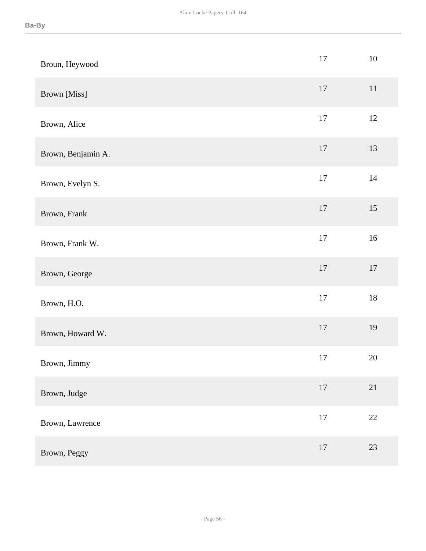| Broun, Heywood     | $17\,$ | $10\,$ |
|--------------------|--------|--------|
| Brown [Miss]       | 17     | $11\,$ |
| Brown, Alice       | 17     | 12     |
| Brown, Benjamin A. | 17     | 13     |
| Brown, Evelyn S.   | $17\,$ | $14\,$ |
| Brown, Frank       | $17\,$ | 15     |
| Brown, Frank W.    | $17\,$ | $16\,$ |
| Brown, George      | 17     | $17\,$ |
| Brown, H.O.        | 17     | $18\,$ |
| Brown, Howard W.   | 17     | 19     |
| Brown, Jimmy       | 17     | $20\,$ |
| Brown, Judge       | $17\,$ | 21     |
| Brown, Lawrence    | $17\,$ | $22\,$ |
| Brown, Peggy       | $17\,$ | 23     |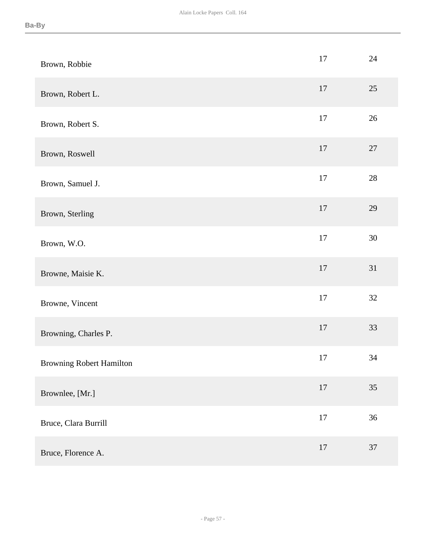| Brown, Robbie                   | $17\,$ | 24     |
|---------------------------------|--------|--------|
| Brown, Robert L.                | 17     | 25     |
| Brown, Robert S.                | 17     | 26     |
| Brown, Roswell                  | 17     | $27\,$ |
| Brown, Samuel J.                | $17\,$ | $28\,$ |
| Brown, Sterling                 | $17\,$ | 29     |
| Brown, W.O.                     | 17     | $30\,$ |
| Browne, Maisie K.               | 17     | 31     |
| Browne, Vincent                 | 17     | 32     |
| Browning, Charles P.            | $17\,$ | 33     |
| <b>Browning Robert Hamilton</b> | 17     | 34     |
| Brownlee, [Mr.]                 | $17\,$ | 35     |
| Bruce, Clara Burrill            | $17\,$ | 36     |
| Bruce, Florence A.              | 17     | 37     |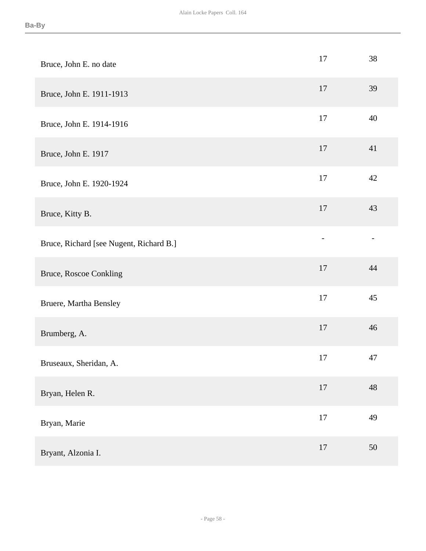| Bruce, John E. no date                  | 17             | 38     |
|-----------------------------------------|----------------|--------|
| Bruce, John E. 1911-1913                | 17             | 39     |
| Bruce, John E. 1914-1916                | 17             | 40     |
| Bruce, John E. 1917                     | 17             | 41     |
| Bruce, John E. 1920-1924                | $17\,$         | 42     |
| Bruce, Kitty B.                         | 17             | 43     |
| Bruce, Richard [see Nugent, Richard B.] | $\overline{a}$ |        |
| <b>Bruce, Roscoe Conkling</b>           | 17             | 44     |
| Bruere, Martha Bensley                  | 17             | 45     |
| Brumberg, A.                            | 17             | 46     |
| Bruseaux, Sheridan, A.                  | 17             | 47     |
| Bryan, Helen R.                         | $17\,$         | 48     |
| Bryan, Marie                            | $17\,$         | 49     |
| Bryant, Alzonia I.                      | $17\,$         | $50\,$ |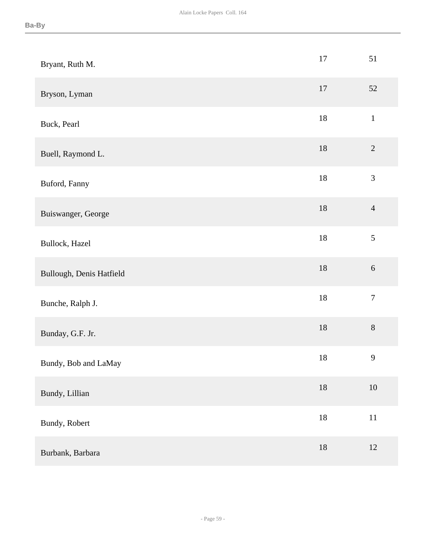| Bryant, Ruth M.          | $17\,$ | 51               |
|--------------------------|--------|------------------|
| Bryson, Lyman            | $17\,$ | 52               |
| Buck, Pearl              | $18\,$ | $1\,$            |
| Buell, Raymond L.        | $18\,$ | $\overline{2}$   |
| Buford, Fanny            | $18\,$ | $\mathfrak{Z}$   |
| Buiswanger, George       | $18\,$ | $\overline{4}$   |
| Bullock, Hazel           | $18\,$ | $\sqrt{5}$       |
| Bullough, Denis Hatfield | $18\,$ | $\sqrt{6}$       |
| Bunche, Ralph J.         | $18\,$ | $\boldsymbol{7}$ |
| Bunday, G.F. Jr.         | $18\,$ | $8\,$            |
| Bundy, Bob and LaMay     | $18\,$ | 9                |
| Bundy, Lillian           | $18\,$ | $10\,$           |
| Bundy, Robert            | $18\,$ | $11\,$           |
| Burbank, Barbara         | $18\,$ | 12               |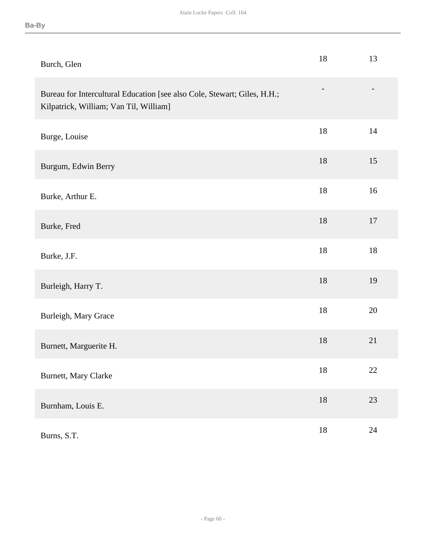| Burch, Glen                                                                                                        | 18     | 13     |
|--------------------------------------------------------------------------------------------------------------------|--------|--------|
| Bureau for Intercultural Education [see also Cole, Stewart; Giles, H.H.;<br>Kilpatrick, William; Van Til, William] |        |        |
| Burge, Louise                                                                                                      | 18     | 14     |
| Burgum, Edwin Berry                                                                                                | 18     | 15     |
| Burke, Arthur E.                                                                                                   | $18\,$ | 16     |
| Burke, Fred                                                                                                        | 18     | 17     |
| Burke, J.F.                                                                                                        | 18     | $18\,$ |
| Burleigh, Harry T.                                                                                                 | $18\,$ | 19     |
| Burleigh, Mary Grace                                                                                               | 18     | 20     |
| Burnett, Marguerite H.                                                                                             | $18\,$ | 21     |
| Burnett, Mary Clarke                                                                                               | 18     | 22     |
| Burnham, Louis E.                                                                                                  | $18\,$ | 23     |
| Burns, S.T.                                                                                                        | $18\,$ | $24\,$ |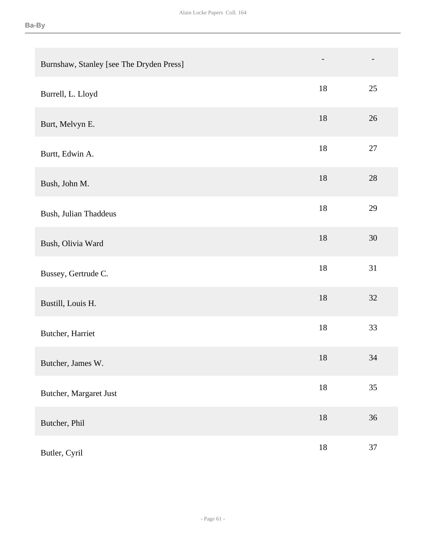| Burnshaw, Stanley [see The Dryden Press] | $\overline{\phantom{a}}$ |        |
|------------------------------------------|--------------------------|--------|
| Burrell, L. Lloyd                        | 18                       | 25     |
| Burt, Melvyn E.                          | $18\,$                   | $26\,$ |
| Burtt, Edwin A.                          | $18\,$                   | 27     |
| Bush, John M.                            | 18                       | 28     |
| Bush, Julian Thaddeus                    | $18\,$                   | 29     |
| Bush, Olivia Ward                        | $18\,$                   | $30\,$ |
| Bussey, Gertrude C.                      | $18\,$                   | 31     |
| Bustill, Louis H.                        | $18\,$                   | $32\,$ |
| Butcher, Harriet                         | $18\,$                   | 33     |
| Butcher, James W.                        | 18                       | 34     |
| Butcher, Margaret Just                   | $18\,$                   | 35     |
| Butcher, Phil                            | $18\,$                   | $36\,$ |
| Butler, Cyril                            | $18\,$                   | $37\,$ |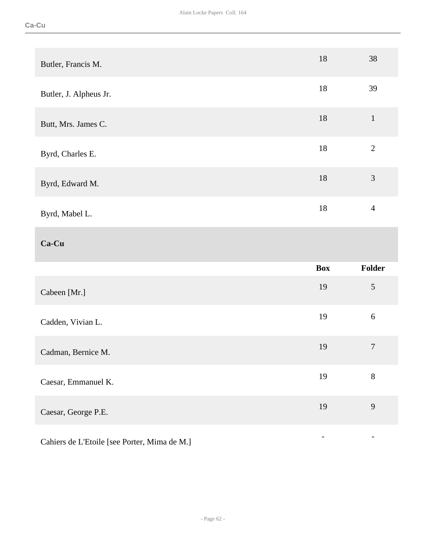| Butler, Francis M.     | 18         | 38               |
|------------------------|------------|------------------|
| Butler, J. Alpheus Jr. | $18\,$     | 39               |
| Butt, Mrs. James C.    | 18         | $\mathbf{1}$     |
| Byrd, Charles E.       | $18\,$     | $\overline{2}$   |
| Byrd, Edward M.        | 18         | $\mathfrak{Z}$   |
| Byrd, Mabel L.         | $18\,$     | $\overline{4}$   |
|                        |            |                  |
| Ca-Cu                  |            |                  |
|                        | <b>Box</b> | Folder           |
| Cabeen [Mr.]           | 19         | $\sqrt{5}$       |
| Cadden, Vivian L.      | 19         | $\sqrt{6}$       |
| Cadman, Bernice M.     | 19         | $\boldsymbol{7}$ |
| Caesar, Emmanuel K.    | 19         | $8\,$            |
| Caesar, George P.E.    | 19         | 9                |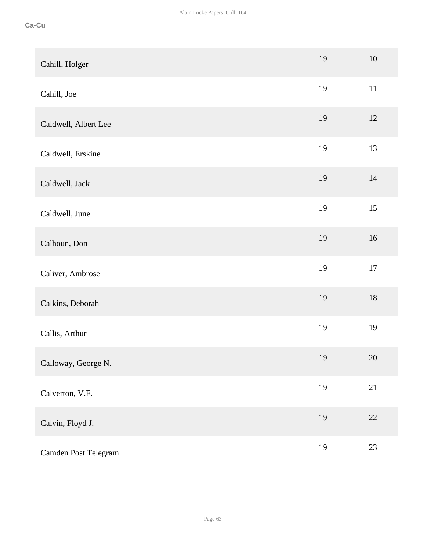| Cahill, Holger       | 19 | $10\,$ |
|----------------------|----|--------|
| Cahill, Joe          | 19 | $11\,$ |
| Caldwell, Albert Lee | 19 | 12     |
| Caldwell, Erskine    | 19 | 13     |
| Caldwell, Jack       | 19 | 14     |
| Caldwell, June       | 19 | 15     |
| Calhoun, Don         | 19 | 16     |
| Caliver, Ambrose     | 19 | $17\,$ |
| Calkins, Deborah     | 19 | $18\,$ |
| Callis, Arthur       | 19 | 19     |
| Calloway, George N.  | 19 | $20\,$ |
| Calverton, V.F.      | 19 | $21\,$ |
| Calvin, Floyd J.     | 19 | 22     |
| Camden Post Telegram | 19 | 23     |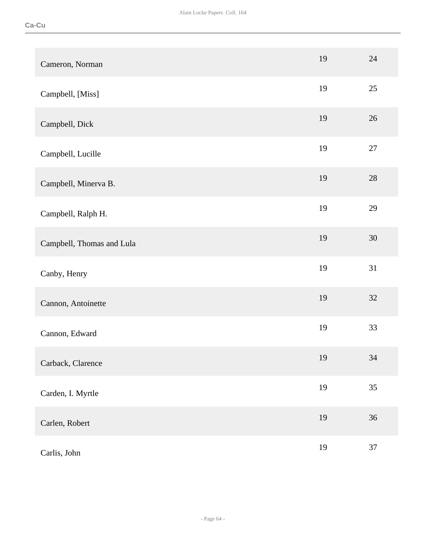| Cameron, Norman           | 19 | 24     |
|---------------------------|----|--------|
| Campbell, [Miss]          | 19 | 25     |
| Campbell, Dick            | 19 | 26     |
| Campbell, Lucille         | 19 | $27\,$ |
| Campbell, Minerva B.      | 19 | 28     |
| Campbell, Ralph H.        | 19 | 29     |
| Campbell, Thomas and Lula | 19 | 30     |
| Canby, Henry              | 19 | 31     |
| Cannon, Antoinette        | 19 | 32     |
| Cannon, Edward            | 19 | 33     |
| Carback, Clarence         | 19 | 34     |
| Carden, I. Myrtle         | 19 | 35     |
| Carlen, Robert            | 19 | 36     |
| Carlis, John              | 19 | 37     |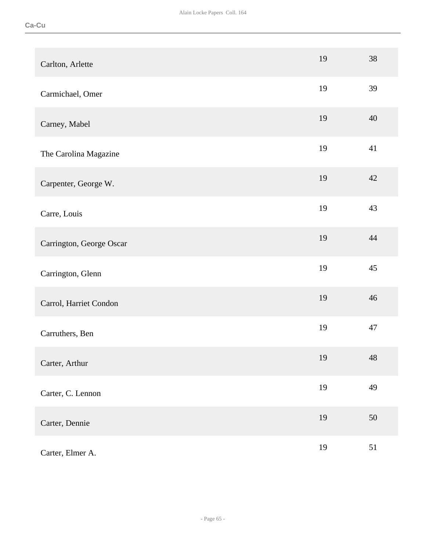| Carlton, Arlette         | 19 | 38          |
|--------------------------|----|-------------|
| Carmichael, Omer         | 19 | 39          |
| Carney, Mabel            | 19 | 40          |
| The Carolina Magazine    | 19 | 41          |
| Carpenter, George W.     | 19 | 42          |
| Carre, Louis             | 19 | 43          |
| Carrington, George Oscar | 19 | 44          |
| Carrington, Glenn        | 19 | 45          |
| Carrol, Harriet Condon   | 19 | 46          |
| Carruthers, Ben          | 19 | 47          |
| Carter, Arthur           | 19 | $\sqrt{48}$ |
| Carter, C. Lennon        | 19 | 49          |
| Carter, Dennie           | 19 | $50\,$      |
| Carter, Elmer A.         | 19 | 51          |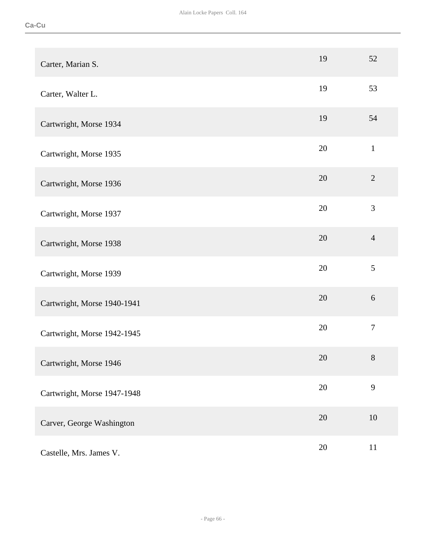| Carter, Marian S.           | 19     | 52             |
|-----------------------------|--------|----------------|
| Carter, Walter L.           | 19     | 53             |
| Cartwright, Morse 1934      | 19     | 54             |
| Cartwright, Morse 1935      | 20     | $\mathbf{1}$   |
| Cartwright, Morse 1936      | 20     | $\sqrt{2}$     |
| Cartwright, Morse 1937      | 20     | 3              |
| Cartwright, Morse 1938      | 20     | $\overline{4}$ |
| Cartwright, Morse 1939      | 20     | 5              |
| Cartwright, Morse 1940-1941 | 20     | 6              |
| Cartwright, Morse 1942-1945 | 20     | $\overline{7}$ |
| Cartwright, Morse 1946      | 20     | 8              |
| Cartwright, Morse 1947-1948 | $20\,$ | 9              |
| Carver, George Washington   | 20     | 10             |
| Castelle, Mrs. James V.     | $20\,$ | 11             |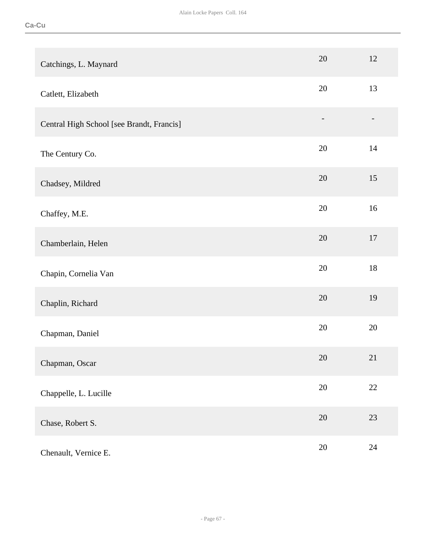| Catchings, L. Maynard                     | 20                       | 12     |
|-------------------------------------------|--------------------------|--------|
| Catlett, Elizabeth                        | 20                       | 13     |
| Central High School [see Brandt, Francis] | $\overline{\phantom{a}}$ |        |
| The Century Co.                           | 20                       | 14     |
| Chadsey, Mildred                          | 20                       | 15     |
| Chaffey, M.E.                             | 20                       | 16     |
| Chamberlain, Helen                        | 20                       | 17     |
| Chapin, Cornelia Van                      | 20                       | $18\,$ |
| Chaplin, Richard                          | 20                       | 19     |
| Chapman, Daniel                           | 20                       | 20     |
| Chapman, Oscar                            | $20\,$                   | 21     |
| Chappelle, L. Lucille                     | $20\,$                   | 22     |
| Chase, Robert S.                          | $20\,$                   | 23     |
| Chenault, Vernice E.                      | 20                       | 24     |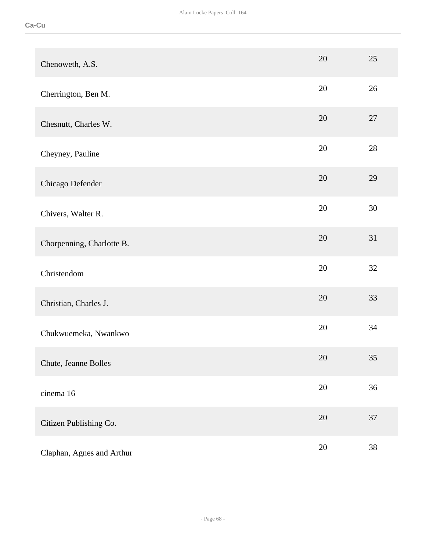| Chenoweth, A.S.           | 20     | 25     |
|---------------------------|--------|--------|
| Cherrington, Ben M.       | 20     | 26     |
| Chesnutt, Charles W.      | 20     | 27     |
| Cheyney, Pauline          | 20     | 28     |
| Chicago Defender          | 20     | 29     |
| Chivers, Walter R.        | 20     | 30     |
| Chorpenning, Charlotte B. | 20     | 31     |
| Christendom               | 20     | 32     |
| Christian, Charles J.     | 20     | 33     |
| Chukwuemeka, Nwankwo      | 20     | 34     |
| Chute, Jeanne Bolles      | 20     | 35     |
| cinema 16                 | $20\,$ | 36     |
| Citizen Publishing Co.    | $20\,$ | $37\,$ |
| Claphan, Agnes and Arthur | $20\,$ | 38     |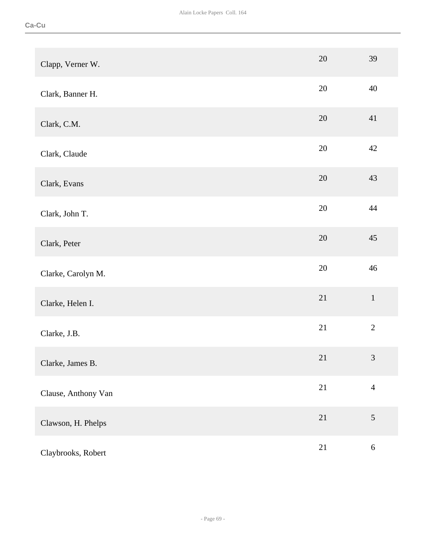| Clapp, Verner W.    | 20     | 39             |
|---------------------|--------|----------------|
| Clark, Banner H.    | 20     | 40             |
| Clark, C.M.         | 20     | 41             |
| Clark, Claude       | 20     | 42             |
| Clark, Evans        | 20     | 43             |
| Clark, John T.      | $20\,$ | $44\,$         |
| Clark, Peter        | $20\,$ | 45             |
| Clarke, Carolyn M.  | $20\,$ | 46             |
| Clarke, Helen I.    | $21\,$ | $\mathbf 1$    |
| Clarke, J.B.        | 21     | $\overline{2}$ |
| Clarke, James B.    | 21     | $\mathfrak{Z}$ |
| Clause, Anthony Van | 21     | $\overline{4}$ |
| Clawson, H. Phelps  | $21\,$ | $\mathfrak{S}$ |
| Claybrooks, Robert  | $21\,$ | $\sqrt{6}$     |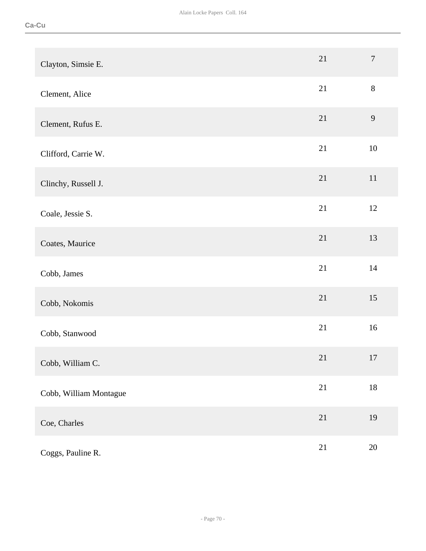| Clayton, Simsie E.     | 21     | $\boldsymbol{7}$ |
|------------------------|--------|------------------|
| Clement, Alice         | 21     | $8\,$            |
| Clement, Rufus E.      | 21     | 9                |
| Clifford, Carrie W.    | 21     | $10\,$           |
| Clinchy, Russell J.    | 21     | 11               |
| Coale, Jessie S.       | 21     | 12               |
| Coates, Maurice        | 21     | 13               |
| Cobb, James            | 21     | 14               |
| Cobb, Nokomis          | 21     | 15               |
| Cobb, Stanwood         | 21     | 16               |
| Cobb, William C.       | 21     | 17               |
| Cobb, William Montague | $21\,$ | $18\,$           |
| Coe, Charles           | $21\,$ | 19               |
| Coggs, Pauline R.      | $21\,$ | $20\,$           |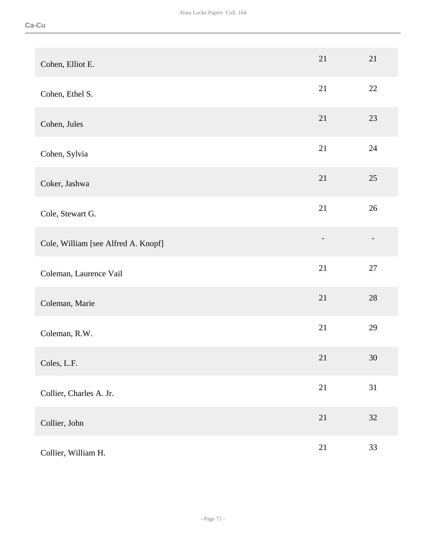| Cohen, Elliot E.                    | 21                | 21     |
|-------------------------------------|-------------------|--------|
| Cohen, Ethel S.                     | 21                | 22     |
| Cohen, Jules                        | 21                | 23     |
| Cohen, Sylvia                       | 21                | 24     |
| Coker, Jashwa                       | 21                | 25     |
| Cole, Stewart G.                    | 21                | 26     |
| Cole, William [see Alfred A. Knopf] | $\qquad \qquad -$ |        |
| Coleman, Laurence Vail              | 21                | 27     |
| Coleman, Marie                      | 21                | $28\,$ |
| Coleman, R.W.                       | 21                | 29     |
| Coles, L.F.                         | 21                | $30\,$ |
| Collier, Charles A. Jr.             | 21                | 31     |
| Collier, John                       | $21\,$            | $32\,$ |
| Collier, William H.                 | 21                | 33     |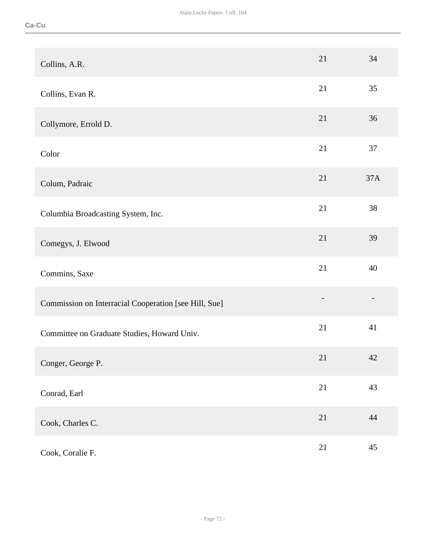| Collins, A.R.                                         | 21             | 34     |
|-------------------------------------------------------|----------------|--------|
| Collins, Evan R.                                      | 21             | 35     |
| Collymore, Errold D.                                  | 21             | 36     |
| Color                                                 | 21             | $37\,$ |
| Colum, Padraic                                        | 21             | 37A    |
| Columbia Broadcasting System, Inc.                    | 21             | 38     |
| Comegys, J. Elwood                                    | 21             | 39     |
| Commins, Saxe                                         | 21             | 40     |
| Commission on Interracial Cooperation [see Hill, Sue] | $\overline{a}$ |        |
| Committee on Graduate Studies, Howard Univ.           | 21             | 41     |
| Conger, George P.                                     | 21             | 42     |
| Conrad, Earl                                          | 21             | 43     |
| Cook, Charles C.                                      | $21\,$         | 44     |
| Cook, Coralie F.                                      | $21\,$         | 45     |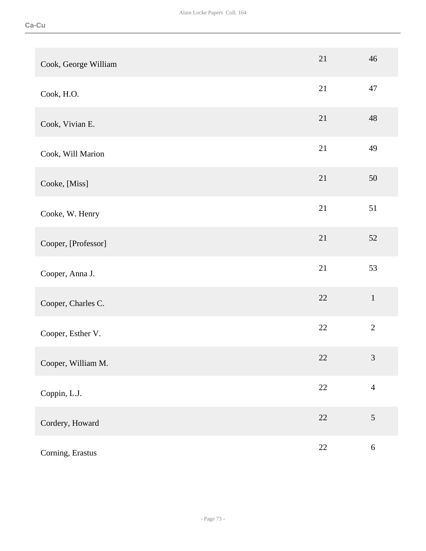| Cook, George William | 21     | 46             |
|----------------------|--------|----------------|
| Cook, H.O.           | 21     | 47             |
| Cook, Vivian E.      | 21     | 48             |
| Cook, Will Marion    | 21     | 49             |
| Cooke, [Miss]        | 21     | 50             |
| Cooke, W. Henry      | 21     | 51             |
| Cooper, [Professor]  | 21     | 52             |
| Cooper, Anna J.      | 21     | 53             |
| Cooper, Charles C.   | 22     | $1\,$          |
| Cooper, Esther V.    | 22     | $\overline{2}$ |
| Cooper, William M.   | 22     | $\mathfrak{Z}$ |
| Coppin, L.J.         | $22\,$ | $\overline{4}$ |
| Cordery, Howard      | $22\,$ | $\sqrt{5}$     |
| Corning, Erastus     | $22\,$ | $\sqrt{6}$     |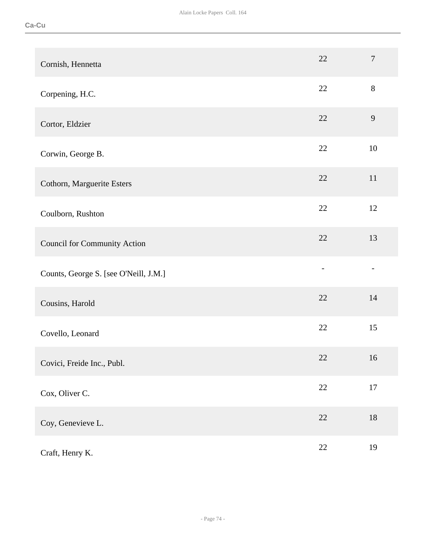| Cornish, Hennetta                     | 22     | $\overline{7}$ |
|---------------------------------------|--------|----------------|
| Corpening, H.C.                       | 22     | $8\,$          |
| Cortor, Eldzier                       | 22     | 9              |
| Corwin, George B.                     | 22     | 10             |
| Cothorn, Marguerite Esters            | 22     | 11             |
| Coulborn, Rushton                     | 22     | 12             |
| <b>Council for Community Action</b>   | 22     | 13             |
| Counts, George S. [see O'Neill, J.M.] |        |                |
| Cousins, Harold                       | 22     | 14             |
| Covello, Leonard                      | 22     | 15             |
| Covici, Freide Inc., Publ.            | $22\,$ | 16             |
| Cox, Oliver C.                        | $22\,$ | $17\,$         |
| Coy, Genevieve L.                     | $22\,$ | $18\,$         |
| Craft, Henry K.                       | $22\,$ | 19             |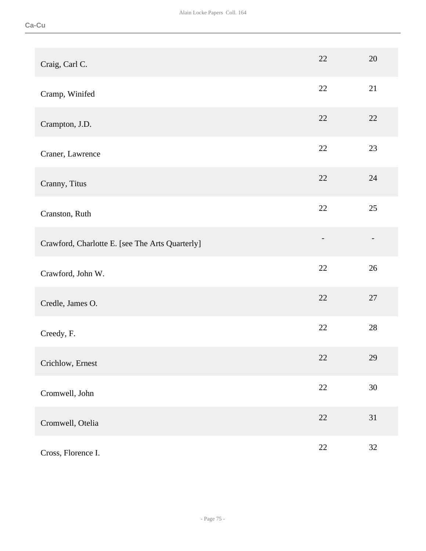| Craig, Carl C.                                  | 22     | 20     |
|-------------------------------------------------|--------|--------|
| Cramp, Winifed                                  | 22     | 21     |
| Crampton, J.D.                                  | 22     | 22     |
| Craner, Lawrence                                | 22     | 23     |
| Cranny, Titus                                   | 22     | 24     |
| Cranston, Ruth                                  | 22     | 25     |
| Crawford, Charlotte E. [see The Arts Quarterly] |        |        |
| Crawford, John W.                               | 22     | 26     |
| Credle, James O.                                | 22     | 27     |
| Creedy, F.                                      | 22     | 28     |
| Crichlow, Ernest                                | $22\,$ | 29     |
| Cromwell, John                                  | $22\,$ | $30\,$ |
| Cromwell, Otelia                                | $22\,$ | 31     |
| Cross, Florence I.                              | $22\,$ | 32     |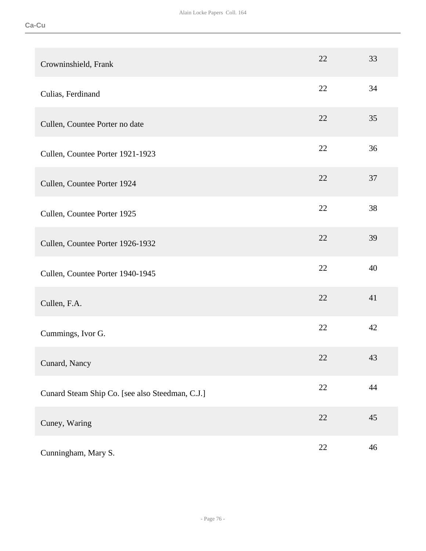| Crowninshield, Frank                            | 22 | 33 |
|-------------------------------------------------|----|----|
| Culias, Ferdinand                               | 22 | 34 |
| Cullen, Countee Porter no date                  | 22 | 35 |
| Cullen, Countee Porter 1921-1923                | 22 | 36 |
| Cullen, Countee Porter 1924                     | 22 | 37 |
| Cullen, Countee Porter 1925                     | 22 | 38 |
| Cullen, Countee Porter 1926-1932                | 22 | 39 |
| Cullen, Countee Porter 1940-1945                | 22 | 40 |
| Cullen, F.A.                                    | 22 | 41 |
| Cummings, Ivor G.                               | 22 | 42 |
| Cunard, Nancy                                   | 22 | 43 |
| Cunard Steam Ship Co. [see also Steedman, C.J.] | 22 | 44 |
| Cuney, Waring                                   | 22 | 45 |
| Cunningham, Mary S.                             | 22 | 46 |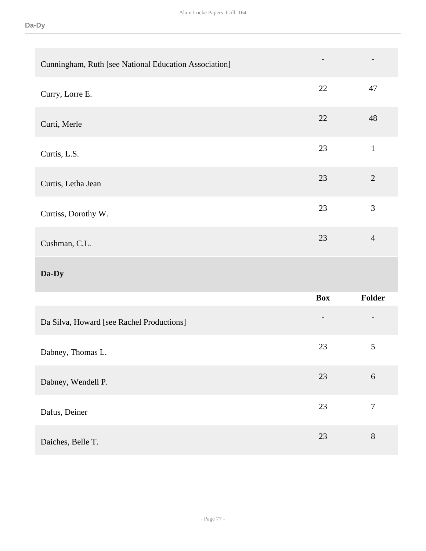| Cunningham, Ruth [see National Education Association] |                          |                |
|-------------------------------------------------------|--------------------------|----------------|
| Curry, Lorre E.                                       | 22                       | 47             |
| Curti, Merle                                          | 22                       | 48             |
| Curtis, L.S.                                          | 23                       | $\mathbf{1}$   |
| Curtis, Letha Jean                                    | 23                       | $\sqrt{2}$     |
| Curtiss, Dorothy W.                                   | 23                       | 3              |
|                                                       | 23                       | $\overline{4}$ |
| Cushman, C.L.                                         |                          |                |
| Da-Dy                                                 |                          |                |
|                                                       | <b>Box</b>               | Folder         |
| Da Silva, Howard [see Rachel Productions]             | $\overline{\phantom{a}}$ |                |
| Dabney, Thomas L.                                     | 23                       | $\mathfrak{S}$ |
| Dabney, Wendell P.                                    | 23                       | $\sqrt{6}$     |
| Dafus, Deiner                                         | 23                       | $\overline{7}$ |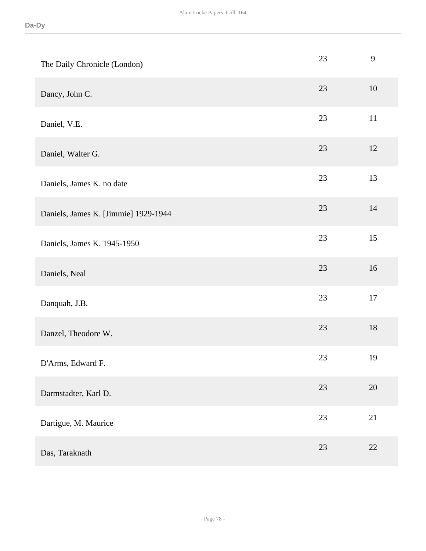| The Daily Chronicle (London)         | 23 | 9      |
|--------------------------------------|----|--------|
| Dancy, John C.                       | 23 | $10\,$ |
| Daniel, V.E.                         | 23 | 11     |
| Daniel, Walter G.                    | 23 | 12     |
| Daniels, James K. no date            | 23 | 13     |
| Daniels, James K. [Jimmie] 1929-1944 | 23 | 14     |
| Daniels, James K. 1945-1950          | 23 | 15     |
| Daniels, Neal                        | 23 | 16     |
| Danquah, J.B.                        | 23 | 17     |
| Danzel, Theodore W.                  | 23 | 18     |
| D'Arms, Edward F.                    | 23 | 19     |
| Darmstadter, Karl D.                 | 23 | $20\,$ |
| Dartigue, M. Maurice                 | 23 | 21     |
| Das, Taraknath                       | 23 | 22     |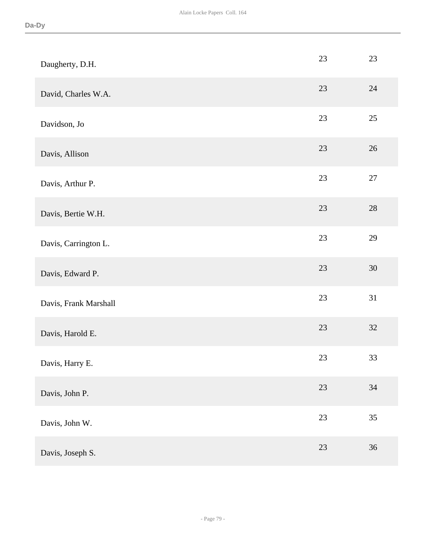| Daugherty, D.H.       | 23     | 23     |
|-----------------------|--------|--------|
| David, Charles W.A.   | 23     | 24     |
| Davidson, Jo          | 23     | 25     |
| Davis, Allison        | 23     | 26     |
| Davis, Arthur P.      | $23\,$ | $27\,$ |
| Davis, Bertie W.H.    | 23     | $28\,$ |
| Davis, Carrington L.  | 23     | 29     |
| Davis, Edward P.      | 23     | $30\,$ |
| Davis, Frank Marshall | 23     | 31     |
| Davis, Harold E.      | 23     | 32     |
| Davis, Harry E.       | $23\,$ | 33     |
| Davis, John P.        | $23\,$ | $34\,$ |
| Davis, John W.        | $23\,$ | 35     |
| Davis, Joseph S.      | 23     | $36\,$ |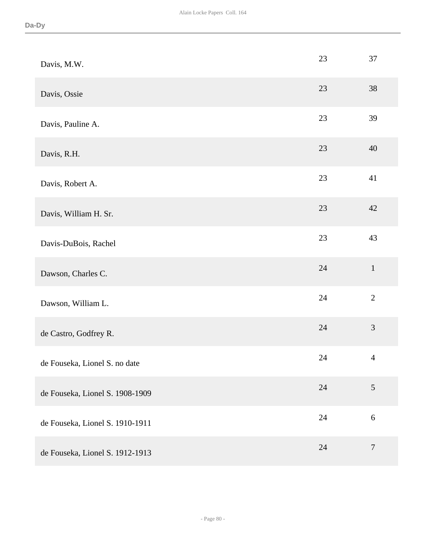| Davis, M.W.                     | 23 | 37               |
|---------------------------------|----|------------------|
| Davis, Ossie                    | 23 | 38               |
| Davis, Pauline A.               | 23 | 39               |
| Davis, R.H.                     | 23 | 40               |
| Davis, Robert A.                | 23 | 41               |
| Davis, William H. Sr.           | 23 | 42               |
| Davis-DuBois, Rachel            | 23 | 43               |
| Dawson, Charles C.              | 24 | $1\,$            |
| Dawson, William L.              | 24 | $\overline{2}$   |
| de Castro, Godfrey R.           | 24 | $\mathfrak{Z}$   |
| de Fouseka, Lionel S. no date   | 24 | $\overline{4}$   |
| de Fouseka, Lionel S. 1908-1909 | 24 | $\overline{5}$   |
| de Fouseka, Lionel S. 1910-1911 | 24 | $\sqrt{6}$       |
| de Fouseka, Lionel S. 1912-1913 | 24 | $\boldsymbol{7}$ |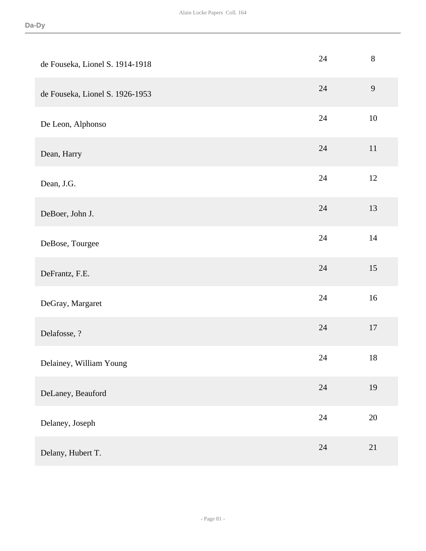| de Fouseka, Lionel S. 1914-1918 | 24     | $8\,$  |
|---------------------------------|--------|--------|
| de Fouseka, Lionel S. 1926-1953 | 24     | 9      |
| De Leon, Alphonso               | 24     | $10\,$ |
| Dean, Harry                     | 24     | 11     |
| Dean, J.G.                      | 24     | 12     |
| DeBoer, John J.                 | 24     | 13     |
| DeBose, Tourgee                 | 24     | $14$   |
| DeFrantz, F.E.                  | 24     | 15     |
| DeGray, Margaret                | 24     | 16     |
| Delafosse, ?                    | 24     | $17\,$ |
| Delainey, William Young         | 24     | 18     |
| DeLaney, Beauford               | 24     | 19     |
| Delaney, Joseph                 | $24\,$ | $20\,$ |
| Delany, Hubert T.               | 24     | 21     |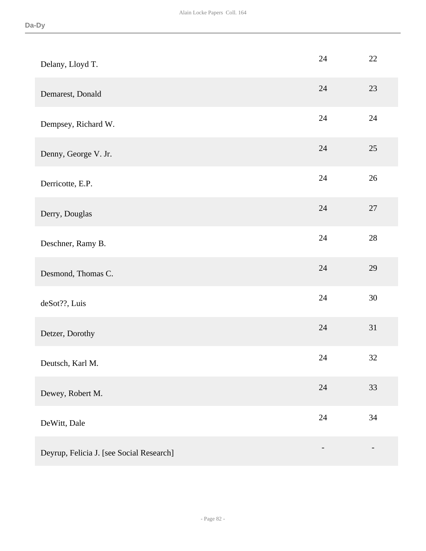| Delany, Lloyd T.                         | 24     | 22     |
|------------------------------------------|--------|--------|
| Demarest, Donald                         | 24     | 23     |
| Dempsey, Richard W.                      | 24     | 24     |
| Denny, George V. Jr.                     | 24     | 25     |
| Derricotte, E.P.                         | 24     | 26     |
| Derry, Douglas                           | 24     | $27\,$ |
| Deschner, Ramy B.                        | 24     | $28\,$ |
| Desmond, Thomas C.                       | 24     | 29     |
| deSot??, Luis                            | 24     | 30     |
| Detzer, Dorothy                          | 24     | 31     |
| Deutsch, Karl M.                         | 24     | 32     |
| Dewey, Robert M.                         | $24\,$ | 33     |
| DeWitt, Dale                             | 24     | 34     |
| Deyrup, Felicia J. [see Social Research] |        |        |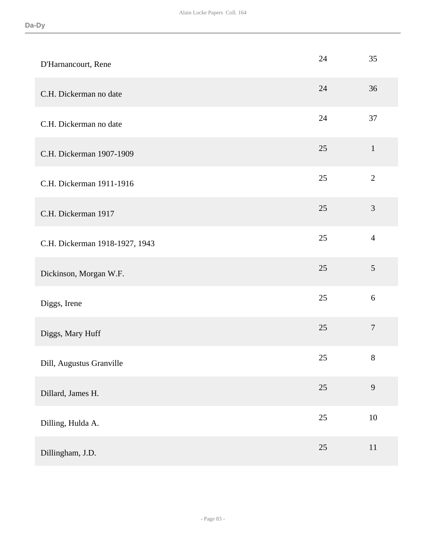| D'Harnancourt, Rene            | 24 | 35               |
|--------------------------------|----|------------------|
| C.H. Dickerman no date         | 24 | 36               |
| C.H. Dickerman no date         | 24 | 37               |
| C.H. Dickerman 1907-1909       | 25 | $\mathbf{1}$     |
| C.H. Dickerman 1911-1916       | 25 | $\overline{2}$   |
| C.H. Dickerman 1917            | 25 | $\mathfrak{Z}$   |
| C.H. Dickerman 1918-1927, 1943 | 25 | $\overline{4}$   |
| Dickinson, Morgan W.F.         | 25 | 5                |
| Diggs, Irene                   | 25 | 6                |
| Diggs, Mary Huff               | 25 | $\boldsymbol{7}$ |
| Dill, Augustus Granville       | 25 | $8\,$            |
| Dillard, James H.              | 25 | 9                |
| Dilling, Hulda A.              | 25 | $10\,$           |
| Dillingham, J.D.               | 25 | 11               |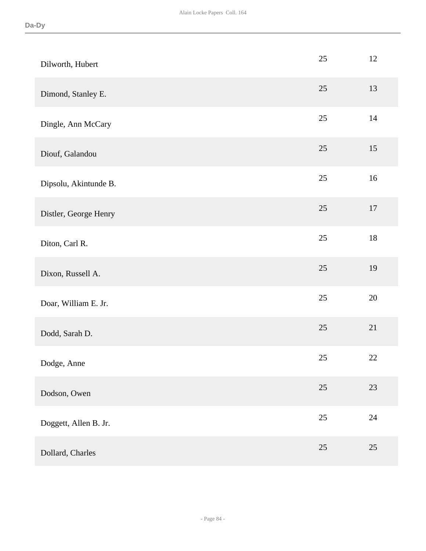| Dilworth, Hubert      | 25     | 12     |
|-----------------------|--------|--------|
| Dimond, Stanley E.    | 25     | 13     |
| Dingle, Ann McCary    | 25     | 14     |
| Diouf, Galandou       | 25     | 15     |
| Dipsolu, Akintunde B. | $25\,$ | 16     |
| Distler, George Henry | 25     | $17\,$ |
| Diton, Carl R.        | $25\,$ | $18\,$ |
| Dixon, Russell A.     | 25     | 19     |
| Doar, William E. Jr.  | 25     | $20\,$ |
| Dodd, Sarah D.        | 25     | 21     |
| Dodge, Anne           | 25     | $22\,$ |
| Dodson, Owen          | 25     | 23     |
| Doggett, Allen B. Jr. | $25\,$ | $24\,$ |
| Dollard, Charles      | 25     | $25\,$ |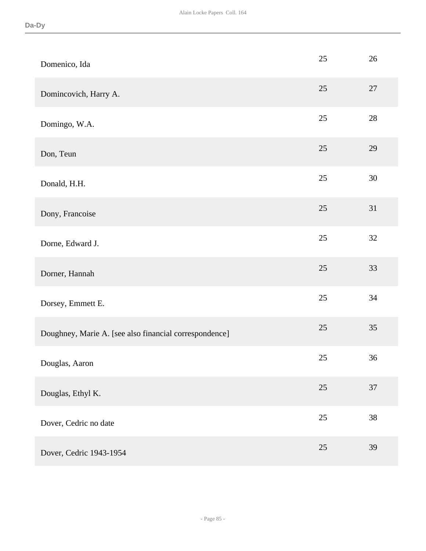| Domenico, Ida                                          | 25     | 26     |
|--------------------------------------------------------|--------|--------|
| Domincovich, Harry A.                                  | 25     | 27     |
| Domingo, W.A.                                          | 25     | 28     |
| Don, Teun                                              | 25     | 29     |
| Donald, H.H.                                           | 25     | $30\,$ |
| Dony, Francoise                                        | 25     | 31     |
| Dorne, Edward J.                                       | 25     | 32     |
| Dorner, Hannah                                         | 25     | 33     |
| Dorsey, Emmett E.                                      | 25     | 34     |
| Doughney, Marie A. [see also financial correspondence] | 25     | 35     |
| Douglas, Aaron                                         | 25     | 36     |
| Douglas, Ethyl K.                                      | 25     | 37     |
| Dover, Cedric no date                                  | $25\,$ | 38     |
| Dover, Cedric 1943-1954                                | 25     | 39     |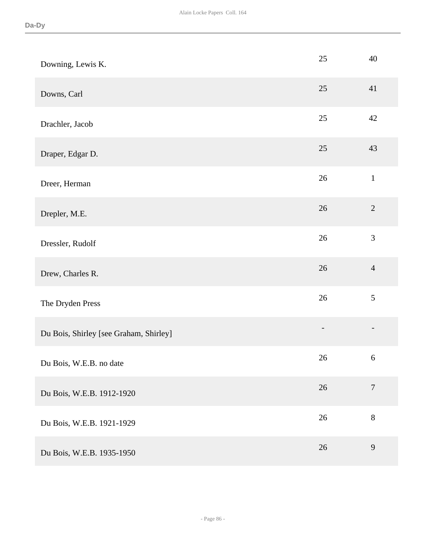| Downing, Lewis K.                      | 25     | 40               |
|----------------------------------------|--------|------------------|
| Downs, Carl                            | 25     | 41               |
| Drachler, Jacob                        | 25     | 42               |
| Draper, Edgar D.                       | 25     | 43               |
| Dreer, Herman                          | $26\,$ | $\mathbf 1$      |
| Drepler, M.E.                          | 26     | $\overline{2}$   |
| Dressler, Rudolf                       | 26     | 3                |
| Drew, Charles R.                       | 26     | $\overline{4}$   |
| The Dryden Press                       | $26\,$ | $\mathfrak{S}$   |
| Du Bois, Shirley [see Graham, Shirley] |        |                  |
| Du Bois, W.E.B. no date                | 26     | $\boldsymbol{6}$ |
| Du Bois, W.E.B. 1912-1920              | $26\,$ | $\boldsymbol{7}$ |
| Du Bois, W.E.B. 1921-1929              | $26\,$ | 8                |
| Du Bois, W.E.B. 1935-1950              | 26     | 9                |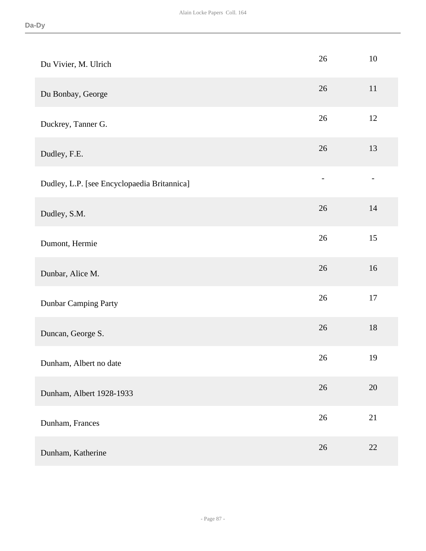| Du Vivier, M. Ulrich                        | 26             | $10\,$                   |
|---------------------------------------------|----------------|--------------------------|
| Du Bonbay, George                           | $26\,$         | $11\,$                   |
| Duckrey, Tanner G.                          | 26             | 12                       |
| Dudley, F.E.                                | 26             | 13                       |
| Dudley, L.P. [see Encyclopaedia Britannica] | $\overline{a}$ | $\overline{\phantom{0}}$ |
| Dudley, S.M.                                | 26             | 14                       |
| Dumont, Hermie                              | 26             | 15                       |
| Dunbar, Alice M.                            | $26\,$         | 16                       |
| <b>Dunbar Camping Party</b>                 | 26             | $17\,$                   |
| Duncan, George S.                           | 26             | 18                       |
| Dunham, Albert no date                      | 26             | 19                       |
| Dunham, Albert 1928-1933                    | 26             | 20                       |
| Dunham, Frances                             | 26             | 21                       |
| Dunham, Katherine                           | 26             | 22                       |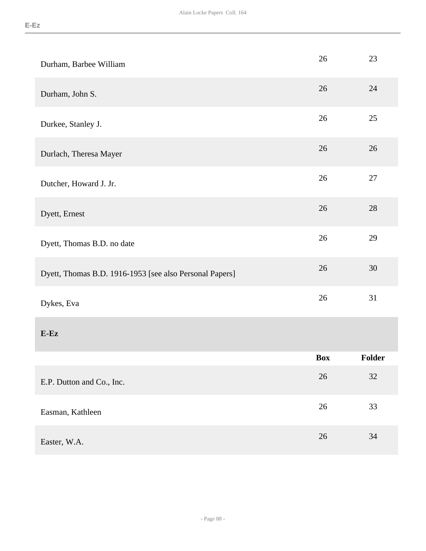| Durham, Barbee William                                  | 26         | 23     |
|---------------------------------------------------------|------------|--------|
| Durham, John S.                                         | 26         | 24     |
| Durkee, Stanley J.                                      | 26         | 25     |
| Durlach, Theresa Mayer                                  | 26         | 26     |
| Dutcher, Howard J. Jr.                                  | 26         | 27     |
| Dyett, Ernest                                           | 26         | 28     |
| Dyett, Thomas B.D. no date                              | 26         | 29     |
| Dyett, Thomas B.D. 1916-1953 [see also Personal Papers] | 26         | 30     |
| Dykes, Eva                                              | 26         | 31     |
| $E$ -Ez                                                 |            |        |
|                                                         | <b>Box</b> | Folder |
| E.P. Dutton and Co., Inc.                               | 26         | 32     |
| Easman, Kathleen                                        | 26         | 33     |
| Easter, W.A.                                            | $26\,$     | 34     |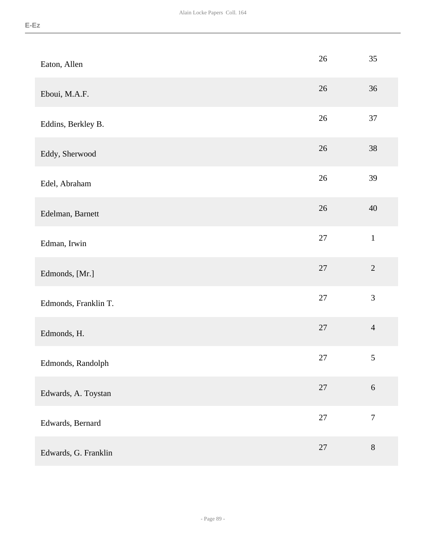| ۰. |
|----|
|----|

| Eaton, Allen         | $26\,$ | 35               |
|----------------------|--------|------------------|
| Eboui, M.A.F.        | $26\,$ | 36               |
| Eddins, Berkley B.   | $26\,$ | 37               |
| Eddy, Sherwood       | $26\,$ | 38               |
| Edel, Abraham        | $26\,$ | 39               |
| Edelman, Barnett     | $26\,$ | 40               |
| Edman, Irwin         | $27\,$ | $\,1$            |
| Edmonds, [Mr.]       | $27\,$ | $\overline{2}$   |
| Edmonds, Franklin T. | $27\,$ | 3                |
| Edmonds, H.          | $27\,$ | $\overline{4}$   |
| Edmonds, Randolph    | 27     | $\mathfrak{S}$   |
| Edwards, A. Toystan  | $27\,$ | $6\,$            |
| Edwards, Bernard     | $27\,$ | $\boldsymbol{7}$ |
| Edwards, G. Franklin | $27\,$ | $8\,$            |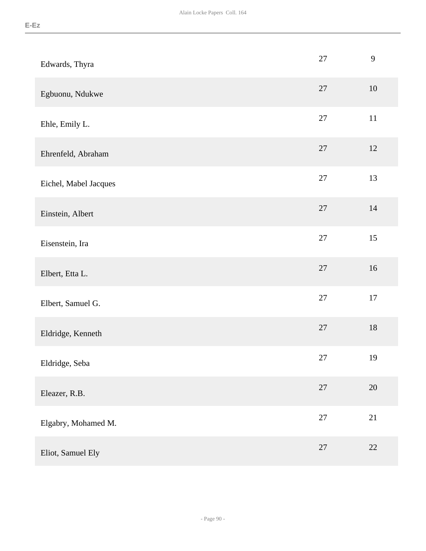| Edwards, Thyra        | $27\,$ | 9      |
|-----------------------|--------|--------|
| Egbuonu, Ndukwe       | 27     | $10\,$ |
| Ehle, Emily L.        | 27     | $11\,$ |
| Ehrenfeld, Abraham    | $27\,$ | 12     |
| Eichel, Mabel Jacques | $27\,$ | 13     |
| Einstein, Albert      | 27     | $14$   |
| Eisenstein, Ira       | $27\,$ | 15     |
| Elbert, Etta L.       | 27     | $16\,$ |
| Elbert, Samuel G.     | $27\,$ | 17     |
| Eldridge, Kenneth     | $27\,$ | $18\,$ |
| Eldridge, Seba        | 27     | 19     |
| Eleazer, R.B.         | $27\,$ | $20\,$ |
| Elgabry, Mohamed M.   | $27\,$ | 21     |
| Eliot, Samuel Ely     | 27     | $22\,$ |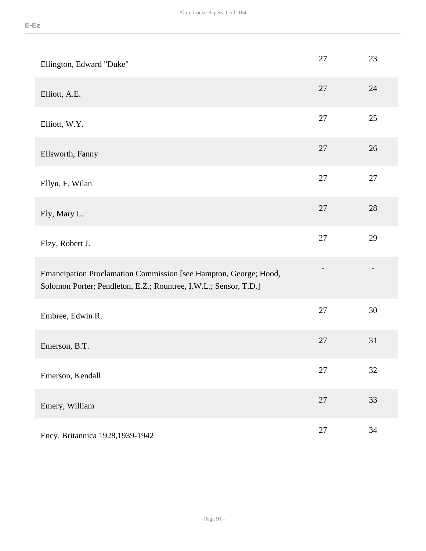| Ellington, Edward "Duke"                                                                                                             | 27     | 23     |
|--------------------------------------------------------------------------------------------------------------------------------------|--------|--------|
| Elliott, A.E.                                                                                                                        | 27     | 24     |
| Elliott, W.Y.                                                                                                                        | 27     | 25     |
| Ellsworth, Fanny                                                                                                                     | 27     | 26     |
| Ellyn, F. Wilan                                                                                                                      | 27     | 27     |
| Ely, Mary L.                                                                                                                         | 27     | 28     |
| Elzy, Robert J.                                                                                                                      | 27     | 29     |
| Emancipation Proclamation Commission [see Hampton, George; Hood,<br>Solomon Porter; Pendleton, E.Z.; Rountree, I.W.L.; Sensor, T.D.] |        |        |
| Embree, Edwin R.                                                                                                                     | 27     | 30     |
| Emerson, B.T.                                                                                                                        | 27     | 31     |
| Emerson, Kendall                                                                                                                     | 27     | $32\,$ |
| Emery, William                                                                                                                       | $27\,$ | 33     |
| Ency. Britannica 1928, 1939-1942                                                                                                     | $27\,$ | 34     |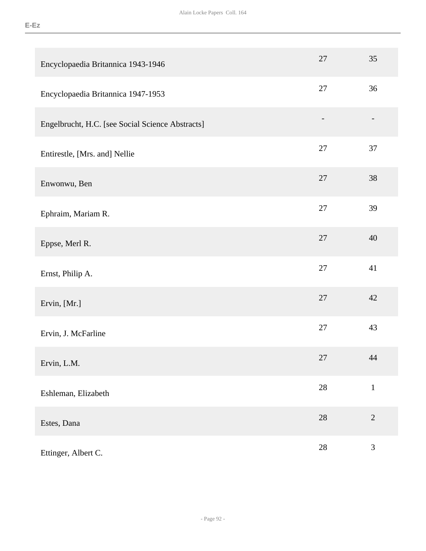| Encyclopaedia Britannica 1943-1946               | 27     | 35           |
|--------------------------------------------------|--------|--------------|
| Encyclopaedia Britannica 1947-1953               | 27     | 36           |
| Engelbrucht, H.C. [see Social Science Abstracts] |        |              |
| Entirestle, [Mrs. and] Nellie                    | $27\,$ | 37           |
| Enwonwu, Ben                                     | 27     | 38           |
| Ephraim, Mariam R.                               | $27\,$ | 39           |
| Eppse, Merl R.                                   | $27\,$ | 40           |
| Ernst, Philip A.                                 | $27\,$ | 41           |
| Ervin, [Mr.]                                     | 27     | 42           |
| Ervin, J. McFarline                              | 27     | 43           |
| Ervin, L.M.                                      | $27\,$ | 44           |
| Eshleman, Elizabeth                              | $28\,$ | $\mathbf{1}$ |
| Estes, Dana                                      | $28\,$ | $\sqrt{2}$   |
| Ettinger, Albert C.                              | $28\,$ | 3            |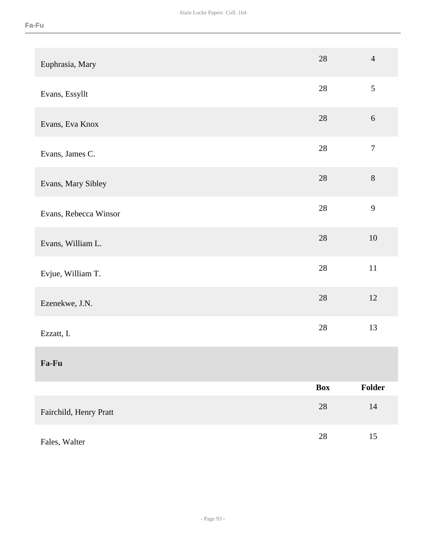| Euphrasia, Mary        | 28         | $\overline{4}$   |
|------------------------|------------|------------------|
| Evans, Essyllt         | 28         | 5                |
| Evans, Eva Knox        | $28\,$     | 6                |
| Evans, James C.        | $28\,$     | $\boldsymbol{7}$ |
| Evans, Mary Sibley     | $28\,$     | $\, 8$           |
| Evans, Rebecca Winsor  | $28\,$     | 9                |
| Evans, William L.      | $28\,$     | $10\,$           |
| Evjue, William T.      | $28\,$     | $11\,$           |
| Ezenekwe, J.N.         | $28\,$     | $12\,$           |
| Ezzatt, I.             | 28         | 13               |
| Fa-Fu                  |            |                  |
|                        | <b>Box</b> | Folder           |
| Fairchild, Henry Pratt | $28\,$     | $14\,$           |
| Fales, Walter          | $28\,$     | $15\,$           |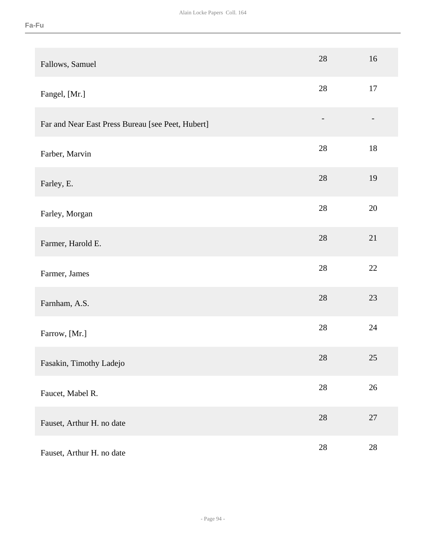| Fallows, Samuel                                   | 28     | 16     |
|---------------------------------------------------|--------|--------|
| Fangel, [Mr.]                                     | 28     | 17     |
| Far and Near East Press Bureau [see Peet, Hubert] |        |        |
| Farber, Marvin                                    | 28     | 18     |
| Farley, E.                                        | 28     | 19     |
| Farley, Morgan                                    | 28     | 20     |
| Farmer, Harold E.                                 | 28     | 21     |
| Farmer, James                                     | 28     | 22     |
| Farnham, A.S.                                     | 28     | 23     |
| Farrow, [Mr.]                                     | 28     | 24     |
| Fasakin, Timothy Ladejo                           | $28\,$ | $25\,$ |
| Faucet, Mabel R.                                  | $28\,$ | $26\,$ |
| Fauset, Arthur H. no date                         | $28\,$ | $27\,$ |
| Fauset, Arthur H. no date                         | $28\,$ | $28\,$ |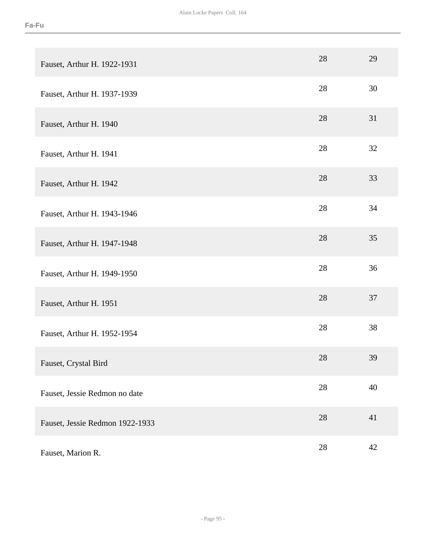| Fauset, Arthur H. 1922-1931     | 28 | 29 |
|---------------------------------|----|----|
| Fauset, Arthur H. 1937-1939     | 28 | 30 |
| Fauset, Arthur H. 1940          | 28 | 31 |
| Fauset, Arthur H. 1941          | 28 | 32 |
| Fauset, Arthur H. 1942          | 28 | 33 |
| Fauset, Arthur H. 1943-1946     | 28 | 34 |
| Fauset, Arthur H. 1947-1948     | 28 | 35 |
| Fauset, Arthur H. 1949-1950     | 28 | 36 |
| Fauset, Arthur H. 1951          | 28 | 37 |
| Fauset, Arthur H. 1952-1954     | 28 | 38 |
| Fauset, Crystal Bird            | 28 | 39 |
| Fauset, Jessie Redmon no date   | 28 | 40 |
| Fauset, Jessie Redmon 1922-1933 | 28 | 41 |
| Fauset, Marion R.               | 28 | 42 |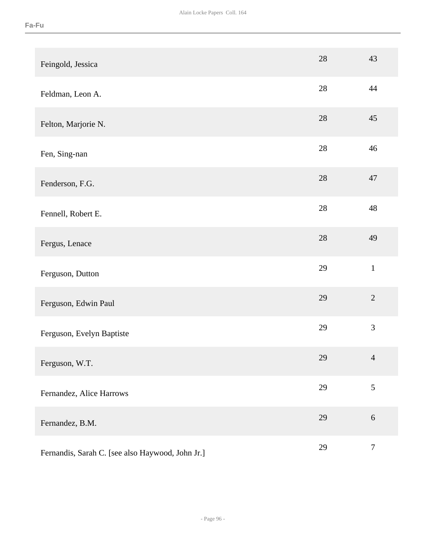| Feingold, Jessica                                | 28     | 43               |
|--------------------------------------------------|--------|------------------|
| Feldman, Leon A.                                 | 28     | 44               |
| Felton, Marjorie N.                              | 28     | 45               |
| Fen, Sing-nan                                    | 28     | 46               |
| Fenderson, F.G.                                  | 28     | 47               |
| Fennell, Robert E.                               | 28     | 48               |
| Fergus, Lenace                                   | $28\,$ | 49               |
| Ferguson, Dutton                                 | 29     | $\mathbf{1}$     |
| Ferguson, Edwin Paul                             | 29     | $\overline{2}$   |
| Ferguson, Evelyn Baptiste                        | 29     | 3                |
| Ferguson, W.T.                                   | 29     | $\overline{4}$   |
| Fernandez, Alice Harrows                         | 29     | 5                |
| Fernandez, B.M.                                  | 29     | $\sqrt{6}$       |
| Fernandis, Sarah C. [see also Haywood, John Jr.] | 29     | $\boldsymbol{7}$ |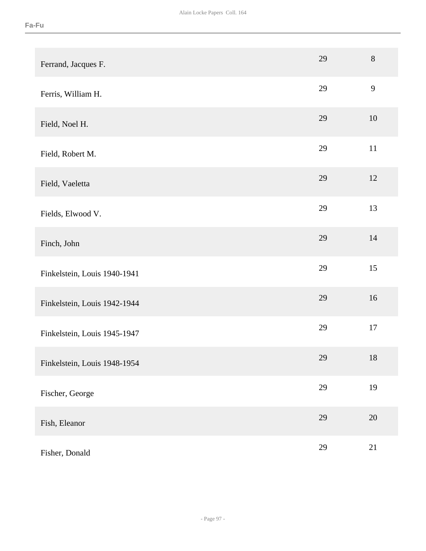| Ferrand, Jacques F.          | 29 | $8\,$  |
|------------------------------|----|--------|
| Ferris, William H.           | 29 | 9      |
| Field, Noel H.               | 29 | 10     |
| Field, Robert M.             | 29 | $11\,$ |
| Field, Vaeletta              | 29 | 12     |
| Fields, Elwood V.            | 29 | 13     |
| Finch, John                  | 29 | 14     |
| Finkelstein, Louis 1940-1941 | 29 | 15     |
| Finkelstein, Louis 1942-1944 | 29 | 16     |
| Finkelstein, Louis 1945-1947 | 29 | 17     |
| Finkelstein, Louis 1948-1954 | 29 | $18\,$ |
| Fischer, George              | 29 | 19     |
| Fish, Eleanor                | 29 | $20\,$ |
| Fisher, Donald               | 29 | 21     |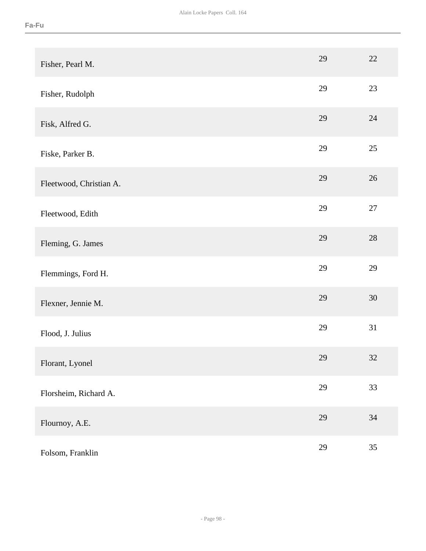| Fisher, Pearl M.        | 29 | 22     |
|-------------------------|----|--------|
| Fisher, Rudolph         | 29 | 23     |
| Fisk, Alfred G.         | 29 | 24     |
| Fiske, Parker B.        | 29 | $25\,$ |
| Fleetwood, Christian A. | 29 | 26     |
| Fleetwood, Edith        | 29 | $27\,$ |
| Fleming, G. James       | 29 | 28     |
| Flemmings, Ford H.      | 29 | 29     |
| Flexner, Jennie M.      | 29 | 30     |
| Flood, J. Julius        | 29 | 31     |
| Florant, Lyonel         | 29 | 32     |
| Florsheim, Richard A.   | 29 | 33     |
| Flournoy, A.E.          | 29 | $34\,$ |
| Folsom, Franklin        | 29 | 35     |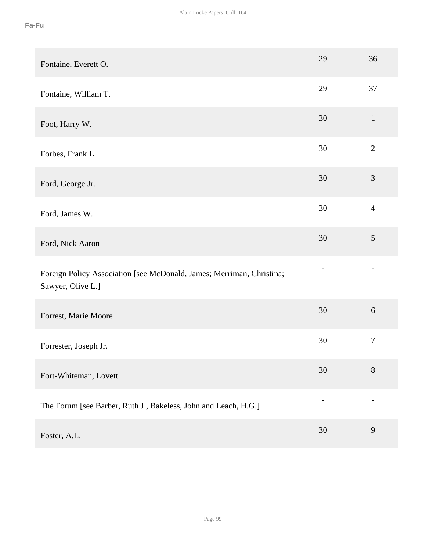| Fontaine, Everett O.                                                                       | 29 | 36               |
|--------------------------------------------------------------------------------------------|----|------------------|
| Fontaine, William T.                                                                       | 29 | 37               |
| Foot, Harry W.                                                                             | 30 | $\mathbf{1}$     |
| Forbes, Frank L.                                                                           | 30 | $\mathbf{2}$     |
| Ford, George Jr.                                                                           | 30 | 3                |
| Ford, James W.                                                                             | 30 | $\overline{4}$   |
| Ford, Nick Aaron                                                                           | 30 | 5                |
| Foreign Policy Association [see McDonald, James; Merriman, Christina;<br>Sawyer, Olive L.] |    |                  |
| Forrest, Marie Moore                                                                       | 30 | $\boldsymbol{6}$ |
| Forrester, Joseph Jr.                                                                      | 30 | $\boldsymbol{7}$ |
| Fort-Whiteman, Lovett                                                                      | 30 | $8\,$            |
| The Forum [see Barber, Ruth J., Bakeless, John and Leach, H.G.]                            |    |                  |
| Foster, A.L.                                                                               | 30 | 9                |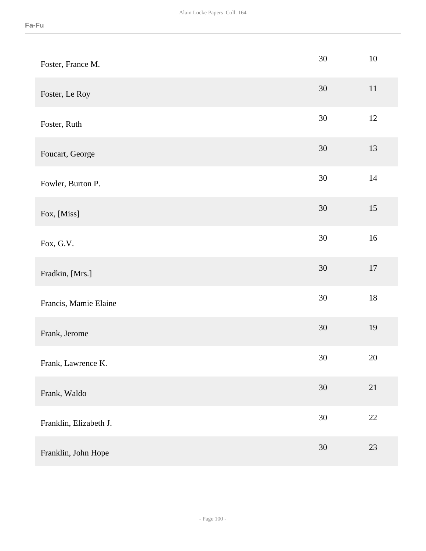| Foster, France M.      | $30\,$ | $10\,$ |
|------------------------|--------|--------|
| Foster, Le Roy         | $30\,$ | $11\,$ |
| Foster, Ruth           | 30     | 12     |
| Foucart, George        | $30\,$ | 13     |
| Fowler, Burton P.      | $30\,$ | 14     |
| Fox, [Miss]            | $30\,$ | 15     |
| Fox, G.V.              | $30\,$ | $16\,$ |
| Fradkin, [Mrs.]        | $30\,$ | $17\,$ |
| Francis, Mamie Elaine  | $30\,$ | $18\,$ |
| Frank, Jerome          | $30\,$ | 19     |
| Frank, Lawrence K.     | $30\,$ | $20\,$ |
| Frank, Waldo           | 30     | 21     |
| Franklin, Elizabeth J. | $30\,$ | $22\,$ |
| Franklin, John Hope    | $30\,$ | 23     |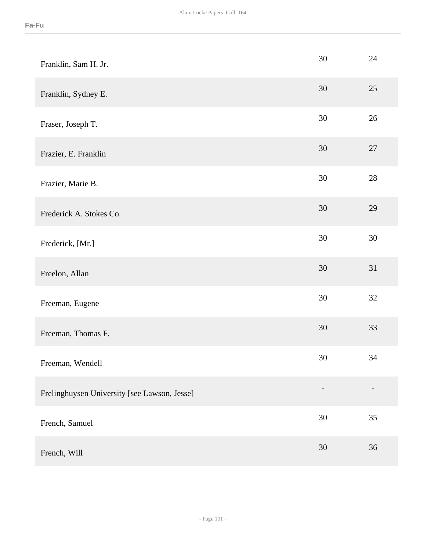| Franklin, Sam H. Jr.                         | 30 | 24     |
|----------------------------------------------|----|--------|
| Franklin, Sydney E.                          | 30 | 25     |
| Fraser, Joseph T.                            | 30 | 26     |
| Frazier, E. Franklin                         | 30 | 27     |
| Frazier, Marie B.                            | 30 | $28\,$ |
| Frederick A. Stokes Co.                      | 30 | 29     |
| Frederick, [Mr.]                             | 30 | $30\,$ |
| Freelon, Allan                               | 30 | 31     |
| Freeman, Eugene                              | 30 | 32     |
| Freeman, Thomas F.                           | 30 | 33     |
| Freeman, Wendell                             | 30 | 34     |
| Frelinghuysen University [see Lawson, Jesse] |    |        |
| French, Samuel                               | 30 | 35     |
| French, Will                                 | 30 | 36     |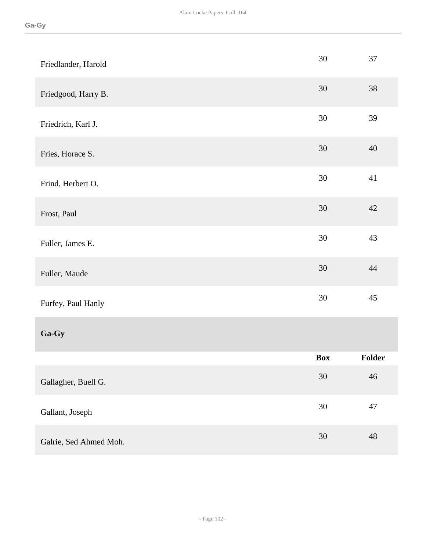| Friedlander, Harold    | 30     | 37     |
|------------------------|--------|--------|
| Friedgood, Harry B.    | 30     | $38\,$ |
| Friedrich, Karl J.     | 30     | 39     |
| Fries, Horace S.       | 30     | 40     |
| Frind, Herbert O.      | $30\,$ | 41     |
| Frost, Paul            | 30     | 42     |
| Fuller, James E.       | $30\,$ | 43     |
| Fuller, Maude          | $30\,$ | 44     |
| Furfey, Paul Hanly     | 30     | 45     |
| Ga-Gy                  |        |        |
|                        | Box    | Folder |
| Gallagher, Buell G.    | $30\,$ | $46\,$ |
| Gallant, Joseph        | $30\,$ | 47     |
| Galrie, Sed Ahmed Moh. | $30\,$ | 48     |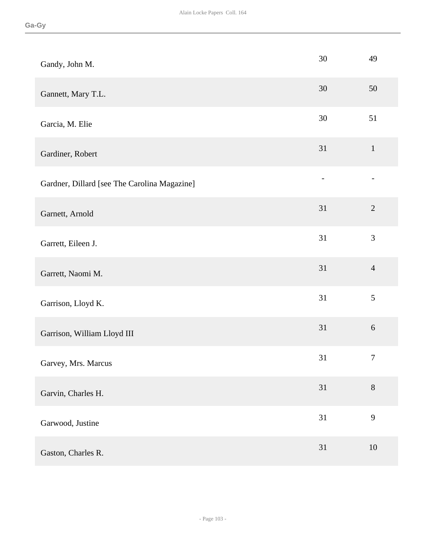| Gandy, John M.                               | 30 | 49               |
|----------------------------------------------|----|------------------|
| Gannett, Mary T.L.                           | 30 | 50               |
| Garcia, M. Elie                              | 30 | 51               |
| Gardiner, Robert                             | 31 | $\mathbf{1}$     |
| Gardner, Dillard [see The Carolina Magazine] |    |                  |
| Garnett, Arnold                              | 31 | $\sqrt{2}$       |
| Garrett, Eileen J.                           | 31 | 3                |
| Garrett, Naomi M.                            | 31 | $\overline{4}$   |
| Garrison, Lloyd K.                           | 31 | 5                |
| Garrison, William Lloyd III                  | 31 | $6\,$            |
| Garvey, Mrs. Marcus                          | 31 | $\boldsymbol{7}$ |
| Garvin, Charles H.                           | 31 | $8\,$            |
| Garwood, Justine                             | 31 | 9                |
| Gaston, Charles R.                           | 31 | 10               |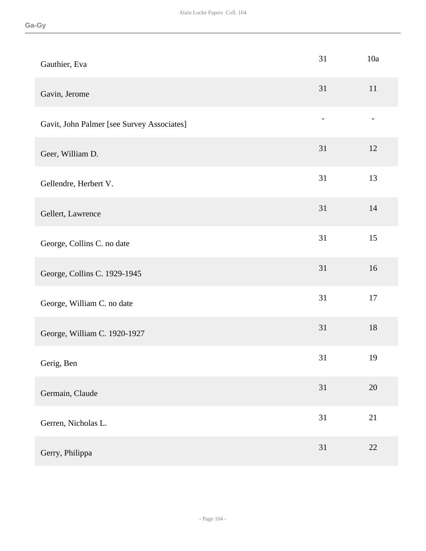| Gauthier, Eva                              | 31             | 10a    |
|--------------------------------------------|----------------|--------|
| Gavin, Jerome                              | 31             | 11     |
| Gavit, John Palmer [see Survey Associates] | $\overline{a}$ |        |
| Geer, William D.                           | 31             | 12     |
| Gellendre, Herbert V.                      | 31             | 13     |
| Gellert, Lawrence                          | 31             | 14     |
| George, Collins C. no date                 | 31             | 15     |
| George, Collins C. 1929-1945               | 31             | 16     |
| George, William C. no date                 | 31             | 17     |
| George, William C. 1920-1927               | 31             | $18\,$ |
| Gerig, Ben                                 | 31             | 19     |
| Germain, Claude                            | 31             | $20\,$ |
| Gerren, Nicholas L.                        | 31             | 21     |
| Gerry, Philippa                            | 31             | 22     |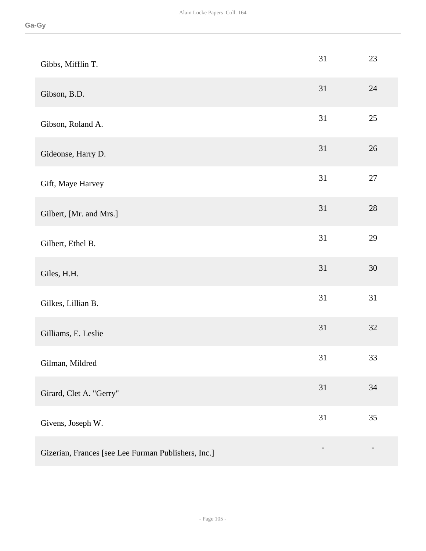| Gibbs, Mifflin T.                                   | 31 | 23 |
|-----------------------------------------------------|----|----|
| Gibson, B.D.                                        | 31 | 24 |
| Gibson, Roland A.                                   | 31 | 25 |
| Gideonse, Harry D.                                  | 31 | 26 |
| Gift, Maye Harvey                                   | 31 | 27 |
| Gilbert, [Mr. and Mrs.]                             | 31 | 28 |
| Gilbert, Ethel B.                                   | 31 | 29 |
| Giles, H.H.                                         | 31 | 30 |
| Gilkes, Lillian B.                                  | 31 | 31 |
| Gilliams, E. Leslie                                 | 31 | 32 |
| Gilman, Mildred                                     | 31 | 33 |
| Girard, Clet A. "Gerry"                             | 31 | 34 |
| Givens, Joseph W.                                   | 31 | 35 |
| Gizerian, Frances [see Lee Furman Publishers, Inc.] |    |    |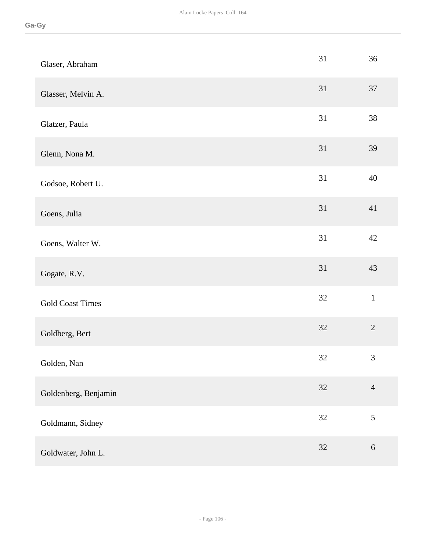| Glaser, Abraham         | 31     | 36             |
|-------------------------|--------|----------------|
| Glasser, Melvin A.      | 31     | $37\,$         |
| Glatzer, Paula          | 31     | 38             |
| Glenn, Nona M.          | 31     | 39             |
| Godsoe, Robert U.       | 31     | 40             |
| Goens, Julia            | 31     | 41             |
| Goens, Walter W.        | 31     | $42\,$         |
| Gogate, R.V.            | 31     | 43             |
| <b>Gold Coast Times</b> | 32     | $\mathbf 1$    |
| Goldberg, Bert          | 32     | $\sqrt{2}$     |
| Golden, Nan             | $32\,$ | $\mathfrak{Z}$ |
| Goldenberg, Benjamin    | 32     | $\overline{4}$ |
| Goldmann, Sidney        | $32\,$ | $\sqrt{5}$     |
| Goldwater, John L.      | 32     | $\sqrt{6}$     |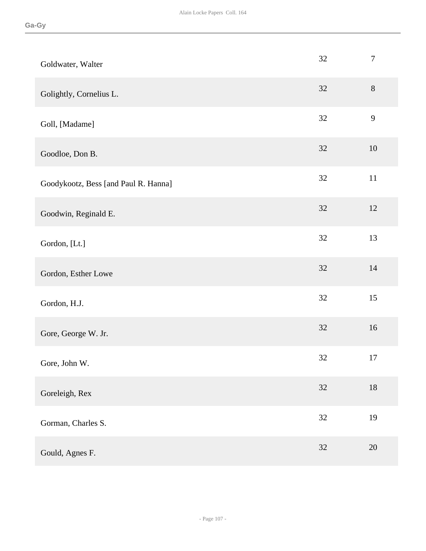| Goldwater, Walter                    | 32     | $\boldsymbol{7}$ |
|--------------------------------------|--------|------------------|
| Golightly, Cornelius L.              | 32     | $8\,$            |
| Goll, [Madame]                       | 32     | 9                |
| Goodloe, Don B.                      | 32     | 10               |
| Goodykootz, Bess [and Paul R. Hanna] | $32\,$ | $11\,$           |
| Goodwin, Reginald E.                 | $32\,$ | 12               |
| Gordon, [Lt.]                        | $32\,$ | 13               |
| Gordon, Esther Lowe                  | $32\,$ | $14$             |
| Gordon, H.J.                         | 32     | 15               |
| Gore, George W. Jr.                  | $32\,$ | 16               |
| Gore, John W.                        | 32     | 17               |
| Goreleigh, Rex                       | 32     | $18\,$           |
| Gorman, Charles S.                   | $32\,$ | 19               |
| Gould, Agnes F.                      | $32\,$ | $20\,$           |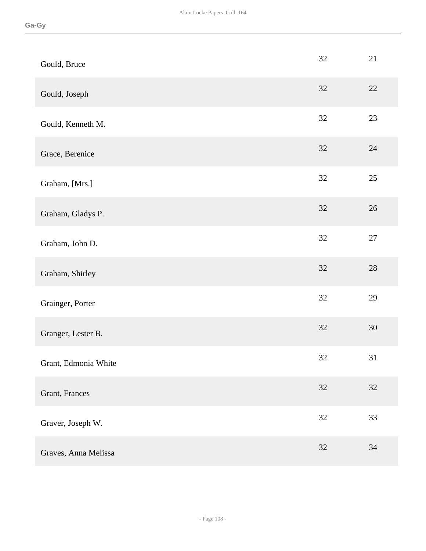| Gould, Bruce         | 32     | 21     |
|----------------------|--------|--------|
| Gould, Joseph        | 32     | $22\,$ |
| Gould, Kenneth M.    | 32     | $23\,$ |
| Grace, Berenice      | 32     | 24     |
| Graham, [Mrs.]       | 32     | 25     |
| Graham, Gladys P.    | $32\,$ | 26     |
| Graham, John D.      | $32\,$ | $27\,$ |
| Graham, Shirley      | 32     | $28\,$ |
| Grainger, Porter     | 32     | 29     |
| Granger, Lester B.   | $32\,$ | $30\,$ |
| Grant, Edmonia White | 32     | 31     |
| Grant, Frances       | 32     | 32     |
| Graver, Joseph W.    | $32\,$ | 33     |
| Graves, Anna Melissa | 32     | $34\,$ |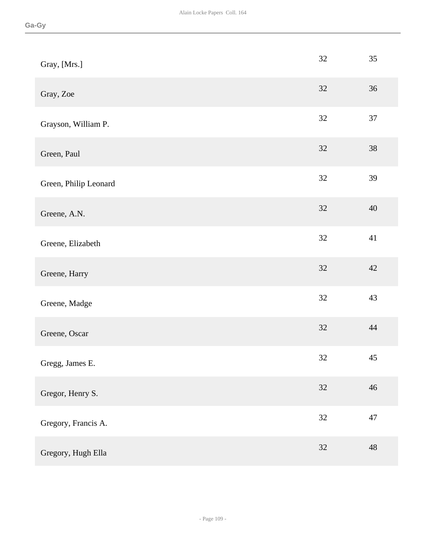| Gray, [Mrs.]          | 32     | 35     |
|-----------------------|--------|--------|
| Gray, Zoe             | 32     | 36     |
| Grayson, William P.   | 32     | 37     |
| Green, Paul           | 32     | 38     |
| Green, Philip Leonard | 32     | 39     |
| Greene, A.N.          | $32\,$ | 40     |
| Greene, Elizabeth     | 32     | 41     |
| Greene, Harry         | 32     | 42     |
| Greene, Madge         | 32     | 43     |
| Greene, Oscar         | 32     | 44     |
| Gregg, James E.       | $32\,$ | 45     |
| Gregor, Henry S.      | 32     | 46     |
| Gregory, Francis A.   | $32\,$ | $47\,$ |
| Gregory, Hugh Ella    | 32     | 48     |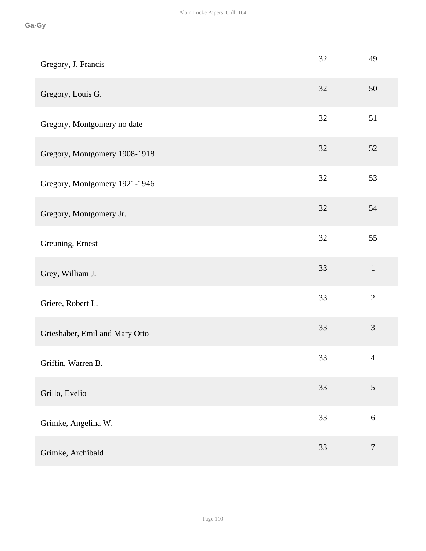| Gregory, J. Francis            | 32 | 49               |
|--------------------------------|----|------------------|
| Gregory, Louis G.              | 32 | 50               |
| Gregory, Montgomery no date    | 32 | 51               |
| Gregory, Montgomery 1908-1918  | 32 | $52\,$           |
| Gregory, Montgomery 1921-1946  | 32 | 53               |
| Gregory, Montgomery Jr.        | 32 | 54               |
| Greuning, Ernest               | 32 | 55               |
| Grey, William J.               | 33 | $\mathbf 1$      |
| Griere, Robert L.              | 33 | $\overline{2}$   |
| Grieshaber, Emil and Mary Otto | 33 | $\mathfrak{Z}$   |
| Griffin, Warren B.             | 33 | $\overline{4}$   |
| Grillo, Evelio                 | 33 | $\mathfrak{S}$   |
| Grimke, Angelina W.            | 33 | $\sqrt{6}$       |
| Grimke, Archibald              | 33 | $\boldsymbol{7}$ |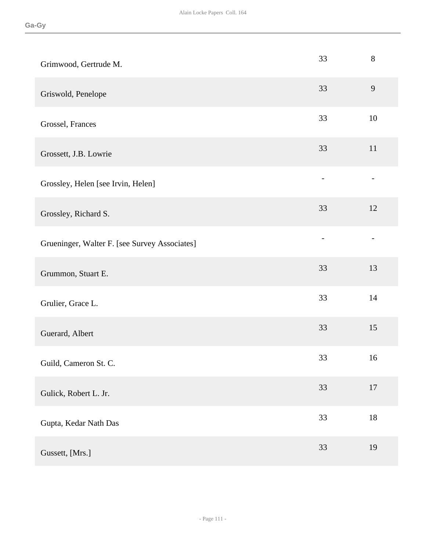| Grimwood, Gertrude M.                         | 33                       | $8\,$                    |
|-----------------------------------------------|--------------------------|--------------------------|
| Griswold, Penelope                            | 33                       | 9                        |
| Grossel, Frances                              | 33                       | 10                       |
| Grossett, J.B. Lowrie                         | 33                       | 11                       |
| Grossley, Helen [see Irvin, Helen]            |                          |                          |
| Grossley, Richard S.                          | 33                       | 12                       |
| Grueninger, Walter F. [see Survey Associates] | $\overline{\phantom{0}}$ | $\overline{\phantom{0}}$ |
| Grummon, Stuart E.                            | 33                       | 13                       |
| Grulier, Grace L.                             | 33                       | 14                       |
| Guerard, Albert                               | 33                       | 15                       |
| Guild, Cameron St. C.                         | 33                       | 16                       |
| Gulick, Robert L. Jr.                         | 33                       | $17\,$                   |
| Gupta, Kedar Nath Das                         | 33                       | $18\,$                   |
| Gussett, [Mrs.]                               | 33                       | 19                       |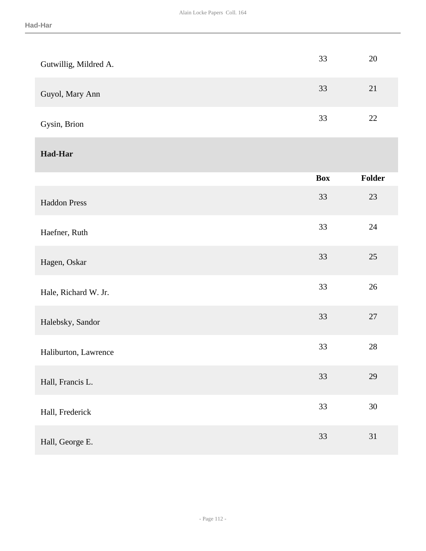| Gutwillig, Mildred A. | 33         | 20     |
|-----------------------|------------|--------|
| Guyol, Mary Ann       | 33         | 21     |
| Gysin, Brion          | 33         | 22     |
| <b>Had-Har</b>        |            |        |
|                       | <b>Box</b> | Folder |
| <b>Haddon Press</b>   | 33         | 23     |
| Haefner, Ruth         | 33         | 24     |
| Hagen, Oskar          | 33         | 25     |
| Hale, Richard W. Jr.  | 33         | $26\,$ |
| Halebsky, Sandor      | 33         | $27\,$ |
| Haliburton, Lawrence  | 33         | $28\,$ |
| Hall, Francis L.      | 33         | 29     |
| Hall, Frederick       | 33         | $30\,$ |
| Hall, George E.       | 33         | 31     |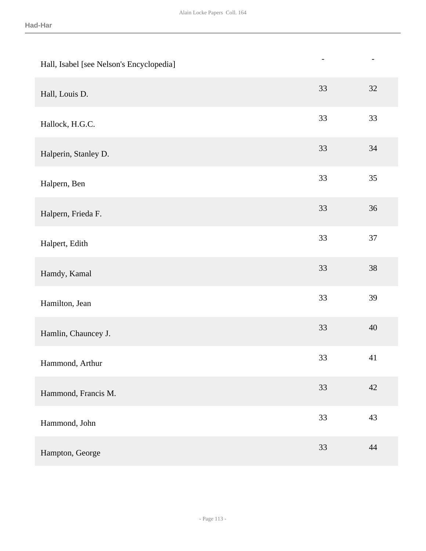| Hall, Isabel [see Nelson's Encyclopedia] | $\overline{a}$ | $\overline{\phantom{a}}$ |
|------------------------------------------|----------------|--------------------------|
| Hall, Louis D.                           | 33             | 32                       |
| Hallock, H.G.C.                          | 33             | 33                       |
| Halperin, Stanley D.                     | 33             | 34                       |
| Halpern, Ben                             | 33             | 35                       |
| Halpern, Frieda F.                       | 33             | $36\,$                   |
| Halpert, Edith                           | 33             | 37                       |
| Hamdy, Kamal                             | 33             | $38\,$                   |
| Hamilton, Jean                           | 33             | 39                       |
| Hamlin, Chauncey J.                      | 33             | 40                       |
| Hammond, Arthur                          | 33             | 41                       |
| Hammond, Francis M.                      | 33             | $42\,$                   |
| Hammond, John                            | 33             | 43                       |
| Hampton, George                          | 33             | 44                       |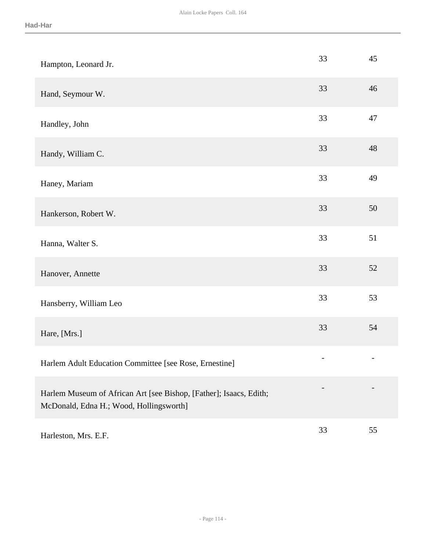| Hampton, Leonard Jr.                                                                                          | 33                | 45 |
|---------------------------------------------------------------------------------------------------------------|-------------------|----|
| Hand, Seymour W.                                                                                              | 33                | 46 |
| Handley, John                                                                                                 | 33                | 47 |
| Handy, William C.                                                                                             | 33                | 48 |
| Haney, Mariam                                                                                                 | 33                | 49 |
| Hankerson, Robert W.                                                                                          | 33                | 50 |
| Hanna, Walter S.                                                                                              | 33                | 51 |
| Hanover, Annette                                                                                              | 33                | 52 |
| Hansberry, William Leo                                                                                        | 33                | 53 |
| Hare, [Mrs.]                                                                                                  | 33                | 54 |
| Harlem Adult Education Committee [see Rose, Ernestine]                                                        | $\qquad \qquad -$ |    |
| Harlem Museum of African Art [see Bishop, [Father]; Isaacs, Edith;<br>McDonald, Edna H.; Wood, Hollingsworth] |                   |    |
| Harleston, Mrs. E.F.                                                                                          | 33                | 55 |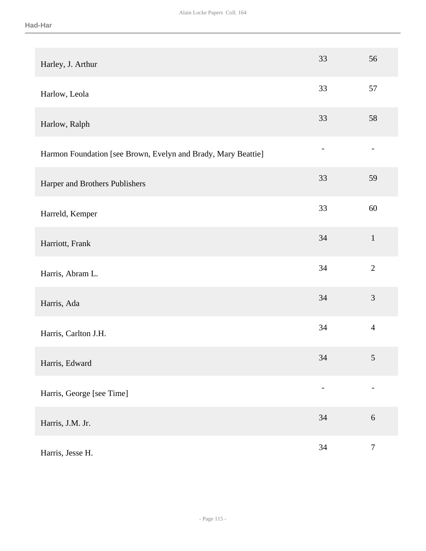| Harley, J. Arthur                                             | 33                       | 56                       |
|---------------------------------------------------------------|--------------------------|--------------------------|
| Harlow, Leola                                                 | 33                       | 57                       |
| Harlow, Ralph                                                 | 33                       | 58                       |
| Harmon Foundation [see Brown, Evelyn and Brady, Mary Beattie] | $\overline{a}$           | $\overline{\phantom{0}}$ |
| Harper and Brothers Publishers                                | 33                       | 59                       |
| Harreld, Kemper                                               | 33                       | 60                       |
| Harriott, Frank                                               | 34                       | $\mathbf{1}$             |
| Harris, Abram L.                                              | 34                       | $\overline{2}$           |
| Harris, Ada                                                   | 34                       | 3                        |
| Harris, Carlton J.H.                                          | 34                       | $\overline{4}$           |
| Harris, Edward                                                | 34                       | $\mathfrak{S}$           |
| Harris, George [see Time]                                     | $\overline{\phantom{0}}$ |                          |
| Harris, J.M. Jr.                                              | 34                       | $\sqrt{6}$               |
| Harris, Jesse H.                                              | 34                       | $\boldsymbol{7}$         |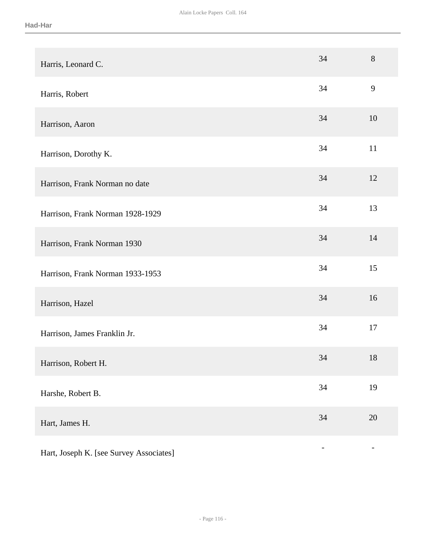| Harris, Leonard C.                      | 34                       | 8                 |
|-----------------------------------------|--------------------------|-------------------|
| Harris, Robert                          | 34                       | 9                 |
| Harrison, Aaron                         | 34                       | 10                |
| Harrison, Dorothy K.                    | 34                       | 11                |
| Harrison, Frank Norman no date          | 34                       | 12                |
| Harrison, Frank Norman 1928-1929        | 34                       | 13                |
| Harrison, Frank Norman 1930             | 34                       | 14                |
| Harrison, Frank Norman 1933-1953        | 34                       | 15                |
| Harrison, Hazel                         | 34                       | 16                |
| Harrison, James Franklin Jr.            | 34                       | 17                |
| Harrison, Robert H.                     | 34                       | $18\,$            |
| Harshe, Robert B.                       | 34                       | 19                |
| Hart, James H.                          | $34\,$                   | 20                |
| Hart, Joseph K. [see Survey Associates] | $\overline{\phantom{0}}$ | $\qquad \qquad -$ |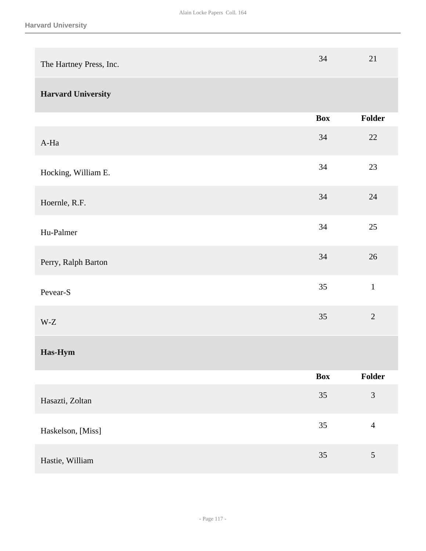| The Hartney Press, Inc.   | 34         | 21             |
|---------------------------|------------|----------------|
| <b>Harvard University</b> |            |                |
|                           | <b>Box</b> | Folder         |
| A-Ha                      | 34         | $22\,$         |
| Hocking, William E.       | 34         | 23             |
| Hoernle, R.F.             | 34         | 24             |
| Hu-Palmer                 | 34         | 25             |
| Perry, Ralph Barton       | 34         | 26             |
| Pevear-S                  | 35         | $\mathbf 1$    |
| W-Z                       | 35         | $\overline{2}$ |
| Has-Hym                   |            |                |
|                           | <b>Box</b> | Folder         |
| Hasazti, Zoltan           | 35         | $\mathfrak{Z}$ |
| Haskelson, [Miss]         | 35         | $\overline{4}$ |
| Hastie, William           | 35         | $\sqrt{5}$     |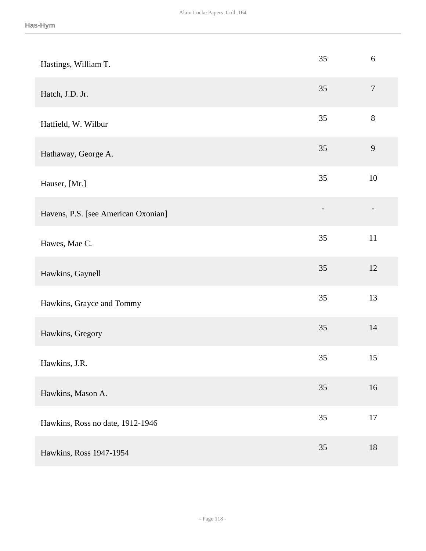| Hastings, William T.                | 35 | $6\,$          |
|-------------------------------------|----|----------------|
| Hatch, J.D. Jr.                     | 35 | $\overline{7}$ |
| Hatfield, W. Wilbur                 | 35 | $8\,$          |
| Hathaway, George A.                 | 35 | $\mathbf{9}$   |
| Hauser, [Mr.]                       | 35 | $10\,$         |
| Havens, P.S. [see American Oxonian] |    |                |
| Hawes, Mae C.                       | 35 | $11\,$         |
| Hawkins, Gaynell                    | 35 | 12             |
| Hawkins, Grayce and Tommy           | 35 | 13             |
| Hawkins, Gregory                    | 35 | 14             |
| Hawkins, J.R.                       | 35 | 15             |
| Hawkins, Mason A.                   | 35 | 16             |
| Hawkins, Ross no date, 1912-1946    | 35 | $17\,$         |
| Hawkins, Ross 1947-1954             | 35 | 18             |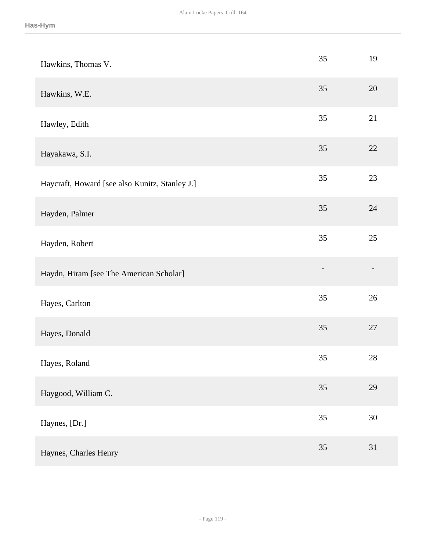| Hawkins, Thomas V.                             | 35             | 19     |
|------------------------------------------------|----------------|--------|
| Hawkins, W.E.                                  | 35             | $20\,$ |
| Hawley, Edith                                  | 35             | 21     |
| Hayakawa, S.I.                                 | 35             | 22     |
| Haycraft, Howard [see also Kunitz, Stanley J.] | 35             | 23     |
| Hayden, Palmer                                 | 35             | 24     |
| Hayden, Robert                                 | 35             | $25\,$ |
| Haydn, Hiram [see The American Scholar]        | $\overline{a}$ |        |
| Hayes, Carlton                                 | 35             | $26\,$ |
| Hayes, Donald                                  | 35             | 27     |
| Hayes, Roland                                  | 35             | $28\,$ |
| Haygood, William C.                            | 35             | 29     |
| Haynes, [Dr.]                                  | 35             | $30\,$ |
| Haynes, Charles Henry                          | 35             | 31     |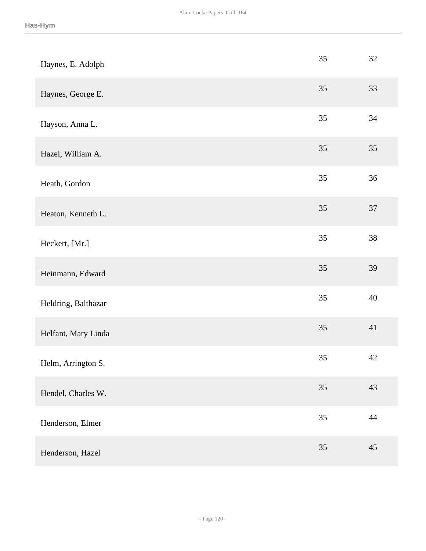| Haynes, E. Adolph   | 35 | 32     |
|---------------------|----|--------|
| Haynes, George E.   | 35 | 33     |
| Hayson, Anna L.     | 35 | 34     |
| Hazel, William A.   | 35 | 35     |
| Heath, Gordon       | 35 | 36     |
| Heaton, Kenneth L.  | 35 | $37\,$ |
| Heckert, [Mr.]      | 35 | 38     |
| Heinmann, Edward    | 35 | 39     |
| Heldring, Balthazar | 35 | 40     |
| Helfant, Mary Linda | 35 | 41     |
| Helm, Arrington S.  | 35 | 42     |
| Hendel, Charles W.  | 35 | 43     |
| Henderson, Elmer    | 35 | $44\,$ |
| Henderson, Hazel    | 35 | 45     |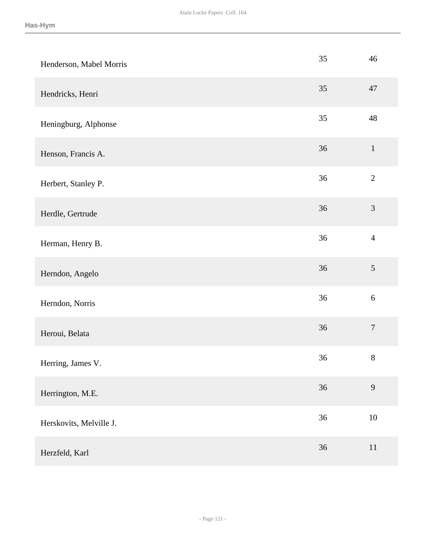| Henderson, Mabel Morris | 35 | 46               |
|-------------------------|----|------------------|
| Hendricks, Henri        | 35 | 47               |
| Heningburg, Alphonse    | 35 | 48               |
| Henson, Francis A.      | 36 | $\mathbf{1}$     |
| Herbert, Stanley P.     | 36 | $\overline{2}$   |
| Herdle, Gertrude        | 36 | $\mathfrak{Z}$   |
| Herman, Henry B.        | 36 | $\overline{4}$   |
| Herndon, Angelo         | 36 | $\sqrt{5}$       |
| Herndon, Norris         | 36 | $\sqrt{6}$       |
| Heroui, Belata          | 36 | $\boldsymbol{7}$ |
| Herring, James V.       | 36 | $8\,$            |
| Herrington, M.E.        | 36 | 9                |
| Herskovits, Melville J. | 36 | $10\,$           |
| Herzfeld, Karl          | 36 | 11               |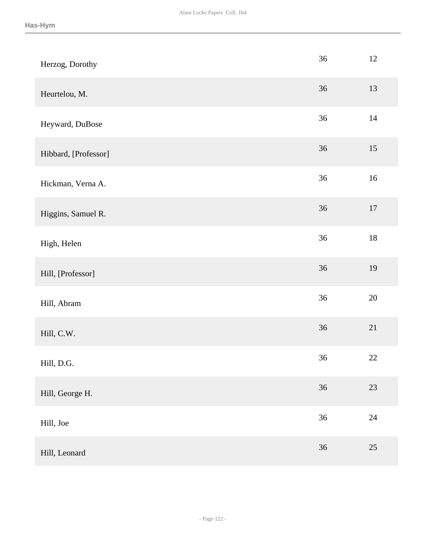| Herzog, Dorothy      | 36     | $12\,$ |
|----------------------|--------|--------|
| Heurtelou, M.        | 36     | 13     |
| Heyward, DuBose      | 36     | 14     |
| Hibbard, [Professor] | 36     | 15     |
| Hickman, Verna A.    | $36\,$ | $16\,$ |
| Higgins, Samuel R.   | 36     | $17\,$ |
| High, Helen          | 36     | $18\,$ |
| Hill, [Professor]    | 36     | 19     |
| Hill, Abram          | $36\,$ | $20\,$ |
| Hill, C.W.           | 36     | 21     |
| Hill, D.G.           | 36     | $22\,$ |
| Hill, George H.      | 36     | $23\,$ |
| Hill, Joe            | 36     | $24\,$ |
| Hill, Leonard        | $36\,$ | 25     |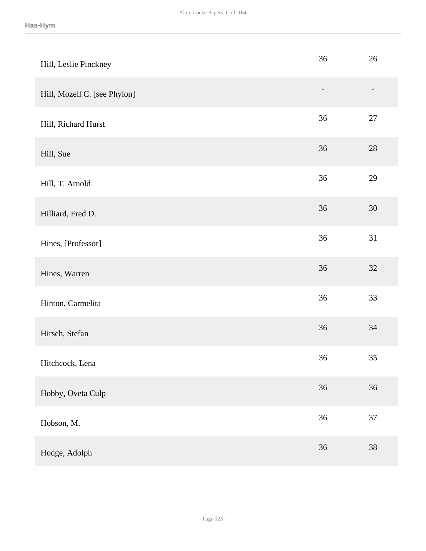| Hill, Leslie Pinckney        | 36                       | $26\,$ |
|------------------------------|--------------------------|--------|
| Hill, Mozell C. [see Phylon] | $\overline{\phantom{0}}$ |        |
| Hill, Richard Hurst          | 36                       | $27\,$ |
| Hill, Sue                    | $36\,$                   | $28\,$ |
| Hill, T. Arnold              | 36                       | 29     |
| Hilliard, Fred D.            | 36                       | $30\,$ |
| Hines, [Professor]           | 36                       | 31     |
| Hines, Warren                | 36                       | $32\,$ |
| Hinton, Carmelita            | 36                       | 33     |
| Hirsch, Stefan               | 36                       | $34\,$ |
| Hitchcock, Lena              | 36                       | 35     |
| Hobby, Oveta Culp            | 36                       | 36     |
| Hobson, M.                   | 36                       | 37     |
| Hodge, Adolph                | 36                       | $38\,$ |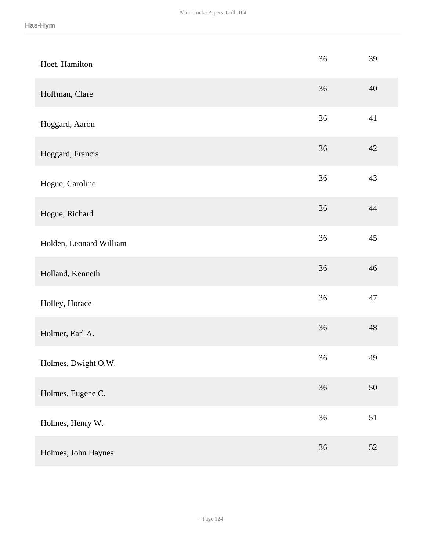| Hoet, Hamilton          | 36     | 39     |
|-------------------------|--------|--------|
| Hoffman, Clare          | 36     | 40     |
| Hoggard, Aaron          | 36     | 41     |
| Hoggard, Francis        | 36     | 42     |
| Hogue, Caroline         | 36     | 43     |
| Hogue, Richard          | 36     | 44     |
| Holden, Leonard William | 36     | $45\,$ |
| Holland, Kenneth        | 36     | 46     |
| Holley, Horace          | 36     | 47     |
| Holmer, Earl A.         | 36     | 48     |
| Holmes, Dwight O.W.     | 36     | 49     |
| Holmes, Eugene C.       | 36     | 50     |
| Holmes, Henry W.        | $36\,$ | 51     |
| Holmes, John Haynes     | 36     | 52     |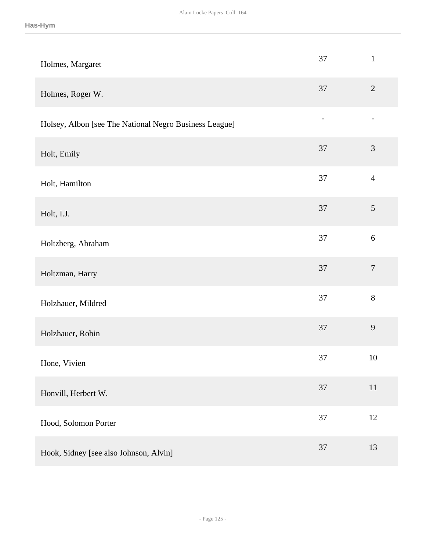| Holmes, Margaret                                       | 37     | $\mathbf{1}$   |
|--------------------------------------------------------|--------|----------------|
| Holmes, Roger W.                                       | 37     | $\overline{2}$ |
| Holsey, Albon [see The National Negro Business League] |        |                |
| Holt, Emily                                            | 37     | $\mathfrak{Z}$ |
| Holt, Hamilton                                         | $37\,$ | $\overline{4}$ |
| Holt, I.J.                                             | 37     | $\sqrt{5}$     |
| Holtzberg, Abraham                                     | 37     | $6\,$          |
| Holtzman, Harry                                        | 37     | $\overline{7}$ |
| Holzhauer, Mildred                                     | 37     | $8\,$          |
| Holzhauer, Robin                                       | 37     | 9              |
| Hone, Vivien                                           | 37     | 10             |
| Honvill, Herbert W.                                    | 37     | 11             |
| Hood, Solomon Porter                                   | $37\,$ | $12\,$         |
| Hook, Sidney [see also Johnson, Alvin]                 | 37     | 13             |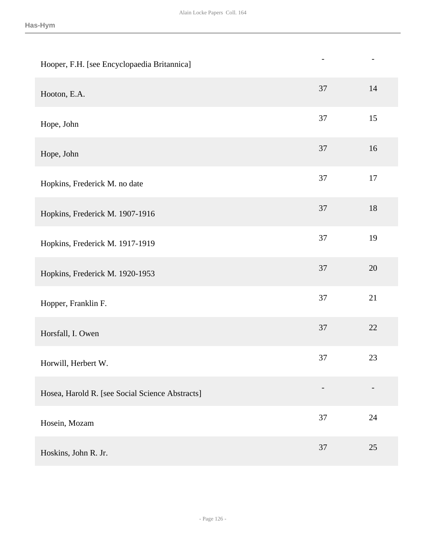| Hooper, F.H. [see Encyclopaedia Britannica]     | $\overline{\phantom{0}}$ | $\overline{\phantom{a}}$ |
|-------------------------------------------------|--------------------------|--------------------------|
| Hooton, E.A.                                    | 37                       | 14                       |
| Hope, John                                      | 37                       | 15                       |
| Hope, John                                      | 37                       | 16                       |
| Hopkins, Frederick M. no date                   | 37                       | 17                       |
| Hopkins, Frederick M. 1907-1916                 | 37                       | $18\,$                   |
| Hopkins, Frederick M. 1917-1919                 | 37                       | 19                       |
| Hopkins, Frederick M. 1920-1953                 | 37                       | $20\,$                   |
| Hopper, Franklin F.                             | 37                       | 21                       |
| Horsfall, I. Owen                               | 37                       | 22                       |
| Horwill, Herbert W.                             | 37                       | 23                       |
| Hosea, Harold R. [see Social Science Abstracts] |                          |                          |
| Hosein, Mozam                                   | $37\,$                   | 24                       |
| Hoskins, John R. Jr.                            | 37                       | 25                       |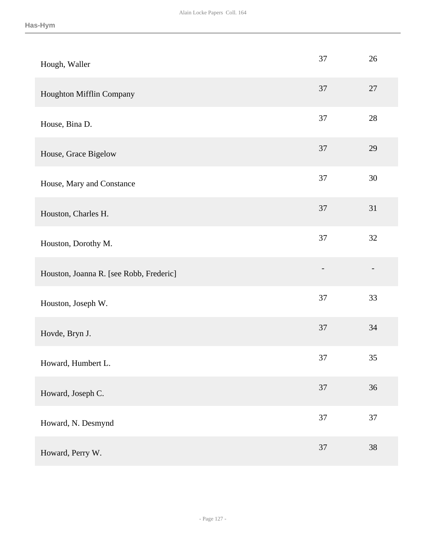| Hough, Waller                           | 37             | 26     |
|-----------------------------------------|----------------|--------|
| Houghton Mifflin Company                | 37             | 27     |
| House, Bina D.                          | 37             | $28\,$ |
| House, Grace Bigelow                    | 37             | 29     |
| House, Mary and Constance               | $37\,$         | $30\,$ |
| Houston, Charles H.                     | 37             | 31     |
| Houston, Dorothy M.                     | 37             | 32     |
| Houston, Joanna R. [see Robb, Frederic] | $\overline{a}$ |        |
| Houston, Joseph W.                      | $37\,$         | 33     |
| Hovde, Bryn J.                          | 37             | 34     |
| Howard, Humbert L.                      | 37             | 35     |
| Howard, Joseph C.                       | 37             | 36     |
| Howard, N. Desmynd                      | 37             | 37     |
| Howard, Perry W.                        | 37             | 38     |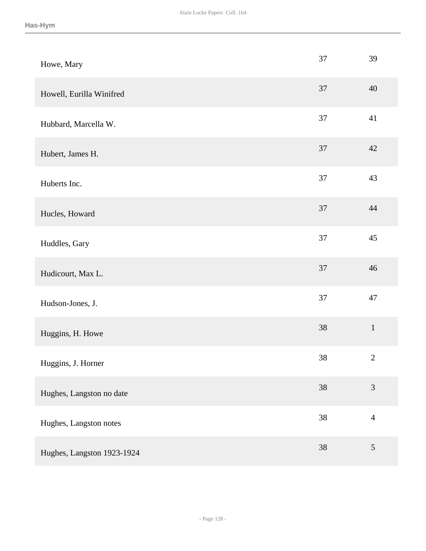| Howe, Mary                 | 37 | 39             |
|----------------------------|----|----------------|
| Howell, Eurilla Winifred   | 37 | 40             |
| Hubbard, Marcella W.       | 37 | 41             |
| Hubert, James H.           | 37 | 42             |
| Huberts Inc.               | 37 | 43             |
| Hucles, Howard             | 37 | 44             |
| Huddles, Gary              | 37 | 45             |
| Hudicourt, Max L.          | 37 | 46             |
| Hudson-Jones, J.           | 37 | 47             |
| Huggins, H. Howe           | 38 | $1\,$          |
| Huggins, J. Horner         | 38 | $\sqrt{2}$     |
| Hughes, Langston no date   | 38 | 3              |
| Hughes, Langston notes     | 38 | $\overline{4}$ |
| Hughes, Langston 1923-1924 | 38 | $\mathfrak{S}$ |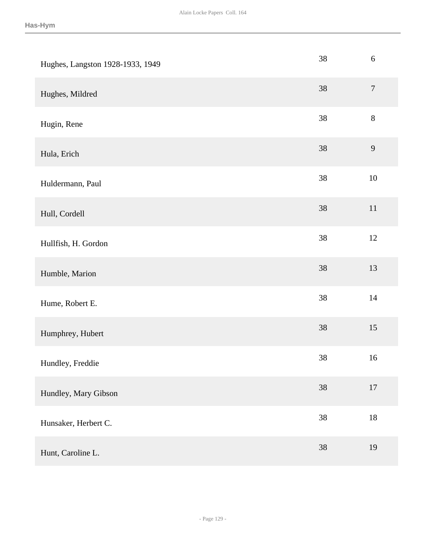| Hughes, Langston 1928-1933, 1949 | 38     | $\sqrt{6}$       |
|----------------------------------|--------|------------------|
| Hughes, Mildred                  | $38\,$ | $\boldsymbol{7}$ |
| Hugin, Rene                      | 38     | $8\,$            |
| Hula, Erich                      | 38     | 9                |
| Huldermann, Paul                 | 38     | $10\,$           |
| Hull, Cordell                    | 38     | 11               |
| Hullfish, H. Gordon              | $38\,$ | $12\,$           |
| Humble, Marion                   | 38     | 13               |
| Hume, Robert E.                  | $38\,$ | $14$             |
| Humphrey, Hubert                 | $38\,$ | 15               |
| Hundley, Freddie                 | $38\,$ | 16               |
| Hundley, Mary Gibson             | 38     | $17\,$           |
| Hunsaker, Herbert C.             | $38\,$ | $18\,$           |
| Hunt, Caroline L.                | 38     | 19               |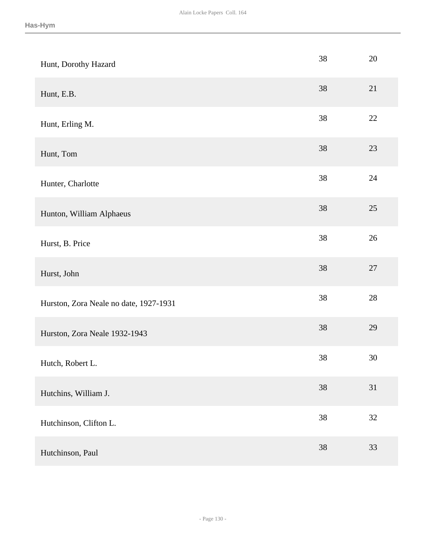| Hunt, Dorothy Hazard                   | 38     | 20     |
|----------------------------------------|--------|--------|
| Hunt, E.B.                             | 38     | 21     |
| Hunt, Erling M.                        | 38     | $22\,$ |
| Hunt, Tom                              | 38     | 23     |
| Hunter, Charlotte                      | 38     | 24     |
| Hunton, William Alphaeus               | 38     | 25     |
| Hurst, B. Price                        | $38\,$ | $26\,$ |
| Hurst, John                            | 38     | $27\,$ |
| Hurston, Zora Neale no date, 1927-1931 | 38     | 28     |
| Hurston, Zora Neale 1932-1943          | 38     | 29     |
| Hutch, Robert L.                       | $38\,$ | $30\,$ |
| Hutchins, William J.                   | 38     | 31     |
| Hutchinson, Clifton L.                 | $38\,$ | $32\,$ |
| Hutchinson, Paul                       | 38     | 33     |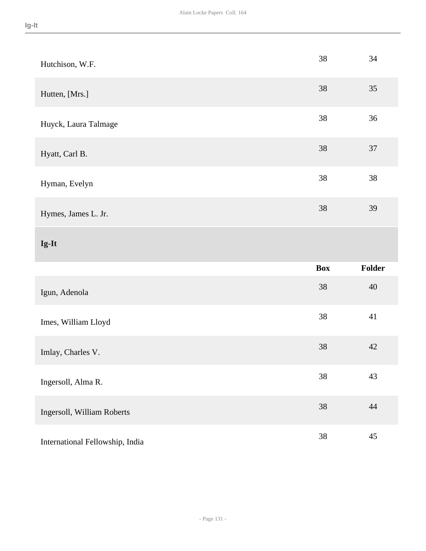| Hutchison, W.F.                 | 38         | 34     |
|---------------------------------|------------|--------|
| Hutten, [Mrs.]                  | 38         | 35     |
| Huyck, Laura Talmage            | 38         | 36     |
| Hyatt, Carl B.                  | 38         | 37     |
| Hyman, Evelyn                   | $38\,$     | 38     |
| Hymes, James L. Jr.             | 38         | 39     |
| Ig-It                           |            |        |
|                                 | <b>Box</b> | Folder |
| Igun, Adenola                   | $38\,$     | 40     |
| Imes, William Lloyd             | 38         | 41     |
| Imlay, Charles V.               | $38\,$     | 42     |
| Ingersoll, Alma R.              | 38         | 43     |
| Ingersoll, William Roberts      | $38\,$     | 44     |
| International Fellowship, India | 38         | 45     |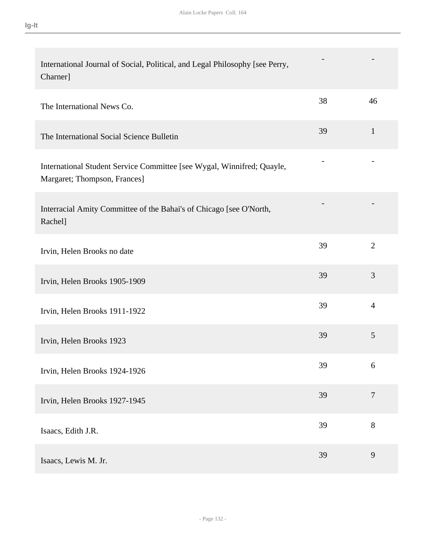| International Journal of Social, Political, and Legal Philosophy [see Perry,<br>Charner]               |    |                |
|--------------------------------------------------------------------------------------------------------|----|----------------|
| The International News Co.                                                                             | 38 | 46             |
| The International Social Science Bulletin                                                              | 39 | $\mathbf{1}$   |
| International Student Service Committee [see Wygal, Winnifred; Quayle,<br>Margaret; Thompson, Frances] |    |                |
| Interracial Amity Committee of the Bahai's of Chicago [see O'North,<br>Rachel]                         |    |                |
| Irvin, Helen Brooks no date                                                                            | 39 | $\overline{2}$ |
| Irvin, Helen Brooks 1905-1909                                                                          | 39 | 3              |
| Irvin, Helen Brooks 1911-1922                                                                          | 39 | $\overline{4}$ |
| Irvin, Helen Brooks 1923                                                                               | 39 | 5              |
| Irvin, Helen Brooks 1924-1926                                                                          | 39 | 6              |
| Irvin, Helen Brooks 1927-1945                                                                          | 39 | $\overline{7}$ |
| Isaacs, Edith J.R.                                                                                     | 39 | 8              |
| Isaacs, Lewis M. Jr.                                                                                   | 39 | 9              |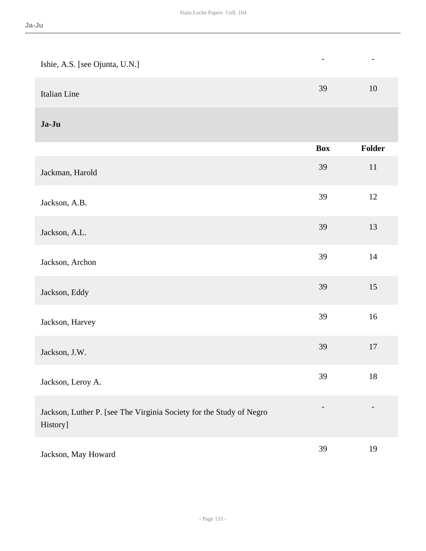| Ishie, A.S. [see Ojunta, U.N.]                                                  |            | $\qquad \qquad -$ |
|---------------------------------------------------------------------------------|------------|-------------------|
| Italian Line                                                                    | 39         | 10                |
| Ja-Ju                                                                           |            |                   |
|                                                                                 | <b>Box</b> | <b>Folder</b>     |
| Jackman, Harold                                                                 | 39         | $11\,$            |
| Jackson, A.B.                                                                   | 39         | 12                |
| Jackson, A.L.                                                                   | 39         | 13                |
| Jackson, Archon                                                                 | 39         | 14                |
| Jackson, Eddy                                                                   | 39         | 15                |
| Jackson, Harvey                                                                 | 39         | 16                |
| Jackson, J.W.                                                                   | 39         | 17                |
| Jackson, Leroy A.                                                               | 39         | 18                |
| Jackson, Luther P. [see The Virginia Society for the Study of Negro<br>History] |            |                   |
| Jackson, May Howard                                                             | 39         | 19                |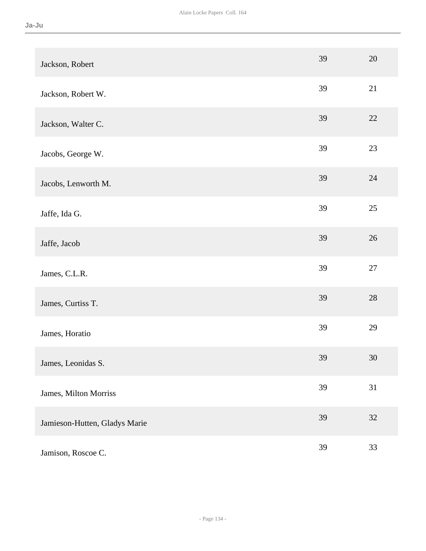| Jackson, Robert               | 39 | 20     |
|-------------------------------|----|--------|
| Jackson, Robert W.            | 39 | 21     |
| Jackson, Walter C.            | 39 | 22     |
| Jacobs, George W.             | 39 | 23     |
| Jacobs, Lenworth M.           | 39 | 24     |
| Jaffe, Ida G.                 | 39 | 25     |
| Jaffe, Jacob                  | 39 | 26     |
| James, C.L.R.                 | 39 | $27\,$ |
| James, Curtiss T.             | 39 | 28     |
| James, Horatio                | 39 | 29     |
| James, Leonidas S.            | 39 | 30     |
| James, Milton Morriss         | 39 | 31     |
| Jamieson-Hutten, Gladys Marie | 39 | $32\,$ |
| Jamison, Roscoe C.            | 39 | 33     |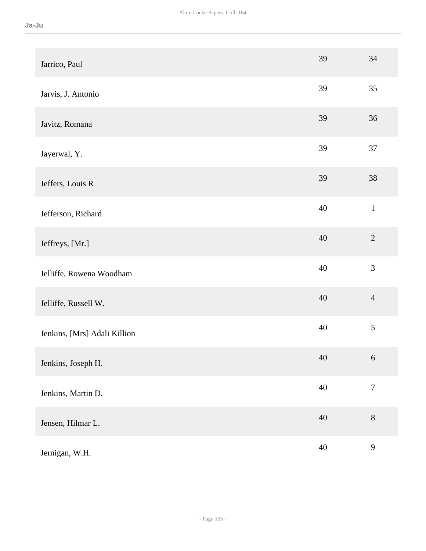| Jarrico, Paul                | 39     | 34               |
|------------------------------|--------|------------------|
| Jarvis, J. Antonio           | 39     | 35               |
| Javitz, Romana               | 39     | 36               |
| Jayerwal, Y.                 | 39     | 37               |
| Jeffers, Louis R             | 39     | 38               |
| Jefferson, Richard           | 40     | $\mathbf{1}$     |
| Jeffreys, [Mr.]              | 40     | $\overline{2}$   |
| Jelliffe, Rowena Woodham     | 40     | 3                |
| Jelliffe, Russell W.         | 40     | $\overline{4}$   |
| Jenkins, [Mrs] Adali Killion | 40     | $\sqrt{5}$       |
| Jenkins, Joseph H.           | 40     | 6                |
| Jenkins, Martin D.           | $40\,$ | $\boldsymbol{7}$ |
| Jensen, Hilmar L.            | $40\,$ | $8\,$            |
| Jernigan, W.H.               | $40\,$ | $\mathbf{9}$     |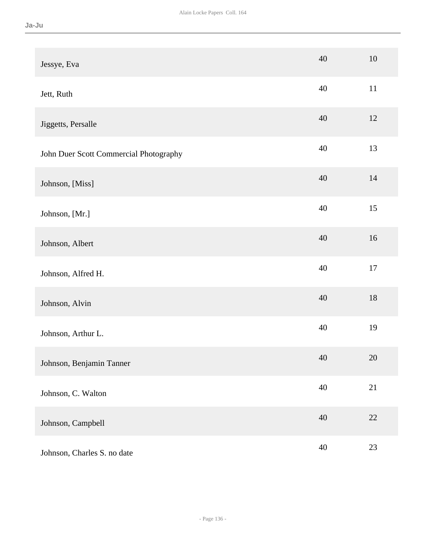| Jessye, Eva                            | 40 | 10     |
|----------------------------------------|----|--------|
| Jett, Ruth                             | 40 | $11\,$ |
| Jiggetts, Persalle                     | 40 | 12     |
| John Duer Scott Commercial Photography | 40 | 13     |
| Johnson, [Miss]                        | 40 | 14     |
| Johnson, [Mr.]                         | 40 | 15     |
| Johnson, Albert                        | 40 | 16     |
| Johnson, Alfred H.                     | 40 | $17\,$ |
| Johnson, Alvin                         | 40 | $18\,$ |
| Johnson, Arthur L.                     | 40 | 19     |
| Johnson, Benjamin Tanner               | 40 | 20     |
| Johnson, C. Walton                     | 40 | 21     |
| Johnson, Campbell                      | 40 | $22\,$ |
| Johnson, Charles S. no date            | 40 | 23     |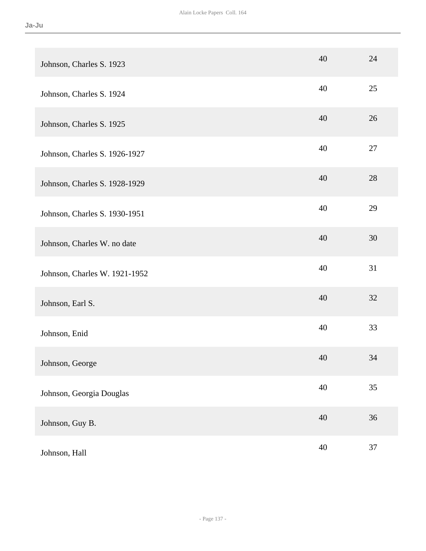| Johnson, Charles S. 1923      | 40 | 24 |
|-------------------------------|----|----|
| Johnson, Charles S. 1924      | 40 | 25 |
| Johnson, Charles S. 1925      | 40 | 26 |
| Johnson, Charles S. 1926-1927 | 40 | 27 |
| Johnson, Charles S. 1928-1929 | 40 | 28 |
| Johnson, Charles S. 1930-1951 | 40 | 29 |
| Johnson, Charles W. no date   | 40 | 30 |
| Johnson, Charles W. 1921-1952 | 40 | 31 |
| Johnson, Earl S.              | 40 | 32 |
| Johnson, Enid                 | 40 | 33 |
| Johnson, George               | 40 | 34 |
| Johnson, Georgia Douglas      | 40 | 35 |
| Johnson, Guy B.               | 40 | 36 |
| Johnson, Hall                 | 40 | 37 |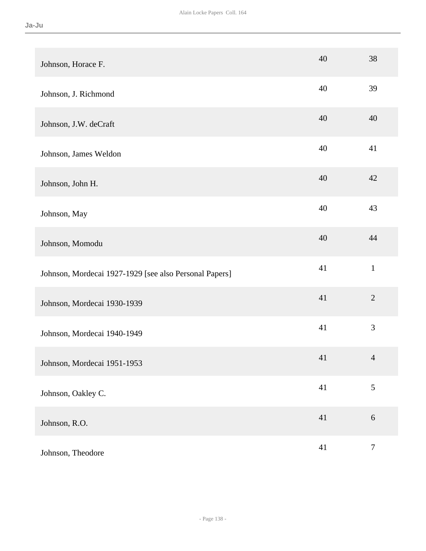| Johnson, Horace F.                                     | 40 | 38               |
|--------------------------------------------------------|----|------------------|
| Johnson, J. Richmond                                   | 40 | 39               |
| Johnson, J.W. deCraft                                  | 40 | 40               |
| Johnson, James Weldon                                  | 40 | 41               |
| Johnson, John H.                                       | 40 | 42               |
| Johnson, May                                           | 40 | 43               |
| Johnson, Momodu                                        | 40 | 44               |
| Johnson, Mordecai 1927-1929 [see also Personal Papers] | 41 | $\mathbf{1}$     |
| Johnson, Mordecai 1930-1939                            | 41 | $\sqrt{2}$       |
| Johnson, Mordecai 1940-1949                            | 41 | 3                |
| Johnson, Mordecai 1951-1953                            | 41 | $\overline{4}$   |
| Johnson, Oakley C.                                     | 41 | 5                |
| Johnson, R.O.                                          | 41 | $\sqrt{6}$       |
| Johnson, Theodore                                      | 41 | $\boldsymbol{7}$ |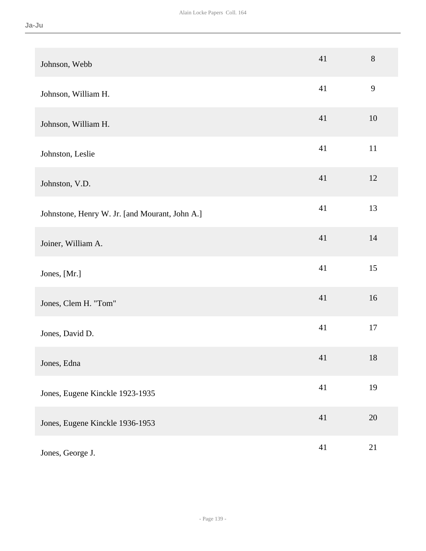| Johnson, Webb                                  | 41 | 8            |
|------------------------------------------------|----|--------------|
| Johnson, William H.                            | 41 | $\mathbf{9}$ |
| Johnson, William H.                            | 41 | 10           |
| Johnston, Leslie                               | 41 | $11\,$       |
| Johnston, V.D.                                 | 41 | 12           |
| Johnstone, Henry W. Jr. [and Mourant, John A.] | 41 | 13           |
| Joiner, William A.                             | 41 | 14           |
| Jones, [Mr.]                                   | 41 | 15           |
| Jones, Clem H. "Tom"                           | 41 | 16           |
| Jones, David D.                                | 41 | 17           |
| Jones, Edna                                    | 41 | $18\,$       |
| Jones, Eugene Kinckle 1923-1935                | 41 | 19           |
| Jones, Eugene Kinckle 1936-1953                | 41 | 20           |
| Jones, George J.                               | 41 | 21           |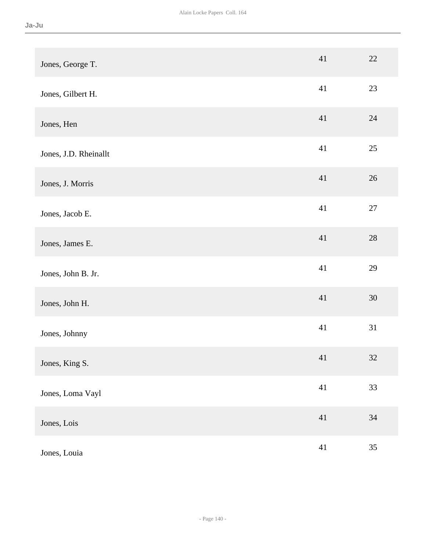| Jones, George T.      | 41     | $22\,$ |
|-----------------------|--------|--------|
| Jones, Gilbert H.     | 41     | 23     |
| Jones, Hen            | 41     | 24     |
| Jones, J.D. Rheinallt | 41     | $25\,$ |
| Jones, J. Morris      | 41     | 26     |
| Jones, Jacob E.       | 41     | $27\,$ |
| Jones, James E.       | 41     | $28\,$ |
| Jones, John B. Jr.    | 41     | 29     |
| Jones, John H.        | 41     | $30\,$ |
| Jones, Johnny         | 41     | 31     |
| Jones, King S.        | 41     | 32     |
| Jones, Loma Vayl      | 41     | 33     |
| Jones, Lois           | $41\,$ | 34     |
| Jones, Louia          | $41\,$ | 35     |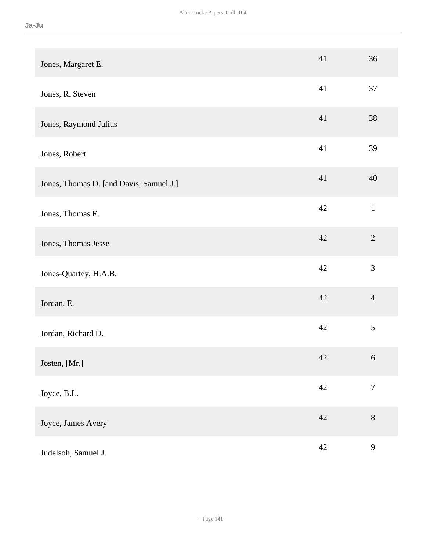| Jones, Margaret E.                      | 41     | 36               |
|-----------------------------------------|--------|------------------|
| Jones, R. Steven                        | 41     | 37               |
| Jones, Raymond Julius                   | 41     | 38               |
| Jones, Robert                           | 41     | 39               |
| Jones, Thomas D. [and Davis, Samuel J.] | 41     | 40               |
| Jones, Thomas E.                        | 42     | $\mathbf{1}$     |
| Jones, Thomas Jesse                     | 42     | $\overline{2}$   |
| Jones-Quartey, H.A.B.                   | 42     | 3                |
| Jordan, E.                              | 42     | $\overline{4}$   |
| Jordan, Richard D.                      | 42     | 5                |
| Josten, [Mr.]                           | 42     | 6                |
| Joyce, B.L.                             | 42     | $\boldsymbol{7}$ |
| Joyce, James Avery                      | $42\,$ | $8\,$            |
| Judelsoh, Samuel J.                     | 42     | $\mathbf{9}$     |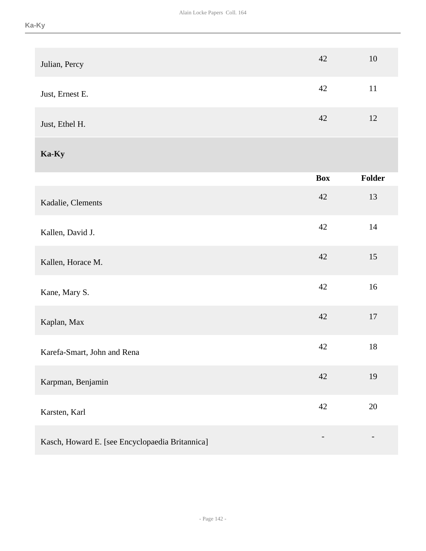| Julian, Percy                                   | 42                       | 10     |
|-------------------------------------------------|--------------------------|--------|
| Just, Ernest E.                                 | 42                       | 11     |
| Just, Ethel H.                                  | 42                       | 12     |
| Ka-Ky                                           |                          |        |
|                                                 | <b>Box</b>               | Folder |
| Kadalie, Clements                               | 42                       | 13     |
| Kallen, David J.                                | 42                       | 14     |
| Kallen, Horace M.                               | 42                       | 15     |
| Kane, Mary S.                                   | 42                       | 16     |
| Kaplan, Max                                     | 42                       | $17\,$ |
| Karefa-Smart, John and Rena                     | 42                       | $18\,$ |
| Karpman, Benjamin                               | 42                       | 19     |
| Karsten, Karl                                   | 42                       | $20\,$ |
| Kasch, Howard E. [see Encyclopaedia Britannica] | $\overline{\phantom{0}}$ |        |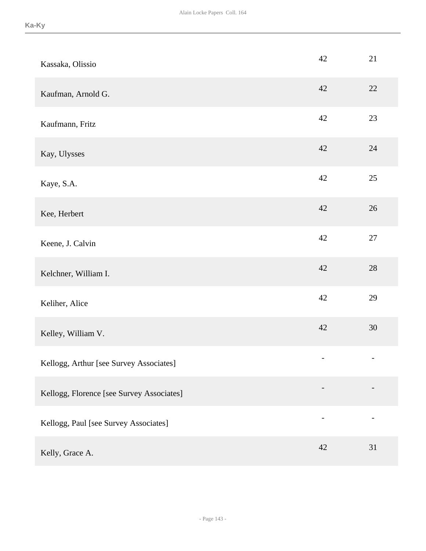| Kassaka, Olissio                          | 42 | 21     |
|-------------------------------------------|----|--------|
| Kaufman, Arnold G.                        | 42 | 22     |
| Kaufmann, Fritz                           | 42 | 23     |
| Kay, Ulysses                              | 42 | 24     |
| Kaye, S.A.                                | 42 | 25     |
| Kee, Herbert                              | 42 | 26     |
| Keene, J. Calvin                          | 42 | $27\,$ |
| Kelchner, William I.                      | 42 | $28\,$ |
| Keliher, Alice                            | 42 | 29     |
| Kelley, William V.                        | 42 | 30     |
| Kellogg, Arthur [see Survey Associates]   | -  | -      |
| Kellogg, Florence [see Survey Associates] |    |        |
| Kellogg, Paul [see Survey Associates]     | -  |        |
| Kelly, Grace A.                           | 42 | 31     |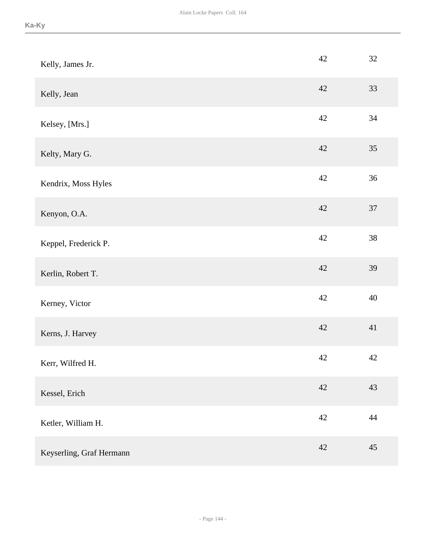| Kelly, James Jr.         | 42     | $32\,$ |
|--------------------------|--------|--------|
| Kelly, Jean              | 42     | 33     |
| Kelsey, [Mrs.]           | 42     | 34     |
| Kelty, Mary G.           | 42     | 35     |
| Kendrix, Moss Hyles      | 42     | 36     |
| Kenyon, O.A.             | 42     | 37     |
| Keppel, Frederick P.     | 42     | 38     |
| Kerlin, Robert T.        | $42\,$ | 39     |
| Kerney, Victor           | 42     | 40     |
| Kerns, J. Harvey         | 42     | 41     |
| Kerr, Wilfred H.         | $42\,$ | $42\,$ |
| Kessel, Erich            | 42     | 43     |
| Ketler, William H.       | 42     | 44     |
| Keyserling, Graf Hermann | 42     | 45     |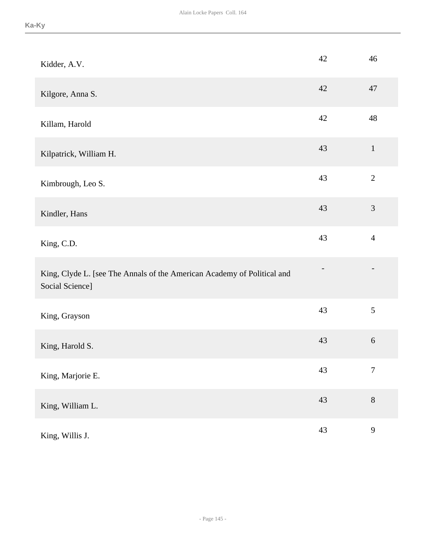| Kidder, A.V.                                                                               | 42 | 46               |
|--------------------------------------------------------------------------------------------|----|------------------|
| Kilgore, Anna S.                                                                           | 42 | 47               |
| Killam, Harold                                                                             | 42 | 48               |
| Kilpatrick, William H.                                                                     | 43 | $\mathbf{1}$     |
| Kimbrough, Leo S.                                                                          | 43 | $\overline{2}$   |
| Kindler, Hans                                                                              | 43 | $\mathfrak{Z}$   |
| King, C.D.                                                                                 | 43 | $\overline{4}$   |
| King, Clyde L. [see The Annals of the American Academy of Political and<br>Social Science] |    |                  |
| King, Grayson                                                                              | 43 | 5                |
| King, Harold S.                                                                            | 43 | $6\,$            |
| King, Marjorie E.                                                                          | 43 | $\boldsymbol{7}$ |
| King, William L.                                                                           | 43 | $8\,$            |
| King, Willis J.                                                                            | 43 | 9                |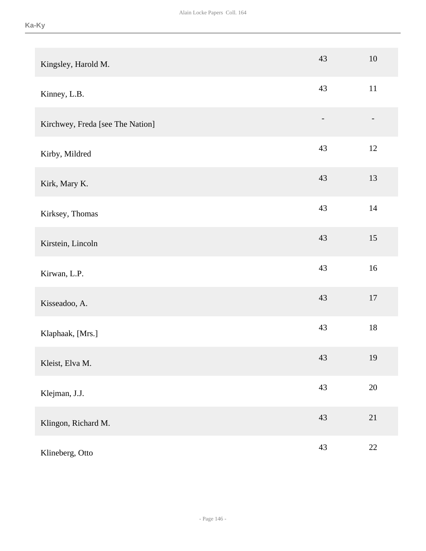| Kingsley, Harold M.              | 43 | 10     |
|----------------------------------|----|--------|
| Kinney, L.B.                     | 43 | 11     |
| Kirchwey, Freda [see The Nation] |    |        |
| Kirby, Mildred                   | 43 | 12     |
| Kirk, Mary K.                    | 43 | 13     |
| Kirksey, Thomas                  | 43 | $14\,$ |
| Kirstein, Lincoln                | 43 | 15     |
| Kirwan, L.P.                     | 43 | 16     |
| Kisseadoo, A.                    | 43 | $17\,$ |
| Klaphaak, [Mrs.]                 | 43 | $18\,$ |
| Kleist, Elva M.                  | 43 | 19     |
| Klejman, J.J.                    | 43 | $20\,$ |
| Klingon, Richard M.              | 43 | 21     |
| Klineberg, Otto                  | 43 | $22\,$ |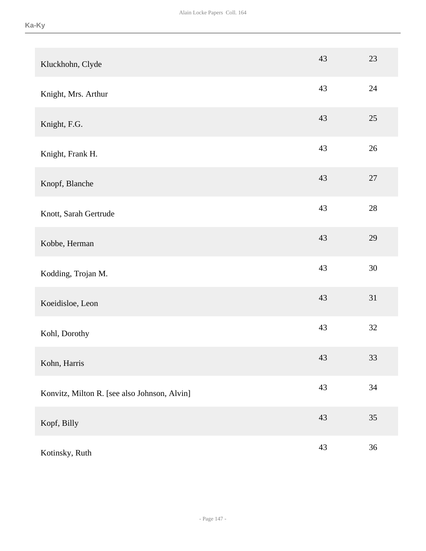| Kluckhohn, Clyde                             | 43     | 23     |
|----------------------------------------------|--------|--------|
| Knight, Mrs. Arthur                          | 43     | 24     |
| Knight, F.G.                                 | 43     | $25\,$ |
| Knight, Frank H.                             | 43     | 26     |
| Knopf, Blanche                               | 43     | $27\,$ |
| Knott, Sarah Gertrude                        | 43     | $28\,$ |
| Kobbe, Herman                                | 43     | 29     |
| Kodding, Trojan M.                           | 43     | 30     |
| Koeidisloe, Leon                             | 43     | 31     |
| Kohl, Dorothy                                | 43     | 32     |
| Kohn, Harris                                 | 43     | 33     |
| Konvitz, Milton R. [see also Johnson, Alvin] | 43     | 34     |
| Kopf, Billy                                  | $43\,$ | 35     |
| Kotinsky, Ruth                               | 43     | 36     |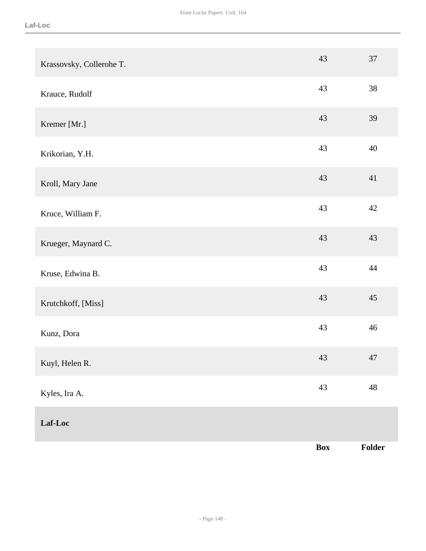|                          | Box | Folder      |
|--------------------------|-----|-------------|
| Laf-Loc                  |     |             |
| Kyles, Ira A.            | 43  | $\sqrt{48}$ |
| Kuyl, Helen R.           | 43  | 47          |
| Kunz, Dora               | 43  | 46          |
| Krutchkoff, [Miss]       | 43  | 45          |
| Kruse, Edwina B.         | 43  | 44          |
| Krueger, Maynard C.      | 43  | 43          |
| Kruce, William F.        | 43  | $42\,$      |
| Kroll, Mary Jane         | 43  | 41          |
| Krikorian, Y.H.          | 43  | 40          |
| Kremer [Mr.]             | 43  | 39          |
| Krauce, Rudolf           | 43  | 38          |
| Krassovsky, Collerohe T. | 43  | 37          |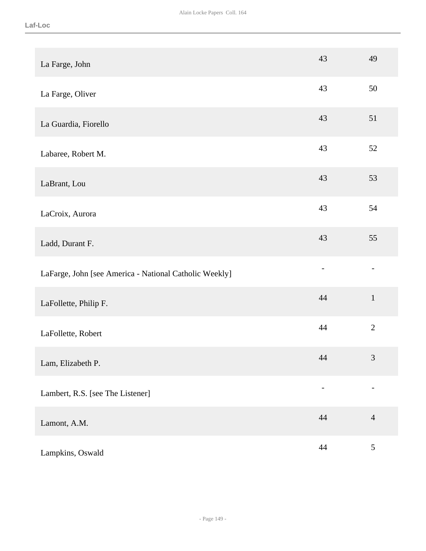| La Farge, John                                         | 43 | 49             |
|--------------------------------------------------------|----|----------------|
| La Farge, Oliver                                       | 43 | 50             |
| La Guardia, Fiorello                                   | 43 | 51             |
| Labaree, Robert M.                                     | 43 | 52             |
| LaBrant, Lou                                           | 43 | 53             |
| LaCroix, Aurora                                        | 43 | 54             |
| Ladd, Durant F.                                        | 43 | 55             |
| LaFarge, John [see America - National Catholic Weekly] |    |                |
| LaFollette, Philip F.                                  | 44 | $\mathbf{1}$   |
| LaFollette, Robert                                     | 44 | $\overline{2}$ |
| Lam, Elizabeth P.                                      | 44 | $\mathfrak{Z}$ |
| Lambert, R.S. [see The Listener]                       |    |                |
| Lamont, A.M.                                           | 44 | $\overline{4}$ |
| Lampkins, Oswald                                       | 44 | $\sqrt{5}$     |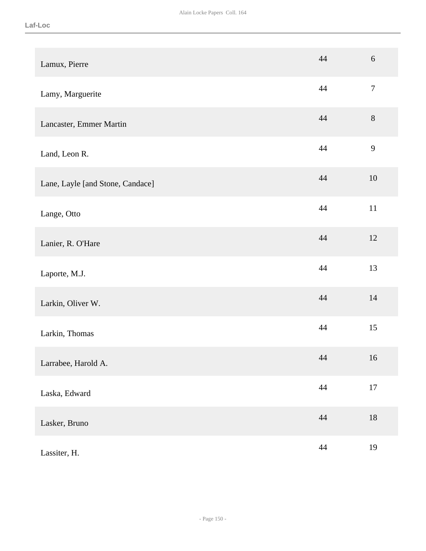| Lamux, Pierre                    | 44     | $6\,$  |
|----------------------------------|--------|--------|
| Lamy, Marguerite                 | 44     | $\tau$ |
| Lancaster, Emmer Martin          | 44     | $8\,$  |
| Land, Leon R.                    | 44     | 9      |
| Lane, Layle [and Stone, Candace] | 44     | 10     |
| Lange, Otto                      | 44     | $11\,$ |
| Lanier, R. O'Hare                | 44     | 12     |
| Laporte, M.J.                    | 44     | 13     |
| Larkin, Oliver W.                | 44     | 14     |
| Larkin, Thomas                   | 44     | 15     |
| Larrabee, Harold A.              | 44     | 16     |
| Laska, Edward                    | 44     | $17\,$ |
| Lasker, Bruno                    | 44     | $18\,$ |
| Lassiter, H.                     | $44\,$ | 19     |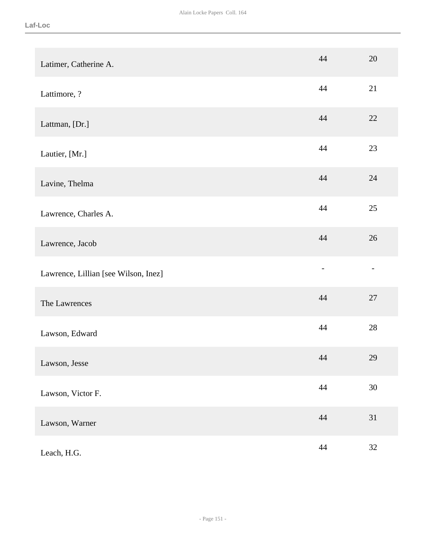| Latimer, Catherine A.                | 44     | 20     |
|--------------------------------------|--------|--------|
| Lattimore, ?                         | 44     | 21     |
| Lattman, [Dr.]                       | 44     | 22     |
| Lautier, [Mr.]                       | 44     | 23     |
| Lavine, Thelma                       | 44     | 24     |
| Lawrence, Charles A.                 | 44     | 25     |
| Lawrence, Jacob                      | 44     | 26     |
| Lawrence, Lillian [see Wilson, Inez] |        |        |
| The Lawrences                        | 44     | 27     |
| Lawson, Edward                       | 44     | 28     |
| Lawson, Jesse                        | 44     | 29     |
| Lawson, Victor F.                    | 44     | $30\,$ |
| Lawson, Warner                       | 44     | 31     |
| Leach, H.G.                          | $44\,$ | 32     |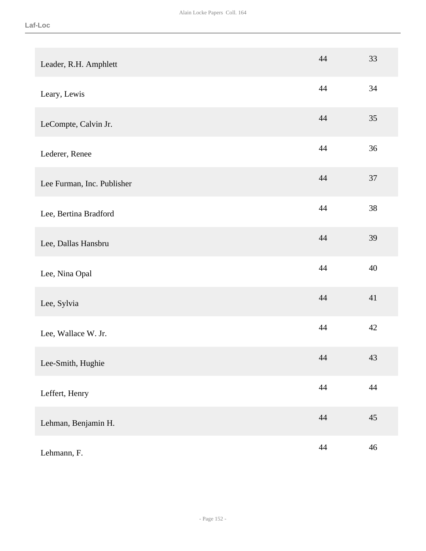| Leader, R.H. Amphlett      | 44     | 33     |
|----------------------------|--------|--------|
| Leary, Lewis               | 44     | 34     |
| LeCompte, Calvin Jr.       | 44     | 35     |
| Lederer, Renee             | 44     | 36     |
| Lee Furman, Inc. Publisher | 44     | 37     |
| Lee, Bertina Bradford      | 44     | 38     |
| Lee, Dallas Hansbru        | 44     | 39     |
| Lee, Nina Opal             | 44     | 40     |
| Lee, Sylvia                | 44     | 41     |
| Lee, Wallace W. Jr.        | 44     | 42     |
| Lee-Smith, Hughie          | 44     | 43     |
| Leffert, Henry             | $44\,$ | $44\,$ |
| Lehman, Benjamin H.        | 44     | $45\,$ |
| Lehmann, F.                | $44\,$ | $46\,$ |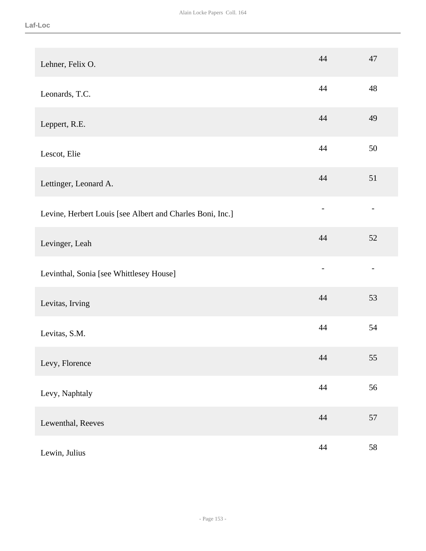| Lehner, Felix O.                                          | 44                       | 47 |
|-----------------------------------------------------------|--------------------------|----|
| Leonards, T.C.                                            | 44                       | 48 |
| Leppert, R.E.                                             | 44                       | 49 |
| Lescot, Elie                                              | 44                       | 50 |
| Lettinger, Leonard A.                                     | 44                       | 51 |
| Levine, Herbert Louis [see Albert and Charles Boni, Inc.] | $\overline{\phantom{0}}$ |    |
| Levinger, Leah                                            | 44                       | 52 |
| Levinthal, Sonia [see Whittlesey House]                   |                          |    |
| Levitas, Irving                                           | 44                       | 53 |
| Levitas, S.M.                                             | 44                       | 54 |
| Levy, Florence                                            | 44                       | 55 |
| Levy, Naphtaly                                            | $44$                     | 56 |
| Lewenthal, Reeves                                         | $44\,$                   | 57 |
| Lewin, Julius                                             | $44\,$                   | 58 |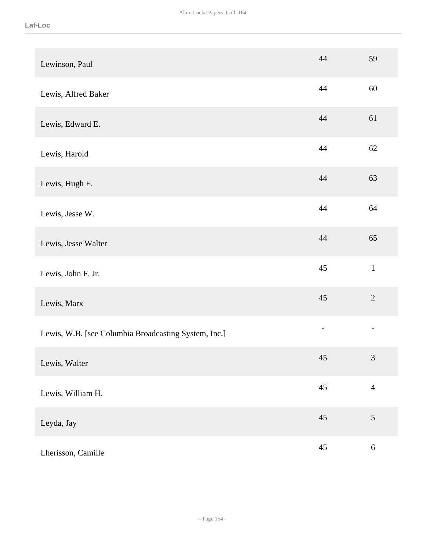| Lewinson, Paul                                       | 44 | 59                       |
|------------------------------------------------------|----|--------------------------|
| Lewis, Alfred Baker                                  | 44 | 60                       |
| Lewis, Edward E.                                     | 44 | 61                       |
| Lewis, Harold                                        | 44 | 62                       |
| Lewis, Hugh F.                                       | 44 | 63                       |
| Lewis, Jesse W.                                      | 44 | 64                       |
| Lewis, Jesse Walter                                  | 44 | 65                       |
| Lewis, John F. Jr.                                   | 45 | $\mathbf{1}$             |
| Lewis, Marx                                          | 45 | $\overline{2}$           |
| Lewis, W.B. [see Columbia Broadcasting System, Inc.] |    | $\overline{\phantom{a}}$ |
| Lewis, Walter                                        | 45 | $\mathfrak{Z}$           |
| Lewis, William H.                                    | 45 | $\overline{4}$           |
| Leyda, Jay                                           | 45 | $\sqrt{5}$               |
| Lherisson, Camille                                   | 45 | $6\,$                    |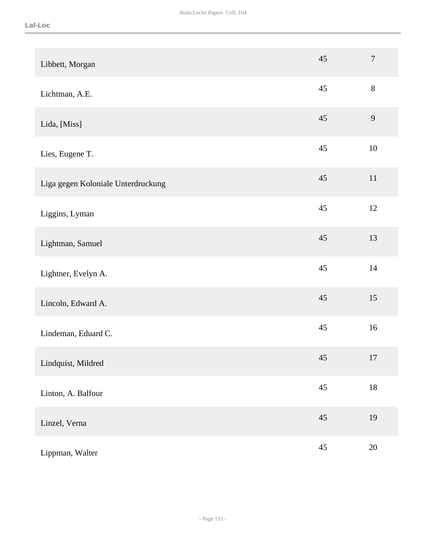| Libbett, Morgan                    | 45 | $\overline{7}$ |
|------------------------------------|----|----------------|
| Lichtman, A.E.                     | 45 | $8\,$          |
| Lida, [Miss]                       | 45 | $\overline{9}$ |
| Lies, Eugene T.                    | 45 | $10\,$         |
| Liga gegen Koloniale Unterdruckung | 45 | $11\,$         |
| Liggins, Lyman                     | 45 | 12             |
| Lightman, Samuel                   | 45 | 13             |
| Lightner, Evelyn A.                | 45 | 14             |
| Lincoln, Edward A.                 | 45 | 15             |
| Lindeman, Eduard C.                | 45 | 16             |
| Lindquist, Mildred                 | 45 | 17             |
| Linton, A. Balfour                 | 45 | $18\,$         |
| Linzel, Verna                      | 45 | 19             |
| Lippman, Walter                    | 45 | $20\,$         |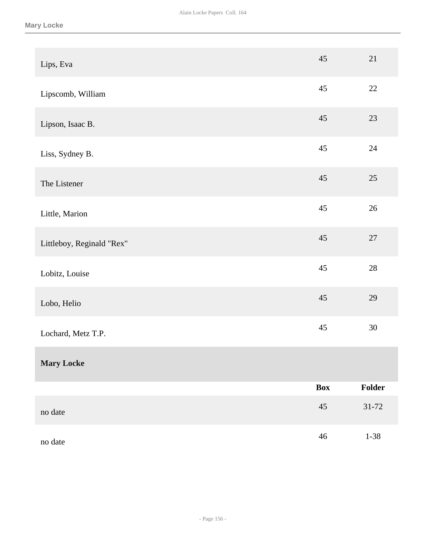| Lips, Eva                 | 45         | 21        |
|---------------------------|------------|-----------|
| Lipscomb, William         | 45         | $22\,$    |
| Lipson, Isaac B.          | 45         | 23        |
| Liss, Sydney B.           | 45         | $24\,$    |
| The Listener              | 45         | $25\,$    |
| Little, Marion            | 45         | $26\,$    |
| Littleboy, Reginald "Rex" | 45         | $27\,$    |
| Lobitz, Louise            | 45         | $28\,$    |
| Lobo, Helio               | 45         | 29        |
| Lochard, Metz T.P.        | 45         | 30        |
| <b>Mary Locke</b>         |            |           |
|                           | <b>Box</b> | Folder    |
| no date                   | $45\,$     | $31 - 72$ |
| no date                   | $46\,$     | $1 - 38$  |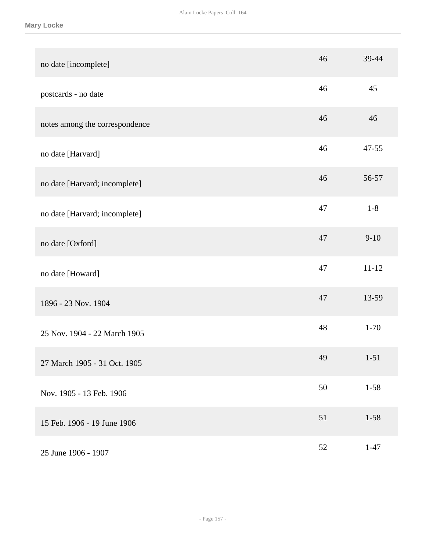| no date [incomplete]           | 46 | 39-44     |
|--------------------------------|----|-----------|
| postcards - no date            | 46 | 45        |
| notes among the correspondence | 46 | 46        |
| no date [Harvard]              | 46 | 47-55     |
| no date [Harvard; incomplete]  | 46 | 56-57     |
| no date [Harvard; incomplete]  | 47 | $1 - 8$   |
| no date [Oxford]               | 47 | $9-10$    |
| no date [Howard]               | 47 | $11 - 12$ |
| 1896 - 23 Nov. 1904            | 47 | 13-59     |
| 25 Nov. 1904 - 22 March 1905   | 48 | $1 - 70$  |
| 27 March 1905 - 31 Oct. 1905   | 49 | $1 - 51$  |
| Nov. 1905 - 13 Feb. 1906       | 50 | $1 - 58$  |
| 15 Feb. 1906 - 19 June 1906    | 51 | $1 - 58$  |
| 25 June 1906 - 1907            | 52 | $1 - 47$  |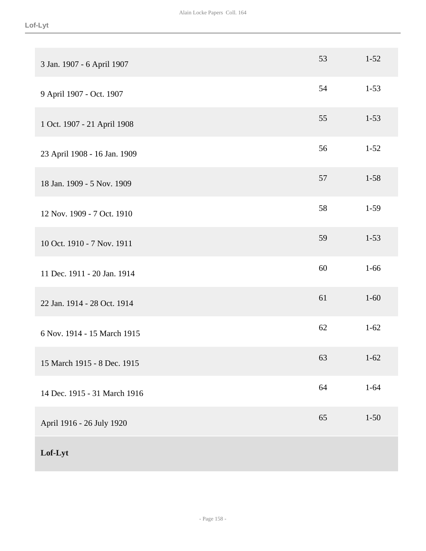| 3 Jan. 1907 - 6 April 1907   | 53 | $1 - 52$ |
|------------------------------|----|----------|
| 9 April 1907 - Oct. 1907     | 54 | $1 - 53$ |
| 1 Oct. 1907 - 21 April 1908  | 55 | $1 - 53$ |
| 23 April 1908 - 16 Jan. 1909 | 56 | $1 - 52$ |
| 18 Jan. 1909 - 5 Nov. 1909   | 57 | $1 - 58$ |
| 12 Nov. 1909 - 7 Oct. 1910   | 58 | $1-59$   |
| 10 Oct. 1910 - 7 Nov. 1911   | 59 | $1 - 53$ |
| 11 Dec. 1911 - 20 Jan. 1914  | 60 | $1 - 66$ |
| 22 Jan. 1914 - 28 Oct. 1914  | 61 | $1 - 60$ |
| 6 Nov. 1914 - 15 March 1915  | 62 | $1 - 62$ |
| 15 March 1915 - 8 Dec. 1915  | 63 | $1-62$   |
| 14 Dec. 1915 - 31 March 1916 | 64 | $1 - 64$ |
| April 1916 - 26 July 1920    | 65 | $1 - 50$ |
| Lof-Lyt                      |    |          |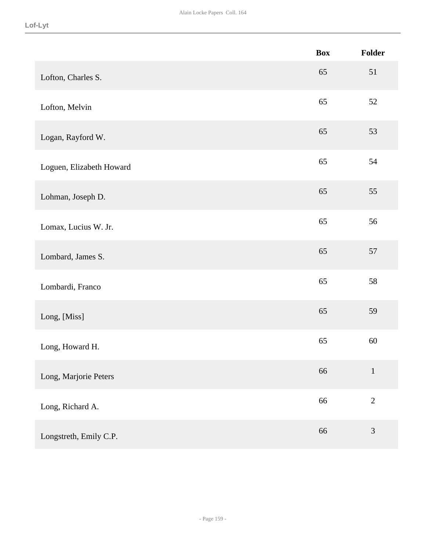|                          | <b>Box</b> | Folder         |
|--------------------------|------------|----------------|
| Lofton, Charles S.       | 65         | 51             |
| Lofton, Melvin           | 65         | 52             |
| Logan, Rayford W.        | 65         | 53             |
| Loguen, Elizabeth Howard | 65         | 54             |
| Lohman, Joseph D.        | 65         | 55             |
| Lomax, Lucius W. Jr.     | 65         | 56             |
| Lombard, James S.        | 65         | 57             |
| Lombardi, Franco         | 65         | 58             |
| Long, [Miss]             | 65         | 59             |
| Long, Howard H.          | 65         | $60\,$         |
| Long, Marjorie Peters    | 66         | $\mathbf 1$    |
| Long, Richard A.         | 66         | $\sqrt{2}$     |
| Longstreth, Emily C.P.   | 66         | $\mathfrak{Z}$ |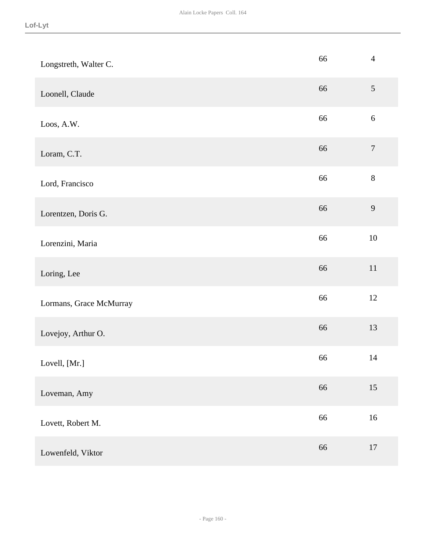| Longstreth, Walter C.   | 66 | $\overline{4}$   |
|-------------------------|----|------------------|
| Loonell, Claude         | 66 | $\mathfrak{S}$   |
| Loos, A.W.              | 66 | $6\,$            |
| Loram, C.T.             | 66 | $\boldsymbol{7}$ |
| Lord, Francisco         | 66 | $8\,$            |
| Lorentzen, Doris G.     | 66 | $\overline{9}$   |
| Lorenzini, Maria        | 66 | $10\,$           |
| Loring, Lee             | 66 | $11\,$           |
| Lormans, Grace McMurray | 66 | $12\,$           |
| Lovejoy, Arthur O.      | 66 | 13               |
| Lovell, [Mr.]           | 66 | $14$             |
| Loveman, Amy            | 66 | 15               |
| Lovett, Robert M.       | 66 | $16\,$           |
| Lowenfeld, Viktor       | 66 | $17\,$           |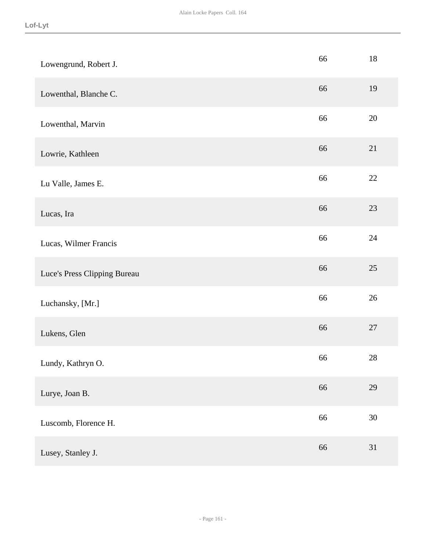| Lowengrund, Robert J.        | 66 | 18     |
|------------------------------|----|--------|
| Lowenthal, Blanche C.        | 66 | 19     |
| Lowenthal, Marvin            | 66 | 20     |
| Lowrie, Kathleen             | 66 | 21     |
| Lu Valle, James E.           | 66 | 22     |
| Lucas, Ira                   | 66 | 23     |
| Lucas, Wilmer Francis        | 66 | $24\,$ |
| Luce's Press Clipping Bureau | 66 | $25\,$ |
| Luchansky, [Mr.]             | 66 | 26     |
| Lukens, Glen                 | 66 | $27\,$ |
| Lundy, Kathryn O.            | 66 | $28\,$ |
| Lurye, Joan B.               | 66 | 29     |
| Luscomb, Florence H.         | 66 | $30\,$ |
| Lusey, Stanley J.            | 66 | 31     |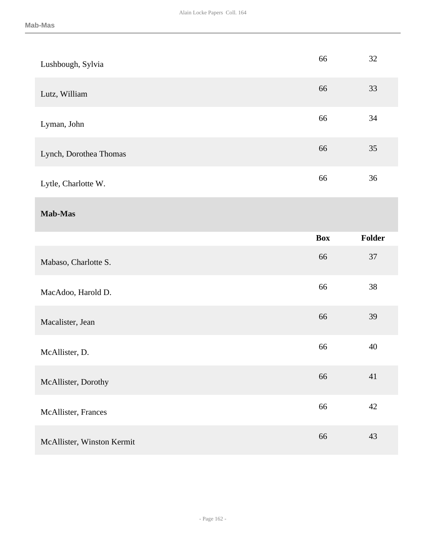| Lushbough, Sylvia      | 66         | 32     |
|------------------------|------------|--------|
| Lutz, William          | 66         | 33     |
| Lyman, John            | 66         | 34     |
| Lynch, Dorothea Thomas | 66         | 35     |
| Lytle, Charlotte W.    | 66         | 36     |
| Mab-Mas                |            |        |
|                        | <b>Box</b> | Folder |
|                        |            |        |
| Mabaso, Charlotte S.   | 66         | 37     |
| MacAdoo, Harold D.     | 66         | 38     |
| Macalister, Jean       | 66         | 39     |
| McAllister, D.         | 66         | 40     |
| McAllister, Dorothy    | 66         | 41     |
| McAllister, Frances    | 66         | $42\,$ |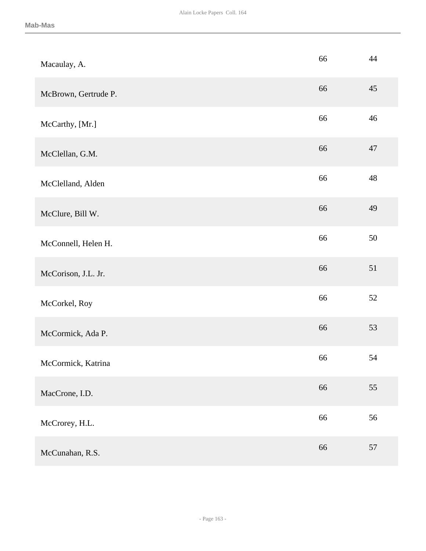| Macaulay, A.         | 66 | 44 |
|----------------------|----|----|
| McBrown, Gertrude P. | 66 | 45 |
| McCarthy, [Mr.]      | 66 | 46 |
| McClellan, G.M.      | 66 | 47 |
| McClelland, Alden    | 66 | 48 |
| McClure, Bill W.     | 66 | 49 |
| McConnell, Helen H.  | 66 | 50 |
| McCorison, J.L. Jr.  | 66 | 51 |
| McCorkel, Roy        | 66 | 52 |
| McCormick, Ada P.    | 66 | 53 |
| McCormick, Katrina   | 66 | 54 |
| MacCrone, I.D.       | 66 | 55 |
| McCrorey, H.L.       | 66 | 56 |
| McCunahan, R.S.      | 66 | 57 |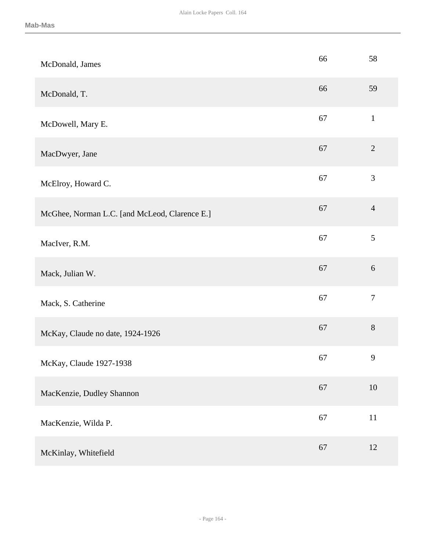| McDonald, James                               | 66 | 58             |
|-----------------------------------------------|----|----------------|
| McDonald, T.                                  | 66 | 59             |
| McDowell, Mary E.                             | 67 | $\mathbf{1}$   |
| MacDwyer, Jane                                | 67 | $\overline{2}$ |
| McElroy, Howard C.                            | 67 | $\mathfrak{Z}$ |
| McGhee, Norman L.C. [and McLeod, Clarence E.] | 67 | $\overline{4}$ |
| MacIver, R.M.                                 | 67 | 5              |
| Mack, Julian W.                               | 67 | $6\,$          |
| Mack, S. Catherine                            | 67 | $\overline{7}$ |
| McKay, Claude no date, 1924-1926              | 67 | $8\,$          |
| McKay, Claude 1927-1938                       | 67 | 9              |
| MacKenzie, Dudley Shannon                     | 67 | $10\,$         |
| MacKenzie, Wilda P.                           | 67 | $11\,$         |
| McKinlay, Whitefield                          | 67 | 12             |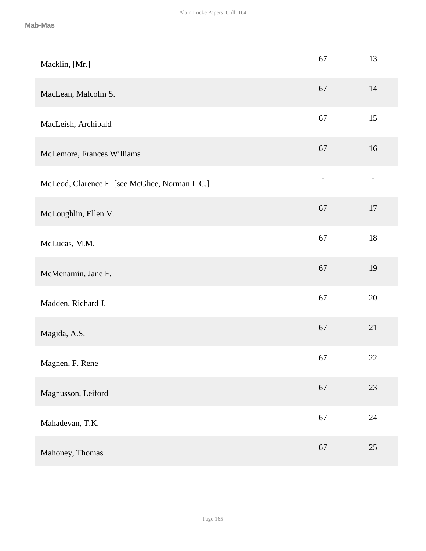| Macklin, [Mr.]                                | 67 | 13 |
|-----------------------------------------------|----|----|
| MacLean, Malcolm S.                           | 67 | 14 |
| MacLeish, Archibald                           | 67 | 15 |
| McLemore, Frances Williams                    | 67 | 16 |
| McLeod, Clarence E. [see McGhee, Norman L.C.] |    |    |
| McLoughlin, Ellen V.                          | 67 | 17 |
| McLucas, M.M.                                 | 67 | 18 |
| McMenamin, Jane F.                            | 67 | 19 |
| Madden, Richard J.                            | 67 | 20 |
| Magida, A.S.                                  | 67 | 21 |
| Magnen, F. Rene                               | 67 | 22 |
| Magnusson, Leiford                            | 67 | 23 |
| Mahadevan, T.K.                               | 67 | 24 |
| Mahoney, Thomas                               | 67 | 25 |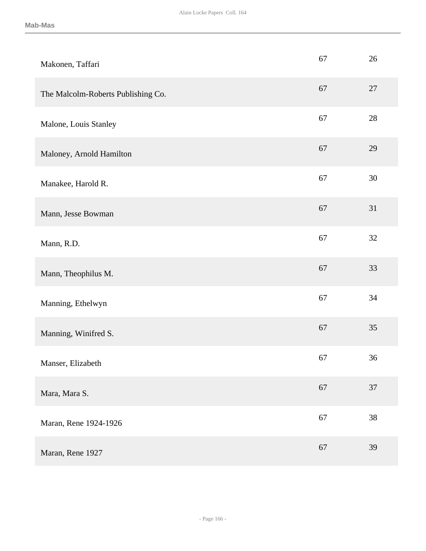| Makonen, Taffari                   | 67 | 26     |
|------------------------------------|----|--------|
| The Malcolm-Roberts Publishing Co. | 67 | 27     |
| Malone, Louis Stanley              | 67 | 28     |
| Maloney, Arnold Hamilton           | 67 | 29     |
| Manakee, Harold R.                 | 67 | 30     |
| Mann, Jesse Bowman                 | 67 | 31     |
| Mann, R.D.                         | 67 | 32     |
| Mann, Theophilus M.                | 67 | 33     |
| Manning, Ethelwyn                  | 67 | 34     |
| Manning, Winifred S.               | 67 | 35     |
| Manser, Elizabeth                  | 67 | 36     |
| Mara, Mara S.                      | 67 | 37     |
| Maran, Rene 1924-1926              | 67 | $38\,$ |
| Maran, Rene 1927                   | 67 | 39     |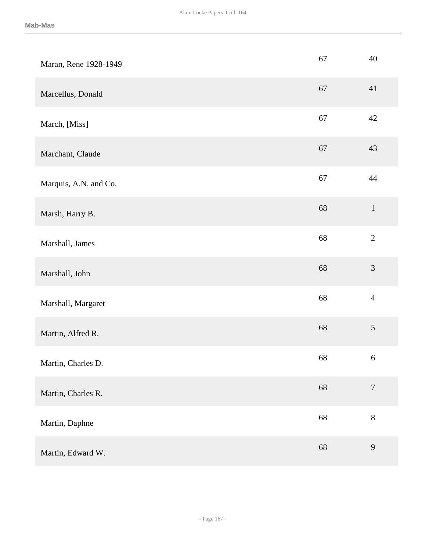| Maran, Rene 1928-1949 | 67 | 40               |
|-----------------------|----|------------------|
| Marcellus, Donald     | 67 | 41               |
| March, [Miss]         | 67 | 42               |
| Marchant, Claude      | 67 | 43               |
| Marquis, A.N. and Co. | 67 | 44               |
| Marsh, Harry B.       | 68 | $\mathbf{1}$     |
| Marshall, James       | 68 | $\overline{2}$   |
| Marshall, John        | 68 | $\mathfrak{Z}$   |
| Marshall, Margaret    | 68 | $\overline{4}$   |
| Martin, Alfred R.     | 68 | 5                |
| Martin, Charles D.    | 68 | $\sqrt{6}$       |
| Martin, Charles R.    | 68 | $\boldsymbol{7}$ |
| Martin, Daphne        | 68 | $8\,$            |
| Martin, Edward W.     | 68 | 9                |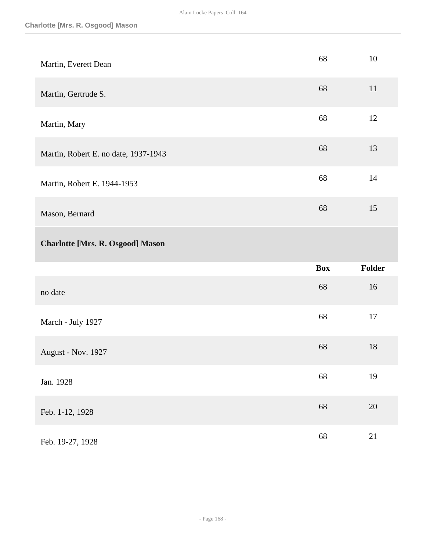| Martin, Everett Dean                    | 68 | 10 |
|-----------------------------------------|----|----|
| Martin, Gertrude S.                     | 68 | 11 |
| Martin, Mary                            | 68 | 12 |
| Martin, Robert E. no date, 1937-1943    | 68 | 13 |
| Martin, Robert E. 1944-1953             | 68 | 14 |
| Mason, Bernard                          | 68 | 15 |
| <b>Charlotte [Mrs. R. Osgood] Mason</b> |    |    |

|                    | <b>Box</b> | <b>Folder</b> |
|--------------------|------------|---------------|
| no date            | 68         | 16            |
| March - July 1927  | 68         | 17            |
| August - Nov. 1927 | 68         | 18            |
| Jan. 1928          | 68         | 19            |
| Feb. 1-12, 1928    | 68         | 20            |
| Feb. 19-27, 1928   | 68         | 21            |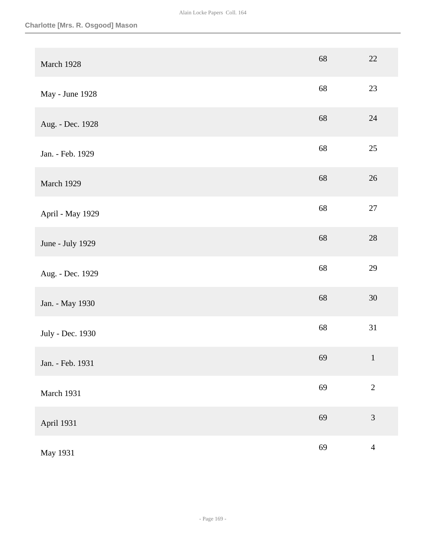| March 1928       | 68 | $22\,$         |
|------------------|----|----------------|
| May - June 1928  | 68 | 23             |
| Aug. - Dec. 1928 | 68 | $24\,$         |
| Jan. - Feb. 1929 | 68 | $25\,$         |
| March 1929       | 68 | $26\,$         |
| April - May 1929 | 68 | $27\,$         |
| June - July 1929 | 68 | $28\,$         |
| Aug. - Dec. 1929 | 68 | 29             |
| Jan. - May 1930  | 68 | $30\,$         |
| July - Dec. 1930 | 68 | 31             |
| Jan. - Feb. 1931 | 69 | $\mathbf{1}$   |
| March 1931       | 69 | $\overline{2}$ |
| April 1931       | 69 | 3              |
| May 1931         | 69 | $\overline{4}$ |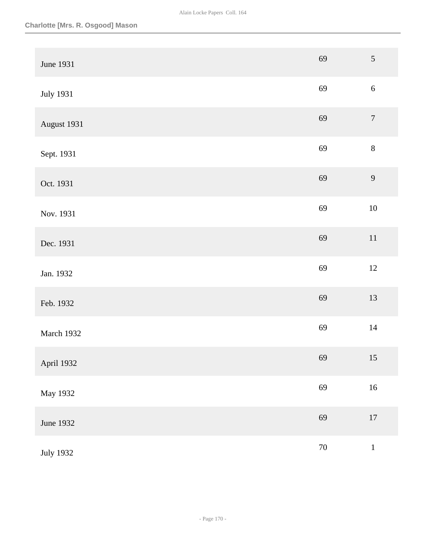| June 1931        | 69     | $\sqrt{5}$       |
|------------------|--------|------------------|
| <b>July 1931</b> | 69     | $6\,$            |
| August 1931      | 69     | $\boldsymbol{7}$ |
| Sept. 1931       | 69     | $8\,$            |
| Oct. 1931        | 69     | $\overline{9}$   |
| Nov. 1931        | 69     | $10\,$           |
| Dec. 1931        | 69     | $11\,$           |
| Jan. 1932        | 69     | $12\,$           |
| Feb. 1932        | 69     | 13               |
| March 1932       | 69     | $14\,$           |
| April 1932       | 69     | 15               |
| May 1932         | 69     | $16\,$           |
| June 1932        | 69     | $17\,$           |
| <b>July 1932</b> | $70\,$ | $\,1\,$          |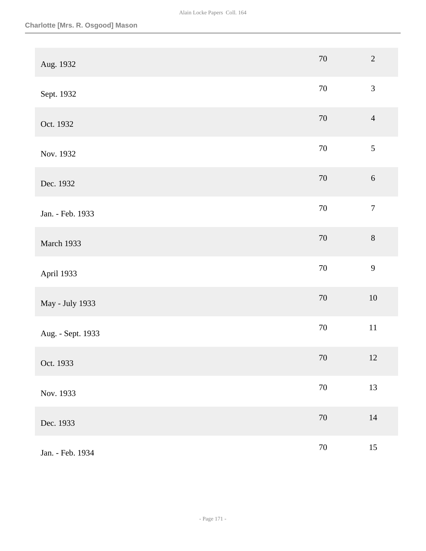| Aug. 1932         | $70\,$ | $\overline{2}$   |
|-------------------|--------|------------------|
| Sept. 1932        | $70\,$ | $\mathfrak{Z}$   |
| Oct. 1932         | $70\,$ | $\overline{4}$   |
| Nov. 1932         | $70\,$ | $\mathfrak{S}$   |
| Dec. 1932         | $70\,$ | $\sqrt{6}$       |
| Jan. - Feb. 1933  | $70\,$ | $\boldsymbol{7}$ |
| March 1933        | $70\,$ | $\,8\,$          |
| April 1933        | $70\,$ | $\mathbf{9}$     |
| May - July 1933   | $70\,$ | $10\,$           |
| Aug. - Sept. 1933 | $70\,$ | $11\,$           |
| Oct. 1933         | 70     | 12               |
| Nov. 1933         | $70\,$ | 13               |
| Dec. 1933         | $70\,$ | $14\,$           |
| Jan. - Feb. 1934  | $70\,$ | $15\,$           |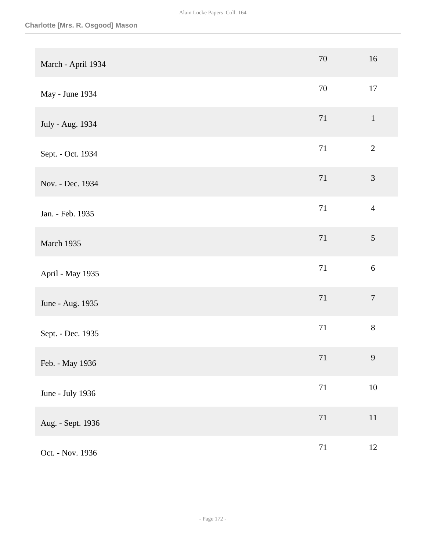| March - April 1934 | 70     | 16               |
|--------------------|--------|------------------|
| May - June 1934    | $70\,$ | 17               |
| July - Aug. 1934   | 71     | $\mathbf{1}$     |
| Sept. - Oct. 1934  | 71     | $\overline{2}$   |
| Nov. - Dec. 1934   | $71\,$ | $\mathfrak{Z}$   |
| Jan. - Feb. 1935   | $71\,$ | $\overline{4}$   |
| March 1935         | $71\,$ | $\mathfrak{S}$   |
| April - May 1935   | 71     | 6                |
| June - Aug. 1935   | 71     | $\boldsymbol{7}$ |
| Sept. - Dec. 1935  | 71     | $8\,$            |
| Feb. - May 1936    | 71     | 9                |
| June - July 1936   | $71\,$ | $10\,$           |
| Aug. - Sept. 1936  | $71\,$ | $11\,$           |
| Oct. - Nov. 1936   | $71\,$ | 12               |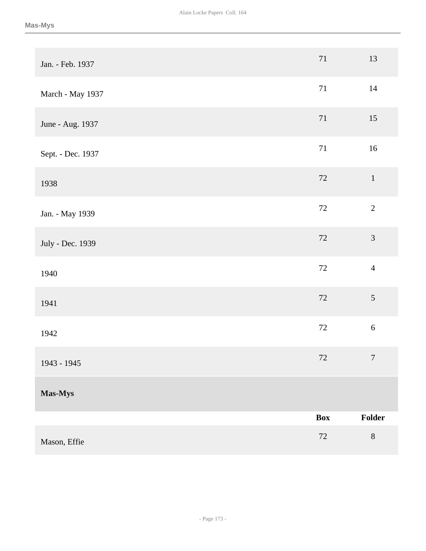| Jan. - Feb. 1937  | 71     | 13             |
|-------------------|--------|----------------|
| March - May 1937  | $71\,$ | $14\,$         |
| June - Aug. 1937  | $71\,$ | 15             |
| Sept. - Dec. 1937 | $71\,$ | $16\,$         |
| 1938              | 72     | $1\,$          |
| Jan. - May 1939   | 72     | $\sqrt{2}$     |
| July - Dec. 1939  | $72\,$ | $\mathfrak{Z}$ |
| 1940              | 72     | $\overline{4}$ |
| 1941              | $72\,$ | 5              |
| 1942              | $72\,$ | $\sqrt{6}$     |
| 1943 - 1945       | $72\,$ | $\overline{7}$ |
| Mas-Mys           |        |                |
|                   | Box    | Folder         |
| Mason, Effie      | $72\,$ | $\, 8$         |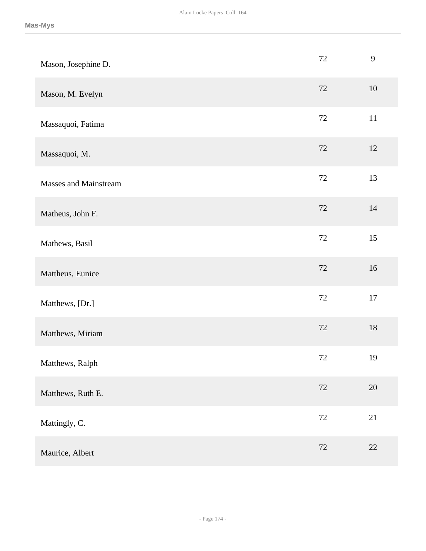| Mason, Josephine D.          | 72     | 9      |
|------------------------------|--------|--------|
| Mason, M. Evelyn             | 72     | $10\,$ |
| Massaquoi, Fatima            | 72     | 11     |
| Massaquoi, M.                | 72     | 12     |
| <b>Masses and Mainstream</b> | 72     | 13     |
| Matheus, John F.             | 72     | 14     |
| Mathews, Basil               | $72\,$ | 15     |
| Mattheus, Eunice             | 72     | $16\,$ |
| Matthews, [Dr.]              | 72     | 17     |
| Matthews, Miriam             | 72     | $18\,$ |
| Matthews, Ralph              | 72     | 19     |
| Matthews, Ruth E.            | 72     | $20\,$ |
| Mattingly, C.                | $72\,$ | 21     |
| Maurice, Albert              | $72\,$ | $22\,$ |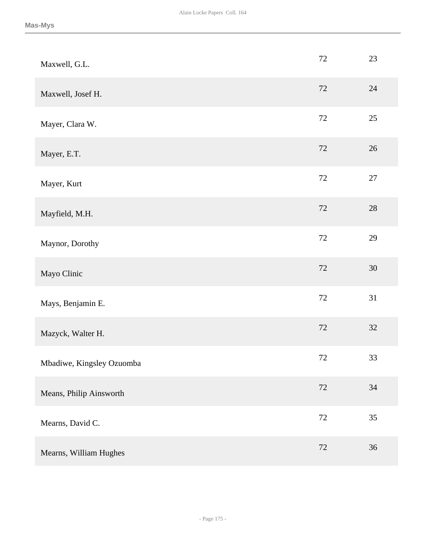| Maxwell, G.L.             | 72     | 23     |
|---------------------------|--------|--------|
| Maxwell, Josef H.         | 72     | 24     |
| Mayer, Clara W.           | $72\,$ | 25     |
| Mayer, E.T.               | $72\,$ | 26     |
| Mayer, Kurt               | $72\,$ | $27\,$ |
| Mayfield, M.H.            | $72\,$ | $28\,$ |
| Maynor, Dorothy           | 72     | 29     |
| Mayo Clinic               | 72     | 30     |
| Mays, Benjamin E.         | 72     | 31     |
| Mazyck, Walter H.         | $72\,$ | 32     |
| Mbadiwe, Kingsley Ozuomba | 72     | 33     |
| Means, Philip Ainsworth   | 72     | $34\,$ |
| Mearns, David C.          | $72\,$ | 35     |
| Mearns, William Hughes    | 72     | 36     |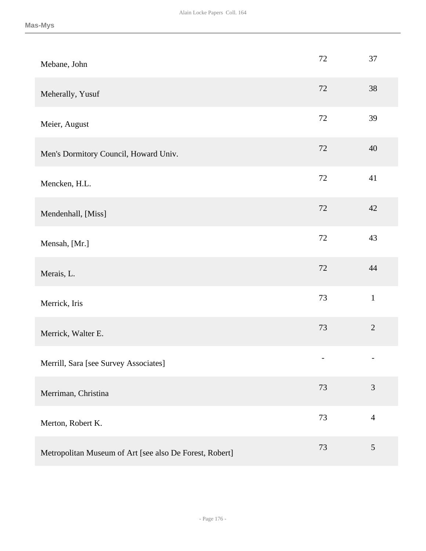| Mebane, John                                            | 72                | 37             |
|---------------------------------------------------------|-------------------|----------------|
| Meherally, Yusuf                                        | 72                | 38             |
| Meier, August                                           | 72                | 39             |
| Men's Dormitory Council, Howard Univ.                   | 72                | 40             |
| Mencken, H.L.                                           | 72                | 41             |
| Mendenhall, [Miss]                                      | 72                | 42             |
| Mensah, [Mr.]                                           | 72                | 43             |
| Merais, L.                                              | 72                | 44             |
| Merrick, Iris                                           | 73                | $\mathbf{1}$   |
| Merrick, Walter E.                                      | 73                | $\overline{2}$ |
| Merrill, Sara [see Survey Associates]                   | $\qquad \qquad -$ |                |
| Merriman, Christina                                     | 73                | $\mathfrak{Z}$ |
| Merton, Robert K.                                       | 73                | $\overline{4}$ |
| Metropolitan Museum of Art [see also De Forest, Robert] | 73                | $\mathfrak{S}$ |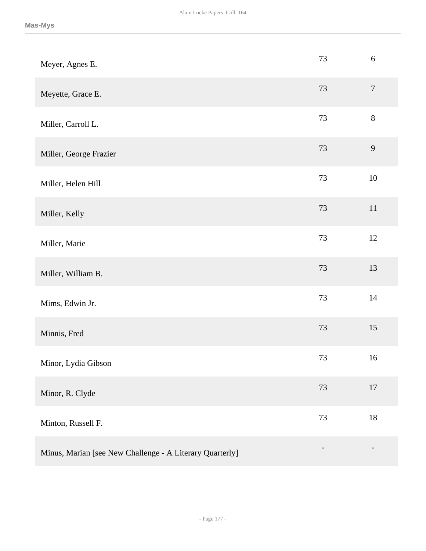| Meyer, Agnes E.                                          | 73     | $\sqrt{6}$       |
|----------------------------------------------------------|--------|------------------|
| Meyette, Grace E.                                        | 73     | $\boldsymbol{7}$ |
| Miller, Carroll L.                                       | 73     | $8\,$            |
| Miller, George Frazier                                   | 73     | $\mathbf{9}$     |
| Miller, Helen Hill                                       | 73     | $10\,$           |
| Miller, Kelly                                            | $73\,$ | $11\,$           |
| Miller, Marie                                            | 73     | 12               |
| Miller, William B.                                       | $73\,$ | 13               |
| Mims, Edwin Jr.                                          | 73     | 14               |
| Minnis, Fred                                             | $73\,$ | 15               |
| Minor, Lydia Gibson                                      | 73     | 16               |
| Minor, R. Clyde                                          | $73\,$ | 17               |
| Minton, Russell F.                                       | $73\,$ | $18\,$           |
| Minus, Marian [see New Challenge - A Literary Quarterly] |        |                  |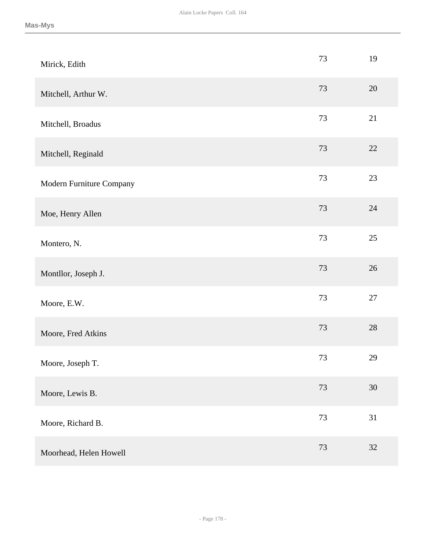| Mirick, Edith            | 73     | 19     |
|--------------------------|--------|--------|
| Mitchell, Arthur W.      | 73     | 20     |
| Mitchell, Broadus        | 73     | 21     |
| Mitchell, Reginald       | 73     | 22     |
| Modern Furniture Company | 73     | $23\,$ |
| Moe, Henry Allen         | 73     | 24     |
| Montero, N.              | 73     | $25\,$ |
| Montllor, Joseph J.      | 73     | 26     |
| Moore, E.W.              | 73     | 27     |
| Moore, Fred Atkins       | $73\,$ | $28\,$ |
| Moore, Joseph T.         | 73     | 29     |
| Moore, Lewis B.          | 73     | $30\,$ |
| Moore, Richard B.        | $73\,$ | 31     |
| Moorhead, Helen Howell   | $73\,$ | $32\,$ |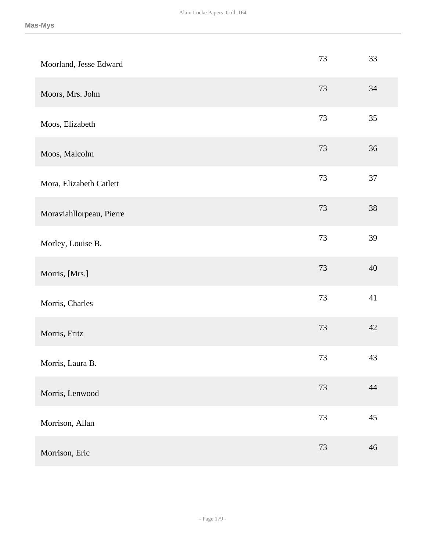| Moorland, Jesse Edward   | 73     | 33     |
|--------------------------|--------|--------|
| Moors, Mrs. John         | 73     | 34     |
| Moos, Elizabeth          | 73     | 35     |
| Moos, Malcolm            | 73     | 36     |
| Mora, Elizabeth Catlett  | 73     | 37     |
| Moraviahllorpeau, Pierre | 73     | $38\,$ |
| Morley, Louise B.        | 73     | 39     |
| Morris, [Mrs.]           | 73     | 40     |
| Morris, Charles          | 73     | 41     |
| Morris, Fritz            | 73     | 42     |
| Morris, Laura B.         | 73     | 43     |
| Morris, Lenwood          | $73\,$ | 44     |
| Morrison, Allan          | 73     | $45\,$ |
| Morrison, Eric           | $73\,$ | 46     |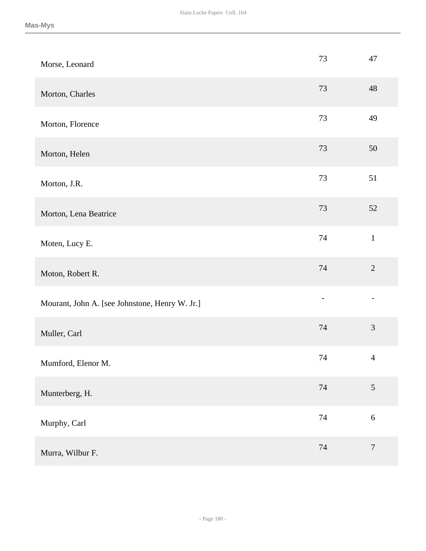| Morse, Leonard                                 | 73     | 47               |
|------------------------------------------------|--------|------------------|
| Morton, Charles                                | 73     | 48               |
| Morton, Florence                               | 73     | 49               |
| Morton, Helen                                  | 73     | 50               |
| Morton, J.R.                                   | $73\,$ | 51               |
| Morton, Lena Beatrice                          | 73     | 52               |
| Moten, Lucy E.                                 | 74     | $\mathbf{1}$     |
| Moton, Robert R.                               | 74     | $\overline{2}$   |
| Mourant, John A. [see Johnstone, Henry W. Jr.] |        |                  |
| Muller, Carl                                   | 74     | 3                |
| Mumford, Elenor M.                             | 74     | $\overline{4}$   |
| Munterberg, H.                                 | 74     | $\mathfrak{S}$   |
| Murphy, Carl                                   | $74\,$ | $\sqrt{6}$       |
| Murra, Wilbur F.                               | 74     | $\boldsymbol{7}$ |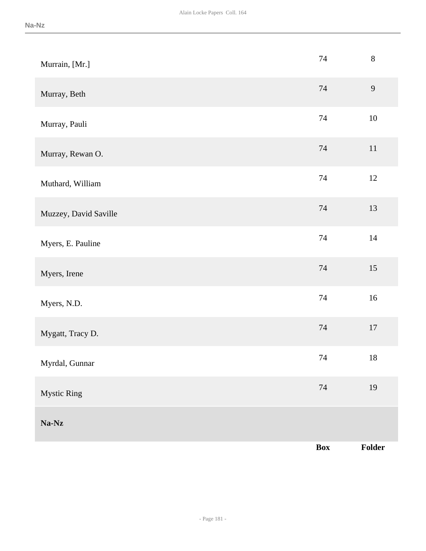| Murrain, [Mr.]        | 74     | $8\,$          |
|-----------------------|--------|----------------|
| Murray, Beth          | 74     | $\overline{9}$ |
| Murray, Pauli         | 74     | $10\,$         |
| Murray, Rewan O.      | 74     | $11\,$         |
| Muthard, William      | 74     | 12             |
| Muzzey, David Saville | 74     | 13             |
| Myers, E. Pauline     | $74\,$ | $14\,$         |
| Myers, Irene          | $74\,$ | $15\,$         |
| Myers, N.D.           | 74     | $16\,$         |
| Mygatt, Tracy D.      | 74     | $17\,$         |
| Myrdal, Gunnar        | $74\,$ | $18\,$         |
| <b>Mystic Ring</b>    | $74\,$ | 19             |
| $Na-Nz$               |        |                |
|                       | Box    | Folder         |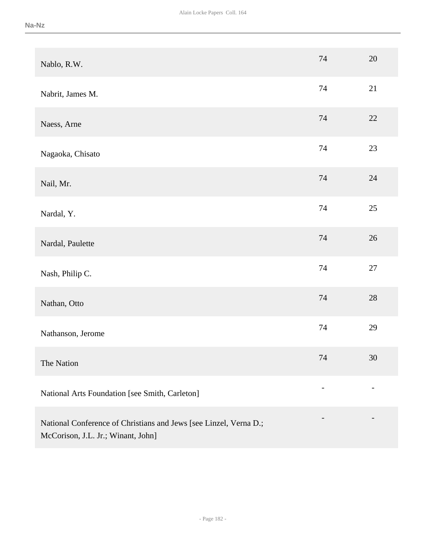| Nablo, R.W.                                                       | 74 | 20     |
|-------------------------------------------------------------------|----|--------|
| Nabrit, James M.                                                  | 74 | 21     |
| Naess, Arne                                                       | 74 | 22     |
| Nagaoka, Chisato                                                  | 74 | 23     |
| Nail, Mr.                                                         | 74 | 24     |
| Nardal, Y.                                                        | 74 | $25\,$ |
| Nardal, Paulette                                                  | 74 | 26     |
| Nash, Philip C.                                                   | 74 | $27\,$ |
| Nathan, Otto                                                      | 74 | 28     |
| Nathanson, Jerome                                                 | 74 | 29     |
| The Nation                                                        | 74 | $30\,$ |
| National Arts Foundation [see Smith, Carleton]                    |    |        |
| National Conference of Christians and Jews [see Linzel, Verna D.; |    |        |

McCorison, J.L. Jr.; Winant, John]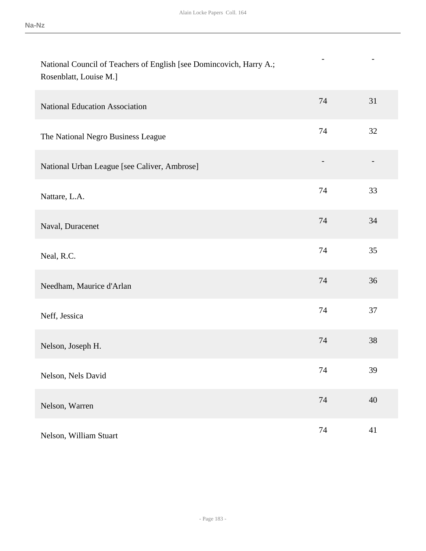- -

| National Council of Teachers of English [see Domincovich, Harry A.; |  |
|---------------------------------------------------------------------|--|
| Rosenblatt, Louise M.]                                              |  |

| <b>National Education Association</b>        | 74                       | 31 |
|----------------------------------------------|--------------------------|----|
| The National Negro Business League           | 74                       | 32 |
| National Urban League [see Caliver, Ambrose] | $\overline{\phantom{a}}$ |    |
| Nattare, L.A.                                | 74                       | 33 |
| Naval, Duracenet                             | 74                       | 34 |
| Neal, R.C.                                   | 74                       | 35 |
| Needham, Maurice d'Arlan                     | 74                       | 36 |
| Neff, Jessica                                | 74                       | 37 |
| Nelson, Joseph H.                            | 74                       | 38 |
| Nelson, Nels David                           | 74                       | 39 |
| Nelson, Warren                               | 74                       | 40 |
| Nelson, William Stuart                       | 74                       | 41 |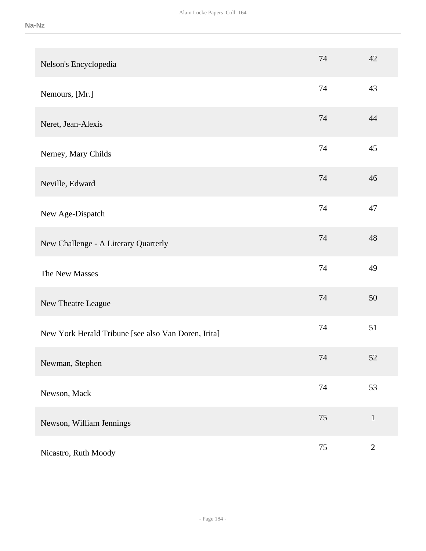| Nelson's Encyclopedia                               | 74     | 42           |
|-----------------------------------------------------|--------|--------------|
| Nemours, [Mr.]                                      | 74     | 43           |
| Neret, Jean-Alexis                                  | 74     | 44           |
| Nerney, Mary Childs                                 | 74     | 45           |
| Neville, Edward                                     | 74     | 46           |
| New Age-Dispatch                                    | 74     | 47           |
| New Challenge - A Literary Quarterly                | 74     | 48           |
| The New Masses                                      | 74     | 49           |
| New Theatre League                                  | 74     | 50           |
| New York Herald Tribune [see also Van Doren, Irita] | 74     | 51           |
| Newman, Stephen                                     | 74     | 52           |
| Newson, Mack                                        | 74     | 53           |
| Newson, William Jennings                            | $75\,$ | $\mathbf{1}$ |
| Nicastro, Ruth Moody                                | 75     | $\mathbf{2}$ |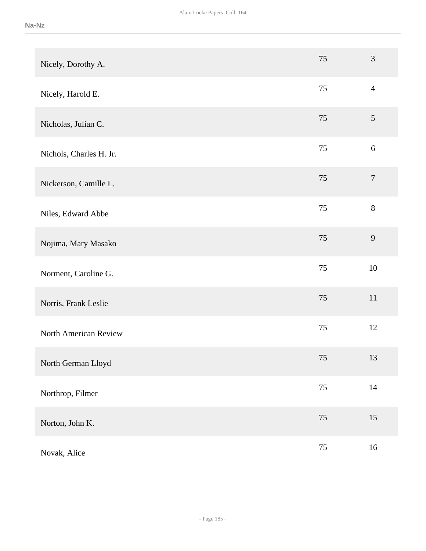| Nicely, Dorothy A.      | 75     | $\mathfrak{Z}$   |
|-------------------------|--------|------------------|
| Nicely, Harold E.       | 75     | $\overline{4}$   |
| Nicholas, Julian C.     | 75     | 5                |
| Nichols, Charles H. Jr. | 75     | $\boldsymbol{6}$ |
| Nickerson, Camille L.   | 75     | $\boldsymbol{7}$ |
| Niles, Edward Abbe      | 75     | $8\,$            |
| Nojima, Mary Masako     | 75     | 9                |
| Norment, Caroline G.    | 75     | 10               |
| Norris, Frank Leslie    | 75     | 11               |
| North American Review   | 75     | 12               |
| North German Lloyd      | 75     | 13               |
| Northrop, Filmer        | $75\,$ | $14\,$           |
| Norton, John K.         | $75\,$ | 15               |
| Novak, Alice            | $75\,$ | 16               |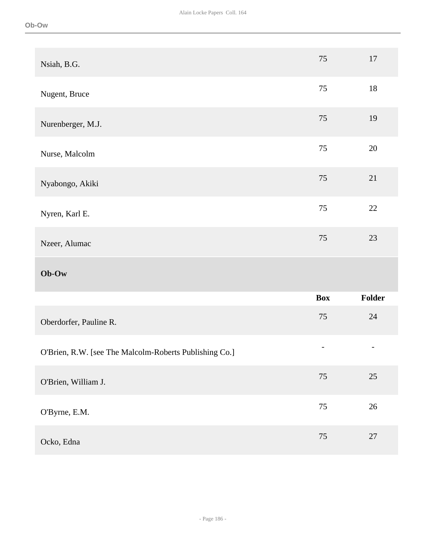| Nsiah, B.G.                                            | 75         | 17     |
|--------------------------------------------------------|------------|--------|
| Nugent, Bruce                                          | 75         | 18     |
| Nurenberger, M.J.                                      | 75         | 19     |
| Nurse, Malcolm                                         | 75         | $20\,$ |
| Nyabongo, Akiki                                        | 75         | 21     |
| Nyren, Karl E.                                         | 75         | $22\,$ |
| Nzeer, Alumac                                          | 75         | 23     |
|                                                        |            |        |
| $Ob-Ow$                                                |            |        |
|                                                        | <b>Box</b> | Folder |
| Oberdorfer, Pauline R.                                 | 75         | $24\,$ |
| O'Brien, R.W. [see The Malcolm-Roberts Publishing Co.] |            |        |
| O'Brien, William J.                                    | 75         | 25     |
| O'Byrne, E.M.                                          | $75\,$     | $26\,$ |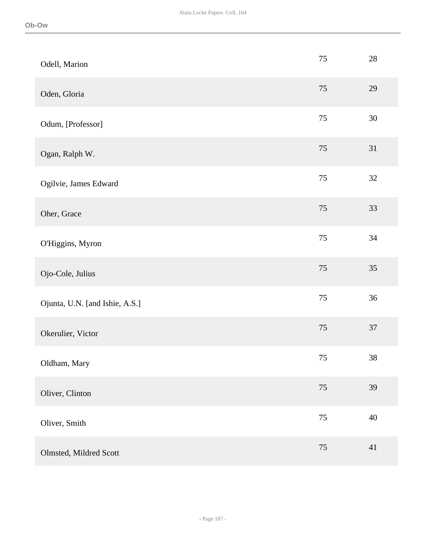| Odell, Marion                  | 75     | $28\,$ |
|--------------------------------|--------|--------|
| Oden, Gloria                   | 75     | 29     |
| Odum, [Professor]              | 75     | $30\,$ |
| Ogan, Ralph W.                 | 75     | 31     |
| Ogilvie, James Edward          | 75     | $32\,$ |
| Oher, Grace                    | 75     | 33     |
| O'Higgins, Myron               | $75\,$ | $34\,$ |
| Ojo-Cole, Julius               | 75     | 35     |
| Ojunta, U.N. [and Ishie, A.S.] | 75     | 36     |
| Okerulier, Victor              | 75     | 37     |
| Oldham, Mary                   | 75     | $38\,$ |
| Oliver, Clinton                | 75     | 39     |
| Oliver, Smith                  | $75\,$ | $40\,$ |
| Olmsted, Mildred Scott         | 75     | 41     |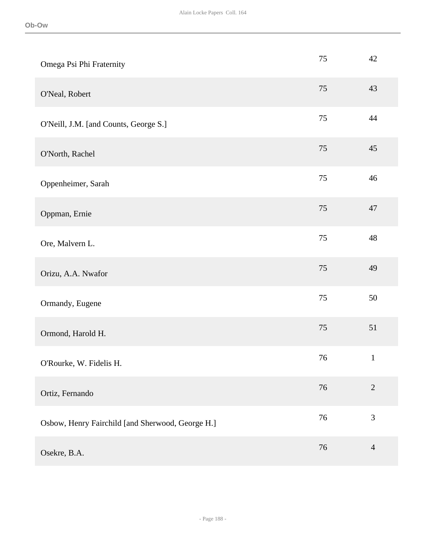| Omega Psi Phi Fraternity                         | 75     | 42             |
|--------------------------------------------------|--------|----------------|
| O'Neal, Robert                                   | 75     | 43             |
| O'Neill, J.M. [and Counts, George S.]            | 75     | 44             |
| O'North, Rachel                                  | 75     | 45             |
| Oppenheimer, Sarah                               | 75     | 46             |
| Oppman, Ernie                                    | 75     | 47             |
| Ore, Malvern L.                                  | 75     | 48             |
| Orizu, A.A. Nwafor                               | 75     | 49             |
| Ormandy, Eugene                                  | 75     | $50\,$         |
| Ormond, Harold H.                                | 75     | 51             |
| O'Rourke, W. Fidelis H.                          | 76     | $\mathbf{1}$   |
| Ortiz, Fernando                                  | 76     | $\sqrt{2}$     |
| Osbow, Henry Fairchild [and Sherwood, George H.] | $76\,$ | $\mathfrak{Z}$ |
| Osekre, B.A.                                     | 76     | $\overline{4}$ |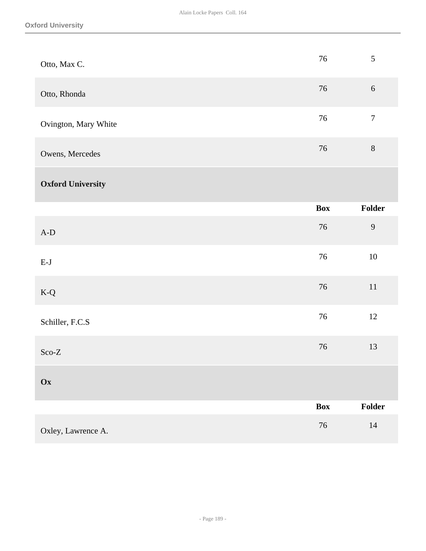| Otto, Max C.                   | $76\,$ | 5                |
|--------------------------------|--------|------------------|
| Otto, Rhonda                   | 76     | $6\,$            |
| Ovington, Mary White           | 76     | $\boldsymbol{7}$ |
| Owens, Mercedes                | 76     | $8\,$            |
| <b>Oxford University</b>       |        |                  |
|                                | Box    | Folder           |
| $\mbox{\rm A-D}$               | 76     | $\mathbf{9}$     |
| $\mathbf{E}\text{-}\mathbf{J}$ | 76     | 10               |
| $K-Q$                          | 76     | $11\,$           |
| Schiller, F.C.S                | 76     | 12               |
| $\rm Sco\text{-}Z$             | 76     | 13               |
| Ox                             |        |                  |
|                                | Box    | Folder           |
| Oxley, Lawrence A.             | $76\,$ | $14\,$           |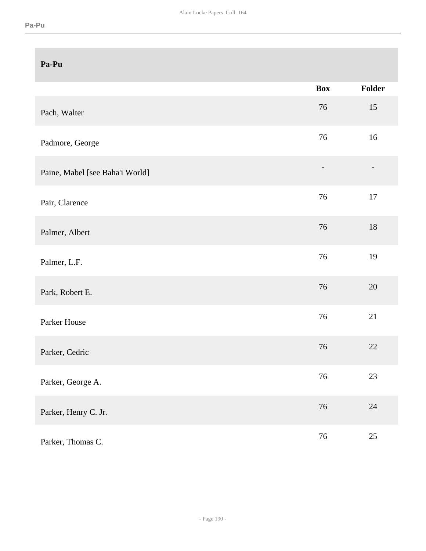| Pa-Pu                           |                              |        |
|---------------------------------|------------------------------|--------|
|                                 | <b>Box</b>                   | Folder |
| Pach, Walter                    | 76                           | 15     |
| Padmore, George                 | 76                           | 16     |
| Paine, Mabel [see Baha'i World] | $\qquad \qquad \blacksquare$ |        |
| Pair, Clarence                  | 76                           | $17\,$ |
| Palmer, Albert                  | 76                           | $18\,$ |
| Palmer, L.F.                    | 76                           | 19     |
| Park, Robert E.                 | 76                           | 20     |
| Parker House                    | 76                           | 21     |
| Parker, Cedric                  | 76                           | 22     |
| Parker, George A.               | 76                           | 23     |
| Parker, Henry C. Jr.            | 76                           | $24\,$ |
| Parker, Thomas C.               | 76                           | $25\,$ |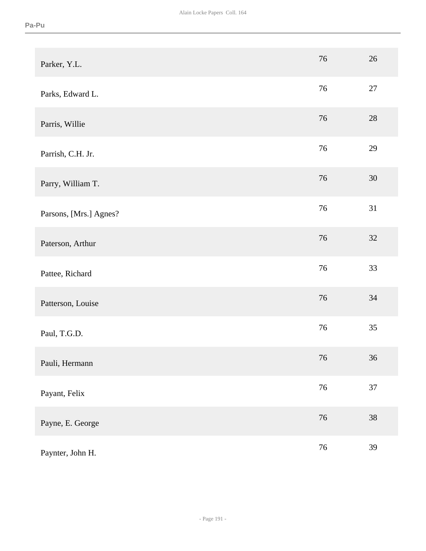| Parker, Y.L.           | 76 | 26 |
|------------------------|----|----|
| Parks, Edward L.       | 76 | 27 |
| Parris, Willie         | 76 | 28 |
| Parrish, C.H. Jr.      | 76 | 29 |
| Parry, William T.      | 76 | 30 |
| Parsons, [Mrs.] Agnes? | 76 | 31 |
| Paterson, Arthur       | 76 | 32 |
| Pattee, Richard        | 76 | 33 |
| Patterson, Louise      | 76 | 34 |
| Paul, T.G.D.           | 76 | 35 |
| Pauli, Hermann         | 76 | 36 |
| Payant, Felix          | 76 | 37 |
| Payne, E. George       | 76 | 38 |
| Paynter, John H.       | 76 | 39 |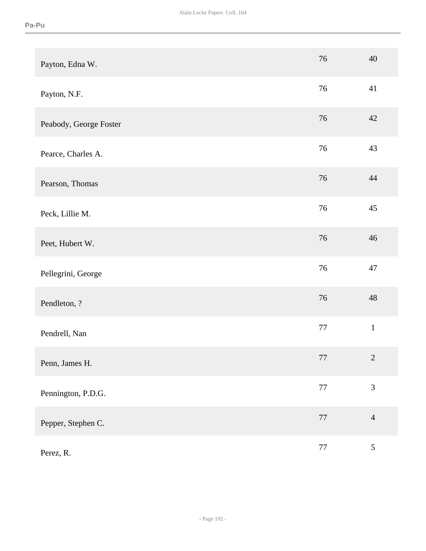| Payton, Edna W.        | 76     | 40             |
|------------------------|--------|----------------|
| Payton, N.F.           | 76     | 41             |
| Peabody, George Foster | 76     | 42             |
| Pearce, Charles A.     | 76     | 43             |
| Pearson, Thomas        | 76     | 44             |
| Peck, Lillie M.        | 76     | 45             |
| Peet, Hubert W.        | 76     | 46             |
| Pellegrini, George     | 76     | 47             |
| Pendleton, ?           | 76     | 48             |
| Pendrell, Nan          | 77     | $\mathbf 1$    |
| Penn, James H.         | $77\,$ | $\sqrt{2}$     |
| Pennington, P.D.G.     | $77\,$ | $\mathfrak{Z}$ |
| Pepper, Stephen C.     | $77\,$ | $\overline{4}$ |
| Perez, R.              | $77\,$ | $\sqrt{5}$     |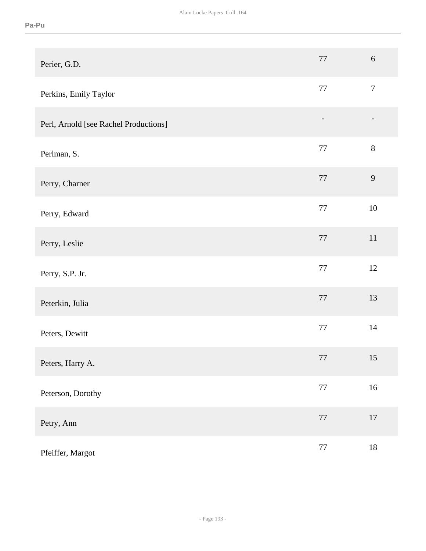| Perier, G.D.                          | 77     | $6\,$          |
|---------------------------------------|--------|----------------|
| Perkins, Emily Taylor                 | 77     | $\overline{7}$ |
| Perl, Arnold [see Rachel Productions] |        |                |
| Perlman, S.                           | 77     | $8\,$          |
| Perry, Charner                        | 77     | $\overline{9}$ |
| Perry, Edward                         | 77     | 10             |
| Perry, Leslie                         | 77     | $11\,$         |
| Perry, S.P. Jr.                       | 77     | 12             |
| Peterkin, Julia                       | 77     | 13             |
| Peters, Dewitt                        | 77     | 14             |
| Peters, Harry A.                      | 77     | 15             |
| Peterson, Dorothy                     | $77\,$ | $16\,$         |
| Petry, Ann                            | $77\,$ | $17\,$         |
| Pfeiffer, Margot                      | $77\,$ | $18\,$         |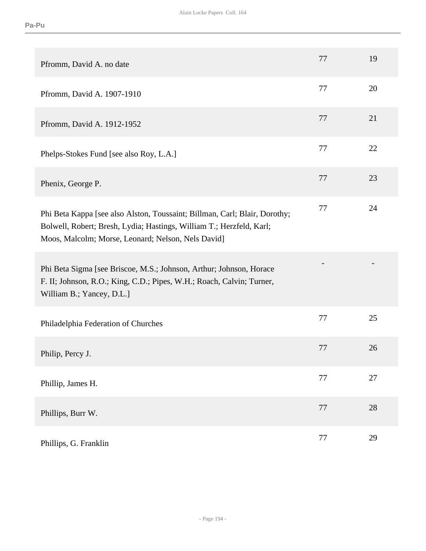| Pfromm, David A. no date                                                                                                                                                                                 | 77 | 19 |
|----------------------------------------------------------------------------------------------------------------------------------------------------------------------------------------------------------|----|----|
| Pfromm, David A. 1907-1910                                                                                                                                                                               | 77 | 20 |
| Pfromm, David A. 1912-1952                                                                                                                                                                               | 77 | 21 |
| Phelps-Stokes Fund [see also Roy, L.A.]                                                                                                                                                                  | 77 | 22 |
| Phenix, George P.                                                                                                                                                                                        | 77 | 23 |
| Phi Beta Kappa [see also Alston, Toussaint; Billman, Carl; Blair, Dorothy;<br>Bolwell, Robert; Bresh, Lydia; Hastings, William T.; Herzfeld, Karl;<br>Moos, Malcolm; Morse, Leonard; Nelson, Nels David] | 77 | 24 |
| Phi Beta Sigma [see Briscoe, M.S.; Johnson, Arthur; Johnson, Horace<br>F. II; Johnson, R.O.; King, C.D.; Pipes, W.H.; Roach, Calvin; Turner,<br>William B.; Yancey, D.L.]                                |    |    |
| Philadelphia Federation of Churches                                                                                                                                                                      | 77 | 25 |
| Philip, Percy J.                                                                                                                                                                                         | 77 | 26 |
| Phillip, James H.                                                                                                                                                                                        | 77 | 27 |
| Phillips, Burr W.                                                                                                                                                                                        | 77 | 28 |
| Phillips, G. Franklin                                                                                                                                                                                    | 77 | 29 |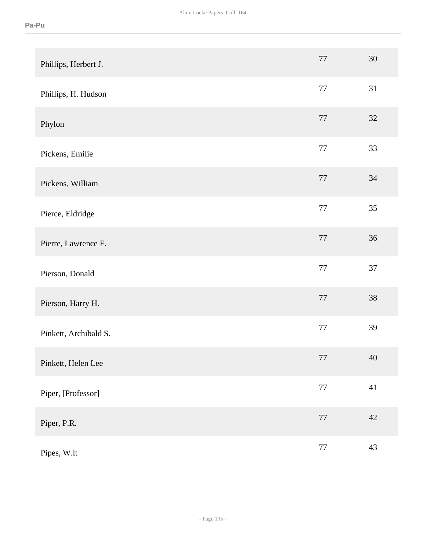| Phillips, Herbert J.  | 77     | $30\,$ |
|-----------------------|--------|--------|
| Phillips, H. Hudson   | 77     | 31     |
| Phylon                | 77     | 32     |
| Pickens, Emilie       | 77     | 33     |
| Pickens, William      | 77     | $34\,$ |
| Pierce, Eldridge      | 77     | 35     |
| Pierre, Lawrence F.   | $77\,$ | $36\,$ |
| Pierson, Donald       | 77     | 37     |
| Pierson, Harry H.     | 77     | 38     |
| Pinkett, Archibald S. | 77     | 39     |
| Pinkett, Helen Lee    | 77     | 40     |
| Piper, [Professor]    | $77\,$ | 41     |
| Piper, P.R.           | $77\,$ | $42\,$ |
| Pipes, W.lt           | $77\,$ | 43     |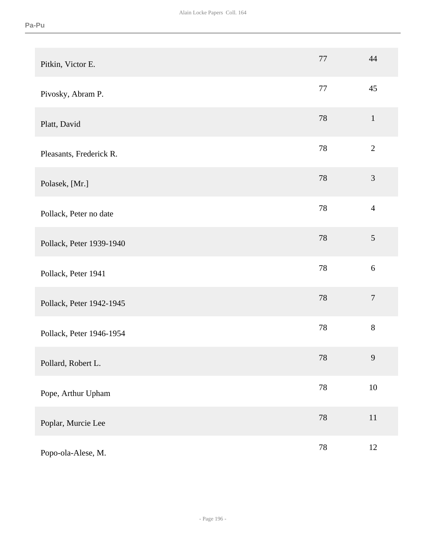| Pitkin, Victor E.        | 77     | 44               |
|--------------------------|--------|------------------|
| Pivosky, Abram P.        | 77     | 45               |
| Platt, David             | 78     | $\mathbf{1}$     |
| Pleasants, Frederick R.  | 78     | $\overline{2}$   |
| Polasek, [Mr.]           | 78     | $\mathfrak{Z}$   |
| Pollack, Peter no date   | 78     | $\overline{4}$   |
| Pollack, Peter 1939-1940 | 78     | 5                |
| Pollack, Peter 1941      | 78     | $6\,$            |
| Pollack, Peter 1942-1945 | 78     | $\boldsymbol{7}$ |
| Pollack, Peter 1946-1954 | 78     | $8\,$            |
| Pollard, Robert L.       | $78\,$ | 9                |
| Pope, Arthur Upham       | $78\,$ | $10\,$           |
| Poplar, Murcie Lee       | $78\,$ | $11\,$           |
| Popo-ola-Alese, M.       | $78\,$ | $12\,$           |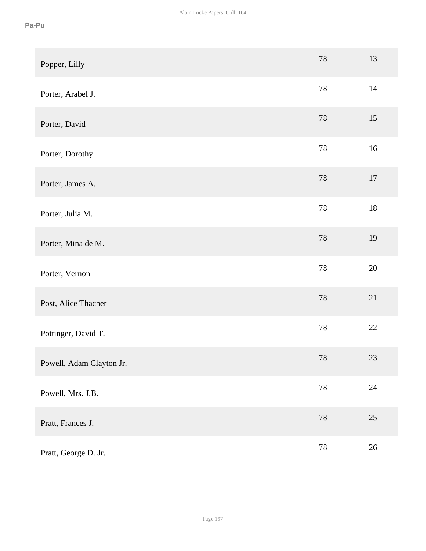| Popper, Lilly            | 78     | 13     |
|--------------------------|--------|--------|
| Porter, Arabel J.        | 78     | 14     |
| Porter, David            | 78     | 15     |
| Porter, Dorothy          | 78     | 16     |
| Porter, James A.         | 78     | 17     |
| Porter, Julia M.         | $78\,$ | $18\,$ |
| Porter, Mina de M.       | 78     | 19     |
| Porter, Vernon           | 78     | 20     |
| Post, Alice Thacher      | 78     | 21     |
| Pottinger, David T.      | $78\,$ | $22\,$ |
| Powell, Adam Clayton Jr. | $78\,$ | 23     |
| Powell, Mrs. J.B.        | $78\,$ | $24\,$ |
| Pratt, Frances J.        | $78\,$ | $25\,$ |
| Pratt, George D. Jr.     | $78\,$ | $26\,$ |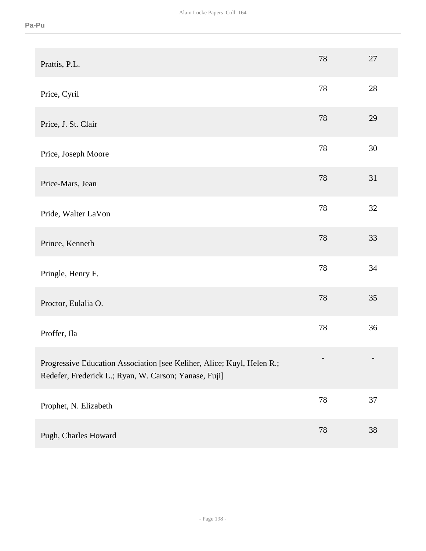| Prattis, P.L.                                                                                                                   | 78     | 27     |
|---------------------------------------------------------------------------------------------------------------------------------|--------|--------|
| Price, Cyril                                                                                                                    | 78     | 28     |
| Price, J. St. Clair                                                                                                             | 78     | 29     |
| Price, Joseph Moore                                                                                                             | 78     | 30     |
| Price-Mars, Jean                                                                                                                | 78     | 31     |
| Pride, Walter LaVon                                                                                                             | 78     | 32     |
| Prince, Kenneth                                                                                                                 | 78     | 33     |
| Pringle, Henry F.                                                                                                               | 78     | 34     |
| Proctor, Eulalia O.                                                                                                             | 78     | 35     |
| Proffer, Ila                                                                                                                    | 78     | 36     |
| Progressive Education Association [see Keliher, Alice; Kuyl, Helen R.;<br>Redefer, Frederick L.; Ryan, W. Carson; Yanase, Fuji] |        |        |
| Prophet, N. Elizabeth                                                                                                           | $78\,$ | $37\,$ |
| Pugh, Charles Howard                                                                                                            | 78     | 38     |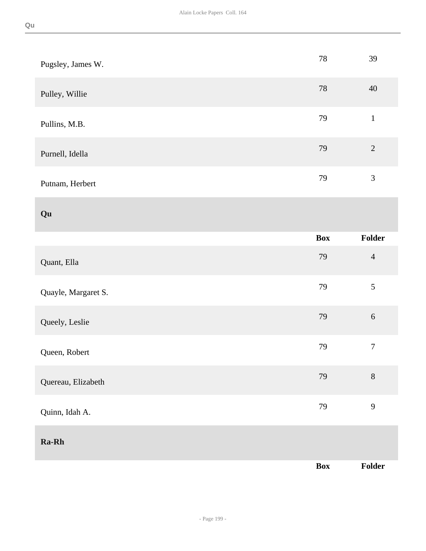| Pugsley, James W.   | $78\,$     | 39               |
|---------------------|------------|------------------|
| Pulley, Willie      | 78         | 40               |
| Pullins, M.B.       | 79         | $\mathbf 1$      |
| Purnell, Idella     | 79         | $\overline{2}$   |
| Putnam, Herbert     | 79         | $\mathfrak{Z}$   |
| Qu                  |            |                  |
|                     | <b>Box</b> | Folder           |
| Quant, Ella         | 79         | $\overline{4}$   |
| Quayle, Margaret S. | 79         | $\mathfrak{S}$   |
| Queely, Leslie      | 79         | $\sqrt{6}$       |
| Queen, Robert       | 79         | $\boldsymbol{7}$ |
| Quereau, Elizabeth  | 79         | $8\,$            |
| Quinn, Idah A.      | 79         | 9                |
| Ra-Rh               |            |                  |
|                     | Box        | Folder           |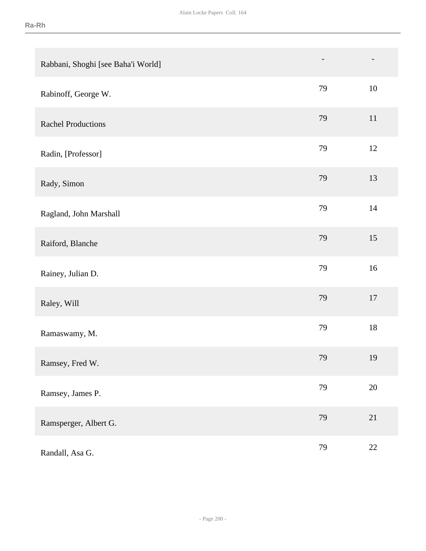| Rabbani, Shoghi [see Baha'i World] | -  |        |
|------------------------------------|----|--------|
| Rabinoff, George W.                | 79 | 10     |
| <b>Rachel Productions</b>          | 79 | $11\,$ |
| Radin, [Professor]                 | 79 | 12     |
| Rady, Simon                        | 79 | 13     |
| Ragland, John Marshall             | 79 | 14     |
| Raiford, Blanche                   | 79 | 15     |
| Rainey, Julian D.                  | 79 | $16\,$ |
| Raley, Will                        | 79 | $17\,$ |
| Ramaswamy, M.                      | 79 | $18\,$ |
| Ramsey, Fred W.                    | 79 | 19     |
| Ramsey, James P.                   | 79 | $20\,$ |
| Ramsperger, Albert G.              | 79 | 21     |
| Randall, Asa G.                    | 79 | 22     |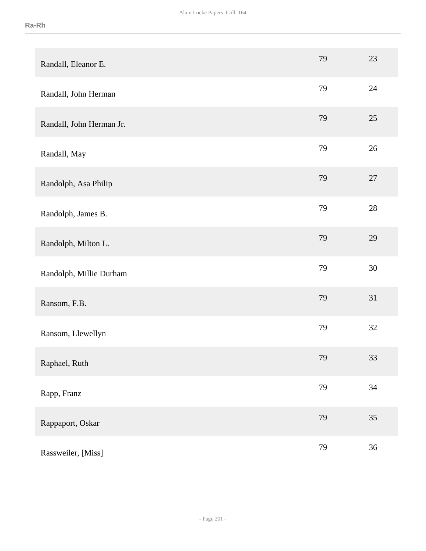| Randall, Eleanor E.      | 79 | 23     |
|--------------------------|----|--------|
| Randall, John Herman     | 79 | 24     |
| Randall, John Herman Jr. | 79 | $25\,$ |
| Randall, May             | 79 | 26     |
| Randolph, Asa Philip     | 79 | 27     |
| Randolph, James B.       | 79 | $28\,$ |
| Randolph, Milton L.      | 79 | 29     |
| Randolph, Millie Durham  | 79 | 30     |
| Ransom, F.B.             | 79 | 31     |
| Ransom, Llewellyn        | 79 | 32     |
| Raphael, Ruth            | 79 | 33     |
| Rapp, Franz              | 79 | 34     |
| Rappaport, Oskar         | 79 | 35     |
| Rassweiler, [Miss]       | 79 | 36     |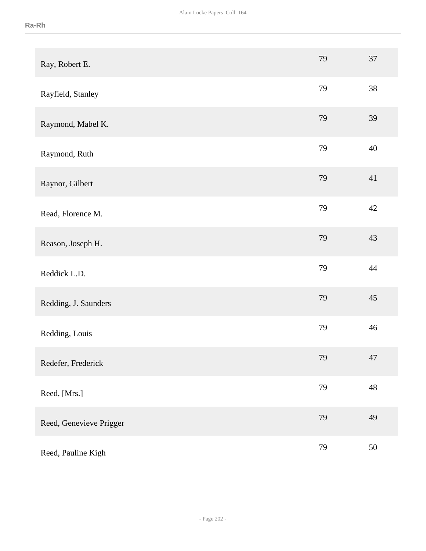| Ray, Robert E.          | 79 | 37     |
|-------------------------|----|--------|
| Rayfield, Stanley       | 79 | 38     |
| Raymond, Mabel K.       | 79 | 39     |
| Raymond, Ruth           | 79 | 40     |
| Raynor, Gilbert         | 79 | 41     |
| Read, Florence M.       | 79 | 42     |
| Reason, Joseph H.       | 79 | 43     |
| Reddick L.D.            | 79 | 44     |
| Redding, J. Saunders    | 79 | 45     |
| Redding, Louis          | 79 | 46     |
| Redefer, Frederick      | 79 | 47     |
| Reed, [Mrs.]            | 79 | 48     |
| Reed, Genevieve Prigger | 79 | 49     |
| Reed, Pauline Kigh      | 79 | $50\,$ |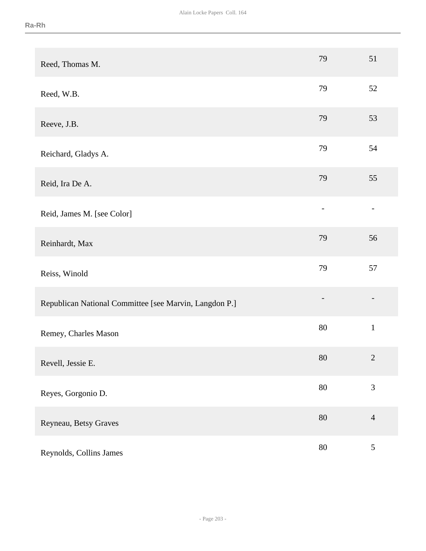| Reed, Thomas M.                                        | 79                       | 51             |
|--------------------------------------------------------|--------------------------|----------------|
| Reed, W.B.                                             | 79                       | 52             |
| Reeve, J.B.                                            | 79                       | 53             |
| Reichard, Gladys A.                                    | 79                       | 54             |
| Reid, Ira De A.                                        | 79                       | 55             |
| Reid, James M. [see Color]                             | $\overline{\phantom{0}}$ |                |
| Reinhardt, Max                                         | 79                       | 56             |
| Reiss, Winold                                          | 79                       | 57             |
| Republican National Committee [see Marvin, Langdon P.] | $\overline{\phantom{0}}$ |                |
| Remey, Charles Mason                                   | 80                       | $\mathbf{1}$   |
| Revell, Jessie E.                                      | 80                       | $\overline{2}$ |
| Reyes, Gorgonio D.                                     | $80\,$                   | $\mathfrak{Z}$ |
| Reyneau, Betsy Graves                                  | $80\,$                   | $\overline{4}$ |
| Reynolds, Collins James                                | $80\,$                   | $\sqrt{5}$     |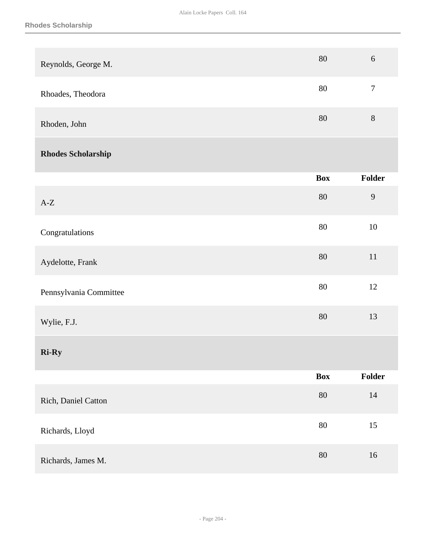| Reynolds, George M.       | $80\,$     | $6\,$            |
|---------------------------|------------|------------------|
| Rhoades, Theodora         | $80\,$     | $\boldsymbol{7}$ |
| Rhoden, John              | $80\,$     | $8\,$            |
| <b>Rhodes Scholarship</b> |            |                  |
|                           | <b>Box</b> | Folder           |
| $\mbox{A-Z}$              | $80\,$     | $\overline{9}$   |
| Congratulations           | $80\,$     | $10\,$           |
| Aydelotte, Frank          | $80\,$     | $11\,$           |
| Pennsylvania Committee    | $80\,$     | $12\,$           |
| Wylie, F.J.               | 80         | 13               |
| <b>Ri-Ry</b>              |            |                  |
|                           | <b>Box</b> | Folder           |
| Rich, Daniel Catton       | $80\,$     | $14\,$           |
| Richards, Lloyd           | $80\,$     | 15               |
| Richards, James M.        | $80\,$     | 16               |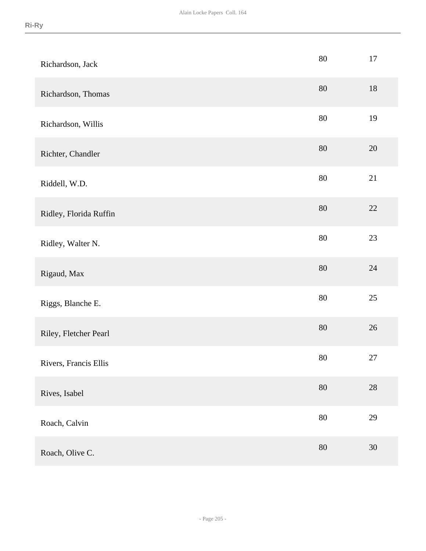| Richardson, Jack       | $80\,$ | 17     |
|------------------------|--------|--------|
| Richardson, Thomas     | 80     | 18     |
| Richardson, Willis     | 80     | 19     |
| Richter, Chandler      | $80\,$ | $20\,$ |
| Riddell, W.D.          | 80     | 21     |
| Ridley, Florida Ruffin | $80\,$ | $22\,$ |
| Ridley, Walter N.      | $80\,$ | 23     |
| Rigaud, Max            | $80\,$ | 24     |
| Riggs, Blanche E.      | $80\,$ | 25     |
| Riley, Fletcher Pearl  | $80\,$ | $26\,$ |
| Rivers, Francis Ellis  | $80\,$ | $27\,$ |
| Rives, Isabel          | $80\,$ | $28\,$ |
| Roach, Calvin          | $80\,$ | 29     |
| Roach, Olive C.        | $80\,$ | $30\,$ |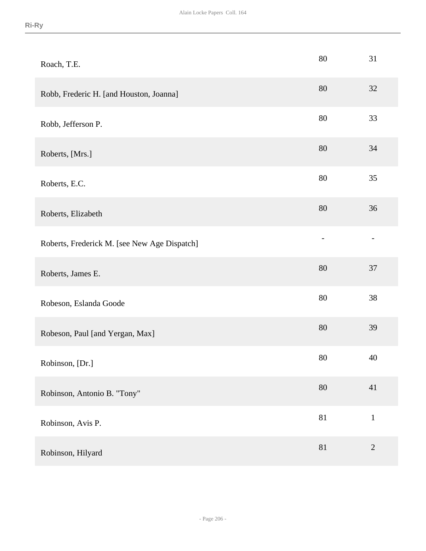| Roach, T.E.                                  | 80     | 31             |
|----------------------------------------------|--------|----------------|
| Robb, Frederic H. [and Houston, Joanna]      | 80     | 32             |
| Robb, Jefferson P.                           | 80     | 33             |
| Roberts, [Mrs.]                              | 80     | 34             |
| Roberts, E.C.                                | 80     | 35             |
| Roberts, Elizabeth                           | 80     | 36             |
| Roberts, Frederick M. [see New Age Dispatch] |        |                |
| Roberts, James E.                            | 80     | 37             |
| Robeson, Eslanda Goode                       | 80     | 38             |
| Robeson, Paul [and Yergan, Max]              | 80     | 39             |
| Robinson, [Dr.]                              | 80     | 40             |
| Robinson, Antonio B. "Tony"                  | 80     | 41             |
| Robinson, Avis P.                            | 81     | $\,1\,$        |
| Robinson, Hilyard                            | $81\,$ | $\overline{2}$ |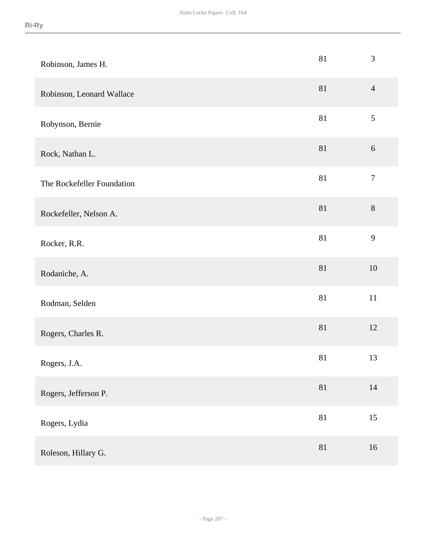| Robinson, James H.         | $81\,$ | $\mathfrak{Z}$   |
|----------------------------|--------|------------------|
| Robinson, Leonard Wallace  | 81     | $\overline{4}$   |
| Robynson, Bernie           | $81\,$ | $\sqrt{5}$       |
| Rock, Nathan L.            | $81\,$ | $6\,$            |
| The Rockefeller Foundation | $81\,$ | $\boldsymbol{7}$ |
| Rockefeller, Nelson A.     | $81\,$ | $8\,$            |
| Rocker, R.R.               | 81     | 9                |
| Rodaniche, A.              | $81\,$ | 10               |
| Rodman, Selden             | $81\,$ | 11               |
| Rogers, Charles R.         | $81\,$ | 12               |
| Rogers, J.A.               | 81     | 13               |
| Rogers, Jefferson P.       | 81     | 14               |
| Rogers, Lydia              | 81     | 15               |
| Roleson, Hillary G.        | $81\,$ | 16               |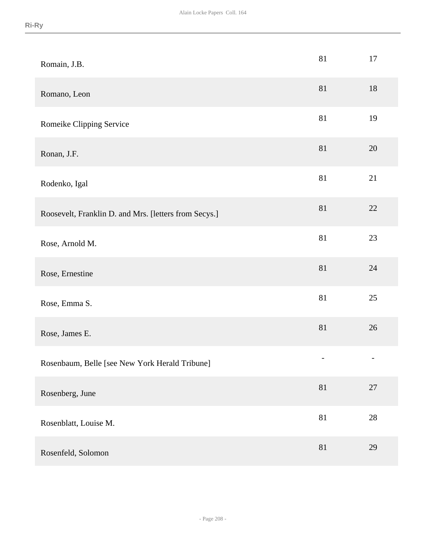| Romain, J.B.                                          | 81                | 17                |
|-------------------------------------------------------|-------------------|-------------------|
| Romano, Leon                                          | 81                | 18                |
| Romeike Clipping Service                              | 81                | 19                |
| Ronan, J.F.                                           | 81                | 20                |
| Rodenko, Igal                                         | 81                | 21                |
| Roosevelt, Franklin D. and Mrs. [letters from Secys.] | 81                | $22\,$            |
| Rose, Arnold M.                                       | 81                | $23\,$            |
| Rose, Ernestine                                       | 81                | 24                |
| Rose, Emma S.                                         | 81                | $25\,$            |
| Rose, James E.                                        | 81                | $26\,$            |
| Rosenbaum, Belle [see New York Herald Tribune]        | $\qquad \qquad -$ | $\qquad \qquad -$ |
| Rosenberg, June                                       | 81                | $27\,$            |
| Rosenblatt, Louise M.                                 | $81\,$            | $28\,$            |
| Rosenfeld, Solomon                                    | 81                | 29                |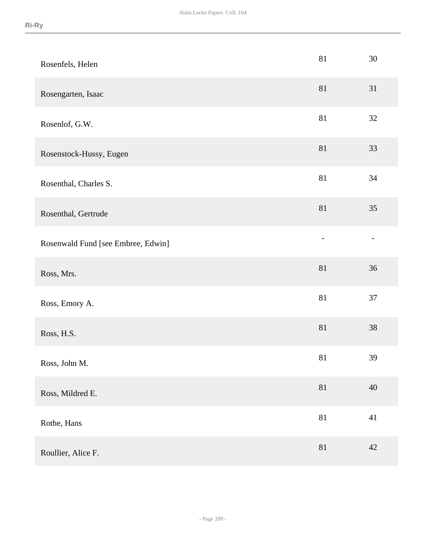| Rosenfels, Helen                   | 81             | 30 |
|------------------------------------|----------------|----|
| Rosengarten, Isaac                 | 81             | 31 |
| Rosenlof, G.W.                     | 81             | 32 |
| Rosenstock-Hussy, Eugen            | $81\,$         | 33 |
| Rosenthal, Charles S.              | 81             | 34 |
| Rosenthal, Gertrude                | 81             | 35 |
| Rosenwald Fund [see Embree, Edwin] | $\overline{a}$ |    |
| Ross, Mrs.                         | $81\,$         | 36 |
| Ross, Emory A.                     | $81\,$         | 37 |
| Ross, H.S.                         | 81             | 38 |
| Ross, John M.                      | 81             | 39 |
| Ross, Mildred E.                   | 81             | 40 |
| Rothe, Hans                        | $81\,$         | 41 |
| Roullier, Alice F.                 | $81\,$         | 42 |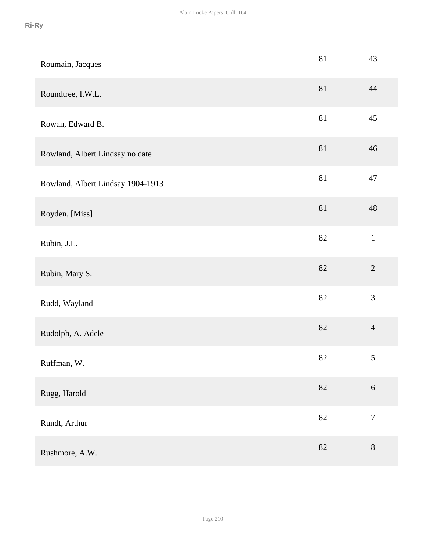| Roumain, Jacques                  | 81     | 43               |
|-----------------------------------|--------|------------------|
| Roundtree, I.W.L.                 | 81     | 44               |
| Rowan, Edward B.                  | $81\,$ | 45               |
| Rowland, Albert Lindsay no date   | $81\,$ | 46               |
| Rowland, Albert Lindsay 1904-1913 | $81\,$ | 47               |
| Royden, [Miss]                    | $81\,$ | 48               |
| Rubin, J.L.                       | 82     | $\mathbf{1}$     |
| Rubin, Mary S.                    | 82     | $\sqrt{2}$       |
| Rudd, Wayland                     | $82\,$ | 3                |
| Rudolph, A. Adele                 | $82\,$ | $\overline{4}$   |
| Ruffman, W.                       | 82     | $\sqrt{5}$       |
| Rugg, Harold                      | 82     | $6\,$            |
| Rundt, Arthur                     | 82     | $\boldsymbol{7}$ |
| Rushmore, A.W.                    | 82     | $8\,$            |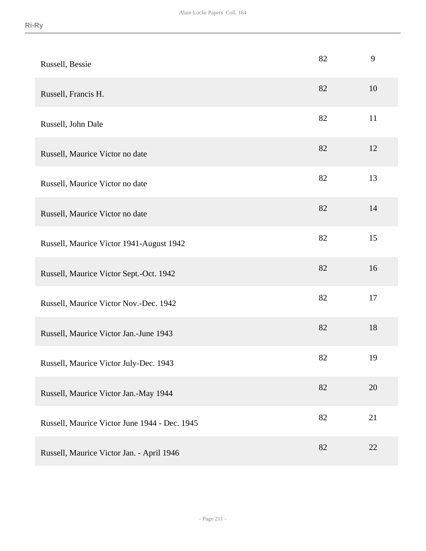| Russell, Bessie                               | 82 | 9  |
|-----------------------------------------------|----|----|
| Russell, Francis H.                           | 82 | 10 |
| Russell, John Dale                            | 82 | 11 |
| Russell, Maurice Victor no date               | 82 | 12 |
| Russell, Maurice Victor no date               | 82 | 13 |
| Russell, Maurice Victor no date               | 82 | 14 |
| Russell, Maurice Victor 1941-August 1942      | 82 | 15 |
| Russell, Maurice Victor Sept.-Oct. 1942       | 82 | 16 |
| Russell, Maurice Victor Nov.-Dec. 1942        | 82 | 17 |
| Russell, Maurice Victor Jan.-June 1943        | 82 | 18 |
| Russell, Maurice Victor July-Dec. 1943        | 82 | 19 |
| Russell, Maurice Victor Jan.-May 1944         | 82 | 20 |
| Russell, Maurice Victor June 1944 - Dec. 1945 | 82 | 21 |
| Russell, Maurice Victor Jan. - April 1946     | 82 | 22 |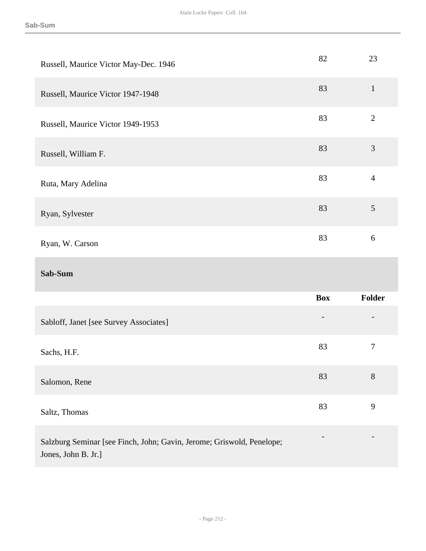| Russell, Maurice Victor May-Dec. 1946  | 82         | 23               |
|----------------------------------------|------------|------------------|
| Russell, Maurice Victor 1947-1948      | 83         | $\mathbf{1}$     |
| Russell, Maurice Victor 1949-1953      | 83         | $\mathbf{2}$     |
| Russell, William F.                    | 83         | $\mathfrak{Z}$   |
| Ruta, Mary Adelina                     | 83         | $\overline{4}$   |
| Ryan, Sylvester                        | 83         | $\mathfrak{S}$   |
| Ryan, W. Carson                        | 83         | $6\,$            |
|                                        |            |                  |
| Sab-Sum                                |            |                  |
|                                        | <b>Box</b> | Folder           |
| Sabloff, Janet [see Survey Associates] |            |                  |
| Sachs, H.F.                            | 83         | $\boldsymbol{7}$ |
| Salomon, Rene                          | 83         | 8                |
| Saltz, Thomas                          | 83         | 9                |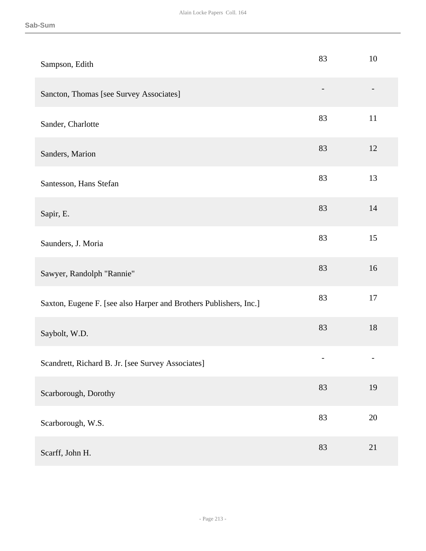| Sampson, Edith                                                    | 83 | 10     |
|-------------------------------------------------------------------|----|--------|
| Sancton, Thomas [see Survey Associates]                           |    |        |
| Sander, Charlotte                                                 | 83 | 11     |
| Sanders, Marion                                                   | 83 | 12     |
| Santesson, Hans Stefan                                            | 83 | 13     |
| Sapir, E.                                                         | 83 | 14     |
| Saunders, J. Moria                                                | 83 | 15     |
| Sawyer, Randolph "Rannie"                                         | 83 | 16     |
| Saxton, Eugene F. [see also Harper and Brothers Publishers, Inc.] | 83 | 17     |
| Saybolt, W.D.                                                     | 83 | 18     |
| Scandrett, Richard B. Jr. [see Survey Associates]                 |    |        |
| Scarborough, Dorothy                                              | 83 | 19     |
| Scarborough, W.S.                                                 | 83 | $20\,$ |
| Scarff, John H.                                                   | 83 | 21     |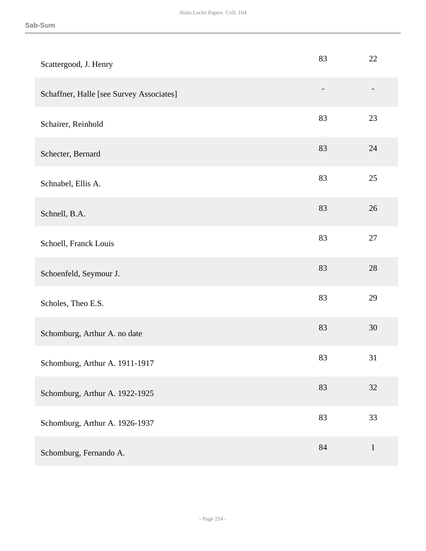| Scattergood, J. Henry                    | 83             | 22           |
|------------------------------------------|----------------|--------------|
| Schaffner, Halle [see Survey Associates] | $\overline{a}$ |              |
| Schairer, Reinhold                       | 83             | 23           |
| Schecter, Bernard                        | 83             | 24           |
| Schnabel, Ellis A.                       | 83             | 25           |
| Schnell, B.A.                            | 83             | 26           |
| Schoell, Franck Louis                    | 83             | 27           |
| Schoenfeld, Seymour J.                   | 83             | 28           |
| Scholes, Theo E.S.                       | 83             | 29           |
| Schomburg, Arthur A. no date             | 83             | 30           |
| Schomburg, Arthur A. 1911-1917           | 83             | 31           |
| Schomburg, Arthur A. 1922-1925           | 83             | 32           |
| Schomburg, Arthur A. 1926-1937           | 83             | 33           |
| Schomburg, Fernando A.                   | 84             | $\mathbf{1}$ |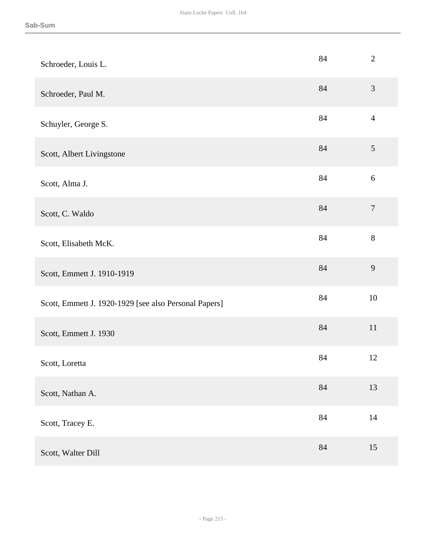| Schroeder, Louis L.                                   | 84     | $\overline{2}$   |
|-------------------------------------------------------|--------|------------------|
| Schroeder, Paul M.                                    | 84     | $\mathfrak{Z}$   |
| Schuyler, George S.                                   | 84     | $\overline{4}$   |
| Scott, Albert Livingstone                             | 84     | $\sqrt{5}$       |
| Scott, Alma J.                                        | 84     | 6                |
| Scott, C. Waldo                                       | 84     | $\boldsymbol{7}$ |
| Scott, Elisabeth McK.                                 | 84     | 8                |
| Scott, Emmett J. 1910-1919                            | 84     | 9                |
| Scott, Emmett J. 1920-1929 [see also Personal Papers] | 84     | 10               |
| Scott, Emmett J. 1930                                 | $84\,$ | $11\,$           |
| Scott, Loretta                                        | 84     | 12               |
| Scott, Nathan A.                                      | 84     | 13               |
| Scott, Tracey E.                                      | 84     | $14\,$           |
| Scott, Walter Dill                                    | 84     | 15               |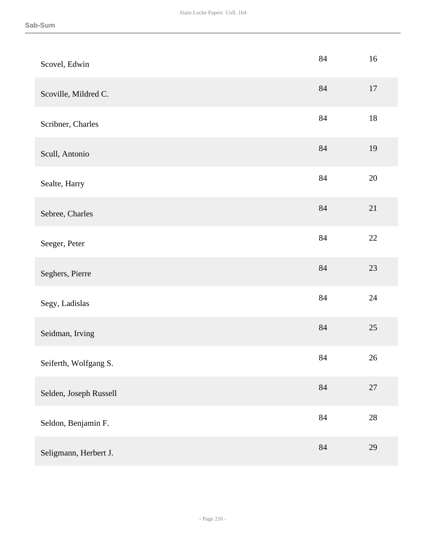| Scovel, Edwin          | 84       | 16     |
|------------------------|----------|--------|
| Scoville, Mildred C.   | 84       | $17\,$ |
| Scribner, Charles      | 84       | $18\,$ |
| Scull, Antonio         | $84\,$   | 19     |
| Sealte, Harry          | $84\,$   | $20\,$ |
| Sebree, Charles        | $84\,$   | 21     |
| Seeger, Peter          | 84       | $22\,$ |
| Seghers, Pierre        | $84\,$   | $23\,$ |
| Segy, Ladislas         | 84       | 24     |
| Seidman, Irving        | $\rm 84$ | $25\,$ |
| Seiferth, Wolfgang S.  | 84       | 26     |
| Selden, Joseph Russell | $84\,$   | $27\,$ |
| Seldon, Benjamin F.    | 84       | $28\,$ |
| Seligmann, Herbert J.  | 84       | 29     |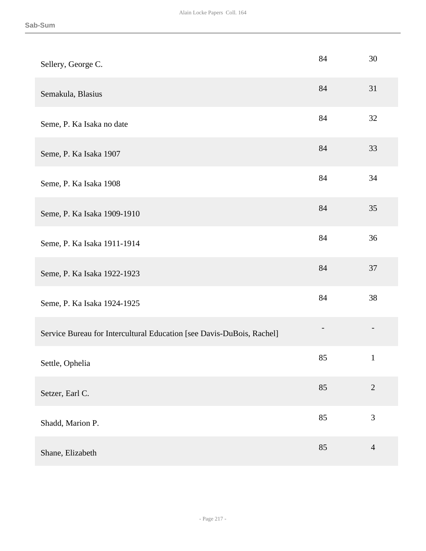| Sellery, George C.                                                    | 84 | 30             |
|-----------------------------------------------------------------------|----|----------------|
| Semakula, Blasius                                                     | 84 | 31             |
| Seme, P. Ka Isaka no date                                             | 84 | 32             |
| Seme, P. Ka Isaka 1907                                                | 84 | 33             |
| Seme, P. Ka Isaka 1908                                                | 84 | 34             |
| Seme, P. Ka Isaka 1909-1910                                           | 84 | 35             |
| Seme, P. Ka Isaka 1911-1914                                           | 84 | 36             |
| Seme, P. Ka Isaka 1922-1923                                           | 84 | 37             |
| Seme, P. Ka Isaka 1924-1925                                           | 84 | 38             |
| Service Bureau for Intercultural Education [see Davis-DuBois, Rachel] |    |                |
| Settle, Ophelia                                                       | 85 | $\mathbf{1}$   |
| Setzer, Earl C.                                                       | 85 | $\mathbf{2}$   |
| Shadd, Marion P.                                                      | 85 | 3              |
| Shane, Elizabeth                                                      | 85 | $\overline{4}$ |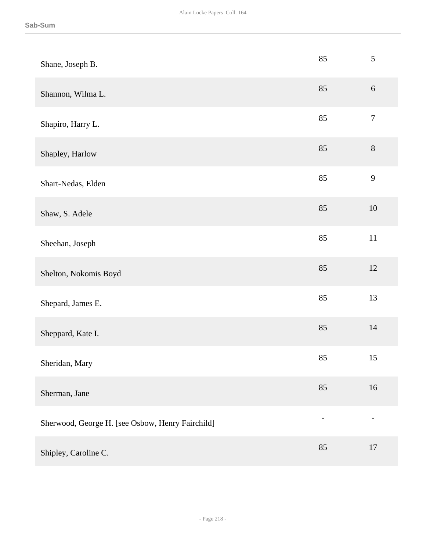| Shane, Joseph B.                                 | 85 | $\sqrt{5}$       |
|--------------------------------------------------|----|------------------|
| Shannon, Wilma L.                                | 85 | $6\,$            |
| Shapiro, Harry L.                                | 85 | $\boldsymbol{7}$ |
| Shapley, Harlow                                  | 85 | $8\,$            |
| Shart-Nedas, Elden                               | 85 | 9                |
| Shaw, S. Adele                                   | 85 | 10               |
| Sheehan, Joseph                                  | 85 | $11\,$           |
| Shelton, Nokomis Boyd                            | 85 | $12\,$           |
| Shepard, James E.                                | 85 | 13               |
| Sheppard, Kate I.                                | 85 | $14$             |
| Sheridan, Mary                                   | 85 | 15               |
| Sherman, Jane                                    | 85 | 16               |
| Sherwood, George H. [see Osbow, Henry Fairchild] |    |                  |
| Shipley, Caroline C.                             | 85 | 17               |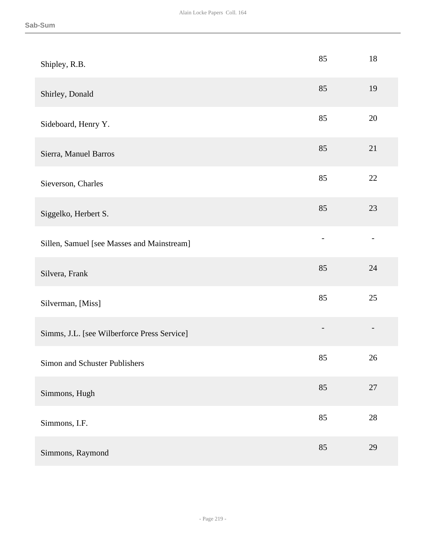| Shipley, R.B.                               | 85 | 18     |
|---------------------------------------------|----|--------|
| Shirley, Donald                             | 85 | 19     |
| Sideboard, Henry Y.                         | 85 | 20     |
| Sierra, Manuel Barros                       | 85 | 21     |
| Sieverson, Charles                          | 85 | $22\,$ |
| Siggelko, Herbert S.                        | 85 | 23     |
| Sillen, Samuel [see Masses and Mainstream]  |    |        |
| Silvera, Frank                              | 85 | 24     |
| Silverman, [Miss]                           | 85 | 25     |
| Simms, J.L. [see Wilberforce Press Service] |    |        |
| Simon and Schuster Publishers               | 85 | 26     |
| Simmons, Hugh                               | 85 | 27     |
| Simmons, I.F.                               | 85 | $28\,$ |
| Simmons, Raymond                            | 85 | 29     |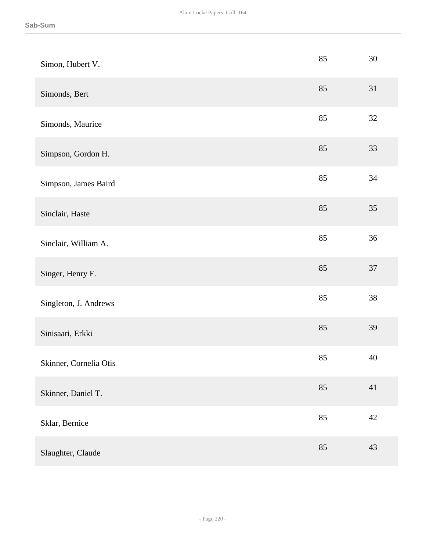| Simon, Hubert V.       | 85 | 30     |
|------------------------|----|--------|
| Simonds, Bert          | 85 | 31     |
| Simonds, Maurice       | 85 | 32     |
| Simpson, Gordon H.     | 85 | 33     |
| Simpson, James Baird   | 85 | 34     |
| Sinclair, Haste        | 85 | 35     |
| Sinclair, William A.   | 85 | 36     |
| Singer, Henry F.       | 85 | $37\,$ |
| Singleton, J. Andrews  | 85 | 38     |
| Sinisaari, Erkki       | 85 | 39     |
| Skinner, Cornelia Otis | 85 | 40     |
| Skinner, Daniel T.     | 85 | 41     |
| Sklar, Bernice         | 85 | $42\,$ |
| Slaughter, Claude      | 85 | 43     |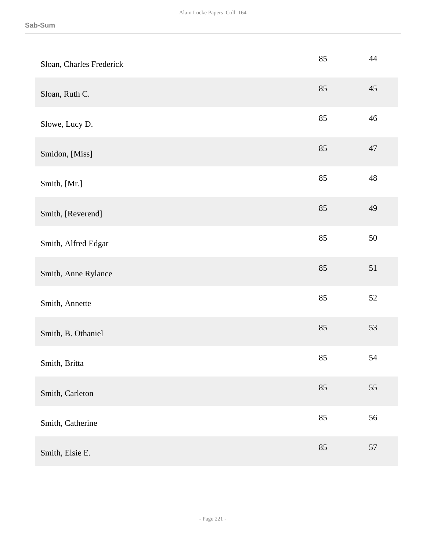| Sloan, Charles Frederick | 85 | 44          |
|--------------------------|----|-------------|
| Sloan, Ruth C.           | 85 | 45          |
| Slowe, Lucy D.           | 85 | 46          |
| Smidon, [Miss]           | 85 | 47          |
| Smith, [Mr.]             | 85 | $\sqrt{48}$ |
| Smith, [Reverend]        | 85 | 49          |
| Smith, Alfred Edgar      | 85 | 50          |
| Smith, Anne Rylance      | 85 | 51          |
| Smith, Annette           | 85 | $52\,$      |
| Smith, B. Othaniel       | 85 | 53          |
| Smith, Britta            | 85 | 54          |
| Smith, Carleton          | 85 | 55          |
| Smith, Catherine         | 85 | 56          |
| Smith, Elsie E.          | 85 | 57          |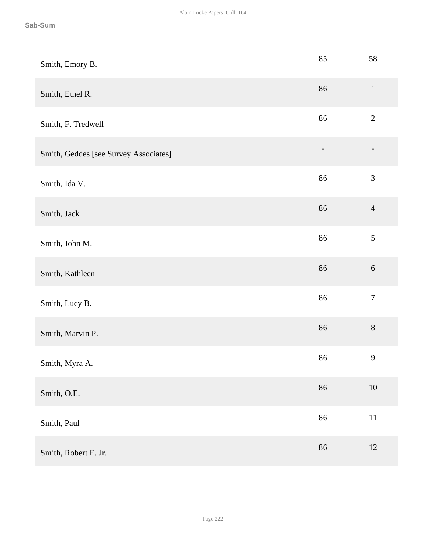| Smith, Emory B.                       | 85 | 58               |
|---------------------------------------|----|------------------|
| Smith, Ethel R.                       | 86 | $\mathbf 1$      |
| Smith, F. Tredwell                    | 86 | $\sqrt{2}$       |
| Smith, Geddes [see Survey Associates] |    |                  |
| Smith, Ida V.                         | 86 | $\mathfrak{Z}$   |
| Smith, Jack                           | 86 | $\overline{4}$   |
| Smith, John M.                        | 86 | $\sqrt{5}$       |
| Smith, Kathleen                       | 86 | $\sqrt{6}$       |
| Smith, Lucy B.                        | 86 | $\boldsymbol{7}$ |
| Smith, Marvin P.                      | 86 | $8\,$            |
| Smith, Myra A.                        | 86 | $\mathbf{9}$     |
| Smith, O.E.                           | 86 | $10\,$           |
| Smith, Paul                           | 86 | $11\,$           |
| Smith, Robert E. Jr.                  | 86 | $12\,$           |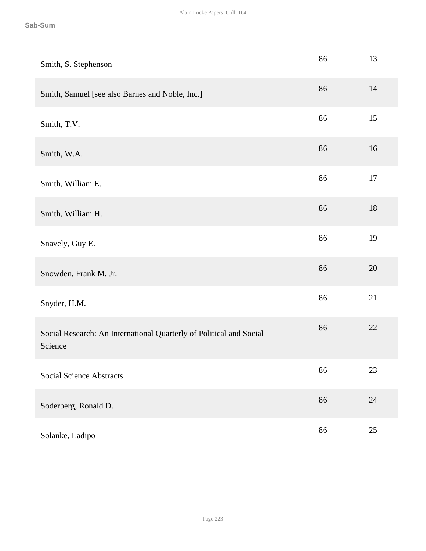| Smith, S. Stephenson                                                           | 86 | 13     |
|--------------------------------------------------------------------------------|----|--------|
| Smith, Samuel [see also Barnes and Noble, Inc.]                                | 86 | 14     |
| Smith, T.V.                                                                    | 86 | 15     |
| Smith, W.A.                                                                    | 86 | 16     |
| Smith, William E.                                                              | 86 | 17     |
| Smith, William H.                                                              | 86 | $18\,$ |
| Snavely, Guy E.                                                                | 86 | 19     |
| Snowden, Frank M. Jr.                                                          | 86 | 20     |
| Snyder, H.M.                                                                   | 86 | 21     |
| Social Research: An International Quarterly of Political and Social<br>Science | 86 | 22     |
| <b>Social Science Abstracts</b>                                                | 86 | 23     |
| Soderberg, Ronald D.                                                           | 86 | $24\,$ |
| Solanke, Ladipo                                                                | 86 | $25\,$ |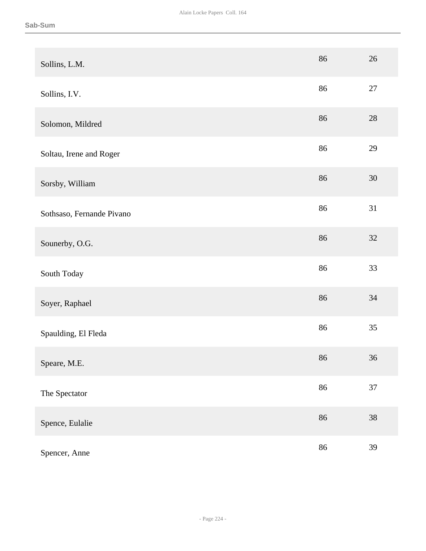| Sollins, L.M.             | 86 | 26     |
|---------------------------|----|--------|
| Sollins, I.V.             | 86 | $27\,$ |
| Solomon, Mildred          | 86 | $28\,$ |
| Soltau, Irene and Roger   | 86 | 29     |
| Sorsby, William           | 86 | $30\,$ |
| Sothsaso, Fernande Pivano | 86 | 31     |
| Sounerby, O.G.            | 86 | 32     |
| South Today               | 86 | 33     |
| Soyer, Raphael            | 86 | 34     |
| Spaulding, El Fleda       | 86 | 35     |
| Speare, M.E.              | 86 | 36     |
| The Spectator             | 86 | 37     |
| Spence, Eulalie           | 86 | 38     |
| Spencer, Anne             | 86 | 39     |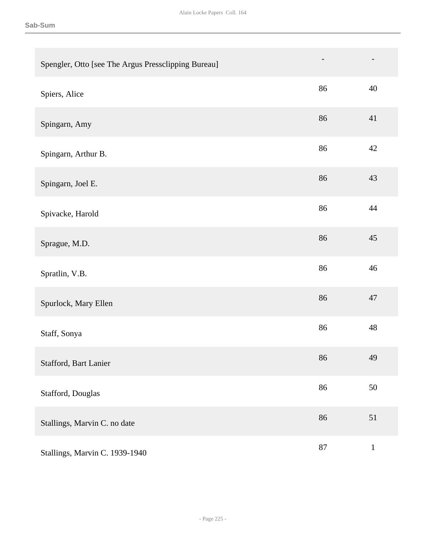| Spengler, Otto [see The Argus Pressclipping Bureau] |    |              |
|-----------------------------------------------------|----|--------------|
| Spiers, Alice                                       | 86 | 40           |
| Spingarn, Amy                                       | 86 | 41           |
| Spingarn, Arthur B.                                 | 86 | 42           |
| Spingarn, Joel E.                                   | 86 | 43           |
| Spivacke, Harold                                    | 86 | 44           |
| Sprague, M.D.                                       | 86 | 45           |
| Spratlin, V.B.                                      | 86 | 46           |
| Spurlock, Mary Ellen                                | 86 | 47           |
| Staff, Sonya                                        | 86 | 48           |
| Stafford, Bart Lanier                               | 86 | 49           |
| Stafford, Douglas                                   | 86 | 50           |
| Stallings, Marvin C. no date                        | 86 | 51           |
| Stallings, Marvin C. 1939-1940                      | 87 | $\mathbf{1}$ |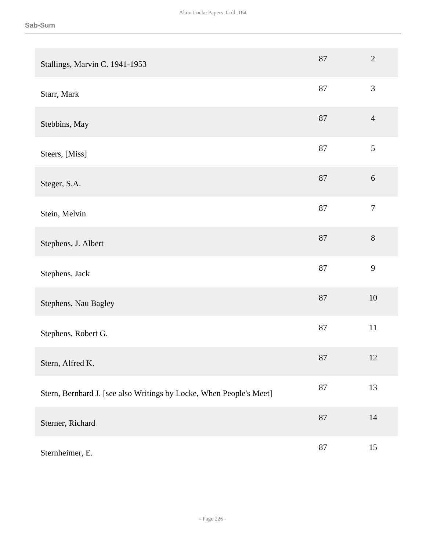| Stallings, Marvin C. 1941-1953                                      | 87     | $\overline{2}$   |
|---------------------------------------------------------------------|--------|------------------|
| Starr, Mark                                                         | 87     | 3                |
| Stebbins, May                                                       | 87     | $\overline{4}$   |
| Steers, [Miss]                                                      | $87\,$ | $\sqrt{5}$       |
| Steger, S.A.                                                        | $87\,$ | $\sqrt{6}$       |
| Stein, Melvin                                                       | 87     | $\boldsymbol{7}$ |
| Stephens, J. Albert                                                 | $87\,$ | $8\,$            |
| Stephens, Jack                                                      | 87     | 9                |
| Stephens, Nau Bagley                                                | $87\,$ | $10\,$           |
| Stephens, Robert G.                                                 | $87\,$ | $11\,$           |
| Stern, Alfred K.                                                    | $87\,$ | $12\,$           |
| Stern, Bernhard J. [see also Writings by Locke, When People's Meet] | 87     | 13               |
| Sterner, Richard                                                    | 87     | 14               |
| Sternheimer, E.                                                     | 87     | 15               |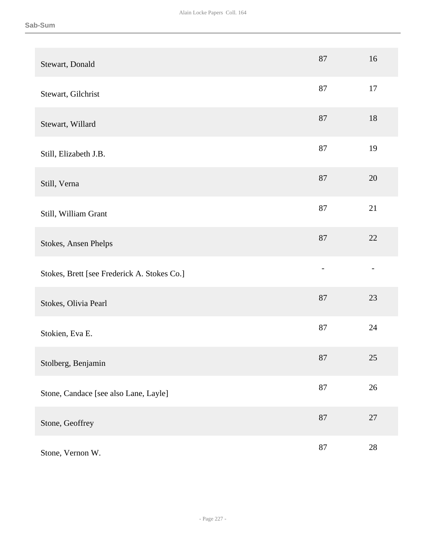| Stewart, Donald                             | 87     | 16     |
|---------------------------------------------|--------|--------|
| Stewart, Gilchrist                          | 87     | 17     |
| Stewart, Willard                            | 87     | 18     |
| Still, Elizabeth J.B.                       | 87     | 19     |
| Still, Verna                                | 87     | 20     |
| Still, William Grant                        | 87     | 21     |
| Stokes, Ansen Phelps                        | 87     | 22     |
| Stokes, Brett [see Frederick A. Stokes Co.] |        |        |
| Stokes, Olivia Pearl                        | 87     | 23     |
| Stokien, Eva E.                             | 87     | 24     |
| Stolberg, Benjamin                          | $87\,$ | $25\,$ |
| Stone, Candace [see also Lane, Layle]       | $87\,$ | $26\,$ |
| Stone, Geoffrey                             | $87\,$ | $27\,$ |
| Stone, Vernon W.                            | $87\,$ | $28\,$ |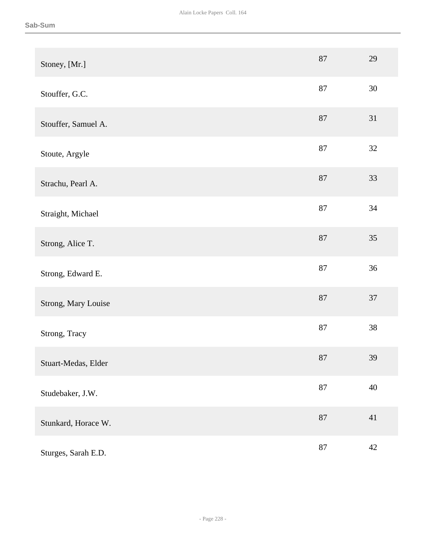| Stoney, [Mr.]       | 87     | 29     |
|---------------------|--------|--------|
| Stouffer, G.C.      | 87     | 30     |
| Stouffer, Samuel A. | 87     | 31     |
| Stoute, Argyle      | $87\,$ | $32\,$ |
| Strachu, Pearl A.   | $87\,$ | 33     |
| Straight, Michael   | 87     | $34\,$ |
| Strong, Alice T.    | $87\,$ | $35\,$ |
| Strong, Edward E.   | 87     | 36     |
| Strong, Mary Louise | 87     | 37     |
| Strong, Tracy       | $87\,$ | $38\,$ |
| Stuart-Medas, Elder | $87\,$ | 39     |
| Studebaker, J.W.    | 87     | $40\,$ |
| Stunkard, Horace W. | $87\,$ | 41     |
| Sturges, Sarah E.D. | $87\,$ | $42\,$ |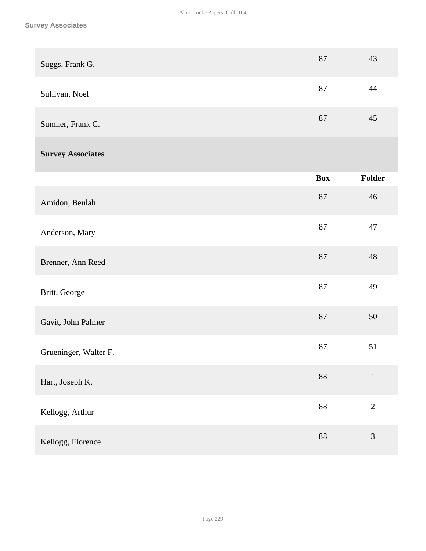| Suggs, Frank G.          | 87         | 43             |
|--------------------------|------------|----------------|
| Sullivan, Noel           | $87\,$     | 44             |
| Sumner, Frank C.         | 87         | 45             |
| <b>Survey Associates</b> |            |                |
|                          | <b>Box</b> | Folder         |
| Amidon, Beulah           | 87         | 46             |
| Anderson, Mary           | 87         | 47             |
| Brenner, Ann Reed        | 87         | 48             |
| Britt, George            | 87         | 49             |
| Gavit, John Palmer       | 87         | 50             |
| Grueninger, Walter F.    | $87\,$     | 51             |
| Hart, Joseph K.          | 88         | $\mathbf 1$    |
| Kellogg, Arthur          | $88\,$     | $\overline{2}$ |
| Kellogg, Florence        | 88         | $\mathfrak{Z}$ |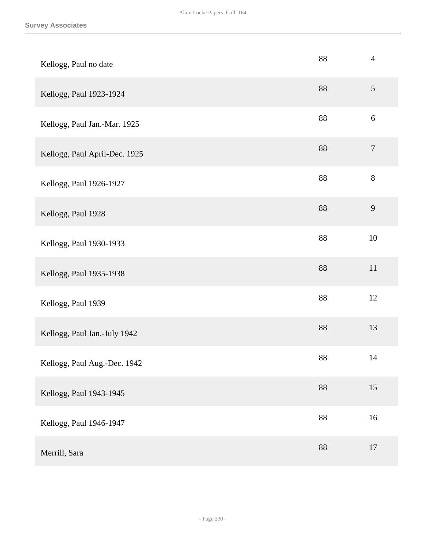| Kellogg, Paul no date         | 88     | $\overline{4}$   |
|-------------------------------|--------|------------------|
| Kellogg, Paul 1923-1924       | 88     | $\sqrt{5}$       |
| Kellogg, Paul Jan.-Mar. 1925  | 88     | $6\,$            |
| Kellogg, Paul April-Dec. 1925 | 88     | $\boldsymbol{7}$ |
| Kellogg, Paul 1926-1927       | 88     | $8\,$            |
| Kellogg, Paul 1928            | $88\,$ | $\overline{9}$   |
| Kellogg, Paul 1930-1933       | 88     | $10\,$           |
| Kellogg, Paul 1935-1938       | $88\,$ | $11\,$           |
| Kellogg, Paul 1939            | $88\,$ | $12\,$           |
| Kellogg, Paul Jan.-July 1942  | 88     | 13               |
| Kellogg, Paul Aug.-Dec. 1942  | 88     | 14               |
| Kellogg, Paul 1943-1945       | 88     | 15               |
| Kellogg, Paul 1946-1947       | $88\,$ | $16\,$           |
| Merrill, Sara                 | 88     | 17               |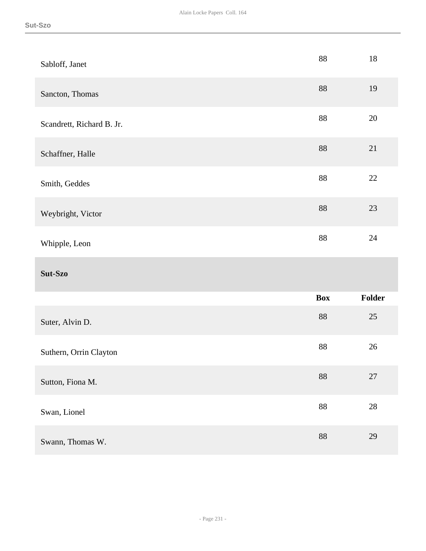| Sabloff, Janet            | $88\,$     | 18     |
|---------------------------|------------|--------|
| Sancton, Thomas           | $88\,$     | 19     |
| Scandrett, Richard B. Jr. | 88         | 20     |
| Schaffner, Halle          | $88\,$     | 21     |
| Smith, Geddes             | $88\,$     | 22     |
| Weybright, Victor         | $88\,$     | 23     |
|                           | $88\,$     | 24     |
| Whipple, Leon             |            |        |
| Sut-Szo                   |            |        |
|                           | <b>Box</b> | Folder |
| Suter, Alvin D.           | $88\,$     | 25     |
| Suthern, Orrin Clayton    | $88\,$     | $26\,$ |
| Sutton, Fiona M.          | $88\,$     | $27\,$ |
| Swan, Lionel              | $88\,$     | $28\,$ |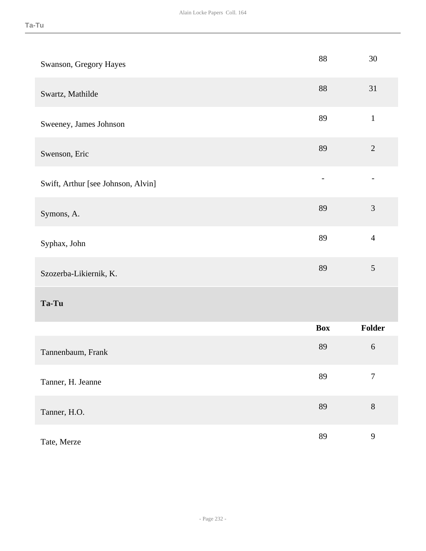| Swanson, Gregory Hayes             | 88         | 30               |
|------------------------------------|------------|------------------|
| Swartz, Mathilde                   | 88         | 31               |
| Sweeney, James Johnson             | 89         | $\mathbf{1}$     |
| Swenson, Eric                      | 89         | $\overline{2}$   |
| Swift, Arthur [see Johnson, Alvin] |            |                  |
| Symons, A.                         | 89         | $\overline{3}$   |
| Syphax, John                       | 89         | $\overline{4}$   |
| Szozerba-Likiernik, K.             | 89         | 5                |
| Ta-Tu                              |            |                  |
|                                    | <b>Box</b> | Folder           |
| Tannenbaum, Frank                  | 89         | $\sqrt{6}$       |
| Tanner, H. Jeanne                  | 89         | $\boldsymbol{7}$ |
| Tanner, H.O.                       | 89         | $8\,$            |
| Tate, Merze                        | 89         | $\mathbf{9}$     |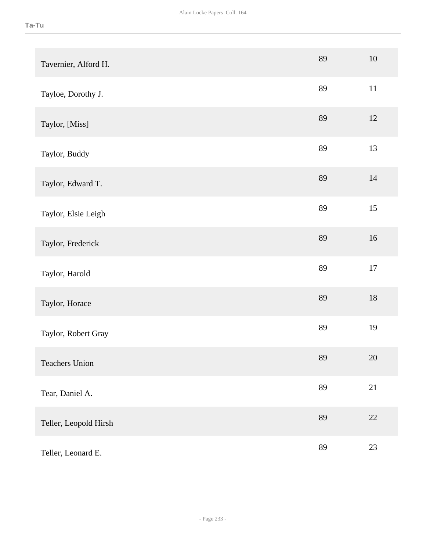| Tavernier, Alford H.  | 89 | $10\,$ |
|-----------------------|----|--------|
| Tayloe, Dorothy J.    | 89 | $11\,$ |
| Taylor, [Miss]        | 89 | 12     |
| Taylor, Buddy         | 89 | 13     |
| Taylor, Edward T.     | 89 | 14     |
| Taylor, Elsie Leigh   | 89 | 15     |
| Taylor, Frederick     | 89 | 16     |
| Taylor, Harold        | 89 | $17\,$ |
| Taylor, Horace        | 89 | $18\,$ |
| Taylor, Robert Gray   | 89 | 19     |
| <b>Teachers Union</b> | 89 | $20\,$ |
| Tear, Daniel A.       | 89 | 21     |
| Teller, Leopold Hirsh | 89 | 22     |
| Teller, Leonard E.    | 89 | 23     |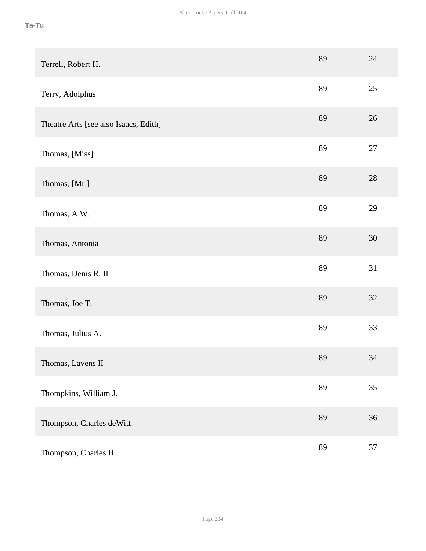| Terrell, Robert H.                    | 89 | 24     |
|---------------------------------------|----|--------|
| Terry, Adolphus                       | 89 | 25     |
| Theatre Arts [see also Isaacs, Edith] | 89 | $26\,$ |
| Thomas, [Miss]                        | 89 | 27     |
| Thomas, [Mr.]                         | 89 | 28     |
| Thomas, A.W.                          | 89 | 29     |
| Thomas, Antonia                       | 89 | 30     |
| Thomas, Denis R. II                   | 89 | 31     |
| Thomas, Joe T.                        | 89 | 32     |
| Thomas, Julius A.                     | 89 | 33     |
| Thomas, Lavens II                     | 89 | 34     |
| Thompkins, William J.                 | 89 | 35     |
| Thompson, Charles deWitt              | 89 | 36     |
| Thompson, Charles H.                  | 89 | 37     |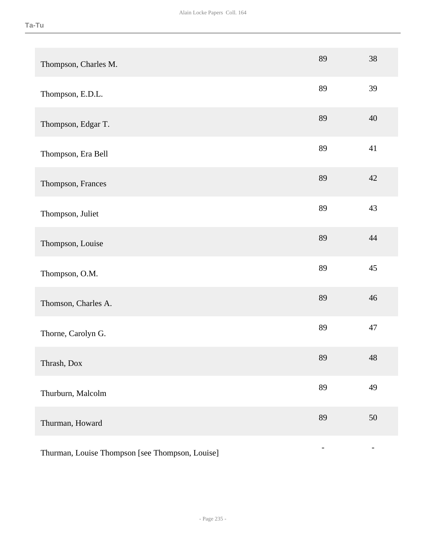| Thompson, Charles M.                            | 89 | 38 |
|-------------------------------------------------|----|----|
| Thompson, E.D.L.                                | 89 | 39 |
| Thompson, Edgar T.                              | 89 | 40 |
| Thompson, Era Bell                              | 89 | 41 |
| Thompson, Frances                               | 89 | 42 |
| Thompson, Juliet                                | 89 | 43 |
| Thompson, Louise                                | 89 | 44 |
| Thompson, O.M.                                  | 89 | 45 |
| Thomson, Charles A.                             | 89 | 46 |
| Thorne, Carolyn G.                              | 89 | 47 |
| Thrash, Dox                                     | 89 | 48 |
| Thurburn, Malcolm                               | 89 | 49 |
| Thurman, Howard                                 | 89 | 50 |
| Thurman, Louise Thompson [see Thompson, Louise] |    |    |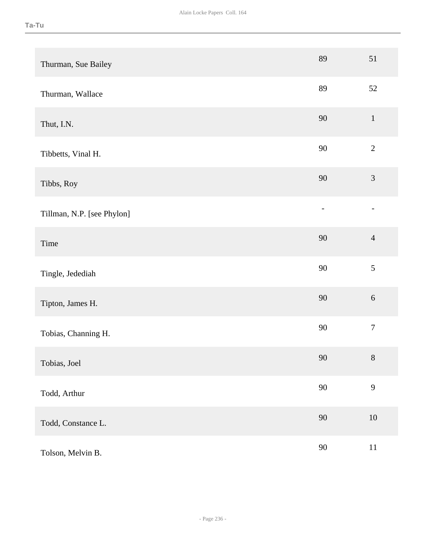| Thurman, Sue Bailey        | 89                       | 51               |
|----------------------------|--------------------------|------------------|
| Thurman, Wallace           | 89                       | 52               |
| Thut, I.N.                 | $90\,$                   | $\mathbf{1}$     |
| Tibbetts, Vinal H.         | 90                       | $\sqrt{2}$       |
| Tibbs, Roy                 | 90                       | $\mathfrak{Z}$   |
| Tillman, N.P. [see Phylon] | $\overline{\phantom{0}}$ |                  |
| Time                       | 90                       | $\overline{4}$   |
| Tingle, Jedediah           | 90                       | 5                |
| Tipton, James H.           | $90\,$                   | $\sqrt{6}$       |
| Tobias, Channing H.        | $90\,$                   | $\boldsymbol{7}$ |
| Tobias, Joel               | $90\,$                   | $8\,$            |
| Todd, Arthur               | $90\,$                   | 9                |
| Todd, Constance L.         | $90\,$                   | $10\,$           |
| Tolson, Melvin B.          | $90\,$                   | $11\,$           |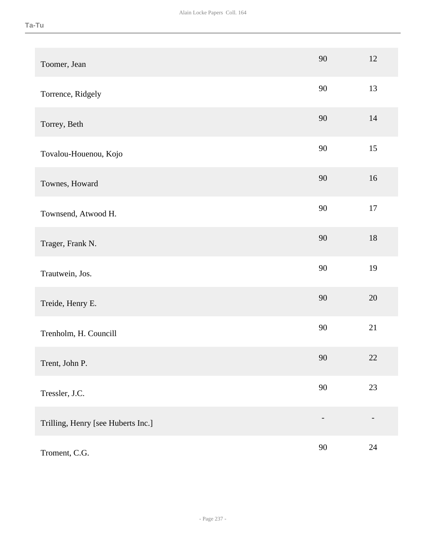| Toomer, Jean                       | 90     | 12     |
|------------------------------------|--------|--------|
| Torrence, Ridgely                  | 90     | 13     |
| Torrey, Beth                       | 90     | 14     |
| Tovalou-Houenou, Kojo              | 90     | 15     |
| Townes, Howard                     | 90     | 16     |
| Townsend, Atwood H.                | 90     | $17\,$ |
| Trager, Frank N.                   | 90     | 18     |
| Trautwein, Jos.                    | 90     | 19     |
| Treide, Henry E.                   | 90     | 20     |
| Trenholm, H. Councill              | 90     | 21     |
| Trent, John P.                     | $90\,$ | 22     |
| Tressler, J.C.                     | 90     | 23     |
| Trilling, Henry [see Huberts Inc.] |        |        |
| Troment, C.G.                      | 90     | $24\,$ |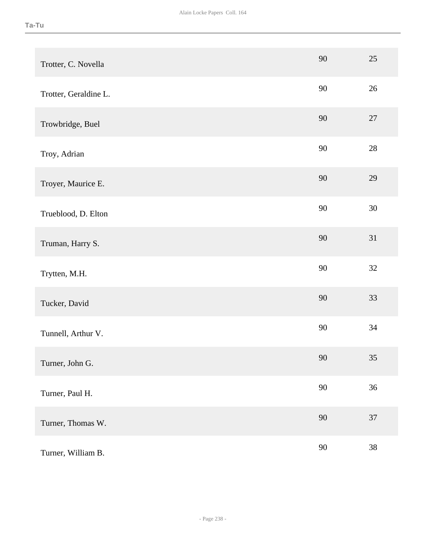| Trotter, C. Novella   | 90     | 25     |
|-----------------------|--------|--------|
| Trotter, Geraldine L. | 90     | 26     |
| Trowbridge, Buel      | 90     | 27     |
| Troy, Adrian          | 90     | 28     |
| Troyer, Maurice E.    | 90     | 29     |
| Trueblood, D. Elton   | 90     | $30\,$ |
| Truman, Harry S.      | 90     | 31     |
| Trytten, M.H.         | 90     | 32     |
| Tucker, David         | 90     | 33     |
| Tunnell, Arthur V.    | 90     | 34     |
| Turner, John G.       | $90\,$ | 35     |
| Turner, Paul H.       | 90     | 36     |
| Turner, Thomas W.     | 90     | 37     |
| Turner, William B.    | 90     | 38     |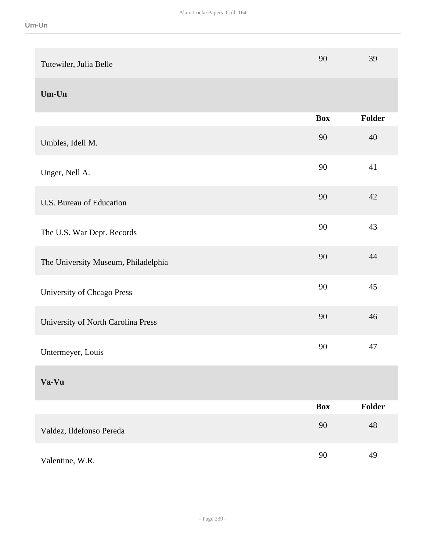| Tutewiler, Julia Belle              | 90         | 39     |
|-------------------------------------|------------|--------|
| $Um$ -Un                            |            |        |
|                                     | <b>Box</b> | Folder |
| Umbles, Idell M.                    | 90         | 40     |
| Unger, Nell A.                      | 90         | 41     |
| U.S. Bureau of Education            | 90         | 42     |
| The U.S. War Dept. Records          | 90         | 43     |
| The University Museum, Philadelphia | 90         | 44     |
| University of Chcago Press          | 90         | 45     |
| University of North Carolina Press  | 90         | 46     |
| Untermeyer, Louis                   | 90         | 47     |
| Va-Vu                               |            |        |
|                                     | <b>Box</b> | Folder |
| Valdez, Ildefonso Pereda            | 90         | 48     |
| Valentine, W.R.                     | 90         | 49     |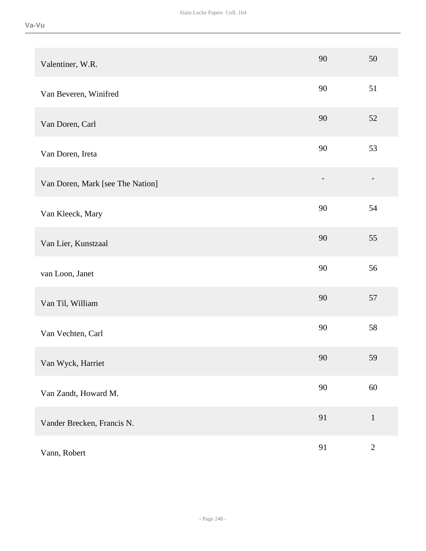| Valentiner, W.R.                 | 90     | 50           |
|----------------------------------|--------|--------------|
| Van Beveren, Winifred            | 90     | 51           |
| Van Doren, Carl                  | 90     | 52           |
| Van Doren, Ireta                 | 90     | 53           |
| Van Doren, Mark [see The Nation] |        |              |
| Van Kleeck, Mary                 | 90     | 54           |
| Van Lier, Kunstzaal              | 90     | 55           |
| van Loon, Janet                  | 90     | 56           |
| Van Til, William                 | 90     | 57           |
| Van Vechten, Carl                | 90     | 58           |
| Van Wyck, Harriet                | $90\,$ | 59           |
| Van Zandt, Howard M.             | $90\,$ | $60\,$       |
| Vander Brecken, Francis N.       | 91     | $1\,$        |
| Vann, Robert                     | 91     | $\mathbf{2}$ |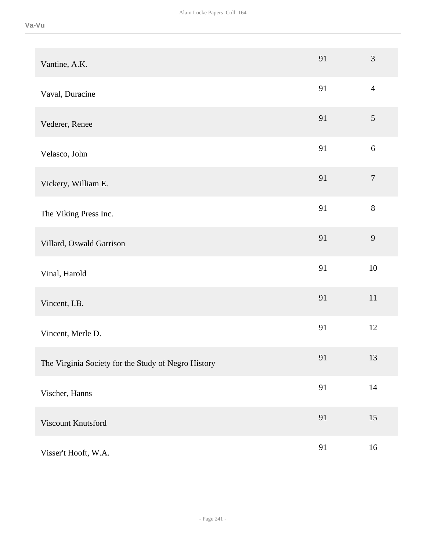| Vantine, A.K.                                       | 91 | 3                |
|-----------------------------------------------------|----|------------------|
| Vaval, Duracine                                     | 91 | $\overline{4}$   |
| Vederer, Renee                                      | 91 | 5                |
| Velasco, John                                       | 91 | $\sqrt{6}$       |
| Vickery, William E.                                 | 91 | $\boldsymbol{7}$ |
| The Viking Press Inc.                               | 91 | $8\,$            |
| Villard, Oswald Garrison                            | 91 | 9                |
| Vinal, Harold                                       | 91 | 10               |
| Vincent, I.B.                                       | 91 | $11\,$           |
| Vincent, Merle D.                                   | 91 | 12               |
| The Virginia Society for the Study of Negro History | 91 | 13               |
| Vischer, Hanns                                      | 91 | $14\,$           |
| Viscount Knutsford                                  | 91 | 15               |
| Visser't Hooft, W.A.                                | 91 | 16               |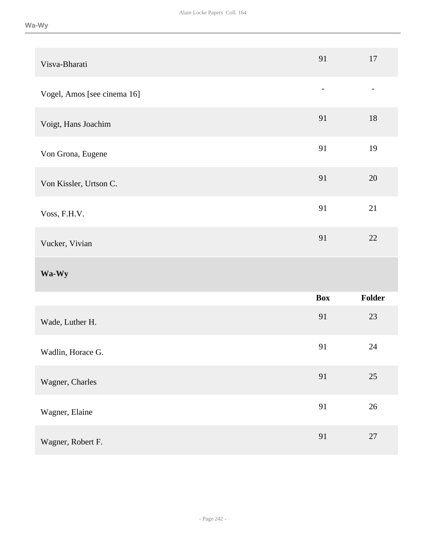| Visva-Bharati               | 91                       | 17                       |
|-----------------------------|--------------------------|--------------------------|
| Vogel, Amos [see cinema 16] | $\overline{\phantom{a}}$ | $\overline{\phantom{0}}$ |
| Voigt, Hans Joachim         | 91                       | 18                       |
| Von Grona, Eugene           | 91                       | 19                       |
| Von Kissler, Urtson C.      | 91                       | 20                       |
| Voss, F.H.V.                | 91                       | 21                       |
|                             | 91                       | 22                       |
| Vucker, Vivian              |                          |                          |
| Wa-Wy                       |                          |                          |
|                             | <b>Box</b>               | Folder                   |
| Wade, Luther H.             | 91                       | $23\,$                   |
| Wadlin, Horace G.           | 91                       | 24                       |
| Wagner, Charles             | 91                       | $25\,$                   |
| Wagner, Elaine              | 91                       | $26\,$                   |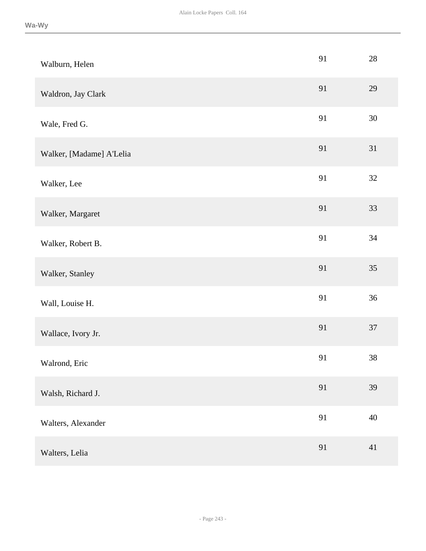| Walburn, Helen           | 91 | $28\,$ |
|--------------------------|----|--------|
| Waldron, Jay Clark       | 91 | 29     |
| Wale, Fred G.            | 91 | 30     |
| Walker, [Madame] A'Lelia | 91 | 31     |
| Walker, Lee              | 91 | 32     |
| Walker, Margaret         | 91 | 33     |
| Walker, Robert B.        | 91 | 34     |
| Walker, Stanley          | 91 | 35     |
| Wall, Louise H.          | 91 | 36     |
| Wallace, Ivory Jr.       | 91 | 37     |
| Walrond, Eric            | 91 | $38\,$ |
| Walsh, Richard J.        | 91 | 39     |
| Walters, Alexander       | 91 | $40\,$ |
| Walters, Lelia           | 91 | 41     |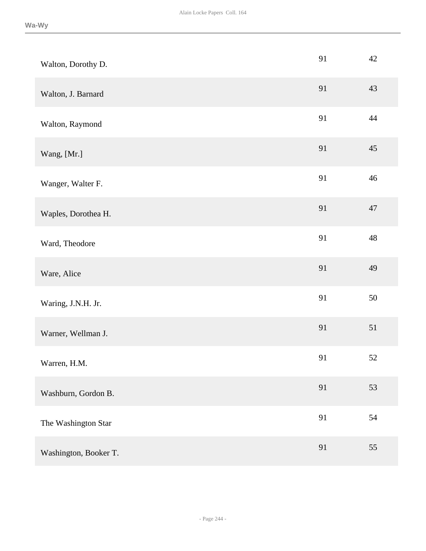| Walton, Dorothy D.    | 91 | 42 |
|-----------------------|----|----|
| Walton, J. Barnard    | 91 | 43 |
| Walton, Raymond       | 91 | 44 |
| Wang, [Mr.]           | 91 | 45 |
| Wanger, Walter F.     | 91 | 46 |
| Waples, Dorothea H.   | 91 | 47 |
| Ward, Theodore        | 91 | 48 |
| Ware, Alice           | 91 | 49 |
| Waring, J.N.H. Jr.    | 91 | 50 |
| Warner, Wellman J.    | 91 | 51 |
| Warren, H.M.          | 91 | 52 |
| Washburn, Gordon B.   | 91 | 53 |
| The Washington Star   | 91 | 54 |
| Washington, Booker T. | 91 | 55 |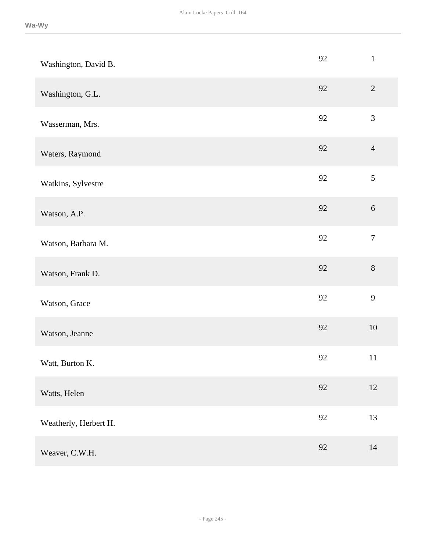| Washington, David B.  | 92 | $\mathbf{1}$     |
|-----------------------|----|------------------|
| Washington, G.L.      | 92 | $\overline{2}$   |
| Wasserman, Mrs.       | 92 | 3                |
| Waters, Raymond       | 92 | $\overline{4}$   |
| Watkins, Sylvestre    | 92 | 5                |
| Watson, A.P.          | 92 | $\sqrt{6}$       |
| Watson, Barbara M.    | 92 | $\boldsymbol{7}$ |
| Watson, Frank D.      | 92 | $8\,$            |
| Watson, Grace         | 92 | 9                |
| Watson, Jeanne        | 92 | 10               |
| Watt, Burton K.       | 92 | 11               |
| Watts, Helen          | 92 | 12               |
| Weatherly, Herbert H. | 92 | 13               |
| Weaver, C.W.H.        | 92 | 14               |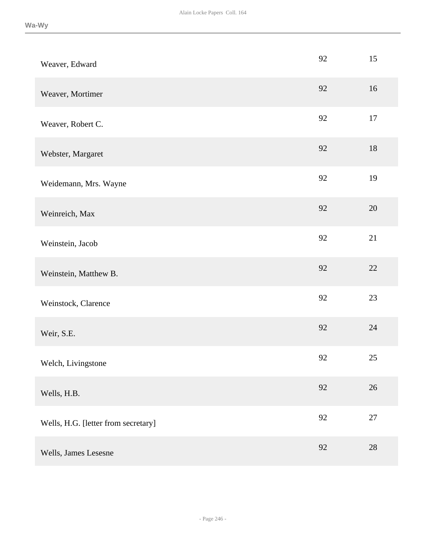| Weaver, Edward                      | 92     | 15     |
|-------------------------------------|--------|--------|
| Weaver, Mortimer                    | 92     | 16     |
| Weaver, Robert C.                   | 92     | 17     |
| Webster, Margaret                   | 92     | 18     |
| Weidemann, Mrs. Wayne               | 92     | 19     |
| Weinreich, Max                      | 92     | 20     |
| Weinstein, Jacob                    | 92     | 21     |
| Weinstein, Matthew B.               | 92     | 22     |
| Weinstock, Clarence                 | 92     | 23     |
| Weir, S.E.                          | 92     | 24     |
| Welch, Livingstone                  | 92     | 25     |
| Wells, H.B.                         | 92     | $26\,$ |
| Wells, H.G. [letter from secretary] | $92\,$ | $27\,$ |
| Wells, James Lesesne                | 92     | $28\,$ |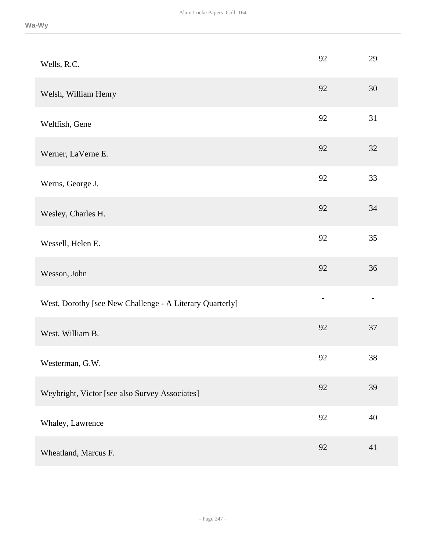| Wells, R.C.                                              | 92 | 29 |
|----------------------------------------------------------|----|----|
| Welsh, William Henry                                     | 92 | 30 |
| Weltfish, Gene                                           | 92 | 31 |
| Werner, LaVerne E.                                       | 92 | 32 |
| Werns, George J.                                         | 92 | 33 |
| Wesley, Charles H.                                       | 92 | 34 |
| Wessell, Helen E.                                        | 92 | 35 |
| Wesson, John                                             | 92 | 36 |
| West, Dorothy [see New Challenge - A Literary Quarterly] |    |    |
| West, William B.                                         | 92 | 37 |
| Westerman, G.W.                                          | 92 | 38 |
| Weybright, Victor [see also Survey Associates]           | 92 | 39 |
| Whaley, Lawrence                                         | 92 | 40 |
| Wheatland, Marcus F.                                     | 92 | 41 |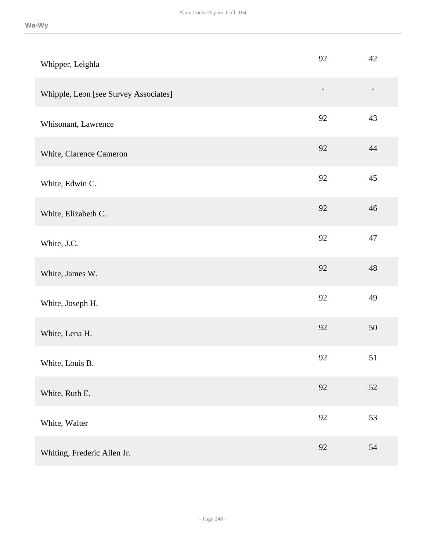| Whipper, Leighla                      | 92                | 42 |
|---------------------------------------|-------------------|----|
| Whipple, Leon [see Survey Associates] | $\qquad \qquad -$ |    |
| Whisonant, Lawrence                   | 92                | 43 |
| White, Clarence Cameron               | 92                | 44 |
| White, Edwin C.                       | 92                | 45 |
| White, Elizabeth C.                   | 92                | 46 |
| White, J.C.                           | 92                | 47 |
| White, James W.                       | 92                | 48 |
| White, Joseph H.                      | 92                | 49 |
| White, Lena H.                        | 92                | 50 |
| White, Louis B.                       | 92                | 51 |
| White, Ruth E.                        | 92                | 52 |
| White, Walter                         | $92\,$            | 53 |
| Whiting, Frederic Allen Jr.           | 92                | 54 |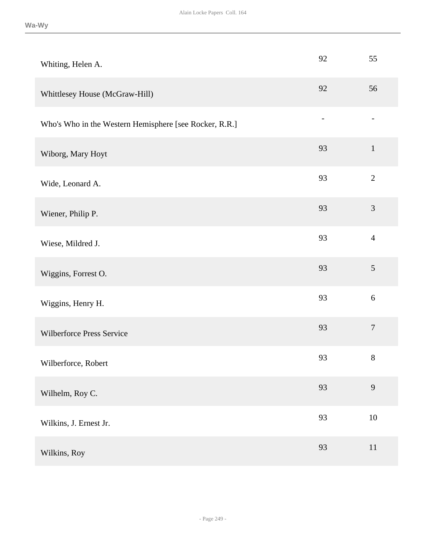| Whiting, Helen A.                                      | 92 | 55               |
|--------------------------------------------------------|----|------------------|
| Whittlesey House (McGraw-Hill)                         | 92 | 56               |
| Who's Who in the Western Hemisphere [see Rocker, R.R.] |    |                  |
| Wiborg, Mary Hoyt                                      | 93 | $\mathbf{1}$     |
| Wide, Leonard A.                                       | 93 | $\overline{2}$   |
| Wiener, Philip P.                                      | 93 | $\mathfrak{Z}$   |
| Wiese, Mildred J.                                      | 93 | $\overline{4}$   |
| Wiggins, Forrest O.                                    | 93 | $\mathfrak{S}$   |
| Wiggins, Henry H.                                      | 93 | $6\,$            |
| Wilberforce Press Service                              | 93 | $\boldsymbol{7}$ |
| Wilberforce, Robert                                    | 93 | $8\,$            |
| Wilhelm, Roy C.                                        | 93 | 9                |
| Wilkins, J. Ernest Jr.                                 | 93 | $10\,$           |
| Wilkins, Roy                                           | 93 | $11\,$           |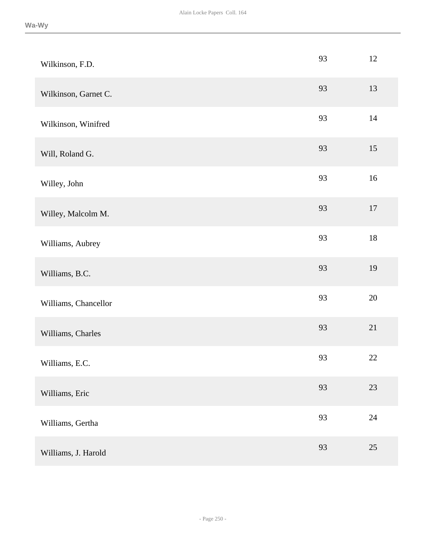| Wilkinson, F.D.      | 93 | 12     |
|----------------------|----|--------|
| Wilkinson, Garnet C. | 93 | 13     |
| Wilkinson, Winifred  | 93 | 14     |
| Will, Roland G.      | 93 | 15     |
| Willey, John         | 93 | 16     |
| Willey, Malcolm M.   | 93 | $17\,$ |
| Williams, Aubrey     | 93 | $18\,$ |
| Williams, B.C.       | 93 | 19     |
| Williams, Chancellor | 93 | $20\,$ |
| Williams, Charles    | 93 | 21     |
| Williams, E.C.       | 93 | $22\,$ |
| Williams, Eric       | 93 | 23     |
| Williams, Gertha     | 93 | $24\,$ |
| Williams, J. Harold  | 93 | $25\,$ |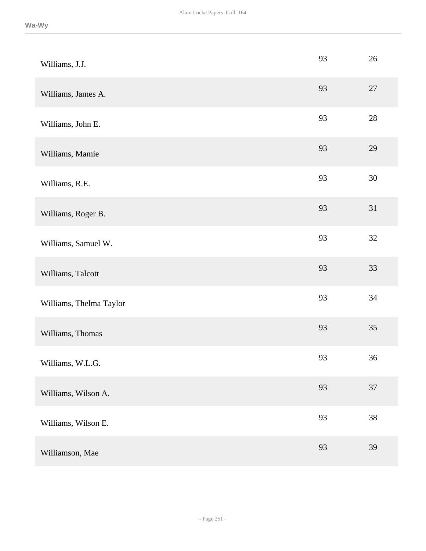| Williams, J.J.          | 93 | 26     |
|-------------------------|----|--------|
| Williams, James A.      | 93 | 27     |
| Williams, John E.       | 93 | $28\,$ |
| Williams, Mamie         | 93 | 29     |
| Williams, R.E.          | 93 | $30\,$ |
| Williams, Roger B.      | 93 | 31     |
| Williams, Samuel W.     | 93 | 32     |
| Williams, Talcott       | 93 | 33     |
| Williams, Thelma Taylor | 93 | 34     |
| Williams, Thomas        | 93 | 35     |
| Williams, W.L.G.        | 93 | 36     |
| Williams, Wilson A.     | 93 | 37     |
| Williams, Wilson E.     | 93 | 38     |
| Williamson, Mae         | 93 | 39     |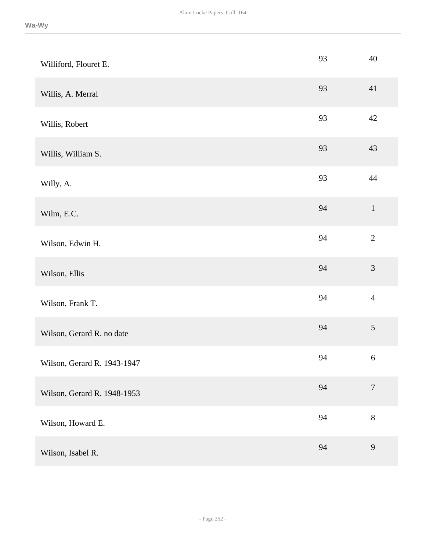| Williford, Flouret E.       | 93 | 40               |
|-----------------------------|----|------------------|
| Willis, A. Merral           | 93 | 41               |
| Willis, Robert              | 93 | 42               |
| Willis, William S.          | 93 | 43               |
| Willy, A.                   | 93 | 44               |
| Wilm, E.C.                  | 94 | $\,1$            |
| Wilson, Edwin H.            | 94 | $\overline{2}$   |
| Wilson, Ellis               | 94 | 3                |
| Wilson, Frank T.            | 94 | $\overline{4}$   |
| Wilson, Gerard R. no date   | 94 | 5                |
| Wilson, Gerard R. 1943-1947 | 94 | $\boldsymbol{6}$ |
| Wilson, Gerard R. 1948-1953 | 94 | $\boldsymbol{7}$ |
| Wilson, Howard E.           | 94 | $8\,$            |
| Wilson, Isabel R.           | 94 | 9                |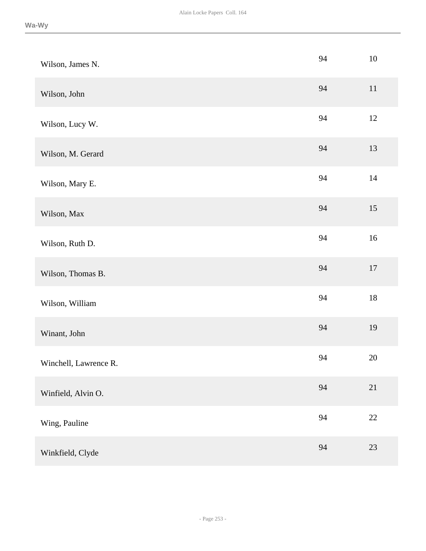| Wilson, James N.      | 94 | $10\,$ |
|-----------------------|----|--------|
| Wilson, John          | 94 | $11\,$ |
| Wilson, Lucy W.       | 94 | 12     |
| Wilson, M. Gerard     | 94 | 13     |
| Wilson, Mary E.       | 94 | 14     |
| Wilson, Max           | 94 | 15     |
| Wilson, Ruth D.       | 94 | 16     |
| Wilson, Thomas B.     | 94 | $17\,$ |
| Wilson, William       | 94 | $18\,$ |
| Winant, John          | 94 | 19     |
| Winchell, Lawrence R. | 94 | $20\,$ |
| Winfield, Alvin O.    | 94 | 21     |
| Wing, Pauline         | 94 | $22\,$ |
| Winkfield, Clyde      | 94 | 23     |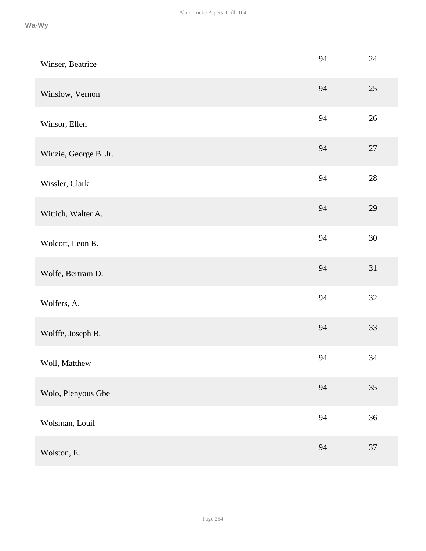| Winser, Beatrice      | 94 | $24\,$ |
|-----------------------|----|--------|
| Winslow, Vernon       | 94 | $25\,$ |
| Winsor, Ellen         | 94 | 26     |
| Winzie, George B. Jr. | 94 | $27\,$ |
| Wissler, Clark        | 94 | $28\,$ |
| Wittich, Walter A.    | 94 | 29     |
| Wolcott, Leon B.      | 94 | $30\,$ |
| Wolfe, Bertram D.     | 94 | 31     |
| Wolfers, A.           | 94 | 32     |
| Wolffe, Joseph B.     | 94 | 33     |
| Woll, Matthew         | 94 | 34     |
| Wolo, Plenyous Gbe    | 94 | 35     |
| Wolsman, Louil        | 94 | 36     |
| Wolston, E.           | 94 | $37\,$ |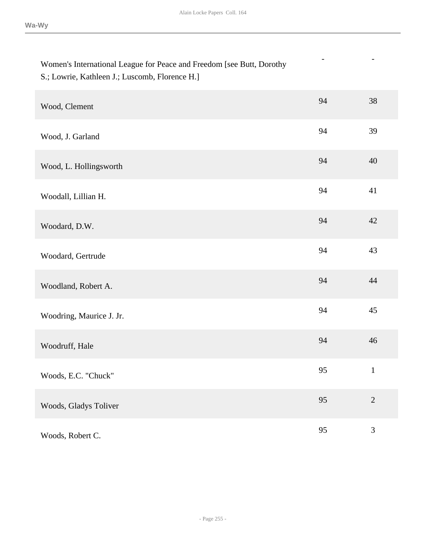- -

# Women's International League for Peace and Freedom [see Butt, Dorothy S.; Lowrie, Kathleen J.; Luscomb, Florence H.]

| Wood, Clement            | 94 | 38             |
|--------------------------|----|----------------|
| Wood, J. Garland         | 94 | 39             |
| Wood, L. Hollingsworth   | 94 | 40             |
| Woodall, Lillian H.      | 94 | 41             |
| Woodard, D.W.            | 94 | 42             |
| Woodard, Gertrude        | 94 | 43             |
| Woodland, Robert A.      | 94 | 44             |
| Woodring, Maurice J. Jr. | 94 | 45             |
| Woodruff, Hale           | 94 | 46             |
| Woods, E.C. "Chuck"      | 95 | $\mathbf{1}$   |
| Woods, Gladys Toliver    | 95 | $\overline{2}$ |
| Woods, Robert C.         | 95 | 3              |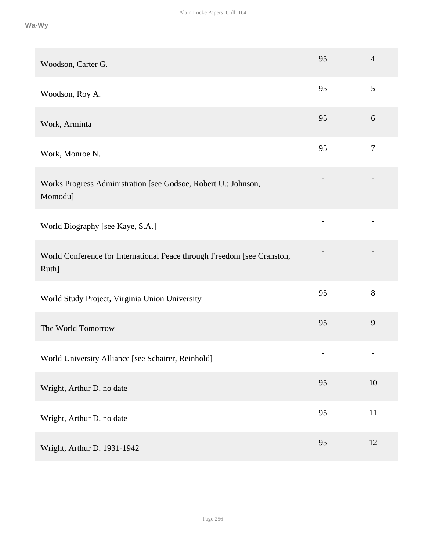| Woodson, Carter G.                                                               | 95                       | $\overline{4}$ |
|----------------------------------------------------------------------------------|--------------------------|----------------|
| Woodson, Roy A.                                                                  | 95                       | $\mathfrak{S}$ |
| Work, Arminta                                                                    | 95                       | 6              |
| Work, Monroe N.                                                                  | 95                       | $\tau$         |
| Works Progress Administration [see Godsoe, Robert U.; Johnson,<br>Momodu]        |                          |                |
| World Biography [see Kaye, S.A.]                                                 | $\overline{\phantom{a}}$ |                |
| World Conference for International Peace through Freedom [see Cranston,<br>Ruth] |                          |                |
| World Study Project, Virginia Union University                                   | 95                       | 8              |
| The World Tomorrow                                                               | 95                       | 9              |
| World University Alliance [see Schairer, Reinhold]                               |                          |                |
| Wright, Arthur D. no date                                                        | 95                       | 10             |
| Wright, Arthur D. no date                                                        | 95                       | $11\,$         |
| Wright, Arthur D. 1931-1942                                                      | 95                       | 12             |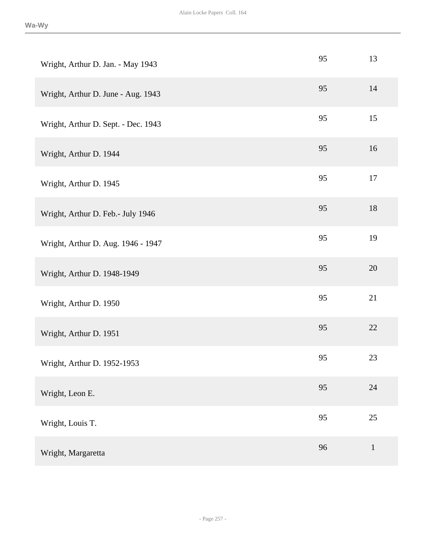| Wright, Arthur D. Jan. - May 1943   | 95 | 13           |
|-------------------------------------|----|--------------|
| Wright, Arthur D. June - Aug. 1943  | 95 | 14           |
| Wright, Arthur D. Sept. - Dec. 1943 | 95 | 15           |
| Wright, Arthur D. 1944              | 95 | 16           |
| Wright, Arthur D. 1945              | 95 | 17           |
| Wright, Arthur D. Feb.- July 1946   | 95 | 18           |
| Wright, Arthur D. Aug. 1946 - 1947  | 95 | 19           |
| Wright, Arthur D. 1948-1949         | 95 | 20           |
| Wright, Arthur D. 1950              | 95 | 21           |
| Wright, Arthur D. 1951              | 95 | $22\,$       |
| Wright, Arthur D. 1952-1953         | 95 | 23           |
| Wright, Leon E.                     | 95 | 24           |
| Wright, Louis T.                    | 95 | 25           |
| Wright, Margaretta                  | 96 | $\mathbf{1}$ |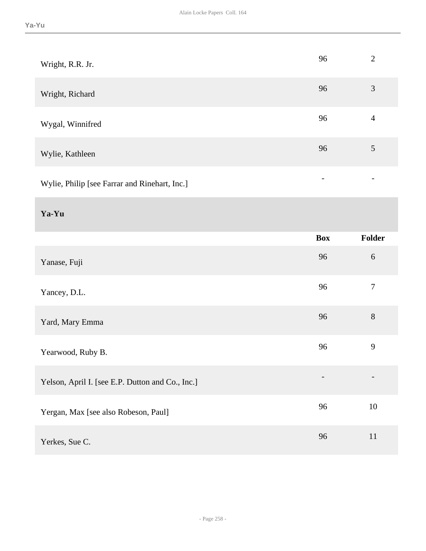| Wright, R.R. Jr.                              | 96 | $\overline{2}$ |
|-----------------------------------------------|----|----------------|
| Wright, Richard                               | 96 | 3              |
| Wygal, Winnifred                              | 96 | 4              |
| Wylie, Kathleen                               | 96 | 5              |
| Wylie, Philip [see Farrar and Rinehart, Inc.] | -  |                |

## **Ya-Yu**

|                                                  | <b>Box</b> | <b>Folder</b>    |
|--------------------------------------------------|------------|------------------|
| Yanase, Fuji                                     | 96         | 6                |
| Yancey, D.L.                                     | 96         | $\boldsymbol{7}$ |
| Yard, Mary Emma                                  | 96         | $8\,$            |
| Yearwood, Ruby B.                                | 96         | 9                |
| Yelson, April I. [see E.P. Dutton and Co., Inc.] |            |                  |
| Yergan, Max [see also Robeson, Paul]             | 96         | 10               |
| Yerkes, Sue C.                                   | 96         | 11               |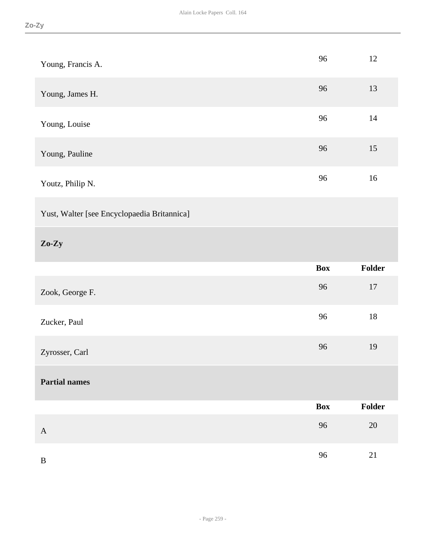| Young, Francis A.                           | 96         | 12     |
|---------------------------------------------|------------|--------|
| Young, James H.                             | 96         | 13     |
| Young, Louise                               | 96         | 14     |
| Young, Pauline                              | 96         | 15     |
| Youtz, Philip N.                            | 96         | $16\,$ |
| Yust, Walter [see Encyclopaedia Britannica] |            |        |
| $Zo-Zy$                                     |            |        |
|                                             |            |        |
|                                             | <b>Box</b> | Folder |
| Zook, George F.                             | 96         | $17\,$ |
| Zucker, Paul                                | 96         | $18\,$ |
| Zyrosser, Carl                              | 96         | 19     |
| <b>Partial names</b>                        |            |        |
|                                             | <b>Box</b> | Folder |
| $\mathbf{A}$                                | 96         | $20\,$ |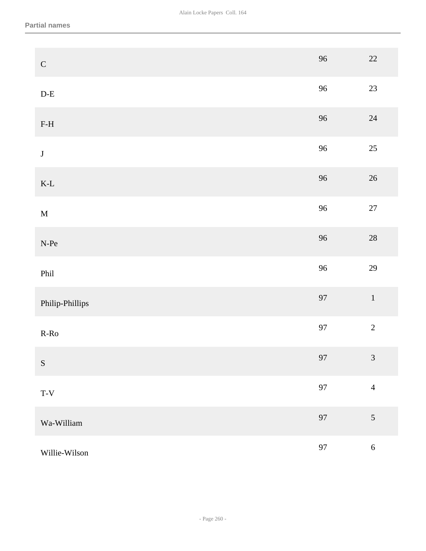| ${\bf C}$                      | 96          | $22\,$         |
|--------------------------------|-------------|----------------|
| $\mathbf{D}\text{-}\mathbf{E}$ | 96          | 23             |
| $\operatorname{F-H}$           | 96          | $24\,$         |
| $\bf J$                        | 96          | $25\,$         |
| $\mbox{K-L}$                   | 96          | $26\,$         |
| $\mathbf M$                    | 96          | $27\,$         |
| $\ensuremath{\text{N-Pe}}$     | 96          | $28\,$         |
| Phil                           | 96          | 29             |
| Philip-Phillips                | 97          | $1\,$          |
| $R-Ro$                         | 97          | $\overline{2}$ |
| ${\bf S}$                      | $\sqrt{97}$ | $\mathfrak{Z}$ |
| $T-V$                          | 97          | $\overline{4}$ |
| Wa-William                     | 97          | $\mathfrak{S}$ |
| Willie-Wilson                  | 97          | $\sqrt{6}$     |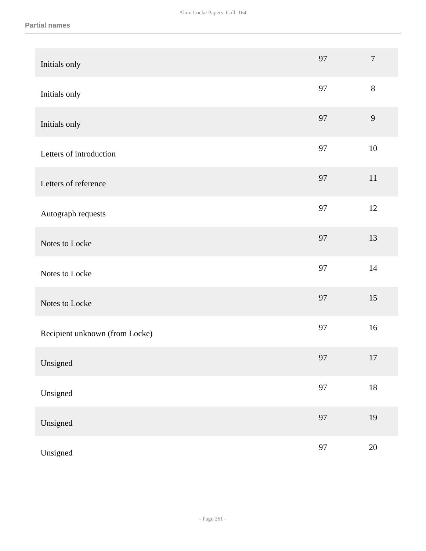| Initials only                  | 97 | $\overline{7}$ |
|--------------------------------|----|----------------|
| Initials only                  | 97 | $8\,$          |
| Initials only                  | 97 | 9              |
| Letters of introduction        | 97 | $10\,$         |
| Letters of reference           | 97 | 11             |
| Autograph requests             | 97 | $12\,$         |
| Notes to Locke                 | 97 | 13             |
| Notes to Locke                 | 97 | 14             |
| Notes to Locke                 | 97 | 15             |
| Recipient unknown (from Locke) | 97 | 16             |
| Unsigned                       | 97 | 17             |
| Unsigned                       | 97 | $18\,$         |
| Unsigned                       | 97 | 19             |
| Unsigned                       | 97 | $20\,$         |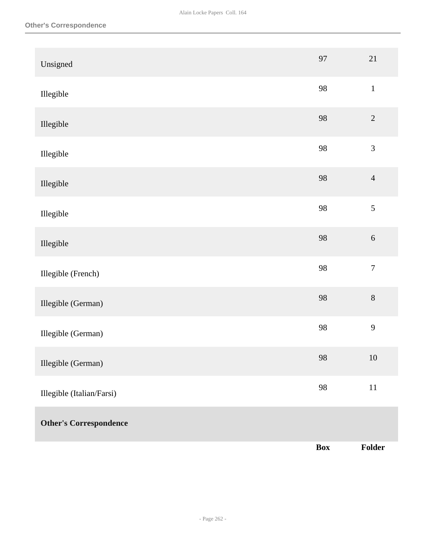| Unsigned                      | 97         | 21               |
|-------------------------------|------------|------------------|
| Illegible                     | 98         | $\,1\,$          |
| Illegible                     | 98         | $\overline{2}$   |
| Illegible                     | 98         | $\mathfrak{Z}$   |
| Illegible                     | 98         | $\overline{4}$   |
| Illegible                     | 98         | 5                |
| Illegible                     | 98         | $\sqrt{6}$       |
| Illegible (French)            | 98         | $\boldsymbol{7}$ |
| Illegible (German)            | 98         | $8\,$            |
| Illegible (German)            | 98         | $\mathbf{9}$     |
| Illegible (German)            | 98         | $10\,$           |
| Illegible (Italian/Farsi)     | 98         | $11\,$           |
| <b>Other's Correspondence</b> |            |                  |
|                               | <b>Box</b> | Folder           |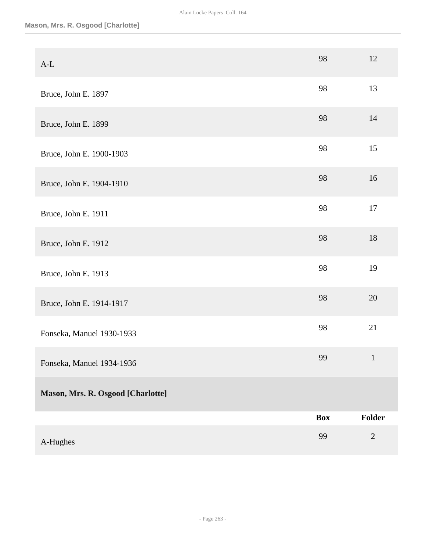| A-Hughes                          | 99         | $\sqrt{2}$    |
|-----------------------------------|------------|---------------|
| Mason, Mrs. R. Osgood [Charlotte] | <b>Box</b> | <b>Folder</b> |
| Fonseka, Manuel 1934-1936         |            |               |
| Fonseka, Manuel 1930-1933         | 99         | $\mathbf{1}$  |
|                                   | 98         | 21            |
| Bruce, John E. 1914-1917          | 98         | 20            |
| Bruce, John E. 1913               | 98         | 19            |
| Bruce, John E. 1912               | 98         | 18            |
| Bruce, John E. 1911               | 98         | $17\,$        |
| Bruce, John E. 1904-1910          | 98         | 16            |
| Bruce, John E. 1900-1903          | 98         | 15            |
| Bruce, John E. 1899               | 98         | 14            |
| Bruce, John E. 1897               | 98         | 13            |
| $A-L$                             | 98         | 12            |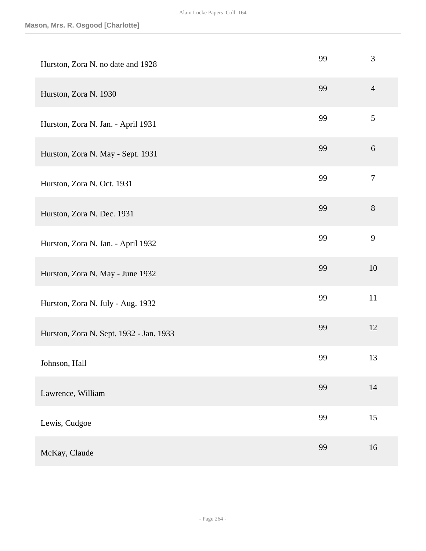| Hurston, Zora N. no date and 1928       | 99 | $\mathfrak{Z}$   |
|-----------------------------------------|----|------------------|
| Hurston, Zora N. 1930                   | 99 | $\overline{4}$   |
| Hurston, Zora N. Jan. - April 1931      | 99 | 5                |
| Hurston, Zora N. May - Sept. 1931       | 99 | 6                |
| Hurston, Zora N. Oct. 1931              | 99 | $\boldsymbol{7}$ |
| Hurston, Zora N. Dec. 1931              | 99 | $8\,$            |
| Hurston, Zora N. Jan. - April 1932      | 99 | 9                |
| Hurston, Zora N. May - June 1932        | 99 | 10               |
| Hurston, Zora N. July - Aug. 1932       | 99 | 11               |
| Hurston, Zora N. Sept. 1932 - Jan. 1933 | 99 | 12               |
| Johnson, Hall                           | 99 | 13               |
| Lawrence, William                       | 99 | 14               |
| Lewis, Cudgoe                           | 99 | 15               |
| McKay, Claude                           | 99 | 16               |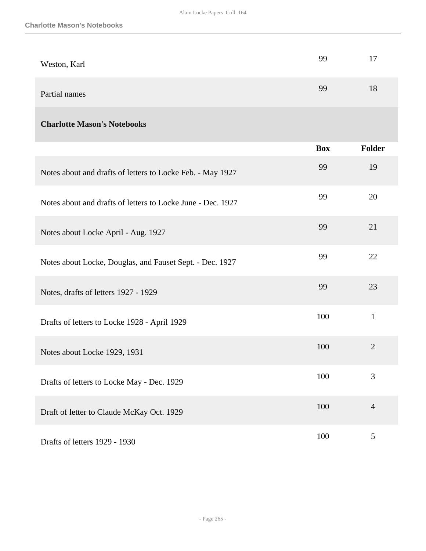| Weston, Karl  | 99 | 17 |
|---------------|----|----|
| Partial names | 99 | 18 |

### **Charlotte Mason's Notebooks**

|                                                             | <b>Box</b> | Folder         |
|-------------------------------------------------------------|------------|----------------|
| Notes about and drafts of letters to Locke Feb. - May 1927  | 99         | 19             |
| Notes about and drafts of letters to Locke June - Dec. 1927 | 99         | 20             |
| Notes about Locke April - Aug. 1927                         | 99         | 21             |
| Notes about Locke, Douglas, and Fauset Sept. - Dec. 1927    | 99         | 22             |
| Notes, drafts of letters 1927 - 1929                        | 99         | 23             |
| Drafts of letters to Locke 1928 - April 1929                | 100        | $\mathbf{1}$   |
| Notes about Locke 1929, 1931                                | 100        | $\overline{2}$ |
| Drafts of letters to Locke May - Dec. 1929                  | 100        | 3              |
| Draft of letter to Claude McKay Oct. 1929                   | 100        | $\overline{4}$ |
| Drafts of letters 1929 - 1930                               | 100        | 5              |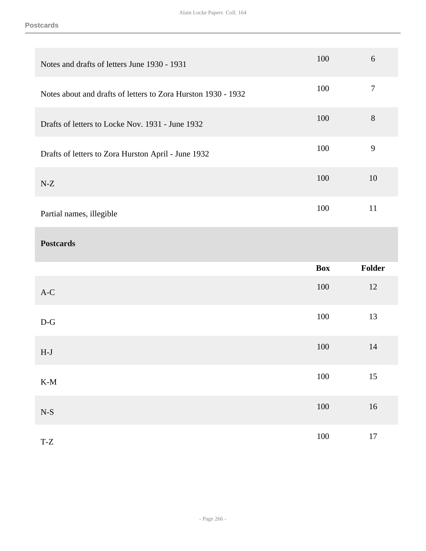| Notes and drafts of letters June 1930 - 1931                  | 100        | 6              |
|---------------------------------------------------------------|------------|----------------|
| Notes about and drafts of letters to Zora Hurston 1930 - 1932 | 100        | $\tau$         |
| Drafts of letters to Locke Nov. 1931 - June 1932              | 100        | $8\,$          |
| Drafts of letters to Zora Hurston April - June 1932           | 100        | $\overline{9}$ |
| $N-Z$                                                         | 100        | 10             |
| Partial names, illegible                                      | 100        | 11             |
| <b>Postcards</b>                                              |            |                |
|                                                               |            |                |
|                                                               | <b>Box</b> | Folder         |
| $A-C$                                                         | 100        | 12             |
| $D-G$                                                         | 100        | 13             |
| $H-J$                                                         | 100        | 14             |
| $\mathbf{K}\text{-}\mathbf{M}$                                | $100\,$    | $15\,$         |
| $\mathbf{N}\text{-}\mathbf{S}$                                | $100\,$    | 16             |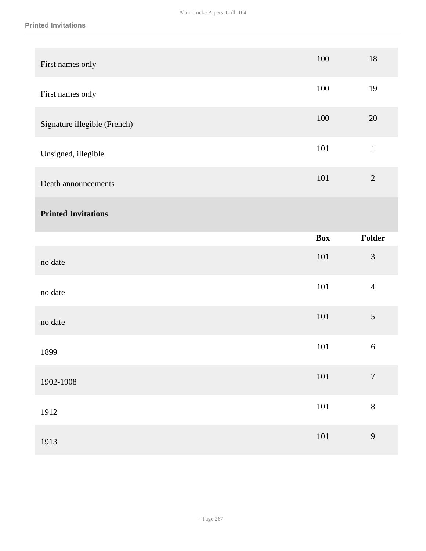| First names only             | 100        | 18               |
|------------------------------|------------|------------------|
| First names only             | 100        | 19               |
| Signature illegible (French) | 100        | 20               |
| Unsigned, illegible          | 101        | $\mathbf{1}$     |
| Death announcements          | 101        | $\sqrt{2}$       |
| <b>Printed Invitations</b>   |            |                  |
|                              | <b>Box</b> | Folder           |
|                              |            |                  |
| no date                      | 101        | $\mathfrak{Z}$   |
| no date                      | 101        | $\overline{4}$   |
| no date                      | 101        | 5                |
| 1899                         | 101        | $\sqrt{6}$       |
| 1902-1908                    | $101\,$    | $\boldsymbol{7}$ |
| 1912                         | $101\,$    | $\,8\,$          |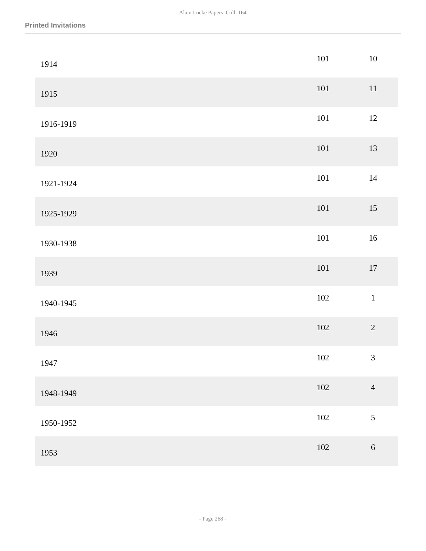| 1914      | $101\,$ | $10\,$         |
|-----------|---------|----------------|
| 1915      | $101\,$ | $11\,$         |
| 1916-1919 | $101\,$ | $12\,$         |
| 1920      | $101\,$ | 13             |
| 1921-1924 | $101\,$ | $14\,$         |
| 1925-1929 | 101     | $15\,$         |
| 1930-1938 | $101\,$ | $16\,$         |
| 1939      | $101\,$ | $17\,$         |
| 1940-1945 | $102\,$ | $\,1\,$        |
| 1946      | $102\,$ | $\overline{2}$ |
| 1947      | $102\,$ | $\mathfrak{Z}$ |
| 1948-1949 | $102\,$ | $\overline{4}$ |
| 1950-1952 | 102     | $\sqrt{5}$     |
| 1953      | $102\,$ | $\sqrt{6}$     |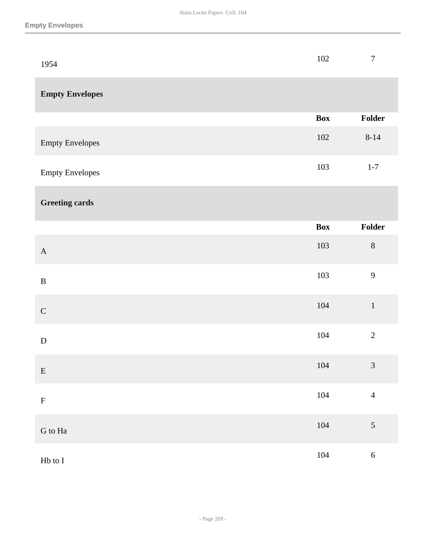| 1954                    | 102        | $\boldsymbol{7}$ |
|-------------------------|------------|------------------|
| <b>Empty Envelopes</b>  |            |                  |
|                         | <b>Box</b> | Folder           |
| <b>Empty Envelopes</b>  | 102        | $8 - 14$         |
| <b>Empty Envelopes</b>  | 103        | $1 - 7$          |
| <b>Greeting cards</b>   |            |                  |
|                         | <b>Box</b> | Folder           |
| $\mathbf A$             | 103        | $8\,$            |
| $\, {\bf B}$            | 103        | 9                |
| $\mathsf C$             | $104\,$    | $\,1\,$          |
| ${\bf D}$               | 104        | $\overline{2}$   |
| ${\bf E}$               | $104\,$    | $\mathfrak{Z}$   |
| ${\bf F}$               | $104\,$    | $\overline{4}$   |
| ${\bf G}$ to ${\bf Ha}$ | $104\,$    | $\mathfrak{S}$   |
| $\rm Hb$ to $\rm I$     | 104        | $\sqrt{6}$       |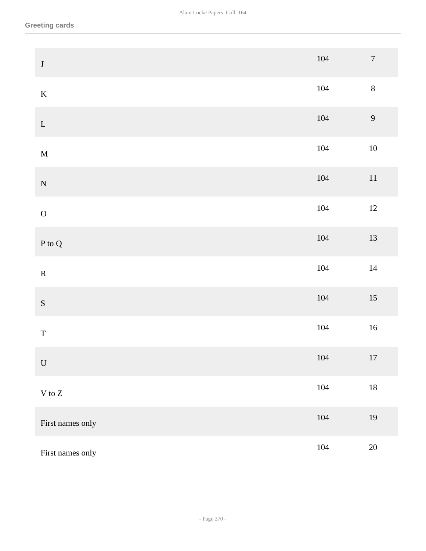| $\bf J$                    | 104     | $\boldsymbol{7}$ |
|----------------------------|---------|------------------|
| $\mathbf K$                | 104     | $\,8\,$          |
| ${\bf L}$                  | $104\,$ | $\overline{9}$   |
| $\mathbf M$                | 104     | $10\,$           |
| ${\bf N}$                  | $104\,$ | $11\,$           |
| $\mathbf 0$                | $104\,$ | $12\,$           |
| ${\bf P}$ to ${\bf Q}$     | $104\,$ | 13               |
| ${\bf R}$                  | 104     | $14\,$           |
| ${\bf S}$                  | $104\,$ | $15\,$           |
| $\mathbf T$                | 104     | $16\,$           |
| ${\bf U}$                  | 104     | 17               |
| $\mathbf V$ to $\mathbf Z$ | 104     | $18\,$           |
| First names only           | $104\,$ | 19               |
| First names only           | 104     | $20\,$           |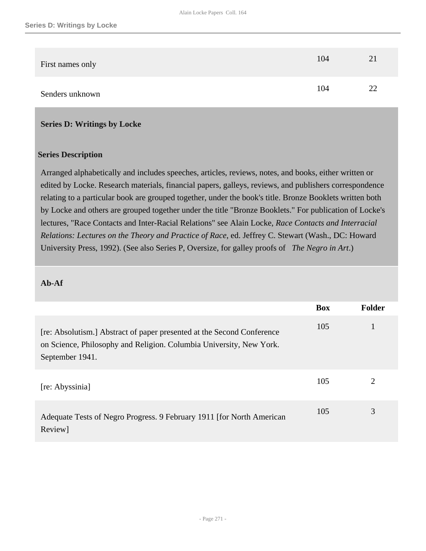| First names only | 104 | 21 |
|------------------|-----|----|
| Senders unknown  | 104 | 22 |

#### **Series D: Writings by Locke**

#### **Series Description**

Arranged alphabetically and includes speeches, articles, reviews, notes, and books, either written or edited by Locke. Research materials, financial papers, galleys, reviews, and publishers correspondence relating to a particular book are grouped together, under the book's title. Bronze Booklets written both by Locke and others are grouped together under the title "Bronze Booklets." For publication of Locke's lectures, "Race Contacts and Inter-Racial Relations" see Alain Locke, *Race Contacts and Interracial Relations: Lectures on the Theory and Practice of Race*, ed. Jeffrey C. Stewart (Wash., DC: Howard University Press, 1992). (See also Series P, Oversize, for galley proofs of *The Negro in Art*.)

#### **Ab-Af**

|                                                                                                                                                                  | <b>Box</b> | <b>Folder</b>               |
|------------------------------------------------------------------------------------------------------------------------------------------------------------------|------------|-----------------------------|
| [re: Absolutism.] Abstract of paper presented at the Second Conference<br>on Science, Philosophy and Religion. Columbia University, New York.<br>September 1941. | 105        |                             |
| [re: Abyssinia]                                                                                                                                                  | 105        | $\mathcal{D}_{\mathcal{L}}$ |
| Adequate Tests of Negro Progress. 9 February 1911 [for North American<br>Review]                                                                                 | 105        | 3                           |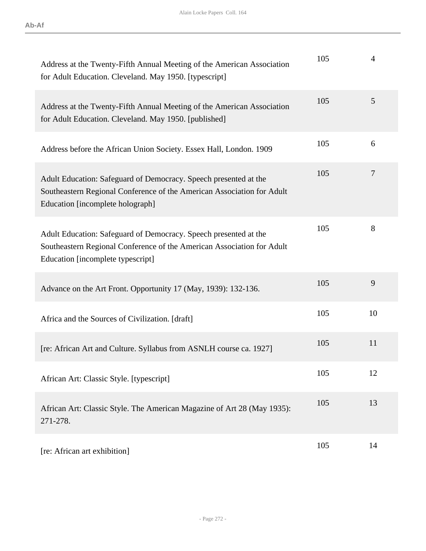| Address at the Twenty-Fifth Annual Meeting of the American Association<br>for Adult Education. Cleveland. May 1950. [typescript]                                                | 105 | 4  |
|---------------------------------------------------------------------------------------------------------------------------------------------------------------------------------|-----|----|
| Address at the Twenty-Fifth Annual Meeting of the American Association<br>for Adult Education. Cleveland. May 1950. [published]                                                 | 105 | 5  |
| Address before the African Union Society. Essex Hall, London. 1909                                                                                                              | 105 | 6  |
| Adult Education: Safeguard of Democracy. Speech presented at the<br>Southeastern Regional Conference of the American Association for Adult<br>Education [incomplete holograph]  | 105 | 7  |
| Adult Education: Safeguard of Democracy. Speech presented at the<br>Southeastern Regional Conference of the American Association for Adult<br>Education [incomplete typescript] | 105 | 8  |
| Advance on the Art Front. Opportunity 17 (May, 1939): 132-136.                                                                                                                  | 105 | 9  |
| Africa and the Sources of Civilization. [draft]                                                                                                                                 | 105 | 10 |
| [re: African Art and Culture. Syllabus from ASNLH course ca. 1927]                                                                                                              | 105 | 11 |
| African Art: Classic Style. [typescript]                                                                                                                                        | 105 | 12 |
| African Art: Classic Style. The American Magazine of Art 28 (May 1935):<br>271-278.                                                                                             | 105 | 13 |
| [re: African art exhibition]                                                                                                                                                    | 105 | 14 |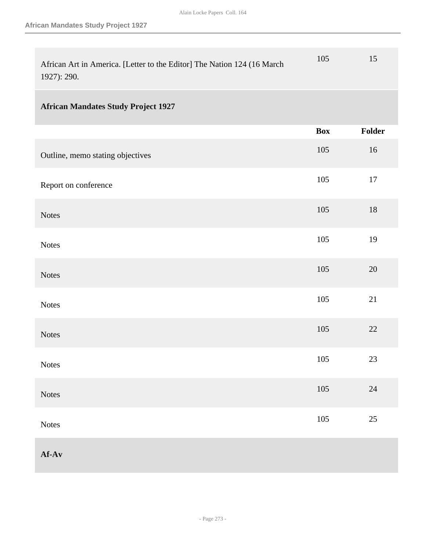| African Art in America. [Letter to the Editor] The Nation 124 (16 March<br>1927): 290. | 105        | 15     |
|----------------------------------------------------------------------------------------|------------|--------|
| <b>African Mandates Study Project 1927</b>                                             |            |        |
|                                                                                        | <b>Box</b> | Folder |
| Outline, memo stating objectives                                                       | 105        | 16     |
| Report on conference                                                                   | 105        | $17\,$ |
| <b>Notes</b>                                                                           | 105        | $18\,$ |
| <b>Notes</b>                                                                           | 105        | 19     |
| <b>Notes</b>                                                                           | 105        | 20     |
| <b>Notes</b>                                                                           | 105        | 21     |
| <b>Notes</b>                                                                           | $105\,$    | 22     |
| Notes                                                                                  | 105        | 23     |
| Notes                                                                                  | $105\,$    | $24\,$ |
| Notes                                                                                  | $105\,$    | $25\,$ |
| $Af-Av$                                                                                |            |        |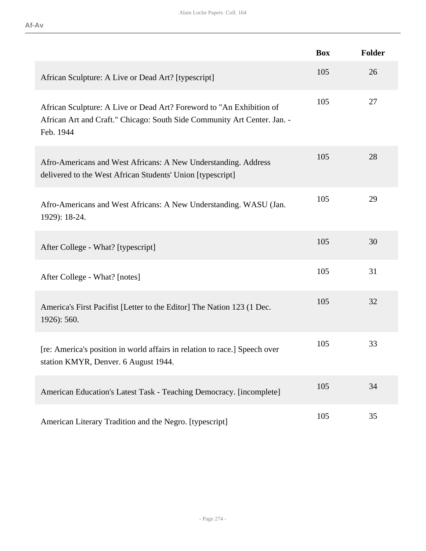|                                                                                                                                                               | <b>Box</b> | Folder |
|---------------------------------------------------------------------------------------------------------------------------------------------------------------|------------|--------|
| African Sculpture: A Live or Dead Art? [typescript]                                                                                                           | 105        | 26     |
| African Sculpture: A Live or Dead Art? Foreword to "An Exhibition of<br>African Art and Craft." Chicago: South Side Community Art Center. Jan. -<br>Feb. 1944 | 105        | 27     |
| Afro-Americans and West Africans: A New Understanding. Address<br>delivered to the West African Students' Union [typescript]                                  | 105        | 28     |
| Afro-Americans and West Africans: A New Understanding. WASU (Jan.<br>1929): 18-24.                                                                            | 105        | 29     |
| After College - What? [typescript]                                                                                                                            | 105        | 30     |
| After College - What? [notes]                                                                                                                                 | 105        | 31     |
| America's First Pacifist [Letter to the Editor] The Nation 123 (1 Dec.<br>1926): 560.                                                                         | 105        | 32     |
| [re: America's position in world affairs in relation to race.] Speech over<br>station KMYR, Denver. 6 August 1944.                                            | 105        | 33     |
| American Education's Latest Task - Teaching Democracy. [incomplete]                                                                                           | 105        | 34     |
| American Literary Tradition and the Negro. [typescript]                                                                                                       | 105        | 35     |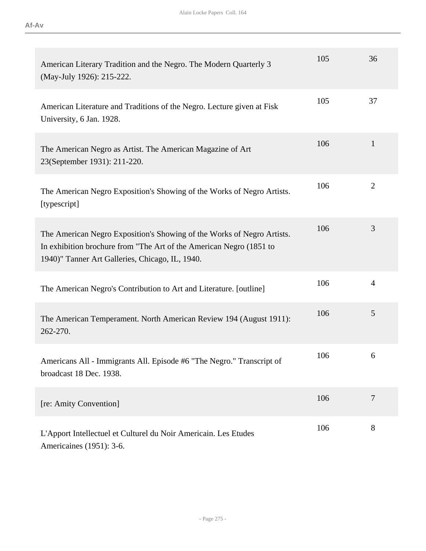| American Literary Tradition and the Negro. The Modern Quarterly 3<br>(May-July 1926): 215-222.                                                                                                   | 105 | 36             |
|--------------------------------------------------------------------------------------------------------------------------------------------------------------------------------------------------|-----|----------------|
| American Literature and Traditions of the Negro. Lecture given at Fisk<br>University, 6 Jan. 1928.                                                                                               | 105 | 37             |
| The American Negro as Artist. The American Magazine of Art<br>23(September 1931): 211-220.                                                                                                       | 106 | $\mathbf{1}$   |
| The American Negro Exposition's Showing of the Works of Negro Artists.<br>[typescript]                                                                                                           | 106 | $\overline{2}$ |
| The American Negro Exposition's Showing of the Works of Negro Artists.<br>In exhibition brochure from "The Art of the American Negro (1851 to<br>1940)" Tanner Art Galleries, Chicago, IL, 1940. | 106 | 3              |
| The American Negro's Contribution to Art and Literature. [outline]                                                                                                                               | 106 | $\overline{4}$ |
| The American Temperament. North American Review 194 (August 1911):<br>262-270.                                                                                                                   | 106 | 5              |
| Americans All - Immigrants All. Episode #6 "The Negro." Transcript of<br>broadcast 18 Dec. 1938.                                                                                                 | 106 | 6              |
| [re: Amity Convention]                                                                                                                                                                           | 106 | $\overline{7}$ |
| L'Apport Intellectuel et Culturel du Noir Americain. Les Etudes<br>Americaines (1951): 3-6.                                                                                                      | 106 | 8              |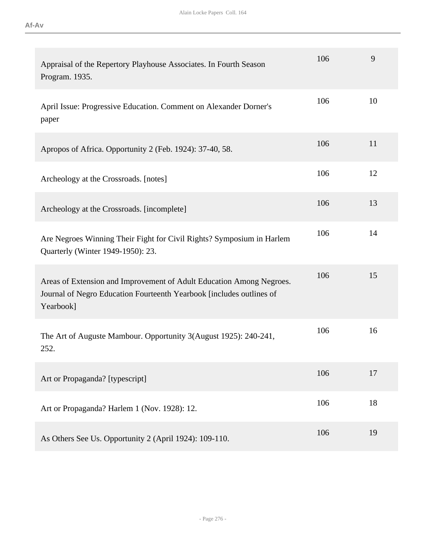| Appraisal of the Repertory Playhouse Associates. In Fourth Season<br>Program. 1935.                                                                       | 106 | 9  |
|-----------------------------------------------------------------------------------------------------------------------------------------------------------|-----|----|
| April Issue: Progressive Education. Comment on Alexander Dorner's<br>paper                                                                                | 106 | 10 |
| Apropos of Africa. Opportunity 2 (Feb. 1924): 37-40, 58.                                                                                                  | 106 | 11 |
| Archeology at the Crossroads. [notes]                                                                                                                     | 106 | 12 |
| Archeology at the Crossroads. [incomplete]                                                                                                                | 106 | 13 |
| Are Negroes Winning Their Fight for Civil Rights? Symposium in Harlem<br>Quarterly (Winter 1949-1950): 23.                                                | 106 | 14 |
| Areas of Extension and Improvement of Adult Education Among Negroes.<br>Journal of Negro Education Fourteenth Yearbook [includes outlines of<br>Yearbook] | 106 | 15 |
| The Art of Auguste Mambour. Opportunity 3(August 1925): 240-241,<br>252.                                                                                  | 106 | 16 |
| Art or Propaganda? [typescript]                                                                                                                           | 106 | 17 |
| Art or Propaganda? Harlem 1 (Nov. 1928): 12.                                                                                                              | 106 | 18 |
| As Others See Us. Opportunity 2 (April 1924): 109-110.                                                                                                    | 106 | 19 |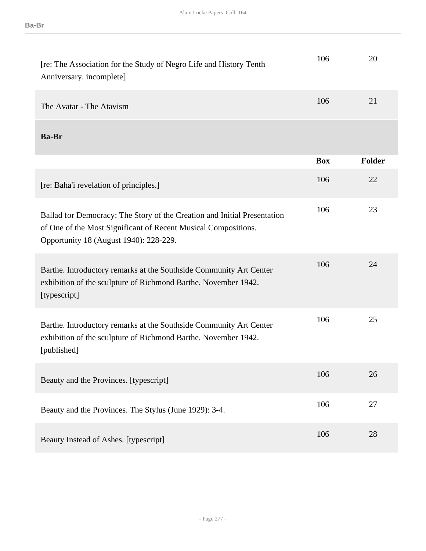| [re: The Association for the Study of Negro Life and History Tenth<br>Anniversary. incomplete]                                                                                       | 106        | 20            |
|--------------------------------------------------------------------------------------------------------------------------------------------------------------------------------------|------------|---------------|
| The Avatar - The Atavism                                                                                                                                                             | 106        | 21            |
| <b>Ba-Br</b>                                                                                                                                                                         |            |               |
|                                                                                                                                                                                      | <b>Box</b> | <b>Folder</b> |
| [re: Baha'i revelation of principles.]                                                                                                                                               | 106        | 22            |
| Ballad for Democracy: The Story of the Creation and Initial Presentation<br>of One of the Most Significant of Recent Musical Compositions.<br>Opportunity 18 (August 1940): 228-229. | 106        | 23            |
| Barthe. Introductory remarks at the Southside Community Art Center<br>exhibition of the sculpture of Richmond Barthe. November 1942.<br>[typescript]                                 | 106        | 24            |
| Barthe. Introductory remarks at the Southside Community Art Center<br>exhibition of the sculpture of Richmond Barthe. November 1942.<br>[published]                                  | 106        | 25            |
| Beauty and the Provinces. [typescript]                                                                                                                                               | 106        | 26            |
| Beauty and the Provinces. The Stylus (June 1929): 3-4.                                                                                                                               | 106        | 27            |
| Beauty Instead of Ashes. [typescript]                                                                                                                                                | 106        | 28            |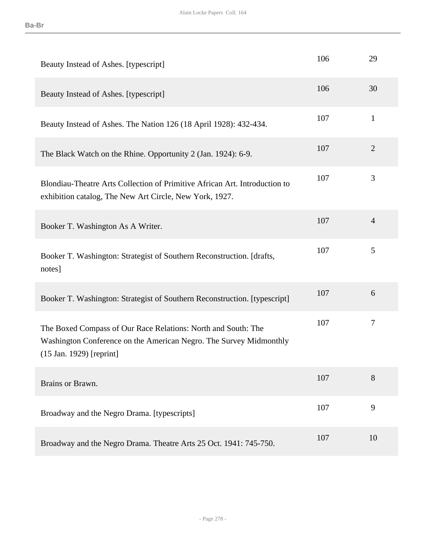| Beauty Instead of Ashes. [typescript]                                                                                                                             | 106 | 29             |
|-------------------------------------------------------------------------------------------------------------------------------------------------------------------|-----|----------------|
| Beauty Instead of Ashes. [typescript]                                                                                                                             | 106 | 30             |
| Beauty Instead of Ashes. The Nation 126 (18 April 1928): 432-434.                                                                                                 | 107 | $\mathbf{1}$   |
| The Black Watch on the Rhine. Opportunity 2 (Jan. 1924): 6-9.                                                                                                     | 107 | $\overline{2}$ |
| Blondiau-Theatre Arts Collection of Primitive African Art. Introduction to<br>exhibition catalog, The New Art Circle, New York, 1927.                             | 107 | 3              |
| Booker T. Washington As A Writer.                                                                                                                                 | 107 | $\overline{4}$ |
| Booker T. Washington: Strategist of Southern Reconstruction. [drafts,<br>notes]                                                                                   | 107 | 5              |
| Booker T. Washington: Strategist of Southern Reconstruction. [typescript]                                                                                         | 107 | 6              |
| The Boxed Compass of Our Race Relations: North and South: The<br>Washington Conference on the American Negro. The Survey Midmonthly<br>$(15$ Jan. 1929) [reprint] | 107 | 7              |
| Brains or Brawn.                                                                                                                                                  | 107 | 8              |
| Broadway and the Negro Drama. [typescripts]                                                                                                                       | 107 | 9              |
| Broadway and the Negro Drama. Theatre Arts 25 Oct. 1941: 745-750.                                                                                                 | 107 | 10             |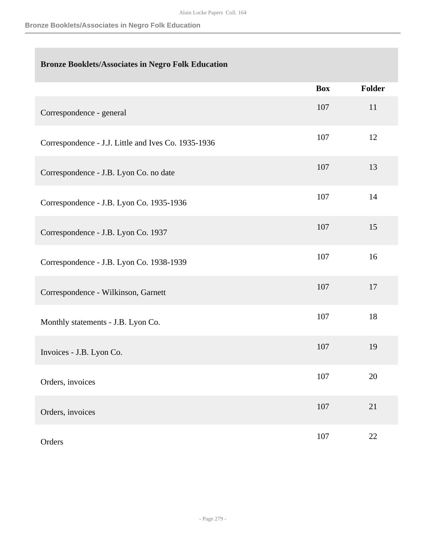## **Bronze Booklets/Associates in Negro Folk Education**

|                                                     | <b>Box</b> | Folder |
|-----------------------------------------------------|------------|--------|
| Correspondence - general                            | 107        | 11     |
| Correspondence - J.J. Little and Ives Co. 1935-1936 | 107        | 12     |
| Correspondence - J.B. Lyon Co. no date              | 107        | 13     |
| Correspondence - J.B. Lyon Co. 1935-1936            | 107        | 14     |
| Correspondence - J.B. Lyon Co. 1937                 | 107        | 15     |
| Correspondence - J.B. Lyon Co. 1938-1939            | 107        | 16     |
| Correspondence - Wilkinson, Garnett                 | 107        | 17     |
| Monthly statements - J.B. Lyon Co.                  | 107        | 18     |
| Invoices - J.B. Lyon Co.                            | 107        | 19     |
| Orders, invoices                                    | 107        | 20     |
| Orders, invoices                                    | 107        | $21\,$ |
| Orders                                              | 107        | $22\,$ |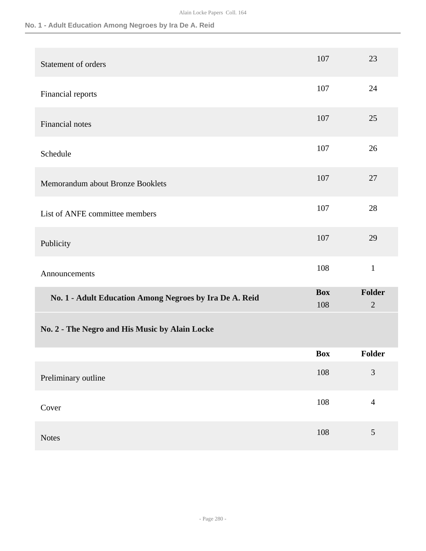## **No. 1 - Adult Education Among Negroes by Ira De A. Reid**

| Statement of orders                                     | 107               | 23                       |
|---------------------------------------------------------|-------------------|--------------------------|
| Financial reports                                       | 107               | 24                       |
| Financial notes                                         | 107               | 25                       |
| Schedule                                                | 107               | 26                       |
| Memorandum about Bronze Booklets                        | 107               | 27                       |
| List of ANFE committee members                          | 107               | 28                       |
| Publicity                                               | 107               | 29                       |
| Announcements                                           | 108               | $\mathbf{1}$             |
| No. 1 - Adult Education Among Negroes by Ira De A. Reid | <b>Box</b><br>108 | Folder<br>$\overline{2}$ |
| No. 2 - The Negro and His Music by Alain Locke          |                   |                          |
|                                                         | <b>Box</b>        | Folder                   |
| Preliminary outline                                     | 108               | 3                        |
| Cover                                                   | 108               | $\overline{4}$           |
| Notes                                                   | 108               | 5                        |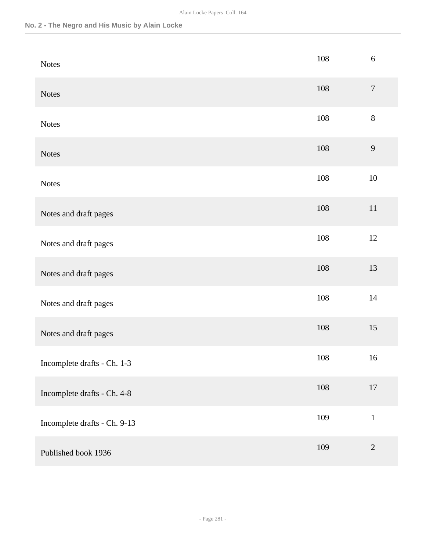### **No. 2 - The Negro and His Music by Alain Locke**

| <b>Notes</b>                 | 108 | 6                |
|------------------------------|-----|------------------|
| <b>Notes</b>                 | 108 | $\boldsymbol{7}$ |
| <b>Notes</b>                 | 108 | $8\,$            |
| <b>Notes</b>                 | 108 | 9                |
| <b>Notes</b>                 | 108 | $10\,$           |
| Notes and draft pages        | 108 | $11\,$           |
| Notes and draft pages        | 108 | 12               |
| Notes and draft pages        | 108 | 13               |
| Notes and draft pages        | 108 | $14$             |
| Notes and draft pages        | 108 | 15               |
| Incomplete drafts - Ch. 1-3  | 108 | 16               |
| Incomplete drafts - Ch. 4-8  | 108 | $17\,$           |
| Incomplete drafts - Ch. 9-13 | 109 | $\mathbf 1$      |
| Published book 1936          | 109 | $\overline{2}$   |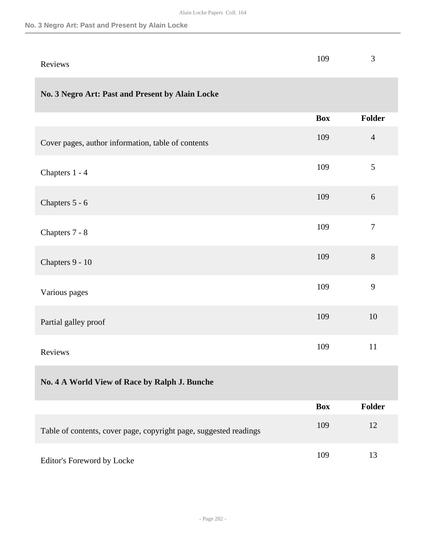#### **No. 3 Negro Art: Past and Present by Alain Locke**

| Reviews                                                           | 109        | 3                |
|-------------------------------------------------------------------|------------|------------------|
| No. 3 Negro Art: Past and Present by Alain Locke                  |            |                  |
|                                                                   | <b>Box</b> | <b>Folder</b>    |
| Cover pages, author information, table of contents                | 109        | $\overline{4}$   |
| Chapters 1 - 4                                                    | 109        | 5                |
| Chapters 5 - 6                                                    | 109        | 6                |
| Chapters 7 - 8                                                    | 109        | $\boldsymbol{7}$ |
| Chapters 9 - 10                                                   | 109        | 8                |
| Various pages                                                     | 109        | 9                |
| Partial galley proof                                              | 109        | 10               |
| Reviews                                                           | 109        | 11               |
| No. 4 A World View of Race by Ralph J. Bunche                     |            |                  |
|                                                                   | <b>Box</b> | <b>Folder</b>    |
| Table of contents, cover page, copyright page, suggested readings | 109        | 12               |
| Editor's Foreword by Locke                                        | 109        | 13               |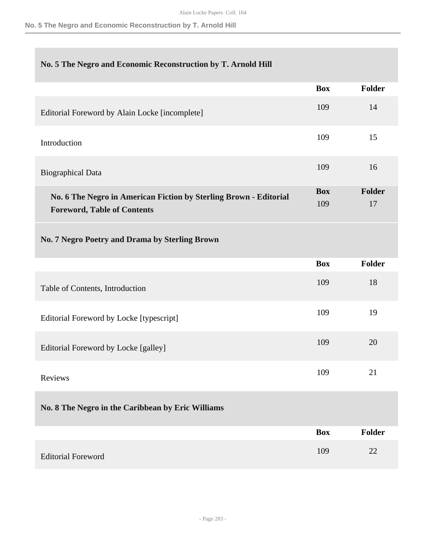### **No. 5 The Negro and Economic Reconstruction by T. Arnold Hill**

|                                                                                                         | <b>Box</b>        | <b>Folder</b>       |
|---------------------------------------------------------------------------------------------------------|-------------------|---------------------|
| Editorial Foreword by Alain Locke [incomplete]                                                          | 109               | 14                  |
| Introduction                                                                                            | 109               | 15                  |
| <b>Biographical Data</b>                                                                                | 109               | 16                  |
| No. 6 The Negro in American Fiction by Sterling Brown - Editorial<br><b>Foreword, Table of Contents</b> | <b>Box</b><br>109 | <b>Folder</b><br>17 |
| No. 7 Negro Poetry and Drama by Sterling Brown                                                          |                   |                     |
|                                                                                                         | <b>Box</b>        | <b>Folder</b>       |
| Table of Contents, Introduction                                                                         | 109               | 18                  |
| Editorial Foreword by Locke [typescript]                                                                | 109               | 19                  |
| Editorial Foreword by Locke [galley]                                                                    | 109               | 20                  |
| Reviews                                                                                                 | 109               | 21                  |
| No. 8 The Negro in the Caribbean by Eric Williams                                                       |                   |                     |
|                                                                                                         | <b>Box</b>        | <b>Folder</b>       |
| <b>Editorial Foreword</b>                                                                               | 109               | 22                  |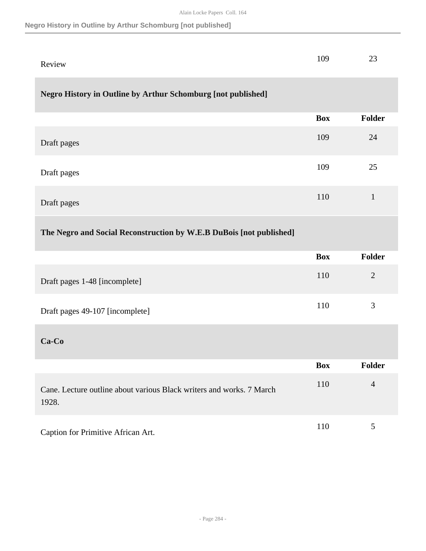### **Negro History in Outline by Arthur Schomburg [not published]**

|        | 109 | $\sim$<br>ر_ |
|--------|-----|--------------|
| Review |     |              |

### **Negro History in Outline by Arthur Schomburg [not published]**

|             | Box | <b>Folder</b> |
|-------------|-----|---------------|
|             |     |               |
| Draft pages | 109 | 24            |
| Draft pages | 109 | 25            |
| Draft pages | 110 | 1             |

## **The Negro and Social Reconstruction by W.E.B DuBois [not published]**

|                                 | <b>Box</b> | <b>Folder</b> |
|---------------------------------|------------|---------------|
| Draft pages 1-48 [incomplete]   | 110        | 2             |
| Draft pages 49-107 [incomplete] | 110        | 3             |
| $Ca-Co$                         |            |               |

|                                                                               | <b>Box</b> | Folder |
|-------------------------------------------------------------------------------|------------|--------|
| Cane. Lecture outline about various Black writers and works. 7 March<br>1928. | 110        | 4      |
| Caption for Primitive African Art.                                            | 110        |        |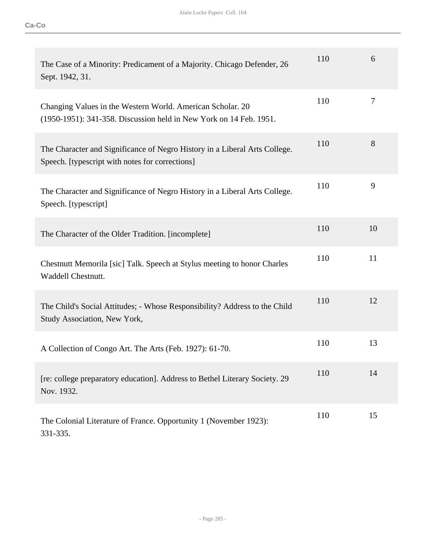| The Case of a Minority: Predicament of a Majority. Chicago Defender, 26<br>Sept. 1942, 31.                                       | 110 | 6  |
|----------------------------------------------------------------------------------------------------------------------------------|-----|----|
| Changing Values in the Western World. American Scholar. 20<br>(1950-1951): 341-358. Discussion held in New York on 14 Feb. 1951. | 110 | 7  |
| The Character and Significance of Negro History in a Liberal Arts College.<br>Speech. [typescript with notes for corrections]    | 110 | 8  |
| The Character and Significance of Negro History in a Liberal Arts College.<br>Speech. [typescript]                               | 110 | 9  |
| The Character of the Older Tradition. [incomplete]                                                                               | 110 | 10 |
| Chestnutt Memorila [sic] Talk. Speech at Stylus meeting to honor Charles<br>Waddell Chestnutt.                                   | 110 | 11 |
| The Child's Social Attitudes; - Whose Responsibility? Address to the Child<br>Study Association, New York,                       | 110 | 12 |
| A Collection of Congo Art. The Arts (Feb. 1927): 61-70.                                                                          | 110 | 13 |
| [re: college preparatory education]. Address to Bethel Literary Society. 29<br>Nov. 1932.                                        | 110 | 14 |
| The Colonial Literature of France. Opportunity 1 (November 1923):<br>331-335.                                                    | 110 | 15 |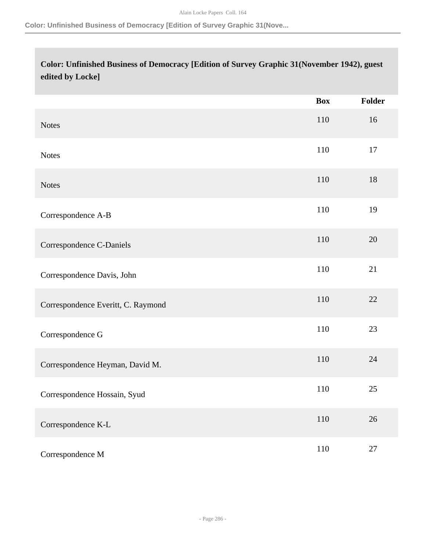#### **Color: Unfinished Business of Democracy [Edition of Survey Graphic 31(Nove...**

# **Color: Unfinished Business of Democracy [Edition of Survey Graphic 31(November 1942), guest edited by Locke]**

|                                    | <b>Box</b> | <b>Folder</b> |
|------------------------------------|------------|---------------|
| <b>Notes</b>                       | 110        | 16            |
| <b>Notes</b>                       | 110        | 17            |
| <b>Notes</b>                       | 110        | 18            |
| Correspondence A-B                 | 110        | 19            |
| Correspondence C-Daniels           | 110        | 20            |
| Correspondence Davis, John         | 110        | 21            |
| Correspondence Everitt, C. Raymond | 110        | 22            |
| Correspondence G                   | 110        | 23            |
| Correspondence Heyman, David M.    | 110        | 24            |
| Correspondence Hossain, Syud       | 110        | $25\,$        |
| Correspondence K-L                 | 110        | $26\,$        |
| Correspondence M                   | 110        | $27\,$        |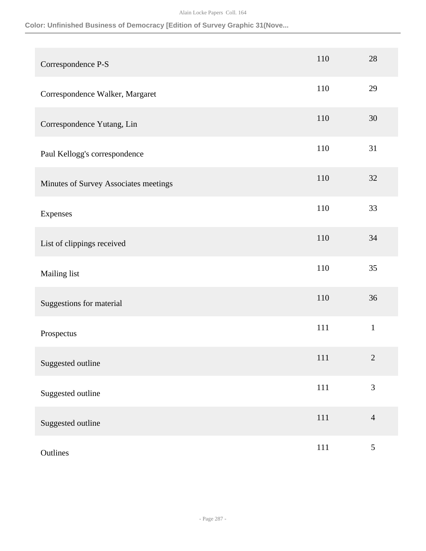### **Color: Unfinished Business of Democracy [Edition of Survey Graphic 31(Nove...**

| Correspondence P-S                    | 110     | 28             |
|---------------------------------------|---------|----------------|
| Correspondence Walker, Margaret       | 110     | 29             |
| Correspondence Yutang, Lin            | 110     | 30             |
| Paul Kellogg's correspondence         | 110     | 31             |
| Minutes of Survey Associates meetings | 110     | 32             |
| Expenses                              | 110     | 33             |
| List of clippings received            | 110     | 34             |
| Mailing list                          | 110     | 35             |
| Suggestions for material              | 110     | 36             |
| Prospectus                            | 111     | $\mathbf{1}$   |
| Suggested outline                     | 111     | $\overline{2}$ |
| Suggested outline                     | $111\,$ | $\mathfrak{Z}$ |
| Suggested outline                     | $111\,$ | $\overline{4}$ |
| Outlines                              | 111     | $\mathfrak{S}$ |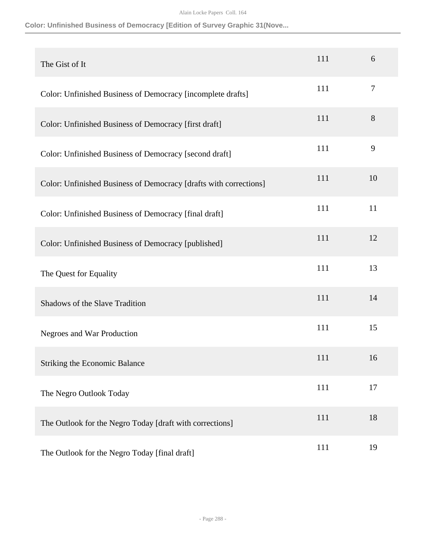## **Color: Unfinished Business of Democracy [Edition of Survey Graphic 31(Nove...**

| The Gist of It                                                    | 111 | 6  |
|-------------------------------------------------------------------|-----|----|
| Color: Unfinished Business of Democracy [incomplete drafts]       | 111 | 7  |
| Color: Unfinished Business of Democracy [first draft]             | 111 | 8  |
| Color: Unfinished Business of Democracy [second draft]            | 111 | 9  |
| Color: Unfinished Business of Democracy [drafts with corrections] | 111 | 10 |
| Color: Unfinished Business of Democracy [final draft]             | 111 | 11 |
| Color: Unfinished Business of Democracy [published]               | 111 | 12 |
| The Quest for Equality                                            | 111 | 13 |
| <b>Shadows of the Slave Tradition</b>                             | 111 | 14 |
| Negroes and War Production                                        | 111 | 15 |
| <b>Striking the Economic Balance</b>                              | 111 | 16 |
| The Negro Outlook Today                                           | 111 | 17 |
| The Outlook for the Negro Today [draft with corrections]          | 111 | 18 |
| The Outlook for the Negro Today [final draft]                     | 111 | 19 |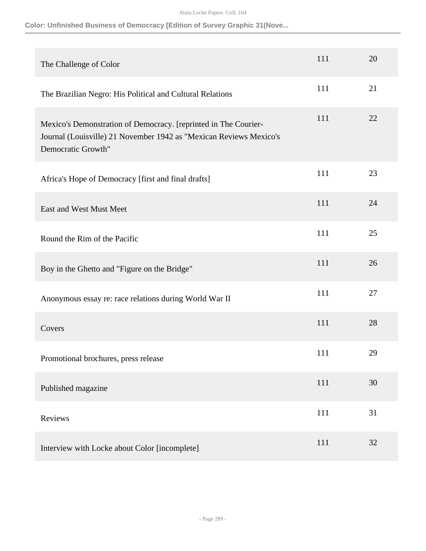**Color: Unfinished Business of Democracy [Edition of Survey Graphic 31(Nove...**

| The Challenge of Color                                                                                                                                      | 111 | 20 |
|-------------------------------------------------------------------------------------------------------------------------------------------------------------|-----|----|
| The Brazilian Negro: His Political and Cultural Relations                                                                                                   | 111 | 21 |
| Mexico's Demonstration of Democracy. [reprinted in The Courier-<br>Journal (Louisville) 21 November 1942 as "Mexican Reviews Mexico's<br>Democratic Growth" | 111 | 22 |
| Africa's Hope of Democracy [first and final drafts]                                                                                                         | 111 | 23 |
| East and West Must Meet                                                                                                                                     | 111 | 24 |
| Round the Rim of the Pacific                                                                                                                                | 111 | 25 |
| Boy in the Ghetto and "Figure on the Bridge"                                                                                                                | 111 | 26 |
| Anonymous essay re: race relations during World War II                                                                                                      | 111 | 27 |
| Covers                                                                                                                                                      | 111 | 28 |
| Promotional brochures, press release                                                                                                                        | 111 | 29 |
| Published magazine                                                                                                                                          | 111 | 30 |
| Reviews                                                                                                                                                     | 111 | 31 |
| Interview with Locke about Color [incomplete]                                                                                                               | 111 | 32 |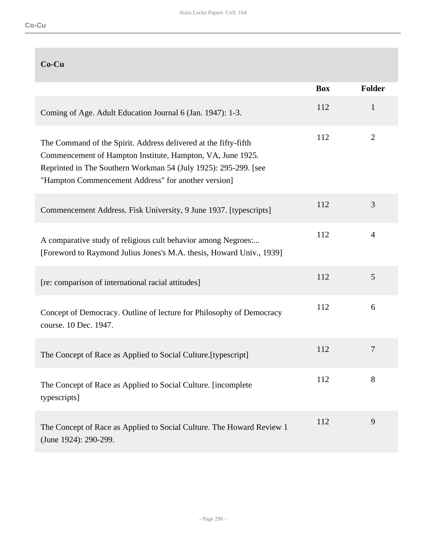# **Co-Cu**

|                                                                                                                                                                                                                                                         | <b>Box</b> | <b>Folder</b>  |
|---------------------------------------------------------------------------------------------------------------------------------------------------------------------------------------------------------------------------------------------------------|------------|----------------|
| Coming of Age. Adult Education Journal 6 (Jan. 1947): 1-3.                                                                                                                                                                                              | 112        | $\mathbf{1}$   |
| The Command of the Spirit. Address delivered at the fifty-fifth<br>Commencement of Hampton Institute, Hampton, VA, June 1925.<br>Reprinted in The Southern Workman 54 (July 1925): 295-299. [see<br>"Hampton Commencement Address" for another version] | 112        | 2              |
| Commencement Address. Fisk University, 9 June 1937. [typescripts]                                                                                                                                                                                       | 112        | 3              |
| A comparative study of religious cult behavior among Negroes:<br>[Foreword to Raymond Julius Jones's M.A. thesis, Howard Univ., 1939]                                                                                                                   | 112        | $\overline{4}$ |
| [re: comparison of international racial attitudes]                                                                                                                                                                                                      | 112        | 5              |
| Concept of Democracy. Outline of lecture for Philosophy of Democracy<br>course. 10 Dec. 1947.                                                                                                                                                           | 112        | 6              |
| The Concept of Race as Applied to Social Culture. [typescript]                                                                                                                                                                                          | 112        | $\overline{7}$ |
| The Concept of Race as Applied to Social Culture. [incomplete]<br>typescripts]                                                                                                                                                                          | 112        | 8              |
| The Concept of Race as Applied to Social Culture. The Howard Review 1<br>(June 1924): 290-299.                                                                                                                                                          | 112        | 9              |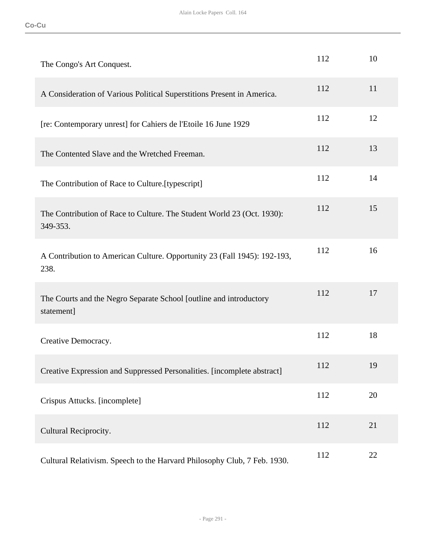| The Congo's Art Conquest.                                                          | 112 | 10 |
|------------------------------------------------------------------------------------|-----|----|
| A Consideration of Various Political Superstitions Present in America.             | 112 | 11 |
| [re: Contemporary unrest] for Cahiers de l'Etoile 16 June 1929                     | 112 | 12 |
| The Contented Slave and the Wretched Freeman.                                      | 112 | 13 |
| The Contribution of Race to Culture.[typescript]                                   | 112 | 14 |
| The Contribution of Race to Culture. The Student World 23 (Oct. 1930):<br>349-353. | 112 | 15 |
| A Contribution to American Culture. Opportunity 23 (Fall 1945): 192-193,<br>238.   | 112 | 16 |
| The Courts and the Negro Separate School [outline and introductory<br>statement]   | 112 | 17 |
| Creative Democracy.                                                                | 112 | 18 |
| Creative Expression and Suppressed Personalities. [incomplete abstract]            | 112 | 19 |
| Crispus Attucks. [incomplete]                                                      | 112 | 20 |
| Cultural Reciprocity.                                                              | 112 | 21 |
| Cultural Relativism. Speech to the Harvard Philosophy Club, 7 Feb. 1930.           | 112 | 22 |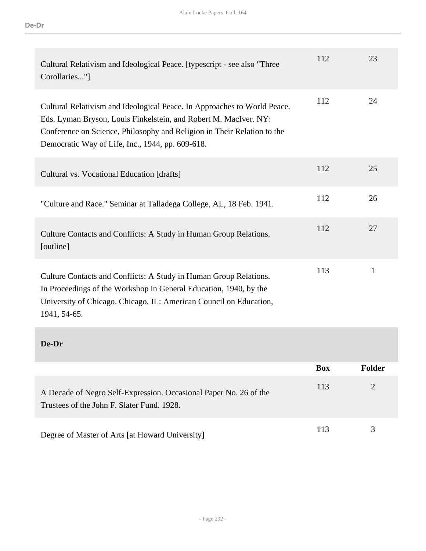| Cultural Relativism and Ideological Peace. [typescript - see also "Three<br>Corollaries"]                                                                                                                                                                                   | 112        | 23             |
|-----------------------------------------------------------------------------------------------------------------------------------------------------------------------------------------------------------------------------------------------------------------------------|------------|----------------|
| Cultural Relativism and Ideological Peace. In Approaches to World Peace.<br>Eds. Lyman Bryson, Louis Finkelstein, and Robert M. MacIver. NY:<br>Conference on Science, Philosophy and Religion in Their Relation to the<br>Democratic Way of Life, Inc., 1944, pp. 609-618. | 112        | 24             |
| Cultural vs. Vocational Education [drafts]                                                                                                                                                                                                                                  | 112        | 25             |
| "Culture and Race." Seminar at Talladega College, AL, 18 Feb. 1941.                                                                                                                                                                                                         | 112        | 26             |
| Culture Contacts and Conflicts: A Study in Human Group Relations.<br>[outline]                                                                                                                                                                                              | 112        | 27             |
| Culture Contacts and Conflicts: A Study in Human Group Relations.<br>In Proceedings of the Workshop in General Education, 1940, by the<br>University of Chicago. Chicago, IL: American Council on Education,<br>1941, 54-65.                                                | 113        | $\mathbf{1}$   |
| De-Dr                                                                                                                                                                                                                                                                       |            |                |
|                                                                                                                                                                                                                                                                             | <b>Box</b> | <b>Folder</b>  |
| A Decade of Negro Self-Expression. Occasional Paper No. 26 of the<br>Trustees of the John F. Slater Fund. 1928.                                                                                                                                                             | 113        | $\overline{2}$ |
| Degree of Master of Arts [at Howard University]                                                                                                                                                                                                                             | 113        | 3              |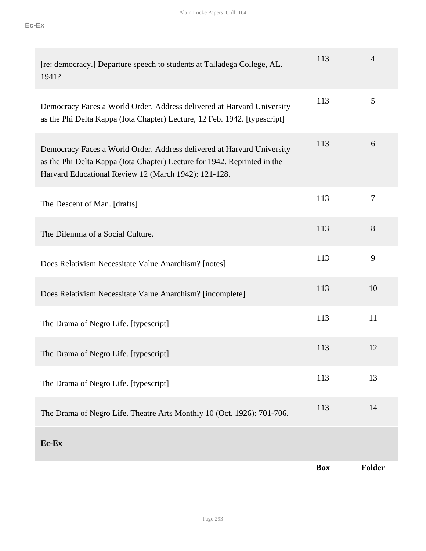| [re: democracy.] Departure speech to students at Talladega College, AL.<br>1941?                                                                                                                           | 113        | $\overline{4}$ |
|------------------------------------------------------------------------------------------------------------------------------------------------------------------------------------------------------------|------------|----------------|
| Democracy Faces a World Order. Address delivered at Harvard University<br>as the Phi Delta Kappa (Iota Chapter) Lecture, 12 Feb. 1942. [typescript]                                                        | 113        | 5              |
| Democracy Faces a World Order. Address delivered at Harvard University<br>as the Phi Delta Kappa (Iota Chapter) Lecture for 1942. Reprinted in the<br>Harvard Educational Review 12 (March 1942): 121-128. | 113        | 6              |
| The Descent of Man. [drafts]                                                                                                                                                                               | 113        | $\tau$         |
| The Dilemma of a Social Culture.                                                                                                                                                                           | 113        | 8              |
| Does Relativism Necessitate Value Anarchism? [notes]                                                                                                                                                       | 113        | 9              |
| Does Relativism Necessitate Value Anarchism? [incomplete]                                                                                                                                                  | 113        | 10             |
| The Drama of Negro Life. [typescript]                                                                                                                                                                      | 113        | 11             |
| The Drama of Negro Life. [typescript]                                                                                                                                                                      | 113        | 12             |
| The Drama of Negro Life. [typescript]                                                                                                                                                                      | 113        | 13             |
| The Drama of Negro Life. Theatre Arts Monthly 10 (Oct. 1926): 701-706.                                                                                                                                     | 113        | 14             |
| Ec-Ex                                                                                                                                                                                                      |            |                |
|                                                                                                                                                                                                            | <b>Box</b> | <b>Folder</b>  |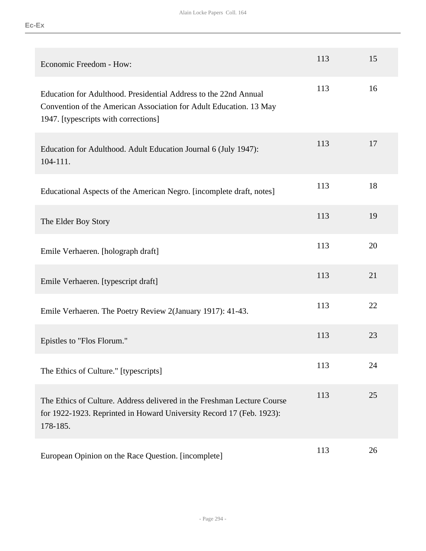| Economic Freedom - How:                                                                                                                                                        | 113 | 15 |
|--------------------------------------------------------------------------------------------------------------------------------------------------------------------------------|-----|----|
| Education for Adulthood. Presidential Address to the 22nd Annual<br>Convention of the American Association for Adult Education. 13 May<br>1947. [typescripts with corrections] | 113 | 16 |
| Education for Adulthood. Adult Education Journal 6 (July 1947):<br>104-111.                                                                                                    | 113 | 17 |
| Educational Aspects of the American Negro. [incomplete draft, notes]                                                                                                           | 113 | 18 |
| The Elder Boy Story                                                                                                                                                            | 113 | 19 |
| Emile Verhaeren. [holograph draft]                                                                                                                                             | 113 | 20 |
| Emile Verhaeren. [typescript draft]                                                                                                                                            | 113 | 21 |
| Emile Verhaeren. The Poetry Review 2(January 1917): 41-43.                                                                                                                     | 113 | 22 |
| Epistles to "Flos Florum."                                                                                                                                                     | 113 | 23 |
| The Ethics of Culture." [typescripts]                                                                                                                                          | 113 | 24 |
| The Ethics of Culture. Address delivered in the Freshman Lecture Course<br>for 1922-1923. Reprinted in Howard University Record 17 (Feb. 1923):<br>178-185.                    | 113 | 25 |
| European Opinion on the Race Question. [incomplete]                                                                                                                            | 113 | 26 |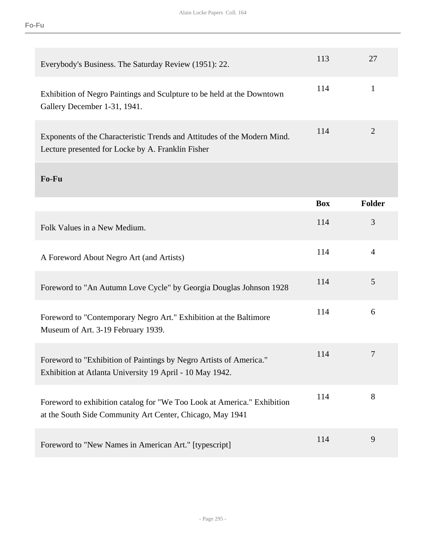| Everybody's Business. The Saturday Review (1951): 22.                                                                                | 113        | 27             |
|--------------------------------------------------------------------------------------------------------------------------------------|------------|----------------|
| Exhibition of Negro Paintings and Sculpture to be held at the Downtown<br>Gallery December 1-31, 1941.                               | 114        | $\mathbf{1}$   |
| Exponents of the Characteristic Trends and Attitudes of the Modern Mind.<br>Lecture presented for Locke by A. Franklin Fisher        | 114        | 2              |
| Fo-Fu                                                                                                                                |            |                |
|                                                                                                                                      | <b>Box</b> | <b>Folder</b>  |
| Folk Values in a New Medium.                                                                                                         | 114        | 3              |
| A Foreword About Negro Art (and Artists)                                                                                             | 114        | $\overline{4}$ |
| Foreword to "An Autumn Love Cycle" by Georgia Douglas Johnson 1928                                                                   | 114        | 5              |
| Foreword to "Contemporary Negro Art." Exhibition at the Baltimore<br>Museum of Art. 3-19 February 1939.                              | 114        | 6              |
| Foreword to "Exhibition of Paintings by Negro Artists of America."<br>Exhibition at Atlanta University 19 April - 10 May 1942.       | 114        | 7              |
| Foreword to exhibition catalog for "We Too Look at America." Exhibition<br>at the South Side Community Art Center, Chicago, May 1941 | 114        | 8              |
| Foreword to "New Names in American Art." [typescript]                                                                                | 114        | 9              |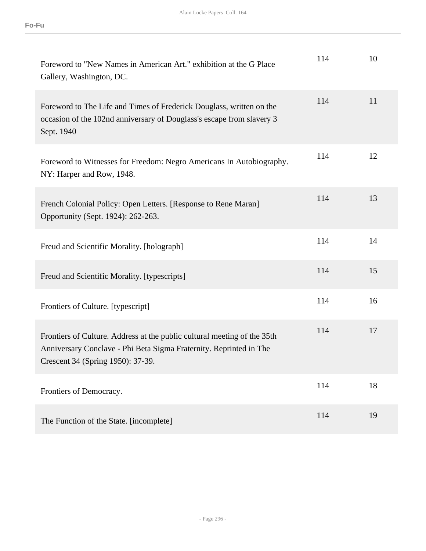| Foreword to "New Names in American Art." exhibition at the G Place<br>Gallery, Washington, DC.                                                                                      | 114 | 10 |
|-------------------------------------------------------------------------------------------------------------------------------------------------------------------------------------|-----|----|
| Foreword to The Life and Times of Frederick Douglass, written on the<br>occasion of the 102nd anniversary of Douglass's escape from slavery 3<br>Sept. 1940                         | 114 | 11 |
| Foreword to Witnesses for Freedom: Negro Americans In Autobiography.<br>NY: Harper and Row, 1948.                                                                                   | 114 | 12 |
| French Colonial Policy: Open Letters. [Response to Rene Maran]<br>Opportunity (Sept. 1924): 262-263.                                                                                | 114 | 13 |
| Freud and Scientific Morality. [holograph]                                                                                                                                          | 114 | 14 |
| Freud and Scientific Morality. [typescripts]                                                                                                                                        | 114 | 15 |
| Frontiers of Culture. [typescript]                                                                                                                                                  | 114 | 16 |
| Frontiers of Culture. Address at the public cultural meeting of the 35th<br>Anniversary Conclave - Phi Beta Sigma Fraternity. Reprinted in The<br>Crescent 34 (Spring 1950): 37-39. | 114 | 17 |
| Frontiers of Democracy.                                                                                                                                                             | 114 | 18 |
| The Function of the State. [incomplete]                                                                                                                                             | 114 | 19 |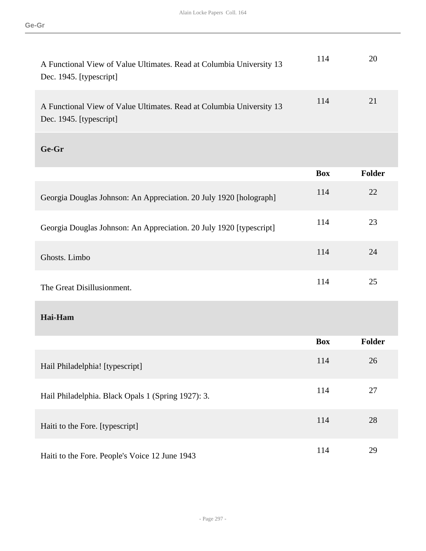| A Functional View of Value Ultimates. Read at Columbia University 13<br>Dec. 1945. [typescript] | 114        | 20            |
|-------------------------------------------------------------------------------------------------|------------|---------------|
| A Functional View of Value Ultimates. Read at Columbia University 13<br>Dec. 1945. [typescript] | 114        | 21            |
| Ge-Gr                                                                                           |            |               |
|                                                                                                 | <b>Box</b> | <b>Folder</b> |
| Georgia Douglas Johnson: An Appreciation. 20 July 1920 [holograph]                              | 114        | 22            |
| Georgia Douglas Johnson: An Appreciation. 20 July 1920 [typescript]                             | 114        | 23            |
| Ghosts. Limbo                                                                                   | 114        | 24            |
| The Great Disillusionment.                                                                      | 114        | 25            |
| Hai-Ham                                                                                         |            |               |
|                                                                                                 | <b>Box</b> | <b>Folder</b> |
| Hail Philadelphia! [typescript]                                                                 | 114        | 26            |
| Hail Philadelphia. Black Opals 1 (Spring 1927): 3.                                              | 114        | 27            |
| Haiti to the Fore. [typescript]                                                                 | 114        | 28            |
| Haiti to the Fore. People's Voice 12 June 1943                                                  | 114        | 29            |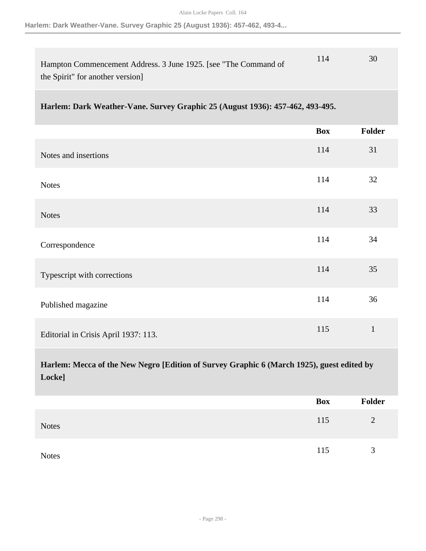**Harlem: Dark Weather-Vane. Survey Graphic 25 (August 1936): 457-462, 493-4...**

| Hampton Commencement Address. 3 June 1925. [see "The Command of | 114 |  |
|-----------------------------------------------------------------|-----|--|
| the Spirit" for another version                                 |     |  |

## **Harlem: Dark Weather-Vane. Survey Graphic 25 (August 1936): 457-462, 493-495.**

|                                                                                                     | <b>Box</b> | Folder       |
|-----------------------------------------------------------------------------------------------------|------------|--------------|
| Notes and insertions                                                                                | 114        | 31           |
| <b>Notes</b>                                                                                        | 114        | 32           |
| <b>Notes</b>                                                                                        | 114        | 33           |
| Correspondence                                                                                      | 114        | 34           |
| Typescript with corrections                                                                         | 114        | 35           |
| Published magazine                                                                                  | 114        | 36           |
| Editorial in Crisis April 1937: 113.                                                                | 115        | $\mathbf{1}$ |
| Harlem: Mecca of the New Negro [Edition of Survey Graphic 6 (March 1925), guest edited by<br>Locke] |            |              |

|              | Box | Folder |
|--------------|-----|--------|
| <b>Notes</b> | 115 | 2      |
| <b>Notes</b> | 115 | 3      |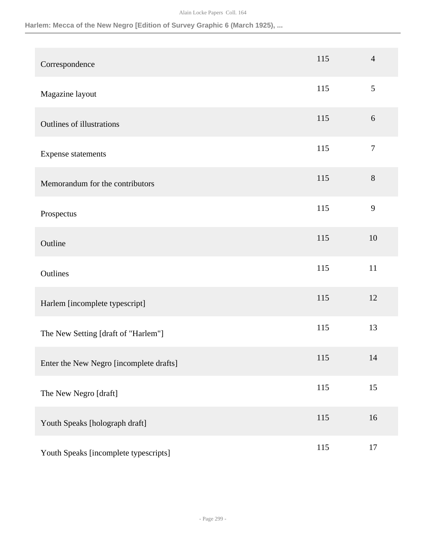## **Harlem: Mecca of the New Negro [Edition of Survey Graphic 6 (March 1925), ...**

| Correspondence                          | 115 | $\overline{4}$ |
|-----------------------------------------|-----|----------------|
| Magazine layout                         | 115 | 5              |
| Outlines of illustrations               | 115 | $6\,$          |
| Expense statements                      | 115 | $\overline{7}$ |
| Memorandum for the contributors         | 115 | 8              |
| Prospectus                              | 115 | 9              |
| Outline                                 | 115 | 10             |
| Outlines                                | 115 | 11             |
| Harlem [incomplete typescript]          | 115 | 12             |
| The New Setting [draft of "Harlem"]     | 115 | 13             |
| Enter the New Negro [incomplete drafts] | 115 | 14             |
| The New Negro [draft]                   | 115 | 15             |
| Youth Speaks [holograph draft]          | 115 | 16             |
| Youth Speaks [incomplete typescripts]   | 115 | 17             |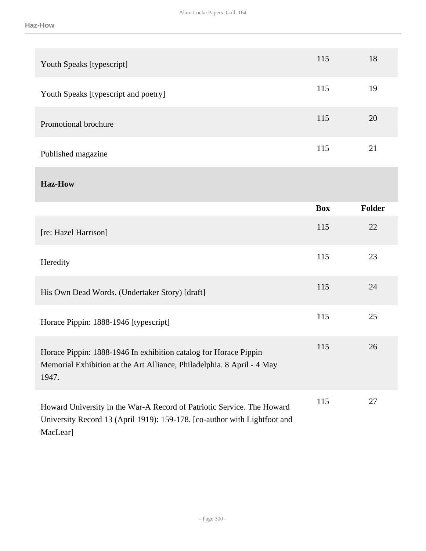| Youth Speaks [typescript]                                                                                                                                       | 115        | 18            |
|-----------------------------------------------------------------------------------------------------------------------------------------------------------------|------------|---------------|
| Youth Speaks [typescript and poetry]                                                                                                                            | 115        | 19            |
| Promotional brochure                                                                                                                                            | 115        | 20            |
| Published magazine                                                                                                                                              | 115        | 21            |
| <b>Haz-How</b>                                                                                                                                                  |            |               |
|                                                                                                                                                                 | <b>Box</b> | <b>Folder</b> |
| [re: Hazel Harrison]                                                                                                                                            | 115        | 22            |
| Heredity                                                                                                                                                        | 115        | 23            |
| His Own Dead Words. (Undertaker Story) [draft]                                                                                                                  | 115        | 24            |
| Horace Pippin: 1888-1946 [typescript]                                                                                                                           | 115        | 25            |
| Horace Pippin: 1888-1946 In exhibition catalog for Horace Pippin<br>Memorial Exhibition at the Art Alliance, Philadelphia. 8 April - 4 May<br>1947.             | 115        | 26            |
| Howard University in the War-A Record of Patriotic Service. The Howard<br>University Record 13 (April 1919): 159-178. [co-author with Lightfoot and<br>MacLear] | 115        | 27            |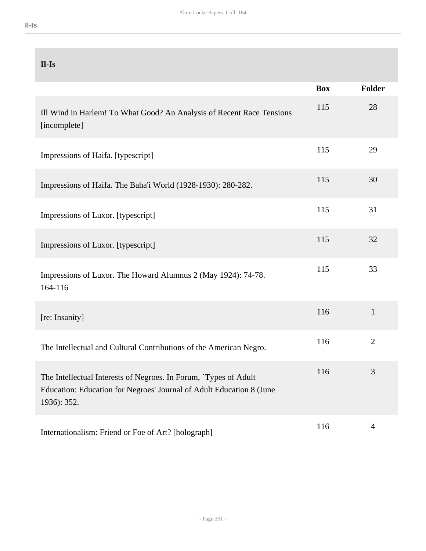|  | _ |              |
|--|---|--------------|
|  |   | ×<br>٠<br>__ |
|  |   |              |

| $II-Is$                                                                                                                                                 |            |                |
|---------------------------------------------------------------------------------------------------------------------------------------------------------|------------|----------------|
|                                                                                                                                                         | <b>Box</b> | <b>Folder</b>  |
| Ill Wind in Harlem! To What Good? An Analysis of Recent Race Tensions<br>[incomplete]                                                                   | 115        | 28             |
| Impressions of Haifa. [typescript]                                                                                                                      | 115        | 29             |
| Impressions of Haifa. The Baha'i World (1928-1930): 280-282.                                                                                            | 115        | 30             |
| Impressions of Luxor. [typescript]                                                                                                                      | 115        | 31             |
| Impressions of Luxor. [typescript]                                                                                                                      | 115        | 32             |
| Impressions of Luxor. The Howard Alumnus 2 (May 1924): 74-78.<br>164-116                                                                                | 115        | 33             |
| [re: Insanity]                                                                                                                                          | 116        | $\mathbf{1}$   |
| The Intellectual and Cultural Contributions of the American Negro.                                                                                      | 116        | $\overline{2}$ |
| The Intellectual Interests of Negroes. In Forum, `Types of Adult<br>Education: Education for Negroes' Journal of Adult Education 8 (June<br>1936): 352. | 116        | 3              |
| Internationalism: Friend or Foe of Art? [holograph]                                                                                                     | 116        | $\overline{4}$ |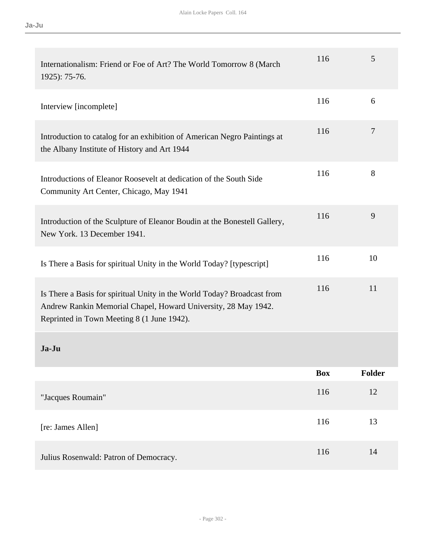| Internationalism: Friend or Foe of Art? The World Tomorrow 8 (March<br>1925): 75-76.                                                                                                    | 116        | 5      |
|-----------------------------------------------------------------------------------------------------------------------------------------------------------------------------------------|------------|--------|
| Interview [incomplete]                                                                                                                                                                  | 116        | 6      |
| Introduction to catalog for an exhibition of American Negro Paintings at<br>the Albany Institute of History and Art 1944                                                                | 116        | 7      |
| Introductions of Eleanor Roosevelt at dedication of the South Side<br>Community Art Center, Chicago, May 1941                                                                           | 116        | 8      |
| Introduction of the Sculpture of Eleanor Boudin at the Bonestell Gallery,<br>New York. 13 December 1941.                                                                                | 116        | 9      |
| Is There a Basis for spiritual Unity in the World Today? [typescript]                                                                                                                   | 116        | 10     |
| Is There a Basis for spiritual Unity in the World Today? Broadcast from<br>Andrew Rankin Memorial Chapel, Howard University, 28 May 1942.<br>Reprinted in Town Meeting 8 (1 June 1942). | 116        | 11     |
| Ja-Ju                                                                                                                                                                                   |            |        |
|                                                                                                                                                                                         | <b>Box</b> | Folder |
| "Jacques Roumain"                                                                                                                                                                       | 116        | 12     |
| [re: James Allen]                                                                                                                                                                       | 116        | 13     |
| Julius Rosenwald: Patron of Democracy.                                                                                                                                                  | 116        | 14     |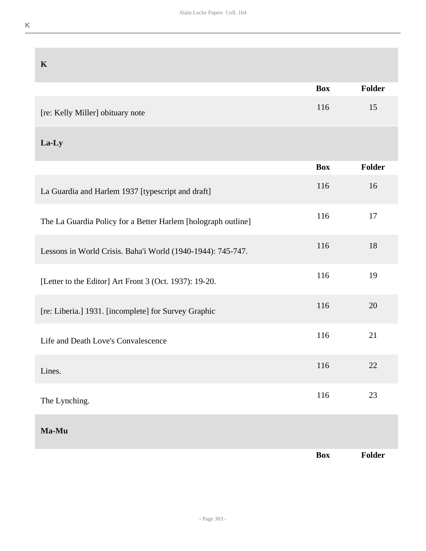| $\mathbf K$                                                   |            |               |
|---------------------------------------------------------------|------------|---------------|
|                                                               | <b>Box</b> | <b>Folder</b> |
| [re: Kelly Miller] obituary note                              | 116        | 15            |
| La-Ly                                                         |            |               |
|                                                               | <b>Box</b> | Folder        |
| La Guardia and Harlem 1937 [typescript and draft]             | 116        | 16            |
| The La Guardia Policy for a Better Harlem [holograph outline] | 116        | 17            |
| Lessons in World Crisis. Baha'i World (1940-1944): 745-747.   | 116        | 18            |
| [Letter to the Editor] Art Front 3 (Oct. 1937): 19-20.        | 116        | 19            |
| [re: Liberia.] 1931. [incomplete] for Survey Graphic          | 116        | 20            |
| Life and Death Love's Convalescence                           | 116        | 21            |
| Lines.                                                        | 116        | $22\,$        |
| The Lynching.                                                 | 116        | 23            |
| Ma-Mu                                                         |            |               |
|                                                               | <b>Box</b> | Folder        |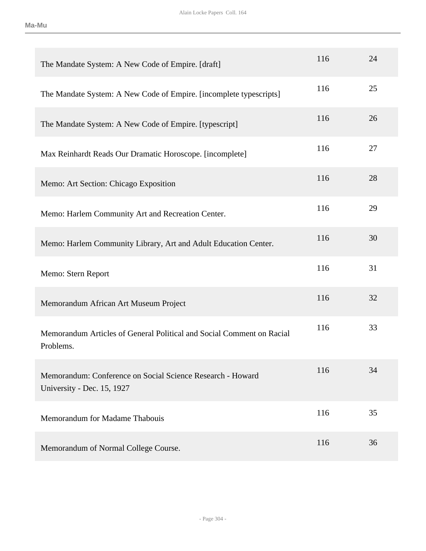| The Mandate System: A New Code of Empire. [draft]                                        | 116 | 24 |
|------------------------------------------------------------------------------------------|-----|----|
| The Mandate System: A New Code of Empire. [incomplete typescripts]                       | 116 | 25 |
| The Mandate System: A New Code of Empire. [typescript]                                   | 116 | 26 |
| Max Reinhardt Reads Our Dramatic Horoscope. [incomplete]                                 | 116 | 27 |
| Memo: Art Section: Chicago Exposition                                                    | 116 | 28 |
| Memo: Harlem Community Art and Recreation Center.                                        | 116 | 29 |
| Memo: Harlem Community Library, Art and Adult Education Center.                          | 116 | 30 |
| Memo: Stern Report                                                                       | 116 | 31 |
| Memorandum African Art Museum Project                                                    | 116 | 32 |
|                                                                                          |     |    |
| Memorandum Articles of General Political and Social Comment on Racial<br>Problems.       | 116 | 33 |
| Memorandum: Conference on Social Science Research - Howard<br>University - Dec. 15, 1927 | 116 | 34 |
| Memorandum for Madame Thabouis                                                           | 116 | 35 |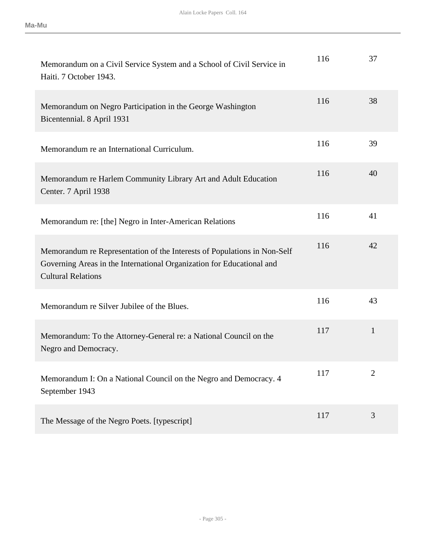| Memorandum on a Civil Service System and a School of Civil Service in<br>Haiti. 7 October 1943.                                                                                | 116 | 37             |
|--------------------------------------------------------------------------------------------------------------------------------------------------------------------------------|-----|----------------|
| Memorandum on Negro Participation in the George Washington<br>Bicentennial. 8 April 1931                                                                                       | 116 | 38             |
| Memorandum re an International Curriculum.                                                                                                                                     | 116 | 39             |
| Memorandum re Harlem Community Library Art and Adult Education<br>Center. 7 April 1938                                                                                         | 116 | 40             |
| Memorandum re: [the] Negro in Inter-American Relations                                                                                                                         | 116 | 41             |
| Memorandum re Representation of the Interests of Populations in Non-Self<br>Governing Areas in the International Organization for Educational and<br><b>Cultural Relations</b> | 116 | 42             |
| Memorandum re Silver Jubilee of the Blues.                                                                                                                                     | 116 | 43             |
| Memorandum: To the Attorney-General re: a National Council on the<br>Negro and Democracy.                                                                                      | 117 | $\mathbf{1}$   |
| Memorandum I: On a National Council on the Negro and Democracy. 4<br>September 1943                                                                                            | 117 | $\overline{2}$ |
| The Message of the Negro Poets. [typescript]                                                                                                                                   | 117 | 3              |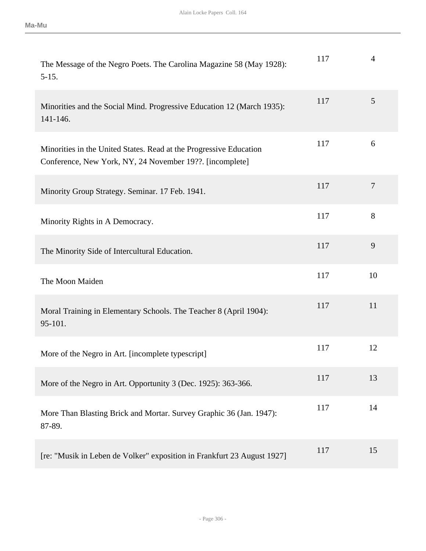| The Message of the Negro Poets. The Carolina Magazine 58 (May 1928):<br>$5 - 15.$                                              | 117 | $\overline{4}$  |
|--------------------------------------------------------------------------------------------------------------------------------|-----|-----------------|
| Minorities and the Social Mind. Progressive Education 12 (March 1935):<br>141-146.                                             | 117 | $5\overline{)}$ |
| Minorities in the United States. Read at the Progressive Education<br>Conference, New York, NY, 24 November 19??. [incomplete] | 117 | 6               |
| Minority Group Strategy. Seminar. 17 Feb. 1941.                                                                                | 117 | $\overline{7}$  |
| Minority Rights in A Democracy.                                                                                                | 117 | 8               |
| The Minority Side of Intercultural Education.                                                                                  | 117 | 9               |
| The Moon Maiden                                                                                                                | 117 | 10              |
| Moral Training in Elementary Schools. The Teacher 8 (April 1904):<br>95-101.                                                   | 117 | 11              |
| More of the Negro in Art. [incomplete typescript]                                                                              | 117 | 12              |
| More of the Negro in Art. Opportunity 3 (Dec. 1925): 363-366.                                                                  | 117 | 13              |
| More Than Blasting Brick and Mortar. Survey Graphic 36 (Jan. 1947):<br>87-89.                                                  | 117 | 14              |
| [re: "Musik in Leben de Volker" exposition in Frankfurt 23 August 1927]                                                        | 117 | 15              |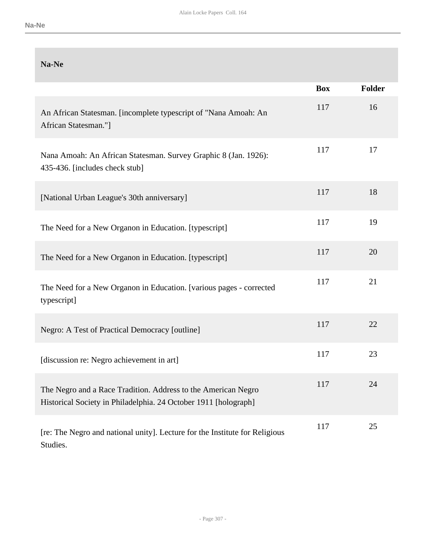| Na-Ne                                                                                                                            |            |               |
|----------------------------------------------------------------------------------------------------------------------------------|------------|---------------|
|                                                                                                                                  | <b>Box</b> | <b>Folder</b> |
| An African Statesman. [incomplete typescript of "Nana Amoah: An<br>African Statesman."]                                          | 117        | 16            |
| Nana Amoah: An African Statesman. Survey Graphic 8 (Jan. 1926):<br>435-436. [includes check stub]                                | 117        | 17            |
| [National Urban League's 30th anniversary]                                                                                       | 117        | 18            |
| The Need for a New Organon in Education. [typescript]                                                                            | 117        | 19            |
| The Need for a New Organon in Education. [typescript]                                                                            | 117        | 20            |
| The Need for a New Organon in Education. [various pages - corrected<br>typescript]                                               | 117        | 21            |
| Negro: A Test of Practical Democracy [outline]                                                                                   | 117        | 22            |
| [discussion re: Negro achievement in art]                                                                                        | 117        | 23            |
| The Negro and a Race Tradition. Address to the American Negro<br>Historical Society in Philadelphia. 24 October 1911 [holograph] | 117        | 24            |
| [re: The Negro and national unity]. Lecture for the Institute for Religious<br>Studies.                                          | 117        | 25            |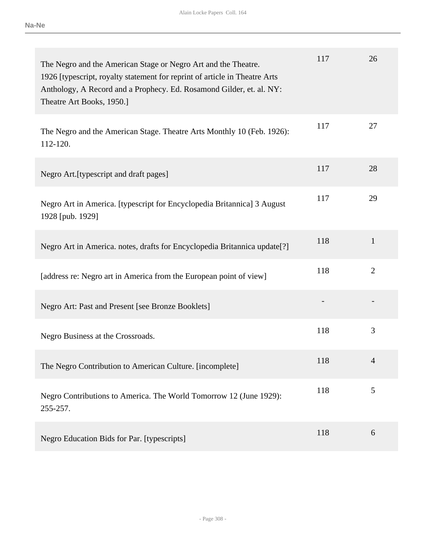| The Negro and the American Stage or Negro Art and the Theatre.<br>1926 [typescript, royalty statement for reprint of article in Theatre Arts<br>Anthology, A Record and a Prophecy. Ed. Rosamond Gilder, et. al. NY:<br>Theatre Art Books, 1950.] | 117 | 26             |
|---------------------------------------------------------------------------------------------------------------------------------------------------------------------------------------------------------------------------------------------------|-----|----------------|
| The Negro and the American Stage. Theatre Arts Monthly 10 (Feb. 1926):<br>112-120.                                                                                                                                                                | 117 | 27             |
| Negro Art. [typescript and draft pages]                                                                                                                                                                                                           | 117 | 28             |
| Negro Art in America. [typescript for Encyclopedia Britannica] 3 August<br>1928 [pub. 1929]                                                                                                                                                       | 117 | 29             |
| Negro Art in America. notes, drafts for Encyclopedia Britannica update[?]                                                                                                                                                                         | 118 | $\mathbf{1}$   |
| [address re: Negro art in America from the European point of view]                                                                                                                                                                                | 118 | $\overline{2}$ |
| Negro Art: Past and Present [see Bronze Booklets]                                                                                                                                                                                                 |     |                |
| Negro Business at the Crossroads.                                                                                                                                                                                                                 | 118 | 3              |
| The Negro Contribution to American Culture. [incomplete]                                                                                                                                                                                          | 118 | 4              |
| Negro Contributions to America. The World Tomorrow 12 (June 1929):<br>255-257.                                                                                                                                                                    | 118 | 5              |
| Negro Education Bids for Par. [typescripts]                                                                                                                                                                                                       | 118 | 6              |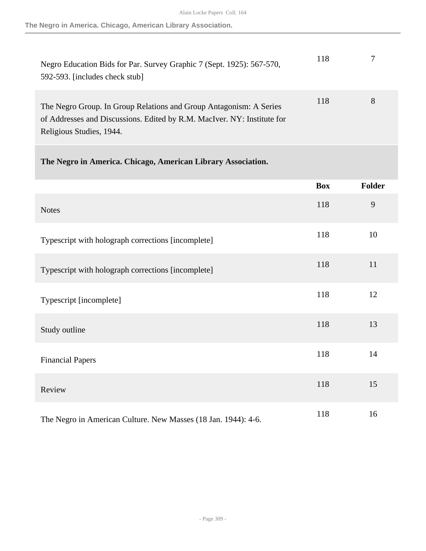| Negro Education Bids for Par. Survey Graphic 7 (Sept. 1925): 567-570,<br>592-593. [includes check stub]                                                                   | 118 |   |
|---------------------------------------------------------------------------------------------------------------------------------------------------------------------------|-----|---|
| The Negro Group. In Group Relations and Group Antagonism: A Series<br>of Addresses and Discussions. Edited by R.M. MacIver. NY: Institute for<br>Religious Studies, 1944. | 118 | 8 |

## **The Negro in America. Chicago, American Library Association.**

|                                                                | <b>Box</b> | <b>Folder</b> |
|----------------------------------------------------------------|------------|---------------|
| <b>Notes</b>                                                   | 118        | 9             |
| Typescript with holograph corrections [incomplete]             | 118        | 10            |
| Typescript with holograph corrections [incomplete]             | 118        | 11            |
| Typescript [incomplete]                                        | 118        | 12            |
| Study outline                                                  | 118        | 13            |
| <b>Financial Papers</b>                                        | 118        | 14            |
| Review                                                         | 118        | 15            |
| The Negro in American Culture. New Masses (18 Jan. 1944): 4-6. | 118        | 16            |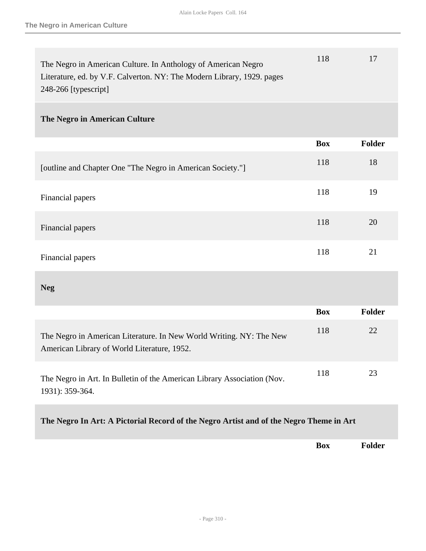| The Negro in American Culture. In Anthology of American Negro          | 118 |  |
|------------------------------------------------------------------------|-----|--|
| Literature, ed. by V.F. Calverton. NY: The Modern Library, 1929. pages |     |  |
| $248-266$ [typescript]                                                 |     |  |

### **The Negro in American Culture**

|                                                            | <b>Box</b> | <b>Folder</b> |
|------------------------------------------------------------|------------|---------------|
| [outline and Chapter One "The Negro in American Society."] | 118        | 18            |
| Financial papers                                           | 118        | 19            |
| Financial papers                                           | 118        | 20            |
| Financial papers                                           | 118        | 21            |

**Neg** 

|                                                                                                                    | <b>Box</b> | <b>Folder</b> |
|--------------------------------------------------------------------------------------------------------------------|------------|---------------|
| The Negro in American Literature. In New World Writing. NY: The New<br>American Library of World Literature, 1952. | 118        | 22            |
| The Negro in Art. In Bulletin of the American Library Association (Nov.<br>1931): 359-364.                         | 118        | 23            |

## **The Negro In Art: A Pictorial Record of the Negro Artist and of the Negro Theme in Art**

**Box Folder**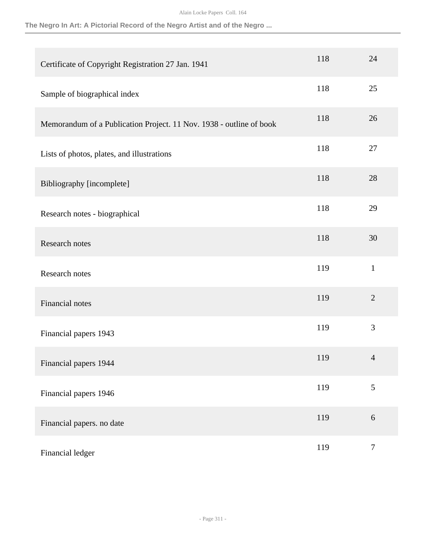### **The Negro In Art: A Pictorial Record of the Negro Artist and of the Negro ...**

| Certificate of Copyright Registration 27 Jan. 1941                  | 118 | 24             |
|---------------------------------------------------------------------|-----|----------------|
| Sample of biographical index                                        | 118 | 25             |
| Memorandum of a Publication Project. 11 Nov. 1938 - outline of book | 118 | 26             |
| Lists of photos, plates, and illustrations                          | 118 | 27             |
| Bibliography [incomplete]                                           | 118 | 28             |
| Research notes - biographical                                       | 118 | 29             |
| Research notes                                                      | 118 | 30             |
| Research notes                                                      | 119 | $\mathbf{1}$   |
| Financial notes                                                     | 119 | $\overline{2}$ |
| Financial papers 1943                                               | 119 | 3              |
| Financial papers 1944                                               | 119 | $\overline{4}$ |
| Financial papers 1946                                               | 119 | 5              |
| Financial papers. no date                                           | 119 | 6              |
| Financial ledger                                                    | 119 | $\tau$         |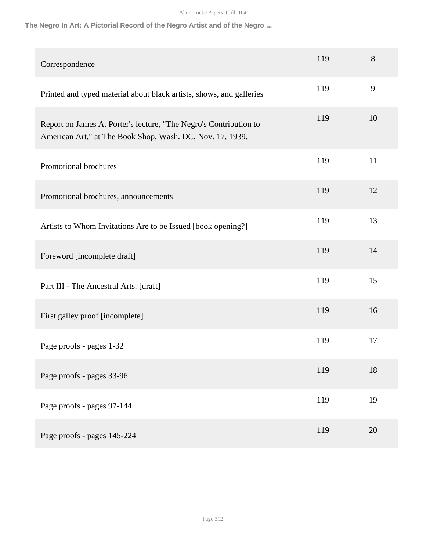### **The Negro In Art: A Pictorial Record of the Negro Artist and of the Negro ...**

| Correspondence                                                                                                                 | 119 | 8  |
|--------------------------------------------------------------------------------------------------------------------------------|-----|----|
| Printed and typed material about black artists, shows, and galleries                                                           | 119 | 9  |
| Report on James A. Porter's lecture, "The Negro's Contribution to<br>American Art," at The Book Shop, Wash. DC, Nov. 17, 1939. | 119 | 10 |
| Promotional brochures                                                                                                          | 119 | 11 |
| Promotional brochures, announcements                                                                                           | 119 | 12 |
| Artists to Whom Invitations Are to be Issued [book opening?]                                                                   | 119 | 13 |
| Foreword [incomplete draft]                                                                                                    | 119 | 14 |
| Part III - The Ancestral Arts. [draft]                                                                                         | 119 | 15 |
| First galley proof [incomplete]                                                                                                | 119 | 16 |
| Page proofs - pages 1-32                                                                                                       | 119 | 17 |
| Page proofs - pages 33-96                                                                                                      | 119 | 18 |
| Page proofs - pages 97-144                                                                                                     | 119 | 19 |
| Page proofs - pages 145-224                                                                                                    | 119 | 20 |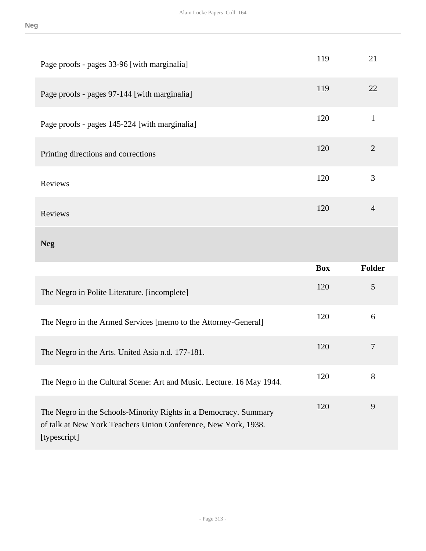| Page proofs - pages 33-96 [with marginalia]                           | 119        | 21             |
|-----------------------------------------------------------------------|------------|----------------|
| Page proofs - pages 97-144 [with marginalia]                          | 119        | 22             |
| Page proofs - pages 145-224 [with marginalia]                         | 120        | $\mathbf{1}$   |
| Printing directions and corrections                                   | 120        | $\overline{2}$ |
| Reviews                                                               | 120        | 3              |
| Reviews                                                               | 120        | $\overline{4}$ |
| <b>Neg</b>                                                            |            |                |
|                                                                       |            |                |
|                                                                       | <b>Box</b> | <b>Folder</b>  |
| The Negro in Polite Literature. [incomplete]                          | 120        | 5              |
| The Negro in the Armed Services [memo to the Attorney-General]        | 120        | 6              |
| The Negro in the Arts. United Asia n.d. 177-181.                      | 120        | $\overline{7}$ |
| The Negro in the Cultural Scene: Art and Music. Lecture. 16 May 1944. | 120        | 8              |

- Page 313 -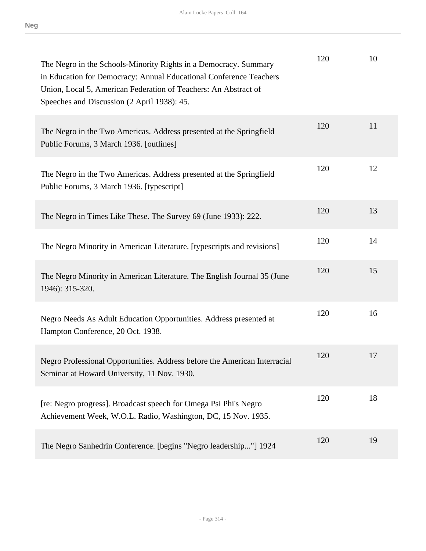| ٠                  |  |
|--------------------|--|
| .,<br>۰,<br>v<br>× |  |

| The Negro in the Schools-Minority Rights in a Democracy. Summary<br>in Education for Democracy: Annual Educational Conference Teachers<br>Union, Local 5, American Federation of Teachers: An Abstract of<br>Speeches and Discussion (2 April 1938): 45. | 120 | 10 |
|----------------------------------------------------------------------------------------------------------------------------------------------------------------------------------------------------------------------------------------------------------|-----|----|
| The Negro in the Two Americas. Address presented at the Springfield<br>Public Forums, 3 March 1936. [outlines]                                                                                                                                           | 120 | 11 |
| The Negro in the Two Americas. Address presented at the Springfield<br>Public Forums, 3 March 1936. [typescript]                                                                                                                                         | 120 | 12 |
| The Negro in Times Like These. The Survey 69 (June 1933): 222.                                                                                                                                                                                           | 120 | 13 |
| The Negro Minority in American Literature. [typescripts and revisions]                                                                                                                                                                                   | 120 | 14 |
| The Negro Minority in American Literature. The English Journal 35 (June<br>1946): 315-320.                                                                                                                                                               | 120 | 15 |
| Negro Needs As Adult Education Opportunities. Address presented at<br>Hampton Conference, 20 Oct. 1938.                                                                                                                                                  | 120 | 16 |
| Negro Professional Opportunities. Address before the American Interracial<br>Seminar at Howard University, 11 Nov. 1930.                                                                                                                                 | 120 | 17 |
| [re: Negro progress]. Broadcast speech for Omega Psi Phi's Negro<br>Achievement Week, W.O.L. Radio, Washington, DC, 15 Nov. 1935.                                                                                                                        | 120 | 18 |
| The Negro Sanhedrin Conference. [begins "Negro leadership"] 1924                                                                                                                                                                                         | 120 | 19 |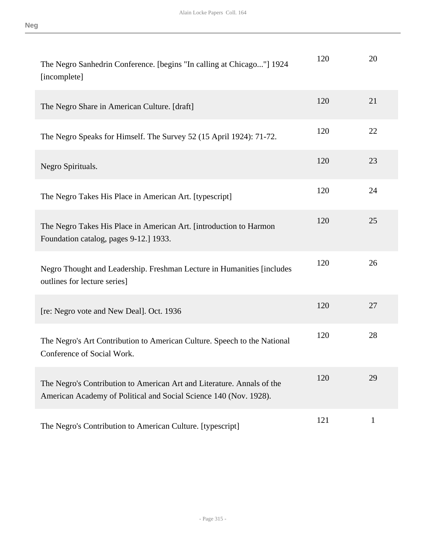| ٠      |  |
|--------|--|
| v<br>× |  |

| The Negro Sanhedrin Conference. [begins "In calling at Chicago"] 1924<br>[incomplete]                                                       | 120 | 20 |
|---------------------------------------------------------------------------------------------------------------------------------------------|-----|----|
| The Negro Share in American Culture. [draft]                                                                                                | 120 | 21 |
| The Negro Speaks for Himself. The Survey 52 (15 April 1924): 71-72.                                                                         | 120 | 22 |
| Negro Spirituals.                                                                                                                           | 120 | 23 |
| The Negro Takes His Place in American Art. [typescript]                                                                                     | 120 | 24 |
| The Negro Takes His Place in American Art. [introduction to Harmon<br>Foundation catalog, pages 9-12.] 1933.                                | 120 | 25 |
| Negro Thought and Leadership. Freshman Lecture in Humanities [includes<br>outlines for lecture series]                                      | 120 | 26 |
| [re: Negro vote and New Deal]. Oct. 1936                                                                                                    | 120 | 27 |
| The Negro's Art Contribution to American Culture. Speech to the National<br>Conference of Social Work.                                      | 120 | 28 |
| The Negro's Contribution to American Art and Literature. Annals of the<br>American Academy of Political and Social Science 140 (Nov. 1928). | 120 | 29 |
| The Negro's Contribution to American Culture. [typescript]                                                                                  | 121 | 1  |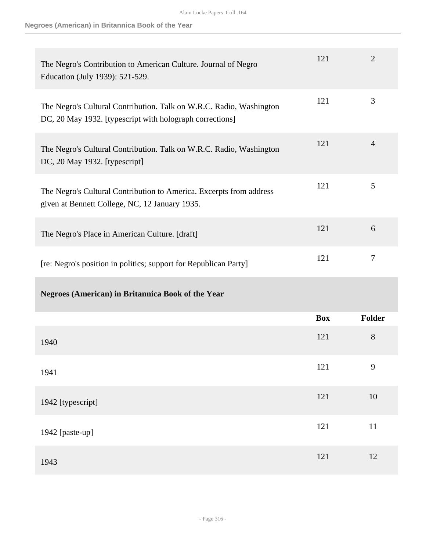**Negroes (American) in Britannica Book of the Year**

| The Negro's Contribution to American Culture. Journal of Negro<br>Education (July 1939): 521-529.                               | 121        | $\overline{2}$ |
|---------------------------------------------------------------------------------------------------------------------------------|------------|----------------|
| The Negro's Cultural Contribution. Talk on W.R.C. Radio, Washington<br>DC, 20 May 1932. [typescript with holograph corrections] | 121        | 3              |
| The Negro's Cultural Contribution. Talk on W.R.C. Radio, Washington<br>DC, 20 May 1932. [typescript]                            | 121        | 4              |
| The Negro's Cultural Contribution to America. Excerpts from address<br>given at Bennett College, NC, 12 January 1935.           | 121        | 5              |
| The Negro's Place in American Culture. [draft]                                                                                  | 121        | 6              |
| [re: Negro's position in politics; support for Republican Party]                                                                | 121        | 7              |
| <b>Negroes (American) in Britannica Book of the Year</b>                                                                        |            |                |
|                                                                                                                                 | <b>Box</b> | Folder         |
| 1940                                                                                                                            | 121        | 8              |
| 1941                                                                                                                            | 121        | 9              |
| 1942 [typescript]                                                                                                               | 121        | $10\,$         |
| 1942 [paste-up]                                                                                                                 | 121        | 11             |
|                                                                                                                                 |            |                |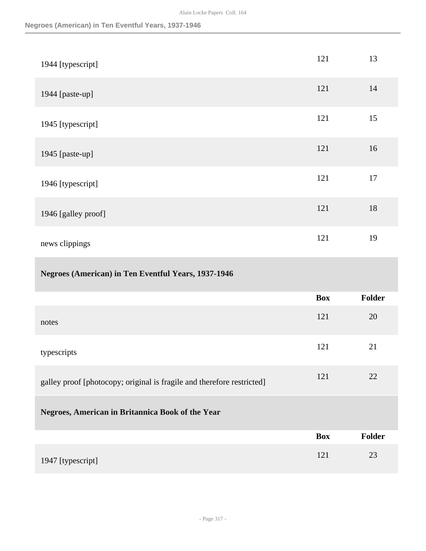| 1944 [typescript]                                                      | 121        | 13     |
|------------------------------------------------------------------------|------------|--------|
| 1944 [paste-up]                                                        | 121        | 14     |
| 1945 [typescript]                                                      | 121        | 15     |
| 1945 [paste-up]                                                        | 121        | 16     |
| 1946 [typescript]                                                      | 121        | 17     |
| 1946 [galley proof]                                                    | 121        | 18     |
| news clippings                                                         | 121        | 19     |
|                                                                        |            |        |
| <b>Negroes (American) in Ten Eventful Years, 1937-1946</b>             |            |        |
|                                                                        | <b>Box</b> | Folder |
| notes                                                                  | 121        | 20     |
| typescripts                                                            | 121        | 21     |
| galley proof [photocopy; original is fragile and therefore restricted] | 121        | 22     |
| Negroes, American in Britannica Book of the Year                       |            |        |
|                                                                        | <b>Box</b> | Folder |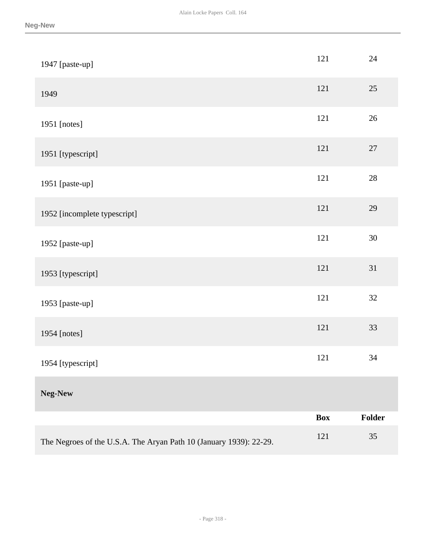| 1947 [paste-up]                                                    | 121        | 24     |
|--------------------------------------------------------------------|------------|--------|
| 1949                                                               | 121        | 25     |
| 1951 [notes]                                                       | 121        | 26     |
| 1951 [typescript]                                                  | 121        | 27     |
| 1951 [paste-up]                                                    | 121        | $28\,$ |
| 1952 [incomplete typescript]                                       | 121        | 29     |
| 1952 [paste-up]                                                    | 121        | $30\,$ |
| 1953 [typescript]                                                  | 121        | 31     |
| 1953 [paste-up]                                                    | 121        | $32\,$ |
| 1954 [notes]                                                       | 121        | 33     |
| 1954 [typescript]                                                  | 121        | 34     |
| Neg-New                                                            |            |        |
|                                                                    | <b>Box</b> | Folder |
| The Negroes of the U.S.A. The Aryan Path 10 (January 1939): 22-29. | 121        | 35     |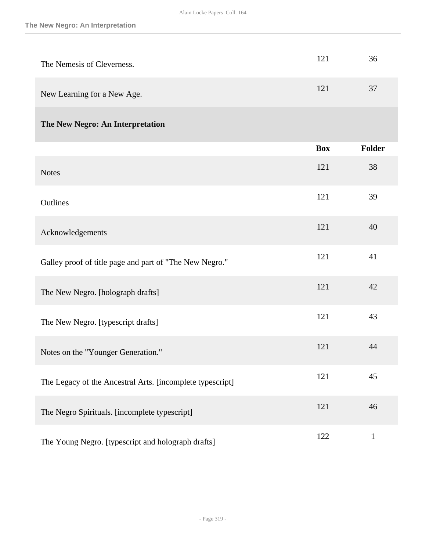| The Nemesis of Cleverness.                                | 121        | 36            |
|-----------------------------------------------------------|------------|---------------|
| New Learning for a New Age.                               | 121        | 37            |
| The New Negro: An Interpretation                          |            |               |
|                                                           | <b>Box</b> | <b>Folder</b> |
| <b>Notes</b>                                              | 121        | 38            |
| Outlines                                                  | 121        | 39            |
| Acknowledgements                                          | 121        | 40            |
| Galley proof of title page and part of "The New Negro."   | 121        | 41            |
| The New Negro. [holograph drafts]                         | 121        | 42            |
| The New Negro. [typescript drafts]                        | 121        | 43            |
| Notes on the "Younger Generation."                        | 121        | 44            |
| The Legacy of the Ancestral Arts. [incomplete typescript] | 121        | 45            |
| The Negro Spirituals. [incomplete typescript]             | 121        | 46            |
| The Young Negro. [typescript and holograph drafts]        | 122        | $\mathbf{1}$  |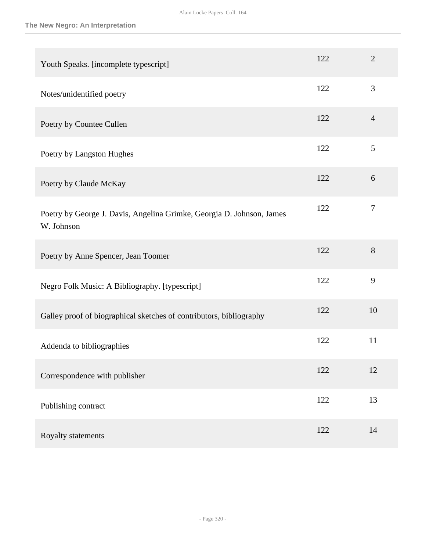| Youth Speaks. [incomplete typescript]                                               | 122 | $\overline{2}$ |
|-------------------------------------------------------------------------------------|-----|----------------|
| Notes/unidentified poetry                                                           | 122 | 3              |
| Poetry by Countee Cullen                                                            | 122 | $\overline{4}$ |
| Poetry by Langston Hughes                                                           | 122 | 5              |
| Poetry by Claude McKay                                                              | 122 | 6              |
| Poetry by George J. Davis, Angelina Grimke, Georgia D. Johnson, James<br>W. Johnson | 122 | $\tau$         |
| Poetry by Anne Spencer, Jean Toomer                                                 | 122 | 8              |
| Negro Folk Music: A Bibliography. [typescript]                                      | 122 | 9              |
| Galley proof of biographical sketches of contributors, bibliography                 | 122 | 10             |
| Addenda to bibliographies                                                           | 122 | 11             |
| Correspondence with publisher                                                       | 122 | 12             |
| Publishing contract                                                                 | 122 | 13             |
| Royalty statements                                                                  | 122 | 14             |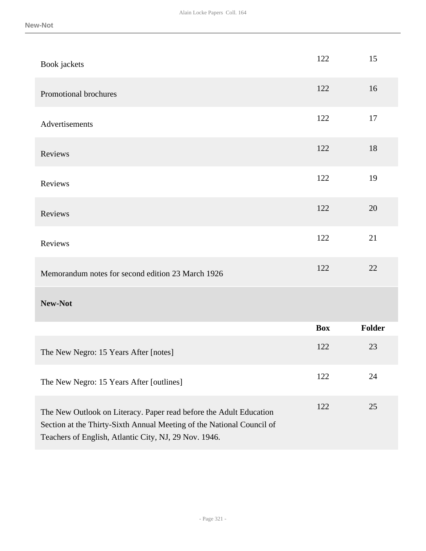| Book jackets                                                                                                                                                                                         | 122        | 15     |
|------------------------------------------------------------------------------------------------------------------------------------------------------------------------------------------------------|------------|--------|
| Promotional brochures                                                                                                                                                                                | 122        | 16     |
| Advertisements                                                                                                                                                                                       | 122        | 17     |
| Reviews                                                                                                                                                                                              | 122        | 18     |
| Reviews                                                                                                                                                                                              | 122        | 19     |
| Reviews                                                                                                                                                                                              | 122        | 20     |
| Reviews                                                                                                                                                                                              | 122        | 21     |
| Memorandum notes for second edition 23 March 1926                                                                                                                                                    | 122        | 22     |
| New-Not                                                                                                                                                                                              |            |        |
|                                                                                                                                                                                                      | <b>Box</b> | Folder |
| The New Negro: 15 Years After [notes]                                                                                                                                                                | 122        | 23     |
| The New Negro: 15 Years After [outlines]                                                                                                                                                             | 122        | 24     |
| The New Outlook on Literacy. Paper read before the Adult Education<br>Section at the Thirty-Sixth Annual Meeting of the National Council of<br>Teachers of English, Atlantic City, NJ, 29 Nov. 1946. | 122        | 25     |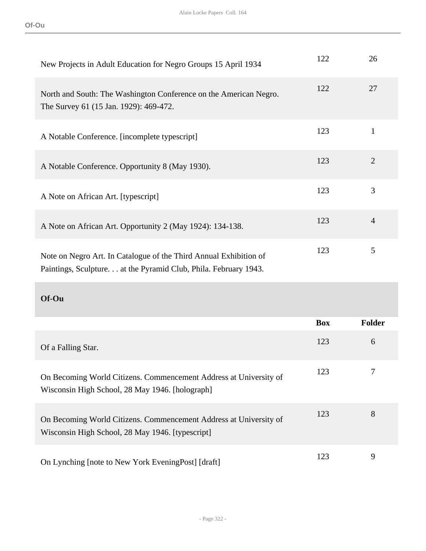| New Projects in Adult Education for Negro Groups 15 April 1934                                                                        | 122 | 26             |
|---------------------------------------------------------------------------------------------------------------------------------------|-----|----------------|
| North and South: The Washington Conference on the American Negro.<br>The Survey 61 (15 Jan. 1929): 469-472.                           | 122 | 27             |
| A Notable Conference. [incomplete typescript]                                                                                         | 123 | $\mathbf{1}$   |
| A Notable Conference. Opportunity 8 (May 1930).                                                                                       | 123 | $\overline{2}$ |
| A Note on African Art. [typescript]                                                                                                   | 123 | 3              |
| A Note on African Art. Opportunity 2 (May 1924): 134-138.                                                                             | 123 | $\overline{4}$ |
| Note on Negro Art. In Catalogue of the Third Annual Exhibition of<br>Paintings, Sculpture. at the Pyramid Club, Phila. February 1943. | 123 | 5              |

**Of-Ou** 

|                                                                                                                       | <b>Box</b> | <b>Folder</b> |
|-----------------------------------------------------------------------------------------------------------------------|------------|---------------|
| Of a Falling Star.                                                                                                    | 123        | 6             |
| On Becoming World Citizens. Commencement Address at University of<br>Wisconsin High School, 28 May 1946. [holograph]  | 123        |               |
| On Becoming World Citizens. Commencement Address at University of<br>Wisconsin High School, 28 May 1946. [typescript] | 123        | 8             |
| On Lynching [note to New York Evening Post] [draft]                                                                   | 123        | 9             |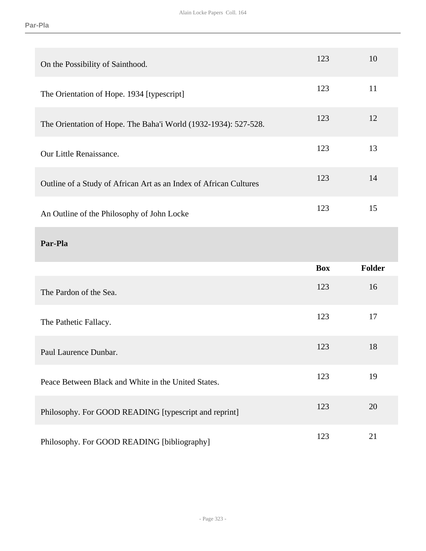| On the Possibility of Sainthood.                                  | 123        | 10     |
|-------------------------------------------------------------------|------------|--------|
| The Orientation of Hope. 1934 [typescript]                        | 123        | 11     |
| The Orientation of Hope. The Baha'i World (1932-1934): 527-528.   | 123        | 12     |
| Our Little Renaissance.                                           | 123        | 13     |
| Outline of a Study of African Art as an Index of African Cultures | 123        | 14     |
| An Outline of the Philosophy of John Locke                        | 123        | 15     |
|                                                                   |            |        |
| Par-Pla                                                           |            |        |
|                                                                   | <b>Box</b> | Folder |
| The Pardon of the Sea.                                            | 123        | 16     |
| The Pathetic Fallacy.                                             | 123        | 17     |
| Paul Laurence Dunbar.                                             | 123        | 18     |
| Peace Between Black and White in the United States.               | 123        | 19     |
| Philosophy. For GOOD READING [typescript and reprint]             | 123        | 20     |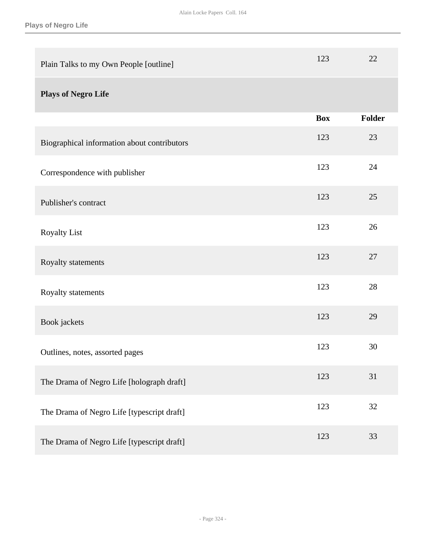| Plain Talks to my Own People [outline]      | 123        | 22     |
|---------------------------------------------|------------|--------|
| <b>Plays of Negro Life</b>                  |            |        |
|                                             | <b>Box</b> | Folder |
| Biographical information about contributors | 123        | 23     |
| Correspondence with publisher               | 123        | 24     |
| Publisher's contract                        | 123        | 25     |
| <b>Royalty List</b>                         | 123        | 26     |
| Royalty statements                          | 123        | 27     |
| Royalty statements                          | 123        | 28     |
| Book jackets                                | 123        | 29     |
| Outlines, notes, assorted pages             | 123        | 30     |
| The Drama of Negro Life [holograph draft]   | 123        | 31     |
| The Drama of Negro Life [typescript draft]  | 123        | 32     |
| The Drama of Negro Life [typescript draft]  | 123        | 33     |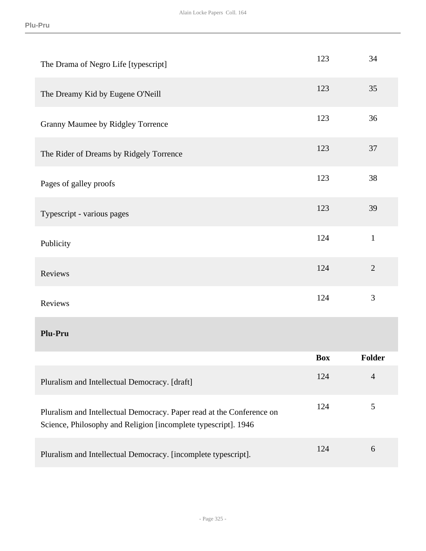| The Drama of Negro Life [typescript]                                                                                                    | 123        | 34             |
|-----------------------------------------------------------------------------------------------------------------------------------------|------------|----------------|
| The Dreamy Kid by Eugene O'Neill                                                                                                        | 123        | 35             |
| Granny Maumee by Ridgley Torrence                                                                                                       | 123        | 36             |
| The Rider of Dreams by Ridgely Torrence                                                                                                 | 123        | 37             |
| Pages of galley proofs                                                                                                                  | 123        | 38             |
| Typescript - various pages                                                                                                              | 123        | 39             |
| Publicity                                                                                                                               | 124        | $\mathbf{1}$   |
| Reviews                                                                                                                                 | 124        | $\overline{2}$ |
| Reviews                                                                                                                                 | 124        | $\overline{3}$ |
| Plu-Pru                                                                                                                                 |            |                |
|                                                                                                                                         | <b>Box</b> | <b>Folder</b>  |
| Pluralism and Intellectual Democracy. [draft]                                                                                           | 124        | $\overline{4}$ |
| Pluralism and Intellectual Democracy. Paper read at the Conference on<br>Science, Philosophy and Religion [incomplete typescript]. 1946 | 124        | $\mathfrak{S}$ |
| Pluralism and Intellectual Democracy. [incomplete typescript].                                                                          | 124        | 6              |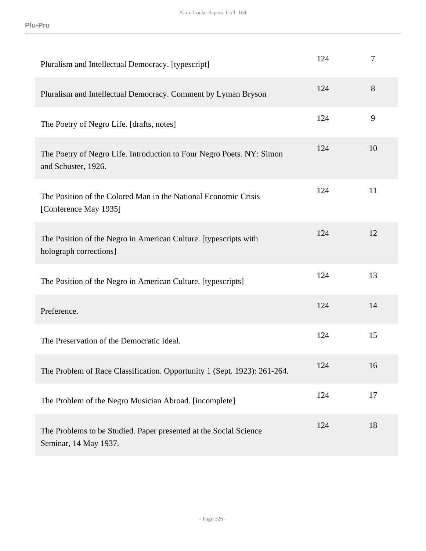| Pluralism and Intellectual Democracy. [typescript]                                           | 124 | $\tau$ |
|----------------------------------------------------------------------------------------------|-----|--------|
| Pluralism and Intellectual Democracy. Comment by Lyman Bryson                                | 124 | 8      |
| The Poetry of Negro Life. [drafts, notes]                                                    | 124 | 9      |
| The Poetry of Negro Life. Introduction to Four Negro Poets. NY: Simon<br>and Schuster, 1926. | 124 | 10     |
| The Position of the Colored Man in the National Economic Crisis<br>[Conference May 1935]     | 124 | 11     |
| The Position of the Negro in American Culture. [typescripts with<br>holograph corrections]   | 124 | 12     |
| The Position of the Negro in American Culture. [typescripts]                                 | 124 | 13     |
| Preference.                                                                                  | 124 | 14     |
| The Preservation of the Democratic Ideal.                                                    | 124 | 15     |
| The Problem of Race Classification. Opportunity 1 (Sept. 1923): 261-264.                     | 124 | 16     |
| The Problem of the Negro Musician Abroad. [incomplete]                                       | 124 | 17     |
| The Problems to be Studied. Paper presented at the Social Science<br>Seminar, 14 May 1937.   | 124 | 18     |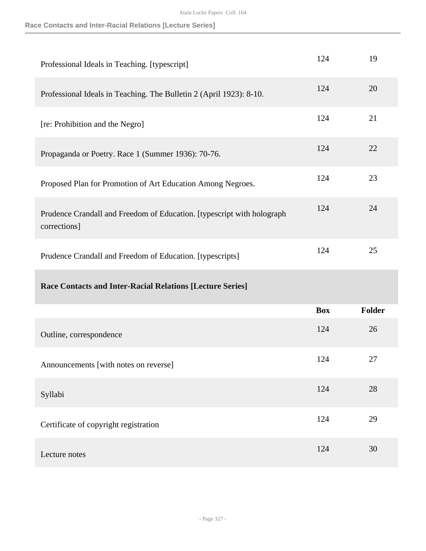**Race Contacts and Inter-Racial Relations [Lecture Series]**

| Professional Ideals in Teaching. [typescript]                                          | 124        | 19            |
|----------------------------------------------------------------------------------------|------------|---------------|
| Professional Ideals in Teaching. The Bulletin 2 (April 1923): 8-10.                    | 124        | 20            |
| [re: Prohibition and the Negro]                                                        | 124        | 21            |
| Propaganda or Poetry. Race 1 (Summer 1936): 70-76.                                     | 124        | 22            |
| Proposed Plan for Promotion of Art Education Among Negroes.                            | 124        | 23            |
| Prudence Crandall and Freedom of Education. [typescript with holograph<br>corrections] | 124        | 24            |
| Prudence Crandall and Freedom of Education. [typescripts]                              | 124        | 25            |
|                                                                                        |            |               |
| <b>Race Contacts and Inter-Racial Relations [Lecture Series]</b>                       |            |               |
|                                                                                        | <b>Box</b> | <b>Folder</b> |
| Outline, correspondence                                                                | 124        | 26            |
| Announcements [with notes on reverse]                                                  | 124        | 27            |
| Syllabi                                                                                | 124        | 28            |
| Certificate of copyright registration                                                  | 124        | 29            |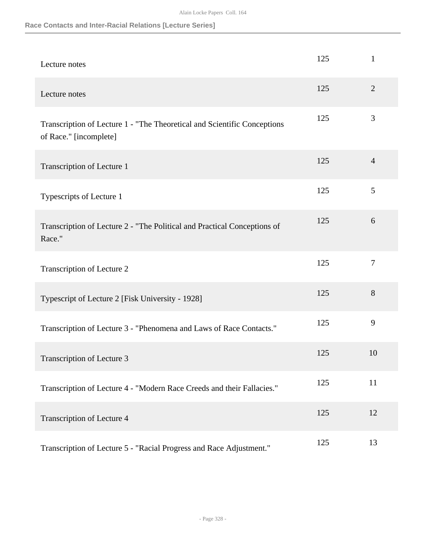**Race Contacts and Inter-Racial Relations [Lecture Series]**

| Lecture notes                                                                                      | 125 | $\mathbf{1}$   |
|----------------------------------------------------------------------------------------------------|-----|----------------|
| Lecture notes                                                                                      | 125 | 2              |
| Transcription of Lecture 1 - "The Theoretical and Scientific Conceptions<br>of Race." [incomplete] | 125 | 3              |
| Transcription of Lecture 1                                                                         | 125 | $\overline{4}$ |
| Typescripts of Lecture 1                                                                           | 125 | 5              |
| Transcription of Lecture 2 - "The Political and Practical Conceptions of<br>Race."                 | 125 | 6              |
| Transcription of Lecture 2                                                                         | 125 | $\tau$         |
| Typescript of Lecture 2 [Fisk University - 1928]                                                   | 125 | 8              |
| Transcription of Lecture 3 - "Phenomena and Laws of Race Contacts."                                | 125 | 9              |
| Transcription of Lecture 3                                                                         | 125 | 10             |
| Transcription of Lecture 4 - "Modern Race Creeds and their Fallacies."                             | 125 | 11             |
| Transcription of Lecture 4                                                                         | 125 | 12             |
| Transcription of Lecture 5 - "Racial Progress and Race Adjustment."                                | 125 | 13             |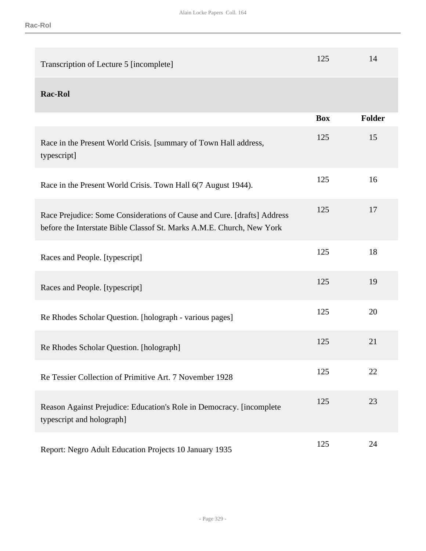| Transcription of Lecture 5 [incomplete]                                                                                                          | 125        | 14     |
|--------------------------------------------------------------------------------------------------------------------------------------------------|------------|--------|
| <b>Rac-Rol</b>                                                                                                                                   |            |        |
|                                                                                                                                                  | <b>Box</b> | Folder |
| Race in the Present World Crisis. [summary of Town Hall address,<br>typescript]                                                                  | 125        | 15     |
| Race in the Present World Crisis. Town Hall 6(7 August 1944).                                                                                    | 125        | 16     |
| Race Prejudice: Some Considerations of Cause and Cure. [drafts] Address<br>before the Interstate Bible Classof St. Marks A.M.E. Church, New York | 125        | 17     |
| Races and People. [typescript]                                                                                                                   | 125        | 18     |
| Races and People. [typescript]                                                                                                                   | 125        | 19     |
| Re Rhodes Scholar Question. [holograph - various pages]                                                                                          | 125        | 20     |
| Re Rhodes Scholar Question. [holograph]                                                                                                          | 125        | 21     |
| Re Tessier Collection of Primitive Art. 7 November 1928                                                                                          | 125        | 22     |
| Reason Against Prejudice: Education's Role in Democracy. [incomplete]<br>typescript and holograph]                                               | 125        | 23     |
| Report: Negro Adult Education Projects 10 January 1935                                                                                           | 125        | 24     |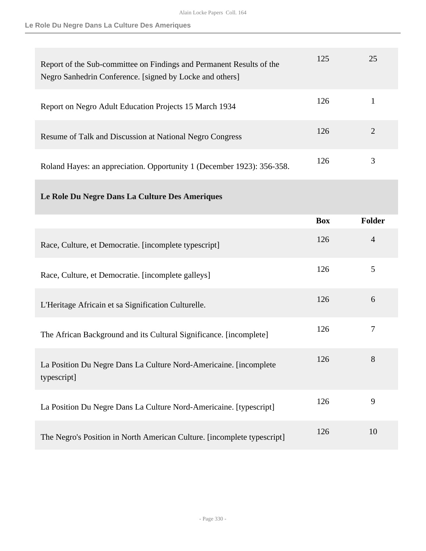**Le Role Du Negre Dans La Culture Des Ameriques**

| Report of the Sub-committee on Findings and Permanent Results of the<br>Negro Sanhedrin Conference. [signed by Locke and others] | 125 | 25 |
|----------------------------------------------------------------------------------------------------------------------------------|-----|----|
| Report on Negro Adult Education Projects 15 March 1934                                                                           | 126 |    |
| Resume of Talk and Discussion at National Negro Congress                                                                         | 126 |    |
| Roland Hayes: an appreciation. Opportunity 1 (December 1923): 356-358.                                                           | 126 | 3  |

# **Le Role Du Negre Dans La Culture Des Ameriques**

|                                                                                   | <b>Box</b> | Folder         |
|-----------------------------------------------------------------------------------|------------|----------------|
| Race, Culture, et Democratie. [incomplete typescript]                             | 126        | $\overline{4}$ |
| Race, Culture, et Democratie. [incomplete galleys]                                | 126        | 5              |
| L'Heritage Africain et sa Signification Culturelle.                               | 126        | 6              |
| The African Background and its Cultural Significance. [incomplete]                | 126        | 7              |
| La Position Du Negre Dans La Culture Nord-Americaine. [incomplete]<br>typescript] | 126        | 8              |
| La Position Du Negre Dans La Culture Nord-Americaine. [typescript]                | 126        | 9              |
| The Negro's Position in North American Culture. [incomplete typescript]           | 126        | 10             |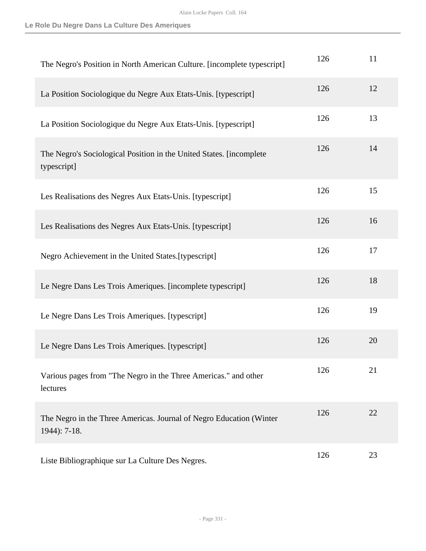**Le Role Du Negre Dans La Culture Des Ameriques**

| The Negro's Position in North American Culture. [incomplete typescript]               | 126 | 11 |
|---------------------------------------------------------------------------------------|-----|----|
| La Position Sociologique du Negre Aux Etats-Unis. [typescript]                        | 126 | 12 |
| La Position Sociologique du Negre Aux Etats-Unis. [typescript]                        | 126 | 13 |
| The Negro's Sociological Position in the United States. [incomplete]<br>typescript]   | 126 | 14 |
| Les Realisations des Negres Aux Etats-Unis. [typescript]                              | 126 | 15 |
| Les Realisations des Negres Aux Etats-Unis. [typescript]                              | 126 | 16 |
| Negro Achievement in the United States.[typescript]                                   | 126 | 17 |
| Le Negre Dans Les Trois Ameriques. [incomplete typescript]                            | 126 | 18 |
| Le Negre Dans Les Trois Ameriques. [typescript]                                       | 126 | 19 |
| Le Negre Dans Les Trois Ameriques. [typescript]                                       | 126 | 20 |
| Various pages from "The Negro in the Three Americas." and other<br>lectures           | 126 | 21 |
| The Negro in the Three Americas. Journal of Negro Education (Winter<br>$1944$ : 7-18. | 126 | 22 |
| Liste Bibliographique sur La Culture Des Negres.                                      | 126 | 23 |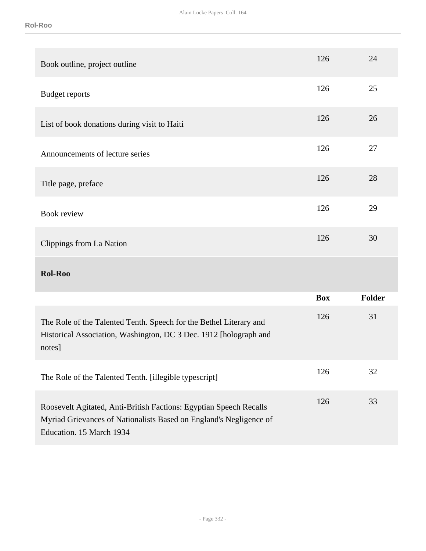| Book outline, project outline                                                                                                                                        | 126        | 24            |
|----------------------------------------------------------------------------------------------------------------------------------------------------------------------|------------|---------------|
| <b>Budget reports</b>                                                                                                                                                | 126        | 25            |
| List of book donations during visit to Haiti                                                                                                                         | 126        | 26            |
| Announcements of lecture series                                                                                                                                      | 126        | 27            |
| Title page, preface                                                                                                                                                  | 126        | 28            |
| <b>Book review</b>                                                                                                                                                   | 126        | 29            |
| Clippings from La Nation                                                                                                                                             | 126        | 30            |
| <b>Rol-Roo</b>                                                                                                                                                       |            |               |
|                                                                                                                                                                      | <b>Box</b> | <b>Folder</b> |
| The Role of the Talented Tenth. Speech for the Bethel Literary and<br>Historical Association, Washington, DC 3 Dec. 1912 [holograph and<br>notes]                    | 126        | 31            |
| The Role of the Talented Tenth. [illegible typescript]                                                                                                               | 126        | 32            |
| Roosevelt Agitated, Anti-British Factions: Egyptian Speech Recalls<br>Myriad Grievances of Nationalists Based on England's Negligence of<br>Education. 15 March 1934 | 126        | 33            |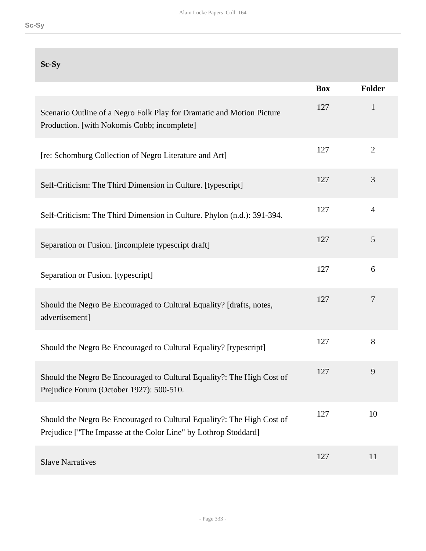| Sc-Sy                                                                                                                                     |            |                |
|-------------------------------------------------------------------------------------------------------------------------------------------|------------|----------------|
|                                                                                                                                           | <b>Box</b> | <b>Folder</b>  |
| Scenario Outline of a Negro Folk Play for Dramatic and Motion Picture<br>Production. [with Nokomis Cobb; incomplete]                      | 127        | $\mathbf{1}$   |
| [re: Schomburg Collection of Negro Literature and Art]                                                                                    | 127        | $\overline{2}$ |
| Self-Criticism: The Third Dimension in Culture. [typescript]                                                                              | 127        | 3              |
| Self-Criticism: The Third Dimension in Culture. Phylon (n.d.): 391-394.                                                                   | 127        | $\overline{4}$ |
| Separation or Fusion. [incomplete typescript draft]                                                                                       | 127        | 5              |
| Separation or Fusion. [typescript]                                                                                                        | 127        | 6              |
| Should the Negro Be Encouraged to Cultural Equality? [drafts, notes,<br>advertisement]                                                    | 127        | $\overline{7}$ |
| Should the Negro Be Encouraged to Cultural Equality? [typescript]                                                                         | 127        | 8              |
| Should the Negro Be Encouraged to Cultural Equality?: The High Cost of<br>Prejudice Forum (October 1927): 500-510.                        | 127        | 9              |
| Should the Negro Be Encouraged to Cultural Equality?: The High Cost of<br>Prejudice ["The Impasse at the Color Line" by Lothrop Stoddard] | 127        | 10             |
| <b>Slave Narratives</b>                                                                                                                   | 127        | 11             |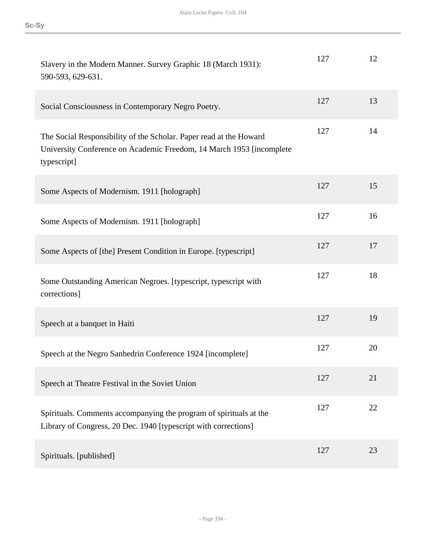| Slavery in the Modern Manner. Survey Graphic 18 (March 1931):<br>590-593, 629-631.                                                                         | 127 | 12 |
|------------------------------------------------------------------------------------------------------------------------------------------------------------|-----|----|
| Social Consciousness in Contemporary Negro Poetry.                                                                                                         | 127 | 13 |
| The Social Responsibility of the Scholar. Paper read at the Howard<br>University Conference on Academic Freedom, 14 March 1953 [incomplete]<br>typescript] | 127 | 14 |
| Some Aspects of Modernism. 1911 [holograph]                                                                                                                | 127 | 15 |
| Some Aspects of Modernism. 1911 [holograph]                                                                                                                | 127 | 16 |
| Some Aspects of [the] Present Condition in Europe. [typescript]                                                                                            | 127 | 17 |
| Some Outstanding American Negroes. [typescript, typescript with<br>corrections]                                                                            | 127 | 18 |
| Speech at a banquet in Haiti                                                                                                                               | 127 | 19 |
| Speech at the Negro Sanhedrin Conference 1924 [incomplete]                                                                                                 | 127 | 20 |
| Speech at Theatre Festival in the Soviet Union                                                                                                             | 127 | 21 |
| Spirituals. Comments accompanying the program of spirituals at the<br>Library of Congress, 20 Dec. 1940 [typescript with corrections]                      | 127 | 22 |
| Spirituals. [published]                                                                                                                                    | 127 | 23 |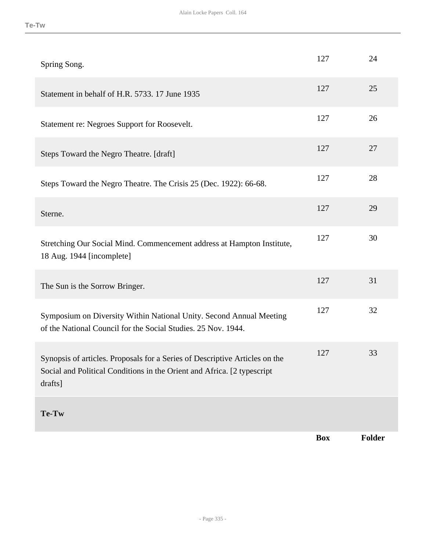|                                                                                                                                                                   | <b>Box</b> | Folder |
|-------------------------------------------------------------------------------------------------------------------------------------------------------------------|------------|--------|
| Te-Tw                                                                                                                                                             |            |        |
| Synopsis of articles. Proposals for a Series of Descriptive Articles on the<br>Social and Political Conditions in the Orient and Africa. [2 typescript<br>drafts] | 127        | 33     |
| Symposium on Diversity Within National Unity. Second Annual Meeting<br>of the National Council for the Social Studies. 25 Nov. 1944.                              | 127        | 32     |
| The Sun is the Sorrow Bringer.                                                                                                                                    | 127        | 31     |
| Stretching Our Social Mind. Commencement address at Hampton Institute,<br>18 Aug. 1944 [incomplete]                                                               | 127        | 30     |
| Sterne.                                                                                                                                                           | 127        | 29     |
| Steps Toward the Negro Theatre. The Crisis 25 (Dec. 1922): 66-68.                                                                                                 | 127        | 28     |
| Steps Toward the Negro Theatre. [draft]                                                                                                                           | 127        | 27     |
| Statement re: Negroes Support for Roosevelt.                                                                                                                      | 127        | 26     |
| Statement in behalf of H.R. 5733. 17 June 1935                                                                                                                    | 127        | 25     |
| Spring Song.                                                                                                                                                      | 127        | 24     |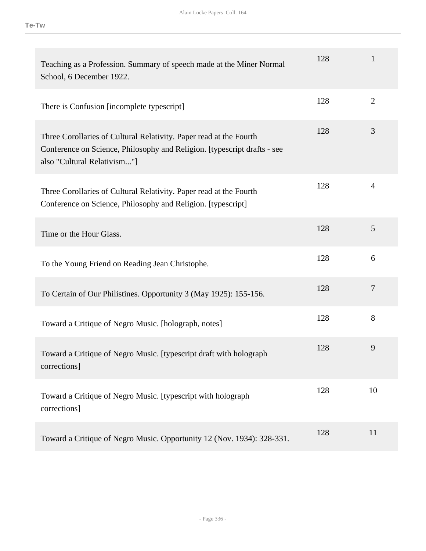| Teaching as a Profession. Summary of speech made at the Miner Normal<br>School, 6 December 1922.                                                                              | 128 | 1              |
|-------------------------------------------------------------------------------------------------------------------------------------------------------------------------------|-----|----------------|
| There is Confusion [incomplete typescript]                                                                                                                                    | 128 | $\overline{2}$ |
| Three Corollaries of Cultural Relativity. Paper read at the Fourth<br>Conference on Science, Philosophy and Religion. [typescript drafts - see<br>also "Cultural Relativism"] | 128 | 3              |
| Three Corollaries of Cultural Relativity. Paper read at the Fourth<br>Conference on Science, Philosophy and Religion. [typescript]                                            | 128 | $\overline{4}$ |
| Time or the Hour Glass.                                                                                                                                                       | 128 | 5              |
| To the Young Friend on Reading Jean Christophe.                                                                                                                               | 128 | 6              |
| To Certain of Our Philistines. Opportunity 3 (May 1925): 155-156.                                                                                                             | 128 | $\overline{7}$ |
| Toward a Critique of Negro Music. [holograph, notes]                                                                                                                          | 128 | 8              |
| Toward a Critique of Negro Music. [typescript draft with holograph<br>corrections]                                                                                            | 128 | 9              |
| Toward a Critique of Negro Music. [typescript with holograph]<br>corrections]                                                                                                 | 128 | 10             |
| Toward a Critique of Negro Music. Opportunity 12 (Nov. 1934): 328-331.                                                                                                        | 128 | 11             |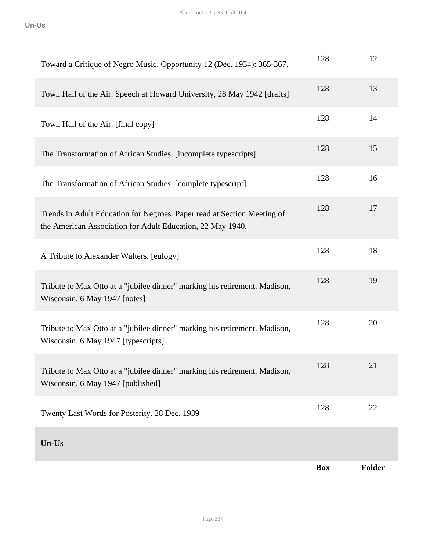| Twenty Last Words for Posterity. 28 Dec. 1939                                                                                         | 128 | 22 |
|---------------------------------------------------------------------------------------------------------------------------------------|-----|----|
| Tribute to Max Otto at a "jubilee dinner" marking his retirement. Madison,<br>Wisconsin. 6 May 1947 [published]                       | 128 | 21 |
| Tribute to Max Otto at a "jubilee dinner" marking his retirement. Madison,<br>Wisconsin. 6 May 1947 [typescripts]                     | 128 | 20 |
| Tribute to Max Otto at a "jubilee dinner" marking his retirement. Madison,<br>Wisconsin. 6 May 1947 [notes]                           | 128 | 19 |
| A Tribute to Alexander Walters. [eulogy]                                                                                              | 128 | 18 |
| Trends in Adult Education for Negroes. Paper read at Section Meeting of<br>the American Association for Adult Education, 22 May 1940. | 128 | 17 |
| The Transformation of African Studies. [complete typescript]                                                                          | 128 | 16 |
| The Transformation of African Studies. [incomplete typescripts]                                                                       | 128 | 15 |
| Town Hall of the Air. [final copy]                                                                                                    | 128 | 14 |
| Town Hall of the Air. Speech at Howard University, 28 May 1942 [drafts]                                                               | 128 | 13 |
| Toward a Critique of Negro Music. Opportunity 12 (Dec. 1934): 365-367.                                                                | 128 | 12 |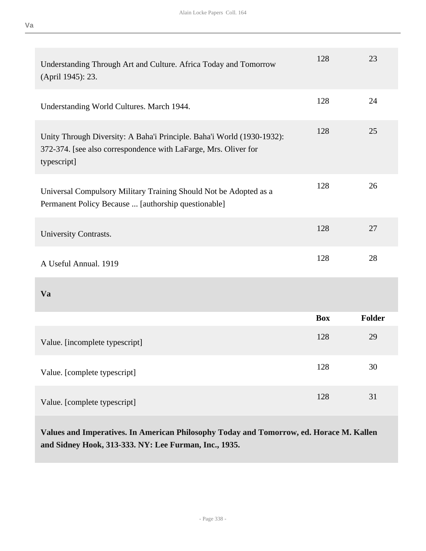| Understanding Through Art and Culture. Africa Today and Tomorrow<br>(April 1945): 23.                                                                    | 128        | 23     |
|----------------------------------------------------------------------------------------------------------------------------------------------------------|------------|--------|
| Understanding World Cultures. March 1944.                                                                                                                | 128        | 24     |
| Unity Through Diversity: A Baha'i Principle. Baha'i World (1930-1932):<br>372-374. [see also correspondence with LaFarge, Mrs. Oliver for<br>typescript] | 128        | 25     |
| Universal Compulsory Military Training Should Not be Adopted as a<br>Permanent Policy Because  [authorship questionable]                                 | 128        | 26     |
| University Contrasts.                                                                                                                                    | 128        | 27     |
| A Useful Annual. 1919                                                                                                                                    | 128        | 28     |
| Va                                                                                                                                                       |            |        |
|                                                                                                                                                          | <b>Box</b> | Folder |
| Value. [incomplete typescript]                                                                                                                           | 128        | 29     |
| Value. [complete typescript]                                                                                                                             | 128        | 30     |
| Value. [complete typescript]                                                                                                                             | 128        | 31     |

**Values and Imperatives. In American Philosophy Today and Tomorrow, ed. Horace M. Kallen and Sidney Hook, 313-333. NY: Lee Furman, Inc., 1935.**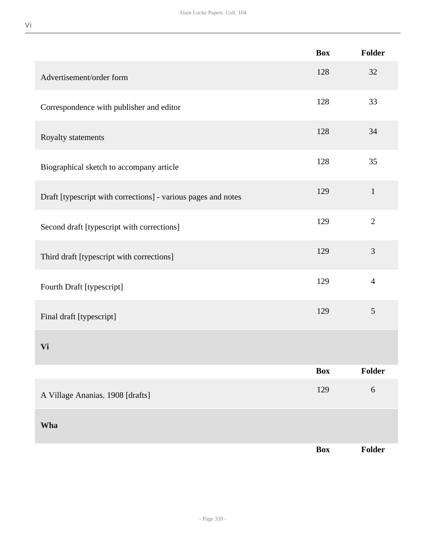|                                                               | <b>Box</b> | Folder         |
|---------------------------------------------------------------|------------|----------------|
| Advertisement/order form                                      | 128        | 32             |
| Correspondence with publisher and editor                      | 128        | 33             |
| Royalty statements                                            | 128        | 34             |
| Biographical sketch to accompany article                      | 128        | 35             |
| Draft [typescript with corrections] - various pages and notes | 129        | $\mathbf{1}$   |
| Second draft [typescript with corrections]                    | 129        | $\mathbf{2}$   |
| Third draft [typescript with corrections]                     | 129        | 3              |
| Fourth Draft [typescript]                                     | 129        | $\overline{4}$ |
| Final draft [typescript]                                      | 129        | 5              |
| Vi                                                            |            |                |
|                                                               | <b>Box</b> | Folder         |
| A Village Ananias. 1908 [drafts]                              | 129        | 6              |
| Wha                                                           |            |                |
|                                                               | <b>Box</b> | Folder         |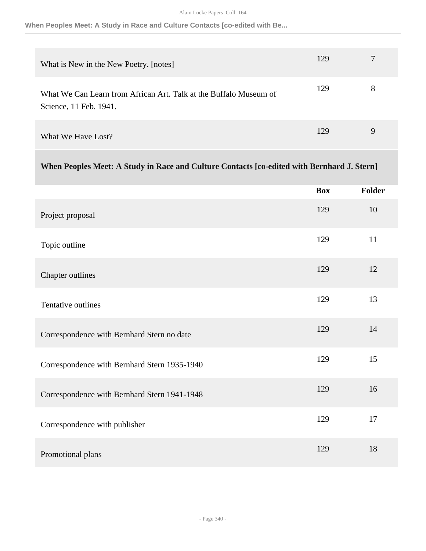**When Peoples Meet: A Study in Race and Culture Contacts [co-edited with Be...**

| What is New in the New Poetry. [notes]                                                      | 129 | 7        |
|---------------------------------------------------------------------------------------------|-----|----------|
| What We Can Learn from African Art. Talk at the Buffalo Museum of<br>Science, 11 Feb. 1941. | 129 | 8        |
| What We Have Lost?                                                                          | 129 | <b>Q</b> |

# **When Peoples Meet: A Study in Race and Culture Contacts [co-edited with Bernhard J. Stern]**

|                                              | <b>Box</b> | Folder |
|----------------------------------------------|------------|--------|
| Project proposal                             | 129        | 10     |
| Topic outline                                | 129        | 11     |
| Chapter outlines                             | 129        | 12     |
| Tentative outlines                           | 129        | 13     |
| Correspondence with Bernhard Stern no date   | 129        | 14     |
| Correspondence with Bernhard Stern 1935-1940 | 129        | 15     |
| Correspondence with Bernhard Stern 1941-1948 | 129        | 16     |
| Correspondence with publisher                | 129        | 17     |
| Promotional plans                            | 129        | 18     |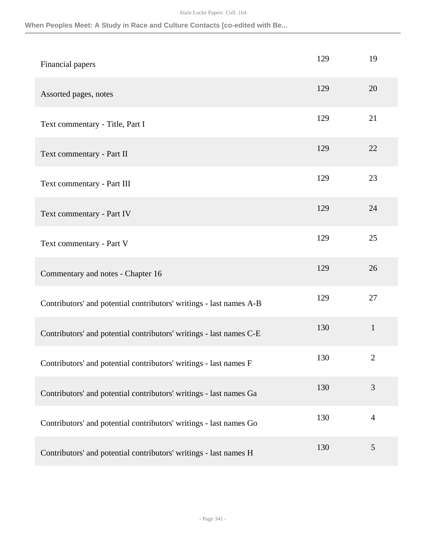### **When Peoples Meet: A Study in Race and Culture Contacts [co-edited with Be...**

| Financial papers                                                    | 129 | 19             |
|---------------------------------------------------------------------|-----|----------------|
| Assorted pages, notes                                               | 129 | 20             |
| Text commentary - Title, Part I                                     | 129 | 21             |
| Text commentary - Part II                                           | 129 | 22             |
| Text commentary - Part III                                          | 129 | 23             |
| Text commentary - Part IV                                           | 129 | 24             |
| Text commentary - Part V                                            | 129 | 25             |
| Commentary and notes - Chapter 16                                   | 129 | 26             |
| Contributors' and potential contributors' writings - last names A-B | 129 | 27             |
| Contributors' and potential contributors' writings - last names C-E | 130 | $\mathbf{1}$   |
| Contributors' and potential contributors' writings - last names F   | 130 | $\mathbf{2}$   |
| Contributors' and potential contributors' writings - last names Ga  | 130 | 3              |
| Contributors' and potential contributors' writings - last names Go  | 130 | $\overline{4}$ |
| Contributors' and potential contributors' writings - last names H   | 130 | $\mathfrak{S}$ |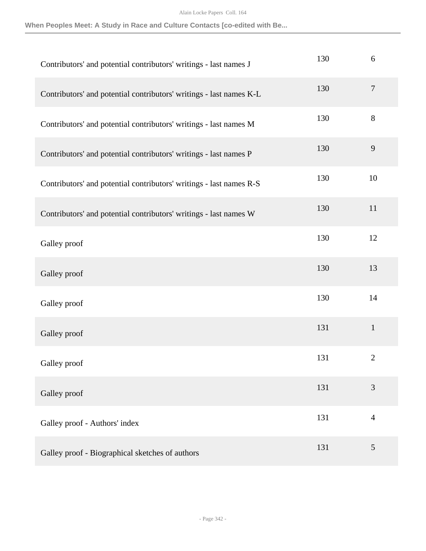**When Peoples Meet: A Study in Race and Culture Contacts [co-edited with Be...**

| Contributors' and potential contributors' writings - last names J   | 130 | 6              |
|---------------------------------------------------------------------|-----|----------------|
| Contributors' and potential contributors' writings - last names K-L | 130 | $\tau$         |
| Contributors' and potential contributors' writings - last names M   | 130 | $8\,$          |
| Contributors' and potential contributors' writings - last names P   | 130 | $\mathbf{9}$   |
| Contributors' and potential contributors' writings - last names R-S | 130 | 10             |
| Contributors' and potential contributors' writings - last names W   | 130 | 11             |
| Galley proof                                                        | 130 | 12             |
| Galley proof                                                        | 130 | 13             |
| Galley proof                                                        | 130 | 14             |
| Galley proof                                                        | 131 | $\mathbf 1$    |
| Galley proof                                                        | 131 | $\overline{2}$ |
| Galley proof                                                        | 131 | 3              |
| Galley proof - Authors' index                                       | 131 | $\overline{4}$ |
| Galley proof - Biographical sketches of authors                     | 131 | 5              |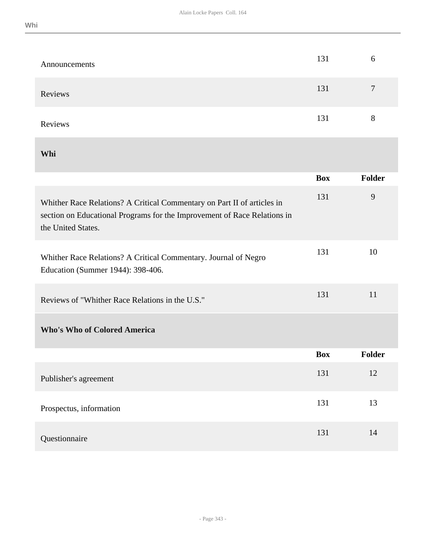|  | ×, |  |  |
|--|----|--|--|

| Announcements                                                                                                                                                             | 131        | 6              |
|---------------------------------------------------------------------------------------------------------------------------------------------------------------------------|------------|----------------|
| Reviews                                                                                                                                                                   | 131        | $\overline{7}$ |
| Reviews                                                                                                                                                                   | 131        | 8              |
| Whi                                                                                                                                                                       |            |                |
|                                                                                                                                                                           | <b>Box</b> | Folder         |
| Whither Race Relations? A Critical Commentary on Part II of articles in<br>section on Educational Programs for the Improvement of Race Relations in<br>the United States. | 131        | 9              |
| Whither Race Relations? A Critical Commentary. Journal of Negro<br>Education (Summer 1944): 398-406.                                                                      | 131        | 10             |
| Reviews of "Whither Race Relations in the U.S."                                                                                                                           | 131        | 11             |
| <b>Who's Who of Colored America</b>                                                                                                                                       |            |                |
|                                                                                                                                                                           | Box        | Folder         |
| Publisher's agreement                                                                                                                                                     | 131        | 12             |
| Prospectus, information                                                                                                                                                   | 131        | 13             |
| Questionnaire                                                                                                                                                             | 131        | 14             |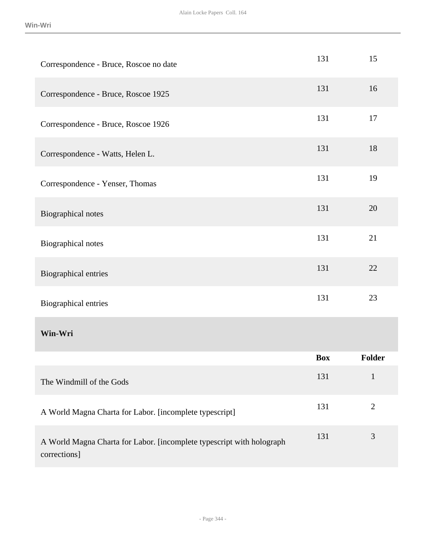| Correspondence - Bruce, Roscoe no date                                                | 131        | 15             |
|---------------------------------------------------------------------------------------|------------|----------------|
| Correspondence - Bruce, Roscoe 1925                                                   | 131        | 16             |
| Correspondence - Bruce, Roscoe 1926                                                   | 131        | 17             |
| Correspondence - Watts, Helen L.                                                      | 131        | 18             |
| Correspondence - Yenser, Thomas                                                       | 131        | 19             |
| Biographical notes                                                                    | 131        | 20             |
| Biographical notes                                                                    | 131        | 21             |
| <b>Biographical entries</b>                                                           | 131        | 22             |
| <b>Biographical entries</b>                                                           | 131        | 23             |
| Win-Wri                                                                               |            |                |
|                                                                                       | <b>Box</b> | <b>Folder</b>  |
| The Windmill of the Gods                                                              | 131        | $\mathbf{1}$   |
| A World Magna Charta for Labor. [incomplete typescript]                               | 131        | $\overline{2}$ |
| A World Magna Charta for Labor. [incomplete typescript with holograph<br>corrections] | 131        | 3              |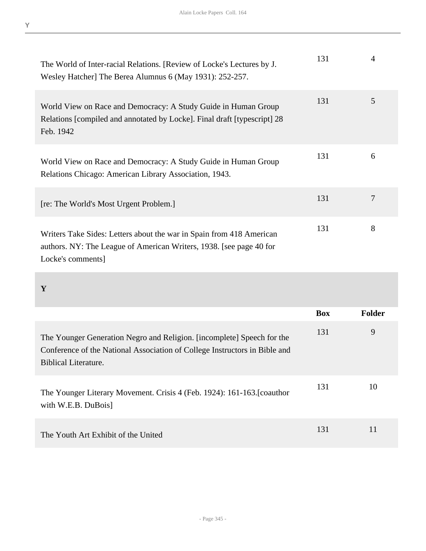| The World of Inter-racial Relations. [Review of Locke's Lectures by J.<br>Wesley Hatcher] The Berea Alumnus 6 (May 1931): 252-257.                               | 131 | 4 |
|------------------------------------------------------------------------------------------------------------------------------------------------------------------|-----|---|
| World View on Race and Democracy: A Study Guide in Human Group<br>Relations [compiled and annotated by Locke]. Final draft [typescript] 28<br>Feb. 1942          | 131 | 5 |
| World View on Race and Democracy: A Study Guide in Human Group<br>Relations Chicago: American Library Association, 1943.                                         | 131 | 6 |
| [re: The World's Most Urgent Problem.]                                                                                                                           | 131 | 7 |
| Writers Take Sides: Letters about the war in Spain from 418 American<br>authors. NY: The League of American Writers, 1938. [see page 40 for<br>Locke's comments] | 131 | 8 |

# **Y**

|                                                                                                                                                                              | <b>Box</b> | <b>Folder</b> |
|------------------------------------------------------------------------------------------------------------------------------------------------------------------------------|------------|---------------|
| The Younger Generation Negro and Religion. [incomplete] Speech for the<br>Conference of the National Association of College Instructors in Bible and<br>Biblical Literature. | 131        | 9             |
| The Younger Literary Movement. Crisis 4 (Feb. 1924): 161-163. [coauthor]<br>with W.E.B. DuBois                                                                               | 131        | 10            |
| The Youth Art Exhibit of the United                                                                                                                                          | 131        | 11            |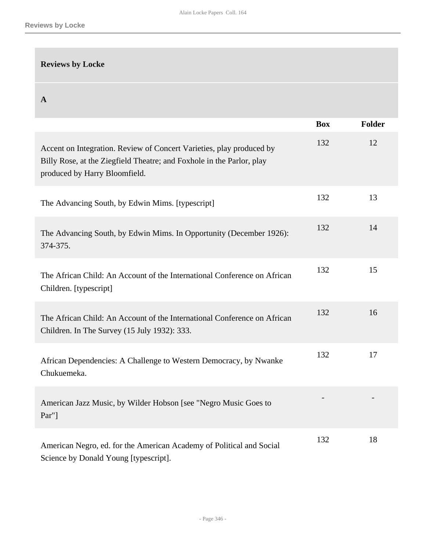# **Reviews by Locke**

**A** 

|                                                                                                                                                                                | <b>Box</b> | <b>Folder</b> |
|--------------------------------------------------------------------------------------------------------------------------------------------------------------------------------|------------|---------------|
| Accent on Integration. Review of Concert Varieties, play produced by<br>Billy Rose, at the Ziegfield Theatre; and Foxhole in the Parlor, play<br>produced by Harry Bloomfield. | 132        | 12            |
| The Advancing South, by Edwin Mims. [typescript]                                                                                                                               | 132        | 13            |
| The Advancing South, by Edwin Mims. In Opportunity (December 1926):<br>374-375.                                                                                                | 132        | 14            |
| The African Child: An Account of the International Conference on African<br>Children. [typescript]                                                                             | 132        | 15            |
| The African Child: An Account of the International Conference on African<br>Children. In The Survey (15 July 1932): 333.                                                       | 132        | 16            |
| African Dependencies: A Challenge to Western Democracy, by Nwanke<br>Chukuemeka.                                                                                               | 132        | 17            |
| American Jazz Music, by Wilder Hobson [see "Negro Music Goes to<br>Par"]                                                                                                       |            |               |
| American Negro, ed. for the American Academy of Political and Social<br>Science by Donald Young [typescript].                                                                  | 132        | 18            |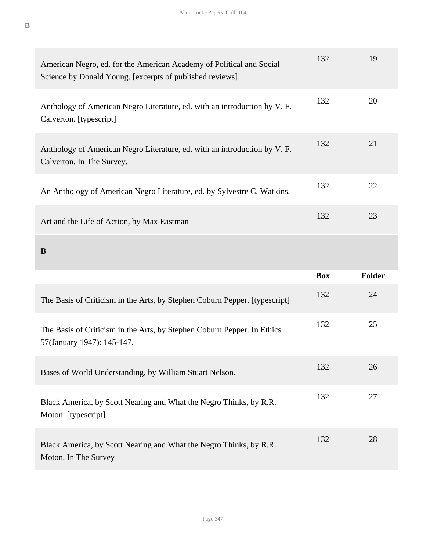| American Negro, ed. for the American Academy of Political and Social<br>Science by Donald Young. [excerpts of published reviews] | 132        | 19            |
|----------------------------------------------------------------------------------------------------------------------------------|------------|---------------|
| Anthology of American Negro Literature, ed. with an introduction by V. F.<br>Calverton. [typescript]                             | 132        | 20            |
| Anthology of American Negro Literature, ed. with an introduction by V. F.<br>Calverton. In The Survey.                           | 132        | 21            |
| An Anthology of American Negro Literature, ed. by Sylvestre C. Watkins.                                                          | 132        | 22            |
| Art and the Life of Action, by Max Eastman                                                                                       | 132        | 23            |
| B                                                                                                                                |            |               |
|                                                                                                                                  |            |               |
|                                                                                                                                  | <b>Box</b> | <b>Folder</b> |
| The Basis of Criticism in the Arts, by Stephen Coburn Pepper. [typescript]                                                       | 132        | 24            |
| The Basis of Criticism in the Arts, by Stephen Coburn Pepper. In Ethics<br>57(January 1947): 145-147.                            | 132        | 25            |
| Bases of World Understanding, by William Stuart Nelson.                                                                          | 132        | 26            |
| Black America, by Scott Nearing and What the Negro Thinks, by R.R.<br>Moton. [typescript]                                        | 132        | 27            |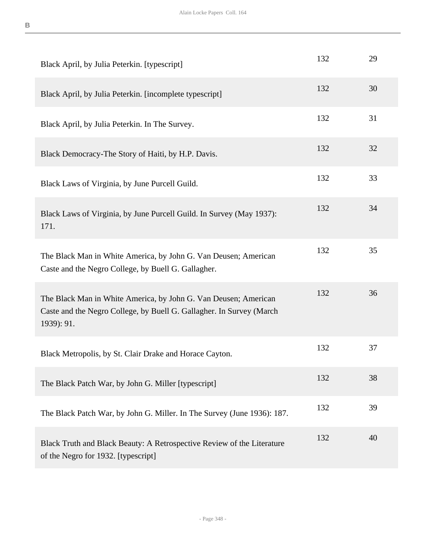| Black April, by Julia Peterkin. [typescript]                                                                                                          | 132 | 29 |
|-------------------------------------------------------------------------------------------------------------------------------------------------------|-----|----|
| Black April, by Julia Peterkin. [incomplete typescript]                                                                                               | 132 | 30 |
| Black April, by Julia Peterkin. In The Survey.                                                                                                        | 132 | 31 |
| Black Democracy-The Story of Haiti, by H.P. Davis.                                                                                                    | 132 | 32 |
| Black Laws of Virginia, by June Purcell Guild.                                                                                                        | 132 | 33 |
| Black Laws of Virginia, by June Purcell Guild. In Survey (May 1937):<br>171.                                                                          | 132 | 34 |
| The Black Man in White America, by John G. Van Deusen; American<br>Caste and the Negro College, by Buell G. Gallagher.                                | 132 | 35 |
| The Black Man in White America, by John G. Van Deusen; American<br>Caste and the Negro College, by Buell G. Gallagher. In Survey (March<br>1939): 91. | 132 | 36 |
| Black Metropolis, by St. Clair Drake and Horace Cayton.                                                                                               | 132 | 37 |
| The Black Patch War, by John G. Miller [typescript]                                                                                                   | 132 | 38 |
| The Black Patch War, by John G. Miller. In The Survey (June 1936): 187.                                                                               | 132 | 39 |
| Black Truth and Black Beauty: A Retrospective Review of the Literature<br>of the Negro for 1932. [typescript]                                         | 132 | 40 |

- Page 348 -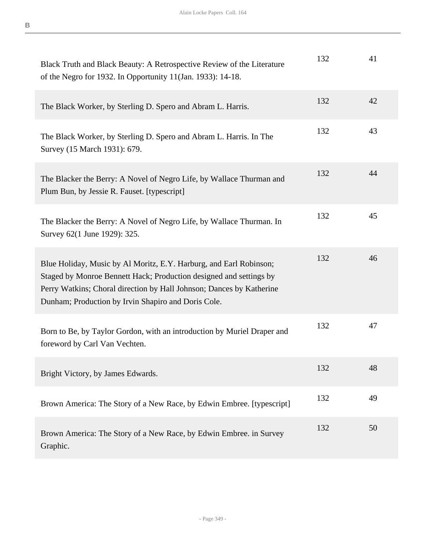| Black Truth and Black Beauty: A Retrospective Review of the Literature<br>of the Negro for 1932. In Opportunity 11(Jan. 1933): 14-18.                                                                                                                                   | 132 | 41 |
|-------------------------------------------------------------------------------------------------------------------------------------------------------------------------------------------------------------------------------------------------------------------------|-----|----|
| The Black Worker, by Sterling D. Spero and Abram L. Harris.                                                                                                                                                                                                             | 132 | 42 |
| The Black Worker, by Sterling D. Spero and Abram L. Harris. In The<br>Survey (15 March 1931): 679.                                                                                                                                                                      | 132 | 43 |
| The Blacker the Berry: A Novel of Negro Life, by Wallace Thurman and<br>Plum Bun, by Jessie R. Fauset. [typescript]                                                                                                                                                     | 132 | 44 |
| The Blacker the Berry: A Novel of Negro Life, by Wallace Thurman. In<br>Survey 62(1 June 1929): 325.                                                                                                                                                                    | 132 | 45 |
| Blue Holiday, Music by Al Moritz, E.Y. Harburg, and Earl Robinson;<br>Staged by Monroe Bennett Hack; Production designed and settings by<br>Perry Watkins; Choral direction by Hall Johnson; Dances by Katherine<br>Dunham; Production by Irvin Shapiro and Doris Cole. | 132 | 46 |
| Born to Be, by Taylor Gordon, with an introduction by Muriel Draper and<br>foreword by Carl Van Vechten.                                                                                                                                                                | 132 | 47 |
| Bright Victory, by James Edwards.                                                                                                                                                                                                                                       | 132 | 48 |
| Brown America: The Story of a New Race, by Edwin Embree. [typescript]                                                                                                                                                                                                   | 132 | 49 |
| Brown America: The Story of a New Race, by Edwin Embree. in Survey<br>Graphic.                                                                                                                                                                                          | 132 | 50 |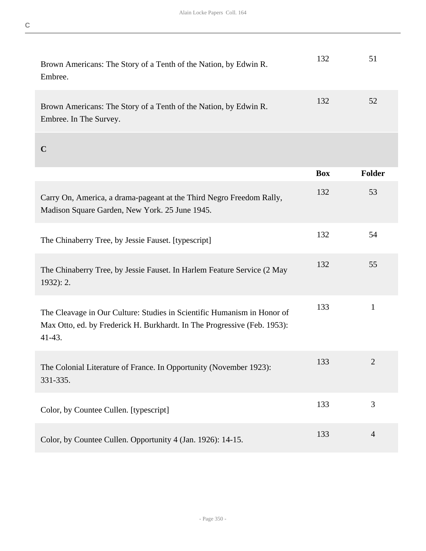| Brown Americans: The Story of a Tenth of the Nation, by Edwin R.<br>Embree.                                                                                     | 132        | 51             |
|-----------------------------------------------------------------------------------------------------------------------------------------------------------------|------------|----------------|
| Brown Americans: The Story of a Tenth of the Nation, by Edwin R.<br>Embree. In The Survey.                                                                      | 132        | 52             |
| $\mathbf C$                                                                                                                                                     |            |                |
|                                                                                                                                                                 | <b>Box</b> | <b>Folder</b>  |
| Carry On, America, a drama-pageant at the Third Negro Freedom Rally,<br>Madison Square Garden, New York. 25 June 1945.                                          | 132        | 53             |
| The Chinaberry Tree, by Jessie Fauset. [typescript]                                                                                                             | 132        | 54             |
| The Chinaberry Tree, by Jessie Fauset. In Harlem Feature Service (2 May<br>$1932$ : 2.                                                                          | 132        | 55             |
| The Cleavage in Our Culture: Studies in Scientific Humanism in Honor of<br>Max Otto, ed. by Frederick H. Burkhardt. In The Progressive (Feb. 1953):<br>$41-43.$ | 133        | $\mathbf{1}$   |
| The Colonial Literature of France. In Opportunity (November 1923):<br>331-335.                                                                                  | 133        | $\overline{2}$ |
| Color, by Countee Cullen. [typescript]                                                                                                                          | 133        | 3              |
| Color, by Countee Cullen. Opportunity 4 (Jan. 1926): 14-15.                                                                                                     | 133        | $\overline{4}$ |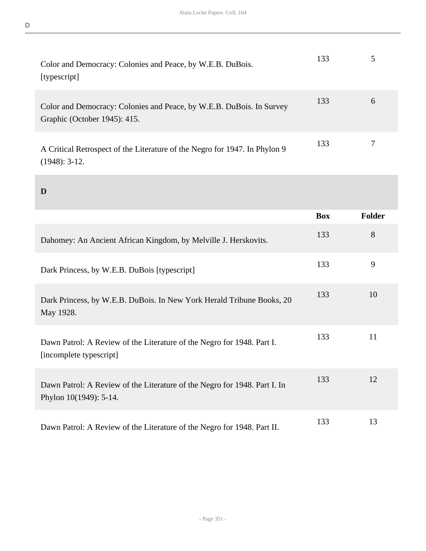| Color and Democracy: Colonies and Peace, by W.E.B. DuBois.<br>[typescript]                           | 133 |   |
|------------------------------------------------------------------------------------------------------|-----|---|
| Color and Democracy: Colonies and Peace, by W.E.B. DuBois. In Survey<br>Graphic (October 1945): 415. | 133 | 6 |
| A Critical Retrospect of the Literature of the Negro for 1947. In Phylon 9<br>$(1948): 3-12.$        | 133 |   |

**D** 

|                                                                                                     | <b>Box</b> | <b>Folder</b> |
|-----------------------------------------------------------------------------------------------------|------------|---------------|
| Dahomey: An Ancient African Kingdom, by Melville J. Herskovits.                                     | 133        | 8             |
| Dark Princess, by W.E.B. DuBois [typescript]                                                        | 133        | 9             |
| Dark Princess, by W.E.B. DuBois. In New York Herald Tribune Books, 20<br>May 1928.                  | 133        | 10            |
| Dawn Patrol: A Review of the Literature of the Negro for 1948. Part I.<br>[incomplete typescript]   | 133        | 11            |
| Dawn Patrol: A Review of the Literature of the Negro for 1948. Part I. In<br>Phylon 10(1949): 5-14. | 133        | 12            |
| Dawn Patrol: A Review of the Literature of the Negro for 1948. Part II.                             | 133        | 13            |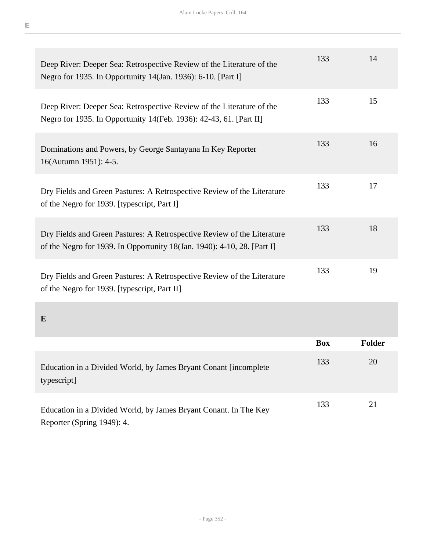| Deep River: Deeper Sea: Retrospective Review of the Literature of the<br>Negro for 1935. In Opportunity 14(Jan. 1936): 6-10. [Part I]              | 133        | 14            |
|----------------------------------------------------------------------------------------------------------------------------------------------------|------------|---------------|
| Deep River: Deeper Sea: Retrospective Review of the Literature of the<br>Negro for 1935. In Opportunity 14(Feb. 1936): 42-43, 61. [Part II]        | 133        | 15            |
| Dominations and Powers, by George Santayana In Key Reporter<br>16(Autumn 1951): 4-5.                                                               | 133        | 16            |
| Dry Fields and Green Pastures: A Retrospective Review of the Literature<br>of the Negro for 1939. [typescript, Part I]                             | 133        | 17            |
| Dry Fields and Green Pastures: A Retrospective Review of the Literature<br>of the Negro for 1939. In Opportunity 18(Jan. 1940): 4-10, 28. [Part I] | 133        | 18            |
| Dry Fields and Green Pastures: A Retrospective Review of the Literature<br>of the Negro for 1939. [typescript, Part II]                            | 133        | 19            |
| $\bf{E}$                                                                                                                                           |            |               |
|                                                                                                                                                    | <b>Box</b> | <b>Folder</b> |
| Education in a Divided World, by James Bryant Conant [incomplete<br>typescript]                                                                    | 133        | 20            |
| Education in a Divided World, by James Bryant Conant. In The Key<br>Reporter (Spring 1949): 4.                                                     | 133        | 21            |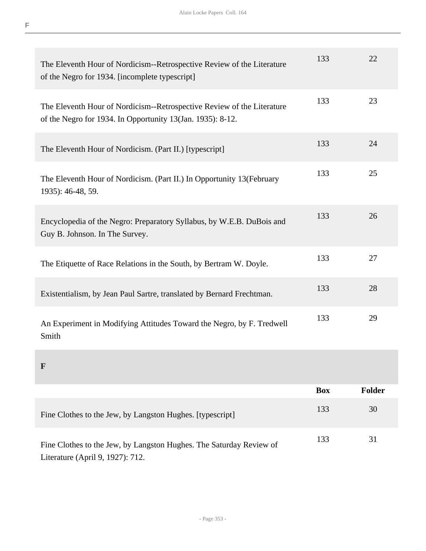| The Eleventh Hour of Nordicism--Retrospective Review of the Literature<br>of the Negro for 1934. [incomplete typescript]             | 133 | 22 |
|--------------------------------------------------------------------------------------------------------------------------------------|-----|----|
| The Eleventh Hour of Nordicism--Retrospective Review of the Literature<br>of the Negro for 1934. In Opportunity 13(Jan. 1935): 8-12. | 133 | 23 |
| The Eleventh Hour of Nordicism. (Part II.) [typescript]                                                                              | 133 | 24 |
| The Eleventh Hour of Nordicism. (Part II.) In Opportunity 13(February<br>1935): 46-48, 59.                                           | 133 | 25 |
| Encyclopedia of the Negro: Preparatory Syllabus, by W.E.B. DuBois and<br>Guy B. Johnson. In The Survey.                              | 133 | 26 |
| The Etiquette of Race Relations in the South, by Bertram W. Doyle.                                                                   | 133 | 27 |
| Existentialism, by Jean Paul Sartre, translated by Bernard Frechtman.                                                                | 133 | 28 |
| An Experiment in Modifying Attitudes Toward the Negro, by F. Tredwell<br>Smith                                                       | 133 | 29 |
| F                                                                                                                                    |     |    |

|                                                                                                         | <b>Box</b> | <b>Folder</b> |
|---------------------------------------------------------------------------------------------------------|------------|---------------|
| Fine Clothes to the Jew, by Langston Hughes. [typescript]                                               | 133        | 30            |
| Fine Clothes to the Jew, by Langston Hughes. The Saturday Review of<br>Literature (April 9, 1927): 712. | 133        | 31            |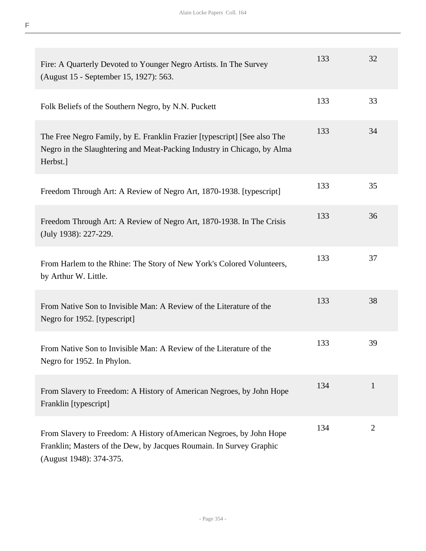| Fire: A Quarterly Devoted to Younger Negro Artists. In The Survey<br>(August 15 - September 15, 1927): 563.                                                            | 133 | 32             |
|------------------------------------------------------------------------------------------------------------------------------------------------------------------------|-----|----------------|
| Folk Beliefs of the Southern Negro, by N.N. Puckett                                                                                                                    | 133 | 33             |
| The Free Negro Family, by E. Franklin Frazier [typescript] [See also The<br>Negro in the Slaughtering and Meat-Packing Industry in Chicago, by Alma<br>Herbst.]        | 133 | 34             |
| Freedom Through Art: A Review of Negro Art, 1870-1938. [typescript]                                                                                                    | 133 | 35             |
| Freedom Through Art: A Review of Negro Art, 1870-1938. In The Crisis<br>(July 1938): 227-229.                                                                          | 133 | 36             |
| From Harlem to the Rhine: The Story of New York's Colored Volunteers,<br>by Arthur W. Little.                                                                          | 133 | 37             |
| From Native Son to Invisible Man: A Review of the Literature of the<br>Negro for 1952. [typescript]                                                                    | 133 | 38             |
| From Native Son to Invisible Man: A Review of the Literature of the<br>Negro for 1952. In Phylon.                                                                      | 133 | 39             |
| From Slavery to Freedom: A History of American Negroes, by John Hope<br>Franklin [typescript]                                                                          | 134 | $\mathbf{1}$   |
| From Slavery to Freedom: A History of American Negroes, by John Hope<br>Franklin; Masters of the Dew, by Jacques Roumain. In Survey Graphic<br>(August 1948): 374-375. | 134 | $\overline{2}$ |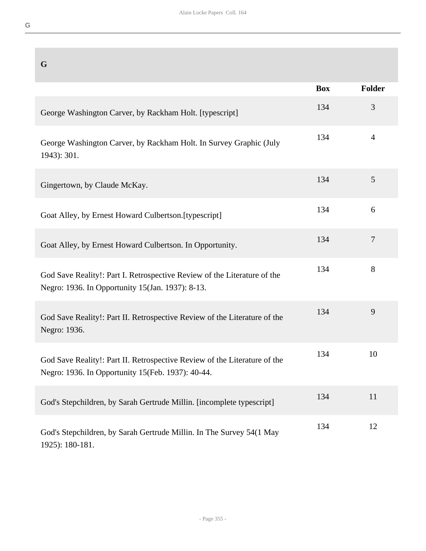| G                                                                                                                              |            |                |
|--------------------------------------------------------------------------------------------------------------------------------|------------|----------------|
|                                                                                                                                | <b>Box</b> | Folder         |
| George Washington Carver, by Rackham Holt. [typescript]                                                                        | 134        | 3              |
| George Washington Carver, by Rackham Holt. In Survey Graphic (July<br>1943): 301.                                              | 134        | $\overline{4}$ |
| Gingertown, by Claude McKay.                                                                                                   | 134        | 5              |
| Goat Alley, by Ernest Howard Culbertson. [typescript]                                                                          | 134        | 6              |
| Goat Alley, by Ernest Howard Culbertson. In Opportunity.                                                                       | 134        | $\overline{7}$ |
| God Save Reality!: Part I. Retrospective Review of the Literature of the<br>Negro: 1936. In Opportunity 15(Jan. 1937): 8-13.   | 134        | 8              |
| God Save Reality!: Part II. Retrospective Review of the Literature of the<br>Negro: 1936.                                      | 134        | 9              |
| God Save Reality!: Part II. Retrospective Review of the Literature of the<br>Negro: 1936. In Opportunity 15(Feb. 1937): 40-44. | 134        | 10             |
| God's Stepchildren, by Sarah Gertrude Millin. [incomplete typescript]                                                          | 134        | 11             |
| God's Stepchildren, by Sarah Gertrude Millin. In The Survey 54(1 May<br>1925): 180-181.                                        | 134        | 12             |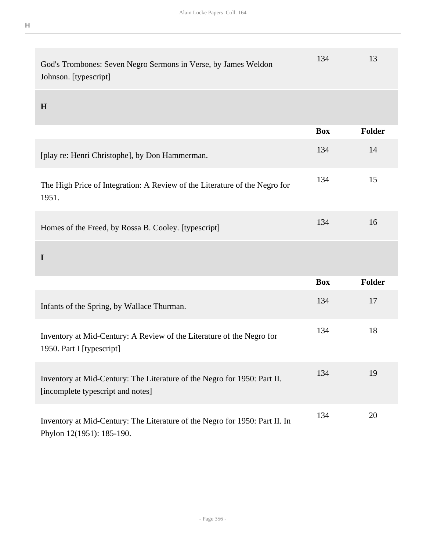| . .<br>- |  |  |
|----------|--|--|
|          |  |  |
|          |  |  |

| God's Trombones: Seven Negro Sermons in Verse, by James Weldon<br>Johnson. [typescript]                       | 134        | 13     |
|---------------------------------------------------------------------------------------------------------------|------------|--------|
| H                                                                                                             |            |        |
|                                                                                                               | <b>Box</b> | Folder |
| [play re: Henri Christophe], by Don Hammerman.                                                                | 134        | 14     |
| The High Price of Integration: A Review of the Literature of the Negro for<br>1951.                           | 134        | 15     |
| Homes of the Freed, by Rossa B. Cooley. [typescript]                                                          | 134        | 16     |
| $\mathbf I$                                                                                                   |            |        |
|                                                                                                               | <b>Box</b> | Folder |
| Infants of the Spring, by Wallace Thurman.                                                                    | 134        | 17     |
| Inventory at Mid-Century: A Review of the Literature of the Negro for<br>1950. Part I [typescript]            | 134        | 18     |
| Inventory at Mid-Century: The Literature of the Negro for 1950: Part II.<br>[incomplete typescript and notes] | 134        | 19     |
| Inventory at Mid-Century: The Literature of the Negro for 1950: Part II. In                                   | 134        | 20     |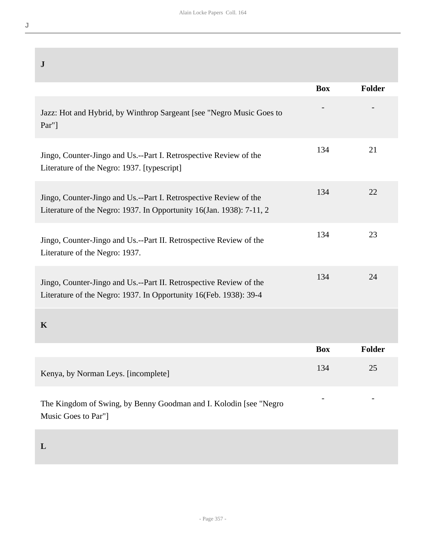| $\mathbf J$                                                                                                                               |            |               |
|-------------------------------------------------------------------------------------------------------------------------------------------|------------|---------------|
|                                                                                                                                           | <b>Box</b> | Folder        |
| Jazz: Hot and Hybrid, by Winthrop Sargeant [see "Negro Music Goes to<br>$Par''$ ]                                                         |            |               |
| Jingo, Counter-Jingo and Us.--Part I. Retrospective Review of the<br>Literature of the Negro: 1937. [typescript]                          | 134        | 21            |
| Jingo, Counter-Jingo and Us.--Part I. Retrospective Review of the<br>Literature of the Negro: 1937. In Opportunity 16(Jan. 1938): 7-11, 2 | 134        | 22            |
| Jingo, Counter-Jingo and Us.--Part II. Retrospective Review of the<br>Literature of the Negro: 1937.                                      | 134        | 23            |
| Jingo, Counter-Jingo and Us.--Part II. Retrospective Review of the<br>Literature of the Negro: 1937. In Opportunity 16(Feb. 1938): 39-4   | 134        | 24            |
| $\mathbf K$                                                                                                                               |            |               |
|                                                                                                                                           | <b>Box</b> | <b>Folder</b> |
| Kenya, by Norman Leys. [incomplete]                                                                                                       | 134        | 25            |
| The Kingdom of Swing, by Benny Goodman and I. Kolodin [see "Negro<br>Music Goes to Par"]                                                  |            |               |

**L**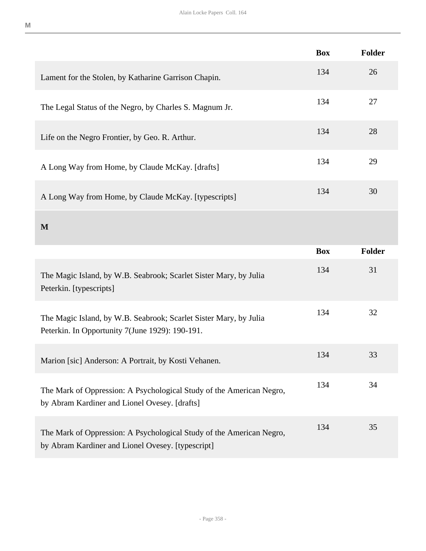|                                                                                                                           | <b>Box</b> | <b>Folder</b> |
|---------------------------------------------------------------------------------------------------------------------------|------------|---------------|
| Lament for the Stolen, by Katharine Garrison Chapin.                                                                      | 134        | 26            |
| The Legal Status of the Negro, by Charles S. Magnum Jr.                                                                   | 134        | 27            |
| Life on the Negro Frontier, by Geo. R. Arthur.                                                                            | 134        | 28            |
| A Long Way from Home, by Claude McKay. [drafts]                                                                           | 134        | 29            |
| A Long Way from Home, by Claude McKay. [typescripts]                                                                      | 134        | 30            |
| M                                                                                                                         |            |               |
|                                                                                                                           | <b>Box</b> | <b>Folder</b> |
| The Magic Island, by W.B. Seabrook; Scarlet Sister Mary, by Julia<br>Peterkin. [typescripts]                              | 134        | 31            |
| The Magic Island, by W.B. Seabrook; Scarlet Sister Mary, by Julia<br>Peterkin. In Opportunity 7(June 1929): 190-191.      | 134        | 32            |
| Marion [sic] Anderson: A Portrait, by Kosti Vehanen.                                                                      | 134        | 33            |
| The Mark of Oppression: A Psychological Study of the American Negro,<br>by Abram Kardiner and Lionel Ovesey. [drafts]     | 134        | 34            |
| The Mark of Oppression: A Psychological Study of the American Negro,<br>by Abram Kardiner and Lionel Ovesey. [typescript] | 134        | 35            |

**M**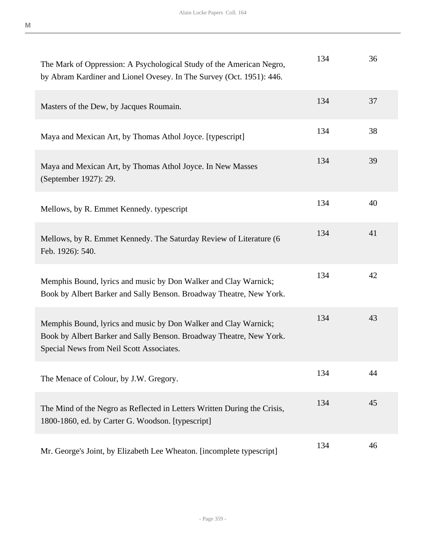| The Mark of Oppression: A Psychological Study of the American Negro,<br>by Abram Kardiner and Lionel Ovesey. In The Survey (Oct. 1951): 446.                                       | 134 | 36 |
|------------------------------------------------------------------------------------------------------------------------------------------------------------------------------------|-----|----|
| Masters of the Dew, by Jacques Roumain.                                                                                                                                            | 134 | 37 |
| Maya and Mexican Art, by Thomas Athol Joyce. [typescript]                                                                                                                          | 134 | 38 |
| Maya and Mexican Art, by Thomas Athol Joyce. In New Masses<br>(September 1927): 29.                                                                                                | 134 | 39 |
| Mellows, by R. Emmet Kennedy. typescript                                                                                                                                           | 134 | 40 |
| Mellows, by R. Emmet Kennedy. The Saturday Review of Literature (6<br>Feb. 1926): 540.                                                                                             | 134 | 41 |
| Memphis Bound, lyrics and music by Don Walker and Clay Warnick;<br>Book by Albert Barker and Sally Benson. Broadway Theatre, New York.                                             | 134 | 42 |
| Memphis Bound, lyrics and music by Don Walker and Clay Warnick;<br>Book by Albert Barker and Sally Benson. Broadway Theatre, New York.<br>Special News from Neil Scott Associates. | 134 | 43 |
| The Menace of Colour, by J.W. Gregory.                                                                                                                                             | 134 | 44 |
| The Mind of the Negro as Reflected in Letters Written During the Crisis,<br>1800-1860, ed. by Carter G. Woodson. [typescript]                                                      | 134 | 45 |
| Mr. George's Joint, by Elizabeth Lee Wheaton. [incomplete typescript]                                                                                                              | 134 | 46 |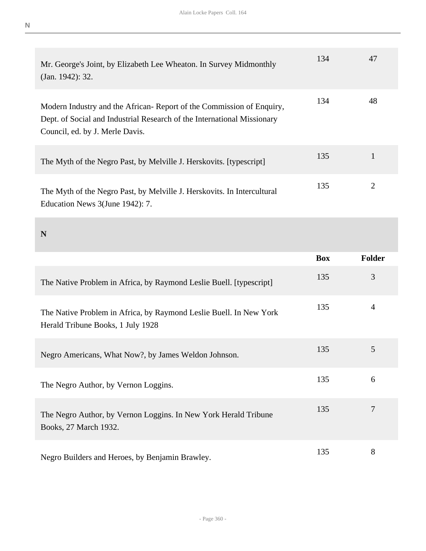| Mr. George's Joint, by Elizabeth Lee Wheaton. In Survey Midmonthly<br>(Jan. 1942): 32.                                                                                             | 134 | 47 |
|------------------------------------------------------------------------------------------------------------------------------------------------------------------------------------|-----|----|
| Modern Industry and the African-Report of the Commission of Enquiry,<br>Dept. of Social and Industrial Research of the International Missionary<br>Council, ed. by J. Merle Davis. | 134 | 48 |
| The Myth of the Negro Past, by Melville J. Herskovits. [typescript]                                                                                                                | 135 |    |
| The Myth of the Negro Past, by Melville J. Herskovits. In Intercultural<br>Education News 3(June 1942): 7.                                                                         | 135 | 2  |

**N** 

**N**

|                                                                                                         | <b>Box</b> | <b>Folder</b> |
|---------------------------------------------------------------------------------------------------------|------------|---------------|
| The Native Problem in Africa, by Raymond Leslie Buell. [typescript]                                     | 135        | 3             |
| The Native Problem in Africa, by Raymond Leslie Buell. In New York<br>Herald Tribune Books, 1 July 1928 | 135        | 4             |
| Negro Americans, What Now?, by James Weldon Johnson.                                                    | 135        | 5             |
| The Negro Author, by Vernon Loggins.                                                                    | 135        | 6             |
| The Negro Author, by Vernon Loggins. In New York Herald Tribune<br>Books, 27 March 1932.                | 135        | 7             |
| Negro Builders and Heroes, by Benjamin Brawley.                                                         | 135        | 8             |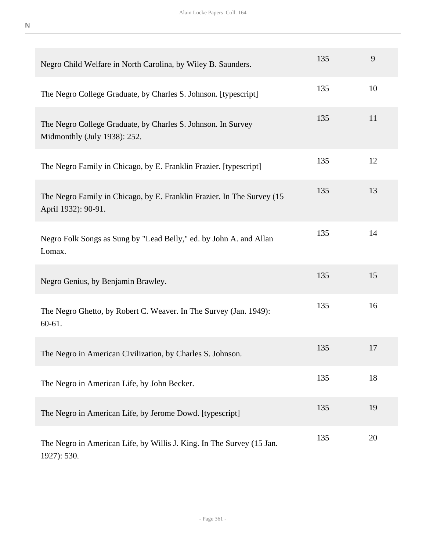| Negro Child Welfare in North Carolina, by Wiley B. Saunders.                                  | 135 | 9  |
|-----------------------------------------------------------------------------------------------|-----|----|
| The Negro College Graduate, by Charles S. Johnson. [typescript]                               | 135 | 10 |
| The Negro College Graduate, by Charles S. Johnson. In Survey<br>Midmonthly (July 1938): 252.  | 135 | 11 |
| The Negro Family in Chicago, by E. Franklin Frazier. [typescript]                             | 135 | 12 |
| The Negro Family in Chicago, by E. Franklin Frazier. In The Survey (15<br>April 1932): 90-91. | 135 | 13 |
| Negro Folk Songs as Sung by "Lead Belly," ed. by John A. and Allan<br>Lomax.                  | 135 | 14 |
| Negro Genius, by Benjamin Brawley.                                                            | 135 | 15 |
| The Negro Ghetto, by Robert C. Weaver. In The Survey (Jan. 1949):<br>$60-61.$                 | 135 | 16 |
| The Negro in American Civilization, by Charles S. Johnson.                                    | 135 | 17 |
| The Negro in American Life, by John Becker.                                                   | 135 | 18 |
| The Negro in American Life, by Jerome Dowd. [typescript]                                      | 135 | 19 |
| The Negro in American Life, by Willis J. King. In The Survey (15 Jan.<br>1927): 530.          | 135 | 20 |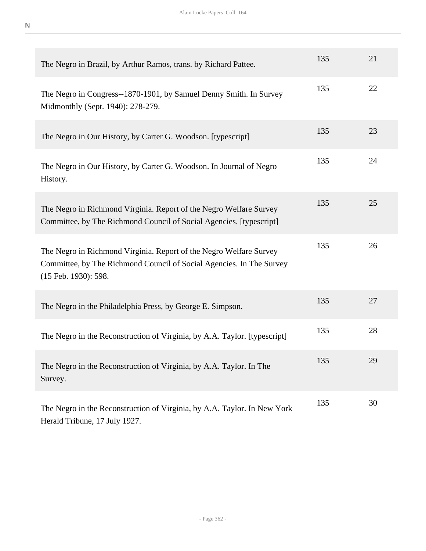| The Negro in Brazil, by Arthur Ramos, trans. by Richard Pattee.                                                                                                    | 135 | 21 |
|--------------------------------------------------------------------------------------------------------------------------------------------------------------------|-----|----|
| The Negro in Congress--1870-1901, by Samuel Denny Smith. In Survey<br>Midmonthly (Sept. 1940): 278-279.                                                            | 135 | 22 |
| The Negro in Our History, by Carter G. Woodson. [typescript]                                                                                                       | 135 | 23 |
| The Negro in Our History, by Carter G. Woodson. In Journal of Negro<br>History.                                                                                    | 135 | 24 |
| The Negro in Richmond Virginia. Report of the Negro Welfare Survey<br>Committee, by The Richmond Council of Social Agencies. [typescript]                          | 135 | 25 |
| The Negro in Richmond Virginia. Report of the Negro Welfare Survey<br>Committee, by The Richmond Council of Social Agencies. In The Survey<br>(15 Feb. 1930): 598. | 135 | 26 |
| The Negro in the Philadelphia Press, by George E. Simpson.                                                                                                         | 135 | 27 |
| The Negro in the Reconstruction of Virginia, by A.A. Taylor. [typescript]                                                                                          | 135 | 28 |
| The Negro in the Reconstruction of Virginia, by A.A. Taylor. In The<br>Survey.                                                                                     | 135 | 29 |
| The Negro in the Reconstruction of Virginia, by A.A. Taylor. In New York<br>Herald Tribune, 17 July 1927.                                                          | 135 | 30 |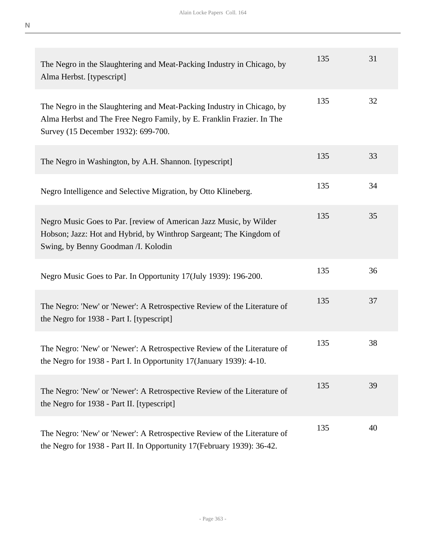| The Negro in the Slaughtering and Meat-Packing Industry in Chicago, by<br>Alma Herbst. [typescript]                                                                                    | 135 | 31 |
|----------------------------------------------------------------------------------------------------------------------------------------------------------------------------------------|-----|----|
| The Negro in the Slaughtering and Meat-Packing Industry in Chicago, by<br>Alma Herbst and The Free Negro Family, by E. Franklin Frazier. In The<br>Survey (15 December 1932): 699-700. | 135 | 32 |
| The Negro in Washington, by A.H. Shannon. [typescript]                                                                                                                                 | 135 | 33 |
| Negro Intelligence and Selective Migration, by Otto Klineberg.                                                                                                                         | 135 | 34 |
| Negro Music Goes to Par. [review of American Jazz Music, by Wilder<br>Hobson; Jazz: Hot and Hybrid, by Winthrop Sargeant; The Kingdom of<br>Swing, by Benny Goodman / I. Kolodin       | 135 | 35 |
| Negro Music Goes to Par. In Opportunity 17(July 1939): 196-200.                                                                                                                        | 135 | 36 |
| The Negro: 'New' or 'Newer': A Retrospective Review of the Literature of<br>the Negro for 1938 - Part I. [typescript]                                                                  | 135 | 37 |
| The Negro: 'New' or 'Newer': A Retrospective Review of the Literature of<br>the Negro for 1938 - Part I. In Opportunity 17(January 1939): 4-10.                                        | 135 | 38 |
| The Negro: 'New' or 'Newer': A Retrospective Review of the Literature of<br>the Negro for 1938 - Part II. [typescript]                                                                 | 135 | 39 |
| The Negro: 'New' or 'Newer': A Retrospective Review of the Literature of<br>the Negro for 1938 - Part II. In Opportunity 17 (February 1939): 36-42.                                    | 135 | 40 |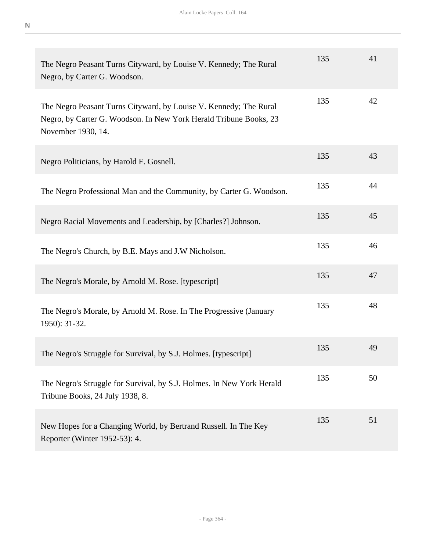| The Negro Peasant Turns Cityward, by Louise V. Kennedy; The Rural<br>Negro, by Carter G. Woodson.                                                            | 135 | 41 |
|--------------------------------------------------------------------------------------------------------------------------------------------------------------|-----|----|
| The Negro Peasant Turns Cityward, by Louise V. Kennedy; The Rural<br>Negro, by Carter G. Woodson. In New York Herald Tribune Books, 23<br>November 1930, 14. | 135 | 42 |
| Negro Politicians, by Harold F. Gosnell.                                                                                                                     | 135 | 43 |
| The Negro Professional Man and the Community, by Carter G. Woodson.                                                                                          | 135 | 44 |
| Negro Racial Movements and Leadership, by [Charles?] Johnson.                                                                                                | 135 | 45 |
| The Negro's Church, by B.E. Mays and J.W Nicholson.                                                                                                          | 135 | 46 |
| The Negro's Morale, by Arnold M. Rose. [typescript]                                                                                                          | 135 | 47 |
| The Negro's Morale, by Arnold M. Rose. In The Progressive (January<br>1950): 31-32.                                                                          | 135 | 48 |
| The Negro's Struggle for Survival, by S.J. Holmes. [typescript]                                                                                              | 135 | 49 |
| The Negro's Struggle for Survival, by S.J. Holmes. In New York Herald<br>Tribune Books, 24 July 1938, 8.                                                     | 135 | 50 |
| New Hopes for a Changing World, by Bertrand Russell. In The Key<br>Reporter (Winter 1952-53): 4.                                                             | 135 | 51 |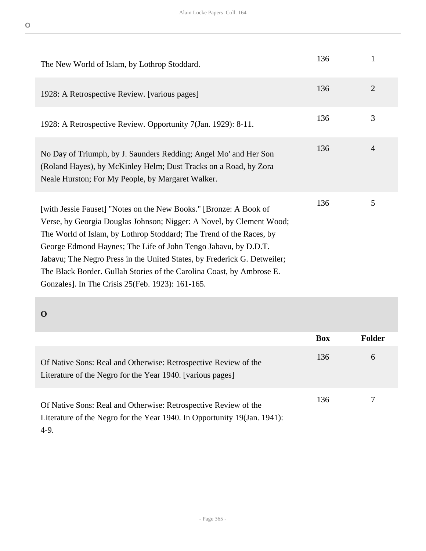| The New World of Islam, by Lothrop Stoddard.                                                                                                                                                                                                                                                                                                                                                                                                                                                 | 136 | $\mathbf{1}$   |
|----------------------------------------------------------------------------------------------------------------------------------------------------------------------------------------------------------------------------------------------------------------------------------------------------------------------------------------------------------------------------------------------------------------------------------------------------------------------------------------------|-----|----------------|
| 1928: A Retrospective Review. [various pages]                                                                                                                                                                                                                                                                                                                                                                                                                                                | 136 | 2              |
| 1928: A Retrospective Review. Opportunity 7(Jan. 1929): 8-11.                                                                                                                                                                                                                                                                                                                                                                                                                                | 136 | 3              |
| No Day of Triumph, by J. Saunders Redding; Angel Mo' and Her Son<br>(Roland Hayes), by McKinley Helm; Dust Tracks on a Road, by Zora<br>Neale Hurston; For My People, by Margaret Walker.                                                                                                                                                                                                                                                                                                    | 136 | $\overline{4}$ |
| [with Jessie Fauset] "Notes on the New Books." [Bronze: A Book of<br>Verse, by Georgia Douglas Johnson; Nigger: A Novel, by Clement Wood;<br>The World of Islam, by Lothrop Stoddard; The Trend of the Races, by<br>George Edmond Haynes; The Life of John Tengo Jabavu, by D.D.T.<br>Jabavu; The Negro Press in the United States, by Frederick G. Detweiler;<br>The Black Border. Gullah Stories of the Carolina Coast, by Ambrose E.<br>Gonzales]. In The Crisis 25 (Feb. 1923): 161-165. | 136 | 5              |

|                                                                                                                                                       | <b>Box</b> | <b>Folder</b> |
|-------------------------------------------------------------------------------------------------------------------------------------------------------|------------|---------------|
| Of Native Sons: Real and Otherwise: Retrospective Review of the<br>Literature of the Negro for the Year 1940. [various pages]                         | 136        | 6             |
| Of Native Sons: Real and Otherwise: Retrospective Review of the<br>Literature of the Negro for the Year 1940. In Opportunity 19(Jan. 1941):<br>$4-9.$ | 136        |               |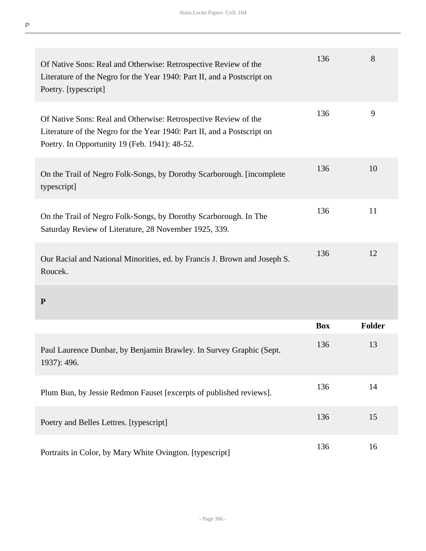| Of Native Sons: Real and Otherwise: Retrospective Review of the<br>Literature of the Negro for the Year 1940: Part II, and a Postscript on<br>Poetry. [typescript]                          | 136        | 8             |
|---------------------------------------------------------------------------------------------------------------------------------------------------------------------------------------------|------------|---------------|
| Of Native Sons: Real and Otherwise: Retrospective Review of the<br>Literature of the Negro for the Year 1940: Part II, and a Postscript on<br>Poetry. In Opportunity 19 (Feb. 1941): 48-52. | 136        | 9             |
| On the Trail of Negro Folk-Songs, by Dorothy Scarborough. [incomplete]<br>typescript]                                                                                                       | 136        | 10            |
| On the Trail of Negro Folk-Songs, by Dorothy Scarborough. In The<br>Saturday Review of Literature, 28 November 1925, 339.                                                                   | 136        | 11            |
| Our Racial and National Minorities, ed. by Francis J. Brown and Joseph S.<br>Roucek.                                                                                                        | 136        | 12            |
| ${\bf P}$                                                                                                                                                                                   |            |               |
|                                                                                                                                                                                             | <b>Box</b> | <b>Folder</b> |
| Paul Laurence Dunbar, by Benjamin Brawley. In Survey Graphic (Sept.<br>1937): 496.                                                                                                          | 136        | 13            |
| Plum Bun, by Jessie Redmon Fauset [excerpts of published reviews].                                                                                                                          | 136        | 14            |
| Poetry and Belles Lettres. [typescript]                                                                                                                                                     | 136        | 15            |

Portraits in Color, by Mary White Ovington. [typescript] 136 16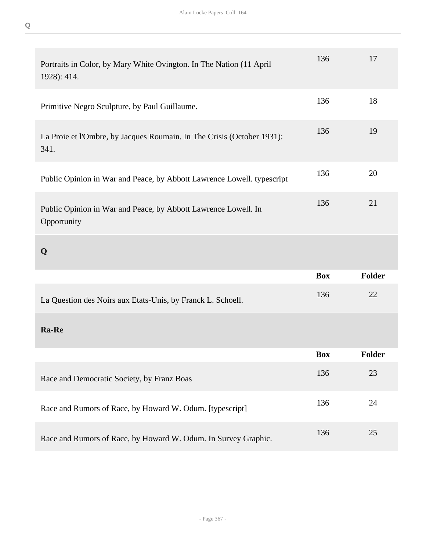| Portraits in Color, by Mary White Ovington. In The Nation (11 April<br>1928): 414. | 136        | 17            |
|------------------------------------------------------------------------------------|------------|---------------|
| Primitive Negro Sculpture, by Paul Guillaume.                                      | 136        | 18            |
| La Proie et l'Ombre, by Jacques Roumain. In The Crisis (October 1931):<br>341.     | 136        | 19            |
| Public Opinion in War and Peace, by Abbott Lawrence Lowell. typescript             | 136        | 20            |
| Public Opinion in War and Peace, by Abbott Lawrence Lowell. In<br>Opportunity      | 136        | 21            |
| Q                                                                                  |            |               |
|                                                                                    |            |               |
|                                                                                    | <b>Box</b> | Folder        |
| La Question des Noirs aux Etats-Unis, by Franck L. Schoell.                        | 136        | 22            |
| Ra-Re                                                                              |            |               |
|                                                                                    | <b>Box</b> | <b>Folder</b> |
| Race and Democratic Society, by Franz Boas                                         | 136        | 23            |
| Race and Rumors of Race, by Howard W. Odum. [typescript]                           | 136        | 24            |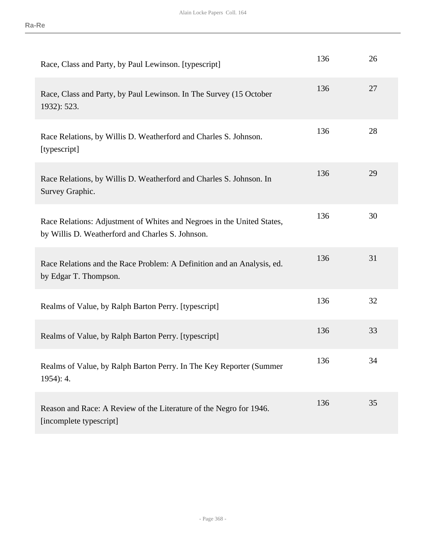| Race, Class and Party, by Paul Lewinson. [typescript]                                                                      | 136 | 26 |
|----------------------------------------------------------------------------------------------------------------------------|-----|----|
| Race, Class and Party, by Paul Lewinson. In The Survey (15 October<br>1932): 523.                                          | 136 | 27 |
| Race Relations, by Willis D. Weatherford and Charles S. Johnson.<br>[typescript]                                           | 136 | 28 |
| Race Relations, by Willis D. Weatherford and Charles S. Johnson. In<br>Survey Graphic.                                     | 136 | 29 |
| Race Relations: Adjustment of Whites and Negroes in the United States,<br>by Willis D. Weatherford and Charles S. Johnson. | 136 | 30 |
| Race Relations and the Race Problem: A Definition and an Analysis, ed.<br>by Edgar T. Thompson.                            | 136 | 31 |
| Realms of Value, by Ralph Barton Perry. [typescript]                                                                       | 136 | 32 |
| Realms of Value, by Ralph Barton Perry. [typescript]                                                                       | 136 | 33 |
| Realms of Value, by Ralph Barton Perry. In The Key Reporter (Summer<br>$1954$ : 4.                                         | 136 | 34 |
| Reason and Race: A Review of the Literature of the Negro for 1946.<br>[incomplete typescript]                              | 136 | 35 |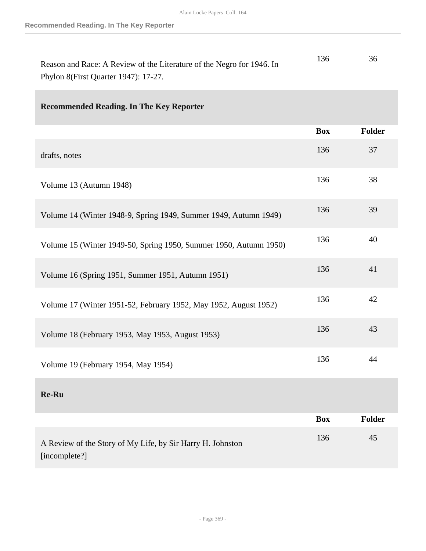| Reason and Race: A Review of the Literature of the Negro for 1946. In | 136 |  |
|-----------------------------------------------------------------------|-----|--|
| Phylon 8(First Quarter 1947): 17-27.                                  |     |  |

# **Recommended Reading. In The Key Reporter**

|                                                                             | <b>Box</b> | Folder |
|-----------------------------------------------------------------------------|------------|--------|
| drafts, notes                                                               | 136        | 37     |
| Volume 13 (Autumn 1948)                                                     | 136        | 38     |
| Volume 14 (Winter 1948-9, Spring 1949, Summer 1949, Autumn 1949)            | 136        | 39     |
| Volume 15 (Winter 1949-50, Spring 1950, Summer 1950, Autumn 1950)           | 136        | 40     |
| Volume 16 (Spring 1951, Summer 1951, Autumn 1951)                           | 136        | 41     |
| Volume 17 (Winter 1951-52, February 1952, May 1952, August 1952)            | 136        | 42     |
| Volume 18 (February 1953, May 1953, August 1953)                            | 136        | 43     |
| Volume 19 (February 1954, May 1954)                                         | 136        | 44     |
| Re-Ru                                                                       |            |        |
|                                                                             | <b>Box</b> | Folder |
| A Review of the Story of My Life, by Sir Harry H. Johnston<br>[incomplete?] | 136        | 45     |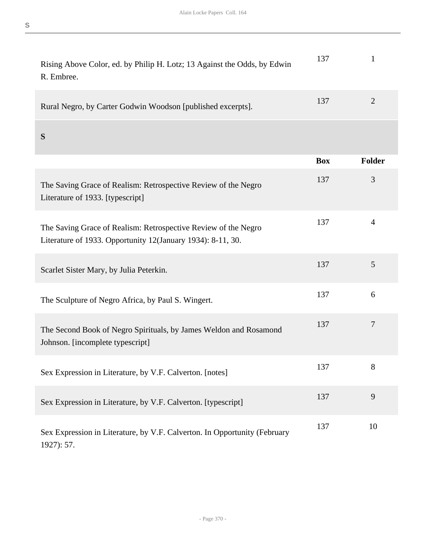| Rising Above Color, ed. by Philip H. Lotz; 13 Against the Odds, by Edwin<br>R. Embree.                                        | 137        | 1              |
|-------------------------------------------------------------------------------------------------------------------------------|------------|----------------|
| Rural Negro, by Carter Godwin Woodson [published excerpts].                                                                   | 137        | $\overline{2}$ |
| S                                                                                                                             |            |                |
|                                                                                                                               | <b>Box</b> | Folder         |
| The Saving Grace of Realism: Retrospective Review of the Negro<br>Literature of 1933. [typescript]                            | 137        | 3              |
| The Saving Grace of Realism: Retrospective Review of the Negro<br>Literature of 1933. Opportunity 12(January 1934): 8-11, 30. | 137        | $\overline{4}$ |
| Scarlet Sister Mary, by Julia Peterkin.                                                                                       | 137        | 5              |
| The Sculpture of Negro Africa, by Paul S. Wingert.                                                                            | 137        | 6              |
| The Second Book of Negro Spirituals, by James Weldon and Rosamond<br>Johnson. [incomplete typescript]                         | 137        | 7              |
| Sex Expression in Literature, by V.F. Calverton. [notes]                                                                      | 137        | 8              |
| Sex Expression in Literature, by V.F. Calverton. [typescript]                                                                 | 137        | 9              |
| Sex Expression in Literature, by V.F. Calverton. In Opportunity (February<br>1927): 57.                                       | 137        | 10             |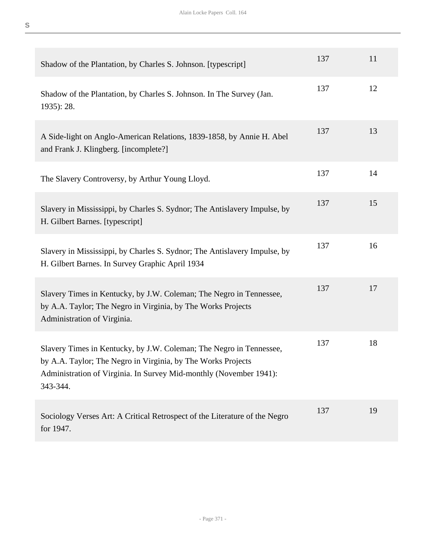| Shadow of the Plantation, by Charles S. Johnson. [typescript]                                                                                                                                                         | 137 | 11 |
|-----------------------------------------------------------------------------------------------------------------------------------------------------------------------------------------------------------------------|-----|----|
| Shadow of the Plantation, by Charles S. Johnson. In The Survey (Jan.<br>1935): 28.                                                                                                                                    | 137 | 12 |
| A Side-light on Anglo-American Relations, 1839-1858, by Annie H. Abel<br>and Frank J. Klingberg. [incomplete?]                                                                                                        | 137 | 13 |
| The Slavery Controversy, by Arthur Young Lloyd.                                                                                                                                                                       | 137 | 14 |
| Slavery in Mississippi, by Charles S. Sydnor; The Antislavery Impulse, by<br>H. Gilbert Barnes. [typescript]                                                                                                          | 137 | 15 |
| Slavery in Mississippi, by Charles S. Sydnor; The Antislavery Impulse, by<br>H. Gilbert Barnes. In Survey Graphic April 1934                                                                                          | 137 | 16 |
| Slavery Times in Kentucky, by J.W. Coleman; The Negro in Tennessee,<br>by A.A. Taylor; The Negro in Virginia, by The Works Projects<br>Administration of Virginia.                                                    | 137 | 17 |
| Slavery Times in Kentucky, by J.W. Coleman; The Negro in Tennessee,<br>by A.A. Taylor; The Negro in Virginia, by The Works Projects<br>Administration of Virginia. In Survey Mid-monthly (November 1941):<br>343-344. | 137 | 18 |
| Sociology Verses Art: A Critical Retrospect of the Literature of the Negro<br>for 1947.                                                                                                                               | 137 | 19 |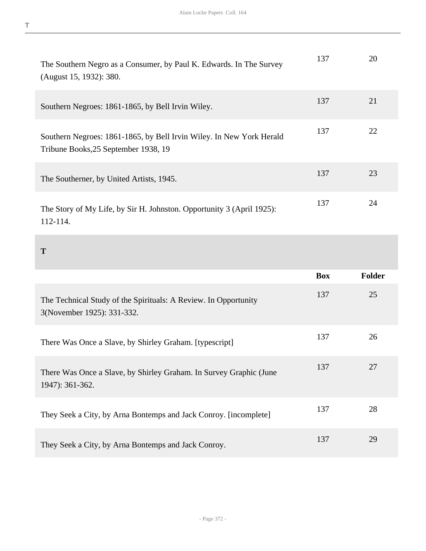| The Southern Negro as a Consumer, by Paul K. Edwards. In The Survey<br>(August 15, 1932): 380.               | 137        | 20            |
|--------------------------------------------------------------------------------------------------------------|------------|---------------|
| Southern Negroes: 1861-1865, by Bell Irvin Wiley.                                                            | 137        | 21            |
| Southern Negroes: 1861-1865, by Bell Irvin Wiley. In New York Herald<br>Tribune Books, 25 September 1938, 19 | 137        | 22            |
| The Southerner, by United Artists, 1945.                                                                     | 137        | 23            |
| The Story of My Life, by Sir H. Johnston. Opportunity 3 (April 1925):<br>112-114.                            | 137        | 24            |
| Т                                                                                                            |            |               |
|                                                                                                              | <b>Box</b> | <b>Folder</b> |

|                                                                                               | ▰   | 1 viuci |
|-----------------------------------------------------------------------------------------------|-----|---------|
| The Technical Study of the Spirituals: A Review. In Opportunity<br>3(November 1925): 331-332. | 137 | 25      |
| There Was Once a Slave, by Shirley Graham. [typescript]                                       | 137 | 26      |
| There Was Once a Slave, by Shirley Graham. In Survey Graphic (June<br>1947): 361-362.         | 137 | 27      |
| They Seek a City, by Arna Bontemps and Jack Conroy. [incomplete]                              | 137 | 28      |
| They Seek a City, by Arna Bontemps and Jack Conroy.                                           | 137 | 29      |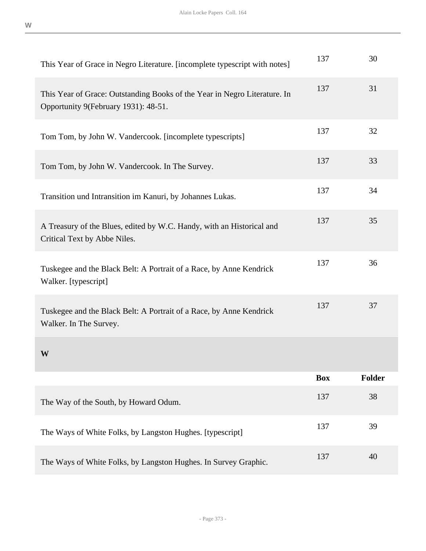| This Year of Grace in Negro Literature. [incomplete typescript with notes]                                        | 137        | 30            |
|-------------------------------------------------------------------------------------------------------------------|------------|---------------|
| This Year of Grace: Outstanding Books of the Year in Negro Literature. In<br>Opportunity 9(February 1931): 48-51. | 137        | 31            |
| Tom Tom, by John W. Vandercook. [incomplete typescripts]                                                          | 137        | 32            |
| Tom Tom, by John W. Vandercook. In The Survey.                                                                    | 137        | 33            |
| Transition und Intransition im Kanuri, by Johannes Lukas.                                                         | 137        | 34            |
| A Treasury of the Blues, edited by W.C. Handy, with an Historical and<br>Critical Text by Abbe Niles.             | 137        | 35            |
| Tuskegee and the Black Belt: A Portrait of a Race, by Anne Kendrick<br>Walker. [typescript]                       | 137        | 36            |
| Tuskegee and the Black Belt: A Portrait of a Race, by Anne Kendrick<br>Walker. In The Survey.                     | 137        | 37            |
| W                                                                                                                 |            |               |
|                                                                                                                   | <b>Box</b> | <b>Folder</b> |
| The Way of the South, by Howard Odum.                                                                             | 137        | 38            |
| The Ways of White Folks, by Langston Hughes. [typescript]                                                         | 137        | 39            |
| The Ways of White Folks, by Langston Hughes. In Survey Graphic.                                                   | 137        | 40            |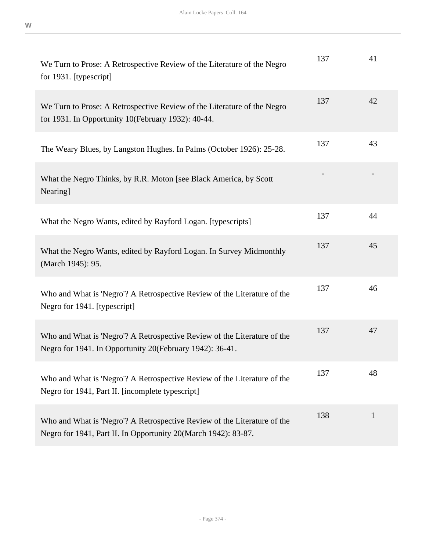| We Turn to Prose: A Retrospective Review of the Literature of the Negro<br>for 1931. [typescript]                                          | 137 | 41           |
|--------------------------------------------------------------------------------------------------------------------------------------------|-----|--------------|
| We Turn to Prose: A Retrospective Review of the Literature of the Negro<br>for 1931. In Opportunity 10(February 1932): 40-44.              | 137 | 42           |
| The Weary Blues, by Langston Hughes. In Palms (October 1926): 25-28.                                                                       | 137 | 43           |
| What the Negro Thinks, by R.R. Moton [see Black America, by Scott<br>Nearing]                                                              |     |              |
| What the Negro Wants, edited by Rayford Logan. [typescripts]                                                                               | 137 | 44           |
| What the Negro Wants, edited by Rayford Logan. In Survey Midmonthly<br>(March 1945): 95.                                                   | 137 | 45           |
| Who and What is 'Negro'? A Retrospective Review of the Literature of the<br>Negro for 1941. [typescript]                                   | 137 | 46           |
| Who and What is 'Negro'? A Retrospective Review of the Literature of the<br>Negro for 1941. In Opportunity 20(February 1942): 36-41.       | 137 | 47           |
| Who and What is 'Negro'? A Retrospective Review of the Literature of the<br>Negro for 1941, Part II. [incomplete typescript]               | 137 | 48           |
| Who and What is 'Negro'? A Retrospective Review of the Literature of the<br>Negro for 1941, Part II. In Opportunity 20(March 1942): 83-87. | 138 | $\mathbf{1}$ |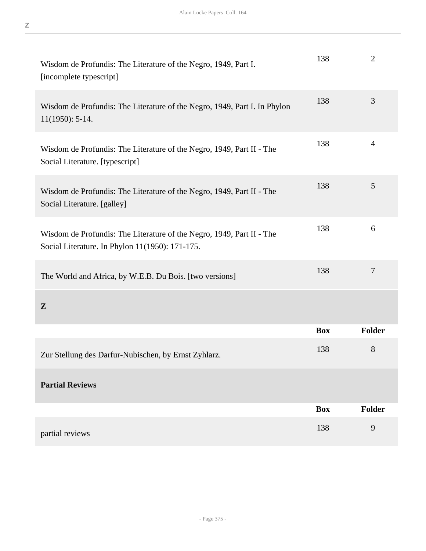| Wisdom de Profundis: The Literature of the Negro, 1949, Part I.<br>[incomplete typescript]                               | 138        | $\overline{2}$ |
|--------------------------------------------------------------------------------------------------------------------------|------------|----------------|
| Wisdom de Profundis: The Literature of the Negro, 1949, Part I. In Phylon<br>$11(1950): 5-14.$                           | 138        | 3              |
| Wisdom de Profundis: The Literature of the Negro, 1949, Part II - The<br>Social Literature. [typescript]                 | 138        | $\overline{4}$ |
| Wisdom de Profundis: The Literature of the Negro, 1949, Part II - The<br>Social Literature. [galley]                     | 138        | 5              |
| Wisdom de Profundis: The Literature of the Negro, 1949, Part II - The<br>Social Literature. In Phylon 11(1950): 171-175. | 138        | 6              |
| The World and Africa, by W.E.B. Du Bois. [two versions]                                                                  | 138        | $\tau$         |
| $\mathbf{Z}$                                                                                                             |            |                |
|                                                                                                                          | <b>Box</b> | Folder         |
| Zur Stellung des Darfur-Nubischen, by Ernst Zyhlarz.                                                                     | 138        | 8              |
| <b>Partial Reviews</b>                                                                                                   |            |                |
|                                                                                                                          | <b>Box</b> | <b>Folder</b>  |
| partial reviews                                                                                                          | 138        | 9              |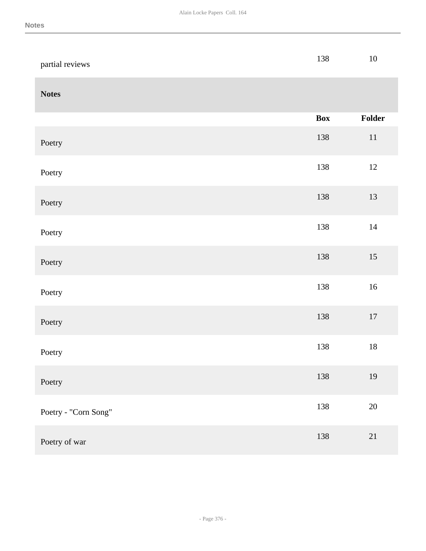| partial reviews      | 138        | $10\,$ |
|----------------------|------------|--------|
| <b>Notes</b>         |            |        |
|                      | <b>Box</b> | Folder |
| Poetry               | 138        | $11\,$ |
| Poetry               | 138        | 12     |
| Poetry               | 138        | 13     |
| Poetry               | 138        | $14\,$ |
| Poetry               | 138        | $15\,$ |
| Poetry               | 138        | $16\,$ |
| Poetry               | 138        | $17\,$ |
| Poetry               | 138        | $18\,$ |
| Poetry               | 138        | 19     |
| Poetry - "Corn Song" | 138        | $20\,$ |
| Poetry of war        | 138        | $21\,$ |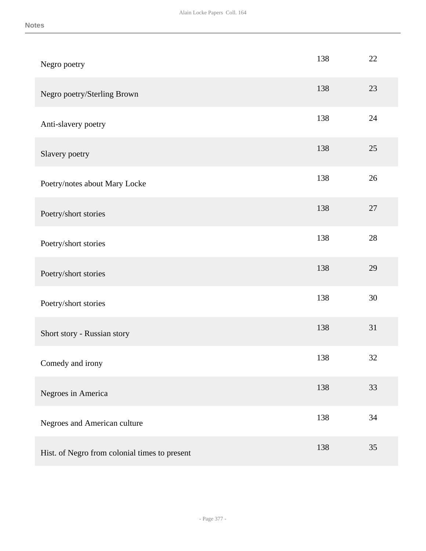| Negro poetry                                  | 138 | 22     |
|-----------------------------------------------|-----|--------|
| Negro poetry/Sterling Brown                   | 138 | 23     |
| Anti-slavery poetry                           | 138 | $24\,$ |
| Slavery poetry                                | 138 | 25     |
| Poetry/notes about Mary Locke                 | 138 | 26     |
| Poetry/short stories                          | 138 | 27     |
| Poetry/short stories                          | 138 | 28     |
| Poetry/short stories                          | 138 | 29     |
| Poetry/short stories                          | 138 | 30     |
| Short story - Russian story                   | 138 | 31     |
| Comedy and irony                              | 138 | 32     |
| Negroes in America                            | 138 | 33     |
| Negroes and American culture                  | 138 | 34     |
| Hist. of Negro from colonial times to present | 138 | 35     |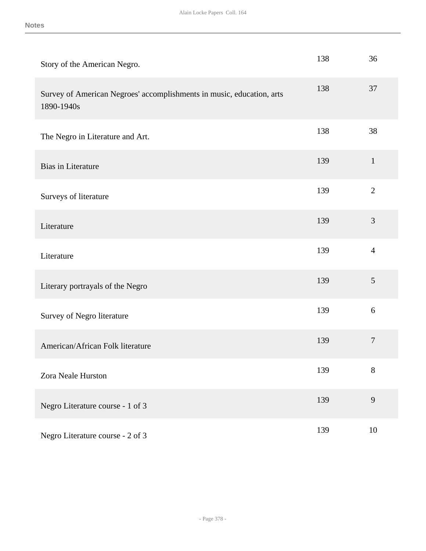| Story of the American Negro.                                                        | 138 | 36               |
|-------------------------------------------------------------------------------------|-----|------------------|
| Survey of American Negroes' accomplishments in music, education, arts<br>1890-1940s | 138 | 37               |
| The Negro in Literature and Art.                                                    | 138 | 38               |
| <b>Bias in Literature</b>                                                           | 139 | $\mathbf{1}$     |
| Surveys of literature                                                               | 139 | $\overline{2}$   |
| Literature                                                                          | 139 | 3                |
| Literature                                                                          | 139 | $\overline{4}$   |
| Literary portrayals of the Negro                                                    | 139 | 5                |
| Survey of Negro literature                                                          | 139 | 6                |
| American/African Folk literature                                                    | 139 | $\boldsymbol{7}$ |
| Zora Neale Hurston                                                                  | 139 | $8\,$            |
| Negro Literature course - 1 of 3                                                    | 139 | 9                |
| Negro Literature course - 2 of 3                                                    | 139 | $10\,$           |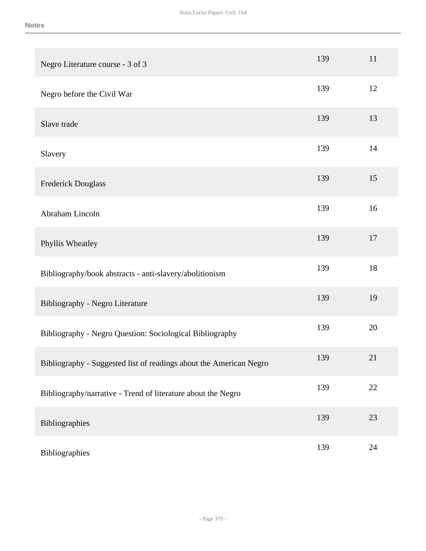| Negro Literature course - 3 of 3                                   | 139 | 11 |
|--------------------------------------------------------------------|-----|----|
| Negro before the Civil War                                         | 139 | 12 |
| Slave trade                                                        | 139 | 13 |
| Slavery                                                            | 139 | 14 |
| Frederick Douglass                                                 | 139 | 15 |
| Abraham Lincoln                                                    | 139 | 16 |
| Phyllis Wheatley                                                   | 139 | 17 |
| Bibliography/book abstracts - anti-slavery/abolitionism            | 139 | 18 |
| Bibliography - Negro Literature                                    | 139 | 19 |
| Bibliography - Negro Question: Sociological Bibliography           | 139 | 20 |
| Bibliography - Suggested list of readings about the American Negro | 139 | 21 |
| Bibliography/narrative - Trend of literature about the Negro       | 139 | 22 |
| Bibliographies                                                     | 139 | 23 |
| Bibliographies                                                     | 139 | 24 |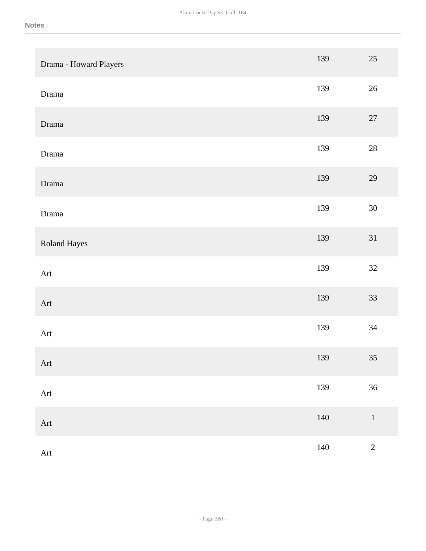| Drama - Howard Players | 139     | 25         |
|------------------------|---------|------------|
| Drama                  | 139     | 26         |
| Drama                  | 139     | $27\,$     |
| Drama                  | 139     | $28\,$     |
| Drama                  | 139     | 29         |
| Drama                  | 139     | 30         |
| Roland Hayes           | 139     | 31         |
| Art                    | 139     | 32         |
| Art                    | 139     | 33         |
| Art                    | 139     | 34         |
| Art                    | 139     | 35         |
| Art                    | 139     | 36         |
| Art                    | $140\,$ | $\,1\,$    |
| Art                    | $140\,$ | $\sqrt{2}$ |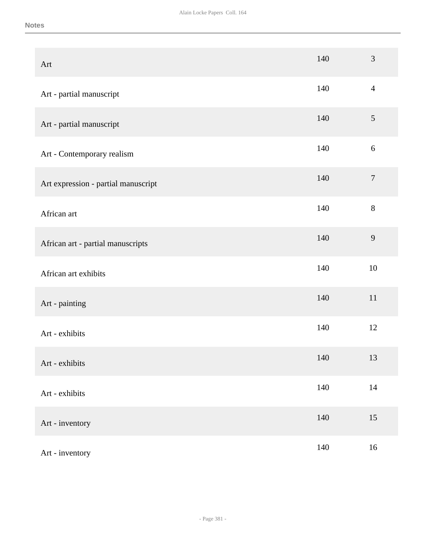| Art                                 | 140 | 3                |
|-------------------------------------|-----|------------------|
| Art - partial manuscript            | 140 | $\overline{4}$   |
| Art - partial manuscript            | 140 | $\mathfrak{S}$   |
| Art - Contemporary realism          | 140 | $\sqrt{6}$       |
| Art expression - partial manuscript | 140 | $\boldsymbol{7}$ |
| African art                         | 140 | $8\,$            |
| African art - partial manuscripts   | 140 | $\overline{9}$   |
| African art exhibits                | 140 | 10               |
| Art - painting                      | 140 | $11\,$           |
| Art - exhibits                      | 140 | 12               |
| Art - exhibits                      | 140 | 13               |
| Art - exhibits                      | 140 | $14\,$           |
| Art - inventory                     | 140 | 15               |
| Art - inventory                     | 140 | 16               |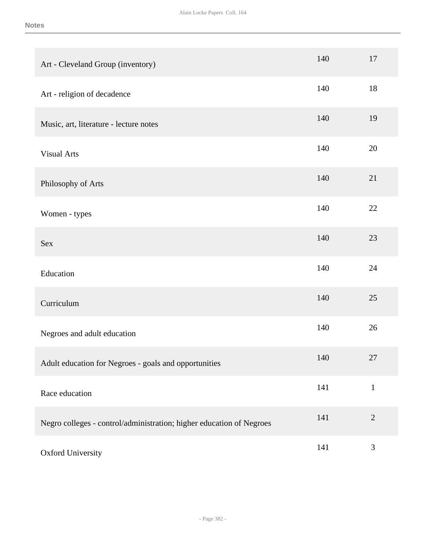| Art - Cleveland Group (inventory)                                    | 140 | 17          |
|----------------------------------------------------------------------|-----|-------------|
| Art - religion of decadence                                          | 140 | 18          |
| Music, art, literature - lecture notes                               | 140 | 19          |
| <b>Visual Arts</b>                                                   | 140 | 20          |
| Philosophy of Arts                                                   | 140 | 21          |
| Women - types                                                        | 140 | 22          |
| Sex                                                                  | 140 | 23          |
| Education                                                            | 140 | 24          |
| Curriculum                                                           | 140 | 25          |
| Negroes and adult education                                          | 140 | 26          |
| Adult education for Negroes - goals and opportunities                | 140 | 27          |
| Race education                                                       | 141 | $\mathbf 1$ |
| Negro colleges - control/administration; higher education of Negroes | 141 | $\sqrt{2}$  |
| Oxford University                                                    | 141 | 3           |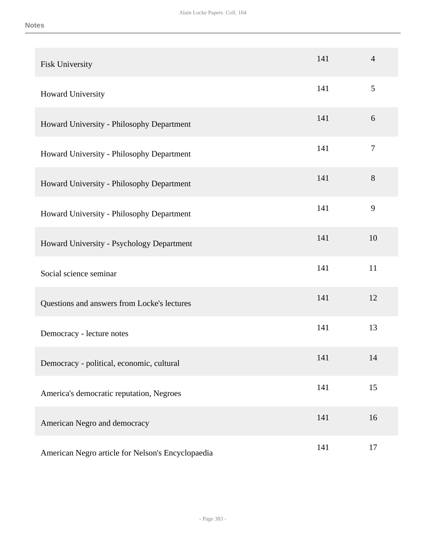| Fisk University                                   | 141 | $\overline{4}$ |
|---------------------------------------------------|-----|----------------|
| Howard University                                 | 141 | 5              |
| Howard University - Philosophy Department         | 141 | 6              |
| Howard University - Philosophy Department         | 141 | $\tau$         |
| Howard University - Philosophy Department         | 141 | 8              |
| Howard University - Philosophy Department         | 141 | 9              |
| Howard University - Psychology Department         | 141 | 10             |
| Social science seminar                            | 141 | 11             |
| Questions and answers from Locke's lectures       | 141 | 12             |
| Democracy - lecture notes                         | 141 | 13             |
| Democracy - political, economic, cultural         | 141 | 14             |
| America's democratic reputation, Negroes          | 141 | 15             |
| American Negro and democracy                      | 141 | 16             |
| American Negro article for Nelson's Encyclopaedia | 141 | 17             |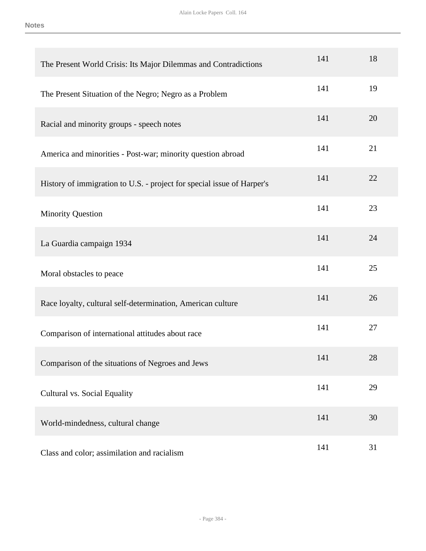| The Present World Crisis: Its Major Dilemmas and Contradictions        | 141 | 18 |
|------------------------------------------------------------------------|-----|----|
| The Present Situation of the Negro; Negro as a Problem                 | 141 | 19 |
| Racial and minority groups - speech notes                              | 141 | 20 |
| America and minorities - Post-war; minority question abroad            | 141 | 21 |
| History of immigration to U.S. - project for special issue of Harper's | 141 | 22 |
| <b>Minority Question</b>                                               | 141 | 23 |
| La Guardia campaign 1934                                               | 141 | 24 |
| Moral obstacles to peace                                               | 141 | 25 |
| Race loyalty, cultural self-determination, American culture            | 141 | 26 |
| Comparison of international attitudes about race                       | 141 | 27 |
| Comparison of the situations of Negroes and Jews                       | 141 | 28 |
| Cultural vs. Social Equality                                           | 141 | 29 |
| World-mindedness, cultural change                                      | 141 | 30 |
| Class and color; assimilation and racialism                            | 141 | 31 |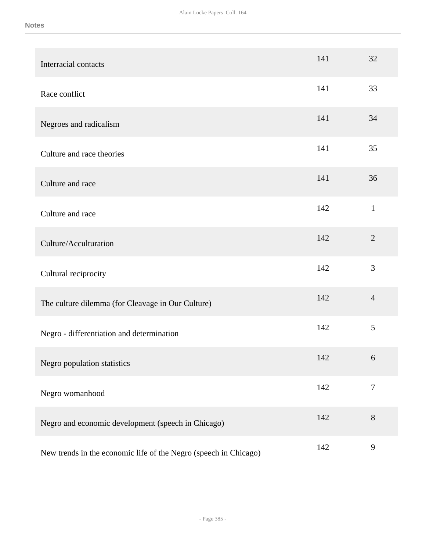| Interracial contacts                                             | 141 | 32             |
|------------------------------------------------------------------|-----|----------------|
| Race conflict                                                    | 141 | 33             |
| Negroes and radicalism                                           | 141 | 34             |
| Culture and race theories                                        | 141 | 35             |
| Culture and race                                                 | 141 | 36             |
| Culture and race                                                 | 142 | $\mathbf{1}$   |
| Culture/Acculturation                                            | 142 | $\overline{2}$ |
| Cultural reciprocity                                             | 142 | 3              |
| The culture dilemma (for Cleavage in Our Culture)                | 142 | $\overline{4}$ |
| Negro - differentiation and determination                        | 142 | 5              |
| Negro population statistics                                      | 142 | 6              |
| Negro womanhood                                                  | 142 | $\tau$         |
| Negro and economic development (speech in Chicago)               | 142 | 8              |
| New trends in the economic life of the Negro (speech in Chicago) | 142 | $\overline{9}$ |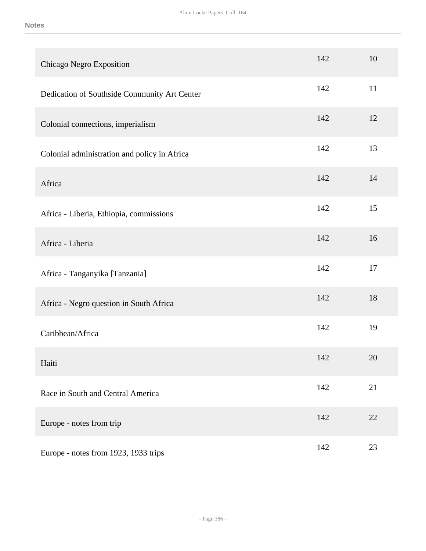| Chicago Negro Exposition                     | 142 | 10 |
|----------------------------------------------|-----|----|
| Dedication of Southside Community Art Center | 142 | 11 |
| Colonial connections, imperialism            | 142 | 12 |
| Colonial administration and policy in Africa | 142 | 13 |
| Africa                                       | 142 | 14 |
| Africa - Liberia, Ethiopia, commissions      | 142 | 15 |
| Africa - Liberia                             | 142 | 16 |
| Africa - Tanganyika [Tanzania]               | 142 | 17 |
| Africa - Negro question in South Africa      | 142 | 18 |
| Caribbean/Africa                             | 142 | 19 |
| Haiti                                        | 142 | 20 |
| Race in South and Central America            | 142 | 21 |
| Europe - notes from trip                     | 142 | 22 |
| Europe - notes from 1923, 1933 trips         | 142 | 23 |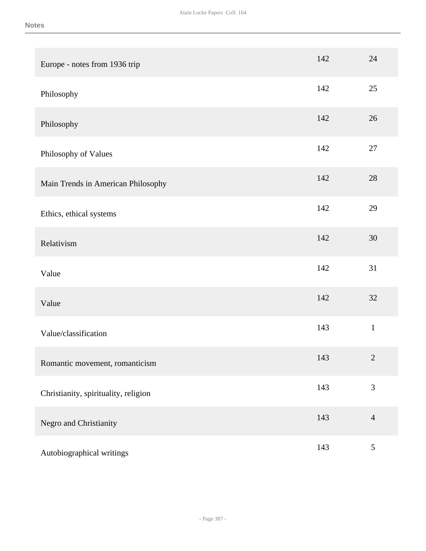| Europe - notes from 1936 trip        | 142 | 24             |
|--------------------------------------|-----|----------------|
| Philosophy                           | 142 | 25             |
| Philosophy                           | 142 | 26             |
| Philosophy of Values                 | 142 | 27             |
| Main Trends in American Philosophy   | 142 | 28             |
| Ethics, ethical systems              | 142 | 29             |
| Relativism                           | 142 | 30             |
| Value                                | 142 | 31             |
| Value                                | 142 | 32             |
| Value/classification                 | 143 | $\,1\,$        |
| Romantic movement, romanticism       | 143 | $\sqrt{2}$     |
| Christianity, spirituality, religion | 143 | $\overline{3}$ |
| Negro and Christianity               | 143 | $\overline{4}$ |
| Autobiographical writings            | 143 | $\mathfrak{S}$ |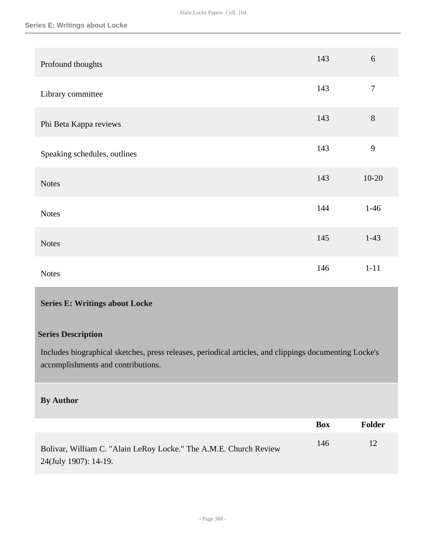| Profound thoughts            | 143 | $6\,$          |
|------------------------------|-----|----------------|
| Library committee            | 143 | $\overline{7}$ |
| Phi Beta Kappa reviews       | 143 | $8\,$          |
| Speaking schedules, outlines | 143 | 9              |
| <b>Notes</b>                 | 143 | $10 - 20$      |
| <b>Notes</b>                 | 144 | $1-46$         |
| <b>Notes</b>                 | 145 | $1-43$         |
| <b>Notes</b>                 | 146 | $1 - 11$       |

## **Series E: Writings about Locke**

## **Series Description**

Includes biographical sketches, press releases, periodical articles, and clippings documenting Locke's accomplishments and contributions.

## **By Author**

|                                                                                            | Box | Folder |
|--------------------------------------------------------------------------------------------|-----|--------|
| Bolivar, William C. "Alain LeRoy Locke." The A.M.E. Church Review<br>24(July 1907): 14-19. | 146 | 12     |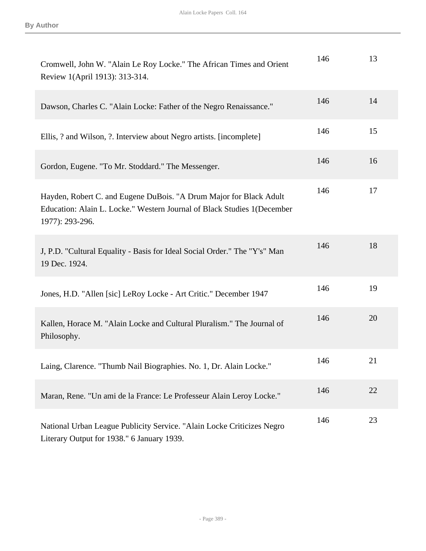| Cromwell, John W. "Alain Le Roy Locke." The African Times and Orient<br>Review 1(April 1913): 313-314.                                                           | 146 | 13 |
|------------------------------------------------------------------------------------------------------------------------------------------------------------------|-----|----|
| Dawson, Charles C. "Alain Locke: Father of the Negro Renaissance."                                                                                               | 146 | 14 |
| Ellis, ? and Wilson, ?. Interview about Negro artists. [incomplete]                                                                                              | 146 | 15 |
| Gordon, Eugene. "To Mr. Stoddard." The Messenger.                                                                                                                | 146 | 16 |
| Hayden, Robert C. and Eugene DuBois. "A Drum Major for Black Adult<br>Education: Alain L. Locke." Western Journal of Black Studies 1(December<br>1977): 293-296. | 146 | 17 |
| J, P.D. "Cultural Equality - Basis for Ideal Social Order." The "Y's" Man<br>19 Dec. 1924.                                                                       | 146 | 18 |
| Jones, H.D. "Allen [sic] LeRoy Locke - Art Critic." December 1947                                                                                                | 146 | 19 |
| Kallen, Horace M. "Alain Locke and Cultural Pluralism." The Journal of<br>Philosophy.                                                                            | 146 | 20 |
| Laing, Clarence. "Thumb Nail Biographies. No. 1, Dr. Alain Locke."                                                                                               | 146 | 21 |
| Maran, Rene. "Un ami de la France: Le Professeur Alain Leroy Locke."                                                                                             | 146 | 22 |
| National Urban League Publicity Service. "Alain Locke Criticizes Negro<br>Literary Output for 1938." 6 January 1939.                                             | 146 | 23 |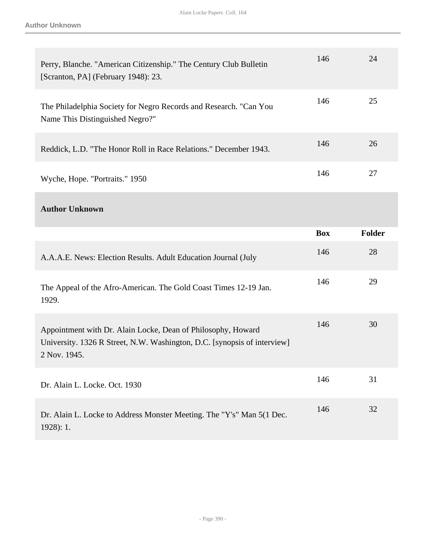| Perry, Blanche. "American Citizenship." The Century Club Bulletin<br>[Scranton, PA] (February 1948): 23.                                                 | 146        | 24            |
|----------------------------------------------------------------------------------------------------------------------------------------------------------|------------|---------------|
| The Philadelphia Society for Negro Records and Research. "Can You<br>Name This Distinguished Negro?"                                                     | 146        | 25            |
| Reddick, L.D. "The Honor Roll in Race Relations." December 1943.                                                                                         | 146        | 26            |
| Wyche, Hope. "Portraits." 1950                                                                                                                           | 146        | 27            |
| <b>Author Unknown</b>                                                                                                                                    |            |               |
|                                                                                                                                                          | <b>Box</b> | <b>Folder</b> |
|                                                                                                                                                          |            |               |
| A.A.A.E. News: Election Results. Adult Education Journal (July                                                                                           | 146        | 28            |
| The Appeal of the Afro-American. The Gold Coast Times 12-19 Jan.<br>1929.                                                                                | 146        | 29            |
| Appointment with Dr. Alain Locke, Dean of Philosophy, Howard<br>University. 1326 R Street, N.W. Washington, D.C. [synopsis of interview]<br>2 Nov. 1945. | 146        | 30            |
| Dr. Alain L. Locke. Oct. 1930                                                                                                                            | 146        | 31            |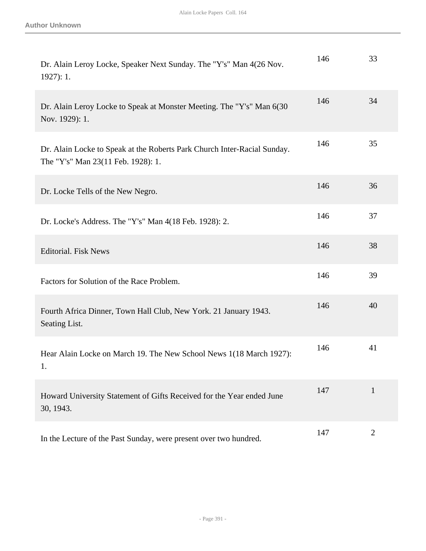| Dr. Alain Leroy Locke, Speaker Next Sunday. The "Y's" Man 4(26 Nov.<br>$1927$ : 1.                             | 146 | 33             |
|----------------------------------------------------------------------------------------------------------------|-----|----------------|
| Dr. Alain Leroy Locke to Speak at Monster Meeting. The "Y's" Man 6(30)<br>Nov. 1929): 1.                       | 146 | 34             |
| Dr. Alain Locke to Speak at the Roberts Park Church Inter-Racial Sunday.<br>The "Y's" Man 23(11 Feb. 1928): 1. | 146 | 35             |
| Dr. Locke Tells of the New Negro.                                                                              | 146 | 36             |
| Dr. Locke's Address. The "Y's" Man 4(18 Feb. 1928): 2.                                                         | 146 | 37             |
| <b>Editorial. Fisk News</b>                                                                                    | 146 | 38             |
| Factors for Solution of the Race Problem.                                                                      | 146 | 39             |
| Fourth Africa Dinner, Town Hall Club, New York. 21 January 1943.<br>Seating List.                              | 146 | 40             |
| Hear Alain Locke on March 19. The New School News 1(18 March 1927):<br>1.                                      | 146 | 41             |
| Howard University Statement of Gifts Received for the Year ended June<br>30, 1943.                             | 147 | $\mathbf{1}$   |
| In the Lecture of the Past Sunday, were present over two hundred.                                              | 147 | $\overline{2}$ |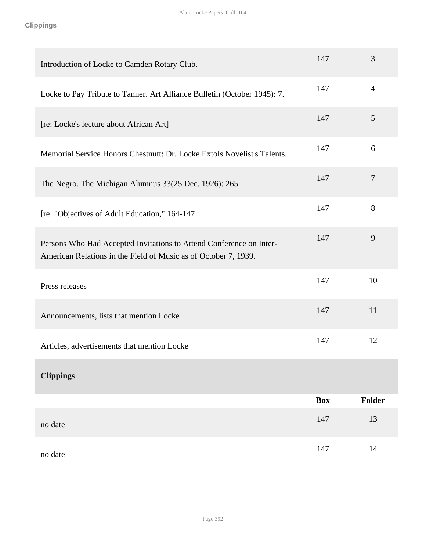| Introduction of Locke to Camden Rotary Club.                                                                                           | 147        | 3              |
|----------------------------------------------------------------------------------------------------------------------------------------|------------|----------------|
| Locke to Pay Tribute to Tanner. Art Alliance Bulletin (October 1945): 7.                                                               | 147        | $\overline{4}$ |
| [re: Locke's lecture about African Art]                                                                                                | 147        | 5              |
| Memorial Service Honors Chestnutt: Dr. Locke Extols Novelist's Talents.                                                                | 147        | 6              |
| The Negro. The Michigan Alumnus 33(25 Dec. 1926): 265.                                                                                 | 147        | $\overline{7}$ |
| [re: "Objectives of Adult Education," 164-147                                                                                          | 147        | 8              |
| Persons Who Had Accepted Invitations to Attend Conference on Inter-<br>American Relations in the Field of Music as of October 7, 1939. | 147        | 9              |
| Press releases                                                                                                                         | 147        | 10             |
| Announcements, lists that mention Locke                                                                                                | 147        | 11             |
| Articles, advertisements that mention Locke                                                                                            | 147        | 12             |
| <b>Clippings</b>                                                                                                                       |            |                |
|                                                                                                                                        | <b>Box</b> | <b>Folder</b>  |
| no date                                                                                                                                | 147        | 13             |
| no date                                                                                                                                | 147        | 14             |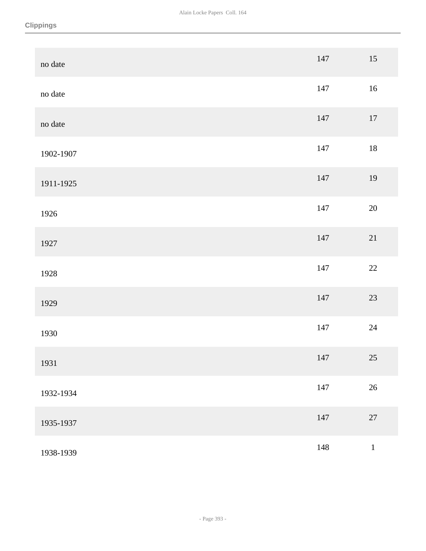| no date   | 147 | $15\,$  |
|-----------|-----|---------|
| no date   | 147 | $16\,$  |
| no date   | 147 | $17\,$  |
| 1902-1907 | 147 | $18\,$  |
| 1911-1925 | 147 | 19      |
| 1926      | 147 | $20\,$  |
| 1927      | 147 | 21      |
| 1928      | 147 | $22\,$  |
| 1929      | 147 | $23\,$  |
| 1930      | 147 | $24\,$  |
| 1931      | 147 | $25\,$  |
| 1932-1934 | 147 | $26\,$  |
| 1935-1937 | 147 | $27\,$  |
| 1938-1939 | 148 | $\,1\,$ |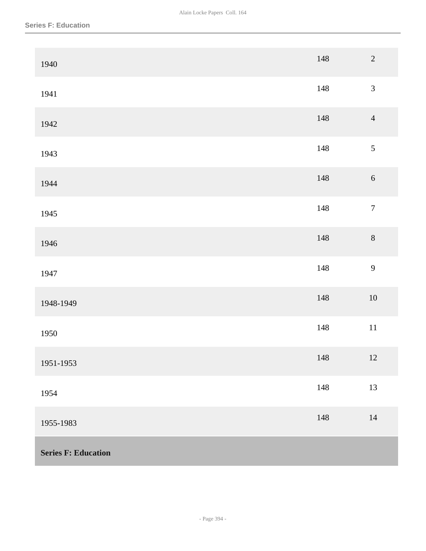| 1940                       | 148 | $\overline{c}$   |
|----------------------------|-----|------------------|
| 1941                       | 148 | $\overline{3}$   |
| 1942                       | 148 | $\overline{4}$   |
| 1943                       | 148 | $\mathfrak{S}$   |
| 1944                       | 148 | $\sqrt{6}$       |
| 1945                       | 148 | $\boldsymbol{7}$ |
| 1946                       | 148 | $\,8\,$          |
| 1947                       | 148 | 9                |
| 1948-1949                  | 148 | $10\,$           |
| 1950                       | 148 | $11\,$           |
| 1951-1953                  | 148 | $12\,$           |
| 1954                       | 148 | 13               |
| 1955-1983                  | 148 | $14\,$           |
| <b>Series F: Education</b> |     |                  |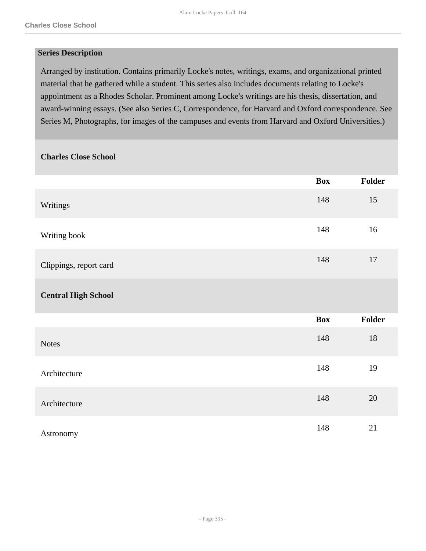#### **Series Description**

Arranged by institution. Contains primarily Locke's notes, writings, exams, and organizational printed material that he gathered while a student. This series also includes documents relating to Locke's appointment as a Rhodes Scholar. Prominent among Locke's writings are his thesis, dissertation, and award-winning essays. (See also Series C, Correspondence, for Harvard and Oxford correspondence. See Series M, Photographs, for images of the campuses and events from Harvard and Oxford Universities.)

#### **Charles Close School**

|                            | <b>Box</b> | <b>Folder</b> |
|----------------------------|------------|---------------|
| Writings                   | 148        | 15            |
| Writing book               | 148        | 16            |
| Clippings, report card     | 148        | $17\,$        |
| <b>Central High School</b> |            |               |
|                            | <b>Box</b> | Folder        |
| <b>Notes</b>               | 148        | 18            |
| Architecture               | 148        | 19            |
| Architecture               | 148        | 20            |
| Astronomy                  | 148        | 21            |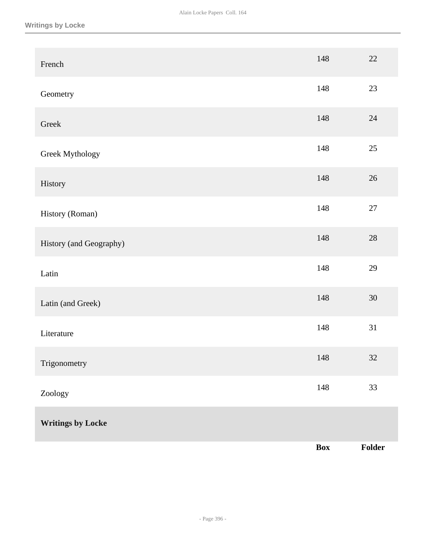| French                   | 148        | $22\,$ |
|--------------------------|------------|--------|
| Geometry                 | 148        | 23     |
| Greek                    | 148        | $24\,$ |
| Greek Mythology          | 148        | $25\,$ |
| History                  | 148        | $26\,$ |
| History (Roman)          | 148        | $27\,$ |
| History (and Geography)  | 148        | $28\,$ |
| Latin                    | 148        | 29     |
| Latin (and Greek)        | 148        | $30\,$ |
| Literature               | 148        | 31     |
| Trigonometry             | 148        | $32\,$ |
| Zoology                  | 148        | 33     |
| <b>Writings by Locke</b> |            |        |
|                          | <b>Box</b> | Folder |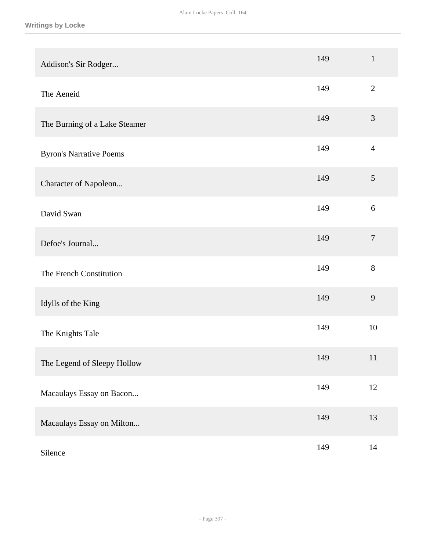| Addison's Sir Rodger           | 149 | $\mathbf{1}$   |
|--------------------------------|-----|----------------|
| The Aeneid                     | 149 | $\overline{2}$ |
| The Burning of a Lake Steamer  | 149 | $\mathfrak{Z}$ |
| <b>Byron's Narrative Poems</b> | 149 | $\overline{4}$ |
| Character of Napoleon          | 149 | $\mathfrak{S}$ |
| David Swan                     | 149 | $6\,$          |
| Defoe's Journal                | 149 | $\overline{7}$ |
| The French Constitution        | 149 | $8\,$          |
| Idylls of the King             | 149 | 9              |
| The Knights Tale               | 149 | 10             |
| The Legend of Sleepy Hollow    | 149 | 11             |
| Macaulays Essay on Bacon       | 149 | $12\,$         |
| Macaulays Essay on Milton      | 149 | 13             |
| Silence                        | 149 | 14             |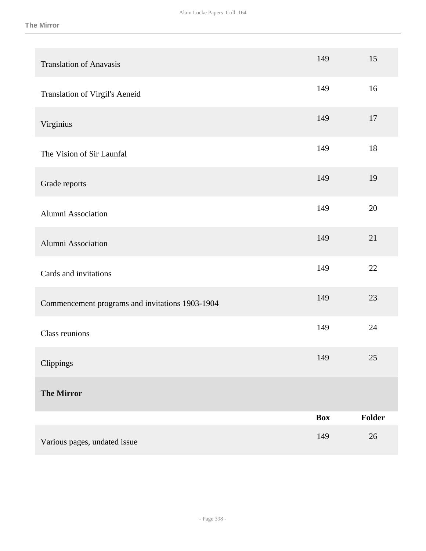| <b>Translation of Anavasis</b>                  | 149        | 15     |
|-------------------------------------------------|------------|--------|
| Translation of Virgil's Aeneid                  | 149        | 16     |
| Virginius                                       | 149        | 17     |
| The Vision of Sir Launfal                       | 149        | 18     |
| Grade reports                                   | 149        | 19     |
| Alumni Association                              | 149        | 20     |
| Alumni Association                              | 149        | 21     |
| Cards and invitations                           | 149        | 22     |
| Commencement programs and invitations 1903-1904 | 149        | 23     |
| <b>Class reunions</b>                           | 149        | 24     |
| Clippings                                       | 149        | 25     |
| <b>The Mirror</b>                               |            |        |
|                                                 | <b>Box</b> | Folder |
| Various pages, undated issue                    | 149        | 26     |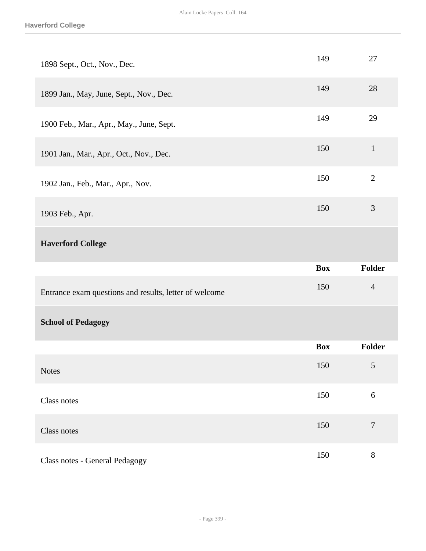| 1898 Sept., Oct., Nov., Dec.                           | 149        | 27               |
|--------------------------------------------------------|------------|------------------|
| 1899 Jan., May, June, Sept., Nov., Dec.                | 149        | 28               |
| 1900 Feb., Mar., Apr., May., June, Sept.               | 149        | 29               |
| 1901 Jan., Mar., Apr., Oct., Nov., Dec.                | 150        | $\mathbf{1}$     |
| 1902 Jan., Feb., Mar., Apr., Nov.                      | 150        | $\mathbf{2}$     |
| 1903 Feb., Apr.                                        | 150        | $\mathfrak{Z}$   |
| <b>Haverford College</b>                               |            |                  |
|                                                        |            |                  |
|                                                        | <b>Box</b> | Folder           |
| Entrance exam questions and results, letter of welcome | 150        | $\overline{4}$   |
| <b>School of Pedagogy</b>                              |            |                  |
|                                                        | <b>Box</b> | Folder           |
| <b>Notes</b>                                           | 150        | 5                |
| Class notes                                            | 150        | 6                |
| Class notes                                            | 150        | $\boldsymbol{7}$ |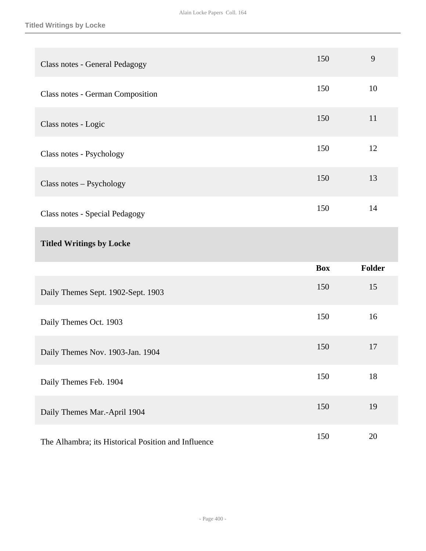| Class notes - General Pedagogy        | 150        | 9             |
|---------------------------------------|------------|---------------|
| Class notes - German Composition      | 150        | 10            |
| Class notes - Logic                   | 150        | 11            |
| Class notes - Psychology              | 150        | 12            |
| Class notes - Psychology              | 150        | 13            |
| <b>Class notes - Special Pedagogy</b> | 150        | 14            |
|                                       |            |               |
| <b>Titled Writings by Locke</b>       |            |               |
|                                       | <b>Box</b> | <b>Folder</b> |
| Daily Themes Sept. 1902-Sept. 1903    | 150        | 15            |
| Daily Themes Oct. 1903                | 150        | 16            |
| Daily Themes Nov. 1903-Jan. 1904      | 150        | 17            |
| Daily Themes Feb. 1904                | 150        | 18            |
| Daily Themes Mar.-April 1904          | 150        | 19            |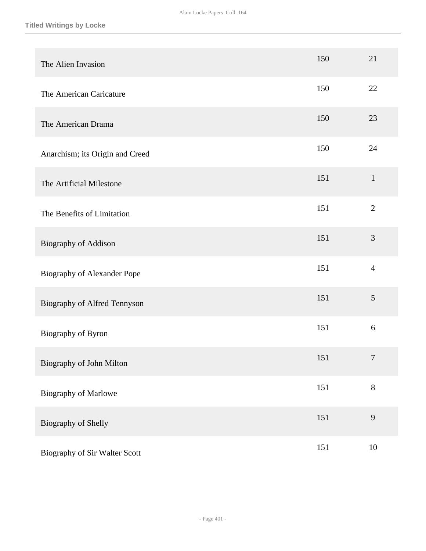| The Alien Invasion                 | 150 | 21             |
|------------------------------------|-----|----------------|
| The American Caricature            | 150 | 22             |
| The American Drama                 | 150 | 23             |
| Anarchism; its Origin and Creed    | 150 | 24             |
| The Artificial Milestone           | 151 | $\mathbf{1}$   |
| The Benefits of Limitation         | 151 | $\overline{2}$ |
| <b>Biography of Addison</b>        | 151 | 3              |
| <b>Biography of Alexander Pope</b> | 151 | $\overline{4}$ |
| Biography of Alfred Tennyson       | 151 | $\mathfrak{S}$ |
| Biography of Byron                 | 151 | 6              |
| Biography of John Milton           | 151 | $\tau$         |
| Biography of Marlowe               | 151 | $8\,$          |
| Biography of Shelly                | 151 | 9              |
| Biography of Sir Walter Scott      | 151 | $10\,$         |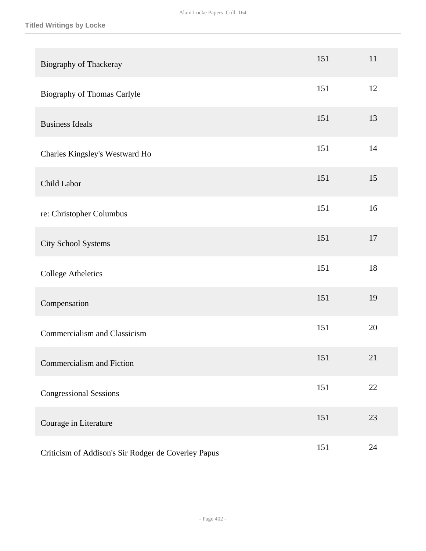| Biography of Thackeray                              | 151 | 11 |
|-----------------------------------------------------|-----|----|
| Biography of Thomas Carlyle                         | 151 | 12 |
| <b>Business Ideals</b>                              | 151 | 13 |
| Charles Kingsley's Westward Ho                      | 151 | 14 |
| Child Labor                                         | 151 | 15 |
| re: Christopher Columbus                            | 151 | 16 |
| City School Systems                                 | 151 | 17 |
| <b>College Atheletics</b>                           | 151 | 18 |
| Compensation                                        | 151 | 19 |
| Commercialism and Classicism                        | 151 | 20 |
| Commercialism and Fiction                           | 151 | 21 |
| <b>Congressional Sessions</b>                       | 151 | 22 |
| Courage in Literature                               | 151 | 23 |
| Criticism of Addison's Sir Rodger de Coverley Papus | 151 | 24 |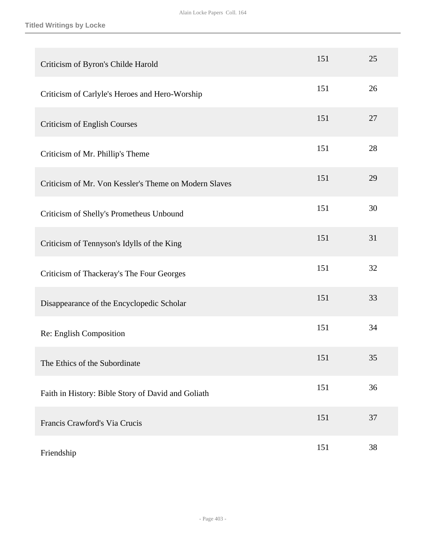**Titled Writings by Locke**

| Criticism of Byron's Childe Harold                    | 151 | 25 |
|-------------------------------------------------------|-----|----|
| Criticism of Carlyle's Heroes and Hero-Worship        | 151 | 26 |
| <b>Criticism of English Courses</b>                   | 151 | 27 |
| Criticism of Mr. Phillip's Theme                      | 151 | 28 |
| Criticism of Mr. Von Kessler's Theme on Modern Slaves | 151 | 29 |
| Criticism of Shelly's Prometheus Unbound              | 151 | 30 |
| Criticism of Tennyson's Idylls of the King            | 151 | 31 |
| Criticism of Thackeray's The Four Georges             | 151 | 32 |
| Disappearance of the Encyclopedic Scholar             | 151 | 33 |
| Re: English Composition                               | 151 | 34 |
| The Ethics of the Subordinate                         | 151 | 35 |
| Faith in History: Bible Story of David and Goliath    | 151 | 36 |
| Francis Crawford's Via Crucis                         | 151 | 37 |
| Friendship                                            | 151 | 38 |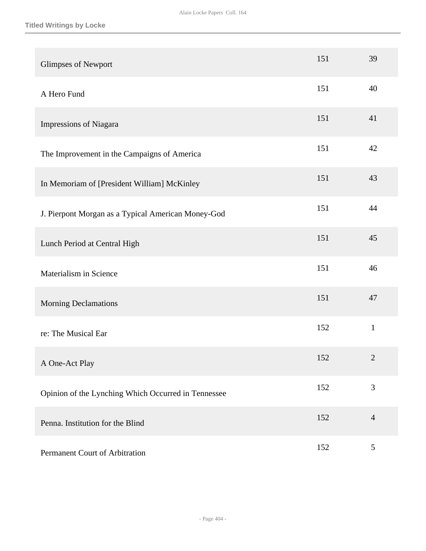| <b>Glimpses of Newport</b>                          | 151 | 39             |
|-----------------------------------------------------|-----|----------------|
| A Hero Fund                                         | 151 | 40             |
| Impressions of Niagara                              | 151 | 41             |
| The Improvement in the Campaigns of America         | 151 | 42             |
| In Memoriam of [President William] McKinley         | 151 | 43             |
| J. Pierpont Morgan as a Typical American Money-God  | 151 | 44             |
| Lunch Period at Central High                        | 151 | 45             |
| Materialism in Science                              | 151 | 46             |
| <b>Morning Declamations</b>                         | 151 | 47             |
| re: The Musical Ear                                 | 152 | $\mathbf{1}$   |
| A One-Act Play                                      | 152 | $\overline{2}$ |
| Opinion of the Lynching Which Occurred in Tennessee | 152 | 3              |
| Penna. Institution for the Blind                    | 152 | $\overline{4}$ |
| Permanent Court of Arbitration                      | 152 | $\mathfrak{S}$ |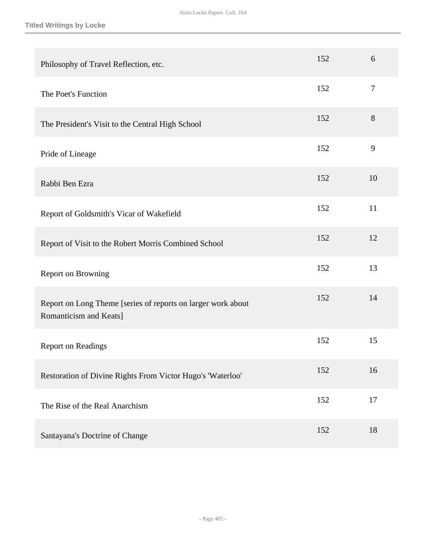| Philosophy of Travel Reflection, etc.                                                  | 152 | 6      |
|----------------------------------------------------------------------------------------|-----|--------|
| The Poet's Function                                                                    | 152 | $\tau$ |
| The President's Visit to the Central High School                                       | 152 | 8      |
| Pride of Lineage                                                                       | 152 | 9      |
| Rabbi Ben Ezra                                                                         | 152 | 10     |
| Report of Goldsmith's Vicar of Wakefield                                               | 152 | 11     |
| Report of Visit to the Robert Morris Combined School                                   | 152 | 12     |
| Report on Browning                                                                     | 152 | 13     |
| Report on Long Theme [series of reports on larger work about<br>Romanticism and Keats] | 152 | 14     |
| <b>Report on Readings</b>                                                              | 152 | 15     |
| Restoration of Divine Rights From Victor Hugo's 'Waterloo'                             | 152 | 16     |
| The Rise of the Real Anarchism                                                         | 152 | 17     |
| Santayana's Doctrine of Change                                                         | 152 | 18     |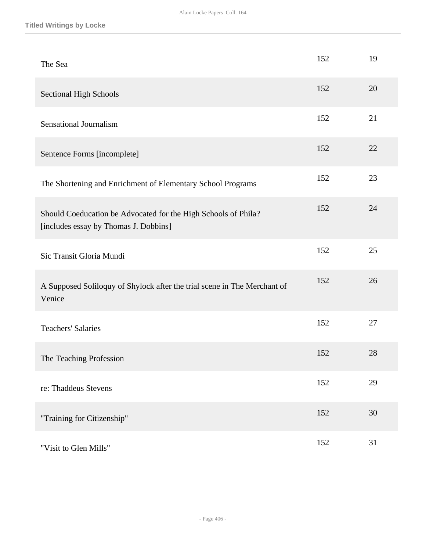| The Sea                                                                                                 | 152 | 19 |
|---------------------------------------------------------------------------------------------------------|-----|----|
| <b>Sectional High Schools</b>                                                                           | 152 | 20 |
| <b>Sensational Journalism</b>                                                                           | 152 | 21 |
| Sentence Forms [incomplete]                                                                             | 152 | 22 |
| The Shortening and Enrichment of Elementary School Programs                                             | 152 | 23 |
| Should Coeducation be Advocated for the High Schools of Phila?<br>[includes essay by Thomas J. Dobbins] | 152 | 24 |
| Sic Transit Gloria Mundi                                                                                | 152 | 25 |
| A Supposed Soliloquy of Shylock after the trial scene in The Merchant of<br>Venice                      | 152 | 26 |
| <b>Teachers' Salaries</b>                                                                               | 152 | 27 |
| The Teaching Profession                                                                                 | 152 | 28 |
| re: Thaddeus Stevens                                                                                    | 152 | 29 |
| "Training for Citizenship"                                                                              | 152 | 30 |
| "Visit to Glen Mills"                                                                                   | 152 | 31 |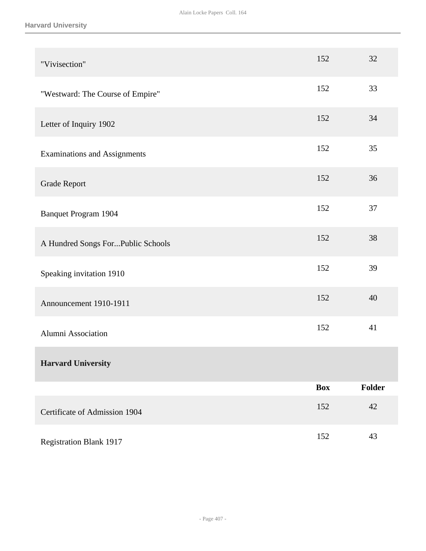### **Harvard University**

| "Vivisection"                        | 152        | 32     |
|--------------------------------------|------------|--------|
| "Westward: The Course of Empire"     | 152        | 33     |
| Letter of Inquiry 1902               | 152        | 34     |
| <b>Examinations and Assignments</b>  | 152        | 35     |
| <b>Grade Report</b>                  | 152        | 36     |
| <b>Banquet Program 1904</b>          | 152        | 37     |
| A Hundred Songs ForPublic Schools    | 152        | 38     |
| Speaking invitation 1910             | 152        | 39     |
| Announcement 1910-1911               | 152        | 40     |
| Alumni Association                   | 152        | 41     |
| <b>Harvard University</b>            |            |        |
|                                      | <b>Box</b> | Folder |
| <b>Certificate of Admission 1904</b> | 152        | 42     |
| <b>Registration Blank 1917</b>       | 152        | 43     |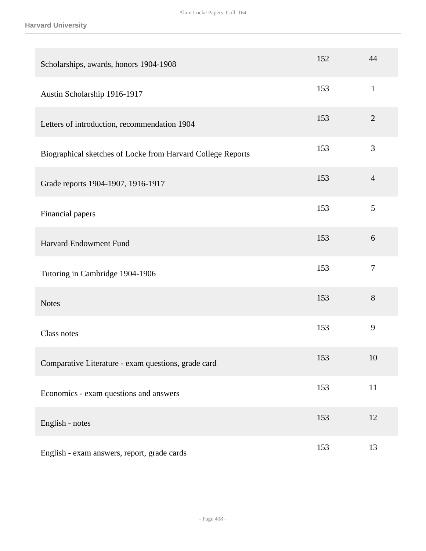#### **Harvard University**

| Scholarships, awards, honors 1904-1908                      | 152 | 44             |
|-------------------------------------------------------------|-----|----------------|
| Austin Scholarship 1916-1917                                | 153 | $\mathbf{1}$   |
| Letters of introduction, recommendation 1904                | 153 | $\overline{2}$ |
| Biographical sketches of Locke from Harvard College Reports | 153 | 3              |
| Grade reports 1904-1907, 1916-1917                          | 153 | $\overline{4}$ |
| Financial papers                                            | 153 | 5              |
| Harvard Endowment Fund                                      | 153 | 6              |
| Tutoring in Cambridge 1904-1906                             | 153 | $\overline{7}$ |
| <b>Notes</b>                                                | 153 | 8              |
| Class notes                                                 | 153 | 9              |
| Comparative Literature - exam questions, grade card         | 153 | 10             |
| Economics - exam questions and answers                      | 153 | $11\,$         |
| English - notes                                             | 153 | 12             |
| English - exam answers, report, grade cards                 | 153 | 13             |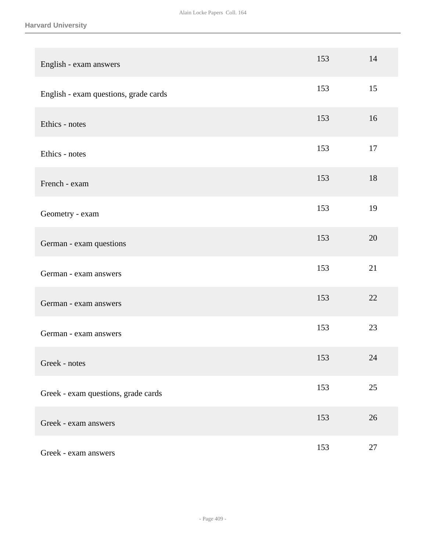**Harvard University**

| English - exam answers                | 153 | 14     |
|---------------------------------------|-----|--------|
| English - exam questions, grade cards | 153 | 15     |
| Ethics - notes                        | 153 | 16     |
| Ethics - notes                        | 153 | 17     |
| French - exam                         | 153 | 18     |
| Geometry - exam                       | 153 | 19     |
| German - exam questions               | 153 | 20     |
| German - exam answers                 | 153 | 21     |
| German - exam answers                 | 153 | 22     |
| German - exam answers                 | 153 | 23     |
| Greek - notes                         | 153 | 24     |
| Greek - exam questions, grade cards   | 153 | 25     |
| Greek - exam answers                  | 153 | 26     |
| Greek - exam answers                  | 153 | $27\,$ |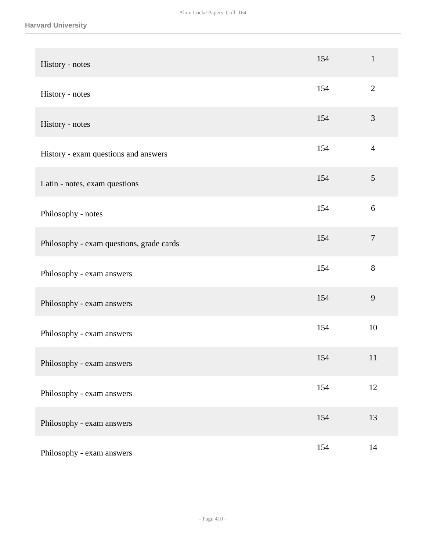| History - notes                          | 154 | $\mathbf{1}$     |
|------------------------------------------|-----|------------------|
| History - notes                          | 154 | $\mathbf{2}$     |
| History - notes                          | 154 | $\mathfrak{Z}$   |
| History - exam questions and answers     | 154 | $\overline{4}$   |
| Latin - notes, exam questions            | 154 | 5                |
| Philosophy - notes                       | 154 | 6                |
| Philosophy - exam questions, grade cards | 154 | $\boldsymbol{7}$ |
| Philosophy - exam answers                | 154 | 8                |
| Philosophy - exam answers                | 154 | 9                |
| Philosophy - exam answers                | 154 | 10               |
| Philosophy - exam answers                | 154 | 11               |
| Philosophy - exam answers                | 154 | 12               |
| Philosophy - exam answers                | 154 | 13               |
| Philosophy - exam answers                | 154 | 14               |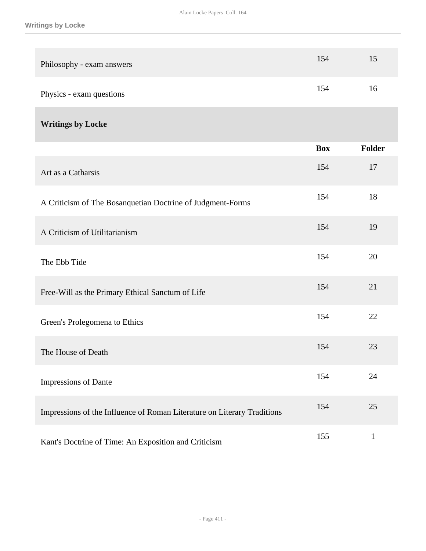| Philosophy - exam answers                                               | 154        | 15           |
|-------------------------------------------------------------------------|------------|--------------|
| Physics - exam questions                                                | 154        | 16           |
| <b>Writings by Locke</b>                                                |            |              |
|                                                                         | <b>Box</b> | Folder       |
| Art as a Catharsis                                                      | 154        | 17           |
| A Criticism of The Bosanquetian Doctrine of Judgment-Forms              | 154        | 18           |
| A Criticism of Utilitarianism                                           | 154        | 19           |
| The Ebb Tide                                                            | 154        | 20           |
| Free-Will as the Primary Ethical Sanctum of Life                        | 154        | 21           |
| Green's Prolegomena to Ethics                                           | 154        | 22           |
| The House of Death                                                      | 154        | 23           |
| Impressions of Dante                                                    | 154        | 24           |
| Impressions of the Influence of Roman Literature on Literary Traditions | 154        | 25           |
| Kant's Doctrine of Time: An Exposition and Criticism                    | 155        | $\mathbf{1}$ |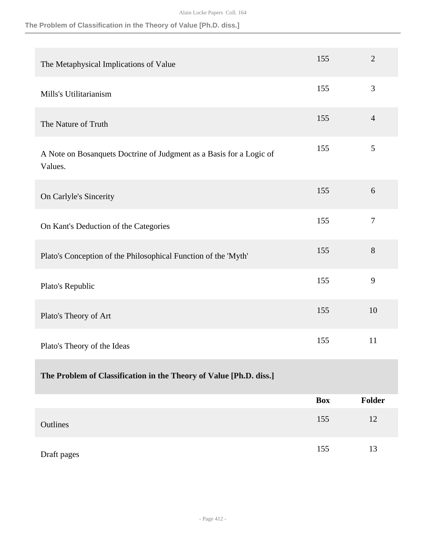## **The Problem of Classification in the Theory of Value [Ph.D. diss.]**

| The Metaphysical Implications of Value                                         | 155        | $\overline{2}$ |
|--------------------------------------------------------------------------------|------------|----------------|
| Mills's Utilitarianism                                                         | 155        | 3              |
| The Nature of Truth                                                            | 155        | $\overline{4}$ |
| A Note on Bosanquets Doctrine of Judgment as a Basis for a Logic of<br>Values. | 155        | 5              |
| On Carlyle's Sincerity                                                         | 155        | 6              |
| On Kant's Deduction of the Categories                                          | 155        | $\overline{7}$ |
| Plato's Conception of the Philosophical Function of the 'Myth'                 | 155        | 8              |
| Plato's Republic                                                               | 155        | 9              |
| Plato's Theory of Art                                                          | 155        | 10             |
| Plato's Theory of the Ideas                                                    | 155        | 11             |
| The Problem of Classification in the Theory of Value [Ph.D. diss.]             |            |                |
|                                                                                | <b>Box</b> | Folder         |
| Outlines                                                                       | 155        | 12             |
| Draft pages                                                                    | 155        | 13             |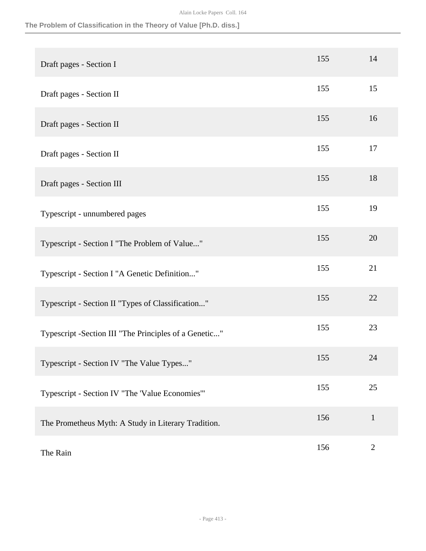## **The Problem of Classification in the Theory of Value [Ph.D. diss.]**

| Draft pages - Section I                                | 155 | 14           |
|--------------------------------------------------------|-----|--------------|
| Draft pages - Section II                               | 155 | 15           |
| Draft pages - Section II                               | 155 | 16           |
| Draft pages - Section II                               | 155 | 17           |
| Draft pages - Section III                              | 155 | 18           |
| Typescript - unnumbered pages                          | 155 | 19           |
| Typescript - Section I "The Problem of Value"          | 155 | 20           |
| Typescript - Section I "A Genetic Definition"          | 155 | 21           |
| Typescript - Section II "Types of Classification"      | 155 | 22           |
| Typescript - Section III "The Principles of a Genetic" | 155 | 23           |
| Typescript - Section IV "The Value Types"              | 155 | 24           |
| Typescript - Section IV "The 'Value Economies'"        | 155 | 25           |
| The Prometheus Myth: A Study in Literary Tradition.    | 156 | $\mathbf{1}$ |
| The Rain                                               | 156 | $\mathbf{2}$ |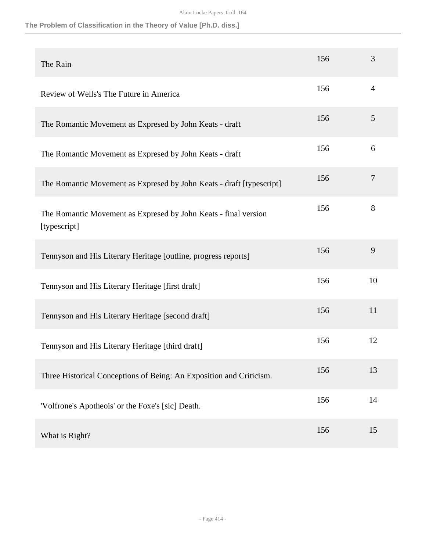## **The Problem of Classification in the Theory of Value [Ph.D. diss.]**

| The Rain                                                                        | 156 | 3              |
|---------------------------------------------------------------------------------|-----|----------------|
| Review of Wells's The Future in America                                         | 156 | $\overline{4}$ |
| The Romantic Movement as Expresed by John Keats - draft                         | 156 | 5              |
| The Romantic Movement as Expresed by John Keats - draft                         | 156 | 6              |
| The Romantic Movement as Expresed by John Keats - draft [typescript]            | 156 | 7              |
| The Romantic Movement as Expresed by John Keats - final version<br>[typescript] | 156 | 8              |
| Tennyson and His Literary Heritage [outline, progress reports]                  | 156 | 9              |
| Tennyson and His Literary Heritage [first draft]                                | 156 | 10             |
| Tennyson and His Literary Heritage [second draft]                               | 156 | 11             |
| Tennyson and His Literary Heritage [third draft]                                | 156 | 12             |
| Three Historical Conceptions of Being: An Exposition and Criticism.             | 156 | 13             |
| 'Volfrone's Apotheois' or the Foxe's [sic] Death.                               | 156 | 14             |
| What is Right?                                                                  | 156 | 15             |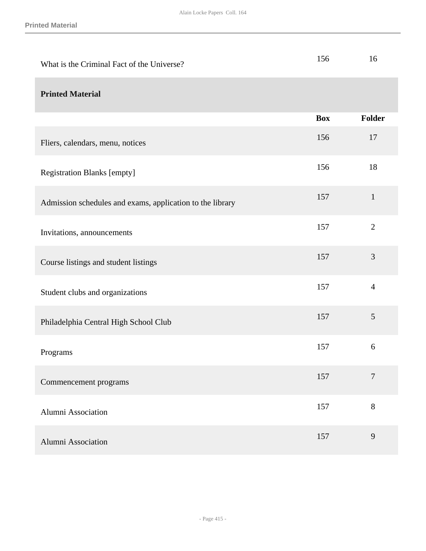| What is the Criminal Fact of the Universe?                | 156        | 16             |
|-----------------------------------------------------------|------------|----------------|
| <b>Printed Material</b>                                   |            |                |
|                                                           | <b>Box</b> | Folder         |
| Fliers, calendars, menu, notices                          | 156        | 17             |
| <b>Registration Blanks [empty]</b>                        | 156        | 18             |
| Admission schedules and exams, application to the library | 157        | $\mathbf{1}$   |
| Invitations, announcements                                | 157        | $\overline{2}$ |
| Course listings and student listings                      | 157        | 3              |
| Student clubs and organizations                           | 157        | $\overline{4}$ |
| Philadelphia Central High School Club                     | 157        | 5              |
| Programs                                                  | 157        | 6              |
| Commencement programs                                     | 157        | $\overline{7}$ |
| <b>Alumni Association</b>                                 | 157        | 8              |
| Alumni Association                                        | 157        | 9              |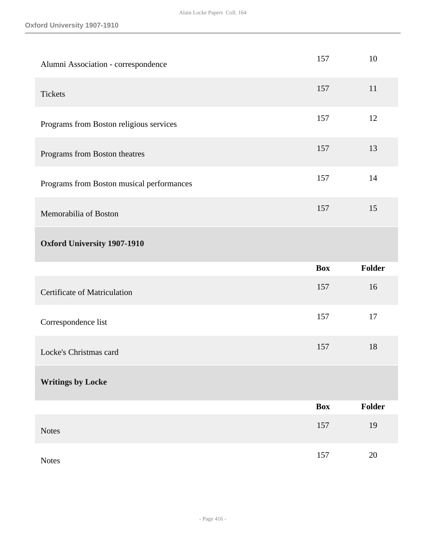| Alumni Association - correspondence       | 157        | 10     |
|-------------------------------------------|------------|--------|
| <b>Tickets</b>                            | 157        | 11     |
| Programs from Boston religious services   | 157        | 12     |
| Programs from Boston theatres             | 157        | 13     |
| Programs from Boston musical performances | 157        | 14     |
| Memorabilia of Boston                     | 157        | 15     |
| <b>Oxford University 1907-1910</b>        |            |        |
|                                           |            |        |
|                                           | <b>Box</b> | Folder |
| Certificate of Matriculation              | 157        | 16     |
| Correspondence list                       | 157        | 17     |
| Locke's Christmas card                    | 157        | 18     |
| <b>Writings by Locke</b>                  |            |        |
|                                           | <b>Box</b> | Folder |
| <b>Notes</b>                              | 157        | 19     |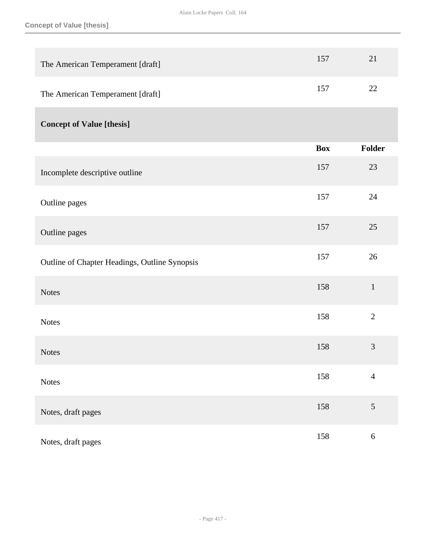| The American Temperament [draft]              | 157        | 21             |
|-----------------------------------------------|------------|----------------|
| The American Temperament [draft]              | 157        | 22             |
| <b>Concept of Value [thesis]</b>              |            |                |
|                                               | <b>Box</b> | <b>Folder</b>  |
| Incomplete descriptive outline                | 157        | 23             |
| Outline pages                                 | 157        | 24             |
| Outline pages                                 | 157        | 25             |
| Outline of Chapter Headings, Outline Synopsis | 157        | 26             |
| <b>Notes</b>                                  | 158        | $\mathbf{1}$   |
| <b>Notes</b>                                  | 158        | $\overline{2}$ |
| <b>Notes</b>                                  | 158        | $\mathfrak{Z}$ |
| <b>Notes</b>                                  | 158        | $\overline{4}$ |
| Notes, draft pages                            | 158        | $\sqrt{5}$     |
| Notes, draft pages                            | 158        | $\sqrt{6}$     |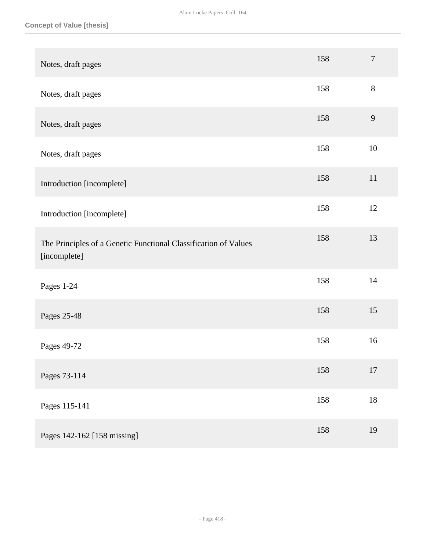| Notes, draft pages                                                              | 158 | $\overline{7}$ |
|---------------------------------------------------------------------------------|-----|----------------|
| Notes, draft pages                                                              | 158 | $8\,$          |
| Notes, draft pages                                                              | 158 | $\mathbf{9}$   |
| Notes, draft pages                                                              | 158 | 10             |
| Introduction [incomplete]                                                       | 158 | 11             |
| Introduction [incomplete]                                                       | 158 | 12             |
| The Principles of a Genetic Functional Classification of Values<br>[incomplete] | 158 | 13             |
| Pages 1-24                                                                      | 158 | 14             |
| Pages 25-48                                                                     | 158 | 15             |
| Pages 49-72                                                                     | 158 | 16             |
| Pages 73-114                                                                    | 158 | $17$           |
| Pages 115-141                                                                   | 158 | $18\,$         |
| Pages 142-162 [158 missing]                                                     | 158 | 19             |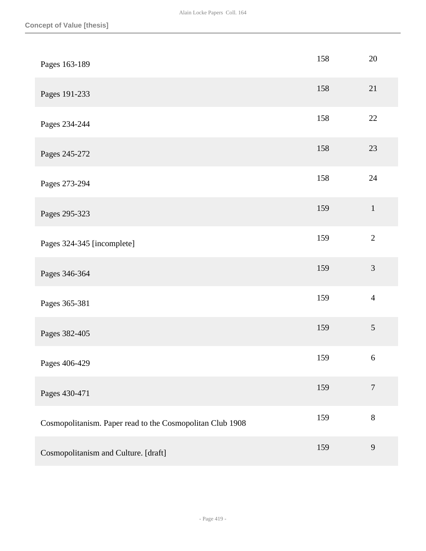| Pages 163-189                                             | 158 | 20               |
|-----------------------------------------------------------|-----|------------------|
| Pages 191-233                                             | 158 | 21               |
| Pages 234-244                                             | 158 | $22\,$           |
| Pages 245-272                                             | 158 | 23               |
| Pages 273-294                                             | 158 | 24               |
| Pages 295-323                                             | 159 | $1\,$            |
| Pages 324-345 [incomplete]                                | 159 | $\overline{2}$   |
| Pages 346-364                                             | 159 | $\mathfrak{Z}$   |
| Pages 365-381                                             | 159 | $\overline{4}$   |
| Pages 382-405                                             | 159 | 5                |
| Pages 406-429                                             | 159 | $\boldsymbol{6}$ |
| Pages 430-471                                             | 159 | $\boldsymbol{7}$ |
| Cosmopolitanism. Paper read to the Cosmopolitan Club 1908 | 159 | 8                |
| Cosmopolitanism and Culture. [draft]                      | 159 | 9                |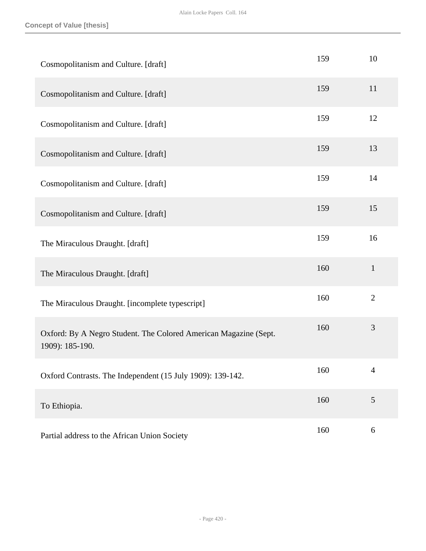| Cosmopolitanism and Culture. [draft]                                                | 159 | 10             |
|-------------------------------------------------------------------------------------|-----|----------------|
| Cosmopolitanism and Culture. [draft]                                                | 159 | 11             |
| Cosmopolitanism and Culture. [draft]                                                | 159 | 12             |
| Cosmopolitanism and Culture. [draft]                                                | 159 | 13             |
| Cosmopolitanism and Culture. [draft]                                                | 159 | 14             |
| Cosmopolitanism and Culture. [draft]                                                | 159 | 15             |
| The Miraculous Draught. [draft]                                                     | 159 | 16             |
| The Miraculous Draught. [draft]                                                     | 160 | $\mathbf{1}$   |
| The Miraculous Draught. [incomplete typescript]                                     | 160 | $\overline{2}$ |
| Oxford: By A Negro Student. The Colored American Magazine (Sept.<br>1909): 185-190. | 160 | $\mathfrak{Z}$ |
| Oxford Contrasts. The Independent (15 July 1909): 139-142.                          | 160 | $\overline{4}$ |
| To Ethiopia.                                                                        | 160 | 5              |
| Partial address to the African Union Society                                        | 160 | 6              |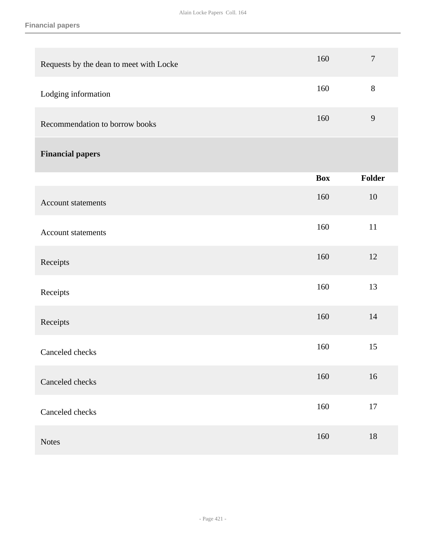### **Financial papers**

| Requests by the dean to meet with Locke | 160        | $\overline{7}$   |
|-----------------------------------------|------------|------------------|
| Lodging information                     | 160        | $8\,$            |
| Recommendation to borrow books          | 160        | $\boldsymbol{9}$ |
| <b>Financial papers</b>                 |            |                  |
|                                         | <b>Box</b> | <b>Folder</b>    |
| Account statements                      | 160        | 10               |
| Account statements                      | 160        | 11               |
| Receipts                                | 160        | 12               |
| Receipts                                | 160        | 13               |
| Receipts                                | 160        | 14               |
| Canceled checks                         | 160        | 15               |
| Canceled checks                         | 160        | $16\,$           |
| Canceled checks                         | 160        | $17\,$           |
| <b>Notes</b>                            | 160        | 18               |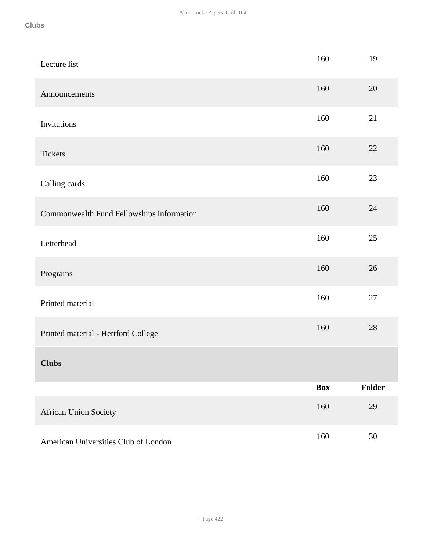| Lecture list                              | 160        | 19     |
|-------------------------------------------|------------|--------|
| Announcements                             | 160        | 20     |
| Invitations                               | 160        | 21     |
| <b>Tickets</b>                            | 160        | 22     |
| Calling cards                             | 160        | 23     |
| Commonwealth Fund Fellowships information | 160        | 24     |
| Letterhead                                | 160        | 25     |
| Programs                                  | 160        | 26     |
| Printed material                          | 160        | 27     |
| Printed material - Hertford College       | 160        | 28     |
| <b>Clubs</b>                              |            |        |
|                                           | <b>Box</b> | Folder |
| African Union Society                     | 160        | 29     |
| American Universities Club of London      | 160        | $30\,$ |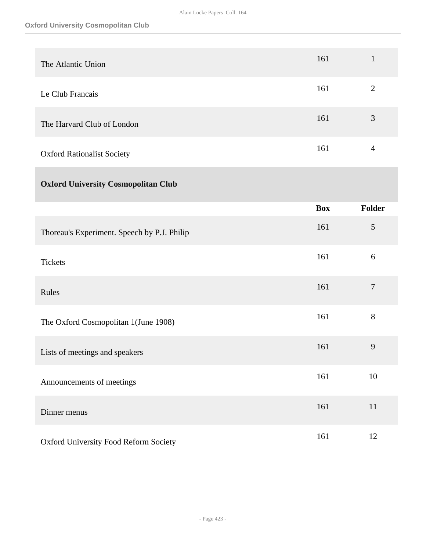| The Atlantic Union                          | 161        | $\mathbf{1}$     |
|---------------------------------------------|------------|------------------|
| Le Club Francais                            | 161        | $\mathbf{2}$     |
| The Harvard Club of London                  | 161        | $\mathfrak{Z}$   |
| <b>Oxford Rationalist Society</b>           | 161        | $\overline{4}$   |
| <b>Oxford University Cosmopolitan Club</b>  |            |                  |
|                                             | <b>Box</b> | Folder           |
| Thoreau's Experiment. Speech by P.J. Philip | 161        | $\mathfrak{S}$   |
| <b>Tickets</b>                              | 161        | 6                |
| Rules                                       | 161        | $\boldsymbol{7}$ |
| The Oxford Cosmopolitan 1(June 1908)        | 161        | 8                |
| Lists of meetings and speakers              | 161        | 9                |
| Announcements of meetings                   | 161        | 10               |
| Dinner menus                                | 161        | 11               |
| Oxford University Food Reform Society       | 161        | 12               |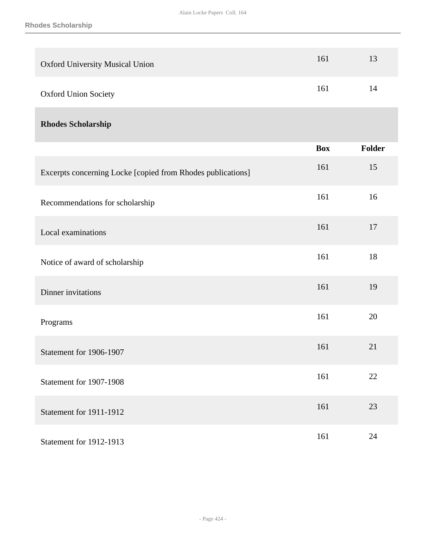| <b>Oxford University Musical Union</b>                      | 161        | 13     |
|-------------------------------------------------------------|------------|--------|
| <b>Oxford Union Society</b>                                 | 161        | 14     |
| <b>Rhodes Scholarship</b>                                   |            |        |
|                                                             | <b>Box</b> | Folder |
| Excerpts concerning Locke [copied from Rhodes publications] | 161        | 15     |
| Recommendations for scholarship                             | 161        | 16     |
| Local examinations                                          | 161        | 17     |
| Notice of award of scholarship                              | 161        | 18     |
| Dinner invitations                                          | 161        | 19     |
| Programs                                                    | 161        | 20     |
| Statement for 1906-1907                                     | 161        | 21     |
| Statement for 1907-1908                                     | 161        | 22     |
| Statement for 1911-1912                                     | 161        | 23     |
| <b>Statement for 1912-1913</b>                              | 161        | $24\,$ |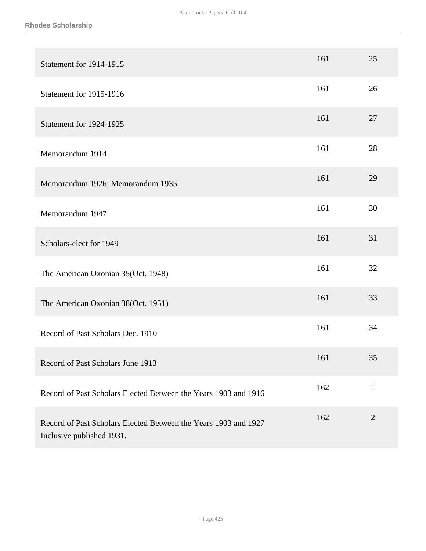| Statement for 1914-1915                                                                      | 161 | 25             |
|----------------------------------------------------------------------------------------------|-----|----------------|
| Statement for 1915-1916                                                                      | 161 | 26             |
| Statement for 1924-1925                                                                      | 161 | 27             |
| Memorandum 1914                                                                              | 161 | 28             |
| Memorandum 1926; Memorandum 1935                                                             | 161 | 29             |
| Memorandum 1947                                                                              | 161 | 30             |
| Scholars-elect for 1949                                                                      | 161 | 31             |
| The American Oxonian 35(Oct. 1948)                                                           | 161 | 32             |
| The American Oxonian 38(Oct. 1951)                                                           | 161 | 33             |
| Record of Past Scholars Dec. 1910                                                            | 161 | 34             |
| Record of Past Scholars June 1913                                                            | 161 | 35             |
| Record of Past Scholars Elected Between the Years 1903 and 1916                              | 162 | $\mathbf{1}$   |
| Record of Past Scholars Elected Between the Years 1903 and 1927<br>Inclusive published 1931. | 162 | $\overline{2}$ |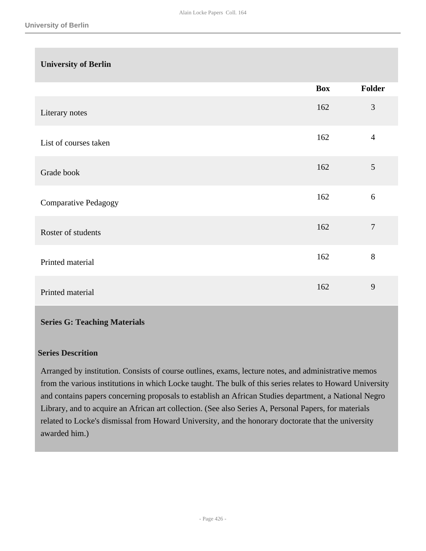| <b>University of Berlin</b> |            |                |
|-----------------------------|------------|----------------|
|                             | <b>Box</b> | Folder         |
| Literary notes              | 162        | 3              |
| List of courses taken       | 162        | $\overline{4}$ |
| Grade book                  | 162        | $\mathfrak{S}$ |
| <b>Comparative Pedagogy</b> | 162        | 6              |
| Roster of students          | 162        | $\overline{7}$ |
| Printed material            | 162        | 8              |
| Printed material            | 162        | 9              |

## **Series G: Teaching Materials**

## **Series Descrition**

Arranged by institution. Consists of course outlines, exams, lecture notes, and administrative memos from the various institutions in which Locke taught. The bulk of this series relates to Howard University and contains papers concerning proposals to establish an African Studies department, a National Negro Library, and to acquire an African art collection. (See also Series A, Personal Papers, for materials related to Locke's dismissal from Howard University, and the honorary doctorate that the university awarded him.)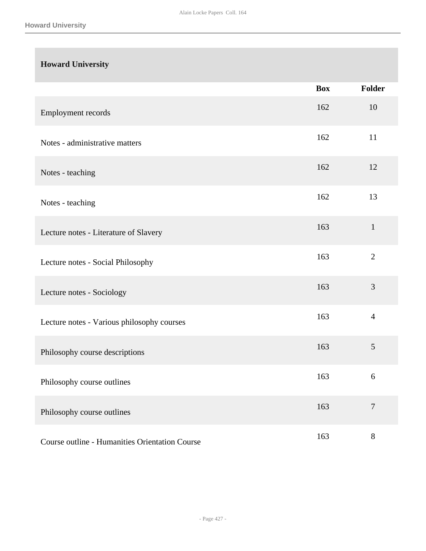# **Howard University**

|                                                | <b>Box</b> | Folder         |
|------------------------------------------------|------------|----------------|
| Employment records                             | 162        | 10             |
| Notes - administrative matters                 | 162        | 11             |
| Notes - teaching                               | 162        | 12             |
| Notes - teaching                               | 162        | 13             |
| Lecture notes - Literature of Slavery          | 163        | $\mathbf{1}$   |
| Lecture notes - Social Philosophy              | 163        | $\overline{2}$ |
| Lecture notes - Sociology                      | 163        | 3              |
| Lecture notes - Various philosophy courses     | 163        | $\overline{4}$ |
| Philosophy course descriptions                 | 163        | 5              |
| Philosophy course outlines                     | 163        | 6              |
| Philosophy course outlines                     | 163        | $\overline{7}$ |
| Course outline - Humanities Orientation Course | 163        | $8\,$          |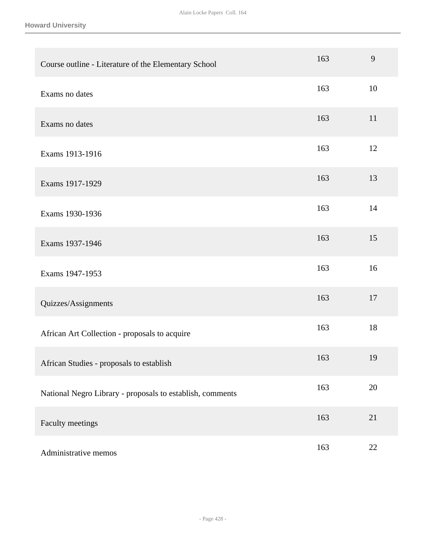**Howard University**

| Course outline - Literature of the Elementary School      | 163 | 9  |
|-----------------------------------------------------------|-----|----|
| Exams no dates                                            | 163 | 10 |
| Exams no dates                                            | 163 | 11 |
| Exams 1913-1916                                           | 163 | 12 |
| Exams 1917-1929                                           | 163 | 13 |
| Exams 1930-1936                                           | 163 | 14 |
| Exams 1937-1946                                           | 163 | 15 |
| Exams 1947-1953                                           | 163 | 16 |
| Quizzes/Assignments                                       | 163 | 17 |
| African Art Collection - proposals to acquire             | 163 | 18 |
| African Studies - proposals to establish                  | 163 | 19 |
| National Negro Library - proposals to establish, comments | 163 | 20 |
| Faculty meetings                                          | 163 | 21 |
| Administrative memos                                      | 163 | 22 |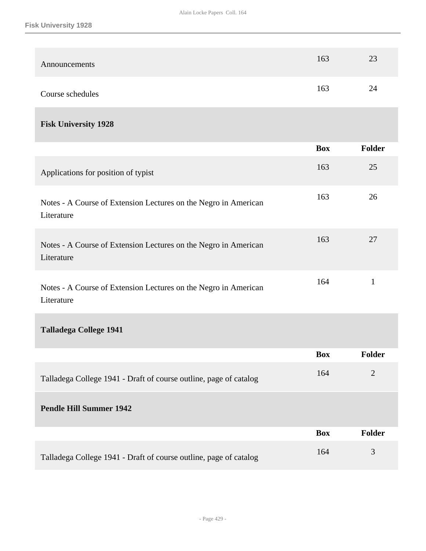| Announcements                                                                 | 163        | 23             |
|-------------------------------------------------------------------------------|------------|----------------|
| Course schedules                                                              | 163        | 24             |
| <b>Fisk University 1928</b>                                                   |            |                |
|                                                                               | <b>Box</b> | <b>Folder</b>  |
| Applications for position of typist                                           | 163        | 25             |
| Notes - A Course of Extension Lectures on the Negro in American<br>Literature | 163        | 26             |
| Notes - A Course of Extension Lectures on the Negro in American<br>Literature | 163        | 27             |
| Notes - A Course of Extension Lectures on the Negro in American<br>Literature | 164        | $\mathbf{1}$   |
| <b>Talladega College 1941</b>                                                 |            |                |
|                                                                               | <b>Box</b> | <b>Folder</b>  |
| Talladega College 1941 - Draft of course outline, page of catalog             | 164        | $\overline{2}$ |
| <b>Pendle Hill Summer 1942</b>                                                |            |                |
|                                                                               | <b>Box</b> | <b>Folder</b>  |
| Talladega College 1941 - Draft of course outline, page of catalog             | 164        | 3              |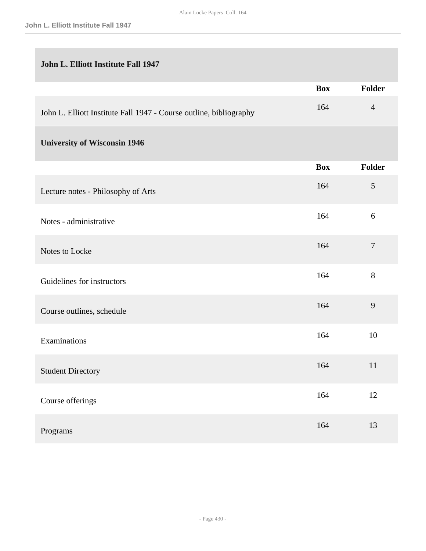# **John L. Elliott Institute Fall 1947**

|                                                                    | <b>Box</b> | <b>Folder</b>  |
|--------------------------------------------------------------------|------------|----------------|
| John L. Elliott Institute Fall 1947 - Course outline, bibliography | 164        | $\overline{4}$ |
| <b>University of Wisconsin 1946</b>                                |            |                |
|                                                                    | <b>Box</b> | <b>Folder</b>  |
| Lecture notes - Philosophy of Arts                                 | 164        | 5              |
| Notes - administrative                                             | 164        | 6              |
| Notes to Locke                                                     | 164        | $\tau$         |
| Guidelines for instructors                                         | 164        | $8\,$          |
| Course outlines, schedule                                          | 164        | 9              |
| Examinations                                                       | 164        | 10             |
| <b>Student Directory</b>                                           | 164        | 11             |
| Course offerings                                                   | 164        | 12             |
| Programs                                                           | 164        | 13             |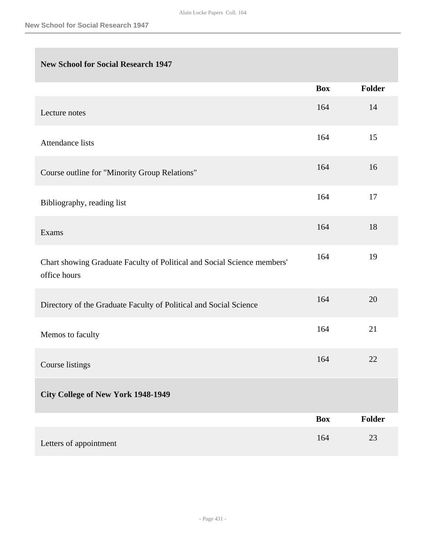# **New School for Social Research 1947**

|                                                                                         | <b>Box</b> | <b>Folder</b> |
|-----------------------------------------------------------------------------------------|------------|---------------|
| Lecture notes                                                                           | 164        | 14            |
| <b>Attendance lists</b>                                                                 | 164        | 15            |
| Course outline for "Minority Group Relations"                                           | 164        | 16            |
| Bibliography, reading list                                                              | 164        | 17            |
| Exams                                                                                   | 164        | 18            |
| Chart showing Graduate Faculty of Political and Social Science members'<br>office hours | 164        | 19            |
| Directory of the Graduate Faculty of Political and Social Science                       | 164        | 20            |
| Memos to faculty                                                                        | 164        | 21            |
| Course listings                                                                         | 164        | 22            |
| <b>City College of New York 1948-1949</b>                                               |            |               |
|                                                                                         | <b>Box</b> | Folder        |
| Letters of appointment                                                                  | 164        | $23\,$        |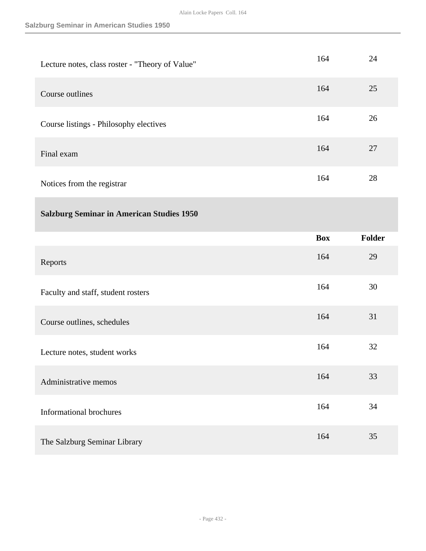## **Salzburg Seminar in American Studies 1950**

| Lecture notes, class roster - "Theory of Value"  | 164        | 24            |
|--------------------------------------------------|------------|---------------|
| Course outlines                                  | 164        | 25            |
| Course listings - Philosophy electives           | 164        | 26            |
| Final exam                                       | 164        | 27            |
| Notices from the registrar                       | 164        | 28            |
| <b>Salzburg Seminar in American Studies 1950</b> |            |               |
|                                                  | <b>Box</b> | <b>Folder</b> |
|                                                  |            |               |
| Reports                                          | 164        | 29            |
| Faculty and staff, student rosters               | 164        | 30            |
| Course outlines, schedules                       | 164        | 31            |
| Lecture notes, student works                     | 164        | 32            |
| Administrative memos                             | 164        | 33            |
| <b>Informational brochures</b>                   | 164        | 34            |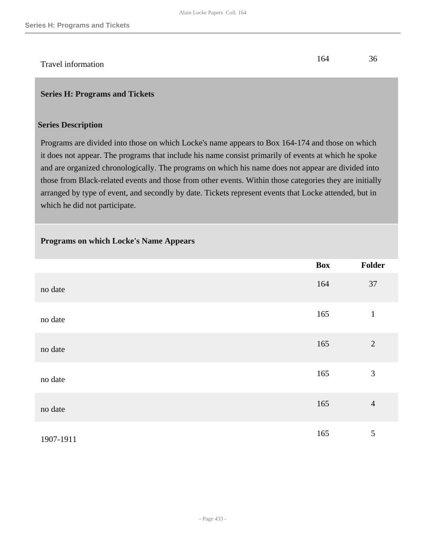# Travel information 164 36

## **Series H: Programs and Tickets**

#### **Series Description**

Programs are divided into those on which Locke's name appears to Box 164-174 and those on which it does not appear. The programs that include his name consist primarily of events at which he spoke and are organized chronologically. The programs on which his name does not appear are divided into those from Black-related events and those from other events. Within those categories they are initially arranged by type of event, and secondly by date. Tickets represent events that Locke attended, but in which he did not participate.

## **Programs on which Locke's Name Appears**

|           | <b>Box</b> | Folder         |
|-----------|------------|----------------|
| no date   | 164        | 37             |
| no date   | 165        | $\mathbf{1}$   |
| no date   | 165        | $\overline{2}$ |
| no date   | 165        | $\mathfrak{Z}$ |
| no date   | 165        | $\overline{4}$ |
| 1907-1911 | 165        | $\mathfrak{S}$ |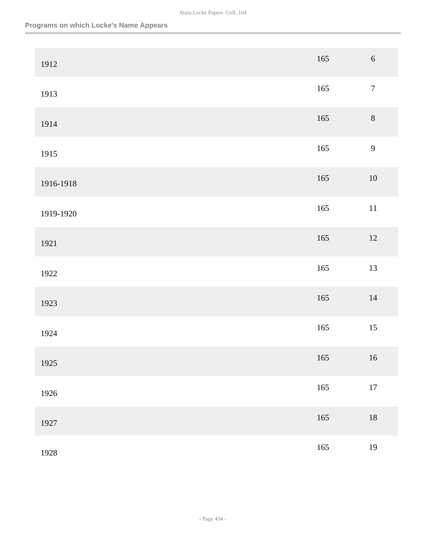| 1912      | 165     | $\sqrt{6}$       |
|-----------|---------|------------------|
| 1913      | 165     | $\boldsymbol{7}$ |
| 1914      | $165\,$ | $8\,$            |
| 1915      | 165     | 9                |
| 1916-1918 | $165\,$ | $10\,$           |
| 1919-1920 | 165     | $11\,$           |
| 1921      | 165     | $12\,$           |
| 1922      | 165     | 13               |
| 1923      | 165     | $14\,$           |
| 1924      | $165\,$ | $15\,$           |
| 1925      | 165     | 16               |
| 1926      | $165\,$ | $17\,$           |
| 1927      | 165     | $18\,$           |
| 1928      | $165\,$ | 19               |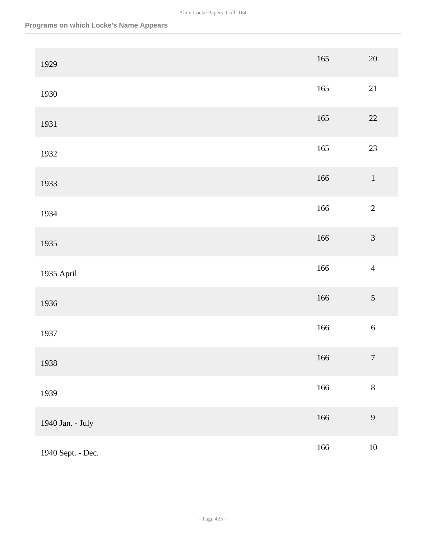| 1929              | 165     | $20\,$           |
|-------------------|---------|------------------|
| 1930              | 165     | 21               |
| 1931              | $165\,$ | $22\,$           |
| 1932              | $165\,$ | 23               |
| 1933              | 166     | $\,1$            |
| 1934              | 166     | $\overline{c}$   |
| 1935              | 166     | $\mathfrak{Z}$   |
| 1935 April        | 166     | $\overline{4}$   |
| 1936              | 166     | $\mathfrak{S}$   |
| 1937              | 166     | $\sqrt{6}$       |
| 1938              | 166     | $\boldsymbol{7}$ |
| 1939              | 166     | $\,8\,$          |
| 1940 Jan. - July  | $166\,$ | $\overline{9}$   |
| 1940 Sept. - Dec. | 166     | $10\,$           |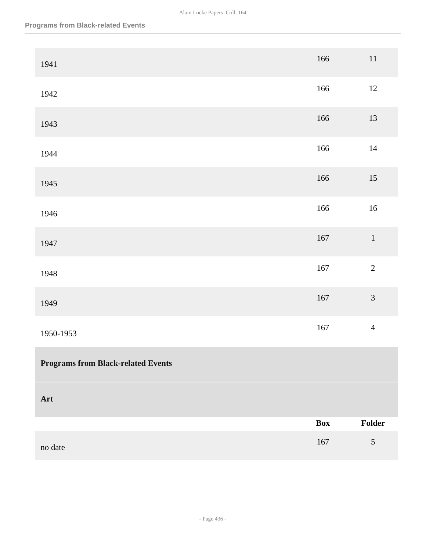| 1941                                      | 166            | $11\,$         |
|-------------------------------------------|----------------|----------------|
| 1942                                      | 166            | $12\,$         |
| 1943                                      | 166            | $13\,$         |
| 1944                                      | 166            | $14\,$         |
| 1945                                      | 166            | $15\,$         |
| 1946                                      | 166            | $16\,$         |
| 1947                                      | $167\,$        | $\,1\,$        |
| 1948                                      | 167            | $\overline{c}$ |
| 1949                                      | $167\,$        | $\mathfrak{Z}$ |
| 1950-1953                                 | $167\,$        | $\overline{4}$ |
| <b>Programs from Black-related Events</b> |                |                |
| Art                                       |                |                |
|                                           | $\mathbf{Box}$ | Folder         |
| no date                                   | $167\,$        | $\sqrt{5}$     |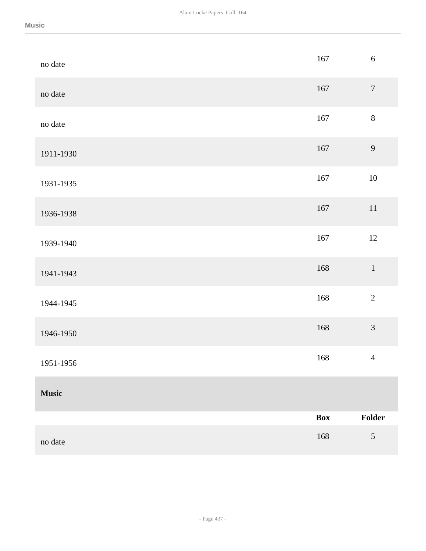| no date      | $167\,$ | $\sqrt{6}$       |
|--------------|---------|------------------|
| no date      | 167     | $\boldsymbol{7}$ |
| no date      | 167     | $8\,$            |
| 1911-1930    | 167     | $\mathbf{9}$     |
| 1931-1935    | 167     | $10\,$           |
| 1936-1938    | $167\,$ | $11\,$           |
| 1939-1940    | 167     | $12\,$           |
| 1941-1943    | 168     | $\,1\,$          |
| 1944-1945    | 168     | $\overline{2}$   |
| 1946-1950    | 168     | $\overline{3}$   |
| 1951-1956    | 168     | $\overline{4}$   |
| <b>Music</b> |         |                  |
|              | Box     | Folder           |
| no date      | $168\,$ | $\sqrt{5}$       |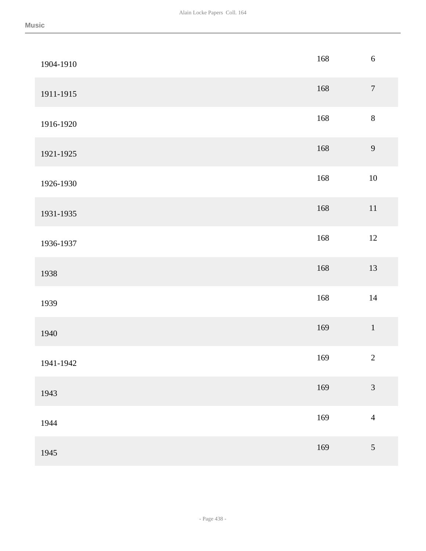| 1904-1910 | 168 | $\sqrt{6}$                  |
|-----------|-----|-----------------------------|
| 1911-1915 | 168 | $\boldsymbol{7}$            |
| 1916-1920 | 168 | $8\,$                       |
| 1921-1925 | 168 | 9                           |
| 1926-1930 | 168 | $10\,$                      |
| 1931-1935 | 168 | $11\,$                      |
| 1936-1937 | 168 | $12\,$                      |
| 1938      | 168 | 13                          |
| 1939      | 168 | $14\,$                      |
| 1940      | 169 | $\,1\,$                     |
| 1941-1942 | 169 | $\sqrt{2}$                  |
| 1943      | 169 | $\ensuremath{\mathfrak{Z}}$ |
| 1944      | 169 | $\overline{4}$              |
| 1945      | 169 | $\sqrt{5}$                  |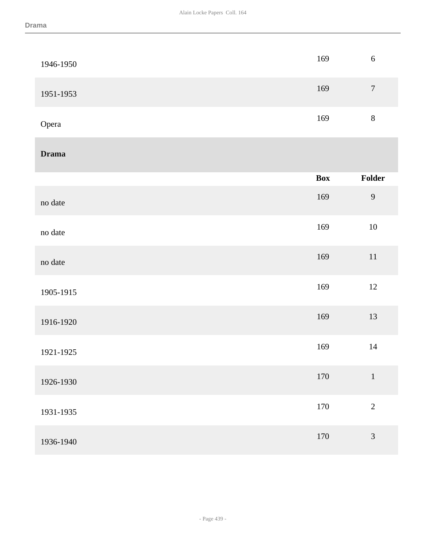| 1946-1950    | 169        | $\sqrt{6}$       |
|--------------|------------|------------------|
| 1951-1953    | 169        | $\boldsymbol{7}$ |
| Opera        | 169        | $\,8\,$          |
| <b>Drama</b> |            |                  |
|              | <b>Box</b> | Folder           |
| no date      | 169        | $\overline{9}$   |
| no date      | 169        | $10\,$           |
| no date      | 169        | $11\,$           |
| 1905-1915    | 169        | $12\,$           |
| 1916-1920    | 169        | 13               |
| 1921-1925    | 169        | $14\,$           |
| 1926-1930    | $170\,$    | $\,1\,$          |
| 1931-1935    | $170\,$    | $\overline{2}$   |
| 1936-1940    | $170\,$    | $\mathfrak{Z}$   |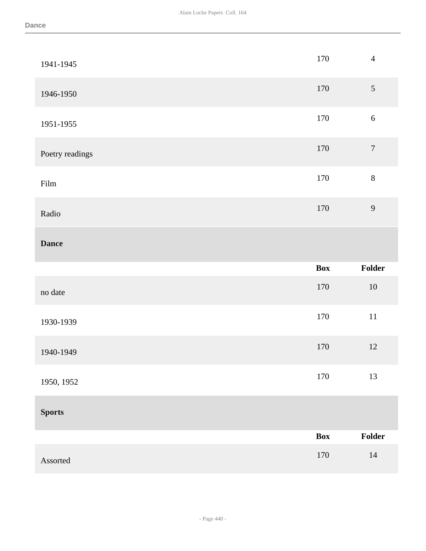| 1941-1945       | 170        | $\overline{4}$   |
|-----------------|------------|------------------|
| 1946-1950       | 170        | $\mathfrak{S}$   |
| 1951-1955       | 170        | $\sqrt{6}$       |
| Poetry readings | 170        | $\boldsymbol{7}$ |
| Film            | 170        | $8\,$            |
| Radio           | 170        | 9                |
| <b>Dance</b>    |            |                  |
|                 |            |                  |
|                 | <b>Box</b> | Folder           |
| no date         | 170        | $10\,$           |
| 1930-1939       | $170\,$    | $11\,$           |
| 1940-1949       | 170        | $12\,$           |
| 1950, 1952      | 170        | 13               |
| <b>Sports</b>   |            |                  |
|                 | <b>Box</b> | Folder           |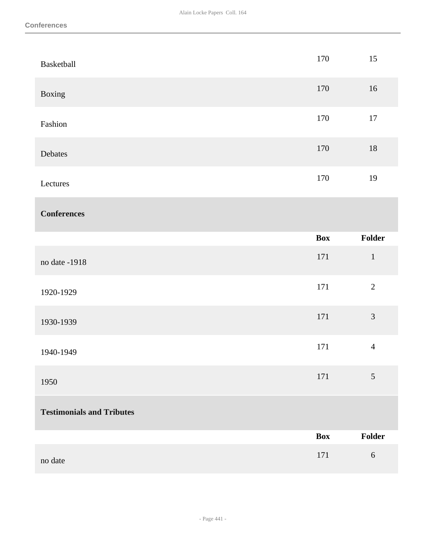| Basketball                       | 170        | 15             |
|----------------------------------|------------|----------------|
| Boxing                           | 170        | 16             |
| Fashion                          | 170        | $17\,$         |
| Debates                          | 170        | $18\,$         |
| Lectures                         | 170        | 19             |
| <b>Conferences</b>               |            |                |
|                                  | <b>Box</b> | Folder         |
| no date -1918                    | $171\,$    | $1\,$          |
| 1920-1929                        | 171        | $\overline{2}$ |
| 1930-1939                        | $171\,$    | $\mathfrak{Z}$ |
| 1940-1949                        | 171        | $\overline{4}$ |
| 1950                             | 171        | $\sqrt{5}$     |
| <b>Testimonials and Tributes</b> |            |                |
|                                  | <b>Box</b> | Folder         |
| no date                          | $171\,$    | $\sqrt{6}$     |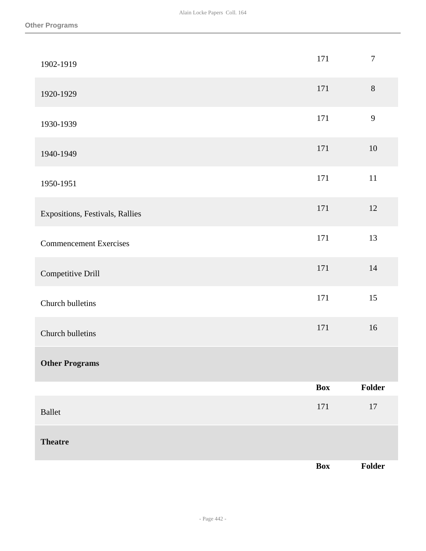| 1902-1919                       | 171        | $\boldsymbol{7}$ |
|---------------------------------|------------|------------------|
| 1920-1929                       | 171        | $8\,$            |
| 1930-1939                       | 171        | 9                |
| 1940-1949                       | 171        | $10\,$           |
| 1950-1951                       | 171        | $11\,$           |
| Expositions, Festivals, Rallies | 171        | 12               |
| <b>Commencement Exercises</b>   | 171        | 13               |
| Competitive Drill               | 171        | 14               |
| Church bulletins                | 171        | 15               |
| Church bulletins                | 171        | 16               |
| <b>Other Programs</b>           |            |                  |
|                                 | <b>Box</b> | Folder           |
| <b>Ballet</b>                   | 171        | $17\,$           |
| <b>Theatre</b>                  |            |                  |
|                                 | Box        | Folder           |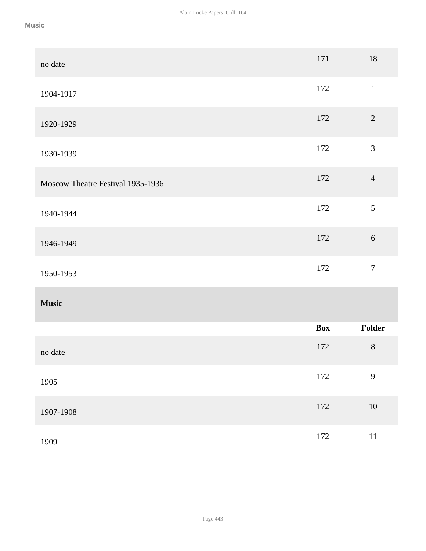| no date                           | 171        | 18               |
|-----------------------------------|------------|------------------|
| 1904-1917                         | 172        | $1\,$            |
| 1920-1929                         | 172        | $\overline{2}$   |
| 1930-1939                         | 172        | $\mathfrak{Z}$   |
| Moscow Theatre Festival 1935-1936 | 172        | $\overline{4}$   |
| 1940-1944                         | 172        | 5                |
| 1946-1949                         | 172        | $\sqrt{6}$       |
| 1950-1953                         | 172        | $\boldsymbol{7}$ |
| <b>Music</b>                      |            |                  |
|                                   | <b>Box</b> | Folder           |
| no date                           | 172        | $\, 8$           |
| 1905                              | 172        | $\overline{9}$   |
| 1907-1908                         | 172        | $10\,$           |
| 1909                              | $172\,$    | $11\,$           |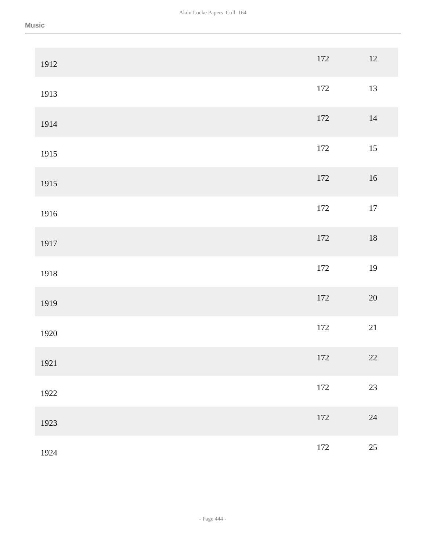| 1912 | 172     | $12\,$ |
|------|---------|--------|
| 1913 | 172     | 13     |
| 1914 | 172     | $14\,$ |
| 1915 | $172\,$ | 15     |
| 1915 | $172\,$ | $16\,$ |
| 1916 | 172     | $17\,$ |
| 1917 | $172\,$ | $18\,$ |
| 1918 | $172\,$ | 19     |
| 1919 | $172\,$ | $20\,$ |
| 1920 | 172     | 21     |
| 1921 | 172     | 22     |
| 1922 | 172     | 23     |
| 1923 | 172     | 24     |
| 1924 | 172     | $25\,$ |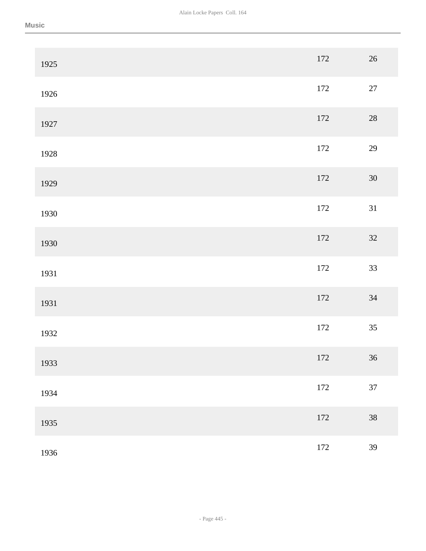| 1925 | 172     | $26\,$ |
|------|---------|--------|
| 1926 | 172     | $27\,$ |
| 1927 | $172\,$ | $28\,$ |
| 1928 | 172     | $29\,$ |
| 1929 | 172     | $30\,$ |
| 1930 | 172     | 31     |
| 1930 | 172     | $32\,$ |
| 1931 | 172     | 33     |
| 1931 | $172\,$ | 34     |
| 1932 | $172\,$ | 35     |
| 1933 | $172\,$ | 36     |
| 1934 | 172     | $37\,$ |
| 1935 | $172\,$ | $38\,$ |
| 1936 | 172     | 39     |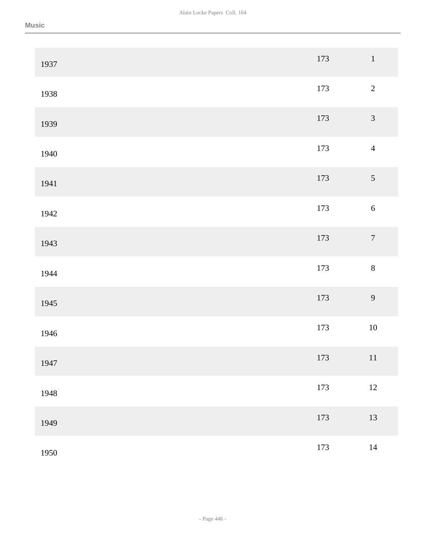| 1937 | 173 | $\,1\,$          |
|------|-----|------------------|
| 1938 | 173 | $\sqrt{2}$       |
| 1939 | 173 | $\sqrt{3}$       |
| 1940 | 173 | $\overline{4}$   |
| 1941 | 173 | $\sqrt{5}$       |
| 1942 | 173 | $\sqrt{6}$       |
| 1943 | 173 | $\boldsymbol{7}$ |
| 1944 | 173 | $\,8\,$          |
| 1945 | 173 | 9                |
| 1946 | 173 | $10\,$           |
| 1947 | 173 | 11               |
| 1948 | 173 | $12\,$           |
| 1949 | 173 | 13               |
| 1950 | 173 | $14\,$           |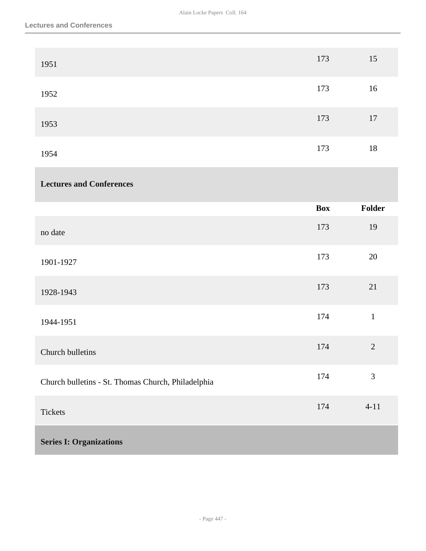| 1951                                               | 173        | 15             |
|----------------------------------------------------|------------|----------------|
| 1952                                               | 173        | $16\,$         |
| 1953                                               | 173        | $17\,$         |
| 1954                                               | 173        | $18\,$         |
| <b>Lectures and Conferences</b>                    |            |                |
|                                                    | <b>Box</b> | Folder         |
| no date                                            | 173        | 19             |
| 1901-1927                                          | 173        | $20\,$         |
| 1928-1943                                          | 173        | 21             |
| 1944-1951                                          | 174        | $1\,$          |
| Church bulletins                                   | 174        | $\overline{2}$ |
| Church bulletins - St. Thomas Church, Philadelphia | 174        | $\mathfrak{Z}$ |
| Tickets                                            | 174        | $4 - 11$       |
| <b>Series I: Organizations</b>                     |            |                |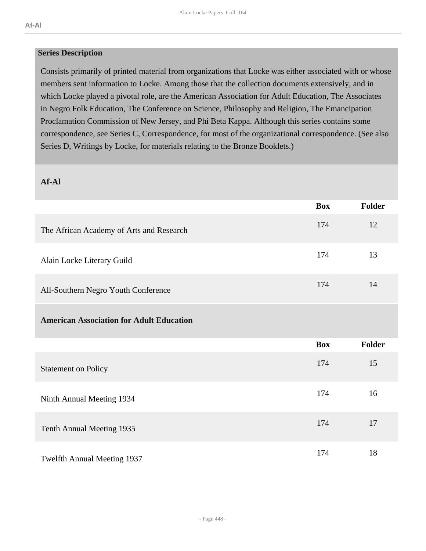#### **Series Description**

Consists primarily of printed material from organizations that Locke was either associated with or whose members sent information to Locke. Among those that the collection documents extensively, and in which Locke played a pivotal role, are the American Association for Adult Education, The Associates in Negro Folk Education, The Conference on Science, Philosophy and Religion, The Emancipation Proclamation Commission of New Jersey, and Phi Beta Kappa. Although this series contains some correspondence, see Series C, Correspondence, for most of the organizational correspondence. (See also Series D, Writings by Locke, for materials relating to the Bronze Booklets.)

## **Af-Al**

|                                                 | <b>Box</b> | <b>Folder</b> |
|-------------------------------------------------|------------|---------------|
| The African Academy of Arts and Research        | 174        | 12            |
| Alain Locke Literary Guild                      | 174        | 13            |
| All-Southern Negro Youth Conference             | 174        | 14            |
| <b>American Association for Adult Education</b> |            |               |
|                                                 | <b>Box</b> | <b>Folder</b> |
| <b>Statement on Policy</b>                      | 174        | 15            |
| Ninth Annual Meeting 1934                       | 174        | 16            |
| Tenth Annual Meeting 1935                       | 174        | 17            |
| Twelfth Annual Meeting 1937                     | 174        | 18            |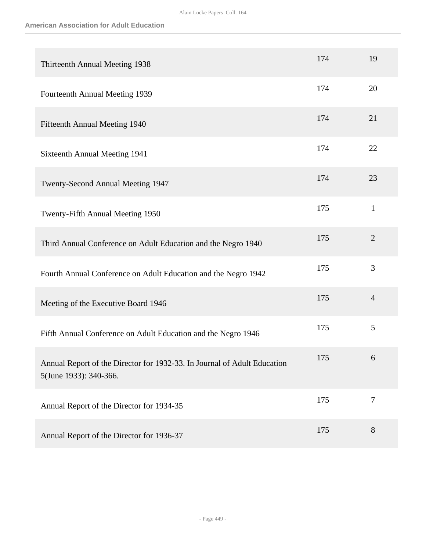| Thirteenth Annual Meeting 1938                                                                     | 174 | 19             |
|----------------------------------------------------------------------------------------------------|-----|----------------|
| Fourteenth Annual Meeting 1939                                                                     | 174 | 20             |
| Fifteenth Annual Meeting 1940                                                                      | 174 | 21             |
| Sixteenth Annual Meeting 1941                                                                      | 174 | 22             |
| Twenty-Second Annual Meeting 1947                                                                  | 174 | 23             |
| Twenty-Fifth Annual Meeting 1950                                                                   | 175 | $\mathbf{1}$   |
| Third Annual Conference on Adult Education and the Negro 1940                                      | 175 | $\overline{2}$ |
| Fourth Annual Conference on Adult Education and the Negro 1942                                     | 175 | 3              |
| Meeting of the Executive Board 1946                                                                | 175 | $\overline{4}$ |
| Fifth Annual Conference on Adult Education and the Negro 1946                                      | 175 | 5              |
| Annual Report of the Director for 1932-33. In Journal of Adult Education<br>5(June 1933): 340-366. | 175 | 6              |
| Annual Report of the Director for 1934-35                                                          | 175 | $\overline{7}$ |
| Annual Report of the Director for 1936-37                                                          | 175 | 8              |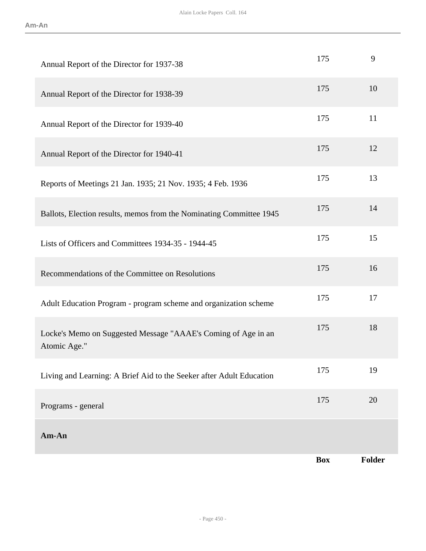|                                                                               | <b>Box</b> | <b>Folder</b> |
|-------------------------------------------------------------------------------|------------|---------------|
| Am-An                                                                         |            |               |
| Programs - general                                                            | 175        | 20            |
| Living and Learning: A Brief Aid to the Seeker after Adult Education          | 175        | 19            |
| Locke's Memo on Suggested Message "AAAE's Coming of Age in an<br>Atomic Age." | 175        | 18            |
| Adult Education Program - program scheme and organization scheme              | 175        | 17            |
| Recommendations of the Committee on Resolutions                               | 175        | 16            |
| Lists of Officers and Committees 1934-35 - 1944-45                            | 175        | 15            |
| Ballots, Election results, memos from the Nominating Committee 1945           | 175        | 14            |
| Reports of Meetings 21 Jan. 1935; 21 Nov. 1935; 4 Feb. 1936                   | 175        | 13            |
| Annual Report of the Director for 1940-41                                     | 175        | 12            |
| Annual Report of the Director for 1939-40                                     | 175        | 11            |
| Annual Report of the Director for 1938-39                                     | 175        | 10            |
| Annual Report of the Director for 1937-38                                     | 175        | 9             |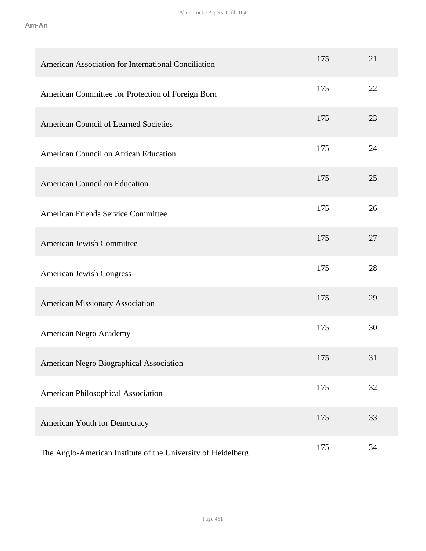| American Association for International Conciliation          | 175 | 21 |
|--------------------------------------------------------------|-----|----|
| American Committee for Protection of Foreign Born            | 175 | 22 |
| <b>American Council of Learned Societies</b>                 | 175 | 23 |
| American Council on African Education                        | 175 | 24 |
| <b>American Council on Education</b>                         | 175 | 25 |
| <b>American Friends Service Committee</b>                    | 175 | 26 |
| <b>American Jewish Committee</b>                             | 175 | 27 |
| American Jewish Congress                                     | 175 | 28 |
| <b>American Missionary Association</b>                       | 175 | 29 |
| American Negro Academy                                       | 175 | 30 |
| American Negro Biographical Association                      | 175 | 31 |
| American Philosophical Association                           | 175 | 32 |
| American Youth for Democracy                                 | 175 | 33 |
| The Anglo-American Institute of the University of Heidelberg | 175 | 34 |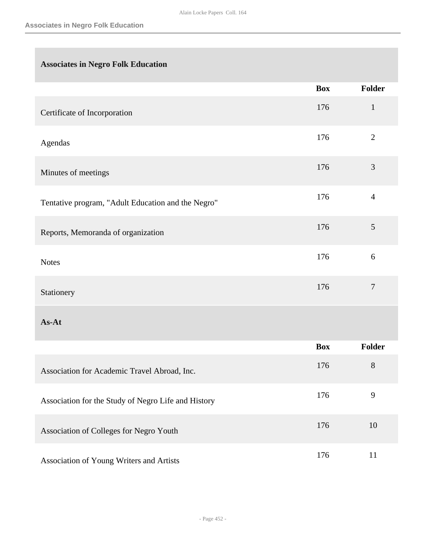# **Associates in Negro Folk Education**

|                                                     | <b>Box</b> | <b>Folder</b>  |
|-----------------------------------------------------|------------|----------------|
| Certificate of Incorporation                        | 176        | $\mathbf{1}$   |
| Agendas                                             | 176        | $\overline{2}$ |
| Minutes of meetings                                 | 176        | 3              |
| Tentative program, "Adult Education and the Negro"  | 176        | $\overline{4}$ |
| Reports, Memoranda of organization                  | 176        | 5              |
| <b>Notes</b>                                        | 176        | 6              |
| Stationery                                          | 176        | $\tau$         |
| As-At                                               |            |                |
|                                                     | <b>Box</b> | <b>Folder</b>  |
| Association for Academic Travel Abroad, Inc.        | 176        | $8\,$          |
| Association for the Study of Negro Life and History | 176        | 9              |
| Association of Colleges for Negro Youth             | 176        | $10\,$         |
| Association of Young Writers and Artists            | 176        | 11             |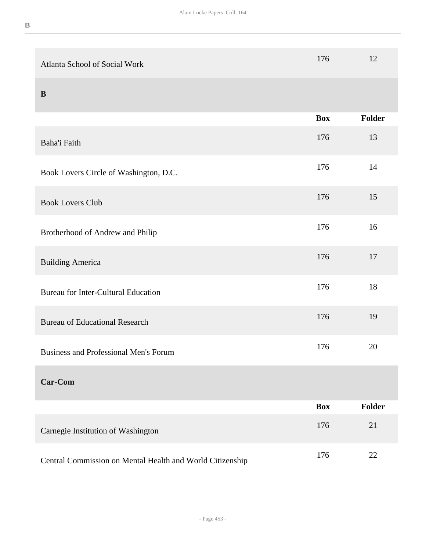| Atlanta School of Social Work                             | 176        | 12     |
|-----------------------------------------------------------|------------|--------|
| B                                                         |            |        |
|                                                           | <b>Box</b> | Folder |
| Baha'i Faith                                              | 176        | 13     |
| Book Lovers Circle of Washington, D.C.                    | 176        | 14     |
| <b>Book Lovers Club</b>                                   | 176        | 15     |
| Brotherhood of Andrew and Philip                          | 176        | 16     |
| <b>Building America</b>                                   | 176        | 17     |
| <b>Bureau for Inter-Cultural Education</b>                | 176        | 18     |
| <b>Bureau of Educational Research</b>                     | 176        | 19     |
| Business and Professional Men's Forum                     | 176        | 20     |
| Car-Com                                                   |            |        |
|                                                           | <b>Box</b> | Folder |
| Carnegie Institution of Washington                        | 176        | 21     |
| Central Commission on Mental Health and World Citizenship | 176        | 22     |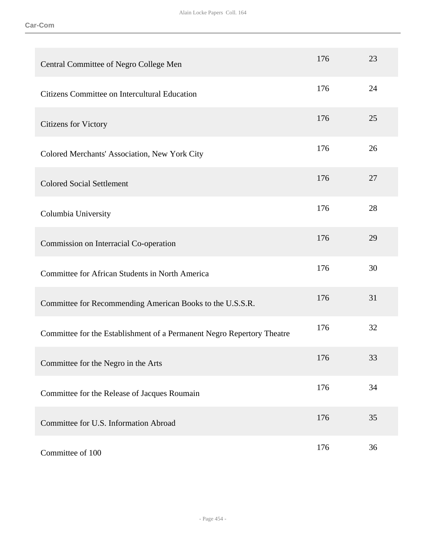| Central Committee of Negro College Men                                 | 176 | 23 |
|------------------------------------------------------------------------|-----|----|
| Citizens Committee on Intercultural Education                          | 176 | 24 |
| <b>Citizens for Victory</b>                                            | 176 | 25 |
| Colored Merchants' Association, New York City                          | 176 | 26 |
| <b>Colored Social Settlement</b>                                       | 176 | 27 |
| Columbia University                                                    | 176 | 28 |
| Commission on Interracial Co-operation                                 | 176 | 29 |
| Committee for African Students in North America                        | 176 | 30 |
| Committee for Recommending American Books to the U.S.S.R.              | 176 | 31 |
| Committee for the Establishment of a Permanent Negro Repertory Theatre | 176 | 32 |
| Committee for the Negro in the Arts                                    | 176 | 33 |
| Committee for the Release of Jacques Roumain                           | 176 | 34 |
| Committee for U.S. Information Abroad                                  | 176 | 35 |
| Committee of 100                                                       | 176 | 36 |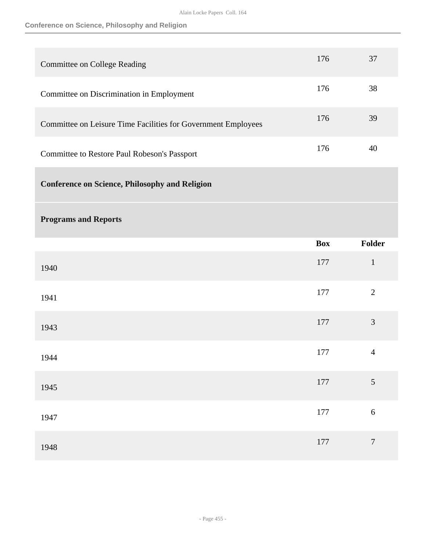# **Conference on Science, Philosophy and Religion**

| Committee on College Reading                                  | 176 | 37 |
|---------------------------------------------------------------|-----|----|
| Committee on Discrimination in Employment                     | 176 | 38 |
| Committee on Leisure Time Facilities for Government Employees | 176 | 39 |
| Committee to Restore Paul Robeson's Passport                  | 176 | 40 |

**Conference on Science, Philosophy and Religion** 

# **Programs and Reports**

|      | <b>Box</b> | Folder           |
|------|------------|------------------|
| 1940 | 177        | $\mathbf{1}$     |
| 1941 | 177        | $\sqrt{2}$       |
| 1943 | 177        | $\mathfrak{Z}$   |
| 1944 | $177\,$    | $\overline{4}$   |
| 1945 | 177        | $\overline{5}$   |
| 1947 | 177        | 6                |
| 1948 | 177        | $\boldsymbol{7}$ |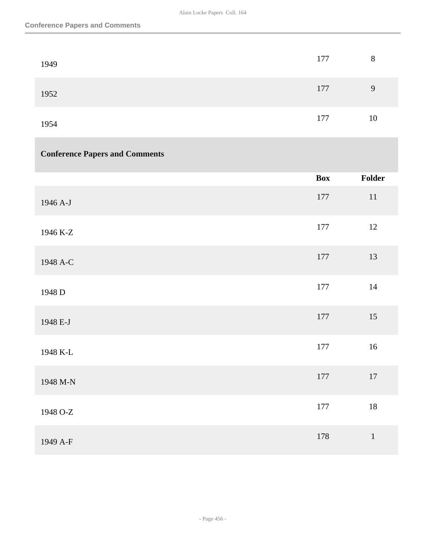| 1949 | 177 | 8  |
|------|-----|----|
| 1952 | 177 | 9  |
| 1954 | 177 | 10 |

# **Conference Papers and Comments**

|          | <b>Box</b> | Folder |
|----------|------------|--------|
| 1946 A-J | 177        | $11\,$ |
| 1946 K-Z | 177        | $12\,$ |
| 1948 A-C | 177        | 13     |
| 1948 D   | 177        | $14\,$ |
| 1948 E-J | 177        | 15     |
| 1948 K-L | 177        | 16     |
| 1948 M-N | 177        | $17\,$ |
| 1948 O-Z | 177        | $18\,$ |
| 1949 A-F | 178        | $1\,$  |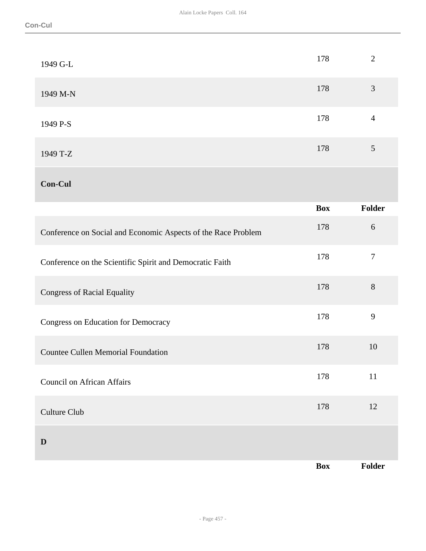| 1949 G-L                                                      | 178        | $\overline{2}$ |
|---------------------------------------------------------------|------------|----------------|
| 1949 M-N                                                      | 178        | 3              |
| 1949 P-S                                                      | 178        | $\overline{4}$ |
| 1949 T-Z                                                      | 178        | 5              |
| <b>Con-Cul</b>                                                |            |                |
|                                                               | <b>Box</b> | <b>Folder</b>  |
|                                                               |            |                |
| Conference on Social and Economic Aspects of the Race Problem | 178        | $6\,$          |
| Conference on the Scientific Spirit and Democratic Faith      | 178        | $\overline{7}$ |
| <b>Congress of Racial Equality</b>                            | 178        | 8              |
| Congress on Education for Democracy                           | 178        | 9              |
| <b>Countee Cullen Memorial Foundation</b>                     | 178        | 10             |

Culture Club 12<br>
2011 - Culture Club 12<br>
2022 - Culture Club 12

**D** 

**Box Folder**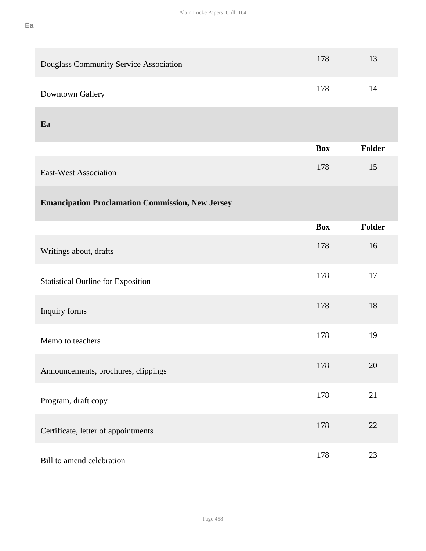| Douglass Community Service Association                  | 178        | 13            |
|---------------------------------------------------------|------------|---------------|
| Downtown Gallery                                        | 178        | 14            |
| Ea                                                      |            |               |
|                                                         | <b>Box</b> | <b>Folder</b> |
| <b>East-West Association</b>                            | 178        | 15            |
| <b>Emancipation Proclamation Commission, New Jersey</b> |            |               |
|                                                         | <b>Box</b> | <b>Folder</b> |
| Writings about, drafts                                  | 178        | 16            |
| <b>Statistical Outline for Exposition</b>               | 178        | 17            |
| Inquiry forms                                           | 178        | 18            |
| Memo to teachers                                        | 178        | 19            |
| Announcements, brochures, clippings                     | 178        | 20            |
| Program, draft copy                                     | 178        | 21            |
| Certificate, letter of appointments                     | 178        | 22            |
| Bill to amend celebration                               | 178        | 23            |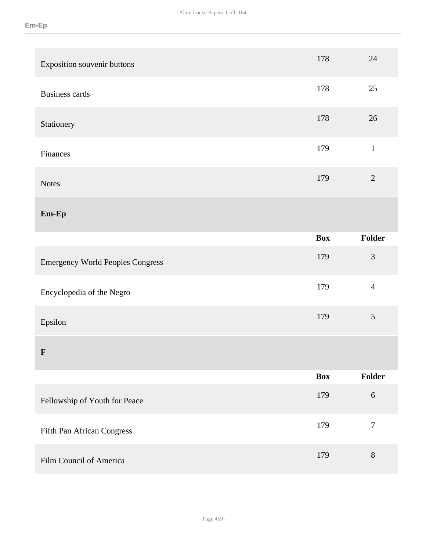| Exposition souvenir buttons             | 178        | 24               |
|-----------------------------------------|------------|------------------|
| <b>Business cards</b>                   | 178        | 25               |
| Stationery                              | 178        | 26               |
| Finances                                | 179        | $\mathbf{1}$     |
| <b>Notes</b>                            | 179        | $\sqrt{2}$       |
| $Em-Ep$                                 |            |                  |
|                                         | <b>Box</b> | Folder           |
| <b>Emergency World Peoples Congress</b> | 179        | $\mathfrak{Z}$   |
| Encyclopedia of the Negro               | 179        | $\overline{4}$   |
| Epsilon                                 | 179        | 5                |
| $\mathbf{F}$                            |            |                  |
|                                         | <b>Box</b> | Folder           |
| Fellowship of Youth for Peace           | 179        | $6\,$            |
| Fifth Pan African Congress              | 179        | $\boldsymbol{7}$ |
| Film Council of America                 | 179        | $\, 8$           |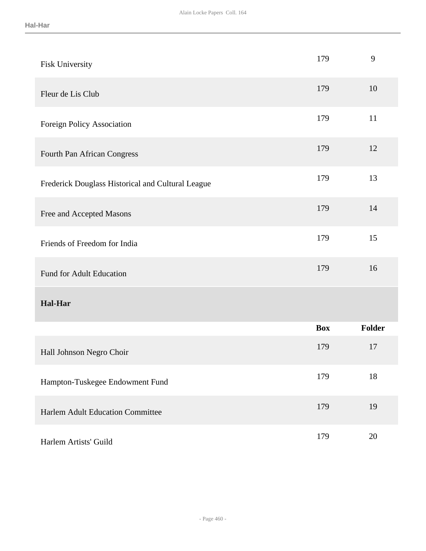| Fisk University                                   | 179        | 9      |
|---------------------------------------------------|------------|--------|
| Fleur de Lis Club                                 | 179        | 10     |
| Foreign Policy Association                        | 179        | 11     |
| Fourth Pan African Congress                       | 179        | 12     |
| Frederick Douglass Historical and Cultural League | 179        | 13     |
| Free and Accepted Masons                          | 179        | 14     |
| Friends of Freedom for India                      | 179        | 15     |
| <b>Fund for Adult Education</b>                   | 179        | 16     |
| <b>Hal-Har</b>                                    |            |        |
|                                                   | <b>Box</b> | Folder |
| Hall Johnson Negro Choir                          | 179        | 17     |
| Hampton-Tuskegee Endowment Fund                   | 179        | 18     |
| <b>Harlem Adult Education Committee</b>           | 179        | 19     |
| Harlem Artists' Guild                             | 179        | 20     |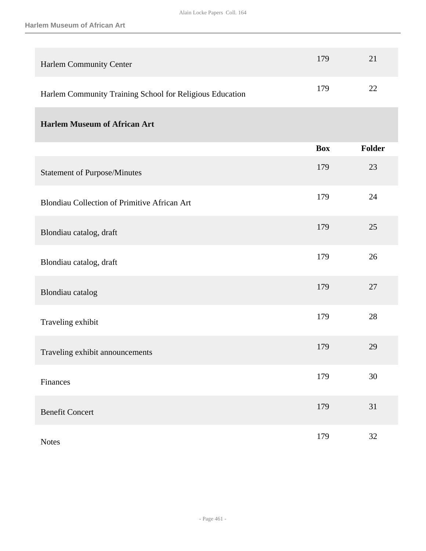| Harlem Community Center                                  | 179        | 21            |
|----------------------------------------------------------|------------|---------------|
| Harlem Community Training School for Religious Education | 179        | 22            |
| <b>Harlem Museum of African Art</b>                      |            |               |
|                                                          | <b>Box</b> | <b>Folder</b> |
| <b>Statement of Purpose/Minutes</b>                      | 179        | 23            |
| Blondiau Collection of Primitive African Art             | 179        | 24            |
| Blondiau catalog, draft                                  | 179        | 25            |
| Blondiau catalog, draft                                  | 179        | 26            |
| Blondiau catalog                                         | 179        | 27            |
| Traveling exhibit                                        | 179        | 28            |
| Traveling exhibit announcements                          | 179        | 29            |
| Finances                                                 | 179        | 30            |
| <b>Benefit Concert</b>                                   | 179        | 31            |
| <b>Notes</b>                                             | 179        | $32\,$        |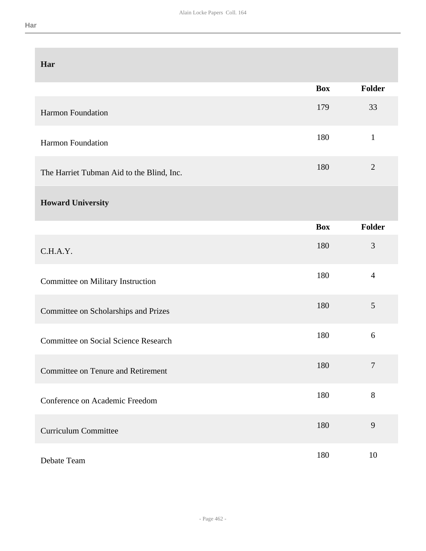| Har                                         |            |                |
|---------------------------------------------|------------|----------------|
|                                             | <b>Box</b> | <b>Folder</b>  |
| <b>Harmon Foundation</b>                    | 179        | 33             |
| Harmon Foundation                           | 180        | $\mathbf{1}$   |
| The Harriet Tubman Aid to the Blind, Inc.   | 180        | $\overline{2}$ |
| <b>Howard University</b>                    |            |                |
|                                             | <b>Box</b> | <b>Folder</b>  |
| C.H.A.Y.                                    | 180        | 3              |
| Committee on Military Instruction           | 180        | $\overline{4}$ |
| Committee on Scholarships and Prizes        | 180        | 5              |
| <b>Committee on Social Science Research</b> | 180        | 6              |
| <b>Committee on Tenure and Retirement</b>   | 180        | $\overline{7}$ |
| Conference on Academic Freedom              | 180        | $8\,$          |
| <b>Curriculum Committee</b>                 | 180        | 9              |
| Debate Team                                 | 180        | 10             |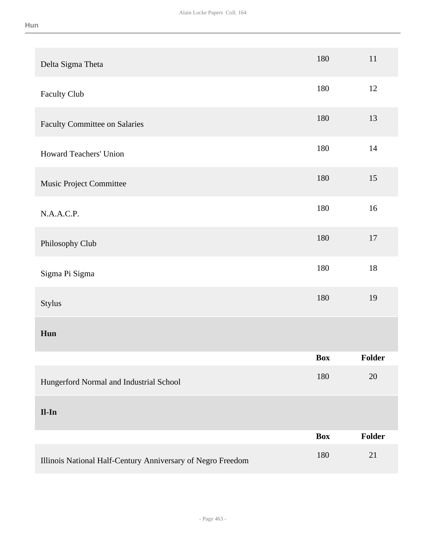|  |         | ۹ |  |
|--|---------|---|--|
|  | _______ |   |  |

| Delta Sigma Theta                                           | 180        | 11     |
|-------------------------------------------------------------|------------|--------|
| <b>Faculty Club</b>                                         | 180        | 12     |
| <b>Faculty Committee on Salaries</b>                        | 180        | 13     |
| Howard Teachers' Union                                      | 180        | $14$   |
| Music Project Committee                                     | 180        | 15     |
| N.A.A.C.P.                                                  | 180        | 16     |
| Philosophy Club                                             | 180        | 17     |
| Sigma Pi Sigma                                              | 180        | 18     |
| Stylus                                                      | 180        | 19     |
| Hun                                                         |            |        |
|                                                             | Box        | Folder |
| Hungerford Normal and Industrial School                     | 180        | 20     |
| $II-In$                                                     |            |        |
|                                                             | <b>Box</b> | Folder |
| Illinois National Half-Century Anniversary of Negro Freedom | 180        | 21     |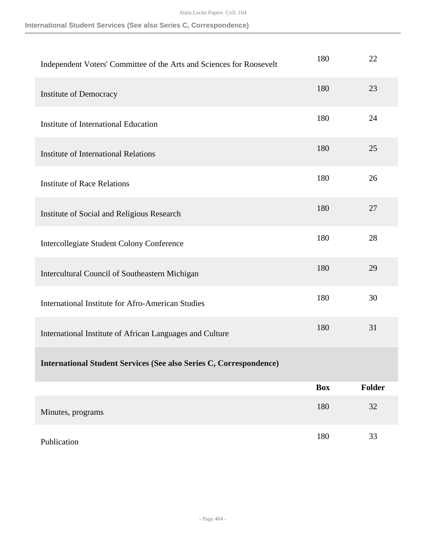Alain Locke Papers Coll. 164

|  |  |  | International Student Services (See also Series C, Correspondence) |  |
|--|--|--|--------------------------------------------------------------------|--|
|  |  |  |                                                                    |  |

| Independent Voters' Committee of the Arts and Sciences for Roosevelt      | 180        | 22     |
|---------------------------------------------------------------------------|------------|--------|
| Institute of Democracy                                                    | 180        | 23     |
| <b>Institute of International Education</b>                               | 180        | 24     |
| <b>Institute of International Relations</b>                               | 180        | 25     |
| <b>Institute of Race Relations</b>                                        | 180        | 26     |
| Institute of Social and Religious Research                                | 180        | 27     |
| <b>Intercollegiate Student Colony Conference</b>                          | 180        | 28     |
| Intercultural Council of Southeastern Michigan                            | 180        | 29     |
| <b>International Institute for Afro-American Studies</b>                  | 180        | 30     |
| International Institute of African Languages and Culture                  | 180        | 31     |
| <b>International Student Services (See also Series C, Correspondence)</b> |            |        |
|                                                                           | <b>Box</b> | Folder |
| Minutes, programs                                                         | 180        | 32     |
| Publication                                                               | 180        | 33     |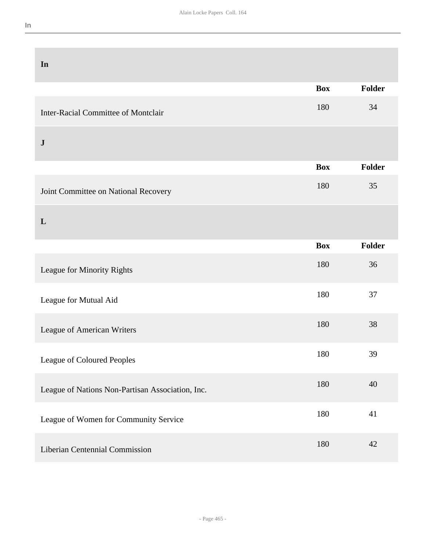| In                                               |            |               |
|--------------------------------------------------|------------|---------------|
|                                                  | <b>Box</b> | Folder        |
| <b>Inter-Racial Committee of Montclair</b>       | 180        | 34            |
| ${\bf J}$                                        |            |               |
|                                                  | <b>Box</b> | Folder        |
| Joint Committee on National Recovery             | 180        | 35            |
| L                                                |            |               |
|                                                  | <b>Box</b> | <b>Folder</b> |
| League for Minority Rights                       | 180        | 36            |
| League for Mutual Aid                            | 180        | 37            |
| League of American Writers                       | 180        | 38            |
| League of Coloured Peoples                       | 180        | 39            |
| League of Nations Non-Partisan Association, Inc. | 180        | 40            |
| League of Women for Community Service            | 180        | 41            |
| Liberian Centennial Commission                   | 180        | 42            |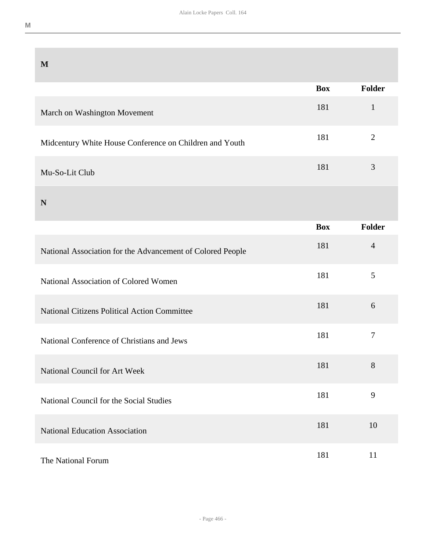| M                                                          |            |                |
|------------------------------------------------------------|------------|----------------|
|                                                            | <b>Box</b> | Folder         |
| March on Washington Movement                               | 181        | $\mathbf{1}$   |
| Midcentury White House Conference on Children and Youth    | 181        | $\overline{2}$ |
| Mu-So-Lit Club                                             | 181        | 3              |
| N                                                          |            |                |
|                                                            | <b>Box</b> | Folder         |
| National Association for the Advancement of Colored People | 181        | $\overline{4}$ |
| National Association of Colored Women                      | 181        | 5              |
| <b>National Citizens Political Action Committee</b>        | 181        | 6              |
| National Conference of Christians and Jews                 | 181        | $\tau$         |
| National Council for Art Week                              | 181        | 8              |
| National Council for the Social Studies                    | 181        | 9              |
| <b>National Education Association</b>                      | 181        | 10             |
| The National Forum                                         | 181        | 11             |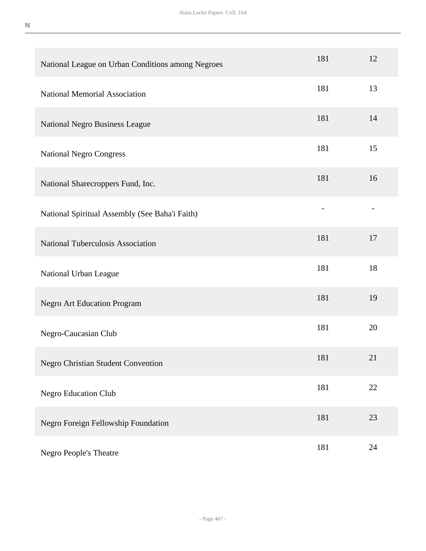| National League on Urban Conditions among Negroes | 181 | 12 |
|---------------------------------------------------|-----|----|
| <b>National Memorial Association</b>              | 181 | 13 |
| National Negro Business League                    | 181 | 14 |
| <b>National Negro Congress</b>                    | 181 | 15 |
| National Sharecroppers Fund, Inc.                 | 181 | 16 |
| National Spiritual Assembly (See Baha'i Faith)    |     |    |
| National Tuberculosis Association                 | 181 | 17 |
| National Urban League                             | 181 | 18 |
| <b>Negro Art Education Program</b>                | 181 | 19 |
| Negro-Caucasian Club                              | 181 | 20 |
| <b>Negro Christian Student Convention</b>         | 181 | 21 |
| <b>Negro Education Club</b>                       | 181 | 22 |
| Negro Foreign Fellowship Foundation               | 181 | 23 |
| Negro People's Theatre                            | 181 | 24 |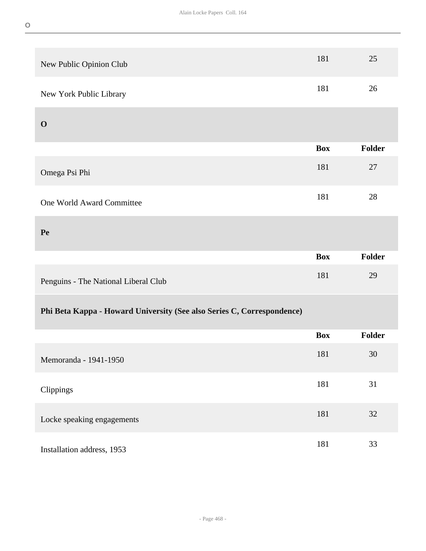| New Public Opinion Club                                                | 181        | 25            |
|------------------------------------------------------------------------|------------|---------------|
| New York Public Library                                                | 181        | 26            |
| $\mathbf 0$                                                            |            |               |
|                                                                        | <b>Box</b> | Folder        |
| Omega Psi Phi                                                          | 181        | 27            |
| One World Award Committee                                              | 181        | 28            |
| Pe                                                                     |            |               |
|                                                                        | <b>Box</b> | <b>Folder</b> |
|                                                                        |            |               |
| Penguins - The National Liberal Club                                   | 181        | 29            |
| Phi Beta Kappa - Howard University (See also Series C, Correspondence) |            |               |
|                                                                        | <b>Box</b> | <b>Folder</b> |
| Memoranda - 1941-1950                                                  | 181        | 30            |
| Clippings                                                              | 181        | 31            |
| Locke speaking engagements                                             | 181        | $32\,$        |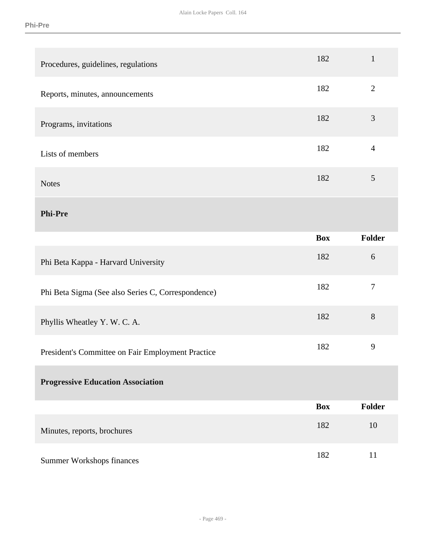| Procedures, guidelines, regulations                | 182        | $\mathbf{1}$   |
|----------------------------------------------------|------------|----------------|
| Reports, minutes, announcements                    | 182        | $\overline{2}$ |
| Programs, invitations                              | 182        | $\mathfrak{Z}$ |
| Lists of members                                   | 182        | $\overline{4}$ |
| <b>Notes</b>                                       | 182        | $\mathfrak{S}$ |
| <b>Phi-Pre</b>                                     |            |                |
|                                                    | <b>Box</b> | <b>Folder</b>  |
| Phi Beta Kappa - Harvard University                | 182        | $6\,$          |
| Phi Beta Sigma (See also Series C, Correspondence) | 182        | $\overline{7}$ |
| Phyllis Wheatley Y. W. C. A.                       | 182        | 8              |
| President's Committee on Fair Employment Practice  | 182        | 9              |
| <b>Progressive Education Association</b>           |            |                |
|                                                    | <b>Box</b> | Folder         |
| Minutes, reports, brochures                        | 182        | 10             |
| <b>Summer Workshops finances</b>                   | 182        | 11             |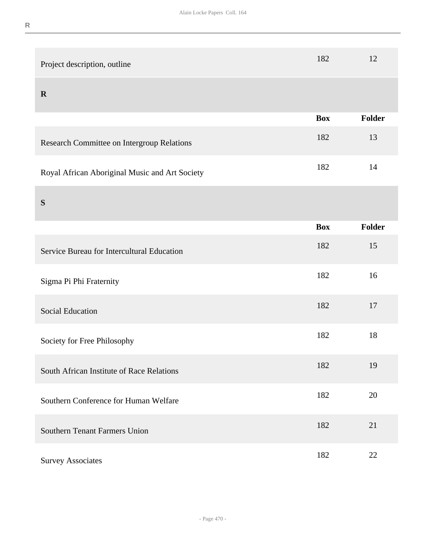| Project description, outline                   | 182        | 12     |
|------------------------------------------------|------------|--------|
| $\mathbf R$                                    |            |        |
|                                                | <b>Box</b> | Folder |
| Research Committee on Intergroup Relations     | 182        | 13     |
| Royal African Aboriginal Music and Art Society | 182        | 14     |
| S                                              |            |        |
|                                                | <b>Box</b> | Folder |
| Service Bureau for Intercultural Education     | 182        | 15     |
| Sigma Pi Phi Fraternity                        | 182        | 16     |
| <b>Social Education</b>                        | 182        | 17     |
| Society for Free Philosophy                    | 182        | 18     |
| South African Institute of Race Relations      | 182        | 19     |
| Southern Conference for Human Welfare          | 182        | 20     |
| <b>Southern Tenant Farmers Union</b>           | 182        | 21     |
| <b>Survey Associates</b>                       | 182        | 22     |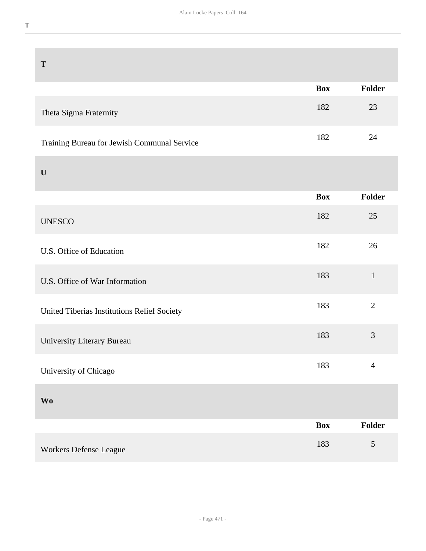| T                                           |            |                |
|---------------------------------------------|------------|----------------|
|                                             | <b>Box</b> | Folder         |
| Theta Sigma Fraternity                      | 182        | 23             |
| Training Bureau for Jewish Communal Service | 182        | 24             |
| $\mathbf U$                                 |            |                |
|                                             | <b>Box</b> | Folder         |
| <b>UNESCO</b>                               | 182        | 25             |
| U.S. Office of Education                    | 182        | 26             |
| U.S. Office of War Information              | 183        | $\mathbf{1}$   |
| United Tiberias Institutions Relief Society | 183        | $\overline{2}$ |
| University Literary Bureau                  | 183        | $\mathfrak{Z}$ |
| University of Chicago                       | 183        | $\overline{4}$ |
| <b>Wo</b>                                   |            |                |
|                                             | <b>Box</b> | <b>Folder</b>  |
| Workers Defense League                      | 183        | 5              |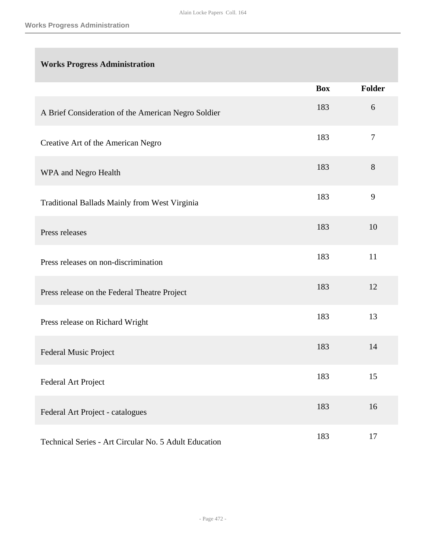# **Works Progress Administration**

|                                                       | <b>Box</b> | <b>Folder</b> |
|-------------------------------------------------------|------------|---------------|
| A Brief Consideration of the American Negro Soldier   | 183        | 6             |
| Creative Art of the American Negro                    | 183        | $\tau$        |
| WPA and Negro Health                                  | 183        | 8             |
| Traditional Ballads Mainly from West Virginia         | 183        | 9             |
| Press releases                                        | 183        | 10            |
| Press releases on non-discrimination                  | 183        | 11            |
| Press release on the Federal Theatre Project          | 183        | 12            |
| Press release on Richard Wright                       | 183        | 13            |
| Federal Music Project                                 | 183        | 14            |
| Federal Art Project                                   | 183        | 15            |
| Federal Art Project - catalogues                      | 183        | 16            |
| Technical Series - Art Circular No. 5 Adult Education | 183        | 17            |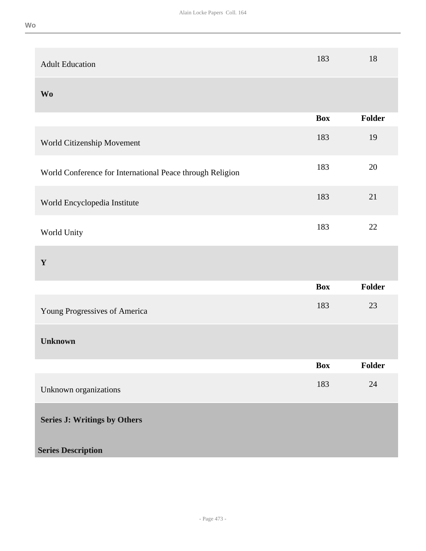| <b>Adult Education</b>                                    | 183        | 18     |
|-----------------------------------------------------------|------------|--------|
| <b>Wo</b>                                                 |            |        |
|                                                           | <b>Box</b> | Folder |
| World Citizenship Movement                                | 183        | 19     |
| World Conference for International Peace through Religion | 183        | 20     |
| World Encyclopedia Institute                              | 183        | 21     |
| World Unity                                               | 183        | 22     |
| $\mathbf Y$                                               |            |        |
|                                                           | <b>Box</b> | Folder |
| Young Progressives of America                             | 183        | 23     |
| <b>Unknown</b>                                            |            |        |
|                                                           | <b>Box</b> | Folder |
| Unknown organizations                                     | 183        | 24     |
| <b>Series J: Writings by Others</b>                       |            |        |
| <b>Series Description</b>                                 |            |        |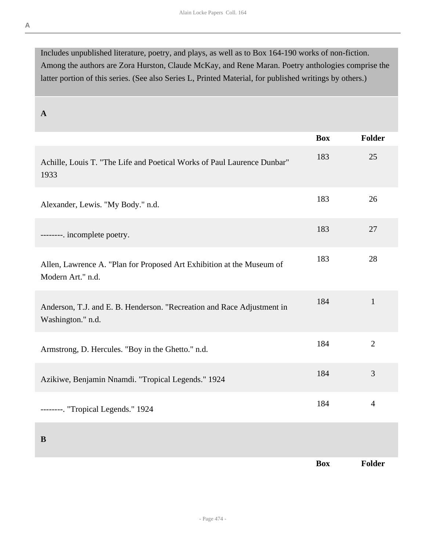Includes unpublished literature, poetry, and plays, as well as to Box 164-190 works of non-fiction. Among the authors are Zora Hurston, Claude McKay, and Rene Maran. Poetry anthologies comprise the latter portion of this series. (See also Series L, Printed Material, for published writings by others.)

**A** 

|                                                                                             | <b>Box</b> | <b>Folder</b>  |
|---------------------------------------------------------------------------------------------|------------|----------------|
| Achille, Louis T. "The Life and Poetical Works of Paul Laurence Dunbar"<br>1933             | 183        | 25             |
| Alexander, Lewis. "My Body." n.d.                                                           | 183        | 26             |
| --------. incomplete poetry.                                                                | 183        | 27             |
| Allen, Lawrence A. "Plan for Proposed Art Exhibition at the Museum of<br>Modern Art." n.d.  | 183        | 28             |
| Anderson, T.J. and E. B. Henderson. "Recreation and Race Adjustment in<br>Washington." n.d. | 184        | $\mathbf{1}$   |
| Armstrong, D. Hercules. "Boy in the Ghetto." n.d.                                           | 184        | $\overline{2}$ |
| Azikiwe, Benjamin Nnamdi. "Tropical Legends." 1924                                          | 184        | 3              |
| --------. "Tropical Legends." 1924                                                          | 184        | $\overline{4}$ |
| B                                                                                           |            |                |
|                                                                                             | <b>Box</b> | Folder         |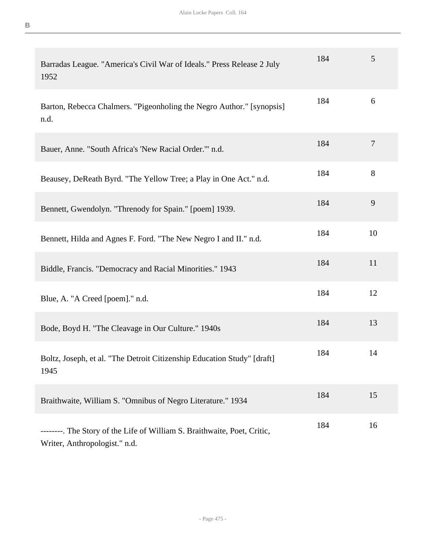| Barradas League. "America's Civil War of Ideals." Press Release 2 July<br>1952                            | 184 | 5              |
|-----------------------------------------------------------------------------------------------------------|-----|----------------|
| Barton, Rebecca Chalmers. "Pigeonholing the Negro Author." [synopsis]<br>n.d.                             | 184 | 6              |
| Bauer, Anne. "South Africa's 'New Racial Order." n.d.                                                     | 184 | $\overline{7}$ |
| Beausey, DeReath Byrd. "The Yellow Tree; a Play in One Act." n.d.                                         | 184 | 8              |
| Bennett, Gwendolyn. "Threnody for Spain." [poem] 1939.                                                    | 184 | 9              |
| Bennett, Hilda and Agnes F. Ford. "The New Negro I and II." n.d.                                          | 184 | 10             |
| Biddle, Francis. "Democracy and Racial Minorities." 1943                                                  | 184 | 11             |
| Blue, A. "A Creed [poem]." n.d.                                                                           | 184 | 12             |
| Bode, Boyd H. "The Cleavage in Our Culture." 1940s                                                        | 184 | 13             |
| Boltz, Joseph, et al. "The Detroit Citizenship Education Study" [draft]<br>1945                           | 184 | 14             |
| Braithwaite, William S. "Omnibus of Negro Literature." 1934                                               | 184 | 15             |
| --------. The Story of the Life of William S. Braithwaite, Poet, Critic,<br>Writer, Anthropologist." n.d. | 184 | 16             |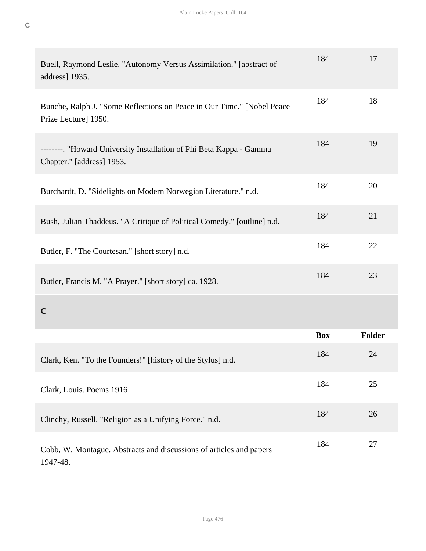| Buell, Raymond Leslie. "Autonomy Versus Assimilation." [abstract of<br>address] 1935.            | 184        | 17            |
|--------------------------------------------------------------------------------------------------|------------|---------------|
| Bunche, Ralph J. "Some Reflections on Peace in Our Time." [Nobel Peace<br>Prize Lecture] 1950.   | 184        | 18            |
| --------. "Howard University Installation of Phi Beta Kappa - Gamma<br>Chapter." [address] 1953. | 184        | 19            |
| Burchardt, D. "Sidelights on Modern Norwegian Literature." n.d.                                  | 184        | 20            |
| Bush, Julian Thaddeus. "A Critique of Political Comedy." [outline] n.d.                          | 184        | 21            |
| Butler, F. "The Courtesan." [short story] n.d.                                                   | 184        | 22            |
| Butler, Francis M. "A Prayer." [short story] ca. 1928.                                           | 184        | 23            |
| $\mathbf C$                                                                                      |            |               |
|                                                                                                  | <b>Box</b> | <b>Folder</b> |
| Clark, Ken. "To the Founders!" [history of the Stylus] n.d.                                      | 184        | 24            |
| Clark, Louis. Poems 1916                                                                         | 184        | 25            |
| Clinchy, Russell. "Religion as a Unifying Force." n.d.                                           | 184        | 26            |
| Cobb, W. Montague. Abstracts and discussions of articles and papers<br>1947-48.                  | 184        | 27            |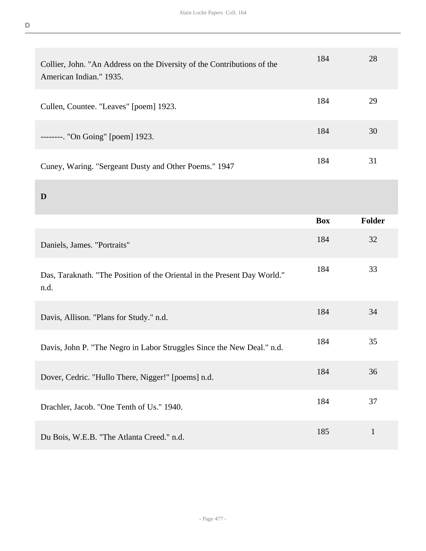| Collier, John. "An Address on the Diversity of the Contributions of the<br>American Indian." 1935. | 184        | 28            |
|----------------------------------------------------------------------------------------------------|------------|---------------|
| Cullen, Countee. "Leaves" [poem] 1923.                                                             | 184        | 29            |
| --------. "On Going" [poem] 1923.                                                                  | 184        | 30            |
| Cuney, Waring. "Sergeant Dusty and Other Poems." 1947                                              | 184        | 31            |
| D                                                                                                  |            |               |
|                                                                                                    | <b>Box</b> | <b>Folder</b> |
| Daniels, James. "Portraits"                                                                        | 184        | 32            |
|                                                                                                    |            |               |
| Das, Taraknath. "The Position of the Oriental in the Present Day World."<br>n.d.                   | 184        | 33            |
| Davis, Allison. "Plans for Study." n.d.                                                            | 184        | 34            |
| Davis, John P. "The Negro in Labor Struggles Since the New Deal." n.d.                             | 184        | 35            |
| Dover, Cedric. "Hullo There, Nigger!" [poems] n.d.                                                 | 184        | 36            |
| Drachler, Jacob. "One Tenth of Us." 1940.                                                          | 184        | 37            |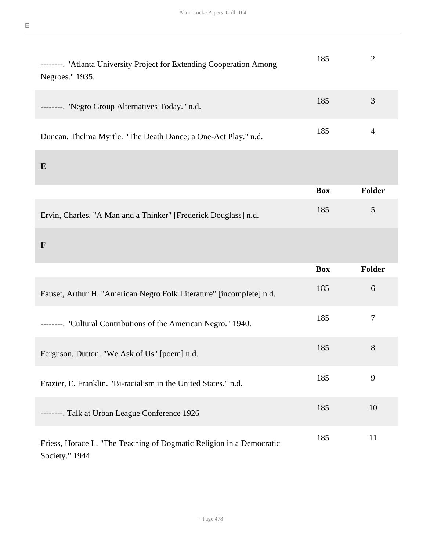| --------. "Atlanta University Project for Extending Cooperation Among<br>Negroes." 1935. | 185        | $\overline{2}$ |
|------------------------------------------------------------------------------------------|------------|----------------|
| --------. "Negro Group Alternatives Today." n.d.                                         | 185        | 3              |
| Duncan, Thelma Myrtle. "The Death Dance; a One-Act Play." n.d.                           | 185        | $\overline{4}$ |
| E                                                                                        |            |                |
|                                                                                          | <b>Box</b> | <b>Folder</b>  |
| Ervin, Charles. "A Man and a Thinker" [Frederick Douglass] n.d.                          | 185        | 5              |
|                                                                                          |            |                |
| $\mathbf{F}$                                                                             |            |                |
|                                                                                          | <b>Box</b> | <b>Folder</b>  |
| Fauset, Arthur H. "American Negro Folk Literature" [incomplete] n.d.                     | 185        | 6              |
| --------. "Cultural Contributions of the American Negro." 1940.                          | 185        | $\tau$         |
| Ferguson, Dutton. "We Ask of Us" [poem] n.d.                                             | 185        | 8              |
| Frazier, E. Franklin. "Bi-racialism in the United States." n.d.                          | 185        | 9              |
| --------. Talk at Urban League Conference 1926                                           | 185        | 10             |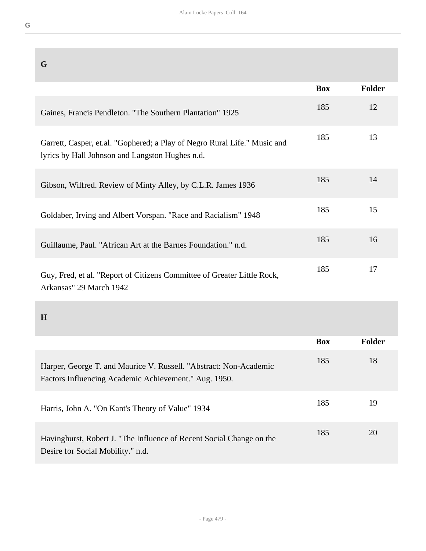| G                                                                                                                            |            |        |
|------------------------------------------------------------------------------------------------------------------------------|------------|--------|
|                                                                                                                              | <b>Box</b> | Folder |
| Gaines, Francis Pendleton. "The Southern Plantation" 1925                                                                    | 185        | 12     |
| Garrett, Casper, et.al. "Gophered; a Play of Negro Rural Life." Music and<br>lyrics by Hall Johnson and Langston Hughes n.d. | 185        | 13     |
| Gibson, Wilfred. Review of Minty Alley, by C.L.R. James 1936                                                                 | 185        | 14     |
| Goldaber, Irving and Albert Vorspan. "Race and Racialism" 1948                                                               | 185        | 15     |
| Guillaume, Paul. "African Art at the Barnes Foundation." n.d.                                                                | 185        | 16     |
| Guy, Fred, et al. "Report of Citizens Committee of Greater Little Rock,<br>Arkansas" 29 March 1942                           | 185        | 17     |

## **H**

|                                                                                                                            | <b>Box</b> | <b>Folder</b> |
|----------------------------------------------------------------------------------------------------------------------------|------------|---------------|
| Harper, George T. and Maurice V. Russell. "Abstract: Non-Academic<br>Factors Influencing Academic Achievement." Aug. 1950. | 185        | 18            |
| Harris, John A. "On Kant's Theory of Value" 1934                                                                           | 185        | 19            |
| Havinghurst, Robert J. "The Influence of Recent Social Change on the<br>Desire for Social Mobility." n.d.                  | 185        | 20            |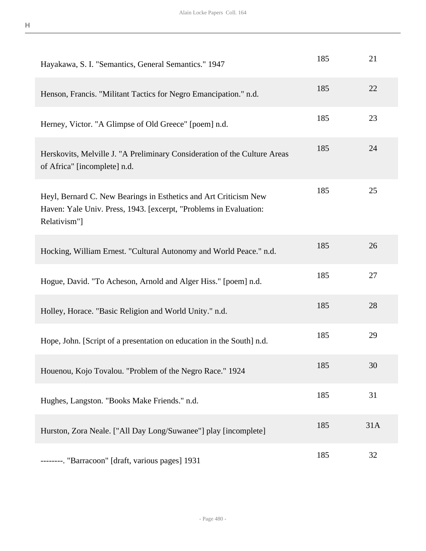| Hayakawa, S. I. "Semantics, General Semantics." 1947                                                                                                  | 185 | 21  |
|-------------------------------------------------------------------------------------------------------------------------------------------------------|-----|-----|
| Henson, Francis. "Militant Tactics for Negro Emancipation." n.d.                                                                                      | 185 | 22  |
| Herney, Victor. "A Glimpse of Old Greece" [poem] n.d.                                                                                                 | 185 | 23  |
| Herskovits, Melville J. "A Preliminary Consideration of the Culture Areas<br>of Africa" [incomplete] n.d.                                             | 185 | 24  |
| Heyl, Bernard C. New Bearings in Esthetics and Art Criticism New<br>Haven: Yale Univ. Press, 1943. [excerpt, "Problems in Evaluation:<br>Relativism"] | 185 | 25  |
| Hocking, William Ernest. "Cultural Autonomy and World Peace." n.d.                                                                                    | 185 | 26  |
| Hogue, David. "To Acheson, Arnold and Alger Hiss." [poem] n.d.                                                                                        | 185 | 27  |
| Holley, Horace. "Basic Religion and World Unity." n.d.                                                                                                | 185 | 28  |
| Hope, John. [Script of a presentation on education in the South] n.d.                                                                                 | 185 | 29  |
| Houenou, Kojo Tovalou. "Problem of the Negro Race." 1924                                                                                              | 185 | 30  |
| Hughes, Langston. "Books Make Friends." n.d.                                                                                                          | 185 | 31  |
| Hurston, Zora Neale. ["All Day Long/Suwanee"] play [incomplete]                                                                                       | 185 | 31A |
| --------. "Barracoon" [draft, various pages] 1931                                                                                                     | 185 | 32  |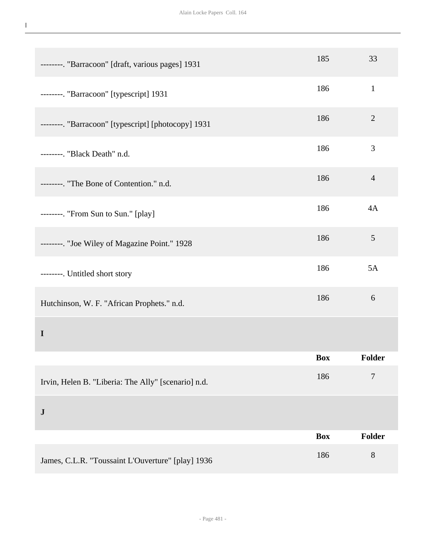**I**

| --------. "Barracoon" [draft, various pages] 1931   | 185        | 33             |
|-----------------------------------------------------|------------|----------------|
| --------. "Barracoon" [typescript] 1931             | 186        | $\mathbf{1}$   |
| --------. "Barracoon" [typescript] [photocopy] 1931 | 186        | $\mathbf{2}$   |
| --------. "Black Death" n.d.                        | 186        | 3              |
| --------. "The Bone of Contention." n.d.            | 186        | $\overline{4}$ |
| --------. "From Sun to Sun." [play]                 | 186        | 4A             |
| --------. "Joe Wiley of Magazine Point." 1928       | 186        | $\mathfrak{S}$ |
| --------. Untitled short story                      | 186        | 5A             |
| Hutchinson, W. F. "African Prophets." n.d.          | 186        | 6              |
| $\mathbf I$                                         |            |                |
|                                                     | <b>Box</b> | <b>Folder</b>  |
| Irvin, Helen B. "Liberia: The Ally" [scenario] n.d. | 186        | $\tau$         |
| ${\bf J}$                                           |            |                |
|                                                     | <b>Box</b> | <b>Folder</b>  |
| James, C.L.R. "Toussaint L'Ouverture" [play] 1936   | 186        | $8\,$          |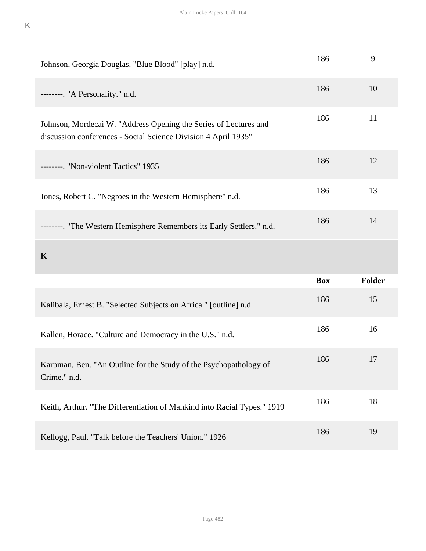| Johnson, Georgia Douglas. "Blue Blood" [play] n.d.                                                                                 | 186        | 9      |
|------------------------------------------------------------------------------------------------------------------------------------|------------|--------|
| --------. "A Personality." n.d.                                                                                                    | 186        | 10     |
| Johnson, Mordecai W. "Address Opening the Series of Lectures and<br>discussion conferences - Social Science Division 4 April 1935" | 186        | 11     |
| --------. "Non-violent Tactics" 1935                                                                                               | 186        | 12     |
| Jones, Robert C. "Negroes in the Western Hemisphere" n.d.                                                                          | 186        | 13     |
| --------. "The Western Hemisphere Remembers its Early Settlers." n.d.                                                              | 186        | 14     |
|                                                                                                                                    |            |        |
| $\mathbf K$                                                                                                                        |            |        |
|                                                                                                                                    | <b>Box</b> | Folder |
| Kalibala, Ernest B. "Selected Subjects on Africa." [outline] n.d.                                                                  | 186        | 15     |
| Kallen, Horace. "Culture and Democracy in the U.S." n.d.                                                                           | 186        | 16     |
| Karpman, Ben. "An Outline for the Study of the Psychopathology of<br>Crime." n.d.                                                  | 186        | 17     |
| Keith, Arthur. "The Differentiation of Mankind into Racial Types." 1919                                                            | 186        | 18     |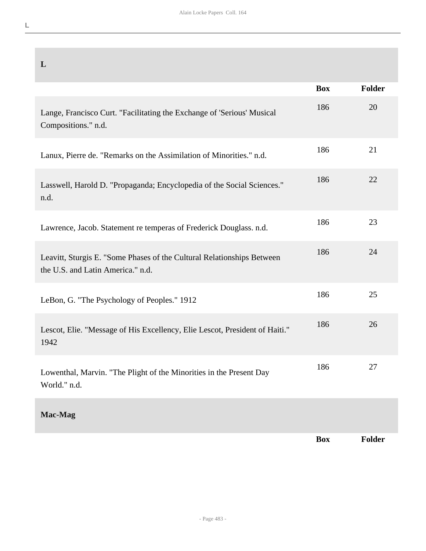| L                                                                                                           |            |               |
|-------------------------------------------------------------------------------------------------------------|------------|---------------|
|                                                                                                             | <b>Box</b> | <b>Folder</b> |
| Lange, Francisco Curt. "Facilitating the Exchange of 'Serious' Musical<br>Compositions." n.d.               | 186        | 20            |
| Lanux, Pierre de. "Remarks on the Assimilation of Minorities." n.d.                                         | 186        | 21            |
| Lasswell, Harold D. "Propaganda; Encyclopedia of the Social Sciences."<br>n.d.                              | 186        | 22            |
| Lawrence, Jacob. Statement re temperas of Frederick Douglass. n.d.                                          | 186        | 23            |
| Leavitt, Sturgis E. "Some Phases of the Cultural Relationships Between<br>the U.S. and Latin America." n.d. | 186        | 24            |
| LeBon, G. "The Psychology of Peoples." 1912                                                                 | 186        | 25            |
| Lescot, Elie. "Message of His Excellency, Elie Lescot, President of Haiti."<br>1942                         | 186        | 26            |
| Lowenthal, Marvin. "The Plight of the Minorities in the Present Day<br>World." n.d.                         | 186        | 27            |
| Mac-Mag                                                                                                     |            |               |
|                                                                                                             | <b>Box</b> | <b>Folder</b> |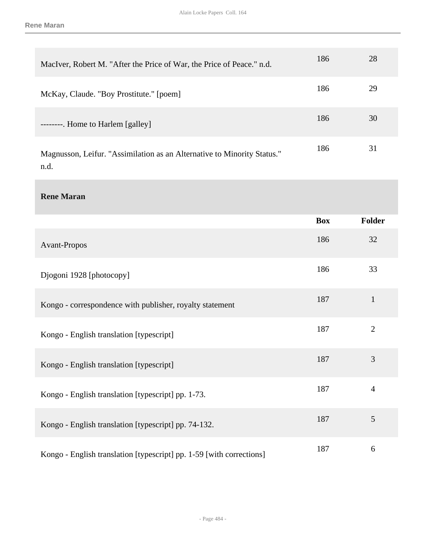| MacIver, Robert M. "After the Price of War, the Price of Peace." n.d.           | 186 | 28 |
|---------------------------------------------------------------------------------|-----|----|
| McKay, Claude. "Boy Prostitute." [poem]                                         | 186 | 29 |
| --------. Home to Harlem [galley]                                               | 186 | 30 |
| Magnusson, Leifur. "Assimilation as an Alternative to Minority Status."<br>n.d. | 186 | 31 |

**Rene Maran** 

|                                                                      | <b>Box</b> | <b>Folder</b>  |
|----------------------------------------------------------------------|------------|----------------|
| Avant-Propos                                                         | 186        | 32             |
| Djogoni 1928 [photocopy]                                             | 186        | 33             |
| Kongo - correspondence with publisher, royalty statement             | 187        | $\mathbf{1}$   |
| Kongo - English translation [typescript]                             | 187        | $\mathbf{2}$   |
| Kongo - English translation [typescript]                             | 187        | $\overline{3}$ |
| Kongo - English translation [typescript] pp. 1-73.                   | 187        | $\overline{4}$ |
| Kongo - English translation [typescript] pp. 74-132.                 | 187        | 5              |
| Kongo - English translation [typescript] pp. 1-59 [with corrections] | 187        | 6              |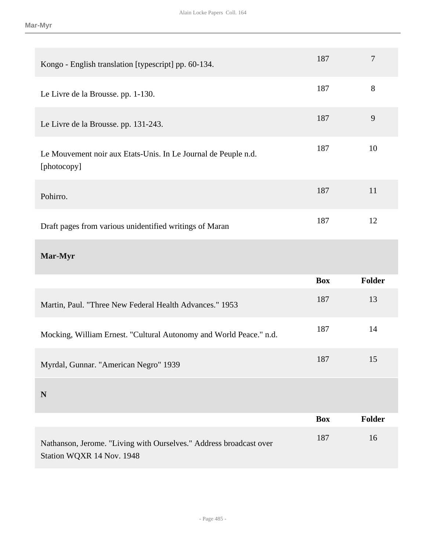| Kongo - English translation [typescript] pp. 60-134.                          | 187        | $\overline{7}$ |
|-------------------------------------------------------------------------------|------------|----------------|
| Le Livre de la Brousse. pp. 1-130.                                            | 187        | 8              |
| Le Livre de la Brousse. pp. 131-243.                                          | 187        | 9              |
| Le Mouvement noir aux Etats-Unis. In Le Journal de Peuple n.d.<br>[photocopy] | 187        | 10             |
| Pohirro.                                                                      | 187        | 11             |
| Draft pages from various unidentified writings of Maran                       | 187        | 12             |
| Mar-Myr                                                                       |            |                |
|                                                                               |            |                |
|                                                                               | <b>Box</b> | <b>Folder</b>  |
| Martin, Paul. "Three New Federal Health Advances." 1953                       | 187        | 13             |
| Mocking, William Ernest. "Cultural Autonomy and World Peace." n.d.            | 187        | 14             |
| Myrdal, Gunnar. "American Negro" 1939                                         | 187        | 15             |
| $\mathbf N$                                                                   |            |                |
|                                                                               | <b>Box</b> | <b>Folder</b>  |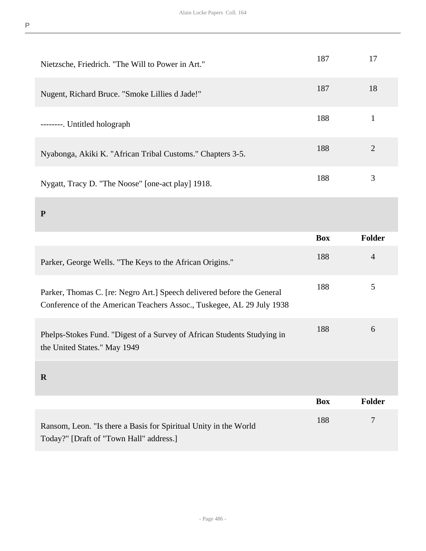| Nietzsche, Friedrich. "The Will to Power in Art."                                                                                               | 187        | 17             |
|-------------------------------------------------------------------------------------------------------------------------------------------------|------------|----------------|
| Nugent, Richard Bruce. "Smoke Lillies d Jade!"                                                                                                  | 187        | 18             |
| --------. Untitled holograph                                                                                                                    | 188        | $\mathbf{1}$   |
| Nyabonga, Akiki K. "African Tribal Customs." Chapters 3-5.                                                                                      | 188        | $\overline{2}$ |
| Nygatt, Tracy D. "The Noose" [one-act play] 1918.                                                                                               | 188        | 3              |
| ${\bf P}$                                                                                                                                       |            |                |
|                                                                                                                                                 | <b>Box</b> | Folder         |
| Parker, George Wells. "The Keys to the African Origins."                                                                                        | 188        | $\overline{4}$ |
| Parker, Thomas C. [re: Negro Art.] Speech delivered before the General<br>Conference of the American Teachers Assoc., Tuskegee, AL 29 July 1938 | 188        | 5              |
|                                                                                                                                                 |            |                |
| Phelps-Stokes Fund. "Digest of a Survey of African Students Studying in<br>the United States." May 1949                                         | 188        | 6              |
| $\mathbf R$                                                                                                                                     |            |                |
|                                                                                                                                                 | <b>Box</b> | <b>Folder</b>  |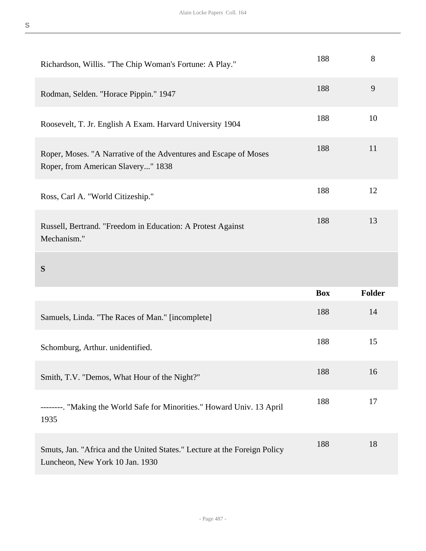| Richardson, Willis. "The Chip Woman's Fortune: A Play."                                                | 188        | 8             |
|--------------------------------------------------------------------------------------------------------|------------|---------------|
| Rodman, Selden. "Horace Pippin." 1947                                                                  | 188        | 9             |
| Roosevelt, T. Jr. English A Exam. Harvard University 1904                                              | 188        | 10            |
| Roper, Moses. "A Narrative of the Adventures and Escape of Moses<br>Roper, from American Slavery" 1838 | 188        | 11            |
| Ross, Carl A. "World Citizeship."                                                                      | 188        | 12            |
| Russell, Bertrand. "Freedom in Education: A Protest Against<br>Mechanism."                             | 188        | 13            |
| S                                                                                                      |            |               |
|                                                                                                        |            |               |
|                                                                                                        | <b>Box</b> | <b>Folder</b> |
| Samuels, Linda. "The Races of Man." [incomplete]                                                       | 188        | 14            |
| Schomburg, Arthur. unidentified.                                                                       | 188        | 15            |
| Smith, T.V. "Demos, What Hour of the Night?"                                                           | 188        | 16            |
| --------. "Making the World Safe for Minorities." Howard Univ. 13 April<br>1935                        | 188        | 17            |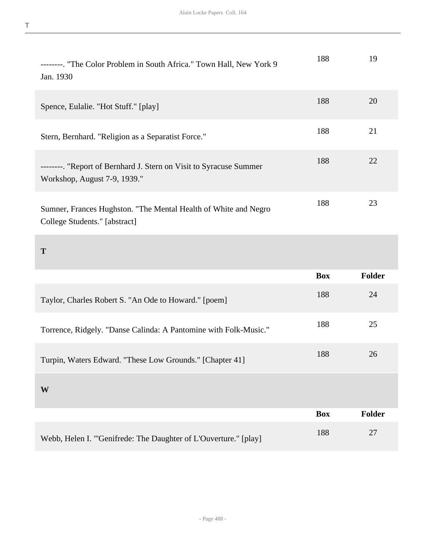| --------. "The Color Problem in South Africa." Town Hall, New York 9<br>Jan. 1930                  | 188        | 19            |
|----------------------------------------------------------------------------------------------------|------------|---------------|
| Spence, Eulalie. "Hot Stuff." [play]                                                               | 188        | 20            |
| Stern, Bernhard. "Religion as a Separatist Force."                                                 | 188        | 21            |
| --------. "Report of Bernhard J. Stern on Visit to Syracuse Summer<br>Workshop, August 7-9, 1939." | 188        | 22            |
| Sumner, Frances Hughston. "The Mental Health of White and Negro<br>College Students." [abstract]   | 188        | 23            |
|                                                                                                    |            |               |
| T                                                                                                  |            |               |
|                                                                                                    | <b>Box</b> | <b>Folder</b> |
| Taylor, Charles Robert S. "An Ode to Howard." [poem]                                               | 188        | 24            |
| Torrence, Ridgely. "Danse Calinda: A Pantomine with Folk-Music."                                   | 188        | 25            |
| Turpin, Waters Edward. "These Low Grounds." [Chapter 41]                                           | 188        | 26            |
| W                                                                                                  |            |               |
|                                                                                                    | <b>Box</b> | Folder        |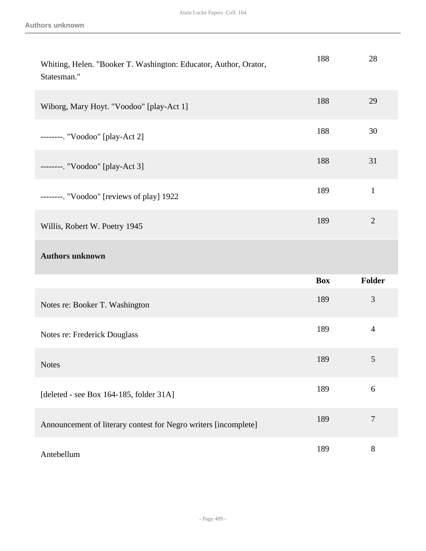| Whiting, Helen. "Booker T. Washington: Educator, Author, Orator,<br>Statesman." | 188        | 28               |
|---------------------------------------------------------------------------------|------------|------------------|
| Wiborg, Mary Hoyt. "Voodoo" [play-Act 1]                                        | 188        | 29               |
| --------. "Voodoo" [play-Act 2]                                                 | 188        | 30               |
| --------. "Voodoo" [play-Act 3]                                                 | 188        | 31               |
| --------. "Voodoo" [reviews of play] 1922                                       | 189        | $\mathbf{1}$     |
| Willis, Robert W. Poetry 1945                                                   | 189        | $\overline{2}$   |
|                                                                                 |            |                  |
| <b>Authors unknown</b>                                                          |            |                  |
|                                                                                 | <b>Box</b> | Folder           |
| Notes re: Booker T. Washington                                                  | 189        | 3                |
| Notes re: Frederick Douglass                                                    | 189        | $\overline{4}$   |
| <b>Notes</b>                                                                    | 189        | $\mathfrak{S}$   |
| [deleted - see Box 164-185, folder 31A]                                         | 189        | 6                |
| Announcement of literary contest for Negro writers [incomplete]                 | 189        | $\boldsymbol{7}$ |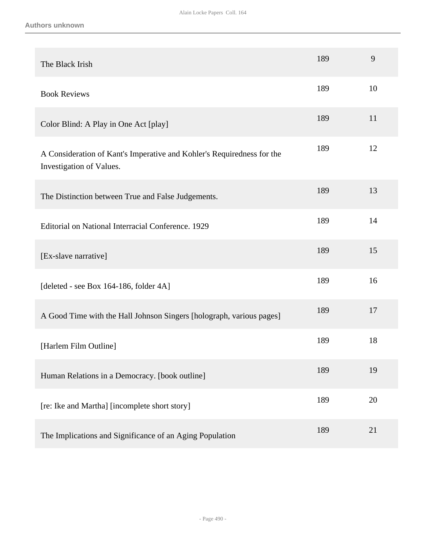| The Black Irish                                                                                    | 189 | 9  |
|----------------------------------------------------------------------------------------------------|-----|----|
| <b>Book Reviews</b>                                                                                | 189 | 10 |
| Color Blind: A Play in One Act [play]                                                              | 189 | 11 |
| A Consideration of Kant's Imperative and Kohler's Requiredness for the<br>Investigation of Values. | 189 | 12 |
| The Distinction between True and False Judgements.                                                 | 189 | 13 |
| Editorial on National Interracial Conference. 1929                                                 | 189 | 14 |
| [Ex-slave narrative]                                                                               | 189 | 15 |
| [deleted - see Box 164-186, folder 4A]                                                             | 189 | 16 |
| A Good Time with the Hall Johnson Singers [holograph, various pages]                               | 189 | 17 |
| [Harlem Film Outline]                                                                              | 189 | 18 |
| Human Relations in a Democracy. [book outline]                                                     | 189 | 19 |
| [re: Ike and Martha] [incomplete short story]                                                      | 189 | 20 |
| The Implications and Significance of an Aging Population                                           | 189 | 21 |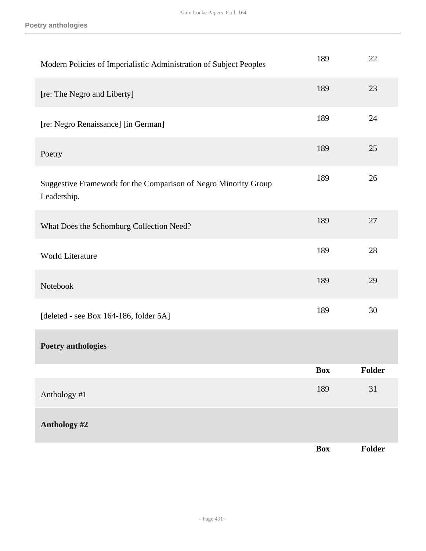**Poetry anthologies**

| Modern Policies of Imperialistic Administration of Subject Peoples             | 189        | 22     |
|--------------------------------------------------------------------------------|------------|--------|
| [re: The Negro and Liberty]                                                    | 189        | 23     |
| [re: Negro Renaissance] [in German]                                            | 189        | 24     |
| Poetry                                                                         | 189        | 25     |
| Suggestive Framework for the Comparison of Negro Minority Group<br>Leadership. | 189        | 26     |
| What Does the Schomburg Collection Need?                                       | 189        | 27     |
| World Literature                                                               | 189        | 28     |
| Notebook                                                                       | 189        | 29     |
| [deleted - see Box 164-186, folder 5A]                                         | 189        | 30     |
| <b>Poetry anthologies</b>                                                      |            |        |
|                                                                                | <b>Box</b> | Folder |
| Anthology #1                                                                   | 189        | 31     |
| Anthology #2                                                                   |            |        |
|                                                                                | <b>Box</b> | Folder |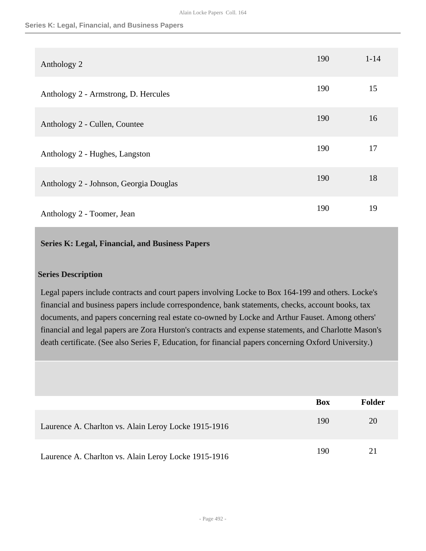#### **Series K: Legal, Financial, and Business Papers**

| Anthology 2                            | 190 | $1 - 14$ |
|----------------------------------------|-----|----------|
| Anthology 2 - Armstrong, D. Hercules   | 190 | 15       |
| Anthology 2 - Cullen, Countee          | 190 | 16       |
| Anthology 2 - Hughes, Langston         | 190 | 17       |
| Anthology 2 - Johnson, Georgia Douglas | 190 | 18       |
| Anthology 2 - Toomer, Jean             | 190 | 19       |

## **Series K: Legal, Financial, and Business Papers**

### **Series Description**

Legal papers include contracts and court papers involving Locke to Box 164-199 and others. Locke's financial and business papers include correspondence, bank statements, checks, account books, tax documents, and papers concerning real estate co-owned by Locke and Arthur Fauset. Among others' financial and legal papers are Zora Hurston's contracts and expense statements, and Charlotte Mason's death certificate. (See also Series F, Education, for financial papers concerning Oxford University.)

|                                                      | <b>Box</b> | <b>Folder</b> |
|------------------------------------------------------|------------|---------------|
| Laurence A. Charlton vs. Alain Leroy Locke 1915-1916 | 190        | 20            |
| Laurence A. Charlton vs. Alain Leroy Locke 1915-1916 | 190        | 21            |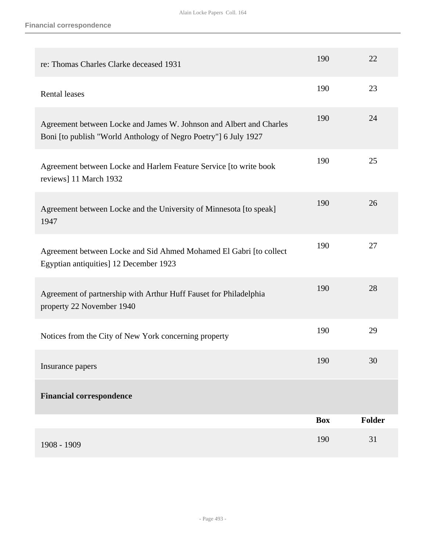| re: Thomas Charles Clarke deceased 1931                                                                                                | 190        | 22            |
|----------------------------------------------------------------------------------------------------------------------------------------|------------|---------------|
| <b>Rental leases</b>                                                                                                                   | 190        | 23            |
| Agreement between Locke and James W. Johnson and Albert and Charles<br>Boni [to publish "World Anthology of Negro Poetry"] 6 July 1927 | 190        | 24            |
| Agreement between Locke and Harlem Feature Service [to write book<br>reviews] 11 March 1932                                            | 190        | 25            |
| Agreement between Locke and the University of Minnesota [to speak]<br>1947                                                             | 190        | 26            |
| Agreement between Locke and Sid Ahmed Mohamed El Gabri [to collect<br>Egyptian antiquities] 12 December 1923                           | 190        | 27            |
| Agreement of partnership with Arthur Huff Fauset for Philadelphia<br>property 22 November 1940                                         | 190        | 28            |
| Notices from the City of New York concerning property                                                                                  | 190        | 29            |
| Insurance papers                                                                                                                       | 190        | 30            |
| <b>Financial correspondence</b>                                                                                                        |            |               |
|                                                                                                                                        | <b>Box</b> | <b>Folder</b> |
| 1908 - 1909                                                                                                                            | 190        | 31            |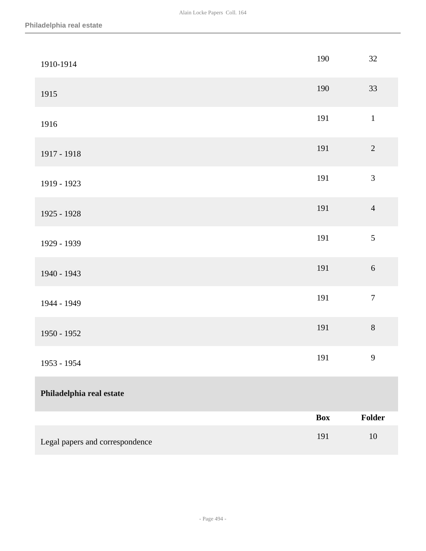| 1910-1914                       | 190        | 32               |
|---------------------------------|------------|------------------|
| 1915                            | 190        | 33               |
| 1916                            | 191        | $\mathbf{1}$     |
| 1917 - 1918                     | 191        | $\sqrt{2}$       |
| 1919 - 1923                     | 191        | $\overline{3}$   |
| 1925 - 1928                     | 191        | $\overline{4}$   |
| 1929 - 1939                     | 191        | 5                |
| 1940 - 1943                     | 191        | $\sqrt{6}$       |
| 1944 - 1949                     | 191        | $\boldsymbol{7}$ |
| 1950 - 1952                     | 191        | $8\,$            |
| 1953 - 1954                     | 191        | $\mathbf{9}$     |
| Philadelphia real estate        |            |                  |
|                                 | <b>Box</b> | Folder           |
| Legal papers and correspondence | 191        | 10               |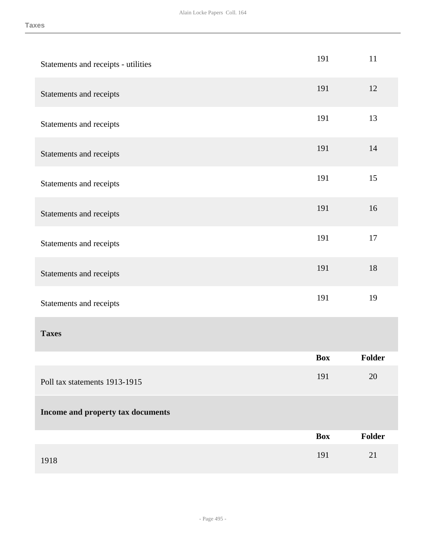| Statements and receipts - utilities | 191        | 11     |
|-------------------------------------|------------|--------|
| Statements and receipts             | 191        | 12     |
| Statements and receipts             | 191        | 13     |
| Statements and receipts             | 191        | 14     |
| Statements and receipts             | 191        | 15     |
| Statements and receipts             | 191        | 16     |
| Statements and receipts             | 191        | 17     |
| Statements and receipts             | 191        | 18     |
| Statements and receipts             | 191        | 19     |
| <b>Taxes</b>                        |            |        |
|                                     | <b>Box</b> | Folder |
| Poll tax statements 1913-1915       | 191        | 20     |
| Income and property tax documents   |            |        |
|                                     | <b>Box</b> | Folder |
| 1918                                | 191        | 21     |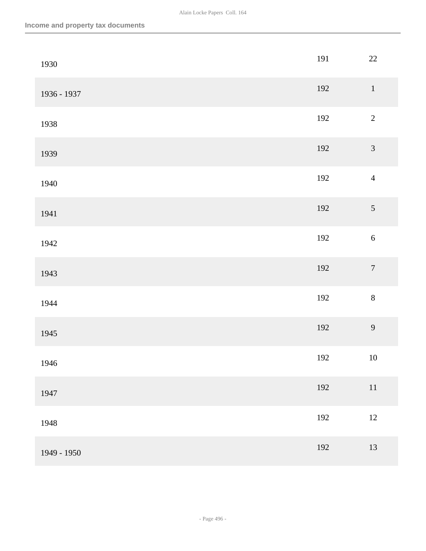| 1930        | 191 | 22               |
|-------------|-----|------------------|
| 1936 - 1937 | 192 | $\,1\,$          |
| 1938        | 192 | $\overline{c}$   |
| 1939        | 192 | $\overline{3}$   |
| 1940        | 192 | $\overline{4}$   |
| 1941        | 192 | $\sqrt{5}$       |
| 1942        | 192 | $\sqrt{6}$       |
| 1943        | 192 | $\boldsymbol{7}$ |
| 1944        | 192 | $8\,$            |
| 1945        | 192 | 9                |
| 1946        | 192 | $10\,$           |
| 1947        | 192 | $11\,$           |
| 1948        | 192 | $12\,$           |
| 1949 - 1950 | 192 | 13               |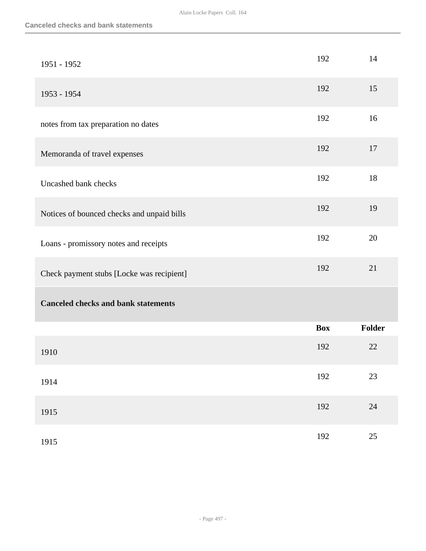| 1951 - 1952                                | 192        | 14            |
|--------------------------------------------|------------|---------------|
| 1953 - 1954                                | 192        | 15            |
| notes from tax preparation no dates        | 192        | 16            |
| Memoranda of travel expenses               | 192        | 17            |
| Uncashed bank checks                       | 192        | 18            |
| Notices of bounced checks and unpaid bills | 192        | 19            |
| Loans - promissory notes and receipts      | 192        | 20            |
| Check payment stubs [Locke was recipient]  | 192        | 21            |
| <b>Canceled checks and bank statements</b> |            |               |
|                                            | <b>Box</b> | <b>Folder</b> |
| 1910                                       | 192        | 22            |
| 1914                                       | 192        | 23            |
| 1915                                       | 192        | $24\,$        |
| 1915                                       | 192        | 25            |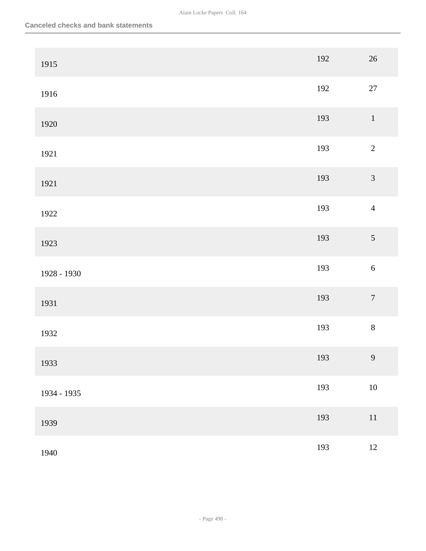| 1915        | 192 | $26\,$           |
|-------------|-----|------------------|
| 1916        | 192 | $27\,$           |
| 1920        | 193 | $\,1\,$          |
| 1921        | 193 | $\sqrt{2}$       |
| 1921        | 193 | $\mathfrak{Z}$   |
| 1922        | 193 | $\overline{4}$   |
| 1923        | 193 | $\mathfrak{S}$   |
| 1928 - 1930 | 193 | $\sqrt{6}$       |
| 1931        | 193 | $\boldsymbol{7}$ |
| 1932        | 193 | $\,8\,$          |
| 1933        | 193 | $\overline{9}$   |
| 1934 - 1935 | 193 | $10\,$           |
| 1939        | 193 | $11\,$           |
| 1940        | 193 | $12\,$           |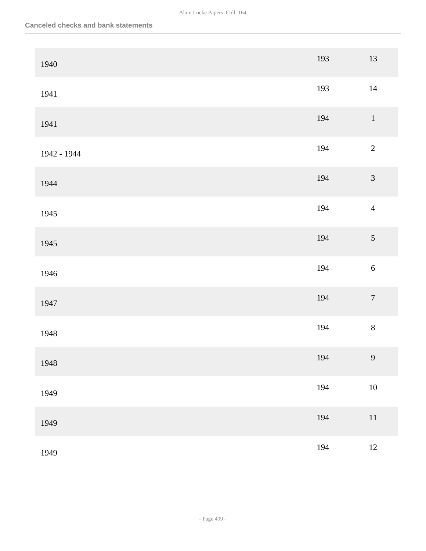| 1940        | 193 | $13\,$           |
|-------------|-----|------------------|
| 1941        | 193 | $14\,$           |
| 1941        | 194 | $\,1\,$          |
| 1942 - 1944 | 194 | $\sqrt{2}$       |
| 1944        | 194 | $\mathfrak{Z}$   |
| 1945        | 194 | $\overline{4}$   |
| 1945        | 194 | $\sqrt{5}$       |
| 1946        | 194 | $\sqrt{6}$       |
| 1947        | 194 | $\boldsymbol{7}$ |
| 1948        | 194 | $8\,$            |
| 1948        | 194 | $\overline{9}$   |
| 1949        | 194 | $10\,$           |
| 1949        | 194 | $11\,$           |
| 1949        | 194 | $12\,$           |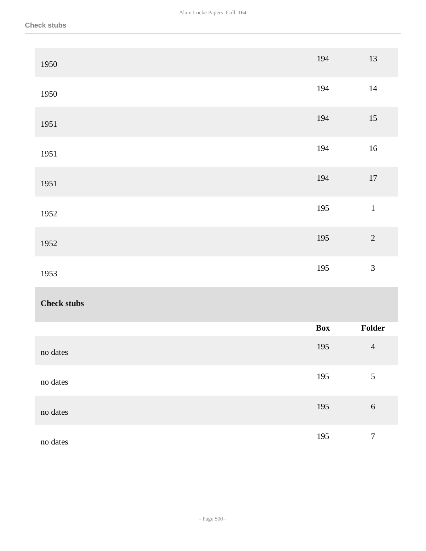| 1950               | 194 | $13\,$           |
|--------------------|-----|------------------|
| 1950               | 194 | $14\,$           |
| 1951               | 194 | $15\,$           |
| 1951               | 194 | $16\,$           |
| 1951               | 194 | $17\,$           |
| 1952               | 195 | $\,1\,$          |
| 1952               | 195 | $\sqrt{2}$       |
| 1953               | 195 | $\mathfrak{Z}$   |
| <b>Check stubs</b> |     |                  |
|                    | Box | Folder           |
| no dates           | 195 | $\overline{4}$   |
| no dates           | 195 | $\mathfrak{S}$   |
| no dates           | 195 | $\sqrt{6}$       |
| no dates           | 195 | $\boldsymbol{7}$ |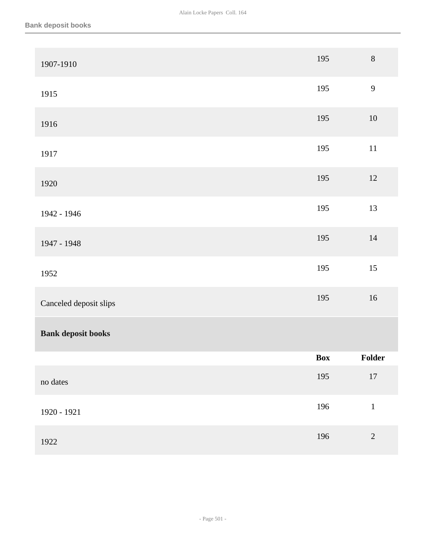| 1907-1910                 | 195 | $8\,$          |
|---------------------------|-----|----------------|
| 1915                      | 195 | 9              |
| 1916                      | 195 | $10\,$         |
| 1917                      | 195 | $11\,$         |
| 1920                      | 195 | $12\,$         |
| 1942 - 1946               | 195 | 13             |
| 1947 - 1948               | 195 | $14\,$         |
| 1952                      | 195 | 15             |
| Canceled deposit slips    | 195 | $16\,$         |
| <b>Bank deposit books</b> |     |                |
|                           | Box | Folder         |
| no dates                  | 195 | $17\,$         |
| 1920 - 1921               | 196 | $\,1$          |
| 1922                      | 196 | $\overline{2}$ |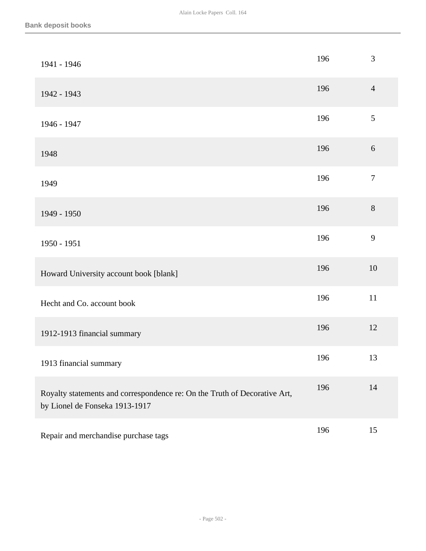| 1941 - 1946                                                                                                 | 196 | 3              |
|-------------------------------------------------------------------------------------------------------------|-----|----------------|
| 1942 - 1943                                                                                                 | 196 | $\overline{4}$ |
| 1946 - 1947                                                                                                 | 196 | 5              |
| 1948                                                                                                        | 196 | $6\,$          |
| 1949                                                                                                        | 196 | $\overline{7}$ |
| 1949 - 1950                                                                                                 | 196 | 8              |
| 1950 - 1951                                                                                                 | 196 | 9              |
| Howard University account book [blank]                                                                      | 196 | 10             |
| Hecht and Co. account book                                                                                  | 196 | 11             |
| 1912-1913 financial summary                                                                                 | 196 | 12             |
| 1913 financial summary                                                                                      | 196 | 13             |
| Royalty statements and correspondence re: On the Truth of Decorative Art,<br>by Lionel de Fonseka 1913-1917 | 196 | 14             |
| Repair and merchandise purchase tags                                                                        | 196 | 15             |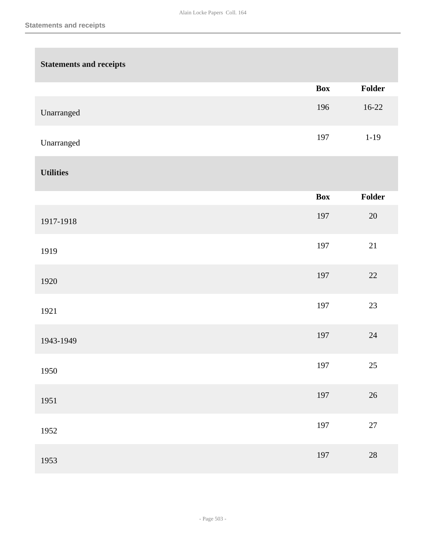| <b>Statements and receipts</b> |            |          |
|--------------------------------|------------|----------|
|                                | <b>Box</b> | Folder   |
| Unarranged                     | 196        | $16-22$  |
| Unarranged                     | 197        | $1 - 19$ |
| <b>Utilities</b>               |            |          |
|                                | <b>Box</b> | Folder   |
| 1917-1918                      | 197        | $20\,$   |
| 1919                           | 197        | 21       |
| 1920                           | 197        | $22\,$   |
| 1921                           | 197        | $23\,$   |
| 1943-1949                      | 197        | $24\,$   |
| 1950                           | 197        | $25\,$   |
| 1951                           | 197        | $26\,$   |
| 1952                           | 197        | $27\,$   |
| 1953                           | 197        | $28\,$   |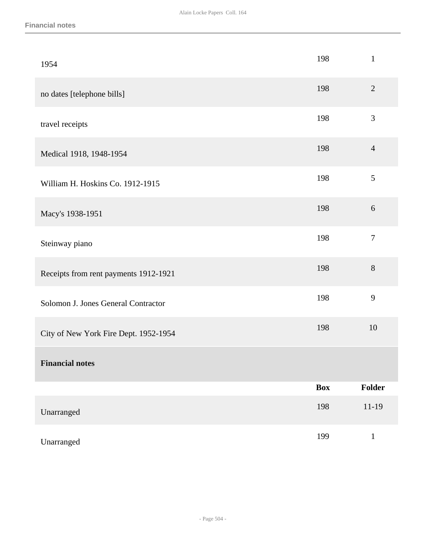| 1954                                  | 198        | $\mathbf{1}$   |
|---------------------------------------|------------|----------------|
| no dates [telephone bills]            | 198        | $\sqrt{2}$     |
| travel receipts                       | 198        | 3              |
| Medical 1918, 1948-1954               | 198        | $\overline{4}$ |
| William H. Hoskins Co. 1912-1915      | 198        | 5              |
| Macy's 1938-1951                      | 198        | $6\,$          |
| Steinway piano                        | 198        | $\overline{7}$ |
| Receipts from rent payments 1912-1921 | 198        | 8              |
| Solomon J. Jones General Contractor   | 198        | $\mathbf{9}$   |
| City of New York Fire Dept. 1952-1954 | 198        | 10             |
| <b>Financial notes</b>                |            |                |
|                                       | <b>Box</b> | Folder         |
| Unarranged                            | 198        | $11-19$        |
| Unarranged                            | 199        | $\mathbf{1}$   |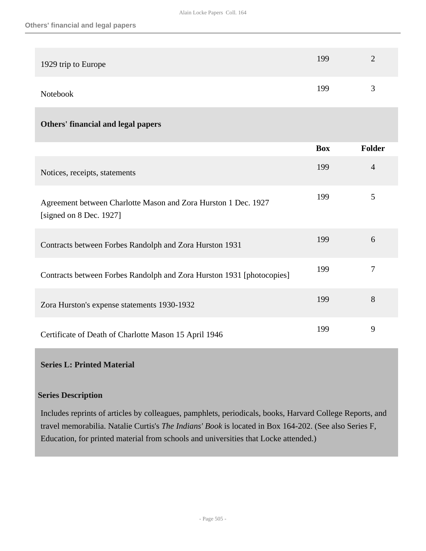| 1929 trip to Europe | 199 | $\mathcal{D}$        |
|---------------------|-----|----------------------|
| Notebook            | 199 | $\blacktriangleleft$ |

## **Others' financial and legal papers**

|                                                                                             | <b>Box</b> | <b>Folder</b>  |
|---------------------------------------------------------------------------------------------|------------|----------------|
| Notices, receipts, statements                                                               | 199        | $\overline{4}$ |
| Agreement between Charlotte Mason and Zora Hurston 1 Dec. 1927<br>[signed on $8$ Dec. 1927] | 199        | 5              |
| Contracts between Forbes Randolph and Zora Hurston 1931                                     | 199        | 6              |
| Contracts between Forbes Randolph and Zora Hurston 1931 [photocopies]                       | 199        | 7              |
| Zora Hurston's expense statements 1930-1932                                                 | 199        | 8              |
| Certificate of Death of Charlotte Mason 15 April 1946                                       | 199        | 9              |

#### **Series L: Printed Material**

#### **Series Description**

Includes reprints of articles by colleagues, pamphlets, periodicals, books, Harvard College Reports, and travel memorabilia. Natalie Curtis's *The Indians' Book* is located in Box 164-202. (See also Series F, Education, for printed material from schools and universities that Locke attended.)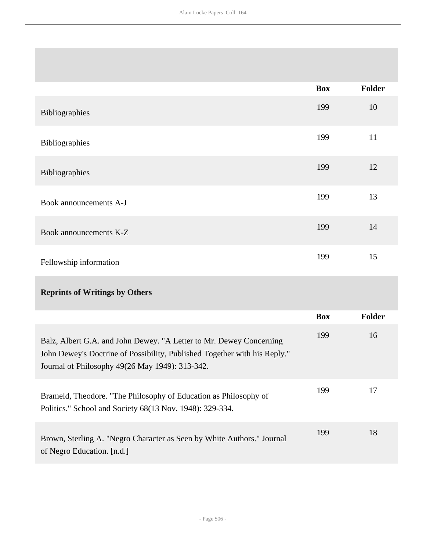|                        | <b>Box</b> | <b>Folder</b> |
|------------------------|------------|---------------|
| Bibliographies         | 199        | 10            |
| Bibliographies         | 199        | 11            |
| Bibliographies         | 199        | 12            |
| Book announcements A-J | 199        | 13            |
| Book announcements K-Z | 199        | 14            |
| Fellowship information | 199        | 15            |
|                        |            |               |

# **Reprints of Writings by Others**

|                                                                                                                                                                                                     | <b>Box</b> | <b>Folder</b> |
|-----------------------------------------------------------------------------------------------------------------------------------------------------------------------------------------------------|------------|---------------|
| Balz, Albert G.A. and John Dewey. "A Letter to Mr. Dewey Concerning<br>John Dewey's Doctrine of Possibility, Published Together with his Reply."<br>Journal of Philosophy 49(26 May 1949): 313-342. | 199        | 16            |
| Brameld, Theodore. "The Philosophy of Education as Philosophy of<br>Politics." School and Society 68(13 Nov. 1948): 329-334.                                                                        | 199        | 17            |
| Brown, Sterling A. "Negro Character as Seen by White Authors." Journal<br>of Negro Education. [n.d.]                                                                                                | 199        | 18            |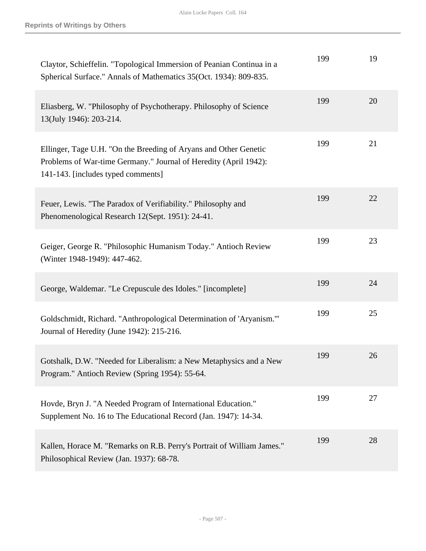| Claytor, Schieffelin. "Topological Immersion of Peanian Continua in a<br>Spherical Surface." Annals of Mathematics 35(Oct. 1934): 809-835.                                 | 199 | 19 |
|----------------------------------------------------------------------------------------------------------------------------------------------------------------------------|-----|----|
| Eliasberg, W. "Philosophy of Psychotherapy. Philosophy of Science<br>13(July 1946): 203-214.                                                                               | 199 | 20 |
| Ellinger, Tage U.H. "On the Breeding of Aryans and Other Genetic<br>Problems of War-time Germany." Journal of Heredity (April 1942):<br>141-143. [includes typed comments] | 199 | 21 |
| Feuer, Lewis. "The Paradox of Verifiability." Philosophy and<br>Phenomenological Research 12(Sept. 1951): 24-41.                                                           | 199 | 22 |
| Geiger, George R. "Philosophic Humanism Today." Antioch Review<br>(Winter 1948-1949): 447-462.                                                                             | 199 | 23 |
| George, Waldemar. "Le Crepuscule des Idoles." [incomplete]                                                                                                                 | 199 | 24 |
| Goldschmidt, Richard. "Anthropological Determination of 'Aryanism."<br>Journal of Heredity (June 1942): 215-216.                                                           | 199 | 25 |
| Gotshalk, D.W. "Needed for Liberalism: a New Metaphysics and a New<br>Program." Antioch Review (Spring 1954): 55-64.                                                       | 199 | 26 |
| Hovde, Bryn J. "A Needed Program of International Education."<br>Supplement No. 16 to The Educational Record (Jan. 1947): 14-34.                                           | 199 | 27 |
| Kallen, Horace M. "Remarks on R.B. Perry's Portrait of William James."<br>Philosophical Review (Jan. 1937): 68-78.                                                         | 199 | 28 |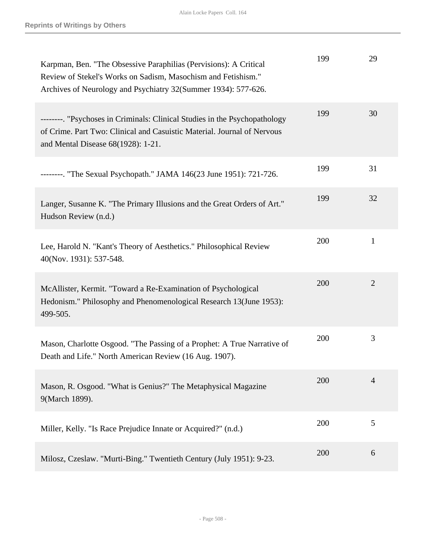| Karpman, Ben. "The Obsessive Paraphilias (Pervisions): A Critical<br>Review of Stekel's Works on Sadism, Masochism and Fetishism."<br>Archives of Neurology and Psychiatry 32(Summer 1934): 577-626. | 199 | 29             |
|------------------------------------------------------------------------------------------------------------------------------------------------------------------------------------------------------|-----|----------------|
| --------. "Psychoses in Criminals: Clinical Studies in the Psychopathology<br>of Crime. Part Two: Clinical and Casuistic Material. Journal of Nervous<br>and Mental Disease 68(1928): 1-21.          | 199 | 30             |
| --------. "The Sexual Psychopath." JAMA 146(23 June 1951): 721-726.                                                                                                                                  | 199 | 31             |
| Langer, Susanne K. "The Primary Illusions and the Great Orders of Art."<br>Hudson Review (n.d.)                                                                                                      | 199 | 32             |
| Lee, Harold N. "Kant's Theory of Aesthetics." Philosophical Review<br>40(Nov. 1931): 537-548.                                                                                                        | 200 | $\mathbf{1}$   |
| McAllister, Kermit. "Toward a Re-Examination of Psychological<br>Hedonism." Philosophy and Phenomenological Research 13(June 1953):<br>499-505.                                                      | 200 | $\overline{2}$ |
| Mason, Charlotte Osgood. "The Passing of a Prophet: A True Narrative of<br>Death and Life." North American Review (16 Aug. 1907).                                                                    | 200 | 3              |
| Mason, R. Osgood. "What is Genius?" The Metaphysical Magazine<br>9(March 1899).                                                                                                                      | 200 | $\overline{4}$ |
| Miller, Kelly. "Is Race Prejudice Innate or Acquired?" (n.d.)                                                                                                                                        | 200 | 5              |
| Milosz, Czeslaw. "Murti-Bing." Twentieth Century (July 1951): 9-23.                                                                                                                                  | 200 | 6              |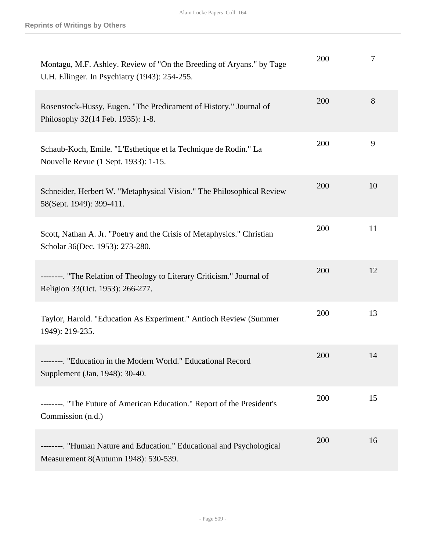| Montagu, M.F. Ashley. Review of "On the Breeding of Aryans." by Tage<br>U.H. Ellinger. In Psychiatry (1943): 254-255. | 200 | 7  |
|-----------------------------------------------------------------------------------------------------------------------|-----|----|
| Rosenstock-Hussy, Eugen. "The Predicament of History." Journal of<br>Philosophy 32(14 Feb. 1935): 1-8.                | 200 | 8  |
| Schaub-Koch, Emile. "L'Esthetique et la Technique de Rodin." La<br>Nouvelle Revue (1 Sept. 1933): 1-15.               | 200 | 9  |
| Schneider, Herbert W. "Metaphysical Vision." The Philosophical Review<br>58(Sept. 1949): 399-411.                     | 200 | 10 |
| Scott, Nathan A. Jr. "Poetry and the Crisis of Metaphysics." Christian<br>Scholar 36(Dec. 1953): 273-280.             | 200 | 11 |
| --------. "The Relation of Theology to Literary Criticism." Journal of<br>Religion 33(Oct. 1953): 266-277.            | 200 | 12 |
| Taylor, Harold. "Education As Experiment." Antioch Review (Summer<br>1949): 219-235.                                  | 200 | 13 |
| --------. "Education in the Modern World." Educational Record<br>Supplement (Jan. 1948): 30-40.                       | 200 | 14 |
| --------. "The Future of American Education." Report of the President's<br>Commission (n.d.)                          | 200 | 15 |
| --------. "Human Nature and Education." Educational and Psychological<br>Measurement 8(Autumn 1948): 530-539.         | 200 | 16 |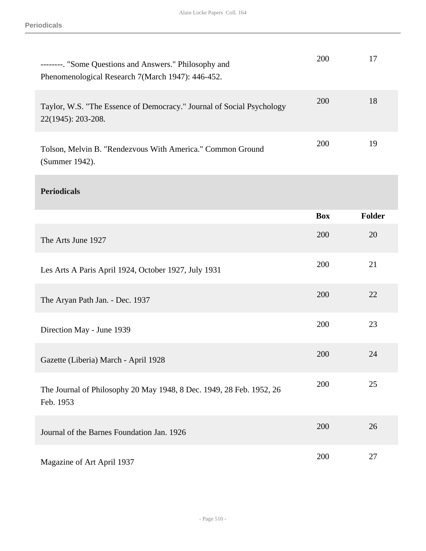| --------. "Some Questions and Answers." Philosophy and<br>Phenomenological Research 7(March 1947): 446-452. | 200        | 17            |
|-------------------------------------------------------------------------------------------------------------|------------|---------------|
| Taylor, W.S. "The Essence of Democracy." Journal of Social Psychology<br>22(1945): 203-208.                 | 200        | 18            |
| Tolson, Melvin B. "Rendezvous With America." Common Ground<br>(Summer 1942).                                | 200        | 19            |
| <b>Periodicals</b>                                                                                          |            |               |
|                                                                                                             | <b>Box</b> | <b>Folder</b> |
| The Arts June 1927                                                                                          | 200        | 20            |
| Les Arts A Paris April 1924, October 1927, July 1931                                                        | 200        | 21            |
| The Aryan Path Jan. - Dec. 1937                                                                             | 200        | 22            |
| Direction May - June 1939                                                                                   | 200        | 23            |
| Gazette (Liberia) March - April 1928                                                                        | 200        | 24            |
| The Journal of Philosophy 20 May 1948, 8 Dec. 1949, 28 Feb. 1952, 26<br>Feb. 1953                           | 200        | 25            |
| Journal of the Barnes Foundation Jan. 1926                                                                  | 200        | 26            |
| Magazine of Art April 1937                                                                                  | 200        | 27            |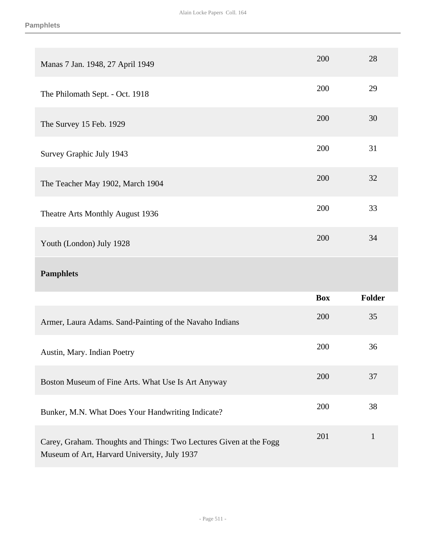| Manas 7 Jan. 1948, 27 April 1949                        | 200        | 28     |
|---------------------------------------------------------|------------|--------|
| The Philomath Sept. - Oct. 1918                         | 200        | 29     |
| The Survey 15 Feb. 1929                                 | 200        | 30     |
| Survey Graphic July 1943                                | 200        | 31     |
| The Teacher May 1902, March 1904                        | 200        | 32     |
| Theatre Arts Monthly August 1936                        | 200        | 33     |
| Youth (London) July 1928                                | 200        | 34     |
| <b>Pamphlets</b>                                        |            |        |
|                                                         |            |        |
|                                                         | <b>Box</b> | Folder |
| Armer, Laura Adams. Sand-Painting of the Navaho Indians | 200        | 35     |
| Austin, Mary. Indian Poetry                             | 200        | 36     |
| Boston Museum of Fine Arts. What Use Is Art Anyway      | 200        | 37     |
| Bunker, M.N. What Does Your Handwriting Indicate?       | 200        | 38     |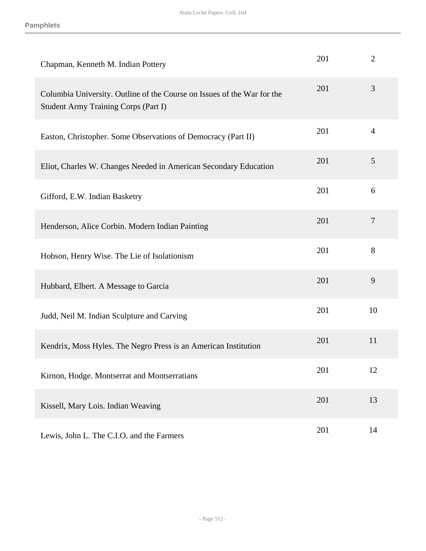| Chapman, Kenneth M. Indian Pottery                                                                              | 201 | $\overline{2}$ |
|-----------------------------------------------------------------------------------------------------------------|-----|----------------|
| Columbia University. Outline of the Course on Issues of the War for the<br>Student Army Training Corps (Part I) | 201 | 3              |
| Easton, Christopher. Some Observations of Democracy (Part II)                                                   | 201 | $\overline{4}$ |
| Eliot, Charles W. Changes Needed in American Secondary Education                                                | 201 | 5              |
| Gifford, E.W. Indian Basketry                                                                                   | 201 | 6              |
| Henderson, Alice Corbin. Modern Indian Painting                                                                 | 201 | $\overline{7}$ |
| Hobson, Henry Wise. The Lie of Isolationism                                                                     | 201 | 8              |
| Hubbard, Elbert. A Message to Garcia                                                                            | 201 | 9              |
| Judd, Neil M. Indian Sculpture and Carving                                                                      | 201 | 10             |
| Kendrix, Moss Hyles. The Negro Press is an American Institution                                                 | 201 | 11             |
| Kirnon, Hodge. Montserrat and Montserratians                                                                    | 201 | 12             |
| Kissell, Mary Lois. Indian Weaving                                                                              | 201 | 13             |
| Lewis, John L. The C.I.O. and the Farmers                                                                       | 201 | 14             |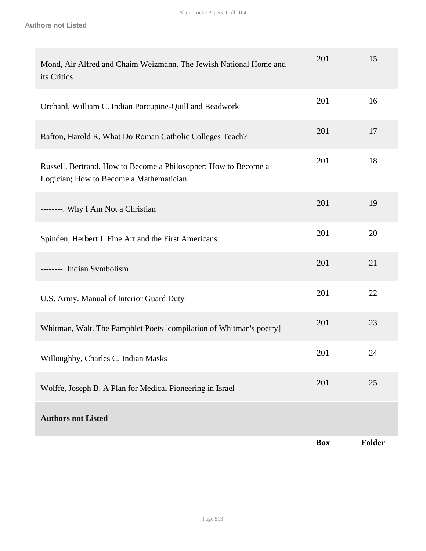| Mond, Air Alfred and Chaim Weizmann. The Jewish National Home and<br>its Critics                           | 201        | 15            |
|------------------------------------------------------------------------------------------------------------|------------|---------------|
| Orchard, William C. Indian Porcupine-Quill and Beadwork                                                    | 201        | 16            |
| Rafton, Harold R. What Do Roman Catholic Colleges Teach?                                                   | 201        | 17            |
| Russell, Bertrand. How to Become a Philosopher; How to Become a<br>Logician; How to Become a Mathematician | 201        | 18            |
| --------. Why I Am Not a Christian                                                                         | 201        | 19            |
| Spinden, Herbert J. Fine Art and the First Americans                                                       | 201        | 20            |
| --------. Indian Symbolism                                                                                 | 201        | 21            |
| U.S. Army. Manual of Interior Guard Duty                                                                   | 201        | 22            |
| Whitman, Walt. The Pamphlet Poets [compilation of Whitman's poetry]                                        | 201        | 23            |
| Willoughby, Charles C. Indian Masks                                                                        | 201        | 24            |
| Wolffe, Joseph B. A Plan for Medical Pioneering in Israel                                                  | 201        | 25            |
| <b>Authors not Listed</b>                                                                                  |            |               |
|                                                                                                            | <b>Box</b> | <b>Folder</b> |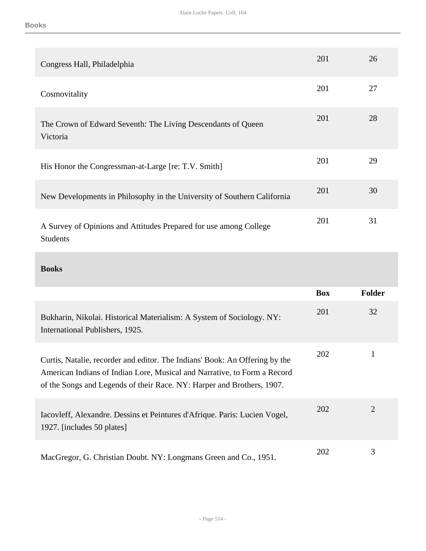| Congress Hall, Philadelphia                                                          | 201 | 26 |
|--------------------------------------------------------------------------------------|-----|----|
| Cosmovitality                                                                        | 201 | 27 |
| The Crown of Edward Seventh: The Living Descendants of Queen<br>Victoria             | 201 | 28 |
| His Honor the Congressman-at-Large [re: T.V. Smith]                                  | 201 | 29 |
| New Developments in Philosophy in the University of Southern California              | 201 | 30 |
| A Survey of Opinions and Attitudes Prepared for use among College<br><b>Students</b> | 201 | 31 |

## **Books**

|                                                                                                                                                                                                                                   | <b>Box</b> | Folder |
|-----------------------------------------------------------------------------------------------------------------------------------------------------------------------------------------------------------------------------------|------------|--------|
| Bukharin, Nikolai. Historical Materialism: A System of Sociology. NY:<br>International Publishers, 1925.                                                                                                                          | 201        | 32     |
| Curtis, Natalie, recorder and editor. The Indians' Book: An Offering by the<br>American Indians of Indian Lore, Musical and Narrative, to Form a Record<br>of the Songs and Legends of their Race. NY: Harper and Brothers, 1907. | <b>202</b> |        |
| Iacovleff, Alexandre. Dessins et Peintures d'Afrique. Paris: Lucien Vogel,<br>1927. [includes 50 plates]                                                                                                                          | 202        | 2      |
| MacGregor, G. Christian Doubt. NY: Longmans Green and Co., 1951.                                                                                                                                                                  | 202        | 3      |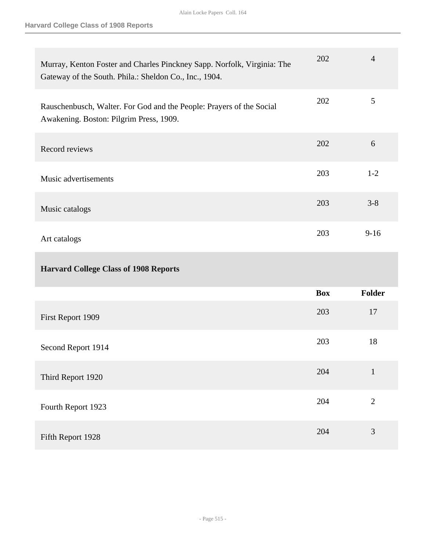| Murray, Kenton Foster and Charles Pinckney Sapp. Norfolk, Virginia: The<br>Gateway of the South. Phila.: Sheldon Co., Inc., 1904. | 202        | $\overline{4}$ |
|-----------------------------------------------------------------------------------------------------------------------------------|------------|----------------|
| Rauschenbusch, Walter. For God and the People: Prayers of the Social<br>Awakening. Boston: Pilgrim Press, 1909.                   | 202        | 5              |
| Record reviews                                                                                                                    | 202        | 6              |
| Music advertisements                                                                                                              | 203        | $1 - 2$        |
| Music catalogs                                                                                                                    | 203        | $3 - 8$        |
| Art catalogs                                                                                                                      | 203        | $9 - 16$       |
| <b>Harvard College Class of 1908 Reports</b>                                                                                      |            |                |
|                                                                                                                                   | <b>Box</b> | <b>Folder</b>  |
| First Report 1909                                                                                                                 | 203        | 17             |
| Second Report 1914                                                                                                                | 203        | 18             |
| Third Report 1920                                                                                                                 | 204        | $\mathbf{1}$   |
| Fourth Report 1923                                                                                                                | 204        | $\mathbf{2}$   |
|                                                                                                                                   |            |                |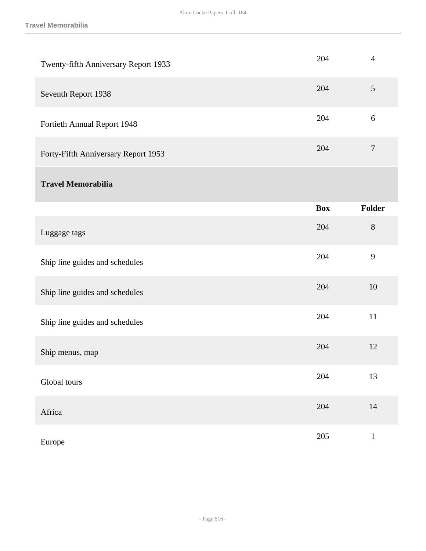| Twenty-fifth Anniversary Report 1933 | 204        | $\overline{4}$   |
|--------------------------------------|------------|------------------|
| Seventh Report 1938                  | 204        | 5                |
| Fortieth Annual Report 1948          | 204        | $6\,$            |
| Forty-Fifth Anniversary Report 1953  | 204        | $\boldsymbol{7}$ |
| <b>Travel Memorabilia</b>            |            |                  |
|                                      | <b>Box</b> | <b>Folder</b>    |
| Luggage tags                         | 204        | $8\,$            |
| Ship line guides and schedules       | 204        | 9                |
| Ship line guides and schedules       | 204        | 10               |
| Ship line guides and schedules       | 204        | 11               |
| Ship menus, map                      | 204        | 12               |
| Global tours                         | 204        | 13               |
| Africa                               | 204        | $14\,$           |
| Europe                               | 205        | $\mathbf{1}$     |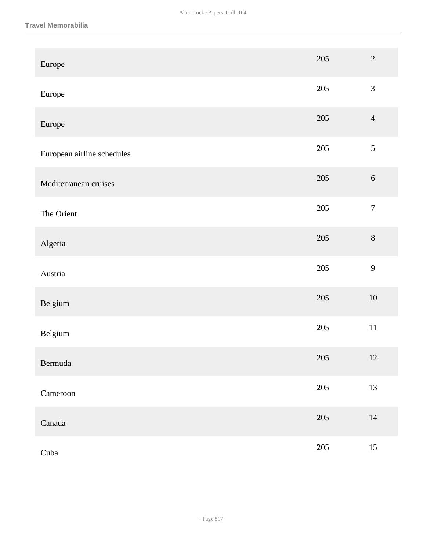#### **Travel Memorabilia**

| Europe                     | 205     | $\overline{2}$   |
|----------------------------|---------|------------------|
| Europe                     | 205     | $\mathfrak{Z}$   |
| Europe                     | $205\,$ | $\overline{4}$   |
| European airline schedules | $205\,$ | $\mathfrak{S}$   |
| Mediterranean cruises      | 205     | $6\,$            |
| The Orient                 | 205     | $\boldsymbol{7}$ |
| Algeria                    | $205\,$ | $8\,$            |
| Austria                    | $205\,$ | $\mathbf{9}$     |
| Belgium                    | $205\,$ | $10\,$           |
| Belgium                    | $205\,$ | $11\,$           |
| Bermuda                    | 205     | 12               |
| Cameroon                   | 205     | 13               |
| Canada                     | $205\,$ | $14\,$           |
| Cuba                       | $205\,$ | $15\,$           |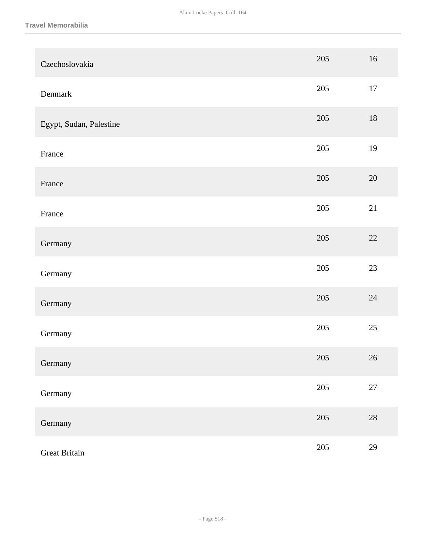| Czechoslovakia          | 205     | 16     |
|-------------------------|---------|--------|
| Denmark                 | 205     | 17     |
| Egypt, Sudan, Palestine | 205     | $18\,$ |
| France                  | 205     | 19     |
| France                  | $205\,$ | $20\,$ |
| France                  | 205     | 21     |
| Germany                 | 205     | 22     |
| Germany                 | 205     | 23     |
| Germany                 | 205     | 24     |
| Germany                 | 205     | 25     |
| Germany                 | $205\,$ | $26\,$ |
| Germany                 | 205     | $27\,$ |
| Germany                 | 205     | 28     |
| <b>Great Britain</b>    | 205     | 29     |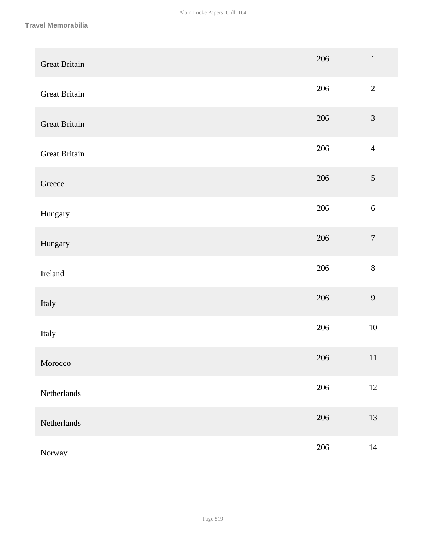| <b>Great Britain</b> | 206 | $\,1\,$          |
|----------------------|-----|------------------|
| <b>Great Britain</b> | 206 | $\sqrt{2}$       |
| <b>Great Britain</b> | 206 | $\mathfrak{Z}$   |
| <b>Great Britain</b> | 206 | $\overline{4}$   |
| Greece               | 206 | $\mathfrak{S}$   |
| Hungary              | 206 | $\sqrt{6}$       |
| Hungary              | 206 | $\boldsymbol{7}$ |
| Ireland              | 206 | $8\,$            |
| Italy                | 206 | $\mathbf{9}$     |
| Italy                | 206 | $10\,$           |
| Morocco              | 206 | 11               |
| Netherlands          | 206 | $12\,$           |
| Netherlands          | 206 | 13               |
| Norway               | 206 | $14\,$           |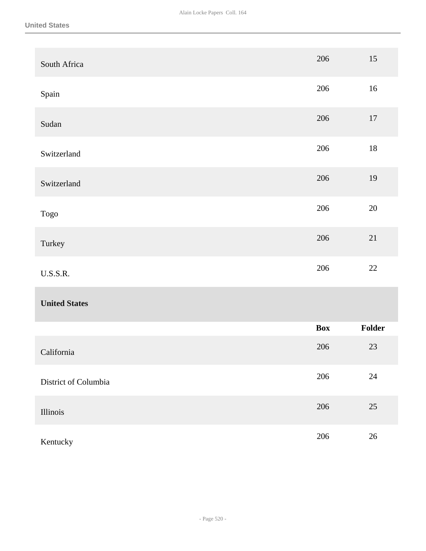| South Africa         | 206        | 15     |
|----------------------|------------|--------|
| Spain                | 206        | 16     |
| Sudan                | 206        | $17\,$ |
| Switzerland          | 206        | $18\,$ |
| Switzerland          | 206        | 19     |
| Togo                 | 206        | $20\,$ |
| Turkey               | 206        | 21     |
| <b>U.S.S.R.</b>      | 206        | $22\,$ |
| <b>United States</b> |            |        |
|                      | <b>Box</b> | Folder |
| California           | 206        | $23\,$ |
| District of Columbia | 206        | $24\,$ |
| Illinois             | 206        | $25\,$ |
| Kentucky             | 206        | $26\,$ |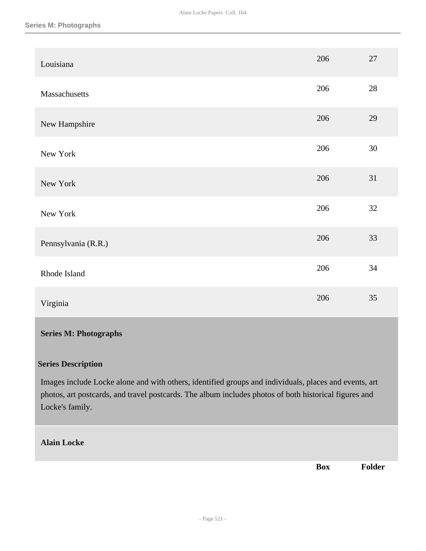| Louisiana           | 206 | $27\,$ |
|---------------------|-----|--------|
| Massachusetts       | 206 | $28\,$ |
| New Hampshire       | 206 | 29     |
| New York            | 206 | 30     |
| New York            | 206 | 31     |
| New York            | 206 | 32     |
| Pennsylvania (R.R.) | 206 | 33     |
| Rhode Island        | 206 | 34     |
| Virginia            | 206 | 35     |

## **Series M: Photographs**

## **Series Description**

Images include Locke alone and with others, identified groups and individuals, places and events, art photos, art postcards, and travel postcards. The album includes photos of both historical figures and Locke's family.

## **Alain Locke**

**Box Folder**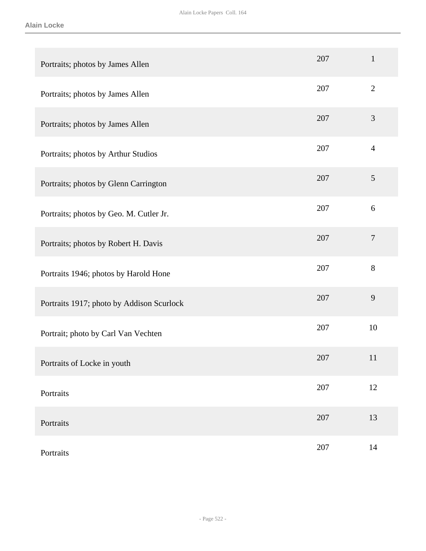| Portraits; photos by James Allen          | 207 | $\mathbf{1}$   |
|-------------------------------------------|-----|----------------|
| Portraits; photos by James Allen          | 207 | $\overline{2}$ |
| Portraits; photos by James Allen          | 207 | 3              |
| Portraits; photos by Arthur Studios       | 207 | $\overline{4}$ |
| Portraits; photos by Glenn Carrington     | 207 | $\mathfrak{S}$ |
| Portraits; photos by Geo. M. Cutler Jr.   | 207 | $6\,$          |
| Portraits; photos by Robert H. Davis      | 207 | $\tau$         |
| Portraits 1946; photos by Harold Hone     | 207 | 8              |
| Portraits 1917; photo by Addison Scurlock | 207 | 9              |
| Portrait; photo by Carl Van Vechten       | 207 | 10             |
| Portraits of Locke in youth               | 207 | 11             |
| Portraits                                 | 207 | 12             |
| Portraits                                 | 207 | 13             |
| Portraits                                 | 207 | 14             |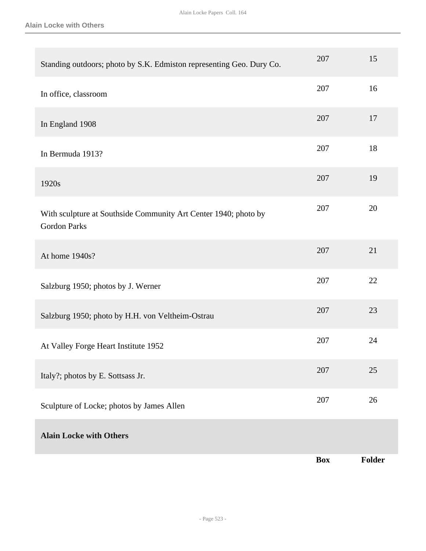**Alain Locke with Others**

| Standing outdoors; photo by S.K. Edmiston representing Geo. Dury Co.                   | 207        | 15     |
|----------------------------------------------------------------------------------------|------------|--------|
| In office, classroom                                                                   | 207        | 16     |
| In England 1908                                                                        | 207        | 17     |
| In Bermuda 1913?                                                                       | 207        | 18     |
| 1920s                                                                                  | 207        | 19     |
| With sculpture at Southside Community Art Center 1940; photo by<br><b>Gordon Parks</b> | 207        | 20     |
| At home 1940s?                                                                         | 207        | 21     |
| Salzburg 1950; photos by J. Werner                                                     | 207        | 22     |
| Salzburg 1950; photo by H.H. von Veltheim-Ostrau                                       | 207        | 23     |
| At Valley Forge Heart Institute 1952                                                   | 207        | 24     |
| Italy?; photos by E. Sottsass Jr.                                                      | 207        | 25     |
| Sculpture of Locke; photos by James Allen                                              | 207        | 26     |
| <b>Alain Locke with Others</b>                                                         |            |        |
|                                                                                        | <b>Box</b> | Folder |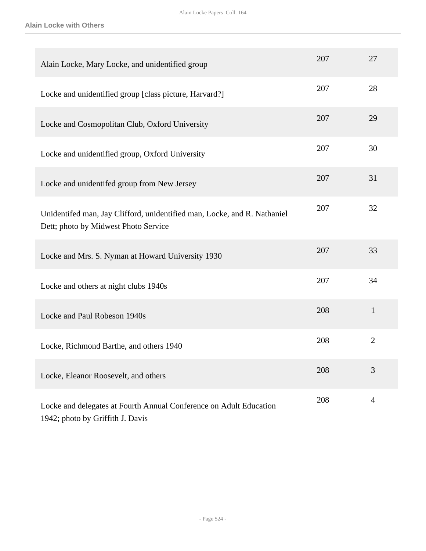| Alain Locke, Mary Locke, and unidentified group                                                                  | 207 | 27             |
|------------------------------------------------------------------------------------------------------------------|-----|----------------|
| Locke and unidentified group [class picture, Harvard?]                                                           | 207 | 28             |
| Locke and Cosmopolitan Club, Oxford University                                                                   | 207 | 29             |
| Locke and unidentified group, Oxford University                                                                  | 207 | 30             |
| Locke and unidentifed group from New Jersey                                                                      | 207 | 31             |
| Unidentifed man, Jay Clifford, unidentified man, Locke, and R. Nathaniel<br>Dett; photo by Midwest Photo Service | 207 | 32             |
| Locke and Mrs. S. Nyman at Howard University 1930                                                                | 207 | 33             |
| Locke and others at night clubs 1940s                                                                            | 207 | 34             |
| Locke and Paul Robeson 1940s                                                                                     | 208 | $\mathbf{1}$   |
| Locke, Richmond Barthe, and others 1940                                                                          | 208 | $\overline{2}$ |
| Locke, Eleanor Roosevelt, and others                                                                             | 208 | 3              |
| Locke and delegates at Fourth Annual Conference on Adult Education<br>1942; photo by Griffith J. Davis           | 208 | $\overline{4}$ |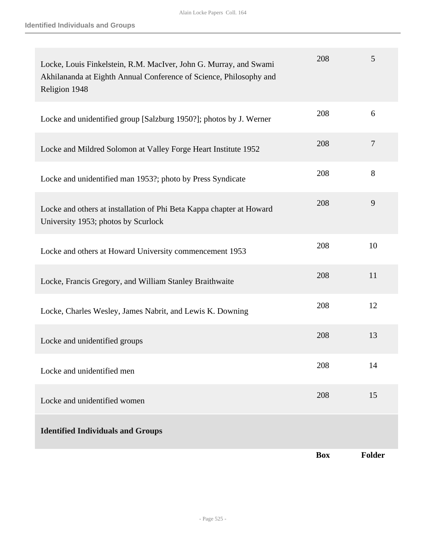| Locke, Louis Finkelstein, R.M. MacIver, John G. Murray, and Swami<br>Akhilananda at Eighth Annual Conference of Science, Philosophy and<br>Religion 1948 | 208        | 5              |
|----------------------------------------------------------------------------------------------------------------------------------------------------------|------------|----------------|
| Locke and unidentified group [Salzburg 1950?]; photos by J. Werner                                                                                       | 208        | 6              |
| Locke and Mildred Solomon at Valley Forge Heart Institute 1952                                                                                           | 208        | $\overline{7}$ |
| Locke and unidentified man 1953?; photo by Press Syndicate                                                                                               | 208        | 8              |
| Locke and others at installation of Phi Beta Kappa chapter at Howard<br>University 1953; photos by Scurlock                                              | 208        | 9              |
| Locke and others at Howard University commencement 1953                                                                                                  | 208        | 10             |
| Locke, Francis Gregory, and William Stanley Braithwaite                                                                                                  | 208        | 11             |
| Locke, Charles Wesley, James Nabrit, and Lewis K. Downing                                                                                                | 208        | 12             |
| Locke and unidentified groups                                                                                                                            | 208        | 13             |
| Locke and unidentified men                                                                                                                               | 208        | 14             |
| Locke and unidentified women                                                                                                                             | 208        | 15             |
| <b>Identified Individuals and Groups</b>                                                                                                                 |            |                |
|                                                                                                                                                          | <b>Box</b> | <b>Folder</b>  |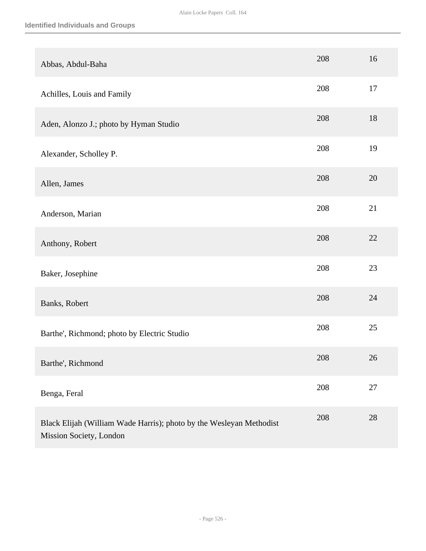| Abbas, Abdul-Baha                                                                              | 208 | 16 |
|------------------------------------------------------------------------------------------------|-----|----|
| Achilles, Louis and Family                                                                     | 208 | 17 |
| Aden, Alonzo J.; photo by Hyman Studio                                                         | 208 | 18 |
| Alexander, Scholley P.                                                                         | 208 | 19 |
| Allen, James                                                                                   | 208 | 20 |
| Anderson, Marian                                                                               | 208 | 21 |
| Anthony, Robert                                                                                | 208 | 22 |
| Baker, Josephine                                                                               | 208 | 23 |
| Banks, Robert                                                                                  | 208 | 24 |
| Barthe', Richmond; photo by Electric Studio                                                    | 208 | 25 |
| Barthe', Richmond                                                                              | 208 | 26 |
| Benga, Feral                                                                                   | 208 | 27 |
| Black Elijah (William Wade Harris); photo by the Wesleyan Methodist<br>Mission Society, London | 208 | 28 |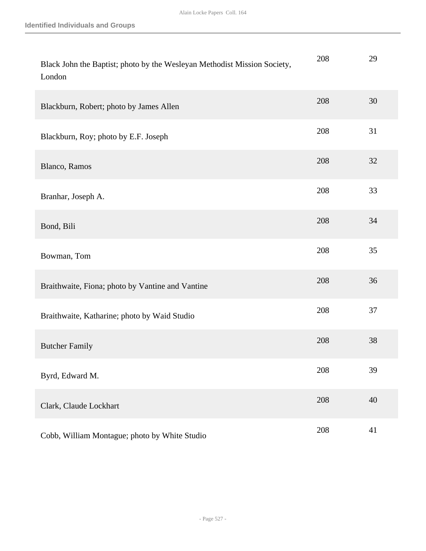| Black John the Baptist; photo by the Wesleyan Methodist Mission Society,<br>London | 208 | 29 |
|------------------------------------------------------------------------------------|-----|----|
| Blackburn, Robert; photo by James Allen                                            | 208 | 30 |
| Blackburn, Roy; photo by E.F. Joseph                                               | 208 | 31 |
| Blanco, Ramos                                                                      | 208 | 32 |
| Branhar, Joseph A.                                                                 | 208 | 33 |
| Bond, Bili                                                                         | 208 | 34 |
| Bowman, Tom                                                                        | 208 | 35 |
| Braithwaite, Fiona; photo by Vantine and Vantine                                   | 208 | 36 |
| Braithwaite, Katharine; photo by Waid Studio                                       | 208 | 37 |
| <b>Butcher Family</b>                                                              | 208 | 38 |
| Byrd, Edward M.                                                                    | 208 | 39 |
| Clark, Claude Lockhart                                                             | 208 | 40 |
| Cobb, William Montague; photo by White Studio                                      | 208 | 41 |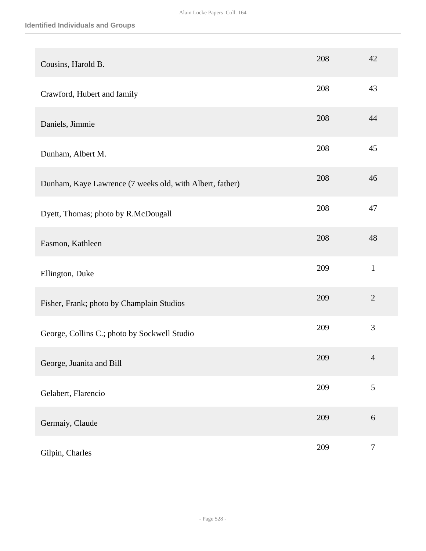| Cousins, Harold B.                                       | 208 | 42               |
|----------------------------------------------------------|-----|------------------|
| Crawford, Hubert and family                              | 208 | 43               |
| Daniels, Jimmie                                          | 208 | 44               |
| Dunham, Albert M.                                        | 208 | 45               |
| Dunham, Kaye Lawrence (7 weeks old, with Albert, father) | 208 | 46               |
| Dyett, Thomas; photo by R.McDougall                      | 208 | 47               |
| Easmon, Kathleen                                         | 208 | 48               |
| Ellington, Duke                                          | 209 | $\mathbf{1}$     |
| Fisher, Frank; photo by Champlain Studios                | 209 | $\overline{2}$   |
| George, Collins C.; photo by Sockwell Studio             | 209 | 3                |
| George, Juanita and Bill                                 | 209 | $\overline{4}$   |
| Gelabert, Flarencio                                      | 209 | 5                |
| Germaiy, Claude                                          | 209 | $\sqrt{6}$       |
| Gilpin, Charles                                          | 209 | $\boldsymbol{7}$ |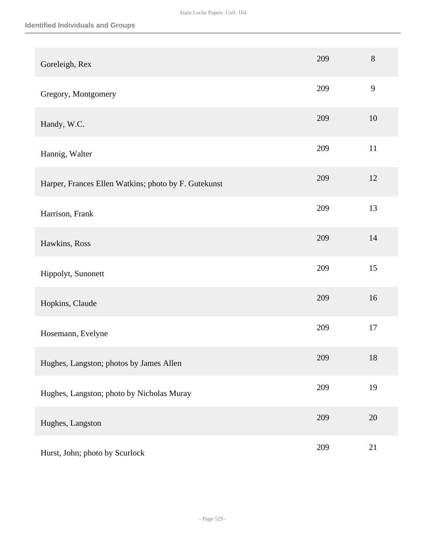| Goreleigh, Rex                                       | 209 | $8\,$ |
|------------------------------------------------------|-----|-------|
| Gregory, Montgomery                                  | 209 | 9     |
| Handy, W.C.                                          | 209 | 10    |
| Hannig, Walter                                       | 209 | 11    |
| Harper, Frances Ellen Watkins; photo by F. Gutekunst | 209 | 12    |
| Harrison, Frank                                      | 209 | 13    |
| Hawkins, Ross                                        | 209 | 14    |
| Hippolyt, Sunonett                                   | 209 | 15    |
| Hopkins, Claude                                      | 209 | 16    |
| Hosemann, Evelyne                                    | 209 | 17    |
| Hughes, Langston; photos by James Allen              | 209 | 18    |
| Hughes, Langston; photo by Nicholas Muray            | 209 | 19    |
| Hughes, Langston                                     | 209 | 20    |
| Hurst, John; photo by Scurlock                       | 209 | 21    |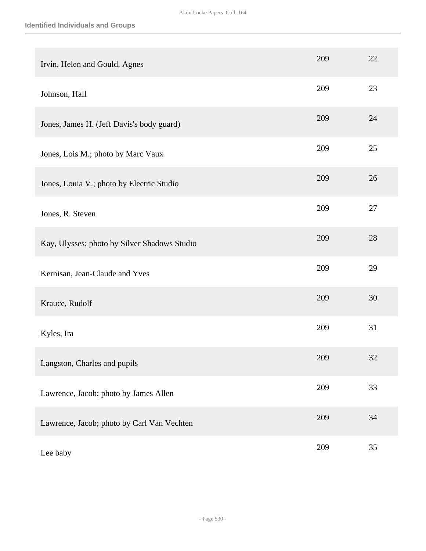| Irvin, Helen and Gould, Agnes                | 209 | 22 |
|----------------------------------------------|-----|----|
| Johnson, Hall                                | 209 | 23 |
| Jones, James H. (Jeff Davis's body guard)    | 209 | 24 |
| Jones, Lois M.; photo by Marc Vaux           | 209 | 25 |
| Jones, Louia V.; photo by Electric Studio    | 209 | 26 |
| Jones, R. Steven                             | 209 | 27 |
| Kay, Ulysses; photo by Silver Shadows Studio | 209 | 28 |
| Kernisan, Jean-Claude and Yves               | 209 | 29 |
| Krauce, Rudolf                               | 209 | 30 |
| Kyles, Ira                                   | 209 | 31 |
| Langston, Charles and pupils                 | 209 | 32 |
| Lawrence, Jacob; photo by James Allen        | 209 | 33 |
| Lawrence, Jacob; photo by Carl Van Vechten   | 209 | 34 |
| Lee baby                                     | 209 | 35 |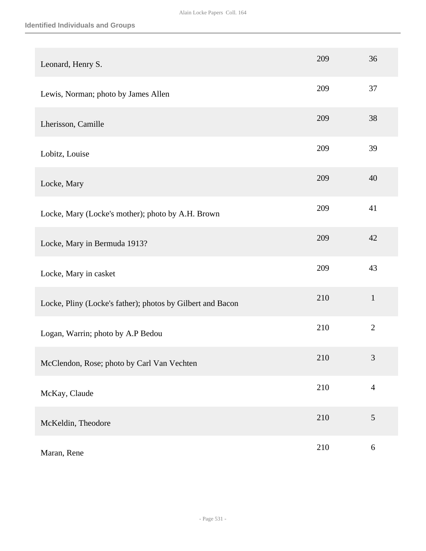| Leonard, Henry S.                                          | 209 | 36             |
|------------------------------------------------------------|-----|----------------|
| Lewis, Norman; photo by James Allen                        | 209 | 37             |
| Lherisson, Camille                                         | 209 | 38             |
| Lobitz, Louise                                             | 209 | 39             |
| Locke, Mary                                                | 209 | 40             |
| Locke, Mary (Locke's mother); photo by A.H. Brown          | 209 | 41             |
| Locke, Mary in Bermuda 1913?                               | 209 | 42             |
| Locke, Mary in casket                                      | 209 | 43             |
| Locke, Pliny (Locke's father); photos by Gilbert and Bacon | 210 | $\mathbf{1}$   |
| Logan, Warrin; photo by A.P Bedou                          | 210 | $\overline{2}$ |
| McClendon, Rose; photo by Carl Van Vechten                 | 210 | $\mathfrak{Z}$ |
| McKay, Claude                                              | 210 | $\overline{4}$ |
| McKeldin, Theodore                                         | 210 | $\sqrt{5}$     |
| Maran, Rene                                                | 210 | $\sqrt{6}$     |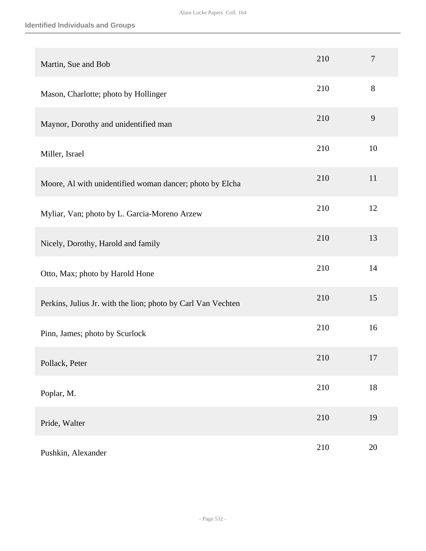| Martin, Sue and Bob                                          | 210 | $\overline{7}$ |
|--------------------------------------------------------------|-----|----------------|
| Mason, Charlotte; photo by Hollinger                         | 210 | 8              |
| Maynor, Dorothy and unidentified man                         | 210 | 9              |
| Miller, Israel                                               | 210 | 10             |
| Moore, Al with unidentified woman dancer; photo by Elcha     | 210 | 11             |
| Myliar, Van; photo by L. Garcia-Moreno Arzew                 | 210 | 12             |
| Nicely, Dorothy, Harold and family                           | 210 | 13             |
| Otto, Max; photo by Harold Hone                              | 210 | 14             |
| Perkins, Julius Jr. with the lion; photo by Carl Van Vechten | 210 | 15             |
| Pinn, James; photo by Scurlock                               | 210 | 16             |
| Pollack, Peter                                               | 210 | 17             |
| Poplar, M.                                                   | 210 | $18\,$         |
| Pride, Walter                                                | 210 | 19             |
| Pushkin, Alexander                                           | 210 | $20\,$         |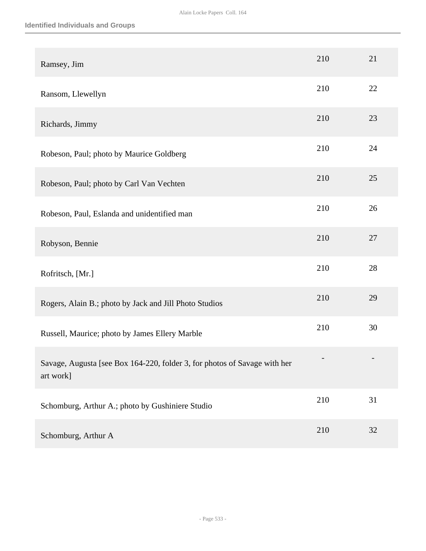| Ramsey, Jim                                                                            | 210 | 21 |
|----------------------------------------------------------------------------------------|-----|----|
| Ransom, Llewellyn                                                                      | 210 | 22 |
| Richards, Jimmy                                                                        | 210 | 23 |
| Robeson, Paul; photo by Maurice Goldberg                                               | 210 | 24 |
| Robeson, Paul; photo by Carl Van Vechten                                               | 210 | 25 |
| Robeson, Paul, Eslanda and unidentified man                                            | 210 | 26 |
| Robyson, Bennie                                                                        | 210 | 27 |
| Rofritsch, [Mr.]                                                                       | 210 | 28 |
| Rogers, Alain B.; photo by Jack and Jill Photo Studios                                 | 210 | 29 |
| Russell, Maurice; photo by James Ellery Marble                                         | 210 | 30 |
| Savage, Augusta [see Box 164-220, folder 3, for photos of Savage with her<br>art work] |     |    |
| Schomburg, Arthur A.; photo by Gushiniere Studio                                       | 210 | 31 |
| Schomburg, Arthur A                                                                    | 210 | 32 |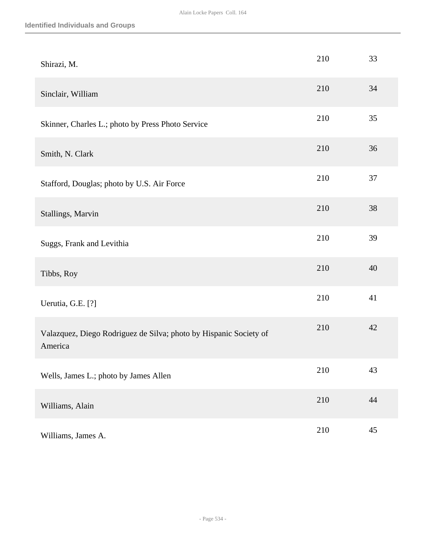| Shirazi, M.                                                                  | 210 | 33 |
|------------------------------------------------------------------------------|-----|----|
| Sinclair, William                                                            | 210 | 34 |
| Skinner, Charles L.; photo by Press Photo Service                            | 210 | 35 |
| Smith, N. Clark                                                              | 210 | 36 |
| Stafford, Douglas; photo by U.S. Air Force                                   | 210 | 37 |
| Stallings, Marvin                                                            | 210 | 38 |
| Suggs, Frank and Levithia                                                    | 210 | 39 |
| Tibbs, Roy                                                                   | 210 | 40 |
| Uerutia, G.E. [?]                                                            | 210 | 41 |
| Valazquez, Diego Rodriguez de Silva; photo by Hispanic Society of<br>America | 210 | 42 |
| Wells, James L.; photo by James Allen                                        | 210 | 43 |
| Williams, Alain                                                              | 210 | 44 |
| Williams, James A.                                                           | 210 | 45 |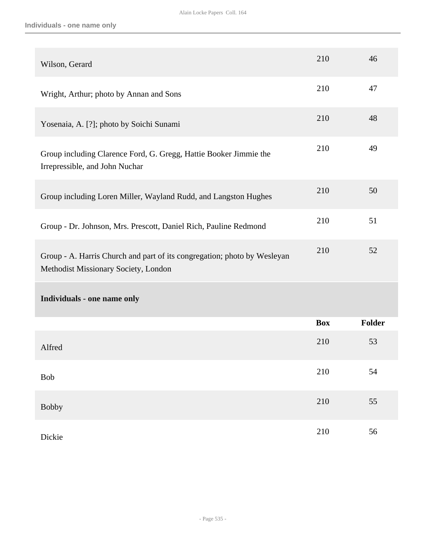| Wilson, Gerard                                                                                                   | 210        | 46     |
|------------------------------------------------------------------------------------------------------------------|------------|--------|
| Wright, Arthur; photo by Annan and Sons                                                                          | 210        | 47     |
| Yosenaia, A. [?]; photo by Soichi Sunami                                                                         | 210        | 48     |
| Group including Clarence Ford, G. Gregg, Hattie Booker Jimmie the<br>Irrepressible, and John Nuchar              | 210        | 49     |
| Group including Loren Miller, Wayland Rudd, and Langston Hughes                                                  | 210        | 50     |
| Group - Dr. Johnson, Mrs. Prescott, Daniel Rich, Pauline Redmond                                                 | 210        | 51     |
| Group - A. Harris Church and part of its congregation; photo by Wesleyan<br>Methodist Missionary Society, London | 210        | 52     |
| Individuals - one name only                                                                                      |            |        |
|                                                                                                                  | <b>Box</b> | Folder |
| Alfred                                                                                                           | 210        | 53     |
| Bob                                                                                                              | 210        | 54     |
| <b>Bobby</b>                                                                                                     | $210\,$    | 55     |
| Dickie                                                                                                           | 210        | 56     |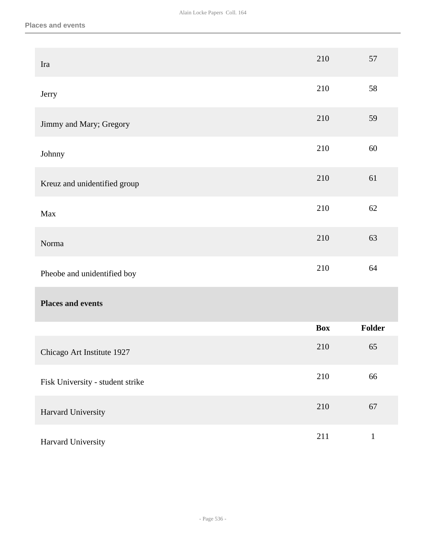| Ira                              | 210        | 57            |
|----------------------------------|------------|---------------|
| Jerry                            | 210        | 58            |
| Jimmy and Mary; Gregory          | 210        | 59            |
| Johnny                           | 210        | 60            |
| Kreuz and unidentified group     | 210        | 61            |
| Max                              | 210        | 62            |
| Norma                            | 210        | 63            |
| Pheobe and unidentified boy      | 210        | 64            |
| <b>Places and events</b>         |            |               |
|                                  | <b>Box</b> | <b>Folder</b> |
| Chicago Art Institute 1927       | 210        | 65            |
| Fisk University - student strike | 210        | 66            |
| Harvard University               | $210\,$    | 67            |
| Harvard University               | 211        | $\,1\,$       |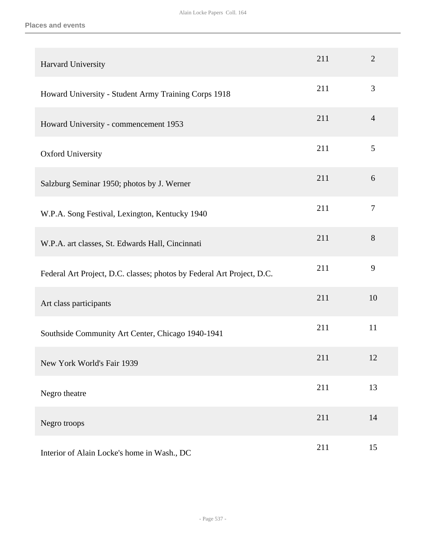| Harvard University                                                     | 211 | $\overline{2}$ |
|------------------------------------------------------------------------|-----|----------------|
| Howard University - Student Army Training Corps 1918                   | 211 | 3              |
| Howard University - commencement 1953                                  | 211 | $\overline{4}$ |
| <b>Oxford University</b>                                               | 211 | 5              |
| Salzburg Seminar 1950; photos by J. Werner                             | 211 | 6              |
| W.P.A. Song Festival, Lexington, Kentucky 1940                         | 211 | $\overline{7}$ |
| W.P.A. art classes, St. Edwards Hall, Cincinnati                       | 211 | 8              |
| Federal Art Project, D.C. classes; photos by Federal Art Project, D.C. | 211 | 9              |
| Art class participants                                                 | 211 | 10             |
| Southside Community Art Center, Chicago 1940-1941                      | 211 | 11             |
| New York World's Fair 1939                                             | 211 | 12             |
| Negro theatre                                                          | 211 | 13             |
| Negro troops                                                           | 211 | 14             |
| Interior of Alain Locke's home in Wash., DC                            | 211 | 15             |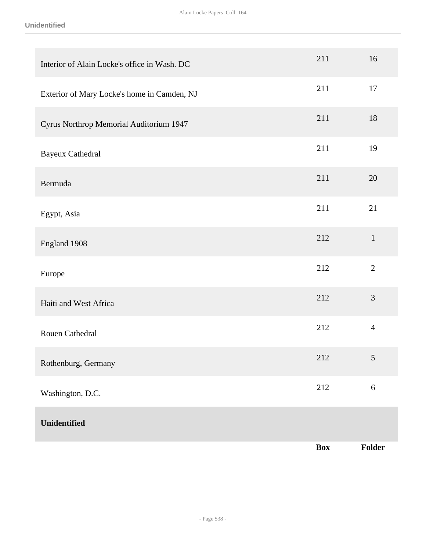| Interior of Alain Locke's office in Wash. DC | 211        | 16             |
|----------------------------------------------|------------|----------------|
| Exterior of Mary Locke's home in Camden, NJ  | 211        | 17             |
| Cyrus Northrop Memorial Auditorium 1947      | 211        | 18             |
| <b>Bayeux Cathedral</b>                      | 211        | 19             |
| Bermuda                                      | 211        | 20             |
| Egypt, Asia                                  | 211        | 21             |
| England 1908                                 | 212        | $\mathbf{1}$   |
| Europe                                       | 212        | $\sqrt{2}$     |
| Haiti and West Africa                        | 212        | $\mathfrak{Z}$ |
| Rouen Cathedral                              | 212        | $\overline{4}$ |
| Rothenburg, Germany                          | 212        | $\sqrt{5}$     |
| Washington, D.C.                             | 212        | $6\,$          |
| Unidentified                                 |            |                |
|                                              | <b>Box</b> | Folder         |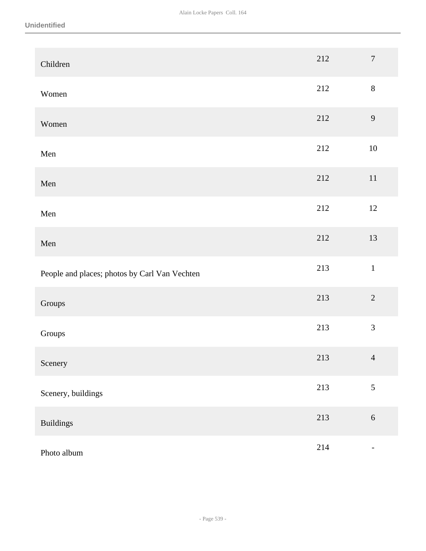| Children                                      | 212 | $\boldsymbol{7}$         |
|-----------------------------------------------|-----|--------------------------|
| Women                                         | 212 | $8\,$                    |
| Women                                         | 212 | $\mathbf{9}$             |
| Men                                           | 212 | $10\,$                   |
| Men                                           | 212 | $11\,$                   |
| Men                                           | 212 | 12                       |
| Men                                           | 212 | 13                       |
| People and places; photos by Carl Van Vechten | 213 | $\mathbf 1$              |
| Groups                                        | 213 | $\overline{2}$           |
| Groups                                        | 213 | 3                        |
| Scenery                                       | 213 | $\overline{4}$           |
| Scenery, buildings                            | 213 | 5                        |
| <b>Buildings</b>                              | 213 | $\sqrt{6}$               |
| Photo album                                   | 214 | $\overline{\phantom{0}}$ |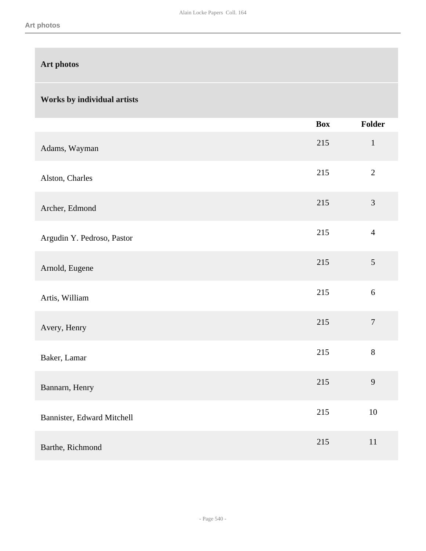# **Art photos**

# **Works by individual artists**

|                            | <b>Box</b> | Folder         |
|----------------------------|------------|----------------|
| Adams, Wayman              | 215        | $\mathbf{1}$   |
| Alston, Charles            | 215        | $\overline{2}$ |
| Archer, Edmond             | 215        | 3              |
| Argudin Y. Pedroso, Pastor | 215        | $\overline{4}$ |
| Arnold, Eugene             | 215        | 5              |
| Artis, William             | 215        | $\sqrt{6}$     |
| Avery, Henry               | 215        | $\overline{7}$ |
| Baker, Lamar               | 215        | $8\,$          |
| Bannarn, Henry             | 215        | 9              |
| Bannister, Edward Mitchell | 215        | 10             |
| Barthe, Richmond           | 215        | 11             |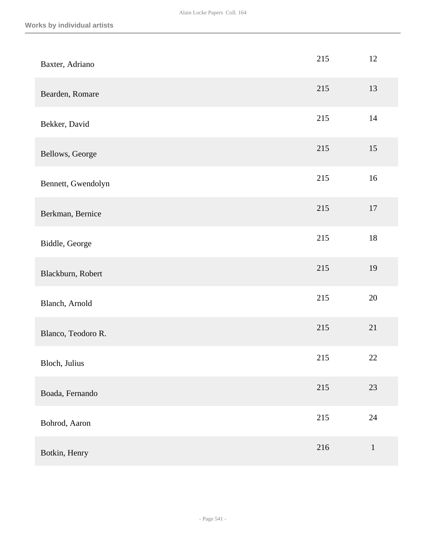| Baxter, Adriano    | 215 | 12     |
|--------------------|-----|--------|
| Bearden, Romare    | 215 | 13     |
| Bekker, David      | 215 | $14$   |
| Bellows, George    | 215 | 15     |
| Bennett, Gwendolyn | 215 | 16     |
| Berkman, Bernice   | 215 | 17     |
| Biddle, George     | 215 | $18\,$ |
| Blackburn, Robert  | 215 | 19     |
| Blanch, Arnold     | 215 | 20     |
| Blanco, Teodoro R. | 215 | 21     |
| Bloch, Julius      | 215 | $22\,$ |
| Boada, Fernando    | 215 | 23     |
| Bohrod, Aaron      | 215 | 24     |
| Botkin, Henry      | 216 | $1\,$  |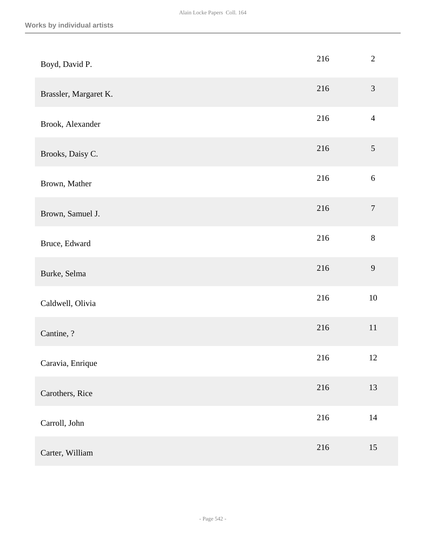| Boyd, David P.        | 216     | $\overline{2}$   |
|-----------------------|---------|------------------|
| Brassler, Margaret K. | 216     | $\mathfrak{Z}$   |
| Brook, Alexander      | 216     | $\overline{4}$   |
| Brooks, Daisy C.      | 216     | $\mathfrak{S}$   |
| Brown, Mather         | 216     | $\sqrt{6}$       |
| Brown, Samuel J.      | 216     | $\boldsymbol{7}$ |
| Bruce, Edward         | 216     | $8\,$            |
| Burke, Selma          | 216     | 9                |
| Caldwell, Olivia      | $216\,$ | $10\,$           |
| Cantine, ?            | 216     | $11\,$           |
| Caravia, Enrique      | 216     | 12               |
| Carothers, Rice       | 216     | 13               |
| Carroll, John         | $216\,$ | $14\,$           |
| Carter, William       | $216\,$ | 15               |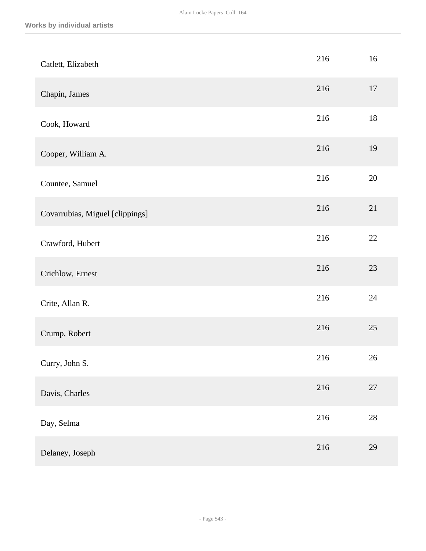| Catlett, Elizabeth              | 216 | 16     |
|---------------------------------|-----|--------|
| Chapin, James                   | 216 | 17     |
| Cook, Howard                    | 216 | $18\,$ |
| Cooper, William A.              | 216 | 19     |
| Countee, Samuel                 | 216 | $20\,$ |
| Covarrubias, Miguel [clippings] | 216 | 21     |
| Crawford, Hubert                | 216 | $22\,$ |
| Crichlow, Ernest                | 216 | 23     |
| Crite, Allan R.                 | 216 | 24     |
| Crump, Robert                   | 216 | $25\,$ |
| Curry, John S.                  | 216 | 26     |
| Davis, Charles                  | 216 | $27\,$ |
| Day, Selma                      | 216 | $28\,$ |
| Delaney, Joseph                 | 216 | 29     |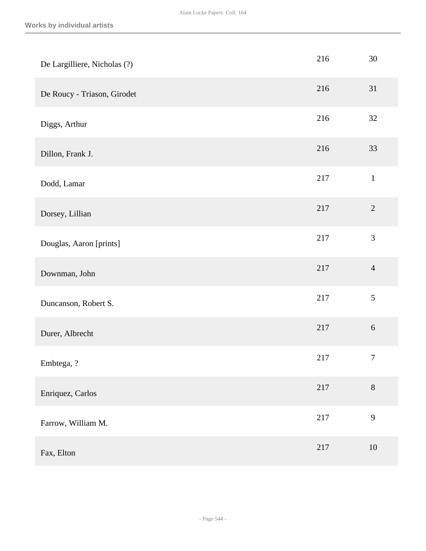| De Largilliere, Nicholas (?) | 216     | 30               |
|------------------------------|---------|------------------|
| De Roucy - Triason, Girodet  | 216     | 31               |
| Diggs, Arthur                | 216     | 32               |
| Dillon, Frank J.             | 216     | 33               |
| Dodd, Lamar                  | 217     | $\,1\,$          |
| Dorsey, Lillian              | 217     | $\sqrt{2}$       |
| Douglas, Aaron [prints]      | 217     | 3                |
| Downman, John                | 217     | $\overline{4}$   |
| Duncanson, Robert S.         | 217     | 5                |
| Durer, Albrecht              | 217     | $\sqrt{6}$       |
| Embtega, ?                   | 217     | $\boldsymbol{7}$ |
| Enriquez, Carlos             | 217     | $8\,$            |
| Farrow, William M.           | $217\,$ | 9                |
| Fax, Elton                   | 217     | 10               |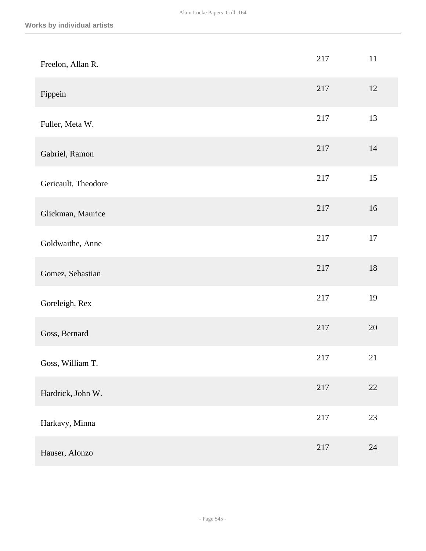| Freelon, Allan R.   | 217 | 11     |
|---------------------|-----|--------|
| Fippein             | 217 | 12     |
| Fuller, Meta W.     | 217 | 13     |
| Gabriel, Ramon      | 217 | 14     |
| Gericault, Theodore | 217 | 15     |
| Glickman, Maurice   | 217 | 16     |
| Goldwaithe, Anne    | 217 | 17     |
| Gomez, Sebastian    | 217 | $18\,$ |
| Goreleigh, Rex      | 217 | 19     |
| Goss, Bernard       | 217 | 20     |
| Goss, William T.    | 217 | 21     |
| Hardrick, John W.   | 217 | $22\,$ |
| Harkavy, Minna      | 217 | $23\,$ |
| Hauser, Alonzo      | 217 | 24     |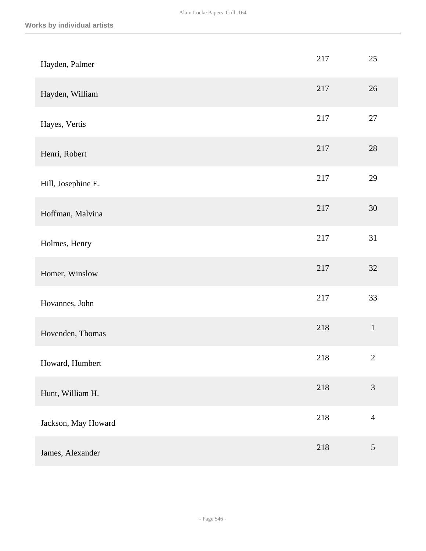| Hayden, Palmer      | 217 | 25             |
|---------------------|-----|----------------|
| Hayden, William     | 217 | 26             |
| Hayes, Vertis       | 217 | $27\,$         |
| Henri, Robert       | 217 | 28             |
| Hill, Josephine E.  | 217 | 29             |
| Hoffman, Malvina    | 217 | 30             |
| Holmes, Henry       | 217 | 31             |
| Homer, Winslow      | 217 | 32             |
| Hovannes, John      | 217 | 33             |
| Hovenden, Thomas    | 218 | $\,1\,$        |
| Howard, Humbert     | 218 | $\sqrt{2}$     |
| Hunt, William H.    | 218 | 3              |
| Jackson, May Howard | 218 | $\overline{4}$ |
| James, Alexander    | 218 | $\sqrt{5}$     |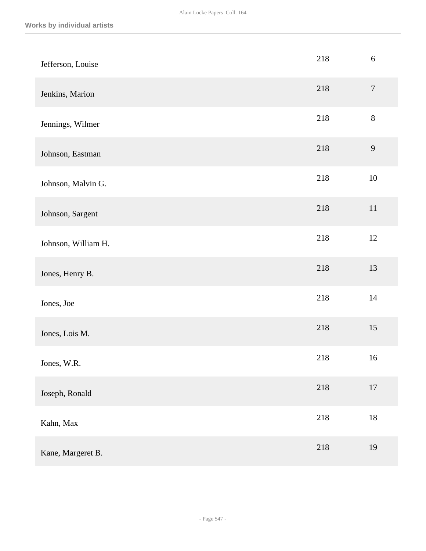| Jefferson, Louise   | 218 | $6\,$            |
|---------------------|-----|------------------|
| Jenkins, Marion     | 218 | $\boldsymbol{7}$ |
| Jennings, Wilmer    | 218 | $8\,$            |
| Johnson, Eastman    | 218 | 9                |
| Johnson, Malvin G.  | 218 | $10\,$           |
| Johnson, Sargent    | 218 | 11               |
| Johnson, William H. | 218 | 12               |
| Jones, Henry B.     | 218 | 13               |
| Jones, Joe          | 218 | 14               |
| Jones, Lois M.      | 218 | 15               |
| Jones, W.R.         | 218 | 16               |
| Joseph, Ronald      | 218 | $17\,$           |
| Kahn, Max           | 218 | $18\,$           |
| Kane, Margeret B.   | 218 | 19               |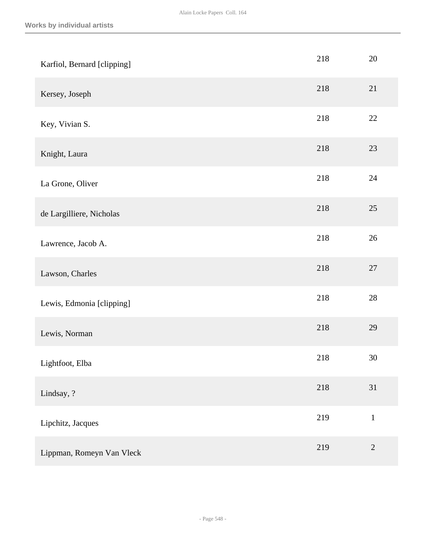| Karfiol, Bernard [clipping] | 218 | 20           |
|-----------------------------|-----|--------------|
| Kersey, Joseph              | 218 | 21           |
| Key, Vivian S.              | 218 | 22           |
| Knight, Laura               | 218 | 23           |
| La Grone, Oliver            | 218 | 24           |
| de Largilliere, Nicholas    | 218 | 25           |
| Lawrence, Jacob A.          | 218 | $26\,$       |
| Lawson, Charles             | 218 | $27\,$       |
| Lewis, Edmonia [clipping]   | 218 | $28\,$       |
| Lewis, Norman               | 218 | 29           |
| Lightfoot, Elba             | 218 | 30           |
| Lindsay, ?                  | 218 | 31           |
| Lipchitz, Jacques           | 219 | $\mathbf{1}$ |
| Lippman, Romeyn Van Vleck   | 219 | $\sqrt{2}$   |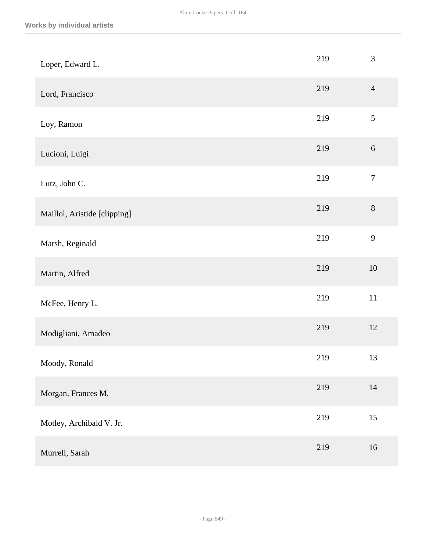| Loper, Edward L.             | 219 | $\mathfrak{Z}$   |
|------------------------------|-----|------------------|
| Lord, Francisco              | 219 | $\overline{4}$   |
| Loy, Ramon                   | 219 | $\mathfrak{S}$   |
| Lucioni, Luigi               | 219 | $\sqrt{6}$       |
| Lutz, John C.                | 219 | $\boldsymbol{7}$ |
| Maillol, Aristide [clipping] | 219 | $8\,$            |
| Marsh, Reginald              | 219 | 9                |
| Martin, Alfred               | 219 | $10\,$           |
| McFee, Henry L.              | 219 | $11\,$           |
| Modigliani, Amadeo           | 219 | $12\,$           |
| Moody, Ronald                | 219 | 13               |
| Morgan, Frances M.           | 219 | $14\,$           |
| Motley, Archibald V. Jr.     | 219 | 15               |
| Murrell, Sarah               | 219 | 16               |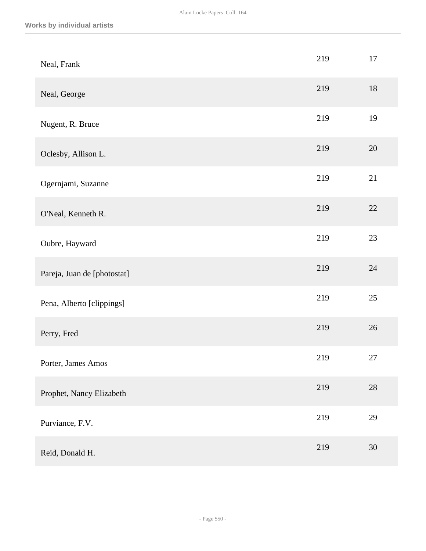| Neal, Frank                 | 219 | 17     |
|-----------------------------|-----|--------|
| Neal, George                | 219 | 18     |
| Nugent, R. Bruce            | 219 | 19     |
| Oclesby, Allison L.         | 219 | $20\,$ |
| Ogernjami, Suzanne          | 219 | 21     |
| O'Neal, Kenneth R.          | 219 | 22     |
| Oubre, Hayward              | 219 | 23     |
| Pareja, Juan de [photostat] | 219 | 24     |
| Pena, Alberto [clippings]   | 219 | $25\,$ |
| Perry, Fred                 | 219 | $26\,$ |
| Porter, James Amos          | 219 | 27     |
| Prophet, Nancy Elizabeth    | 219 | $28\,$ |
| Purviance, F.V.             | 219 | 29     |
| Reid, Donald H.             | 219 | $30\,$ |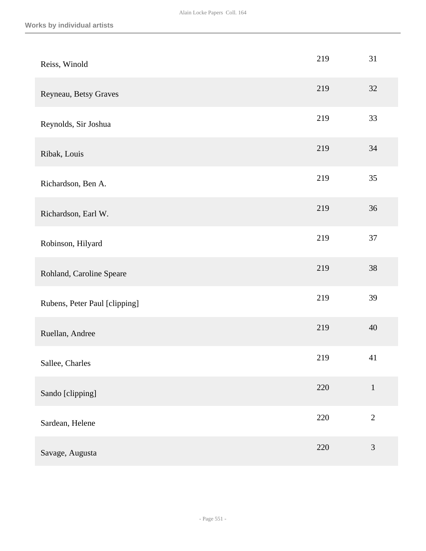| Reiss, Winold                 | 219 | 31             |
|-------------------------------|-----|----------------|
| Reyneau, Betsy Graves         | 219 | 32             |
| Reynolds, Sir Joshua          | 219 | 33             |
| Ribak, Louis                  | 219 | 34             |
| Richardson, Ben A.            | 219 | 35             |
| Richardson, Earl W.           | 219 | 36             |
| Robinson, Hilyard             | 219 | 37             |
| Rohland, Caroline Speare      | 219 | 38             |
| Rubens, Peter Paul [clipping] | 219 | 39             |
| Ruellan, Andree               | 219 | 40             |
| Sallee, Charles               | 219 | 41             |
| Sando [clipping]              | 220 | $\mathbf{1}$   |
| Sardean, Helene               | 220 | $\overline{2}$ |
| Savage, Augusta               | 220 | $\mathfrak{Z}$ |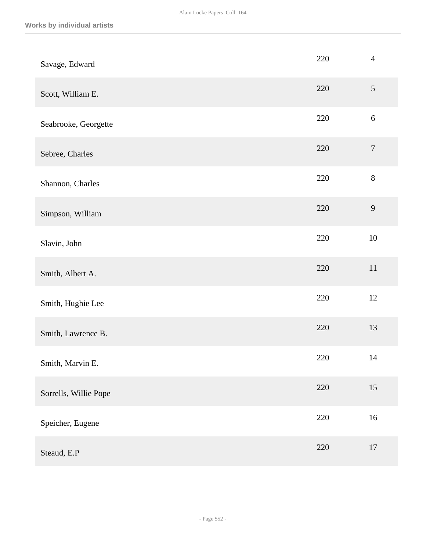| Savage, Edward        | 220 | $\overline{4}$   |
|-----------------------|-----|------------------|
| Scott, William E.     | 220 | $\mathfrak{S}$   |
| Seabrooke, Georgette  | 220 | $\sqrt{6}$       |
| Sebree, Charles       | 220 | $\boldsymbol{7}$ |
| Shannon, Charles      | 220 | $8\,$            |
| Simpson, William      | 220 | 9                |
| Slavin, John          | 220 | 10               |
| Smith, Albert A.      | 220 | $11\,$           |
| Smith, Hughie Lee     | 220 | 12               |
| Smith, Lawrence B.    | 220 | 13               |
| Smith, Marvin E.      | 220 | 14               |
| Sorrells, Willie Pope | 220 | 15               |
| Speicher, Eugene      | 220 | 16               |
| Steaud, E.P           | 220 | $17\,$           |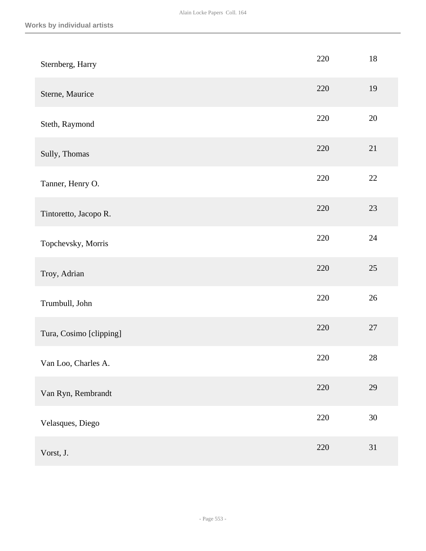| Sternberg, Harry        | 220 | 18     |
|-------------------------|-----|--------|
| Sterne, Maurice         | 220 | 19     |
| Steth, Raymond          | 220 | 20     |
| Sully, Thomas           | 220 | 21     |
| Tanner, Henry O.        | 220 | $22\,$ |
| Tintoretto, Jacopo R.   | 220 | 23     |
| Topchevsky, Morris      | 220 | 24     |
| Troy, Adrian            | 220 | 25     |
| Trumbull, John          | 220 | 26     |
| Tura, Cosimo [clipping] | 220 | 27     |
| Van Loo, Charles A.     | 220 | 28     |
| Van Ryn, Rembrandt      | 220 | 29     |
| Velasques, Diego        | 220 | $30\,$ |
| Vorst, J.               | 220 | 31     |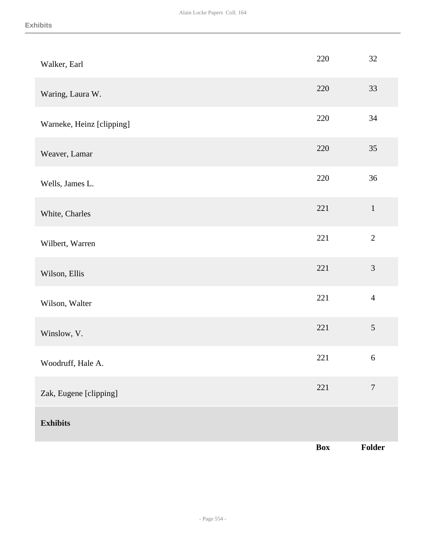|                           | <b>Box</b> | Folder           |
|---------------------------|------------|------------------|
| <b>Exhibits</b>           |            |                  |
| Zak, Eugene [clipping]    | 221        | $\boldsymbol{7}$ |
| Woodruff, Hale A.         | 221        | $\sqrt{6}$       |
| Winslow, V.               | 221        | 5                |
| Wilson, Walter            | 221        | $\overline{4}$   |
| Wilson, Ellis             | 221        | $\mathfrak{Z}$   |
| Wilbert, Warren           | 221        | $\overline{2}$   |
| White, Charles            | 221        | $\mathbf{1}$     |
| Wells, James L.           | 220        | 36               |
| Weaver, Lamar             | 220        | 35               |
| Warneke, Heinz [clipping] | 220        | 34               |
| Waring, Laura W.          | 220        | 33               |
| Walker, Earl              | 220        | 32               |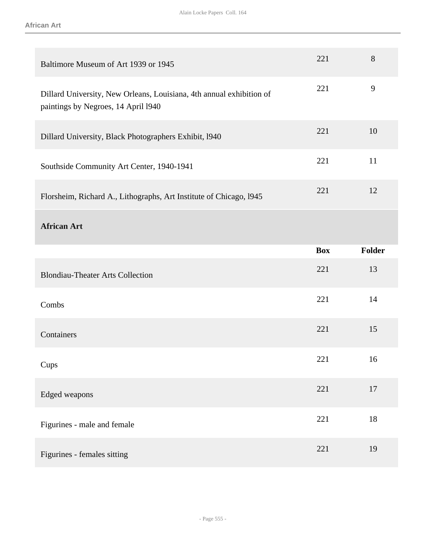| Baltimore Museum of Art 1939 or 1945                                                                        | 221        | 8      |
|-------------------------------------------------------------------------------------------------------------|------------|--------|
| Dillard University, New Orleans, Louisiana, 4th annual exhibition of<br>paintings by Negroes, 14 April 1940 | 221        | 9      |
| Dillard University, Black Photographers Exhibit, 1940                                                       | 221        | 10     |
| Southside Community Art Center, 1940-1941                                                                   | 221        | 11     |
| Florsheim, Richard A., Lithographs, Art Institute of Chicago, 1945                                          | 221        | 12     |
| <b>African Art</b>                                                                                          |            |        |
|                                                                                                             | <b>Box</b> |        |
|                                                                                                             |            | Folder |
| <b>Blondiau-Theater Arts Collection</b>                                                                     | 221        | 13     |
| Combs                                                                                                       | 221        | 14     |
| Containers                                                                                                  | 221        | 15     |
| Cups                                                                                                        | 221        | 16     |
| Edged weapons                                                                                               | 221        | 17     |
| Figurines - male and female                                                                                 | 221        | 18     |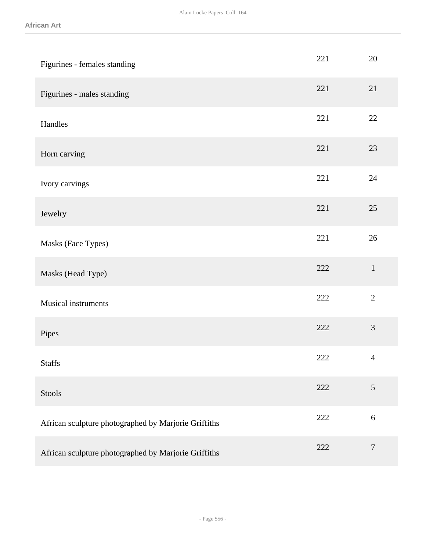| Figurines - females standing                         | 221 | 20               |
|------------------------------------------------------|-----|------------------|
| Figurines - males standing                           | 221 | 21               |
| Handles                                              | 221 | 22               |
| Horn carving                                         | 221 | 23               |
| Ivory carvings                                       | 221 | 24               |
| Jewelry                                              | 221 | 25               |
| Masks (Face Types)                                   | 221 | $26\,$           |
| Masks (Head Type)                                    | 222 | $\mathbf{1}$     |
| Musical instruments                                  | 222 | $\overline{2}$   |
| Pipes                                                | 222 | $\mathfrak{Z}$   |
| <b>Staffs</b>                                        | 222 | $\overline{4}$   |
| Stools                                               | 222 | $\mathfrak{S}$   |
| African sculpture photographed by Marjorie Griffiths | 222 | 6                |
| African sculpture photographed by Marjorie Griffiths | 222 | $\boldsymbol{7}$ |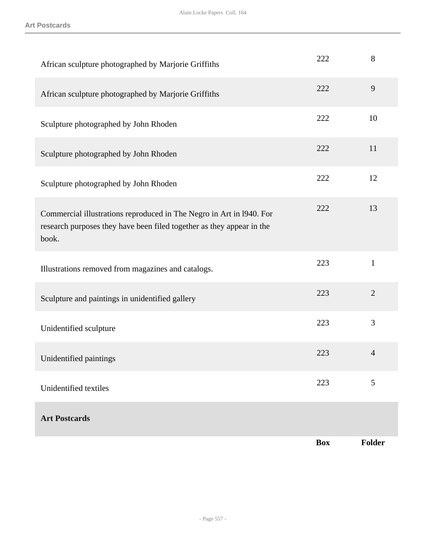**Art Postcards**

| African sculpture photographed by Marjorie Griffiths                                                                                                   | 222        | 8              |
|--------------------------------------------------------------------------------------------------------------------------------------------------------|------------|----------------|
| African sculpture photographed by Marjorie Griffiths                                                                                                   | 222        | 9              |
| Sculpture photographed by John Rhoden                                                                                                                  | 222        | 10             |
| Sculpture photographed by John Rhoden                                                                                                                  | 222        | 11             |
| Sculpture photographed by John Rhoden                                                                                                                  | 222        | 12             |
| Commercial illustrations reproduced in The Negro in Art in 1940. For<br>research purposes they have been filed together as they appear in the<br>book. | 222        | 13             |
| Illustrations removed from magazines and catalogs.                                                                                                     | 223        | $\mathbf{1}$   |
| Sculpture and paintings in unidentified gallery                                                                                                        | 223        | $\overline{2}$ |
| Unidentified sculpture                                                                                                                                 | 223        | 3              |
| Unidentified paintings                                                                                                                                 | 223        | $\overline{4}$ |
| Unidentified textiles                                                                                                                                  | 223        | 5              |
| <b>Art Postcards</b>                                                                                                                                   |            |                |
|                                                                                                                                                        | <b>Box</b> | <b>Folder</b>  |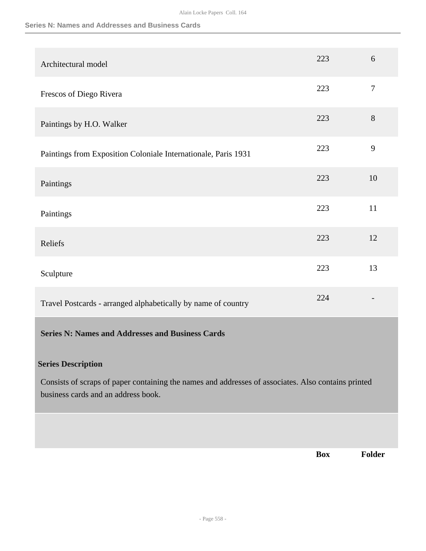### **Series N: Names and Addresses and Business Cards**

|                                                                                                                                            | <b>Box</b> | Folder           |
|--------------------------------------------------------------------------------------------------------------------------------------------|------------|------------------|
|                                                                                                                                            |            |                  |
| Consists of scraps of paper containing the names and addresses of associates. Also contains printed<br>business cards and an address book. |            |                  |
| <b>Series N: Names and Addresses and Business Cards</b><br><b>Series Description</b>                                                       |            |                  |
| Travel Postcards - arranged alphabetically by name of country                                                                              | 224        |                  |
| Sculpture                                                                                                                                  | 223        | 13               |
| Reliefs                                                                                                                                    | 223        | 12               |
| Paintings                                                                                                                                  | 223        | 11               |
| Paintings                                                                                                                                  | 223        | 10               |
| Paintings from Exposition Coloniale Internationale, Paris 1931                                                                             | 223        | 9                |
| Paintings by H.O. Walker                                                                                                                   | 223        | 8                |
| Frescos of Diego Rivera                                                                                                                    | 223        | $\boldsymbol{7}$ |
| Architectural model                                                                                                                        | 223        | 6                |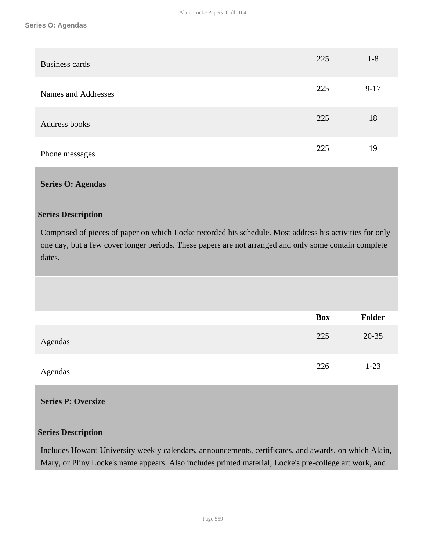| <b>Business cards</b> | 225 | $1 - 8$  |
|-----------------------|-----|----------|
| Names and Addresses   | 225 | $9 - 17$ |
| Address books         | 225 | 18       |
| Phone messages        | 225 | 19       |

### **Series O: Agendas**

### **Series Description**

Comprised of pieces of paper on which Locke recorded his schedule. Most address his activities for only one day, but a few cover longer periods. These papers are not arranged and only some contain complete dates.

|         | Box | <b>Folder</b> |
|---------|-----|---------------|
| Agendas | 225 | $20 - 35$     |
| Agendas | 226 | $1 - 23$      |

## **Series P: Oversize**

## **Series Description**

Includes Howard University weekly calendars, announcements, certificates, and awards, on which Alain, Mary, or Pliny Locke's name appears. Also includes printed material, Locke's pre-college art work, and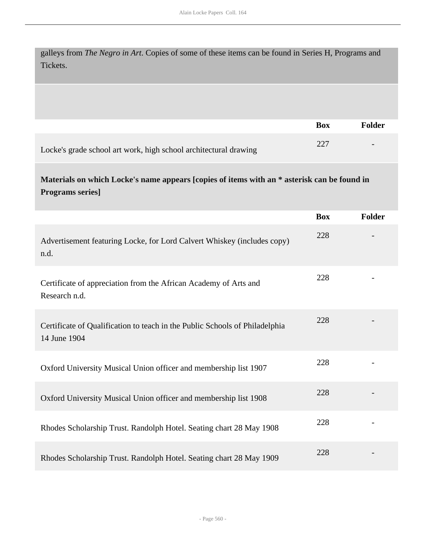galleys from *The Negro in Art*. Copies of some of these items can be found in Series H, Programs and Tickets.

|                                                                  | Box  | Folder                   |
|------------------------------------------------------------------|------|--------------------------|
| Locke's grade school art work, high school architectural drawing | -227 | $\overline{\phantom{a}}$ |

# **Materials on which Locke's name appears [copies of items with an \* asterisk can be found in Programs series]**

|                                                                                             | <b>Box</b> | Folder |
|---------------------------------------------------------------------------------------------|------------|--------|
| Advertisement featuring Locke, for Lord Calvert Whiskey (includes copy)<br>n.d.             | 228        |        |
| Certificate of appreciation from the African Academy of Arts and<br>Research n.d.           | 228        |        |
| Certificate of Qualification to teach in the Public Schools of Philadelphia<br>14 June 1904 | 228        |        |
| Oxford University Musical Union officer and membership list 1907                            | 228        |        |
| Oxford University Musical Union officer and membership list 1908                            | 228        |        |
| Rhodes Scholarship Trust. Randolph Hotel. Seating chart 28 May 1908                         | 228        |        |
| Rhodes Scholarship Trust. Randolph Hotel. Seating chart 28 May 1909                         | 228        |        |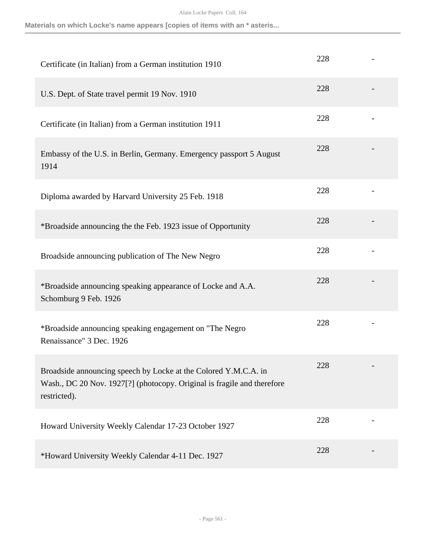**Materials on which Locke's name appears [copies of items with an \* asteris...**

| Certificate (in Italian) from a German institution 1910                                                                                                    | 228 |  |
|------------------------------------------------------------------------------------------------------------------------------------------------------------|-----|--|
| U.S. Dept. of State travel permit 19 Nov. 1910                                                                                                             | 228 |  |
| Certificate (in Italian) from a German institution 1911                                                                                                    | 228 |  |
| Embassy of the U.S. in Berlin, Germany. Emergency passport 5 August<br>1914                                                                                | 228 |  |
| Diploma awarded by Harvard University 25 Feb. 1918                                                                                                         | 228 |  |
| *Broadside announcing the the Feb. 1923 issue of Opportunity                                                                                               | 228 |  |
| Broadside announcing publication of The New Negro                                                                                                          | 228 |  |
| *Broadside announcing speaking appearance of Locke and A.A.<br>Schomburg 9 Feb. 1926                                                                       | 228 |  |
| *Broadside announcing speaking engagement on "The Negro<br>Renaissance" 3 Dec. 1926                                                                        | 228 |  |
| Broadside announcing speech by Locke at the Colored Y.M.C.A. in<br>Wash., DC 20 Nov. 1927[?] (photocopy. Original is fragile and therefore<br>restricted). | 228 |  |
| Howard University Weekly Calendar 17-23 October 1927                                                                                                       | 228 |  |
| *Howard University Weekly Calendar 4-11 Dec. 1927                                                                                                          | 228 |  |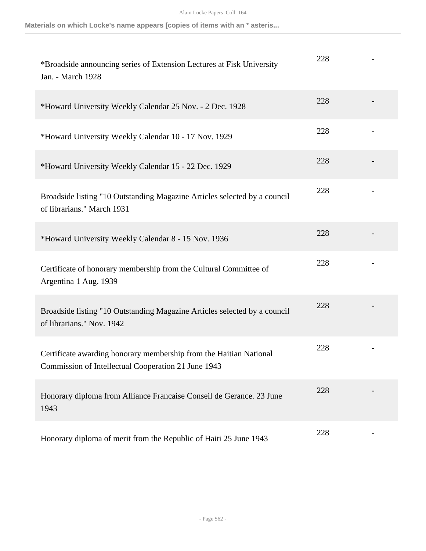**Materials on which Locke's name appears [copies of items with an \* asteris...**

| *Broadside announcing series of Extension Lectures at Fisk University<br>Jan. - March 1928                                | 228 |  |
|---------------------------------------------------------------------------------------------------------------------------|-----|--|
| *Howard University Weekly Calendar 25 Nov. - 2 Dec. 1928                                                                  | 228 |  |
| *Howard University Weekly Calendar 10 - 17 Nov. 1929                                                                      | 228 |  |
| *Howard University Weekly Calendar 15 - 22 Dec. 1929                                                                      | 228 |  |
| Broadside listing "10 Outstanding Magazine Articles selected by a council<br>of librarians." March 1931                   | 228 |  |
| *Howard University Weekly Calendar 8 - 15 Nov. 1936                                                                       | 228 |  |
| Certificate of honorary membership from the Cultural Committee of<br>Argentina 1 Aug. 1939                                | 228 |  |
| Broadside listing "10 Outstanding Magazine Articles selected by a council<br>of librarians." Nov. 1942                    | 228 |  |
| Certificate awarding honorary membership from the Haitian National<br>Commission of Intellectual Cooperation 21 June 1943 | 228 |  |
| Honorary diploma from Alliance Francaise Conseil de Gerance. 23 June<br>1943                                              | 228 |  |
| Honorary diploma of merit from the Republic of Haiti 25 June 1943                                                         | 228 |  |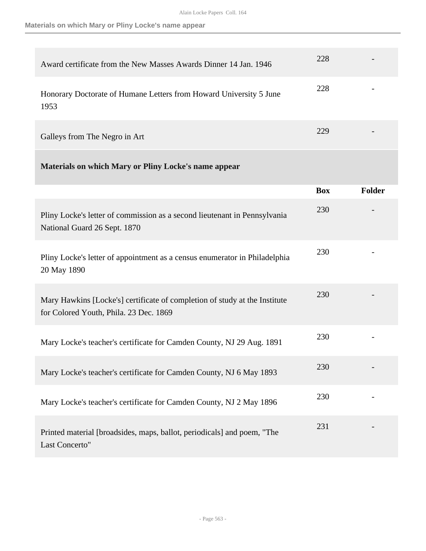**Materials on which Mary or Pliny Locke's name appear**

| Award certificate from the New Masses Awards Dinner 14 Jan. 1946                                                     | 228        |        |
|----------------------------------------------------------------------------------------------------------------------|------------|--------|
| Honorary Doctorate of Humane Letters from Howard University 5 June<br>1953                                           | 228        |        |
| Galleys from The Negro in Art                                                                                        | 229        |        |
| <b>Materials on which Mary or Pliny Locke's name appear</b>                                                          |            |        |
|                                                                                                                      | <b>Box</b> | Folder |
| Pliny Locke's letter of commission as a second lieutenant in Pennsylvania<br>National Guard 26 Sept. 1870            | 230        |        |
| Pliny Locke's letter of appointment as a census enumerator in Philadelphia<br>20 May 1890                            | 230        |        |
| Mary Hawkins [Locke's] certificate of completion of study at the Institute<br>for Colored Youth, Phila. 23 Dec. 1869 | 230        |        |
| Mary Locke's teacher's certificate for Camden County, NJ 29 Aug. 1891                                                | 230        |        |
| Mary Locke's teacher's certificate for Camden County, NJ 6 May 1893                                                  | 230        |        |
| Mary Locke's teacher's certificate for Camden County, NJ 2 May 1896                                                  | 230        |        |
| Printed material [broadsides, maps, ballot, periodicals] and poem, "The<br>Last Concerto"                            | 231        |        |